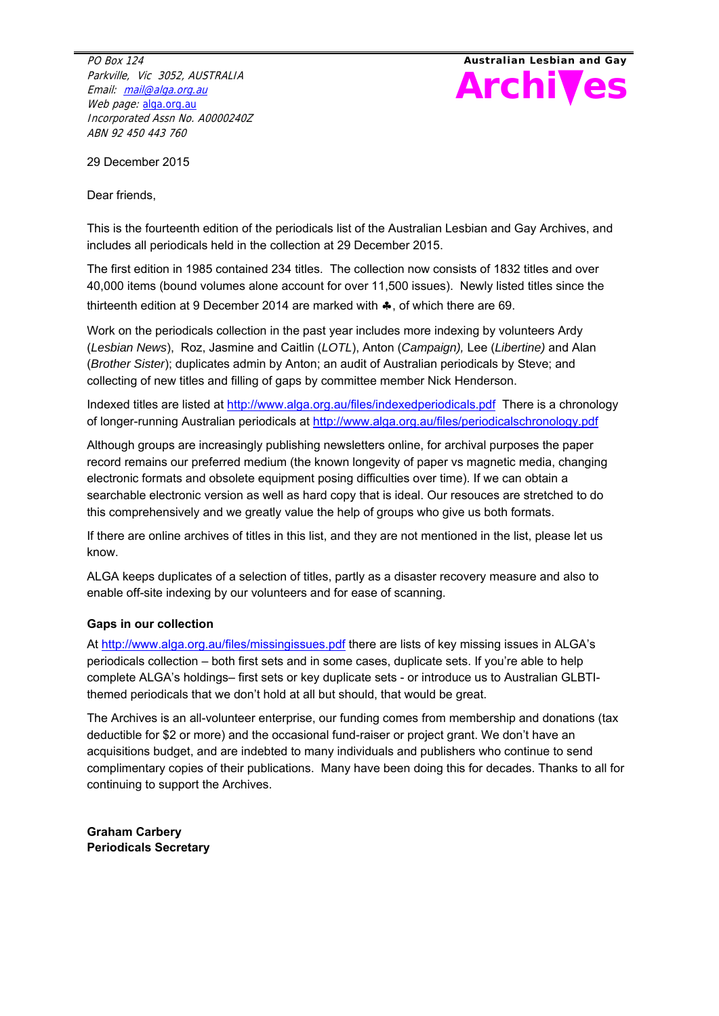PO Box 124 Parkville, Vic 3052, AUSTRALIA Email: mail@alga.org.au Web page: alga.org.au Incorporated Assn No. A0000240Z ABN 92 450 443 760



29 December 2015

Dear friends,

This is the fourteenth edition of the periodicals list of the Australian Lesbian and Gay Archives, and includes all periodicals held in the collection at 29 December 2015.

The first edition in 1985 contained 234 titles. The collection now consists of 1832 titles and over 40,000 items (bound volumes alone account for over 11,500 issues). Newly listed titles since the thirteenth edition at 9 December 2014 are marked with  $\clubsuit$ , of which there are 69.

Work on the periodicals collection in the past year includes more indexing by volunteers Ardy (*Lesbian News*), Roz, Jasmine and Caitlin (*LOTL*), Anton (*Campaign),* Lee (*Libertine)* and Alan (*Brother Sister*); duplicates admin by Anton; an audit of Australian periodicals by Steve; and collecting of new titles and filling of gaps by committee member Nick Henderson.

Indexed titles are listed at http://www.alga.org.au/files/indexedperiodicals.pdf There is a chronology of longer-running Australian periodicals at http://www.alga.org.au/files/periodicalschronology.pdf

Although groups are increasingly publishing newsletters online, for archival purposes the paper record remains our preferred medium (the known longevity of paper vs magnetic media, changing electronic formats and obsolete equipment posing difficulties over time). If we can obtain a searchable electronic version as well as hard copy that is ideal. Our resouces are stretched to do this comprehensively and we greatly value the help of groups who give us both formats.

If there are online archives of titles in this list, and they are not mentioned in the list, please let us know.

ALGA keeps duplicates of a selection of titles, partly as a disaster recovery measure and also to enable off-site indexing by our volunteers and for ease of scanning.

### **Gaps in our collection**

At http://www.alga.org.au/files/missingissues.pdf there are lists of key missing issues in ALGA's periodicals collection – both first sets and in some cases, duplicate sets. If you're able to help complete ALGA's holdings– first sets or key duplicate sets - or introduce us to Australian GLBTIthemed periodicals that we don't hold at all but should, that would be great.

The Archives is an all-volunteer enterprise, our funding comes from membership and donations (tax deductible for \$2 or more) and the occasional fund-raiser or project grant. We don't have an acquisitions budget, and are indebted to many individuals and publishers who continue to send complimentary copies of their publications. Many have been doing this for decades. Thanks to all for continuing to support the Archives.

**Graham Carbery Periodicals Secretary**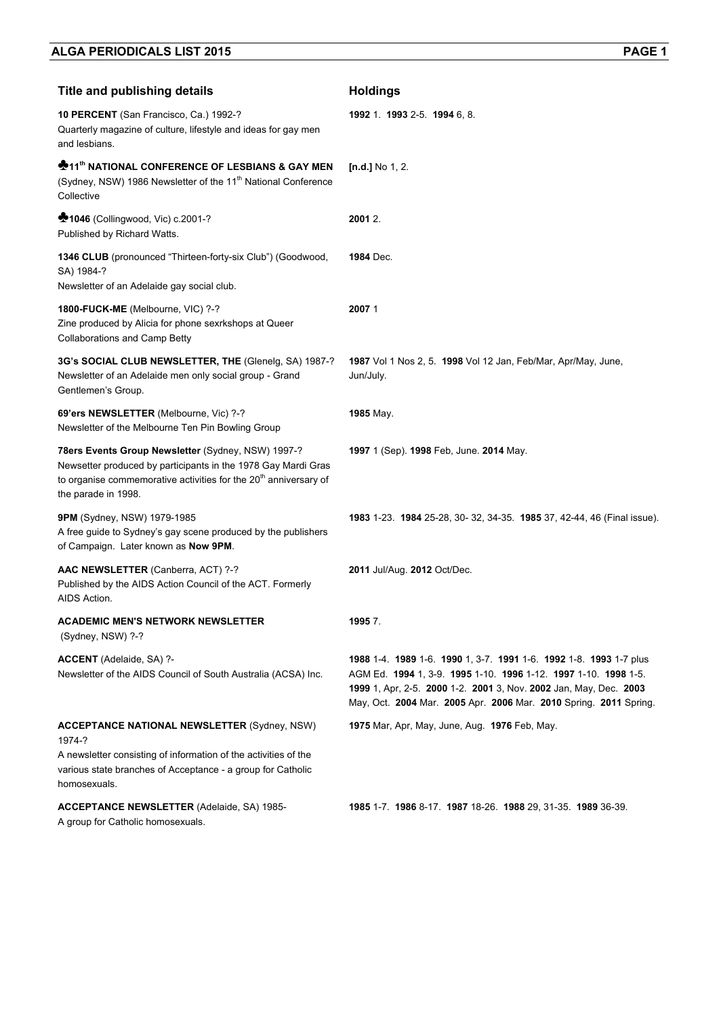| <b>Title and publishing details</b>                                                                                                                                                                                        | <b>Holdings</b>                                                                                                                                                                                                                                                                 |
|----------------------------------------------------------------------------------------------------------------------------------------------------------------------------------------------------------------------------|---------------------------------------------------------------------------------------------------------------------------------------------------------------------------------------------------------------------------------------------------------------------------------|
| 10 PERCENT (San Francisco, Ca.) 1992-?<br>Quarterly magazine of culture, lifestyle and ideas for gay men<br>and lesbians.                                                                                                  | 1992 1. 1993 2-5. 1994 6, 8.                                                                                                                                                                                                                                                    |
| <b>*11<sup>th</sup> NATIONAL CONFERENCE OF LESBIANS &amp; GAY MEN</b><br>(Sydney, NSW) 1986 Newsletter of the 11 <sup>th</sup> National Conference<br>Collective                                                           | $[n.d.]$ No 1, 2.                                                                                                                                                                                                                                                               |
| <b>1046</b> (Collingwood, Vic) c.2001-?<br>Published by Richard Watts.                                                                                                                                                     | 2001 2.                                                                                                                                                                                                                                                                         |
| 1346 CLUB (pronounced "Thirteen-forty-six Club") (Goodwood,<br>SA) 1984-?<br>Newsletter of an Adelaide gay social club.                                                                                                    | <b>1984</b> Dec.                                                                                                                                                                                                                                                                |
| 1800-FUCK-ME (Melbourne, VIC) ?-?<br>Zine produced by Alicia for phone sexrkshops at Queer<br>Collaborations and Camp Betty                                                                                                | 20071                                                                                                                                                                                                                                                                           |
| 3G's SOCIAL CLUB NEWSLETTER, THE (Glenelg, SA) 1987-?<br>Newsletter of an Adelaide men only social group - Grand<br>Gentlemen's Group.                                                                                     | 1987 Vol 1 Nos 2, 5. 1998 Vol 12 Jan, Feb/Mar, Apr/May, June,<br>Jun/July.                                                                                                                                                                                                      |
| 69'ers NEWSLETTER (Melbourne, Vic) ?-?<br>Newsletter of the Melbourne Ten Pin Bowling Group                                                                                                                                | 1985 May.                                                                                                                                                                                                                                                                       |
| 78ers Events Group Newsletter (Sydney, NSW) 1997-?<br>Newsetter produced by participants in the 1978 Gay Mardi Gras<br>to organise commemorative activities for the 20 <sup>th</sup> anniversary of<br>the parade in 1998. | 1997 1 (Sep). 1998 Feb, June. 2014 May.                                                                                                                                                                                                                                         |
| <b>9PM</b> (Sydney, NSW) 1979-1985<br>A free guide to Sydney's gay scene produced by the publishers<br>of Campaign. Later known as Now 9PM.                                                                                | 1983 1-23. 1984 25-28, 30-32, 34-35. 1985 37, 42-44, 46 (Final issue).                                                                                                                                                                                                          |
| AAC NEWSLETTER (Canberra, ACT) ?-?<br>Published by the AIDS Action Council of the ACT. Formerly<br>AIDS Action.                                                                                                            | 2011 Jul/Aug. 2012 Oct/Dec.                                                                                                                                                                                                                                                     |
| <b>ACADEMIC MEN'S NETWORK NEWSLETTER</b><br>(Sydney, NSW) ?-?                                                                                                                                                              | 19957.                                                                                                                                                                                                                                                                          |
| ACCENT (Adelaide, SA) ?-<br>Newsletter of the AIDS Council of South Australia (ACSA) Inc.                                                                                                                                  | 1988 1-4. 1989 1-6. 1990 1, 3-7. 1991 1-6. 1992 1-8. 1993 1-7 plus<br>AGM Ed. 1994 1, 3-9. 1995 1-10. 1996 1-12. 1997 1-10. 1998 1-5.<br>1999 1, Apr, 2-5. 2000 1-2. 2001 3, Nov. 2002 Jan, May, Dec. 2003<br>May, Oct. 2004 Mar. 2005 Apr. 2006 Mar. 2010 Spring. 2011 Spring. |
| <b>ACCEPTANCE NATIONAL NEWSLETTER (Sydney, NSW)</b>                                                                                                                                                                        | 1975 Mar, Apr, May, June, Aug. 1976 Feb, May.                                                                                                                                                                                                                                   |
| 1974-?<br>A newsletter consisting of information of the activities of the<br>various state branches of Acceptance - a group for Catholic<br>homosexuals.                                                                   |                                                                                                                                                                                                                                                                                 |
| <b>ACCEPTANCE NEWSLETTER (Adelaide, SA) 1985-</b><br>A group for Catholic homosexuals.                                                                                                                                     | <b>1985</b> 1-7. <b>1986</b> 8-17. <b>1987</b> 18-26. <b>1988</b> 29, 31-35. <b>1989</b> 36-39.                                                                                                                                                                                 |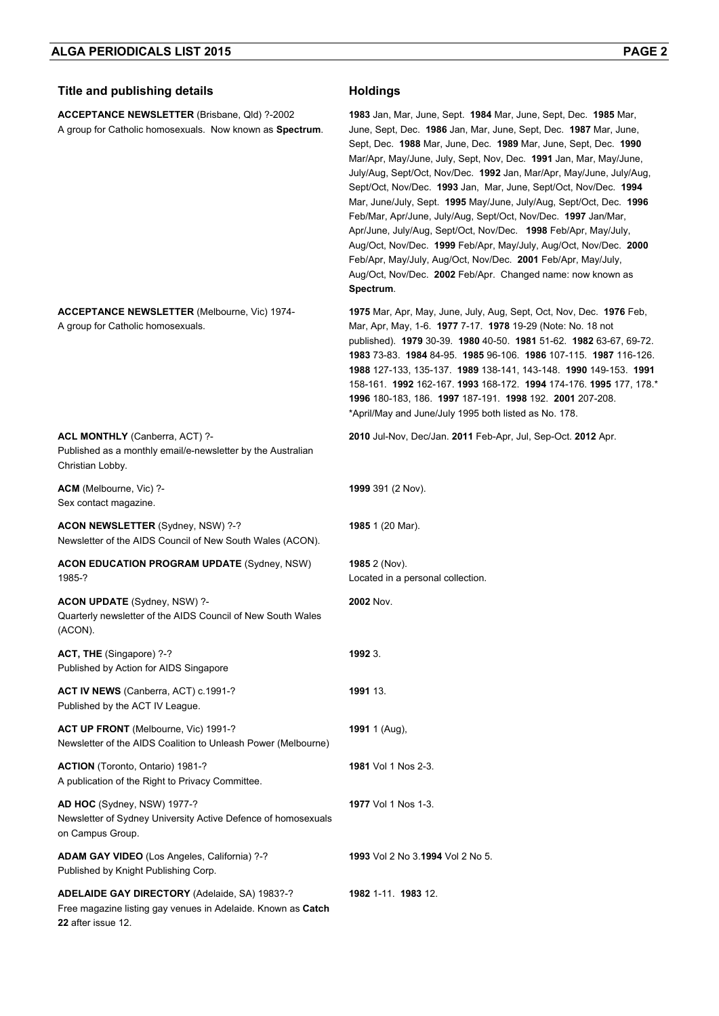| <b>Title and publishing details</b>                                                                                                 | <b>Holdings</b>                                                                                                                                                                                                                                                                                                                                                                                                                                                                                                                                                                                                                                                                                                                                                                                                                                                    |
|-------------------------------------------------------------------------------------------------------------------------------------|--------------------------------------------------------------------------------------------------------------------------------------------------------------------------------------------------------------------------------------------------------------------------------------------------------------------------------------------------------------------------------------------------------------------------------------------------------------------------------------------------------------------------------------------------------------------------------------------------------------------------------------------------------------------------------------------------------------------------------------------------------------------------------------------------------------------------------------------------------------------|
| ACCEPTANCE NEWSLETTER (Brisbane, Qld) ?-2002<br>A group for Catholic homosexuals. Now known as Spectrum.                            | <b>1983</b> Jan, Mar, June, Sept. <b>1984</b> Mar, June, Sept, Dec. <b>1985</b> Mar,<br>June, Sept, Dec. 1986 Jan, Mar, June, Sept, Dec. 1987 Mar, June,<br>Sept, Dec. 1988 Mar, June, Dec. 1989 Mar, June, Sept, Dec. 1990<br>Mar/Apr, May/June, July, Sept, Nov, Dec. 1991 Jan, Mar, May/June,<br>July/Aug, Sept/Oct, Nov/Dec. 1992 Jan, Mar/Apr, May/June, July/Aug,<br>Sept/Oct, Nov/Dec. 1993 Jan, Mar, June, Sept/Oct, Nov/Dec. 1994<br>Mar, June/July, Sept. 1995 May/June, July/Aug, Sept/Oct, Dec. 1996<br>Feb/Mar, Apr/June, July/Aug, Sept/Oct, Nov/Dec. 1997 Jan/Mar,<br>Apr/June, July/Aug, Sept/Oct, Nov/Dec. 1998 Feb/Apr, May/July,<br>Aug/Oct, Nov/Dec. 1999 Feb/Apr, May/July, Aug/Oct, Nov/Dec. 2000<br>Feb/Apr, May/July, Aug/Oct, Nov/Dec. 2001 Feb/Apr, May/July,<br>Aug/Oct, Nov/Dec. 2002 Feb/Apr. Changed name: now known as<br>Spectrum. |
| <b>ACCEPTANCE NEWSLETTER (Melbourne, Vic) 1974-</b><br>A group for Catholic homosexuals.                                            | 1975 Mar, Apr, May, June, July, Aug, Sept, Oct, Nov, Dec. 1976 Feb,<br>Mar, Apr, May, 1-6. 1977 7-17. 1978 19-29 (Note: No. 18 not<br>published). 1979 30-39. 1980 40-50. 1981 51-62. 1982 63-67, 69-72.<br>1983 73-83. 1984 84-95. 1985 96-106. 1986 107-115. 1987 116-126.<br>1988 127-133, 135-137. 1989 138-141, 143-148. 1990 149-153. 1991<br>158-161. <b>1992</b> 162-167. <b>1993</b> 168-172. <b>1994</b> 174-176. <b>1995</b> 177, 178.*<br>1996 180-183, 186. 1997 187-191. 1998 192. 2001 207-208.<br>*April/May and June/July 1995 both listed as No. 178.                                                                                                                                                                                                                                                                                            |
| ACL MONTHLY (Canberra, ACT) ?-<br>Published as a monthly email/e-newsletter by the Australian<br>Christian Lobby.                   | 2010 Jul-Nov, Dec/Jan. 2011 Feb-Apr, Jul, Sep-Oct. 2012 Apr.                                                                                                                                                                                                                                                                                                                                                                                                                                                                                                                                                                                                                                                                                                                                                                                                       |
| ACM (Melbourne, Vic) ?-<br>Sex contact magazine.                                                                                    | 1999 391 (2 Nov).                                                                                                                                                                                                                                                                                                                                                                                                                                                                                                                                                                                                                                                                                                                                                                                                                                                  |
| ACON NEWSLETTER (Sydney, NSW) ?-?<br>Newsletter of the AIDS Council of New South Wales (ACON).                                      | 1985 1 (20 Mar).                                                                                                                                                                                                                                                                                                                                                                                                                                                                                                                                                                                                                                                                                                                                                                                                                                                   |
| <b>ACON EDUCATION PROGRAM UPDATE (Sydney, NSW)</b><br>1985-?                                                                        | 1985 2 (Nov).<br>Located in a personal collection.                                                                                                                                                                                                                                                                                                                                                                                                                                                                                                                                                                                                                                                                                                                                                                                                                 |
| <b>ACON UPDATE</b> (Sydney, NSW) ?-<br>Quarterly newsletter of the AIDS Council of New South Wales<br>(ACON).                       | 2002 Nov.                                                                                                                                                                                                                                                                                                                                                                                                                                                                                                                                                                                                                                                                                                                                                                                                                                                          |
| ACT, THE (Singapore) ?-?<br>Published by Action for AIDS Singapore                                                                  | 1992 3.                                                                                                                                                                                                                                                                                                                                                                                                                                                                                                                                                                                                                                                                                                                                                                                                                                                            |
| ACT IV NEWS (Canberra, ACT) c.1991-?<br>Published by the ACT IV League.                                                             | 1991 13.                                                                                                                                                                                                                                                                                                                                                                                                                                                                                                                                                                                                                                                                                                                                                                                                                                                           |
| ACT UP FRONT (Melbourne, Vic) 1991-?<br>Newsletter of the AIDS Coalition to Unleash Power (Melbourne)                               | 1991 1 (Aug),                                                                                                                                                                                                                                                                                                                                                                                                                                                                                                                                                                                                                                                                                                                                                                                                                                                      |
| ACTION (Toronto, Ontario) 1981-?<br>A publication of the Right to Privacy Committee.                                                | <b>1981</b> Vol 1 Nos 2-3.                                                                                                                                                                                                                                                                                                                                                                                                                                                                                                                                                                                                                                                                                                                                                                                                                                         |
| AD HOC (Sydney, NSW) 1977-?<br>Newsletter of Sydney University Active Defence of homosexuals<br>on Campus Group.                    | 1977 Vol 1 Nos 1-3.                                                                                                                                                                                                                                                                                                                                                                                                                                                                                                                                                                                                                                                                                                                                                                                                                                                |
| ADAM GAY VIDEO (Los Angeles, California) ?-?<br>Published by Knight Publishing Corp.                                                | 1993 Vol 2 No 3.1994 Vol 2 No 5.                                                                                                                                                                                                                                                                                                                                                                                                                                                                                                                                                                                                                                                                                                                                                                                                                                   |
| ADELAIDE GAY DIRECTORY (Adelaide, SA) 1983?-?<br>Free magazine listing gay venues in Adelaide. Known as Catch<br>22 after issue 12. | 1982 1-11 1983 12.                                                                                                                                                                                                                                                                                                                                                                                                                                                                                                                                                                                                                                                                                                                                                                                                                                                 |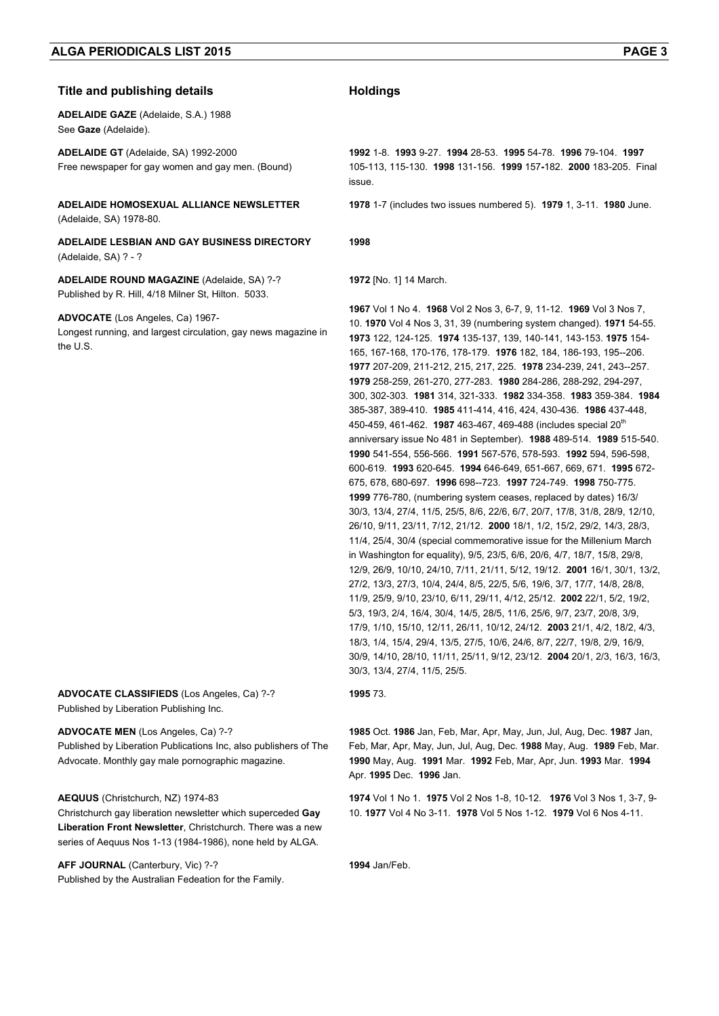#### **Title and publishing details Holdings**

**ADELAIDE GAZE** (Adelaide, S.A.) 1988 See **Gaze** (Adelaide).

**ADELAIDE GT** (Adelaide, SA) 1992-2000 Free newspaper for gay women and gay men. (Bound)

**ADELAIDE HOMOSEXUAL ALLIANCE NEWSLETTER**  (Adelaide, SA) 1978-80.

**ADELAIDE LESBIAN AND GAY BUSINESS DIRECTORY**  (Adelaide, SA) ? - ?

**ADELAIDE ROUND MAGAZINE** (Adelaide, SA) ?-? Published by R. Hill, 4/18 Milner St, Hilton. 5033.

#### **ADVOCATE** (Los Angeles, Ca) 1967-

Longest running, and largest circulation, gay news magazine in the U.S.

**ADVOCATE CLASSIFIEDS** (Los Angeles, Ca) ?-? Published by Liberation Publishing Inc.

#### **ADVOCATE MEN** (Los Angeles, Ca) ?-?

Published by Liberation Publications Inc, also publishers of The Advocate. Monthly gay male pornographic magazine.

#### **AEQUUS** (Christchurch, NZ) 1974-83

Christchurch gay liberation newsletter which superceded **Gay Liberation Front Newsletter**, Christchurch. There was a new series of Aequus Nos 1-13 (1984-1986), none held by ALGA.

**AFF JOURNAL** (Canterbury, Vic) ?-? Published by the Australian Fedeation for the Family.

**1992** 1-8. **1993** 9-27. **1994** 28-53. **1995** 54-78. **1996** 79-104. **1997** 105-113, 115-130. **1998** 131-156. **1999** 157**-**182. **2000** 183-205. Final issue.

**1978** 1-7 (includes two issues numbered 5). **1979** 1, 3-11. **1980** June.

**1998** 

**1972** [No. 1] 14 March.

**1967** Vol 1 No 4. **1968** Vol 2 Nos 3, 6-7, 9, 11-12. **1969** Vol 3 Nos 7, 10. **1970** Vol 4 Nos 3, 31, 39 (numbering system changed). **1971** 54-55. **1973** 122, 124-125. **1974** 135-137, 139, 140-141, 143-153. **1975** 154- 165, 167-168, 170-176, 178-179. **1976** 182, 184, 186-193, 195--206. **1977** 207-209, 211-212, 215, 217, 225. **1978** 234-239, 241, 243--257. **1979** 258-259, 261-270, 277-283. **1980** 284-286, 288-292, 294-297, 300, 302-303. **1981** 314, 321-333. **1982** 334-358. **1983** 359-384. **1984** 385-387, 389-410. **1985** 411-414, 416, 424, 430-436. **1986** 437-448, 450-459, 461-462. **1987** 463-467, 469-488 (includes special 20th anniversary issue No 481 in September). **1988** 489-514. **1989** 515-540. **1990** 541-554, 556-566. **1991** 567-576, 578-593. **1992** 594, 596-598, 600-619. **1993** 620-645. **1994** 646-649, 651-667, 669, 671. **1995** 672- 675, 678, 680-697. **1996** 698--723. **1997** 724-749. **1998** 750-775. **1999** 776-780, (numbering system ceases, replaced by dates) 16/3/ 30/3, 13/4, 27/4, 11/5, 25/5, 8/6, 22/6, 6/7, 20/7, 17/8, 31/8, 28/9, 12/10, 26/10, 9/11, 23/11, 7/12, 21/12. **2000** 18/1, 1/2, 15/2, 29/2, 14/3, 28/3, 11/4, 25/4, 30/4 (special commemorative issue for the Millenium March in Washington for equality), 9/5, 23/5, 6/6, 20/6, 4/7, 18/7, 15/8, 29/8, 12/9, 26/9, 10/10, 24/10, 7/11, 21/11, 5/12, 19/12. **2001** 16/1, 30/1, 13/2, 27/2, 13/3, 27/3, 10/4, 24/4, 8/5, 22/5, 5/6, 19/6, 3/7, 17/7, 14/8, 28/8, 11/9, 25/9, 9/10, 23/10, 6/11, 29/11, 4/12, 25/12. **2002** 22/1, 5/2, 19/2, 5/3, 19/3, 2/4, 16/4, 30/4, 14/5, 28/5, 11/6, 25/6, 9/7, 23/7, 20/8, 3/9, 17/9, 1/10, 15/10, 12/11, 26/11, 10/12, 24/12. **2003** 21/1, 4/2, 18/2, 4/3, 18/3, 1/4, 15/4, 29/4, 13/5, 27/5, 10/6, 24/6, 8/7, 22/7, 19/8, 2/9, 16/9, 30/9, 14/10, 28/10, 11/11, 25/11, 9/12, 23/12. **2004** 20/1, 2/3, 16/3, 16/3, 30/3, 13/4, 27/4, 11/5, 25/5.

#### **1995** 73.

**1985** Oct. **1986** Jan, Feb, Mar, Apr, May, Jun, Jul, Aug, Dec. **1987** Jan, Feb, Mar, Apr, May, Jun, Jul, Aug, Dec. **1988** May, Aug. **1989** Feb, Mar. **1990** May, Aug. **1991** Mar. **1992** Feb, Mar, Apr, Jun. **1993** Mar. **1994**  Apr. **1995** Dec. **1996** Jan.

**1974** Vol 1 No 1. **1975** Vol 2 Nos 1-8, 10-12. **1976** Vol 3 Nos 1, 3-7, 9- 10. **1977** Vol 4 No 3-11. **1978** Vol 5 Nos 1-12. **1979** Vol 6 Nos 4-11.

**1994** Jan/Feb.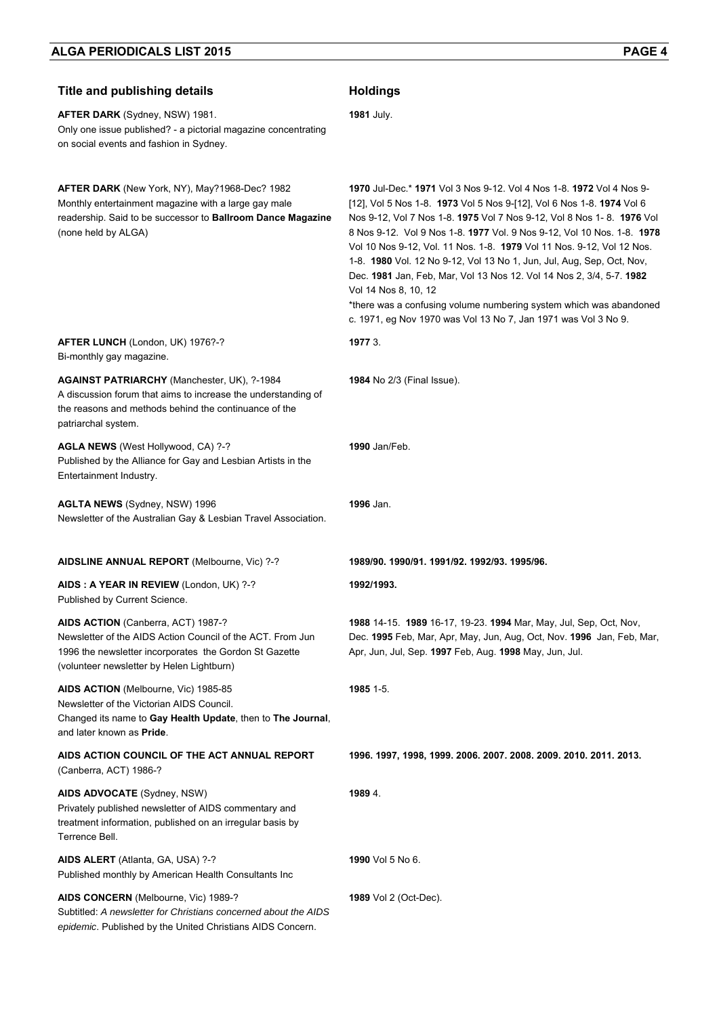| <b>Title and publishing details</b>                                                                                                                                                                     | <b>Holdings</b>                                                                                                                                                                                                                                                                                                                                                                                                                                                                                                                                                                                                                                                                                                 |
|---------------------------------------------------------------------------------------------------------------------------------------------------------------------------------------------------------|-----------------------------------------------------------------------------------------------------------------------------------------------------------------------------------------------------------------------------------------------------------------------------------------------------------------------------------------------------------------------------------------------------------------------------------------------------------------------------------------------------------------------------------------------------------------------------------------------------------------------------------------------------------------------------------------------------------------|
| <b>AFTER DARK</b> (Sydney, NSW) 1981.<br>Only one issue published? - a pictorial magazine concentrating<br>on social events and fashion in Sydney.                                                      | <b>1981 July.</b>                                                                                                                                                                                                                                                                                                                                                                                                                                                                                                                                                                                                                                                                                               |
| AFTER DARK (New York, NY), May?1968-Dec? 1982<br>Monthly entertainment magazine with a large gay male<br>readership. Said to be successor to Ballroom Dance Magazine<br>(none held by ALGA)             | <b>1970</b> Jul-Dec.* <b>1971</b> Vol 3 Nos 9-12. Vol 4 Nos 1-8. <b>1972</b> Vol 4 Nos 9-<br>[12], Vol 5 Nos 1-8. 1973 Vol 5 Nos 9-[12], Vol 6 Nos 1-8. 1974 Vol 6<br>Nos 9-12, Vol 7 Nos 1-8. 1975 Vol 7 Nos 9-12, Vol 8 Nos 1-8. 1976 Vol<br>8 Nos 9-12. Vol 9 Nos 1-8. 1977 Vol. 9 Nos 9-12, Vol 10 Nos. 1-8. 1978<br>Vol 10 Nos 9-12, Vol. 11 Nos. 1-8. 1979 Vol 11 Nos. 9-12, Vol 12 Nos.<br>1-8. 1980 Vol. 12 No 9-12, Vol 13 No 1, Jun, Jul, Aug, Sep, Oct, Nov,<br>Dec. 1981 Jan, Feb, Mar, Vol 13 Nos 12. Vol 14 Nos 2, 3/4, 5-7. 1982<br>Vol 14 Nos 8, 10, 12<br>*there was a confusing volume numbering system which was abandoned<br>c. 1971, eg Nov 1970 was Vol 13 No 7, Jan 1971 was Vol 3 No 9. |
| AFTER LUNCH (London, UK) 1976?-?<br>Bi-monthly gay magazine.                                                                                                                                            | 1977 3.                                                                                                                                                                                                                                                                                                                                                                                                                                                                                                                                                                                                                                                                                                         |
| <b>AGAINST PATRIARCHY</b> (Manchester, UK), ?-1984<br>A discussion forum that aims to increase the understanding of<br>the reasons and methods behind the continuance of the<br>patriarchal system.     | 1984 No 2/3 (Final Issue).                                                                                                                                                                                                                                                                                                                                                                                                                                                                                                                                                                                                                                                                                      |
| AGLA NEWS (West Hollywood, CA) ?-?<br>Published by the Alliance for Gay and Lesbian Artists in the<br>Entertainment Industry.                                                                           | 1990 Jan/Feb.                                                                                                                                                                                                                                                                                                                                                                                                                                                                                                                                                                                                                                                                                                   |
| <b>AGLTA NEWS</b> (Sydney, NSW) 1996<br>Newsletter of the Australian Gay & Lesbian Travel Association.                                                                                                  | 1996 Jan.                                                                                                                                                                                                                                                                                                                                                                                                                                                                                                                                                                                                                                                                                                       |
| AIDSLINE ANNUAL REPORT (Melbourne, Vic) ?-?                                                                                                                                                             | 1989/90, 1990/91, 1991/92, 1992/93, 1995/96,                                                                                                                                                                                                                                                                                                                                                                                                                                                                                                                                                                                                                                                                    |
| AIDS: A YEAR IN REVIEW (London, UK) ?-?<br>Published by Current Science.                                                                                                                                | 1992/1993.                                                                                                                                                                                                                                                                                                                                                                                                                                                                                                                                                                                                                                                                                                      |
| AIDS ACTION (Canberra, ACT) 1987-?<br>Newsletter of the AIDS Action Council of the ACT. From Jun<br>1996 the newsletter incorporates the Gordon St Gazette<br>(volunteer newsletter by Helen Lightburn) | <b>1988</b> 14-15. <b>1989</b> 16-17, 19-23. <b>1994</b> Mar, May, Jul, Sep, Oct, Nov,<br>Dec. 1995 Feb, Mar, Apr, May, Jun, Aug, Oct, Nov. 1996 Jan, Feb, Mar,<br>Apr, Jun, Jul, Sep. 1997 Feb, Aug. 1998 May, Jun, Jul.                                                                                                                                                                                                                                                                                                                                                                                                                                                                                       |
| AIDS ACTION (Melbourne, Vic) 1985-85<br>Newsletter of the Victorian AIDS Council.<br>Changed its name to Gay Health Update, then to The Journal,<br>and later known as Pride.                           | 1985 1-5.                                                                                                                                                                                                                                                                                                                                                                                                                                                                                                                                                                                                                                                                                                       |
| AIDS ACTION COUNCIL OF THE ACT ANNUAL REPORT<br>(Canberra, ACT) 1986-?                                                                                                                                  | 1996. 1997, 1998, 1999. 2006. 2007. 2008. 2009. 2010. 2011. 2013.                                                                                                                                                                                                                                                                                                                                                                                                                                                                                                                                                                                                                                               |
| AIDS ADVOCATE (Sydney, NSW)<br>Privately published newsletter of AIDS commentary and<br>treatment information, published on an irregular basis by<br>Terrence Bell.                                     | 1989 4.                                                                                                                                                                                                                                                                                                                                                                                                                                                                                                                                                                                                                                                                                                         |
| AIDS ALERT (Atlanta, GA, USA) ?-?<br>Published monthly by American Health Consultants Inc                                                                                                               | 1990 Vol 5 No 6.                                                                                                                                                                                                                                                                                                                                                                                                                                                                                                                                                                                                                                                                                                |
| AIDS CONCERN (Melbourne, Vic) 1989-?<br>Subtitled: A newsletter for Christians concerned about the AIDS<br>epidemic. Published by the United Christians AIDS Concern.                                   | 1989 Vol 2 (Oct-Dec).                                                                                                                                                                                                                                                                                                                                                                                                                                                                                                                                                                                                                                                                                           |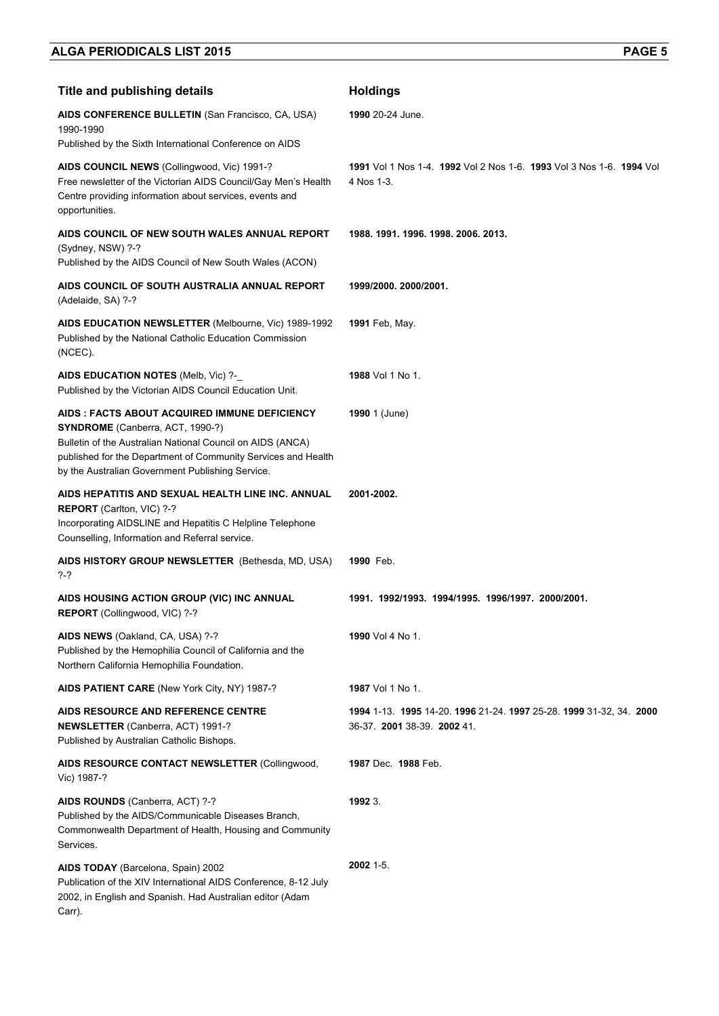| <b>Title and publishing details</b>                                                                                                                                                                                                                                  | <b>Holdings</b>                                                                               |
|----------------------------------------------------------------------------------------------------------------------------------------------------------------------------------------------------------------------------------------------------------------------|-----------------------------------------------------------------------------------------------|
| AIDS CONFERENCE BULLETIN (San Francisco, CA, USA)<br>1990-1990                                                                                                                                                                                                       | 1990 20-24 June.                                                                              |
| Published by the Sixth International Conference on AIDS                                                                                                                                                                                                              |                                                                                               |
| AIDS COUNCIL NEWS (Collingwood, Vic) 1991-?<br>Free newsletter of the Victorian AIDS Council/Gay Men's Health<br>Centre providing information about services, events and<br>opportunities.                                                                           | 1991 Vol 1 Nos 1-4, 1992 Vol 2 Nos 1-6, 1993 Vol 3 Nos 1-6, 1994 Vol<br>4 Nos 1-3.            |
| AIDS COUNCIL OF NEW SOUTH WALES ANNUAL REPORT<br>(Sydney, NSW) ?-?<br>Published by the AIDS Council of New South Wales (ACON)                                                                                                                                        | 1988. 1991. 1996. 1998. 2006. 2013.                                                           |
| AIDS COUNCIL OF SOUTH AUSTRALIA ANNUAL REPORT<br>(Adelaide, SA) ?-?                                                                                                                                                                                                  | 1999/2000. 2000/2001.                                                                         |
| AIDS EDUCATION NEWSLETTER (Melbourne, Vic) 1989-1992<br>Published by the National Catholic Education Commission<br>(NCEC).                                                                                                                                           | <b>1991</b> Feb, May.                                                                         |
| AIDS EDUCATION NOTES (Melb, Vic) ?-<br>Published by the Victorian AIDS Council Education Unit.                                                                                                                                                                       | 1988 Vol 1 No 1.                                                                              |
| AIDS : FACTS ABOUT ACQUIRED IMMUNE DEFICIENCY<br>SYNDROME (Canberra, ACT, 1990-?)<br>Bulletin of the Australian National Council on AIDS (ANCA)<br>published for the Department of Community Services and Health<br>by the Australian Government Publishing Service. | <b>1990</b> 1 (June)                                                                          |
| AIDS HEPATITIS AND SEXUAL HEALTH LINE INC. ANNUAL<br>REPORT (Carlton, VIC) ?-?<br>Incorporating AIDSLINE and Hepatitis C Helpline Telephone<br>Counselling, Information and Referral service.                                                                        | 2001-2002.                                                                                    |
| AIDS HISTORY GROUP NEWSLETTER (Bethesda, MD, USA)<br>?-?                                                                                                                                                                                                             | 1990 Feb.                                                                                     |
| AIDS HOUSING ACTION GROUP (VIC) INC ANNUAL<br><b>REPORT</b> (Collingwood, VIC) ?-?                                                                                                                                                                                   | 1991. 1992/1993. 1994/1995. 1996/1997. 2000/2001.                                             |
| AIDS NEWS (Oakland, CA, USA) ?-?<br>Published by the Hemophilia Council of California and the<br>Northern California Hemophilia Foundation.                                                                                                                          | 1990 Vol 4 No 1.                                                                              |
| AIDS PATIENT CARE (New York City, NY) 1987-?                                                                                                                                                                                                                         | <b>1987</b> Vol 1 No 1.                                                                       |
| AIDS RESOURCE AND REFERENCE CENTRE<br>NEWSLETTER (Canberra, ACT) 1991-?<br>Published by Australian Catholic Bishops.                                                                                                                                                 | 1994 1-13 1995 14-20 1996 21-24 1997 25-28 1999 31-32, 34 2000<br>36-37. 2001 38-39. 2002 41. |
| AIDS RESOURCE CONTACT NEWSLETTER (Collingwood,<br>Vic) 1987-?                                                                                                                                                                                                        | 1987 Dec. 1988 Feb.                                                                           |
| AIDS ROUNDS (Canberra, ACT) ?-?<br>Published by the AIDS/Communicable Diseases Branch,<br>Commonwealth Department of Health, Housing and Community<br>Services.                                                                                                      | 1992 3.                                                                                       |
| AIDS TODAY (Barcelona, Spain) 2002<br>Publication of the XIV International AIDS Conference, 8-12 July<br>2002, in English and Spanish. Had Australian editor (Adam<br>Carr).                                                                                         | 2002 1-5.                                                                                     |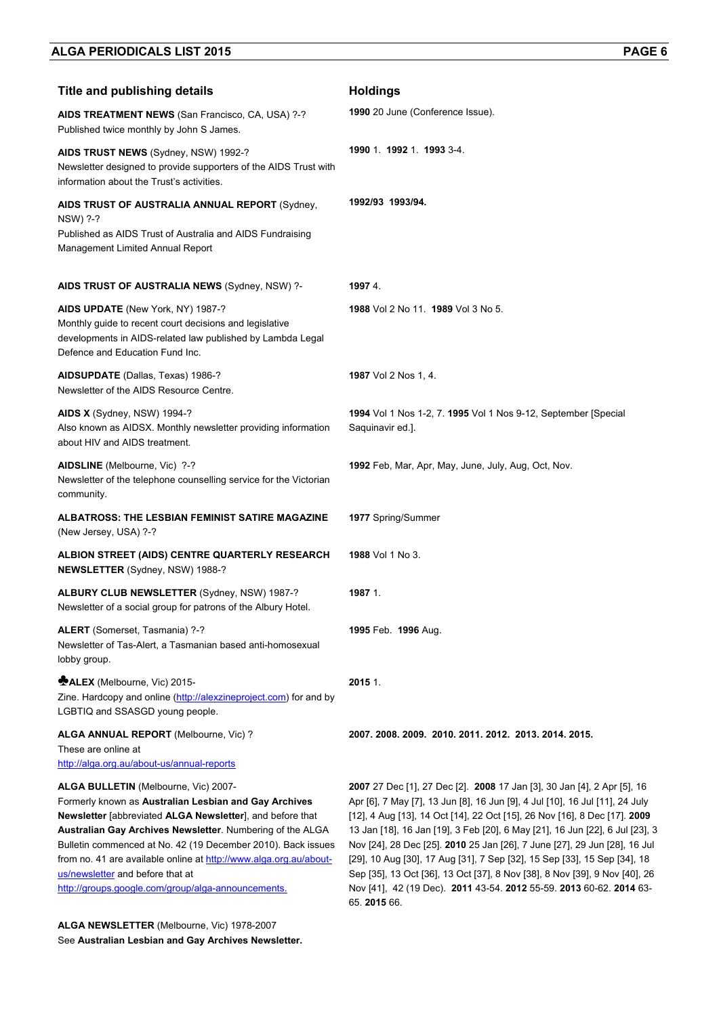| <b>Title and publishing details</b>                                                                                                                                                                                                                                                                                                                                                                                                                    | <b>Holdings</b>                                                                                                                                                                                                                                                                                                                                                                                                                                                                                                                                                                                                                    |
|--------------------------------------------------------------------------------------------------------------------------------------------------------------------------------------------------------------------------------------------------------------------------------------------------------------------------------------------------------------------------------------------------------------------------------------------------------|------------------------------------------------------------------------------------------------------------------------------------------------------------------------------------------------------------------------------------------------------------------------------------------------------------------------------------------------------------------------------------------------------------------------------------------------------------------------------------------------------------------------------------------------------------------------------------------------------------------------------------|
| AIDS TREATMENT NEWS (San Francisco, CA, USA) ?-?<br>Published twice monthly by John S James.                                                                                                                                                                                                                                                                                                                                                           | 1990 20 June (Conference Issue).                                                                                                                                                                                                                                                                                                                                                                                                                                                                                                                                                                                                   |
| AIDS TRUST NEWS (Sydney, NSW) 1992-?<br>Newsletter designed to provide supporters of the AIDS Trust with<br>information about the Trust's activities.                                                                                                                                                                                                                                                                                                  | 1990 1 1992 1 1993 3-4                                                                                                                                                                                                                                                                                                                                                                                                                                                                                                                                                                                                             |
| AIDS TRUST OF AUSTRALIA ANNUAL REPORT (Sydney,<br>NSW) ?-?<br>Published as AIDS Trust of Australia and AIDS Fundraising<br>Management Limited Annual Report                                                                                                                                                                                                                                                                                            | 1992/93 1993/94.                                                                                                                                                                                                                                                                                                                                                                                                                                                                                                                                                                                                                   |
| AIDS TRUST OF AUSTRALIA NEWS (Sydney, NSW) ?-                                                                                                                                                                                                                                                                                                                                                                                                          | 19974.                                                                                                                                                                                                                                                                                                                                                                                                                                                                                                                                                                                                                             |
| AIDS UPDATE (New York, NY) 1987-?<br>Monthly guide to recent court decisions and legislative<br>developments in AIDS-related law published by Lambda Legal<br>Defence and Education Fund Inc.                                                                                                                                                                                                                                                          | 1988 Vol 2 No 11 1989 Vol 3 No 5.                                                                                                                                                                                                                                                                                                                                                                                                                                                                                                                                                                                                  |
| AIDSUPDATE (Dallas, Texas) 1986-?<br>Newsletter of the AIDS Resource Centre.                                                                                                                                                                                                                                                                                                                                                                           | 1987 Vol 2 Nos 1, 4.                                                                                                                                                                                                                                                                                                                                                                                                                                                                                                                                                                                                               |
| AIDS X (Sydney, NSW) 1994-?<br>Also known as AIDSX. Monthly newsletter providing information<br>about HIV and AIDS treatment.                                                                                                                                                                                                                                                                                                                          | 1994 Vol 1 Nos 1-2, 7. 1995 Vol 1 Nos 9-12, September [Special<br>Saquinavir ed.].                                                                                                                                                                                                                                                                                                                                                                                                                                                                                                                                                 |
| AIDSLINE (Melbourne, Vic) ?-?<br>Newsletter of the telephone counselling service for the Victorian<br>community.                                                                                                                                                                                                                                                                                                                                       | 1992 Feb, Mar, Apr, May, June, July, Aug, Oct, Nov.                                                                                                                                                                                                                                                                                                                                                                                                                                                                                                                                                                                |
| ALBATROSS: THE LESBIAN FEMINIST SATIRE MAGAZINE<br>(New Jersey, USA) ?-?                                                                                                                                                                                                                                                                                                                                                                               | 1977 Spring/Summer                                                                                                                                                                                                                                                                                                                                                                                                                                                                                                                                                                                                                 |
| ALBION STREET (AIDS) CENTRE QUARTERLY RESEARCH<br>NEWSLETTER (Sydney, NSW) 1988-?                                                                                                                                                                                                                                                                                                                                                                      | <b>1988</b> Vol 1 No 3.                                                                                                                                                                                                                                                                                                                                                                                                                                                                                                                                                                                                            |
| ALBURY CLUB NEWSLETTER (Sydney, NSW) 1987-?<br>Newsletter of a social group for patrons of the Albury Hotel.                                                                                                                                                                                                                                                                                                                                           | 1987 1.                                                                                                                                                                                                                                                                                                                                                                                                                                                                                                                                                                                                                            |
| ALERT (Somerset, Tasmania) ?-?<br>Newsletter of Tas-Alert, a Tasmanian based anti-homosexual<br>lobby group.                                                                                                                                                                                                                                                                                                                                           | 1995 Feb. 1996 Aug.                                                                                                                                                                                                                                                                                                                                                                                                                                                                                                                                                                                                                |
| <b>MALEX</b> (Melbourne, Vic) 2015-<br>Zine. Hardcopy and online (http://alexzineproject.com) for and by<br>LGBTIQ and SSASGD young people.                                                                                                                                                                                                                                                                                                            | 2015 1.                                                                                                                                                                                                                                                                                                                                                                                                                                                                                                                                                                                                                            |
| ALGA ANNUAL REPORT (Melbourne, Vic) ?<br>These are online at<br>http://alga.org.au/about-us/annual-reports                                                                                                                                                                                                                                                                                                                                             | 2007. 2008. 2009. 2010. 2011. 2012. 2013. 2014. 2015.                                                                                                                                                                                                                                                                                                                                                                                                                                                                                                                                                                              |
| ALGA BULLETIN (Melbourne, Vic) 2007-<br>Formerly known as Australian Lesbian and Gay Archives<br>Newsletter [abbreviated ALGA Newsletter], and before that<br>Australian Gay Archives Newsletter. Numbering of the ALGA<br>Bulletin commenced at No. 42 (19 December 2010). Back issues<br>from no. 41 are available online at http://www.alga.org.au/about-<br>us/newsletter and before that at<br>http://groups.google.com/group/alga-announcements. | 2007 27 Dec [1], 27 Dec [2]. 2008 17 Jan [3], 30 Jan [4], 2 Apr [5], 16<br>Apr [6], 7 May [7], 13 Jun [8], 16 Jun [9], 4 Jul [10], 16 Jul [11], 24 July<br>[12], 4 Aug [13], 14 Oct [14], 22 Oct [15], 26 Nov [16], 8 Dec [17]. 2009<br>13 Jan [18], 16 Jan [19], 3 Feb [20], 6 May [21], 16 Jun [22], 6 Jul [23], 3<br>Nov [24], 28 Dec [25]. 2010 25 Jan [26], 7 June [27], 29 Jun [28], 16 Jul<br>[29], 10 Aug [30], 17 Aug [31], 7 Sep [32], 15 Sep [33], 15 Sep [34], 18<br>Sep [35], 13 Oct [36], 13 Oct [37], 8 Nov [38], 8 Nov [39], 9 Nov [40], 26<br>Nov [41], 42 (19 Dec). 2011 43-54. 2012 55-59. 2013 60-62. 2014 63- |

65. **2015** 66.

**ALGA NEWSLETTER** (Melbourne, Vic) 1978-2007 See **Australian Lesbian and Gay Archives Newsletter.**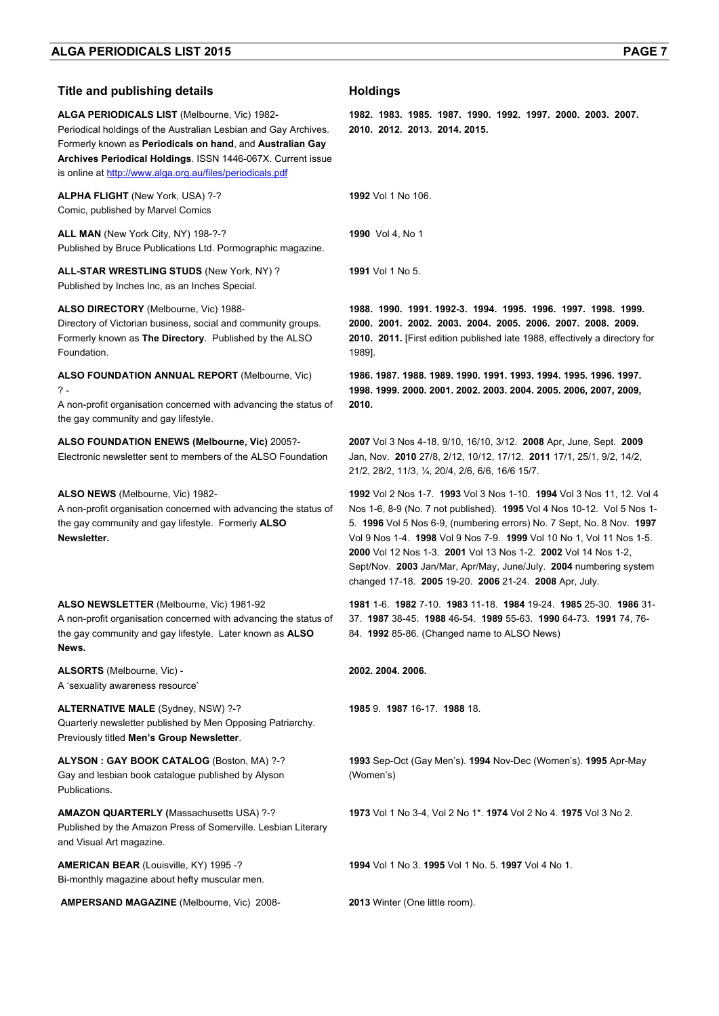#### **Title and publishing details Holdings**

**ALGA PERIODICALS LIST** (Melbourne, Vic) 1982- Periodical holdings of the Australian Lesbian and Gay Archives. Formerly known as **Periodicals on hand**, and **Australian Gay Archives Periodical Holdings**. ISSN 1446-067X. Current issue is online at http://www.alga.org.au/files/periodicals.pdf

**ALPHA FLIGHT** (New York, USA) ?-? Comic, published by Marvel Comics

**ALL MAN** (New York City, NY) 198-?-? Published by Bruce Publications Ltd. Pormographic magazine.

**ALL-STAR WRESTLING STUDS** (New York, NY) ? Published by Inches Inc, as an Inches Special.

**ALSO DIRECTORY** (Melbourne, Vic) 1988-

Directory of Victorian business, social and community groups. Formerly known as **The Directory**. Published by the ALSO Foundation.

**ALSO FOUNDATION ANNUAL REPORT** (Melbourne, Vic)  $\gamma$ .

A non-profit organisation concerned with advancing the status of the gay community and gay lifestyle.

#### **ALSO FOUNDATION ENEWS (Melbourne, Vic)** 2005?-

Electronic newsletter sent to members of the ALSO Foundation

**ALSO NEWS** (Melbourne, Vic) 1982-

A non-profit organisation concerned with advancing the status of the gay community and gay lifestyle. Formerly **ALSO Newsletter.**

**ALSO NEWSLETTER** (Melbourne, Vic) 1981-92

A non-profit organisation concerned with advancing the status of the gay community and gay lifestyle. Later known as **ALSO News.** 

**ALSORTS** (Melbourne, Vic) - A 'sexuality awareness resource'

**ALTERNATIVE MALE** (Sydney, NSW) ?-? Quarterly newsletter published by Men Opposing Patriarchy. Previously titled **Men's Group Newsletter**.

**ALYSON : GAY BOOK CATALOG** (Boston, MA) ?-? Gay and lesbian book catalogue published by Alyson Publications.

**AMAZON QUARTERLY (**Massachusetts USA) ?-? Published by the Amazon Press of Somerville. Lesbian Literary and Visual Art magazine.

**AMERICAN BEAR** (Louisville, KY) 1995 -? Bi-monthly magazine about hefty muscular men.

 **AMPERSAND MAGAZINE** (Melbourne, Vic) 2008- **2013** Winter (One little room).

**1982. 1983. 1985. 1987. 1990. 1992. 1997. 2000. 2003. 2007. 2010. 2012. 2013. 2014. 2015.** 

**1992** Vol 1 No 106.

**1990** Vol 4, No 1

**1991** Vol 1 No 5.

**1988. 1990. 1991. 1992-3. 1994. 1995. 1996. 1997. 1998. 1999. 2000. 2001. 2002. 2003. 2004. 2005. 2006. 2007. 2008. 2009. 2010. 2011.** [First edition published late 1988, effectively a directory for 1989].

**1986. 1987. 1988. 1989. 1990. 1991. 1993. 1994. 1995. 1996. 1997. 1998. 1999. 2000. 2001. 2002. 2003. 2004. 2005. 2006, 2007, 2009, 2010.**

**2007** Vol 3 Nos 4-18, 9/10, 16/10, 3/12. **2008** Apr, June, Sept. **2009** Jan, Nov. **2010** 27/8, 2/12, 10/12, 17/12. **2011** 17/1, 25/1, 9/2, 14/2, 21/2, 28/2, 11/3, ¼, 20/4, 2/6, 6/6, 16/6 15/7.

**1992** Vol 2 Nos 1-7. **1993** Vol 3 Nos 1-10. **1994** Vol 3 Nos 11, 12. Vol 4 Nos 1-6, 8-9 (No. 7 not published). **1995** Vol 4 Nos 10-12. Vol 5 Nos 1- 5. **1996** Vol 5 Nos 6-9, (numbering errors) No. 7 Sept, No. 8 Nov. **1997** Vol 9 Nos 1-4. **1998** Vol 9 Nos 7-9. **1999** Vol 10 No 1, Vol 11 Nos 1-5. **2000** Vol 12 Nos 1-3. **2001** Vol 13 Nos 1-2. **2002** Vol 14 Nos 1-2, Sept/Nov. **2003** Jan/Mar, Apr/May, June/July. **2004** numbering system changed 17-18. **2005** 19-20. **2006** 21-24. **2008** Apr, July.

**1981** 1-6. **1982** 7-10. **1983** 11-18. **1984** 19-24. **1985** 25-30. **1986** 31- 37. **1987** 38-45. **1988** 46-54. **1989** 55-63. **1990** 64-73. **1991** 74, 76- 84. **1992** 85-86. (Changed name to ALSO News)

**2002. 2004. 2006.** 

**1985** 9. **1987** 16-17. **1988** 18.

**1993** Sep-Oct (Gay Men's). **1994** Nov-Dec (Women's). **1995** Apr-May (Women's)

**1973** Vol 1 No 3-4, Vol 2 No 1\*. **1974** Vol 2 No 4. **1975** Vol 3 No 2.

**1994** Vol 1 No 3. **1995** Vol 1 No. 5. **1997** Vol 4 No 1.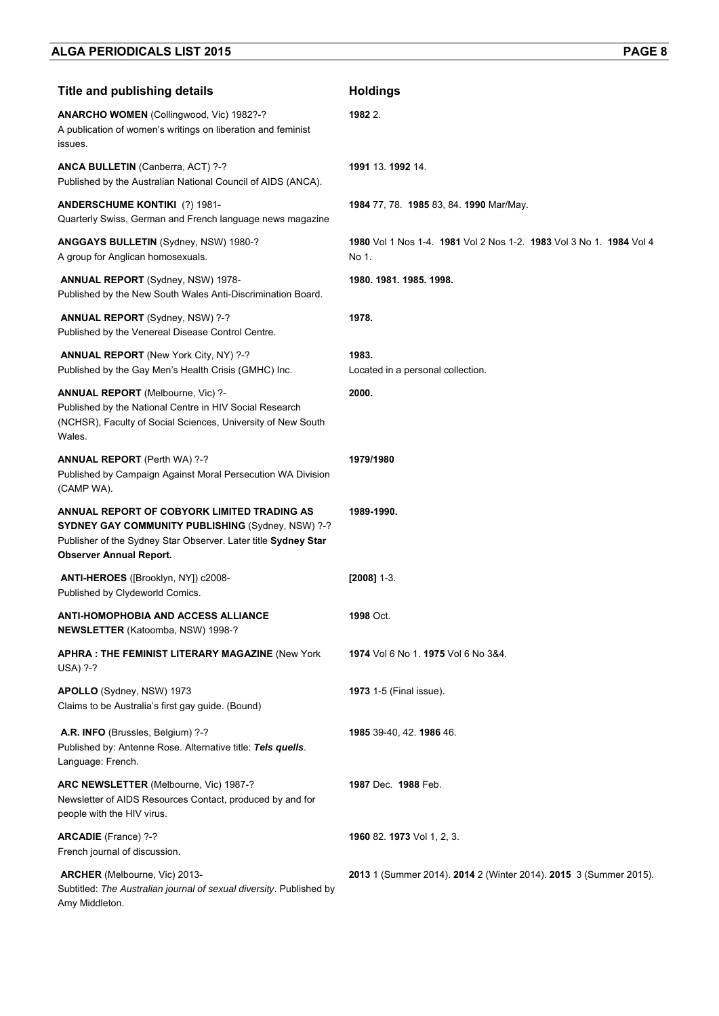| <b>Title and publishing details</b>                                                                                                                                                                  | <b>Holdings</b>                                                              |
|------------------------------------------------------------------------------------------------------------------------------------------------------------------------------------------------------|------------------------------------------------------------------------------|
| ANARCHO WOMEN (Collingwood, Vic) 1982?-?<br>A publication of women's writings on liberation and feminist<br>issues.                                                                                  | 1982 2.                                                                      |
| ANCA BULLETIN (Canberra, ACT) ?-?<br>Published by the Australian National Council of AIDS (ANCA).                                                                                                    | 1991 13. 1992 14.                                                            |
| <b>ANDERSCHUME KONTIKI (?) 1981-</b><br>Quarterly Swiss, German and French language news magazine                                                                                                    | 1984 77, 78. 1985 83, 84. 1990 Mar/May.                                      |
| ANGGAYS BULLETIN (Sydney, NSW) 1980-?<br>A group for Anglican homosexuals.                                                                                                                           | 1980 Vol 1 Nos 1-4, 1981 Vol 2 Nos 1-2, 1983 Vol 3 No 1, 1984 Vol 4<br>No 1. |
| <b>ANNUAL REPORT</b> (Sydney, NSW) 1978-<br>Published by the New South Wales Anti-Discrimination Board.                                                                                              | 1980. 1981. 1985. 1998.                                                      |
| <b>ANNUAL REPORT</b> (Sydney, NSW) ?-?<br>Published by the Venereal Disease Control Centre.                                                                                                          | 1978.                                                                        |
| <b>ANNUAL REPORT</b> (New York City, NY) ?-?<br>Published by the Gay Men's Health Crisis (GMHC) Inc.                                                                                                 | 1983.<br>Located in a personal collection.                                   |
| <b>ANNUAL REPORT</b> (Melbourne, Vic) ?-<br>Published by the National Centre in HIV Social Research<br>(NCHSR), Faculty of Social Sciences, University of New South<br>Wales.                        | 2000.                                                                        |
| <b>ANNUAL REPORT</b> (Perth WA) ?-?<br>Published by Campaign Against Moral Persecution WA Division<br>(CAMP WA).                                                                                     | 1979/1980                                                                    |
| ANNUAL REPORT OF COBYORK LIMITED TRADING AS<br>SYDNEY GAY COMMUNITY PUBLISHING (Sydney, NSW) ?-?<br>Publisher of the Sydney Star Observer. Later title Sydney Star<br><b>Observer Annual Report.</b> | 1989-1990.                                                                   |
| ANTI-HEROES ([Brooklyn, NY]) c2008-<br>Published by Clydeworld Comics.                                                                                                                               | $[2008]$ 1-3.                                                                |
| <b>ANTI-HOMOPHOBIA AND ACCESS ALLIANCE</b><br>NEWSLETTER (Katoomba, NSW) 1998-?                                                                                                                      | 1998 Oct.                                                                    |
| <b>APHRA: THE FEMINIST LITERARY MAGAZINE (New York</b><br><b>USA) ?-?</b>                                                                                                                            | 1974 Vol 6 No 1. 1975 Vol 6 No 3&4.                                          |
| APOLLO (Sydney, NSW) 1973<br>Claims to be Australia's first gay guide. (Bound)                                                                                                                       | 1973 1-5 (Final issue).                                                      |
| A.R. INFO (Brussles, Belgium) ?-?<br>Published by: Antenne Rose. Alternative title: Tels quells.<br>Language: French.                                                                                | 1985 39-40, 42. 1986 46.                                                     |
| ARC NEWSLETTER (Melbourne, Vic) 1987-?<br>Newsletter of AIDS Resources Contact, produced by and for<br>people with the HIV virus.                                                                    | 1987 Dec. 1988 Feb.                                                          |
| ARCADIE (France) ?-?<br>French journal of discussion.                                                                                                                                                | 1960 82. 1973 Vol 1, 2, 3.                                                   |
| ARCHER (Melbourne, Vic) 2013-<br>Subtitled: The Australian journal of sexual diversity. Published by<br>Amy Middleton.                                                                               | 2013 1 (Summer 2014). 2014 2 (Winter 2014). 2015 3 (Summer 2015).            |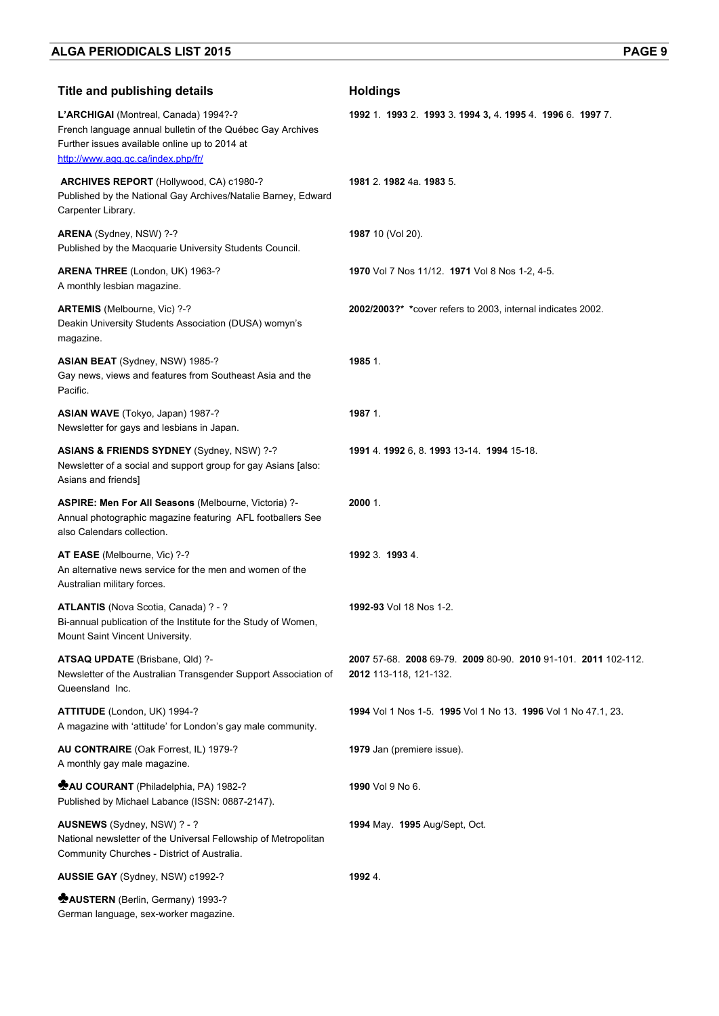| <b>Title and publishing details</b>                                                                                                                                                        | <b>Holdings</b>                                                                      |
|--------------------------------------------------------------------------------------------------------------------------------------------------------------------------------------------|--------------------------------------------------------------------------------------|
| L'ARCHIGAI (Montreal, Canada) 1994?-?<br>French language annual bulletin of the Québec Gay Archives<br>Further issues available online up to 2014 at<br>http://www.agq.qc.ca/index.php/fr/ | 1992 1. 1993 2. 1993 3. 1994 3, 4. 1995 4. 1996 6. 1997 7.                           |
| ARCHIVES REPORT (Hollywood, CA) c1980-?<br>Published by the National Gay Archives/Natalie Barney, Edward<br>Carpenter Library.                                                             | 1981 2. 1982 4a. 1983 5.                                                             |
| ARENA (Sydney, NSW) ?-?<br>Published by the Macquarie University Students Council.                                                                                                         | 1987 10 (Vol 20).                                                                    |
| ARENA THREE (London, UK) 1963-?<br>A monthly lesbian magazine.                                                                                                                             | 1970 Vol 7 Nos 11/12. 1971 Vol 8 Nos 1-2, 4-5.                                       |
| ARTEMIS (Melbourne, Vic) ?-?<br>Deakin University Students Association (DUSA) womyn's<br>magazine.                                                                                         | 2002/2003?* *cover refers to 2003, internal indicates 2002.                          |
| ASIAN BEAT (Sydney, NSW) 1985-?<br>Gay news, views and features from Southeast Asia and the<br>Pacific.                                                                                    | 1985 1.                                                                              |
| ASIAN WAVE (Tokyo, Japan) 1987-?<br>Newsletter for gays and lesbians in Japan.                                                                                                             | 1987 1.                                                                              |
| ASIANS & FRIENDS SYDNEY (Sydney, NSW) ?-?<br>Newsletter of a social and support group for gay Asians [also:<br>Asians and friends]                                                         | 1991 4. 1992 6, 8. 1993 13-14. 1994 15-18.                                           |
| ASPIRE: Men For All Seasons (Melbourne, Victoria) ?-<br>Annual photographic magazine featuring AFL footballers See<br>also Calendars collection.                                           | 2000 1.                                                                              |
| AT EASE (Melbourne, Vic) ?-?<br>An alternative news service for the men and women of the<br>Australian military forces.                                                                    | 1992 3 1993 4                                                                        |
| ATLANTIS (Nova Scotia, Canada) ? - ?<br>Bi-annual publication of the Institute for the Study of Women,<br>Mount Saint Vincent University.                                                  | 1992-93 Vol 18 Nos 1-2.                                                              |
| ATSAQ UPDATE (Brisbane, Qld) ?-<br>Newsletter of the Australian Transgender Support Association of<br>Queensland Inc.                                                                      | 2007 57-68 2008 69-79 2009 80-90 2010 91-101 2011 102-112.<br>2012 113-118, 121-132. |
| ATTITUDE (London, UK) 1994-?<br>A magazine with 'attitude' for London's gay male community.                                                                                                | 1994 Vol 1 Nos 1-5. 1995 Vol 1 No 13. 1996 Vol 1 No 47.1, 23.                        |
| AU CONTRAIRE (Oak Forrest, IL) 1979-?<br>A monthly gay male magazine.                                                                                                                      | 1979 Jan (premiere issue).                                                           |
| <b>MAU COURANT</b> (Philadelphia, PA) 1982-?<br>Published by Michael Labance (ISSN: 0887-2147).                                                                                            | 1990 Vol 9 No 6.                                                                     |
| AUSNEWS (Sydney, NSW) ? - ?<br>National newsletter of the Universal Fellowship of Metropolitan<br>Community Churches - District of Australia.                                              | <b>1994 May. 1995 Aug/Sept, Oct.</b>                                                 |
| AUSSIE GAY (Sydney, NSW) c1992-?                                                                                                                                                           | 1992 4.                                                                              |
| <b>MAUSTERN</b> (Berlin, Germany) 1993-?<br>German language, sex-worker magazine.                                                                                                          |                                                                                      |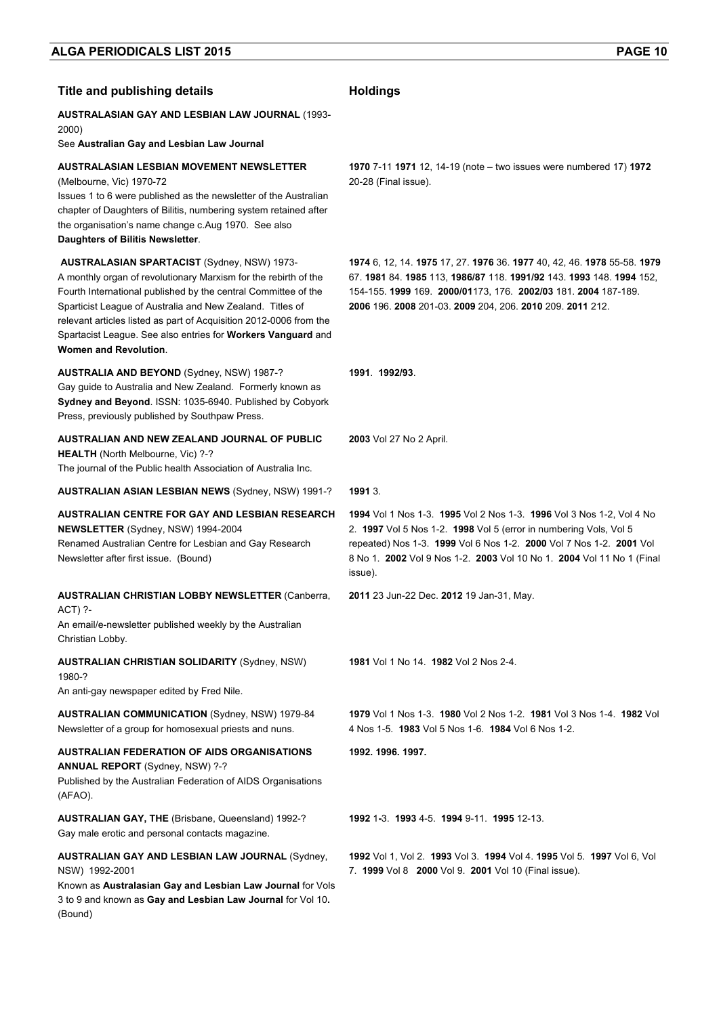| <b>Title and publishing details</b>                                                                                                                                                                                                                                                                                                                                                                                 | <b>Holdings</b>                                                                                                                                                                                                                                                                                      |
|---------------------------------------------------------------------------------------------------------------------------------------------------------------------------------------------------------------------------------------------------------------------------------------------------------------------------------------------------------------------------------------------------------------------|------------------------------------------------------------------------------------------------------------------------------------------------------------------------------------------------------------------------------------------------------------------------------------------------------|
| <b>AUSTRALASIAN GAY AND LESBIAN LAW JOURNAL (1993-</b><br>2000)<br>See Australian Gay and Lesbian Law Journal                                                                                                                                                                                                                                                                                                       |                                                                                                                                                                                                                                                                                                      |
| <b>AUSTRALASIAN LESBIAN MOVEMENT NEWSLETTER</b><br>(Melbourne, Vic) 1970-72<br>Issues 1 to 6 were published as the newsletter of the Australian<br>chapter of Daughters of Bilitis, numbering system retained after<br>the organisation's name change c.Aug 1970. See also<br>Daughters of Bilitis Newsletter.                                                                                                      | 1970 7-11 1971 12, 14-19 (note – two issues were numbered 17) 1972<br>20-28 (Final issue).                                                                                                                                                                                                           |
| <b>AUSTRALASIAN SPARTACIST (Sydney, NSW) 1973-</b><br>A monthly organ of revolutionary Marxism for the rebirth of the<br>Fourth International published by the central Committee of the<br>Sparticist League of Australia and New Zealand. Titles of<br>relevant articles listed as part of Acquisition 2012-0006 from the<br>Spartacist League. See also entries for Workers Vanguard and<br>Women and Revolution. | 1974 6, 12, 14, 1975 17, 27, 1976 36, 1977 40, 42, 46, 1978 55-58, 1979<br>67. 1981 84. 1985 113, 1986/87 118. 1991/92 143. 1993 148. 1994 152,<br>154-155. 1999 169. 2000/01173, 176. 2002/03 181. 2004 187-189.<br>2006 196. 2008 201-03. 2009 204, 206. 2010 209. 2011 212.                       |
| <b>AUSTRALIA AND BEYOND (Sydney, NSW) 1987-?</b><br>Gay guide to Australia and New Zealand. Formerly known as<br>Sydney and Beyond. ISSN: 1035-6940. Published by Cobyork<br>Press, previously published by Southpaw Press.                                                                                                                                                                                         | 1991 1992/93                                                                                                                                                                                                                                                                                         |
| AUSTRALIAN AND NEW ZEALAND JOURNAL OF PUBLIC<br>HEALTH (North Melbourne, Vic) ?-?<br>The journal of the Public health Association of Australia Inc.                                                                                                                                                                                                                                                                 | 2003 Vol 27 No 2 April.                                                                                                                                                                                                                                                                              |
| <b>AUSTRALIAN ASIAN LESBIAN NEWS (Sydney, NSW) 1991-?</b>                                                                                                                                                                                                                                                                                                                                                           | 1991 3.                                                                                                                                                                                                                                                                                              |
| AUSTRALIAN CENTRE FOR GAY AND LESBIAN RESEARCH<br>NEWSLETTER (Sydney, NSW) 1994-2004<br>Renamed Australian Centre for Lesbian and Gay Research<br>Newsletter after first issue. (Bound)                                                                                                                                                                                                                             | 1994 Vol 1 Nos 1-3. 1995 Vol 2 Nos 1-3. 1996 Vol 3 Nos 1-2, Vol 4 No<br>2. 1997 Vol 5 Nos 1-2. 1998 Vol 5 (error in numbering Vols, Vol 5<br>repeated) Nos 1-3. 1999 Vol 6 Nos 1-2. 2000 Vol 7 Nos 1-2. 2001 Vol<br>8 No 1. 2002 Vol 9 Nos 1-2. 2003 Vol 10 No 1. 2004 Vol 11 No 1 (Final<br>issue). |
| <b>AUSTRALIAN CHRISTIAN LOBBY NEWSLETTER (Canberra,</b>                                                                                                                                                                                                                                                                                                                                                             | 2011 23 Jun-22 Dec. 2012 19 Jan-31, May.                                                                                                                                                                                                                                                             |
| ACT) ?-<br>An email/e-newsletter published weekly by the Australian<br>Christian Lobby.                                                                                                                                                                                                                                                                                                                             |                                                                                                                                                                                                                                                                                                      |
| <b>AUSTRALIAN CHRISTIAN SOLIDARITY (Sydney, NSW)</b><br>1980-?                                                                                                                                                                                                                                                                                                                                                      | 1981 Vol 1 No 14 1982 Vol 2 Nos 2-4                                                                                                                                                                                                                                                                  |
| An anti-gay newspaper edited by Fred Nile.                                                                                                                                                                                                                                                                                                                                                                          |                                                                                                                                                                                                                                                                                                      |
| <b>AUSTRALIAN COMMUNICATION (Sydney, NSW) 1979-84</b><br>Newsletter of a group for homosexual priests and nuns.                                                                                                                                                                                                                                                                                                     | 1979 Vol 1 Nos 1-3. 1980 Vol 2 Nos 1-2. 1981 Vol 3 Nos 1-4. 1982 Vol<br>4 Nos 1-5. 1983 Vol 5 Nos 1-6. 1984 Vol 6 Nos 1-2.                                                                                                                                                                           |
| AUSTRALIAN FEDERATION OF AIDS ORGANISATIONS<br>ANNUAL REPORT (Sydney, NSW) ?-?<br>Published by the Australian Federation of AIDS Organisations<br>(AFAO).                                                                                                                                                                                                                                                           | 1992. 1996. 1997.                                                                                                                                                                                                                                                                                    |
| AUSTRALIAN GAY, THE (Brisbane, Queensland) 1992-?<br>Gay male erotic and personal contacts magazine.                                                                                                                                                                                                                                                                                                                | 1992 1-3 1993 4-5 1994 9-11 1995 12-13.                                                                                                                                                                                                                                                              |
| <b>AUSTRALIAN GAY AND LESBIAN LAW JOURNAL (Sydney,</b><br>NSW) 1992-2001<br>Known as Australasian Gay and Lesbian Law Journal for Vols<br>3 to 9 and known as Gay and Lesbian Law Journal for Vol 10.<br>(Bound)                                                                                                                                                                                                    | 1992 Vol 1, Vol 2. 1993 Vol 3. 1994 Vol 4. 1995 Vol 5. 1997 Vol 6, Vol<br>7. 1999 Vol 8 2000 Vol 9. 2001 Vol 10 (Final issue).                                                                                                                                                                       |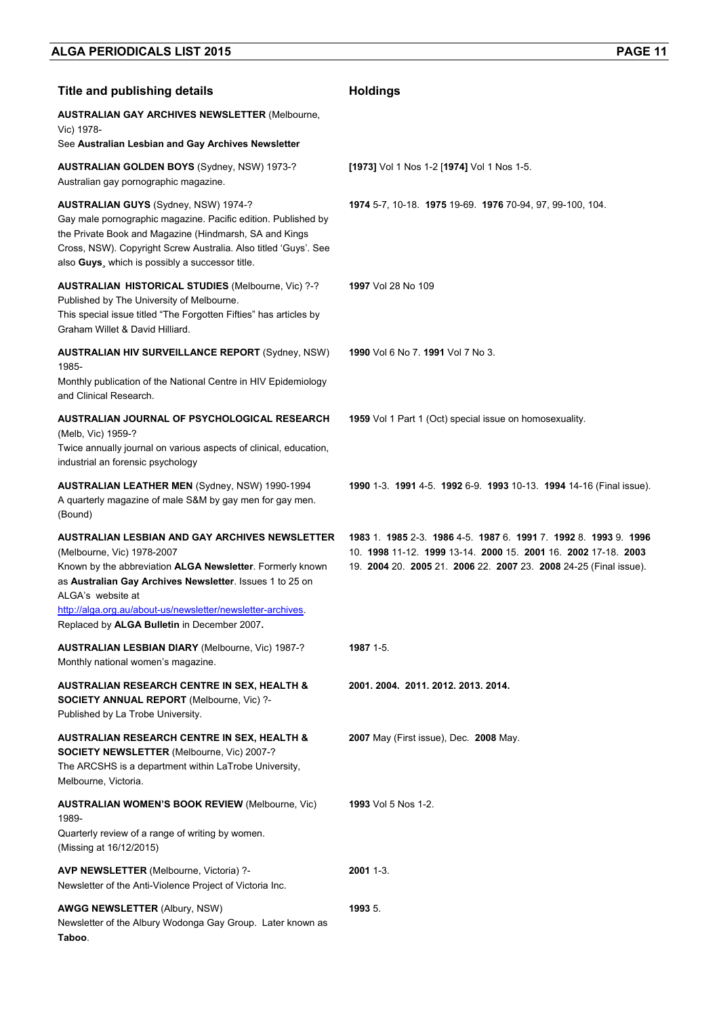| <b>Title and publishing details</b>                                                                                                                                                                                                                                                                                                            | <b>Holdings</b>                                                                                                                                                                                  |
|------------------------------------------------------------------------------------------------------------------------------------------------------------------------------------------------------------------------------------------------------------------------------------------------------------------------------------------------|--------------------------------------------------------------------------------------------------------------------------------------------------------------------------------------------------|
| <b>AUSTRALIAN GAY ARCHIVES NEWSLETTER (Melbourne,</b><br>Vic) 1978-                                                                                                                                                                                                                                                                            |                                                                                                                                                                                                  |
| See Australian Lesbian and Gay Archives Newsletter                                                                                                                                                                                                                                                                                             |                                                                                                                                                                                                  |
| <b>AUSTRALIAN GOLDEN BOYS (Sydney, NSW) 1973-?</b><br>Australian gay pornographic magazine.                                                                                                                                                                                                                                                    | [1973] Vol 1 Nos 1-2 [1974] Vol 1 Nos 1-5.                                                                                                                                                       |
| <b>AUSTRALIAN GUYS (Sydney, NSW) 1974-?</b><br>Gay male pornographic magazine. Pacific edition. Published by<br>the Private Book and Magazine (Hindmarsh, SA and Kings<br>Cross, NSW). Copyright Screw Australia. Also titled 'Guys'. See<br>also Guys, which is possibly a successor title.                                                   | 1974 5-7, 10-18. 1975 19-69. 1976 70-94, 97, 99-100, 104.                                                                                                                                        |
| <b>AUSTRALIAN HISTORICAL STUDIES (Melbourne, Vic) ?-?</b><br>Published by The University of Melbourne.<br>This special issue titled "The Forgotten Fifties" has articles by<br>Graham Willet & David Hilliard.                                                                                                                                 | 1997 Vol 28 No 109                                                                                                                                                                               |
| <b>AUSTRALIAN HIV SURVEILLANCE REPORT (Sydney, NSW)</b>                                                                                                                                                                                                                                                                                        | 1990 Vol 6 No 7, 1991 Vol 7 No 3.                                                                                                                                                                |
| 1985-<br>Monthly publication of the National Centre in HIV Epidemiology<br>and Clinical Research.                                                                                                                                                                                                                                              |                                                                                                                                                                                                  |
| AUSTRALIAN JOURNAL OF PSYCHOLOGICAL RESEARCH<br>(Melb, Vic) 1959-?<br>Twice annually journal on various aspects of clinical, education,<br>industrial an forensic psychology                                                                                                                                                                   | 1959 Vol 1 Part 1 (Oct) special issue on homosexuality.                                                                                                                                          |
| <b>AUSTRALIAN LEATHER MEN (Sydney, NSW) 1990-1994</b><br>A quarterly magazine of male S&M by gay men for gay men.<br>(Bound)                                                                                                                                                                                                                   | 1990 1-3. 1991 4-5. 1992 6-9. 1993 10-13. 1994 14-16 (Final issue).                                                                                                                              |
| <b>AUSTRALIAN LESBIAN AND GAY ARCHIVES NEWSLETTER</b><br>(Melbourne, Vic) 1978-2007<br>Known by the abbreviation ALGA Newsletter. Formerly known<br>as Australian Gay Archives Newsletter. Issues 1 to 25 on<br>ALGA's website at<br>http://alga.org.au/about-us/newsletter/newsletter-archives<br>Replaced by ALGA Bulletin in December 2007. | 1983 1 1985 2-3 1986 4-5 1987 6 1991 7 1992 8 1993 9 1996<br>10. 1998 11-12. 1999 13-14. 2000 15. 2001 16. 2002 17-18. 2003<br>19. 2004 20. 2005 21. 2006 22. 2007 23. 2008 24-25 (Final issue). |
| <b>AUSTRALIAN LESBIAN DIARY (Melbourne, Vic) 1987-?</b><br>Monthly national women's magazine.                                                                                                                                                                                                                                                  | 1987 1-5.                                                                                                                                                                                        |
| <b>AUSTRALIAN RESEARCH CENTRE IN SEX, HEALTH &amp;</b><br><b>SOCIETY ANNUAL REPORT (Melbourne, Vic) ?-</b><br>Published by La Trobe University.                                                                                                                                                                                                | 2001. 2004. 2011. 2012. 2013. 2014.                                                                                                                                                              |
| <b>AUSTRALIAN RESEARCH CENTRE IN SEX, HEALTH &amp;</b><br><b>SOCIETY NEWSLETTER (Melbourne, Vic) 2007-?</b><br>The ARCSHS is a department within LaTrobe University,<br>Melbourne, Victoria.                                                                                                                                                   | <b>2007</b> May (First issue), Dec. <b>2008</b> May.                                                                                                                                             |
| <b>AUSTRALIAN WOMEN'S BOOK REVIEW (Melbourne, Vic)</b>                                                                                                                                                                                                                                                                                         | <b>1993</b> Vol 5 Nos 1-2.                                                                                                                                                                       |
| 1989-<br>Quarterly review of a range of writing by women.<br>(Missing at 16/12/2015)                                                                                                                                                                                                                                                           |                                                                                                                                                                                                  |
| <b>AVP NEWSLETTER (Melbourne, Victoria) ?-</b><br>Newsletter of the Anti-Violence Project of Victoria Inc.                                                                                                                                                                                                                                     | 2001 1-3.                                                                                                                                                                                        |
| <b>AWGG NEWSLETTER (Albury, NSW)</b><br>Newsletter of the Albury Wodonga Gay Group. Later known as<br>Taboo.                                                                                                                                                                                                                                   | 1993 5.                                                                                                                                                                                          |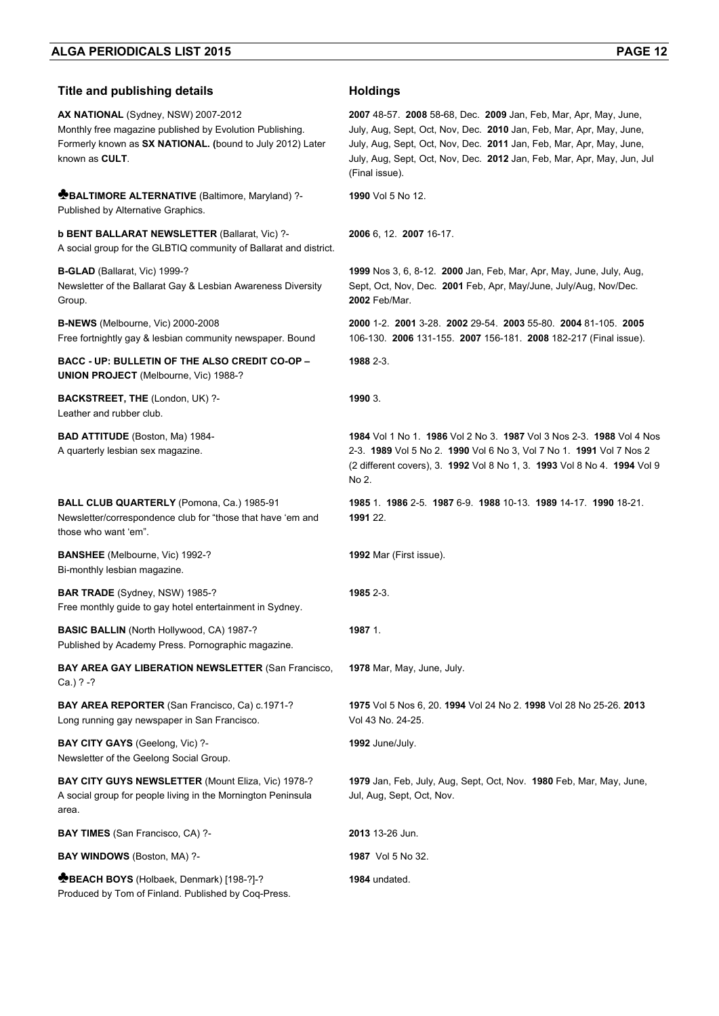#### **Title and publishing details <b>Holdings**

**AX NATIONAL** (Sydney, NSW) 2007-2012 Monthly free magazine published by Evolution Publishing. Formerly known as **SX NATIONAL. (**bound to July 2012) Later known as **CULT**.

**♣BALTIMORE ALTERNATIVE** (Baltimore, Maryland) ?- Published by Alternative Graphics.

**b BENT BALLARAT NEWSLETTER** (Ballarat, Vic) ?- A social group for the GLBTIQ community of Ballarat and district.

**B-GLAD** (Ballarat, Vic) 1999-? Newsletter of the Ballarat Gay & Lesbian Awareness Diversity Group.

**B-NEWS** (Melbourne, Vic) 2000-2008 Free fortnightly gay & lesbian community newspaper. Bound

**BACC - UP: BULLETIN OF THE ALSO CREDIT CO-OP – UNION PROJECT** (Melbourne, Vic) 1988-?

**BACKSTREET, THE** (London, UK) ?- Leather and rubber club.

**BAD ATTITUDE** (Boston, Ma) 1984- A quarterly lesbian sex magazine.

**BALL CLUB QUARTERLY** (Pomona, Ca.) 1985-91 Newsletter/correspondence club for "those that have 'em and those who want 'em".

**BANSHEE** (Melbourne, Vic) 1992-? Bi-monthly lesbian magazine.

**BAR TRADE** (Sydney, NSW) 1985-? Free monthly guide to gay hotel entertainment in Sydney.

**BASIC BALLIN** (North Hollywood, CA) 1987-? Published by Academy Press. Pornographic magazine.

**BAY AREA GAY LIBERATION NEWSLETTER (San Francisco,** Ca.) ? -?

**BAY AREA REPORTER** (San Francisco, Ca) c.1971-? Long running gay newspaper in San Francisco.

**BAY CITY GAYS** (Geelong, Vic) ?-Newsletter of the Geelong Social Group.

**BAY CITY GUYS NEWSLETTER** (Mount Eliza, Vic) 1978-? A social group for people living in the Mornington Peninsula area.

**BAY TIMES** (San Francisco, CA) ?- **2013** 13-26 Jun.

**BAY WINDOWS** (Boston, MA) ?- **1987** Vol 5 No 32.

**♣BEACH BOYS** (Holbaek, Denmark) [198-?]-? Produced by Tom of Finland. Published by Coq-Press.

**2007** 48-57. **2008** 58-68, Dec. **2009** Jan, Feb, Mar, Apr, May, June, July, Aug, Sept, Oct, Nov, Dec. **2010** Jan, Feb, Mar, Apr, May, June, July, Aug, Sept, Oct, Nov, Dec. **2011** Jan, Feb, Mar, Apr, May, June, July, Aug, Sept, Oct, Nov, Dec. **2012** Jan, Feb, Mar, Apr, May, Jun, Jul (Final issue).

**1990** Vol 5 No 12.

**2006** 6, 12. **2007** 16-17.

**1999** Nos 3, 6, 8-12. **2000** Jan, Feb, Mar, Apr, May, June, July, Aug, Sept, Oct, Nov, Dec. **2001** Feb, Apr, May/June, July/Aug, Nov/Dec. **2002** Feb/Mar.

**2000** 1-2. **2001** 3-28. **2002** 29-54. **2003** 55-80. **2004** 81-105. **2005**  106-130. **2006** 131-155. **2007** 156-181. **2008** 182-217 (Final issue).

**1988** 2-3.

```
1990 3.
```
**1984** Vol 1 No 1. **1986** Vol 2 No 3. **1987** Vol 3 Nos 2-3. **1988** Vol 4 Nos 2-3. **1989** Vol 5 No 2. **1990** Vol 6 No 3, Vol 7 No 1. **1991** Vol 7 Nos 2 (2 different covers), 3. **1992** Vol 8 No 1, 3. **1993** Vol 8 No 4. **1994** Vol 9 No 2.

**1985** 1. **1986** 2-5. **1987** 6-9. **1988** 10-13. **1989** 14-17. **1990** 18-21. **1991** 22.

**1992** Mar (First issue).

**1985** 2-3.

#### **1987** 1.

**1978** Mar, May, June, July.

**1975** Vol 5 Nos 6, 20. **1994** Vol 24 No 2. **1998** Vol 28 No 25-26. **2013**  Vol 43 No. 24-25.

**1992** June/July.

**1979** Jan, Feb, July, Aug, Sept, Oct, Nov. **1980** Feb, Mar, May, June, Jul, Aug, Sept, Oct, Nov.

**1984** undated.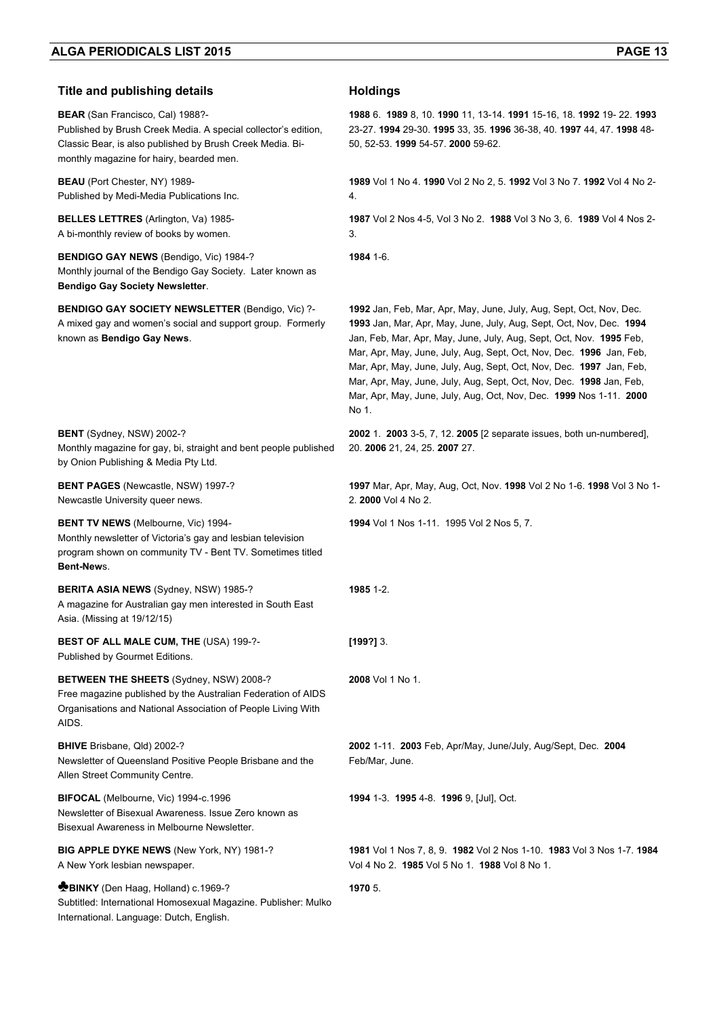| <b>Title and publishing details</b>                                                                                                                                                                                | <b>Holdings</b>                                                                                                                                                                                                                                                                                                                                                                                                                                                                                                       |
|--------------------------------------------------------------------------------------------------------------------------------------------------------------------------------------------------------------------|-----------------------------------------------------------------------------------------------------------------------------------------------------------------------------------------------------------------------------------------------------------------------------------------------------------------------------------------------------------------------------------------------------------------------------------------------------------------------------------------------------------------------|
| <b>BEAR</b> (San Francisco, Cal) 1988?-<br>Published by Brush Creek Media. A special collector's edition,<br>Classic Bear, is also published by Brush Creek Media. Bi-<br>monthly magazine for hairy, bearded men. | 1988 6. 1989 8, 10. 1990 11, 13-14. 1991 15-16, 18. 1992 19-22. 1993<br>23-27. 1994 29-30. 1995 33, 35. 1996 36-38, 40. 1997 44, 47. 1998 48-<br>50, 52-53. 1999 54-57. 2000 59-62.                                                                                                                                                                                                                                                                                                                                   |
| <b>BEAU</b> (Port Chester, NY) 1989-<br>Published by Medi-Media Publications Inc.                                                                                                                                  | 1989 Vol 1 No 4. 1990 Vol 2 No 2, 5. 1992 Vol 3 No 7. 1992 Vol 4 No 2-<br>4.                                                                                                                                                                                                                                                                                                                                                                                                                                          |
| <b>BELLES LETTRES</b> (Arlington, Va) 1985-<br>A bi-monthly review of books by women.                                                                                                                              | 1987 Vol 2 Nos 4-5, Vol 3 No 2. 1988 Vol 3 No 3, 6. 1989 Vol 4 Nos 2-<br>3.                                                                                                                                                                                                                                                                                                                                                                                                                                           |
| <b>BENDIGO GAY NEWS</b> (Bendigo, Vic) 1984-?<br>Monthly journal of the Bendigo Gay Society. Later known as<br><b>Bendigo Gay Society Newsletter.</b>                                                              | 1984 1-6.                                                                                                                                                                                                                                                                                                                                                                                                                                                                                                             |
| <b>BENDIGO GAY SOCIETY NEWSLETTER (Bendigo, Vic) ?-</b><br>A mixed gay and women's social and support group. Formerly<br>known as Bendigo Gay News.                                                                | 1992 Jan, Feb, Mar, Apr, May, June, July, Aug, Sept, Oct, Nov, Dec.<br>1993 Jan, Mar, Apr, May, June, July, Aug, Sept, Oct, Nov, Dec. 1994<br>Jan, Feb, Mar, Apr, May, June, July, Aug, Sept, Oct, Nov. 1995 Feb,<br>Mar, Apr, May, June, July, Aug, Sept, Oct, Nov, Dec. 1996 Jan, Feb,<br>Mar, Apr, May, June, July, Aug, Sept, Oct, Nov, Dec. 1997 Jan, Feb,<br>Mar, Apr, May, June, July, Aug, Sept, Oct, Nov, Dec. 1998 Jan, Feb,<br>Mar, Apr, May, June, July, Aug, Oct, Nov, Dec. 1999 Nos 1-11. 2000<br>No 1. |
| <b>BENT</b> (Sydney, NSW) 2002-?<br>Monthly magazine for gay, bi, straight and bent people published<br>by Onion Publishing & Media Pty Ltd.                                                                       | 2002 1. 2003 3-5, 7, 12. 2005 [2 separate issues, both un-numbered],<br>20. 2006 21, 24, 25. 2007 27.                                                                                                                                                                                                                                                                                                                                                                                                                 |
| <b>BENT PAGES</b> (Newcastle, NSW) 1997-?<br>Newcastle University queer news.                                                                                                                                      | 1997 Mar, Apr, May, Aug, Oct, Nov. 1998 Vol 2 No 1-6. 1998 Vol 3 No 1-<br>2. 2000 Vol 4 No 2.                                                                                                                                                                                                                                                                                                                                                                                                                         |
| <b>BENT TV NEWS</b> (Melbourne, Vic) 1994-<br>Monthly newsletter of Victoria's gay and lesbian television<br>program shown on community TV - Bent TV. Sometimes titled<br>Bent-News.                               | 1994 Vol 1 Nos 1-11. 1995 Vol 2 Nos 5, 7.                                                                                                                                                                                                                                                                                                                                                                                                                                                                             |
| BERITA ASIA NEWS (Sydney, NSW) 1985-?<br>A magazine for Australian gay men interested in South East<br>Asia. (Missing at 19/12/15)                                                                                 | 1985 1-2.                                                                                                                                                                                                                                                                                                                                                                                                                                                                                                             |
| BEST OF ALL MALE CUM, THE (USA) 199-?-<br>Published by Gourmet Editions.                                                                                                                                           | $[199?]$ 3.                                                                                                                                                                                                                                                                                                                                                                                                                                                                                                           |
| <b>BETWEEN THE SHEETS (Sydney, NSW) 2008-?</b><br>Free magazine published by the Australian Federation of AIDS<br>Organisations and National Association of People Living With<br>AIDS.                            | 2008 Vol 1 No 1.                                                                                                                                                                                                                                                                                                                                                                                                                                                                                                      |
| BHIVE Brisbane, Qld) 2002-?<br>Newsletter of Queensland Positive People Brisbane and the<br>Allen Street Community Centre.                                                                                         | 2002 1-11. 2003 Feb, Apr/May, June/July, Aug/Sept, Dec. 2004<br>Feb/Mar, June.                                                                                                                                                                                                                                                                                                                                                                                                                                        |
| BIFOCAL (Melbourne, Vic) 1994-c.1996<br>Newsletter of Bisexual Awareness. Issue Zero known as<br>Bisexual Awareness in Melbourne Newsletter.                                                                       | 1994 1-3 1995 4-8 1996 9, [Jul], Oct.                                                                                                                                                                                                                                                                                                                                                                                                                                                                                 |
| BIG APPLE DYKE NEWS (New York, NY) 1981-?<br>A New York lesbian newspaper.                                                                                                                                         | 1981 Vol 1 Nos 7, 8, 9. 1982 Vol 2 Nos 1-10. 1983 Vol 3 Nos 1-7. 1984<br>Vol 4 No 2. 1985 Vol 5 No 1. 1988 Vol 8 No 1.                                                                                                                                                                                                                                                                                                                                                                                                |
| <b>BINKY</b> (Den Haag, Holland) c.1969-?<br>Subtitled: International Homosexual Magazine. Publisher: Mulko<br>International. Language: Dutch, English.                                                            | 1970 5.                                                                                                                                                                                                                                                                                                                                                                                                                                                                                                               |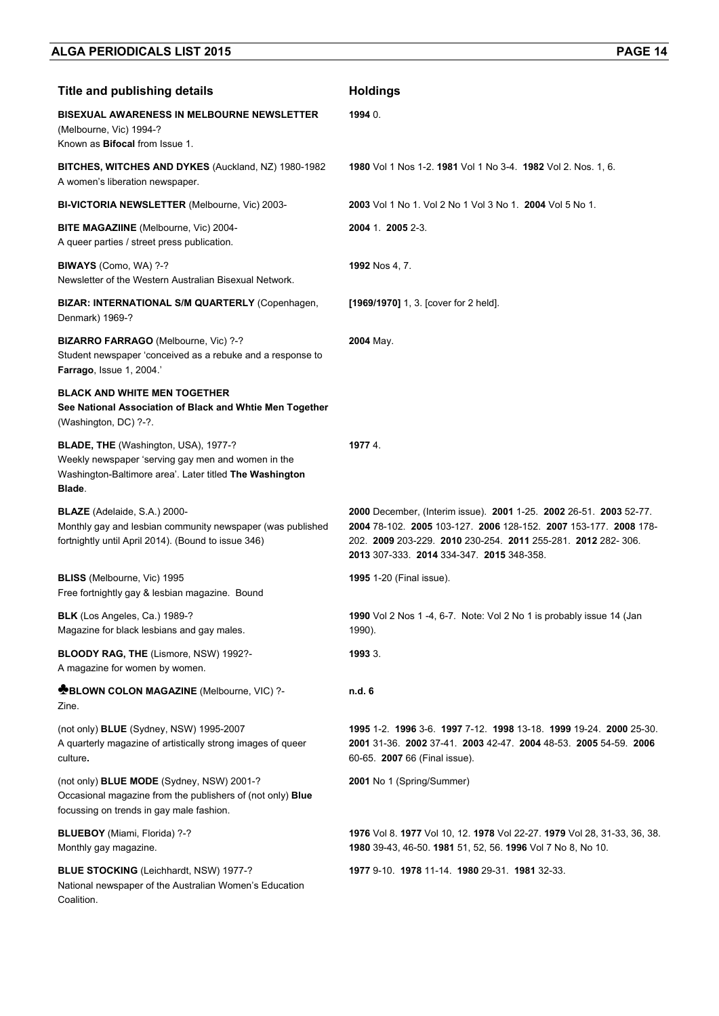| <b>Title and publishing details</b>                                                                                                                             | <b>Holdings</b>                                                                                                                                                                                                                                      |
|-----------------------------------------------------------------------------------------------------------------------------------------------------------------|------------------------------------------------------------------------------------------------------------------------------------------------------------------------------------------------------------------------------------------------------|
| <b>BISEXUAL AWARENESS IN MELBOURNE NEWSLETTER</b><br>(Melbourne, Vic) 1994-?<br>Known as Bifocal from Issue 1.                                                  | 1994 0.                                                                                                                                                                                                                                              |
| BITCHES, WITCHES AND DYKES (Auckland, NZ) 1980-1982<br>A women's liberation newspaper.                                                                          | 1980 Vol 1 Nos 1-2. 1981 Vol 1 No 3-4. 1982 Vol 2. Nos. 1, 6.                                                                                                                                                                                        |
| <b>BI-VICTORIA NEWSLETTER (Melbourne, Vic) 2003-</b>                                                                                                            | 2003 Vol 1 No 1, Vol 2 No 1 Vol 3 No 1, 2004 Vol 5 No 1.                                                                                                                                                                                             |
| <b>BITE MAGAZIINE</b> (Melbourne, Vic) 2004-<br>A queer parties / street press publication.                                                                     | 2004 1 2005 2-3                                                                                                                                                                                                                                      |
| <b>BIWAYS</b> (Como, WA) ?-?<br>Newsletter of the Western Australian Bisexual Network.                                                                          | <b>1992</b> Nos 4, 7.                                                                                                                                                                                                                                |
| BIZAR: INTERNATIONAL S/M QUARTERLY (Copenhagen,<br>Denmark) 1969-?                                                                                              | [1969/1970] 1, 3. [cover for 2 held].                                                                                                                                                                                                                |
| BIZARRO FARRAGO (Melbourne, Vic) ?-?<br>Student newspaper 'conceived as a rebuke and a response to<br><b>Farrago, Issue 1, 2004.'</b>                           | 2004 May.                                                                                                                                                                                                                                            |
| <b>BLACK AND WHITE MEN TOGETHER</b><br>See National Association of Black and Whtie Men Together<br>(Washington, DC) ?-?.                                        |                                                                                                                                                                                                                                                      |
| BLADE, THE (Washington, USA), 1977-?<br>Weekly newspaper 'serving gay men and women in the<br>Washington-Baltimore area'. Later titled The Washington<br>Blade. | 1977 4.                                                                                                                                                                                                                                              |
| <b>BLAZE</b> (Adelaide, S.A.) 2000-<br>Monthly gay and lesbian community newspaper (was published<br>fortnightly until April 2014). (Bound to issue 346)        | 2000 December, (Interim issue). 2001 1-25. 2002 26-51. 2003 52-77.<br>2004 78-102. 2005 103-127. 2006 128-152. 2007 153-177. 2008 178-<br>202. 2009 203-229. 2010 230-254. 2011 255-281. 2012 282- 306.<br>2013 307-333. 2014 334-347. 2015 348-358. |
| <b>BLISS</b> (Melbourne, Vic) 1995<br>Free fortnightly gay & lesbian magazine. Bound                                                                            | <b>1995</b> 1-20 (Final issue).                                                                                                                                                                                                                      |
| <b>BLK</b> (Los Angeles, Ca.) 1989-?<br>Magazine for black lesbians and gay males.                                                                              | <b>1990</b> Vol 2 Nos 1 -4, 6-7. Note: Vol 2 No 1 is probably issue 14 (Jan<br>1990).                                                                                                                                                                |
| BLOODY RAG, THE (Lismore, NSW) 1992?-<br>A magazine for women by women.                                                                                         | 1993 3.                                                                                                                                                                                                                                              |
| <b>EBLOWN COLON MAGAZINE</b> (Melbourne, VIC) ?-<br>Zine.                                                                                                       | n.d. 6                                                                                                                                                                                                                                               |
| (not only) BLUE (Sydney, NSW) 1995-2007<br>A quarterly magazine of artistically strong images of queer<br>culture.                                              | 1995 1-2 1996 3-6 1997 7-12 1998 13-18 1999 19-24 2000 25-30.<br>2001 31-36, 2002 37-41, 2003 42-47, 2004 48-53, 2005 54-59, 2006<br>60-65. 2007 66 (Final issue).                                                                                   |
| (not only) BLUE MODE (Sydney, NSW) 2001-?<br>Occasional magazine from the publishers of (not only) Blue<br>focussing on trends in gay male fashion.             | 2001 No 1 (Spring/Summer)                                                                                                                                                                                                                            |
| BLUEBOY (Miami, Florida) ?-?<br>Monthly gay magazine.                                                                                                           | 1976 Vol 8. 1977 Vol 10, 12. 1978 Vol 22-27. 1979 Vol 28, 31-33, 36, 38.<br>1980 39-43, 46-50. 1981 51, 52, 56. 1996 Vol 7 No 8, No 10.                                                                                                              |
| <b>BLUE STOCKING</b> (Leichhardt, NSW) 1977-?<br>National newspaper of the Australian Women's Education<br>Coalition.                                           | 1977 9-10. 1978 11-14. 1980 29-31. 1981 32-33.                                                                                                                                                                                                       |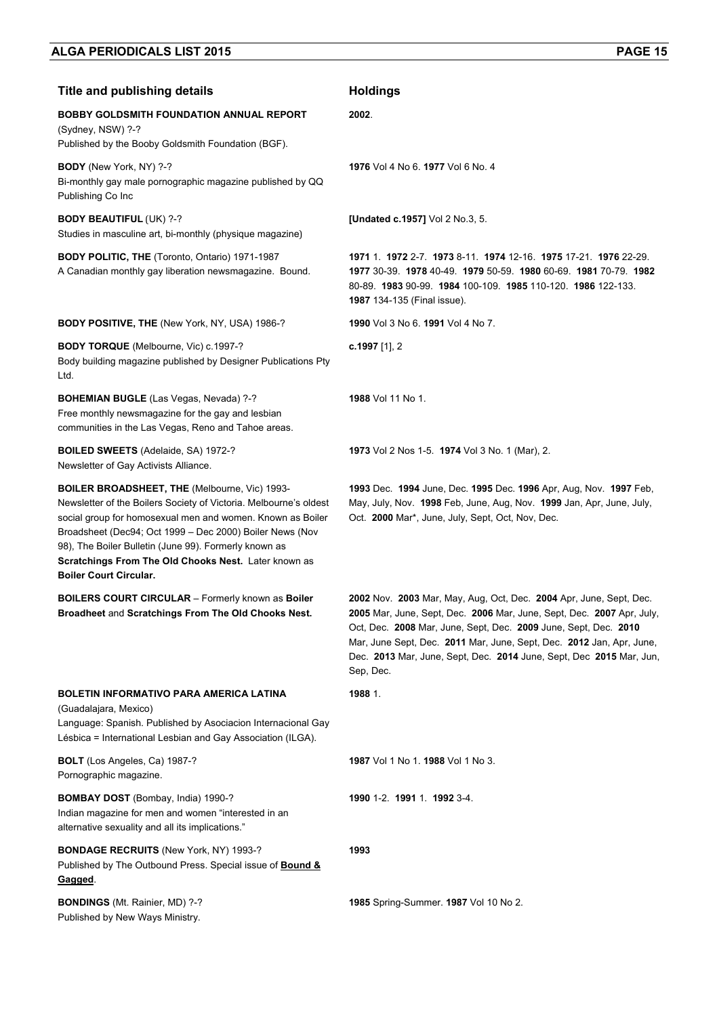### **Title and publishing details <b>Holdings BOBBY GOLDSMITH FOUNDATION ANNUAL REPORT** (Sydney, NSW) ?-? Published by the Booby Goldsmith Foundation (BGF). **2002**. **BODY** (New York, NY) ?-? Bi-monthly gay male pornographic magazine published by QQ Publishing Co Inc **1976** Vol 4 No 6. **1977** Vol 6 No. 4 **BODY BEAUTIFUL** (UK) ?-? Studies in masculine art, bi-monthly (physique magazine) **[Undated c.1957]** Vol 2 No.3, 5. **BODY POLITIC, THE** (Toronto, Ontario) 1971-1987 A Canadian monthly gay liberation newsmagazine. Bound. **1971** 1. **1972** 2-7. **1973** 8-11. **1974** 12-16. **1975** 17-21. **1976** 22-29. 80-89. **1983** 90-99. **1984** 100-109. **1985** 110-120. **1986** 122-133. **1987** 134-135 (Final issue). **BODY POSITIVE, THE** (New York, NY, USA) 1986-? **1990** Vol 3 No 6. **1991** Vol 4 No 7. **BODY TORQUE** (Melbourne, Vic) c.1997-? Body building magazine published by Designer Publications Pty Ltd. **c.1997** [1], 2 **BOHEMIAN BUGLE** (Las Vegas, Nevada) ?-? Free monthly newsmagazine for the gay and lesbian communities in the Las Vegas, Reno and Tahoe areas. **1988** Vol 11 No 1. **BOILED SWEETS** (Adelaide, SA) 1972-? Newsletter of Gay Activists Alliance. **1973** Vol 2 Nos 1-5. **1974** Vol 3 No. 1 (Mar), 2. **BOILER BROADSHEET, THE** (Melbourne, Vic) 1993- Newsletter of the Boilers Society of Victoria. Melbourne's oldest social group for homosexual men and women. Known as Boiler Broadsheet (Dec94; Oct 1999 – Dec 2000) Boiler News (Nov 98), The Boiler Bulletin (June 99). Formerly known as **Scratchings From The Old Chooks Nest.** Later known as **Boiler Court Circular.**  Oct. **2000** Mar\*, June, July, Sept, Oct, Nov, Dec. **BOILERS COURT CIRCULAR** – Formerly known as **Boiler Broadheet** and **Scratchings From The Old Chooks Nest.**  Sep, Dec. **BOLETIN INFORMATIVO PARA AMERICA LATINA**  (Guadalajara, Mexico) Language: Spanish. Published by Asociacion Internacional Gay Lésbica = International Lesbian and Gay Association (ILGA). **1988** 1. **BOLT** (Los Angeles, Ca) 1987-? Pornographic magazine. **1987** Vol 1 No 1. **1988** Vol 1 No 3. **BOMBAY DOST** (Bombay, India) 1990-? Indian magazine for men and women "interested in an alternative sexuality and all its implications." **1990** 1-2. **1991** 1. **1992** 3-4.

**BONDAGE RECRUITS** (New York, NY) 1993-? Published by The Outbound Press. Special issue of **Bound & Gagged**.

**BONDINGS** (Mt. Rainier, MD) ?-? Published by New Ways Ministry.

**1977** 30-39. **1978** 40-49. **1979** 50-59. **1980** 60-69. **1981** 70-79. **1982**

**1993** Dec. **1994** June, Dec. **1995** Dec. **1996** Apr, Aug, Nov. **1997** Feb, May, July, Nov. **1998** Feb, June, Aug, Nov. **1999** Jan, Apr, June, July,

**2002** Nov. **2003** Mar, May, Aug, Oct, Dec. **2004** Apr, June, Sept, Dec. **2005** Mar, June, Sept, Dec. **2006** Mar, June, Sept, Dec. **2007** Apr, July, Oct, Dec. **2008** Mar, June, Sept, Dec. **2009** June, Sept, Dec. **2010** Mar, June Sept, Dec. **2011** Mar, June, Sept, Dec. **2012** Jan, Apr, June, Dec. **2013** Mar, June, Sept, Dec. **2014** June, Sept, Dec **2015** Mar, Jun,

**1993**

**1985** Spring-Summer. **1987** Vol 10 No 2.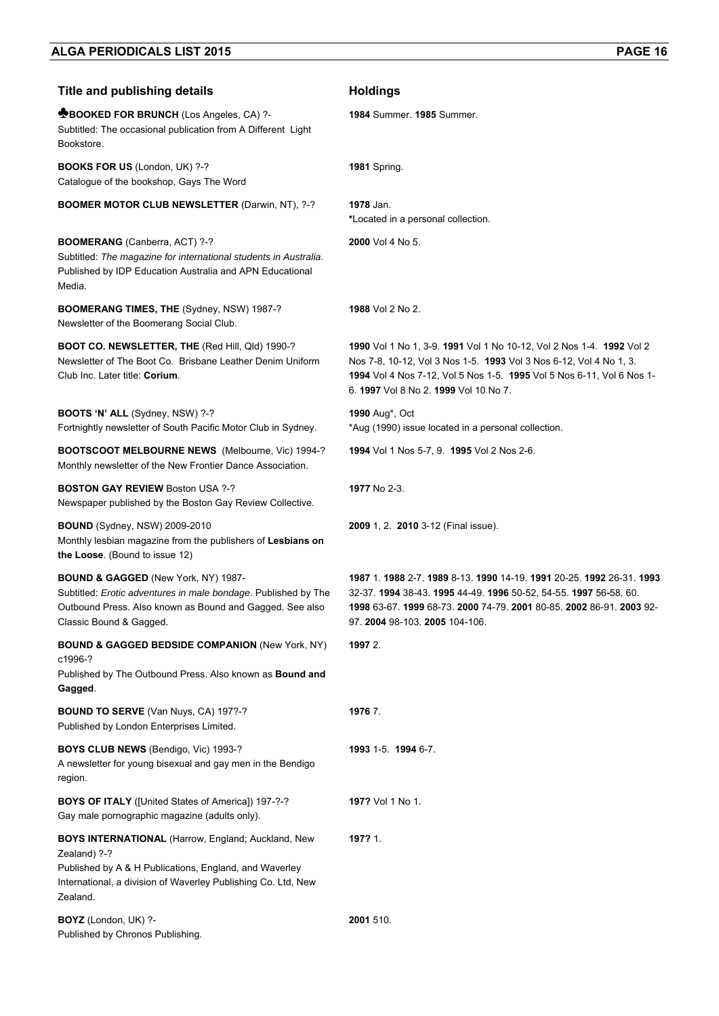| <b>Title and publishing details</b>                                                                                                                                                                              | <b>Holdings</b>                                                                                                                                                                                                                                              |
|------------------------------------------------------------------------------------------------------------------------------------------------------------------------------------------------------------------|--------------------------------------------------------------------------------------------------------------------------------------------------------------------------------------------------------------------------------------------------------------|
| <b>MBOOKED FOR BRUNCH (Los Angeles, CA) ?-</b><br>Subtitled: The occasional publication from A Different Light<br>Bookstore.                                                                                     | 1984 Summer. 1985 Summer.                                                                                                                                                                                                                                    |
| <b>BOOKS FOR US (London, UK) ?-?</b><br>Catalogue of the bookshop, Gays The Word                                                                                                                                 | 1981 Spring.                                                                                                                                                                                                                                                 |
| <b>BOOMER MOTOR CLUB NEWSLETTER (Darwin, NT), ?-?</b>                                                                                                                                                            | 1978 Jan.<br>*Located in a personal collection.                                                                                                                                                                                                              |
| BOOMERANG (Canberra, ACT) ?-?<br>Subtitled: The magazine for international students in Australia.<br>Published by IDP Education Australia and APN Educational<br>Media.                                          | 2000 Vol 4 No 5.                                                                                                                                                                                                                                             |
| BOOMERANG TIMES, THE (Sydney, NSW) 1987-?<br>Newsletter of the Boomerang Social Club.                                                                                                                            | <b>1988</b> Vol 2 No 2.                                                                                                                                                                                                                                      |
| <b>BOOT CO. NEWSLETTER, THE (Red Hill, Qld) 1990-?</b><br>Newsletter of The Boot Co. Brisbane Leather Denim Uniform<br>Club Inc. Later title: Corium.                                                            | 1990 Vol 1 No 1, 3-9. 1991 Vol 1 No 10-12, Vol 2 Nos 1-4. 1992 Vol 2<br>Nos 7-8, 10-12, Vol 3 Nos 1-5. 1993 Vol 3 Nos 6-12, Vol 4 No 1, 3.<br>1994 Vol 4 Nos 7-12, Vol 5 Nos 1-5. 1995 Vol 5 Nos 6-11, Vol 6 Nos 1-<br>6. 1997 Vol 8 No 2. 1999 Vol 10 No 7. |
| BOOTS 'N' ALL (Sydney, NSW) ?-?<br>Fortnightly newsletter of South Pacific Motor Club in Sydney.                                                                                                                 | 1990 Aug*, Oct<br>*Aug (1990) issue located in a personal collection.                                                                                                                                                                                        |
| <b>BOOTSCOOT MELBOURNE NEWS</b> (Melbourne, Vic) 1994-?<br>Monthly newsletter of the New Frontier Dance Association.                                                                                             | 1994 Vol 1 Nos 5-7, 9. 1995 Vol 2 Nos 2-6.                                                                                                                                                                                                                   |
| <b>BOSTON GAY REVIEW Boston USA ?-?</b><br>Newspaper published by the Boston Gay Review Collective.                                                                                                              | 1977 No 2-3.                                                                                                                                                                                                                                                 |
| <b>BOUND</b> (Sydney, NSW) 2009-2010<br>Monthly lesbian magazine from the publishers of Lesbians on<br>the Loose. (Bound to issue 12)                                                                            | 2009 1, 2. 2010 3-12 (Final issue).                                                                                                                                                                                                                          |
| <b>BOUND &amp; GAGGED (New York, NY) 1987-</b><br>Subtitled: Erotic adventures in male bondage. Published by The<br>Outbound Press. Also known as Bound and Gagged. See also<br>Classic Bound & Gagged.          | 1987 1. 1988 2-7. 1989 8-13. 1990 14-19. 1991 20-25. 1992 26-31. 1993<br>32-37. 1994 38-43. 1995 44-49. 1996 50-52, 54-55. 1997 56-58, 60.<br>1998 63-67. 1999 68-73. 2000 74-79. 2001 80-85. 2002 86-91. 2003 92-<br>97. 2004 98-103. 2005 104-106.         |
| <b>BOUND &amp; GAGGED BEDSIDE COMPANION (New York, NY)</b><br>c1996-?<br>Published by The Outbound Press. Also known as Bound and<br>Gagged.                                                                     | 1997 2.                                                                                                                                                                                                                                                      |
| BOUND TO SERVE (Van Nuys, CA) 197?-?<br>Published by London Enterprises Limited.                                                                                                                                 | 1976 7.                                                                                                                                                                                                                                                      |
| BOYS CLUB NEWS (Bendigo, Vic) 1993-?<br>A newsletter for young bisexual and gay men in the Bendigo<br>region.                                                                                                    | 1993 1-5. 1994 6-7.                                                                                                                                                                                                                                          |
| <b>BOYS OF ITALY</b> ([United States of America]) 197-?-?<br>Gay male pornographic magazine (adults only).                                                                                                       | 197? Vol 1 No 1.                                                                                                                                                                                                                                             |
| <b>BOYS INTERNATIONAL (Harrow, England; Auckland, New</b><br>Zealand) ?-?<br>Published by A & H Publications, England, and Waverley<br>International, a division of Waverley Publishing Co. Ltd, New<br>Zealand. | 197? 1.                                                                                                                                                                                                                                                      |
| BOYZ (London, UK) ?-<br>Published by Chronos Publishing.                                                                                                                                                         | 2001 510.                                                                                                                                                                                                                                                    |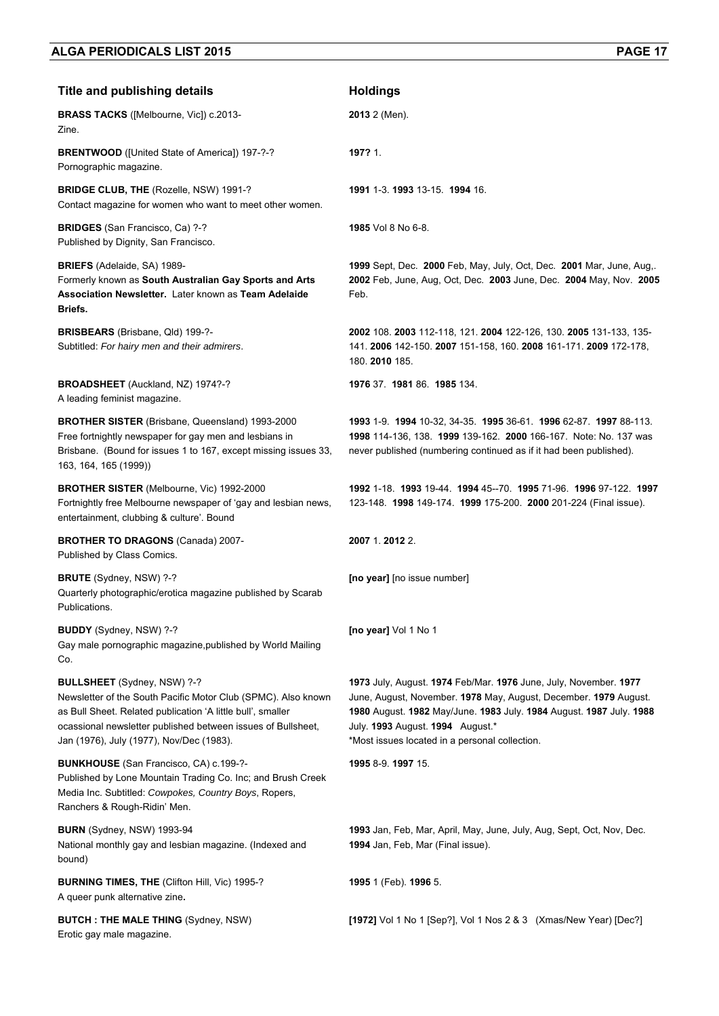| <b>Title and publishing details</b>                                                                                                                                                                                                                                            | <b>Holdings</b>                                                                                                                                                                                                                                                                                   |
|--------------------------------------------------------------------------------------------------------------------------------------------------------------------------------------------------------------------------------------------------------------------------------|---------------------------------------------------------------------------------------------------------------------------------------------------------------------------------------------------------------------------------------------------------------------------------------------------|
| <b>BRASS TACKS</b> ([Melbourne, Vic]) c.2013-<br>Zine.                                                                                                                                                                                                                         | 2013 2 (Men).                                                                                                                                                                                                                                                                                     |
| <b>BRENTWOOD</b> ([United State of America]) 197-?-?<br>Pornographic magazine.                                                                                                                                                                                                 | 197? 1.                                                                                                                                                                                                                                                                                           |
| <b>BRIDGE CLUB, THE (Rozelle, NSW) 1991-?</b><br>Contact magazine for women who want to meet other women.                                                                                                                                                                      | 1991 1-3, 1993 13-15, 1994 16.                                                                                                                                                                                                                                                                    |
| <b>BRIDGES</b> (San Francisco, Ca) ?-?<br>Published by Dignity, San Francisco.                                                                                                                                                                                                 | 1985 Vol 8 No 6-8.                                                                                                                                                                                                                                                                                |
| <b>BRIEFS</b> (Adelaide, SA) 1989-<br>Formerly known as South Australian Gay Sports and Arts<br>Association Newsletter. Later known as Team Adelaide<br>Briefs.                                                                                                                | 1999 Sept, Dec. 2000 Feb, May, July, Oct, Dec. 2001 Mar, June, Aug,.<br>2002 Feb, June, Aug, Oct, Dec. 2003 June, Dec. 2004 May, Nov. 2005<br>Feb.                                                                                                                                                |
| <b>BRISBEARS</b> (Brisbane, Qld) 199-?-<br>Subtitled: For hairy men and their admirers.                                                                                                                                                                                        | 2002 108. 2003 112-118, 121. 2004 122-126, 130. 2005 131-133, 135-<br>141. 2006 142-150. 2007 151-158, 160. 2008 161-171. 2009 172-178,<br>180. 2010 185.                                                                                                                                         |
| BROADSHEET (Auckland, NZ) 1974?-?<br>A leading feminist magazine.                                                                                                                                                                                                              | 1976 37. 1981 86. 1985 134.                                                                                                                                                                                                                                                                       |
| <b>BROTHER SISTER</b> (Brisbane, Queensland) 1993-2000<br>Free fortnightly newspaper for gay men and lesbians in<br>Brisbane. (Bound for issues 1 to 167, except missing issues 33,<br>163, 164, 165 (1999))                                                                   | 1993 1-9 1994 10-32, 34-35 1995 36-61 1996 62-87 1997 88-113.<br>1998 114-136, 138. 1999 139-162. 2000 166-167. Note: No. 137 was<br>never published (numbering continued as if it had been published).                                                                                           |
| BROTHER SISTER (Melbourne, Vic) 1992-2000<br>Fortnightly free Melbourne newspaper of 'gay and lesbian news,<br>entertainment, clubbing & culture'. Bound                                                                                                                       | 1992 1-18, 1993 19-44, 1994 45--70, 1995 71-96, 1996 97-122, 1997<br>123-148. 1998 149-174. 1999 175-200. 2000 201-224 (Final issue).                                                                                                                                                             |
| <b>BROTHER TO DRAGONS (Canada) 2007-</b><br>Published by Class Comics.                                                                                                                                                                                                         | 2007 1.2012 2.                                                                                                                                                                                                                                                                                    |
| <b>BRUTE</b> (Sydney, NSW) ?-?<br>Quarterly photographic/erotica magazine published by Scarab<br>Publications.                                                                                                                                                                 | [no year] [no issue number]                                                                                                                                                                                                                                                                       |
| <b>BUDDY</b> (Sydney, NSW) ?-?<br>Gay male pornographic magazine, published by World Mailing<br>Co.                                                                                                                                                                            | [no year] Vol 1 No 1                                                                                                                                                                                                                                                                              |
| <b>BULLSHEET</b> (Sydney, NSW) ?-?<br>Newsletter of the South Pacific Motor Club (SPMC). Also known<br>as Bull Sheet. Related publication 'A little bull', smaller<br>ocassional newsletter published between issues of Bullsheet,<br>Jan (1976), July (1977), Nov/Dec (1983). | 1973 July, August. 1974 Feb/Mar. 1976 June, July, November. 1977<br>June, August, November. 1978 May, August, December. 1979 August.<br>1980 August. 1982 May/June. 1983 July. 1984 August. 1987 July. 1988<br>July. 1993 August. 1994 August.*<br>*Most issues located in a personal collection. |
| <b>BUNKHOUSE</b> (San Francisco, CA) c.199-?-<br>Published by Lone Mountain Trading Co. Inc; and Brush Creek<br>Media Inc. Subtitled: Cowpokes, Country Boys, Ropers,<br>Ranchers & Rough-Ridin' Men.                                                                          | 1995 8-9. 1997 15.                                                                                                                                                                                                                                                                                |
| <b>BURN</b> (Sydney, NSW) 1993-94<br>National monthly gay and lesbian magazine. (Indexed and<br>bound)                                                                                                                                                                         | 1993 Jan, Feb, Mar, April, May, June, July, Aug, Sept, Oct, Nov, Dec.<br>1994 Jan, Feb, Mar (Final issue).                                                                                                                                                                                        |
| <b>BURNING TIMES, THE (Clifton Hill, Vic) 1995-?</b><br>A queer punk alternative zine.                                                                                                                                                                                         | 1995 1 (Feb). 1996 5.                                                                                                                                                                                                                                                                             |
| <b>BUTCH: THE MALE THING (Sydney, NSW)</b><br>Erotic gay male magazine.                                                                                                                                                                                                        | [1972] Vol 1 No 1 [Sep?], Vol 1 Nos 2 & 3 (Xmas/New Year) [Dec?]                                                                                                                                                                                                                                  |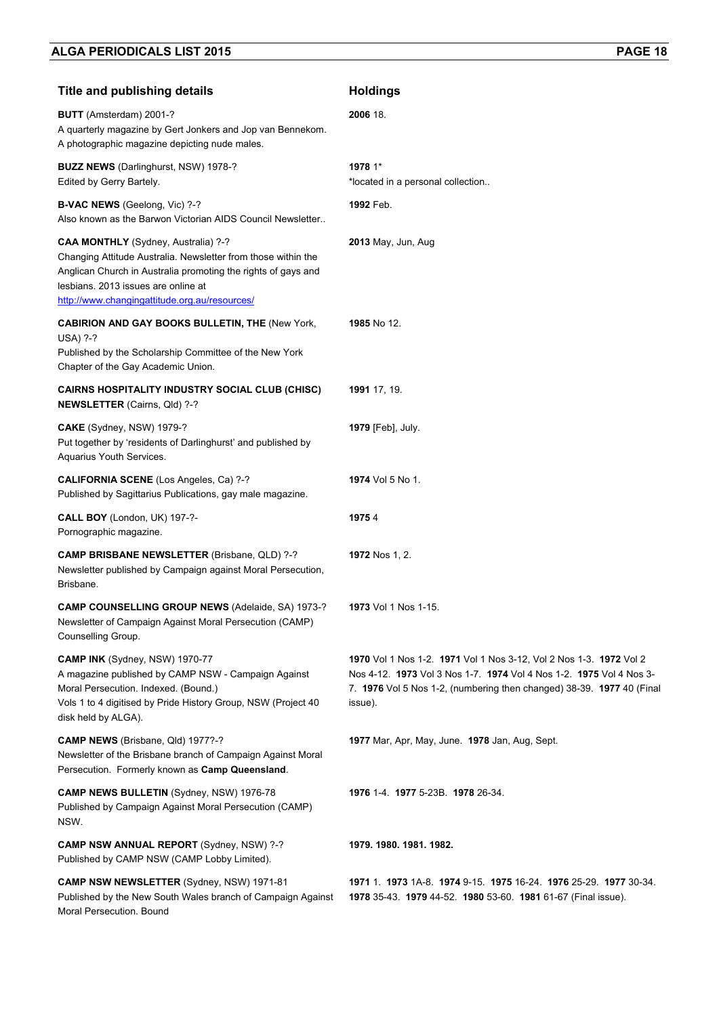| <b>Title and publishing details</b>                                                                                                                                                                                                                           | <b>Holdings</b>                                                                                                                                                                                                               |
|---------------------------------------------------------------------------------------------------------------------------------------------------------------------------------------------------------------------------------------------------------------|-------------------------------------------------------------------------------------------------------------------------------------------------------------------------------------------------------------------------------|
| BUTT (Amsterdam) 2001-?<br>A quarterly magazine by Gert Jonkers and Jop van Bennekom.<br>A photographic magazine depicting nude males.                                                                                                                        | 2006 18.                                                                                                                                                                                                                      |
| <b>BUZZ NEWS</b> (Darlinghurst, NSW) 1978-?<br>Edited by Gerry Bartely.                                                                                                                                                                                       | 1978 1*<br>*located in a personal collection                                                                                                                                                                                  |
| <b>B-VAC NEWS</b> (Geelong, Vic) ?-?<br>Also known as the Barwon Victorian AIDS Council Newsletter                                                                                                                                                            | 1992 Feb.                                                                                                                                                                                                                     |
| CAA MONTHLY (Sydney, Australia) ?-?<br>Changing Attitude Australia. Newsletter from those within the<br>Anglican Church in Australia promoting the rights of gays and<br>lesbians. 2013 issues are online at<br>http://www.changingattitude.org.au/resources/ | 2013 May, Jun, Aug                                                                                                                                                                                                            |
| <b>CABIRION AND GAY BOOKS BULLETIN, THE (New York,</b><br>USA) ?-?<br>Published by the Scholarship Committee of the New York<br>Chapter of the Gay Academic Union.                                                                                            | 1985 No 12.                                                                                                                                                                                                                   |
| <b>CAIRNS HOSPITALITY INDUSTRY SOCIAL CLUB (CHISC)</b><br><b>NEWSLETTER</b> (Cairns, Qld) ?-?                                                                                                                                                                 | 1991 17, 19.                                                                                                                                                                                                                  |
| CAKE (Sydney, NSW) 1979-?<br>Put together by 'residents of Darlinghurst' and published by<br>Aquarius Youth Services.                                                                                                                                         | <b>1979</b> [Feb], July.                                                                                                                                                                                                      |
| CALIFORNIA SCENE (Los Angeles, Ca) ?-?<br>Published by Sagittarius Publications, gay male magazine.                                                                                                                                                           | 1974 Vol 5 No 1.                                                                                                                                                                                                              |
| CALL BOY (London, UK) 197-?-<br>Pornographic magazine.                                                                                                                                                                                                        | 19754                                                                                                                                                                                                                         |
| CAMP BRISBANE NEWSLETTER (Brisbane, QLD) ?-?<br>Newsletter published by Campaign against Moral Persecution,<br>Brisbane.                                                                                                                                      | <b>1972</b> Nos 1, 2.                                                                                                                                                                                                         |
| CAMP COUNSELLING GROUP NEWS (Adelaide, SA) 1973-?<br>Newsletter of Campaign Against Moral Persecution (CAMP)<br>Counselling Group.                                                                                                                            | <b>1973</b> Vol 1 Nos 1-15.                                                                                                                                                                                                   |
| CAMP INK (Sydney, NSW) 1970-77<br>A magazine published by CAMP NSW - Campaign Against<br>Moral Persecution. Indexed. (Bound.)<br>Vols 1 to 4 digitised by Pride History Group, NSW (Project 40<br>disk held by ALGA).                                         | 1970 Vol 1 Nos 1-2. 1971 Vol 1 Nos 3-12, Vol 2 Nos 1-3. 1972 Vol 2<br>Nos 4-12. 1973 Vol 3 Nos 1-7. 1974 Vol 4 Nos 1-2. 1975 Vol 4 Nos 3-<br>7. 1976 Vol 5 Nos 1-2, (numbering then changed) 38-39. 1977 40 (Final<br>issue). |
| <b>CAMP NEWS</b> (Brisbane, Qld) 1977?-?<br>Newsletter of the Brisbane branch of Campaign Against Moral<br>Persecution. Formerly known as Camp Queensland.                                                                                                    | 1977 Mar, Apr, May, June. 1978 Jan, Aug, Sept.                                                                                                                                                                                |
| CAMP NEWS BULLETIN (Sydney, NSW) 1976-78<br>Published by Campaign Against Moral Persecution (CAMP)<br>NSW.                                                                                                                                                    | 1976 1-4 1977 5-23B 1978 26-34.                                                                                                                                                                                               |
| <b>CAMP NSW ANNUAL REPORT (Sydney, NSW) ?-?</b><br>Published by CAMP NSW (CAMP Lobby Limited).                                                                                                                                                                | 1979. 1980. 1981. 1982.                                                                                                                                                                                                       |
| <b>CAMP NSW NEWSLETTER (Sydney, NSW) 1971-81</b><br>Published by the New South Wales branch of Campaign Against<br>Moral Persecution. Bound                                                                                                                   | 1971 1 1973 1A-8 1974 9-15 1975 16-24 1976 25-29 1977 30-34<br>1978 35-43. 1979 44-52. 1980 53-60. 1981 61-67 (Final issue).                                                                                                  |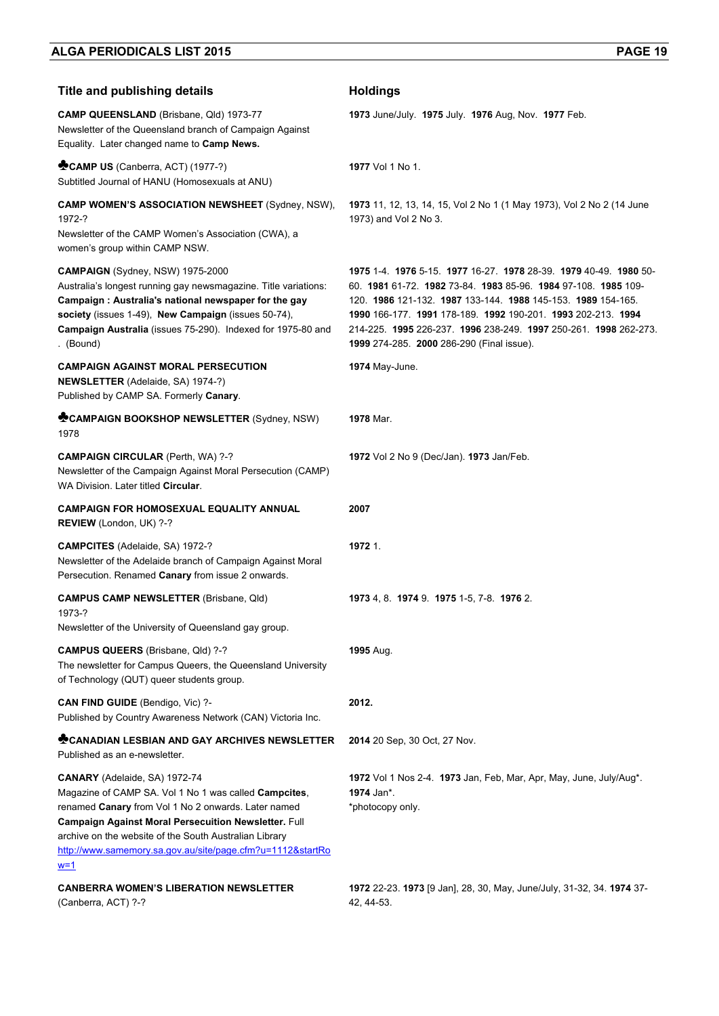| <b>Title and publishing details</b>                                                                                                                                                                                                                                                                                                                | <b>Holdings</b>                                                                                                                                                                                                                                                                                                                                                         |
|----------------------------------------------------------------------------------------------------------------------------------------------------------------------------------------------------------------------------------------------------------------------------------------------------------------------------------------------------|-------------------------------------------------------------------------------------------------------------------------------------------------------------------------------------------------------------------------------------------------------------------------------------------------------------------------------------------------------------------------|
| CAMP QUEENSLAND (Brisbane, Qld) 1973-77<br>Newsletter of the Queensland branch of Campaign Against<br>Equality. Later changed name to Camp News.                                                                                                                                                                                                   | 1973 June/July. 1975 July. 1976 Aug, Nov. 1977 Feb.                                                                                                                                                                                                                                                                                                                     |
| CAMP US (Canberra, ACT) (1977-?)<br>Subtitled Journal of HANU (Homosexuals at ANU)                                                                                                                                                                                                                                                                 | 1977 Vol 1 No 1.                                                                                                                                                                                                                                                                                                                                                        |
| <b>CAMP WOMEN'S ASSOCIATION NEWSHEET (Sydney, NSW),</b><br>1972-?<br>Newsletter of the CAMP Women's Association (CWA), a<br>women's group within CAMP NSW.                                                                                                                                                                                         | 1973 11, 12, 13, 14, 15, Vol 2 No 1 (1 May 1973), Vol 2 No 2 (14 June<br>1973) and Vol 2 No 3.                                                                                                                                                                                                                                                                          |
| CAMPAIGN (Sydney, NSW) 1975-2000<br>Australia's longest running gay newsmagazine. Title variations:<br>Campaign: Australia's national newspaper for the gay<br>society (issues 1-49), New Campaign (issues 50-74),<br>Campaign Australia (issues 75-290). Indexed for 1975-80 and<br>. (Bound)                                                     | 1975 1-4 1976 5-15 1977 16-27 1978 28-39 1979 40-49 1980 50-<br>60. 1981 61-72. 1982 73-84. 1983 85-96. 1984 97-108. 1985 109-<br>120. 1986 121-132. 1987 133-144. 1988 145-153. 1989 154-165.<br>1990 166-177 1991 178-189 1992 190-201 1993 202-213 1994<br>214-225 1995 226-237 1996 238-249 1997 250-261 1998 262-273.<br>1999 274-285. 2000 286-290 (Final issue). |
| <b>CAMPAIGN AGAINST MORAL PERSECUTION</b><br><b>NEWSLETTER</b> (Adelaide, SA) 1974-?)<br>Published by CAMP SA. Formerly Canary.                                                                                                                                                                                                                    | 1974 May-June.                                                                                                                                                                                                                                                                                                                                                          |
| CAMPAIGN BOOKSHOP NEWSLETTER (Sydney, NSW)<br>1978                                                                                                                                                                                                                                                                                                 | 1978 Mar.                                                                                                                                                                                                                                                                                                                                                               |
| <b>CAMPAIGN CIRCULAR (Perth, WA) ?-?</b><br>Newsletter of the Campaign Against Moral Persecution (CAMP)<br>WA Division. Later titled Circular.                                                                                                                                                                                                     | 1972 Vol 2 No 9 (Dec/Jan). 1973 Jan/Feb.                                                                                                                                                                                                                                                                                                                                |
| <b>CAMPAIGN FOR HOMOSEXUAL EQUALITY ANNUAL</b><br>REVIEW (London, UK) ?-?                                                                                                                                                                                                                                                                          | 2007                                                                                                                                                                                                                                                                                                                                                                    |
| <b>CAMPCITES</b> (Adelaide, SA) 1972-?<br>Newsletter of the Adelaide branch of Campaign Against Moral<br>Persecution. Renamed Canary from issue 2 onwards.                                                                                                                                                                                         | 1972 1.                                                                                                                                                                                                                                                                                                                                                                 |
| <b>CAMPUS CAMP NEWSLETTER (Brisbane, Qld)</b><br>1973-?                                                                                                                                                                                                                                                                                            | 1973 4, 8. 1974 9. 1975 1-5, 7-8. 1976 2.                                                                                                                                                                                                                                                                                                                               |
| Newsletter of the University of Queensland gay group.<br>CAMPUS QUEERS (Brisbane, Qld) ?-?<br>The newsletter for Campus Queers, the Queensland University<br>of Technology (QUT) queer students group.                                                                                                                                             | 1995 Aug.                                                                                                                                                                                                                                                                                                                                                               |
| CAN FIND GUIDE (Bendigo, Vic) ?-<br>Published by Country Awareness Network (CAN) Victoria Inc.                                                                                                                                                                                                                                                     | 2012.                                                                                                                                                                                                                                                                                                                                                                   |
| <b>CANADIAN LESBIAN AND GAY ARCHIVES NEWSLETTER</b><br>Published as an e-newsletter.                                                                                                                                                                                                                                                               | 2014 20 Sep, 30 Oct, 27 Nov.                                                                                                                                                                                                                                                                                                                                            |
| <b>CANARY</b> (Adelaide, SA) 1972-74<br>Magazine of CAMP SA. Vol 1 No 1 was called Campcites,<br>renamed Canary from Vol 1 No 2 onwards. Later named<br>Campaign Against Moral Persecuition Newsletter. Full<br>archive on the website of the South Australian Library<br>http://www.samemory.sa.gov.au/site/page.cfm?u=1112&startRo<br><u>w=1</u> | 1972 Vol 1 Nos 2-4. 1973 Jan, Feb, Mar, Apr, May, June, July/Aug*.<br>1974 Jan*.<br>*photocopy only.                                                                                                                                                                                                                                                                    |
| <b>CANBERRA WOMEN'S LIBERATION NEWSLETTER</b><br>(Canberra, ACT) ?-?                                                                                                                                                                                                                                                                               | 1972 22-23. 1973 [9 Jan], 28, 30, May, June/July, 31-32, 34. 1974 37-<br>42, 44-53.                                                                                                                                                                                                                                                                                     |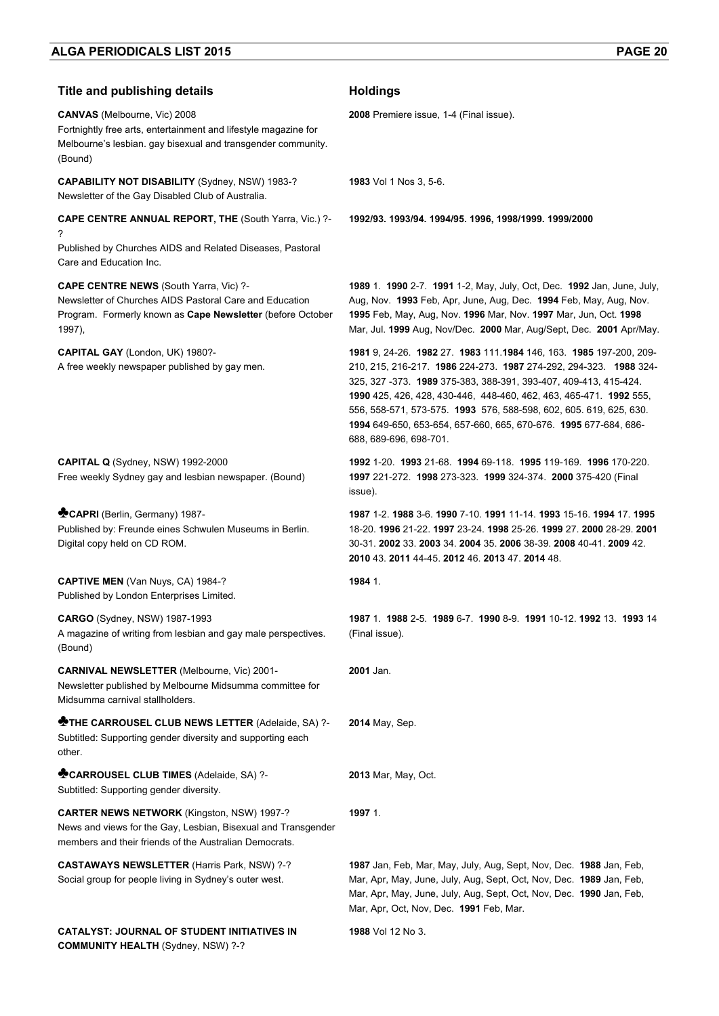**COMMUNITY HEALTH** (Sydney, NSW) ?-?

| <b>Title and publishing details</b>                                                                                                                                               | <b>Holdings</b>                                                                                                                                                                                                                                                                                                                                                                                                                                       |
|-----------------------------------------------------------------------------------------------------------------------------------------------------------------------------------|-------------------------------------------------------------------------------------------------------------------------------------------------------------------------------------------------------------------------------------------------------------------------------------------------------------------------------------------------------------------------------------------------------------------------------------------------------|
| <b>CANVAS</b> (Melbourne, Vic) 2008<br>Fortnightly free arts, entertainment and lifestyle magazine for<br>Melbourne's lesbian. gay bisexual and transgender community.<br>(Bound) | 2008 Premiere issue, 1-4 (Final issue).                                                                                                                                                                                                                                                                                                                                                                                                               |
| CAPABILITY NOT DISABILITY (Sydney, NSW) 1983-?<br>Newsletter of the Gay Disabled Club of Australia.                                                                               | <b>1983</b> Vol 1 Nos 3, 5-6.                                                                                                                                                                                                                                                                                                                                                                                                                         |
| <b>CAPE CENTRE ANNUAL REPORT, THE (South Yarra, Vic.) ?-</b><br>?<br>Published by Churches AIDS and Related Diseases, Pastoral                                                    | 1992/93. 1993/94. 1994/95. 1996, 1998/1999. 1999/2000                                                                                                                                                                                                                                                                                                                                                                                                 |
| Care and Education Inc.                                                                                                                                                           |                                                                                                                                                                                                                                                                                                                                                                                                                                                       |
| CAPE CENTRE NEWS (South Yarra, Vic) ?-<br>Newsletter of Churches AIDS Pastoral Care and Education<br>Program. Formerly known as Cape Newsletter (before October<br>1997),         | 1989 1. 1990 2-7. 1991 1-2, May, July, Oct, Dec. 1992 Jan, June, July,<br>Aug, Nov. 1993 Feb, Apr, June, Aug, Dec. 1994 Feb, May, Aug, Nov.<br>1995 Feb, May, Aug, Nov. 1996 Mar, Nov. 1997 Mar, Jun, Oct. 1998<br>Mar, Jul. 1999 Aug, Nov/Dec. 2000 Mar, Aug/Sept, Dec. 2001 Apr/May.                                                                                                                                                                |
| CAPITAL GAY (London, UK) 1980?-<br>A free weekly newspaper published by gay men.                                                                                                  | 1981 9, 24-26. 1982 27. 1983 111.1984 146, 163. 1985 197-200, 209-<br>210, 215, 216-217. 1986 224-273. 1987 274-292, 294-323. 1988 324-<br>325, 327 -373. 1989 375-383, 388-391, 393-407, 409-413, 415-424.<br>1990 425, 426, 428, 430-446, 448-460, 462, 463, 465-471. 1992 555,<br>556, 558-571, 573-575. 1993 576, 588-598, 602, 605. 619, 625, 630.<br>1994 649-650, 653-654, 657-660, 665, 670-676. 1995 677-684, 686-<br>688, 689-696, 698-701. |
| CAPITAL Q (Sydney, NSW) 1992-2000<br>Free weekly Sydney gay and lesbian newspaper. (Bound)                                                                                        | 1992 1-20 1993 21-68 1994 69-118 1995 119-169 1996 170-220<br>1997 221-272. 1998 273-323. 1999 324-374. 2000 375-420 (Final<br>issue).                                                                                                                                                                                                                                                                                                                |
| CAPRI (Berlin, Germany) 1987-<br>Published by: Freunde eines Schwulen Museums in Berlin.<br>Digital copy held on CD ROM.                                                          | 1987 1-2, 1988 3-6, 1990 7-10, 1991 11-14, 1993 15-16, 1994 17, 1995<br>18-20. 1996 21-22. 1997 23-24. 1998 25-26. 1999 27. 2000 28-29. 2001<br>30-31, 2002 33, 2003 34, 2004 35, 2006 38-39, 2008 40-41, 2009 42.<br>2010 43 2011 44-45 2012 46 2013 47 2014 48                                                                                                                                                                                      |
| CAPTIVE MEN (Van Nuys, CA) 1984-?<br>Published by London Enterprises Limited.                                                                                                     | 1984 1.                                                                                                                                                                                                                                                                                                                                                                                                                                               |
| CARGO (Sydney, NSW) 1987-1993<br>A magazine of writing from lesbian and gay male perspectives.<br>(Bound)                                                                         | 1987 1. 1988 2-5. 1989 6-7. 1990 8-9. 1991 10-12. 1992 13. 1993 14<br>(Final issue).                                                                                                                                                                                                                                                                                                                                                                  |
| CARNIVAL NEWSLETTER (Melbourne, Vic) 2001-<br>Newsletter published by Melbourne Midsumma committee for<br>Midsumma carnival stallholders.                                         | 2001 Jan.                                                                                                                                                                                                                                                                                                                                                                                                                                             |
| <b>MOTHE CARROUSEL CLUB NEWS LETTER (Adelaide, SA) ?-</b><br>Subtitled: Supporting gender diversity and supporting each<br>other.                                                 | 2014 May, Sep.                                                                                                                                                                                                                                                                                                                                                                                                                                        |
| CARROUSEL CLUB TIMES (Adelaide, SA) ?-<br>Subtitled: Supporting gender diversity.                                                                                                 | 2013 Mar, May, Oct.                                                                                                                                                                                                                                                                                                                                                                                                                                   |
| <b>CARTER NEWS NETWORK (Kingston, NSW) 1997-?</b><br>News and views for the Gay, Lesbian, Bisexual and Transgender<br>members and their friends of the Australian Democrats.      | 1997 1.                                                                                                                                                                                                                                                                                                                                                                                                                                               |
| <b>CASTAWAYS NEWSLETTER (Harris Park, NSW) ?-?</b><br>Social group for people living in Sydney's outer west.                                                                      | 1987 Jan, Feb, Mar, May, July, Aug, Sept, Nov, Dec. 1988 Jan, Feb,<br>Mar, Apr, May, June, July, Aug, Sept, Oct, Nov, Dec. 1989 Jan, Feb,<br>Mar, Apr, May, June, July, Aug, Sept, Oct, Nov, Dec. 1990 Jan, Feb,<br>Mar, Apr, Oct, Nov, Dec. 1991 Feb, Mar.                                                                                                                                                                                           |
| CATALYST: JOURNAL OF STUDENT INITIATIVES IN                                                                                                                                       | 1988 Vol 12 No 3.                                                                                                                                                                                                                                                                                                                                                                                                                                     |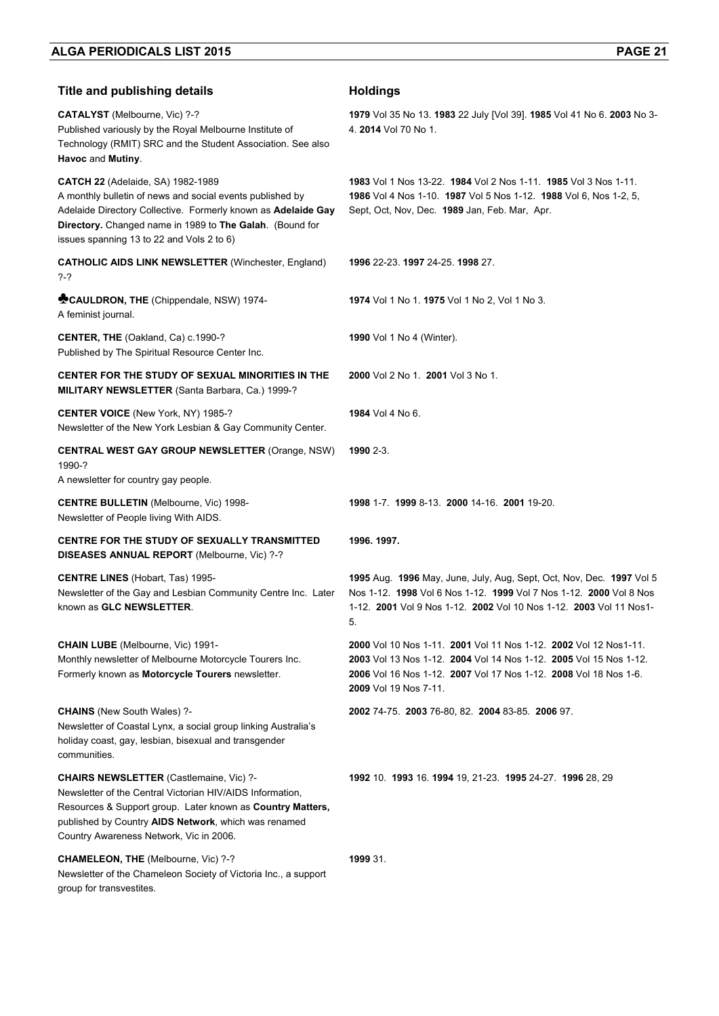| <b>Title and publishing details</b>                                                                                                                                                                                                                                             | <b>Holdings</b>                                                                                                                                                                                                                    |
|---------------------------------------------------------------------------------------------------------------------------------------------------------------------------------------------------------------------------------------------------------------------------------|------------------------------------------------------------------------------------------------------------------------------------------------------------------------------------------------------------------------------------|
| CATALYST (Melbourne, Vic) ?-?<br>Published variously by the Royal Melbourne Institute of<br>Technology (RMIT) SRC and the Student Association. See also<br>Havoc and Mutiny.                                                                                                    | 1979 Vol 35 No 13. 1983 22 July [Vol 39]. 1985 Vol 41 No 6. 2003 No 3-<br>4. 2014 Vol 70 No 1.                                                                                                                                     |
| <b>CATCH 22</b> (Adelaide, SA) 1982-1989<br>A monthly bulletin of news and social events published by<br>Adelaide Directory Collective. Formerly known as Adelaide Gay<br>Directory. Changed name in 1989 to The Galah. (Bound for<br>issues spanning 13 to 22 and Vols 2 to 6) | 1983 Vol 1 Nos 13-22, 1984 Vol 2 Nos 1-11, 1985 Vol 3 Nos 1-11.<br>1986 Vol 4 Nos 1-10. 1987 Vol 5 Nos 1-12. 1988 Vol 6, Nos 1-2, 5,<br>Sept, Oct, Nov, Dec. 1989 Jan, Feb. Mar, Apr.                                              |
| <b>CATHOLIC AIDS LINK NEWSLETTER (Winchester, England)</b><br>$? - ?$                                                                                                                                                                                                           | 1996 22-23. 1997 24-25. 1998 27.                                                                                                                                                                                                   |
| CAULDRON, THE (Chippendale, NSW) 1974-<br>A feminist journal.                                                                                                                                                                                                                   | 1974 Vol 1 No 1. 1975 Vol 1 No 2, Vol 1 No 3.                                                                                                                                                                                      |
| <b>CENTER, THE (Oakland, Ca) c.1990-?</b><br>Published by The Spiritual Resource Center Inc.                                                                                                                                                                                    | 1990 Vol 1 No 4 (Winter).                                                                                                                                                                                                          |
| CENTER FOR THE STUDY OF SEXUAL MINORITIES IN THE<br>MILITARY NEWSLETTER (Santa Barbara, Ca.) 1999-?                                                                                                                                                                             | 2000 Vol 2 No 1 2001 Vol 3 No 1                                                                                                                                                                                                    |
| <b>CENTER VOICE (New York, NY) 1985-?</b><br>Newsletter of the New York Lesbian & Gay Community Center.                                                                                                                                                                         | 1984 Vol 4 No 6.                                                                                                                                                                                                                   |
| <b>CENTRAL WEST GAY GROUP NEWSLETTER (Orange, NSW)</b><br>1990-?<br>A newsletter for country gay people.                                                                                                                                                                        | 1990 2-3.                                                                                                                                                                                                                          |
| <b>CENTRE BULLETIN (Melbourne, Vic) 1998-</b><br>Newsletter of People living With AIDS.                                                                                                                                                                                         | 1998 1-7 1999 8-13 2000 14-16 2001 19-20.                                                                                                                                                                                          |
| CENTRE FOR THE STUDY OF SEXUALLY TRANSMITTED<br>DISEASES ANNUAL REPORT (Melbourne, Vic) ?-?                                                                                                                                                                                     | 1996, 1997.                                                                                                                                                                                                                        |
| <b>CENTRE LINES</b> (Hobart, Tas) 1995-<br>Newsletter of the Gay and Lesbian Community Centre Inc. Later<br>known as GLC NEWSLETTER.                                                                                                                                            | 1995 Aug. 1996 May, June, July, Aug, Sept, Oct, Nov, Dec. 1997 Vol 5<br>Nos 1-12. 1998 Vol 6 Nos 1-12. 1999 Vol 7 Nos 1-12. 2000 Vol 8 Nos<br>1-12. 2001 Vol 9 Nos 1-12. 2002 Vol 10 Nos 1-12. 2003 Vol 11 Nos1-<br>5.             |
| <b>CHAIN LUBE</b> (Melbourne, Vic) 1991-<br>Monthly newsletter of Melbourne Motorcycle Tourers Inc.<br>Formerly known as Motorcycle Tourers newsletter.                                                                                                                         | 2000 Vol 10 Nos 1-11. 2001 Vol 11 Nos 1-12. 2002 Vol 12 Nos1-11.<br>2003 Vol 13 Nos 1-12. 2004 Vol 14 Nos 1-12. 2005 Vol 15 Nos 1-12.<br>2006 Vol 16 Nos 1-12. 2007 Vol 17 Nos 1-12. 2008 Vol 18 Nos 1-6.<br>2009 Vol 19 Nos 7-11. |
| <b>CHAINS</b> (New South Wales) ?-<br>Newsletter of Coastal Lynx, a social group linking Australia's<br>holiday coast, gay, lesbian, bisexual and transgender<br>communities.                                                                                                   | 2002 74-75. 2003 76-80, 82. 2004 83-85. 2006 97.                                                                                                                                                                                   |
| <b>CHAIRS NEWSLETTER (Castlemaine, Vic) ?-</b><br>Newsletter of the Central Victorian HIV/AIDS Information,<br>Resources & Support group. Later known as Country Matters,<br>published by Country AIDS Network, which was renamed<br>Country Awareness Network, Vic in 2006.    | 1992 10. 1993 16. 1994 19, 21-23. 1995 24-27. 1996 28, 29                                                                                                                                                                          |
| <b>CHAMELEON, THE (Melbourne, Vic) ?-?</b><br>Newsletter of the Chameleon Society of Victoria Inc., a support<br>group for transvestites.                                                                                                                                       | 1999 31.                                                                                                                                                                                                                           |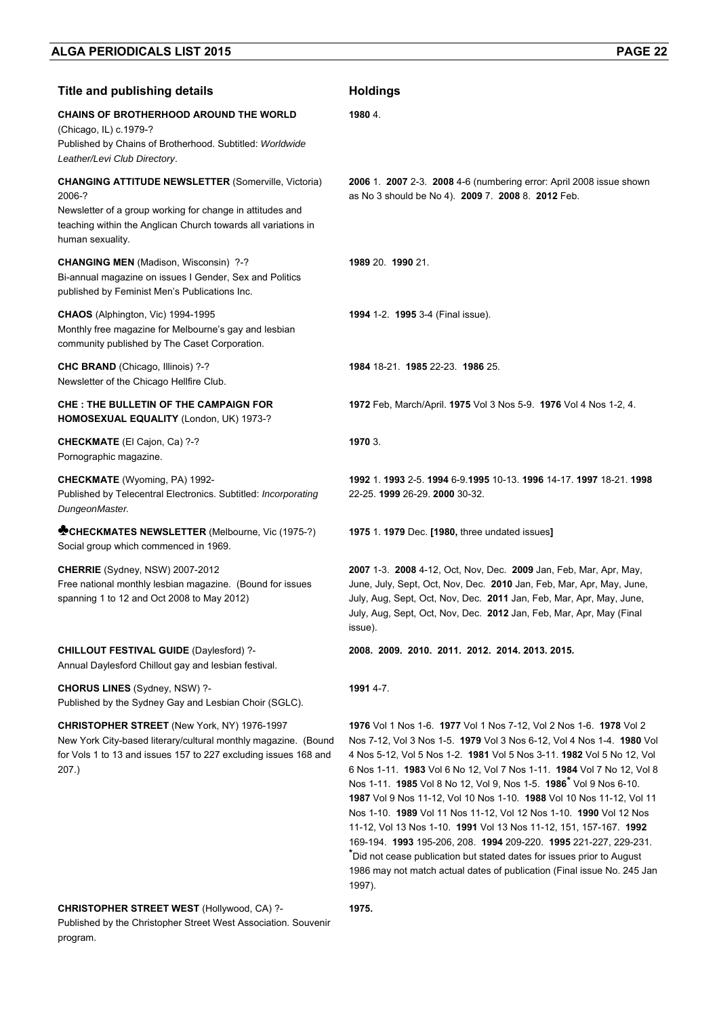| <b>Title and publishing details</b>                                                                                                                                                                                    | <b>Holdings</b>                                                                                                                                                                                                                                                                                                                                                                                                                                                                                                                                                                                                                                                                                                                                                                                                                     |
|------------------------------------------------------------------------------------------------------------------------------------------------------------------------------------------------------------------------|-------------------------------------------------------------------------------------------------------------------------------------------------------------------------------------------------------------------------------------------------------------------------------------------------------------------------------------------------------------------------------------------------------------------------------------------------------------------------------------------------------------------------------------------------------------------------------------------------------------------------------------------------------------------------------------------------------------------------------------------------------------------------------------------------------------------------------------|
| <b>CHAINS OF BROTHERHOOD AROUND THE WORLD</b><br>(Chicago, IL) c.1979-?<br>Published by Chains of Brotherhood. Subtitled: Worldwide<br>Leather/Levi Club Directory.                                                    | 1980 4.                                                                                                                                                                                                                                                                                                                                                                                                                                                                                                                                                                                                                                                                                                                                                                                                                             |
| <b>CHANGING ATTITUDE NEWSLETTER (Somerville, Victoria)</b><br>2006-?<br>Newsletter of a group working for change in attitudes and<br>teaching within the Anglican Church towards all variations in<br>human sexuality. | 2006 1. 2007 2-3. 2008 4-6 (numbering error: April 2008 issue shown<br>as No 3 should be No 4). 2009 7. 2008 8. 2012 Feb.                                                                                                                                                                                                                                                                                                                                                                                                                                                                                                                                                                                                                                                                                                           |
| CHANGING MEN (Madison, Wisconsin) ?-?<br>Bi-annual magazine on issues I Gender, Sex and Politics<br>published by Feminist Men's Publications Inc.                                                                      | 1989 20. 1990 21.                                                                                                                                                                                                                                                                                                                                                                                                                                                                                                                                                                                                                                                                                                                                                                                                                   |
| CHAOS (Alphington, Vic) 1994-1995<br>Monthly free magazine for Melbourne's gay and lesbian<br>community published by The Caset Corporation.                                                                            | 1994 1-2. 1995 3-4 (Final issue).                                                                                                                                                                                                                                                                                                                                                                                                                                                                                                                                                                                                                                                                                                                                                                                                   |
| CHC BRAND (Chicago, Illinois) ?-?<br>Newsletter of the Chicago Hellfire Club.                                                                                                                                          | 1984 18-21 1985 22-23 1986 25.                                                                                                                                                                                                                                                                                                                                                                                                                                                                                                                                                                                                                                                                                                                                                                                                      |
| <b>CHE: THE BULLETIN OF THE CAMPAIGN FOR</b><br>HOMOSEXUAL EQUALITY (London, UK) 1973-?                                                                                                                                | 1972 Feb, March/April. 1975 Vol 3 Nos 5-9. 1976 Vol 4 Nos 1-2, 4.                                                                                                                                                                                                                                                                                                                                                                                                                                                                                                                                                                                                                                                                                                                                                                   |
| CHECKMATE (El Cajon, Ca) ?-?<br>Pornographic magazine.                                                                                                                                                                 | 1970 3.                                                                                                                                                                                                                                                                                                                                                                                                                                                                                                                                                                                                                                                                                                                                                                                                                             |
| CHECKMATE (Wyoming, PA) 1992-<br>Published by Telecentral Electronics. Subtitled: Incorporating<br>DungeonMaster.                                                                                                      | 1992 1, 1993 2-5, 1994 6-9, 1995 10-13, 1996 14-17, 1997 18-21, 1998<br>22-25. 1999 26-29. 2000 30-32.                                                                                                                                                                                                                                                                                                                                                                                                                                                                                                                                                                                                                                                                                                                              |
| <b>MCHECKMATES NEWSLETTER (Melbourne, Vic (1975-?)</b><br>Social group which commenced in 1969.                                                                                                                        | 1975 1. 1979 Dec. [1980, three undated issues]                                                                                                                                                                                                                                                                                                                                                                                                                                                                                                                                                                                                                                                                                                                                                                                      |
| CHERRIE (Sydney, NSW) 2007-2012<br>Free national monthly lesbian magazine. (Bound for issues<br>spanning 1 to 12 and Oct 2008 to May 2012)                                                                             | 2007 1-3. 2008 4-12, Oct, Nov, Dec. 2009 Jan, Feb, Mar, Apr, May,<br>June, July, Sept, Oct, Nov, Dec. 2010 Jan, Feb, Mar, Apr, May, June,<br>July, Aug, Sept, Oct, Nov, Dec. 2011 Jan, Feb, Mar, Apr, May, June,<br>July, Aug, Sept, Oct, Nov, Dec. 2012 Jan, Feb, Mar, Apr, May (Final<br>issue).                                                                                                                                                                                                                                                                                                                                                                                                                                                                                                                                  |
| <b>CHILLOUT FESTIVAL GUIDE (Daylesford) ?-</b><br>Annual Daylesford Chillout gay and lesbian festival.                                                                                                                 | 2008. 2009. 2010. 2011. 2012. 2014. 2013. 2015.                                                                                                                                                                                                                                                                                                                                                                                                                                                                                                                                                                                                                                                                                                                                                                                     |
| <b>CHORUS LINES (Sydney, NSW) ?-</b><br>Published by the Sydney Gay and Lesbian Choir (SGLC).                                                                                                                          | 1991 4-7.                                                                                                                                                                                                                                                                                                                                                                                                                                                                                                                                                                                                                                                                                                                                                                                                                           |
| CHRISTOPHER STREET (New York, NY) 1976-1997<br>New York City-based literary/cultural monthly magazine. (Bound<br>for Vols 1 to 13 and issues 157 to 227 excluding issues 168 and<br>207.)                              | 1976 Vol 1 Nos 1-6. 1977 Vol 1 Nos 7-12, Vol 2 Nos 1-6. 1978 Vol 2<br>Nos 7-12, Vol 3 Nos 1-5. 1979 Vol 3 Nos 6-12, Vol 4 Nos 1-4. 1980 Vol<br>4 Nos 5-12, Vol 5 Nos 1-2. 1981 Vol 5 Nos 3-11. 1982 Vol 5 No 12, Vol<br>6 Nos 1-11. 1983 Vol 6 No 12, Vol 7 Nos 1-11. 1984 Vol 7 No 12, Vol 8<br>Nos 1-11. 1985 Vol 8 No 12, Vol 9, Nos 1-5. 1986 <sup>*</sup> Vol 9 Nos 6-10.<br>1987 Vol 9 Nos 11-12, Vol 10 Nos 1-10. 1988 Vol 10 Nos 11-12, Vol 11<br>Nos 1-10. 1989 Vol 11 Nos 11-12, Vol 12 Nos 1-10. 1990 Vol 12 Nos<br>11-12, Vol 13 Nos 1-10. 1991 Vol 13 Nos 11-12, 151, 157-167. 1992<br>169-194. 1993 195-206, 208. 1994 209-220. 1995 221-227, 229-231.<br>*Did not cease publication but stated dates for issues prior to August<br>1986 may not match actual dates of publication (Final issue No. 245 Jan<br>1997). |

**1975.** 

## **CHRISTOPHER STREET WEST** (Hollywood, CA) ?-

Published by the Christopher Street West Association. Souvenir program.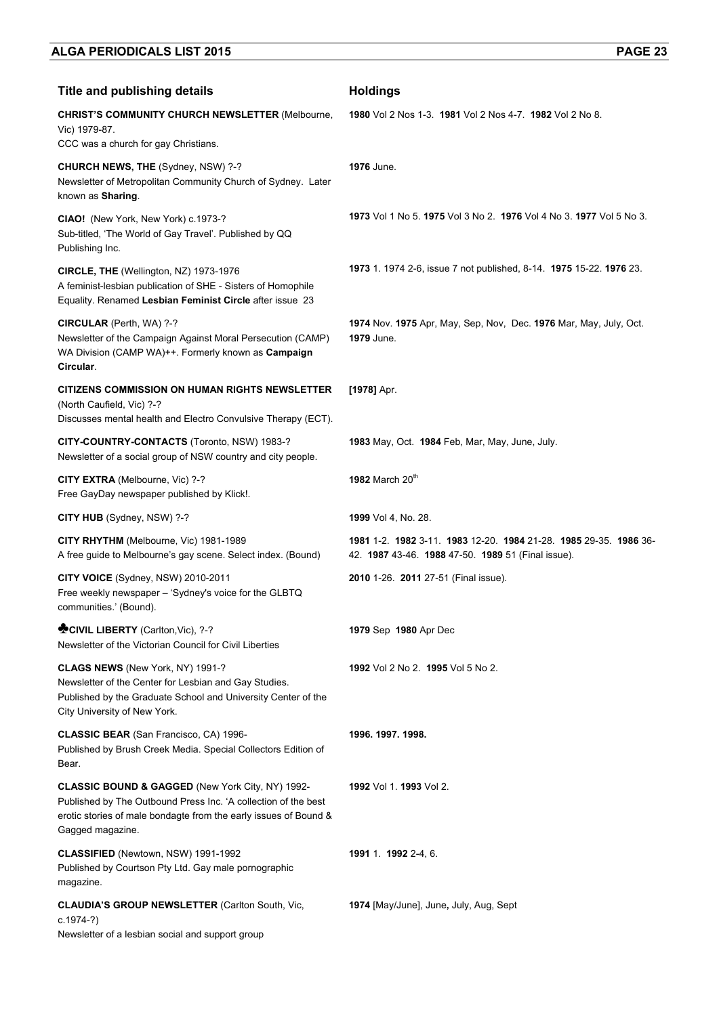| <b>Title and publishing details</b>                                                                                                                                                                        | <b>Holdings</b>                                                                                                    |
|------------------------------------------------------------------------------------------------------------------------------------------------------------------------------------------------------------|--------------------------------------------------------------------------------------------------------------------|
| <b>CHRIST'S COMMUNITY CHURCH NEWSLETTER (Melbourne,</b><br>Vic) 1979-87.                                                                                                                                   | 1980 Vol 2 Nos 1-3. 1981 Vol 2 Nos 4-7. 1982 Vol 2 No 8.                                                           |
| CCC was a church for gay Christians.                                                                                                                                                                       |                                                                                                                    |
| CHURCH NEWS, THE (Sydney, NSW) ?-?<br>Newsletter of Metropolitan Community Church of Sydney. Later<br>known as Sharing.                                                                                    | 1976 June.                                                                                                         |
| CIAO! (New York, New York) c.1973-?<br>Sub-titled, 'The World of Gay Travel'. Published by QQ<br>Publishing Inc.                                                                                           | 1973 Vol 1 No 5, 1975 Vol 3 No 2, 1976 Vol 4 No 3, 1977 Vol 5 No 3.                                                |
| CIRCLE, THE (Wellington, NZ) 1973-1976<br>A feminist-lesbian publication of SHE - Sisters of Homophile<br>Equality. Renamed Lesbian Feminist Circle after issue 23                                         | 1973 1. 1974 2-6, issue 7 not published, 8-14. 1975 15-22. 1976 23.                                                |
| CIRCULAR (Perth, WA) ?-?<br>Newsletter of the Campaign Against Moral Persecution (CAMP)<br>WA Division (CAMP WA)++. Formerly known as Campaign<br>Circular.                                                | 1974 Nov. 1975 Apr, May, Sep, Nov, Dec. 1976 Mar, May, July, Oct.<br>1979 June.                                    |
| <b>CITIZENS COMMISSION ON HUMAN RIGHTS NEWSLETTER</b><br>(North Caufield, Vic) ?-?<br>Discusses mental health and Electro Convulsive Therapy (ECT).                                                        | [1978] Apr.                                                                                                        |
| CITY-COUNTRY-CONTACTS (Toronto, NSW) 1983-?<br>Newsletter of a social group of NSW country and city people.                                                                                                | 1983 May, Oct. 1984 Feb, Mar, May, June, July.                                                                     |
| CITY EXTRA (Melbourne, Vic) ?-?<br>Free GayDay newspaper published by Klick!.                                                                                                                              | 1982 March 20th                                                                                                    |
| CITY HUB (Sydney, NSW) ?-?                                                                                                                                                                                 | 1999 Vol 4, No. 28.                                                                                                |
| CITY RHYTHM (Melbourne, Vic) 1981-1989<br>A free guide to Melbourne's gay scene. Select index. (Bound)                                                                                                     | 1981 1-2 1982 3-11 1983 12-20 1984 21-28 1985 29-35 1986 36-<br>42. 1987 43-46. 1988 47-50. 1989 51 (Final issue). |
| CITY VOICE (Sydney, NSW) 2010-2011<br>Free weekly newspaper - 'Sydney's voice for the GLBTQ<br>communities.' (Bound).                                                                                      | 2010 1-26. 2011 27-51 (Final issue).                                                                               |
| CIVIL LIBERTY (Carlton, Vic), ?-?<br>Newsletter of the Victorian Council for Civil Liberties                                                                                                               | 1979 Sep 1980 Apr Dec                                                                                              |
| CLAGS NEWS (New York, NY) 1991-?<br>Newsletter of the Center for Lesbian and Gay Studies.<br>Published by the Graduate School and University Center of the<br>City University of New York.                 | 1992 Vol 2 No 2. 1995 Vol 5 No 2.                                                                                  |
| <b>CLASSIC BEAR (San Francisco, CA) 1996-</b><br>Published by Brush Creek Media. Special Collectors Edition of<br>Bear.                                                                                    | 1996. 1997. 1998.                                                                                                  |
| CLASSIC BOUND & GAGGED (New York City, NY) 1992-<br>Published by The Outbound Press Inc. 'A collection of the best<br>erotic stories of male bondagte from the early issues of Bound &<br>Gagged magazine. | 1992 Vol 1. 1993 Vol 2.                                                                                            |
| CLASSIFIED (Newtown, NSW) 1991-1992<br>Published by Courtson Pty Ltd. Gay male pornographic<br>magazine.                                                                                                   | 1991 1. 1992 2-4, 6.                                                                                               |
| <b>CLAUDIA'S GROUP NEWSLETTER (Carlton South, Vic,</b><br>$c.1974-?$<br>Newsletter of a lesbian social and support group                                                                                   | 1974 [May/June], June, July, Aug, Sept                                                                             |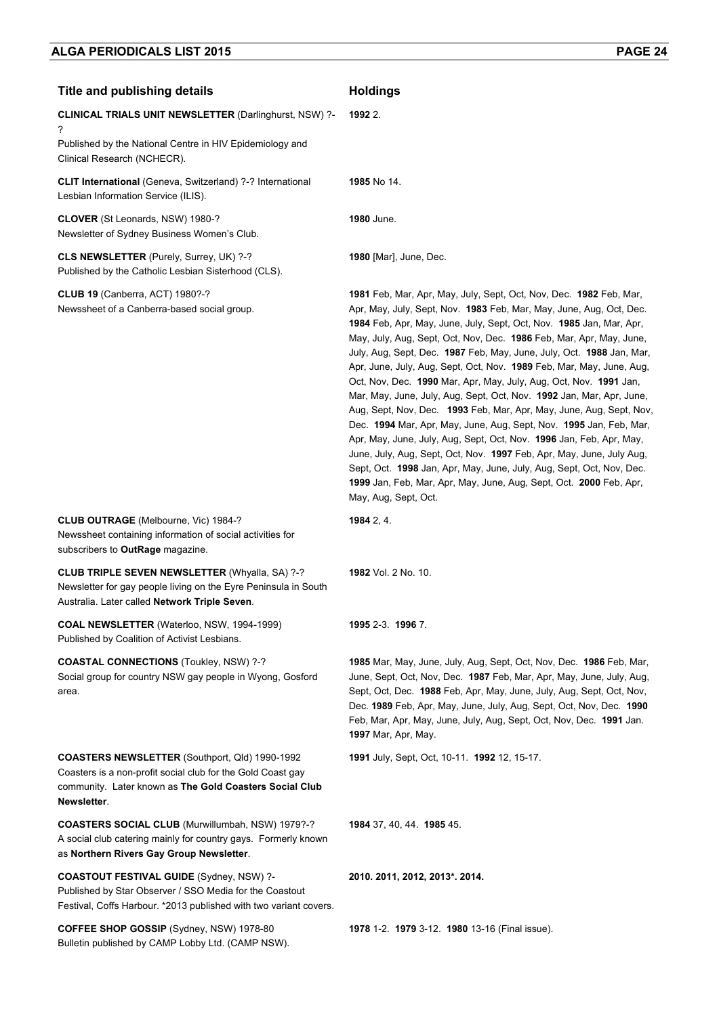| <b>Title and publishing details</b>                                                                                                                                                            | <b>Holdings</b>                                                                                                                                                                                                                                                                                                                                                                                                                                                                                                                                                                                                                                                                                                                                                                                                                                                                                                                                                                                                                                        |
|------------------------------------------------------------------------------------------------------------------------------------------------------------------------------------------------|--------------------------------------------------------------------------------------------------------------------------------------------------------------------------------------------------------------------------------------------------------------------------------------------------------------------------------------------------------------------------------------------------------------------------------------------------------------------------------------------------------------------------------------------------------------------------------------------------------------------------------------------------------------------------------------------------------------------------------------------------------------------------------------------------------------------------------------------------------------------------------------------------------------------------------------------------------------------------------------------------------------------------------------------------------|
| <b>CLINICAL TRIALS UNIT NEWSLETTER (Darlinghurst, NSW) ?-</b>                                                                                                                                  | 1992 2.                                                                                                                                                                                                                                                                                                                                                                                                                                                                                                                                                                                                                                                                                                                                                                                                                                                                                                                                                                                                                                                |
| ?<br>Published by the National Centre in HIV Epidemiology and<br>Clinical Research (NCHECR).                                                                                                   |                                                                                                                                                                                                                                                                                                                                                                                                                                                                                                                                                                                                                                                                                                                                                                                                                                                                                                                                                                                                                                                        |
| <b>CLIT International</b> (Geneva, Switzerland) ?-? International<br>Lesbian Information Service (ILIS).                                                                                       | 1985 No 14.                                                                                                                                                                                                                                                                                                                                                                                                                                                                                                                                                                                                                                                                                                                                                                                                                                                                                                                                                                                                                                            |
| CLOVER (St Leonards, NSW) 1980-?<br>Newsletter of Sydney Business Women's Club.                                                                                                                | <b>1980</b> June.                                                                                                                                                                                                                                                                                                                                                                                                                                                                                                                                                                                                                                                                                                                                                                                                                                                                                                                                                                                                                                      |
| CLS NEWSLETTER (Purely, Surrey, UK) ?-?<br>Published by the Catholic Lesbian Sisterhood (CLS).                                                                                                 | <b>1980</b> [Mar], June, Dec.                                                                                                                                                                                                                                                                                                                                                                                                                                                                                                                                                                                                                                                                                                                                                                                                                                                                                                                                                                                                                          |
| <b>CLUB 19 (Canberra, ACT) 1980?-?</b><br>Newssheet of a Canberra-based social group.                                                                                                          | 1981 Feb, Mar, Apr, May, July, Sept, Oct, Nov, Dec. 1982 Feb, Mar,<br>Apr, May, July, Sept, Nov. 1983 Feb, Mar, May, June, Aug, Oct, Dec.<br>1984 Feb, Apr, May, June, July, Sept, Oct, Nov. 1985 Jan, Mar, Apr,<br>May, July, Aug, Sept, Oct, Nov, Dec. 1986 Feb, Mar, Apr, May, June,<br>July, Aug, Sept, Dec. 1987 Feb, May, June, July, Oct. 1988 Jan, Mar,<br>Apr, June, July, Aug, Sept, Oct, Nov. 1989 Feb, Mar, May, June, Aug,<br>Oct, Nov, Dec. 1990 Mar, Apr, May, July, Aug, Oct, Nov. 1991 Jan,<br>Mar, May, June, July, Aug, Sept, Oct, Nov. 1992 Jan, Mar, Apr, June,<br>Aug, Sept, Nov, Dec. 1993 Feb, Mar, Apr, May, June, Aug, Sept, Nov,<br>Dec. 1994 Mar, Apr, May, June, Aug, Sept, Nov. 1995 Jan, Feb, Mar,<br>Apr, May, June, July, Aug, Sept, Oct, Nov. 1996 Jan, Feb, Apr, May,<br>June, July, Aug, Sept, Oct, Nov. 1997 Feb, Apr, May, June, July Aug,<br>Sept, Oct. 1998 Jan, Apr, May, June, July, Aug, Sept, Oct, Nov, Dec.<br>1999 Jan, Feb, Mar, Apr, May, June, Aug, Sept, Oct. 2000 Feb, Apr,<br>May, Aug, Sept, Oct. |
| CLUB OUTRAGE (Melbourne, Vic) 1984-?<br>Newssheet containing information of social activities for<br>subscribers to OutRage magazine.                                                          | 1984 2, 4.                                                                                                                                                                                                                                                                                                                                                                                                                                                                                                                                                                                                                                                                                                                                                                                                                                                                                                                                                                                                                                             |
| <b>CLUB TRIPLE SEVEN NEWSLETTER (Whyalla, SA) ?-?</b><br>Newsletter for gay people living on the Eyre Peninsula in South<br>Australia. Later called Network Triple Seven.                      | 1982 Vol. 2 No. 10.                                                                                                                                                                                                                                                                                                                                                                                                                                                                                                                                                                                                                                                                                                                                                                                                                                                                                                                                                                                                                                    |
| COAL NEWSLETTER (Waterloo, NSW, 1994-1999)<br>Published by Coalition of Activist Lesbians.                                                                                                     | 1995 2-3. 1996 7.                                                                                                                                                                                                                                                                                                                                                                                                                                                                                                                                                                                                                                                                                                                                                                                                                                                                                                                                                                                                                                      |
| <b>COASTAL CONNECTIONS (Toukley, NSW) ?-?</b><br>Social group for country NSW gay people in Wyong, Gosford<br>area.                                                                            | 1985 Mar, May, June, July, Aug, Sept, Oct, Nov, Dec. 1986 Feb, Mar,<br>June, Sept, Oct, Nov, Dec. 1987 Feb, Mar, Apr, May, June, July, Aug,<br>Sept, Oct, Dec. 1988 Feb, Apr, May, June, July, Aug, Sept, Oct, Nov,<br>Dec. 1989 Feb, Apr, May, June, July, Aug, Sept, Oct, Nov, Dec. 1990<br>Feb, Mar, Apr, May, June, July, Aug, Sept, Oct, Nov, Dec. 1991 Jan.<br><b>1997</b> Mar, Apr, May.                                                                                                                                                                                                                                                                                                                                                                                                                                                                                                                                                                                                                                                        |
| <b>COASTERS NEWSLETTER (Southport, Qld) 1990-1992</b><br>Coasters is a non-profit social club for the Gold Coast gay<br>community. Later known as The Gold Coasters Social Club<br>Newsletter. | 1991 July, Sept, Oct, 10-11. 1992 12, 15-17.                                                                                                                                                                                                                                                                                                                                                                                                                                                                                                                                                                                                                                                                                                                                                                                                                                                                                                                                                                                                           |
| COASTERS SOCIAL CLUB (Murwillumbah, NSW) 1979?-?<br>A social club catering mainly for country gays. Formerly known<br>as Northern Rivers Gay Group Newsletter.                                 | 1984 37, 40, 44. 1985 45.                                                                                                                                                                                                                                                                                                                                                                                                                                                                                                                                                                                                                                                                                                                                                                                                                                                                                                                                                                                                                              |
| <b>COASTOUT FESTIVAL GUIDE (Sydney, NSW) ?-</b><br>Published by Star Observer / SSO Media for the Coastout<br>Festival, Coffs Harbour. *2013 published with two variant covers.                | 2010. 2011, 2012, 2013*. 2014.                                                                                                                                                                                                                                                                                                                                                                                                                                                                                                                                                                                                                                                                                                                                                                                                                                                                                                                                                                                                                         |
| <b>COFFEE SHOP GOSSIP</b> (Sydney, NSW) 1978-80<br>Bulletin published by CAMP Lobby Ltd. (CAMP NSW).                                                                                           | <b>1978</b> 1-2. <b>1979</b> 3-12. <b>1980</b> 13-16 (Final issue).                                                                                                                                                                                                                                                                                                                                                                                                                                                                                                                                                                                                                                                                                                                                                                                                                                                                                                                                                                                    |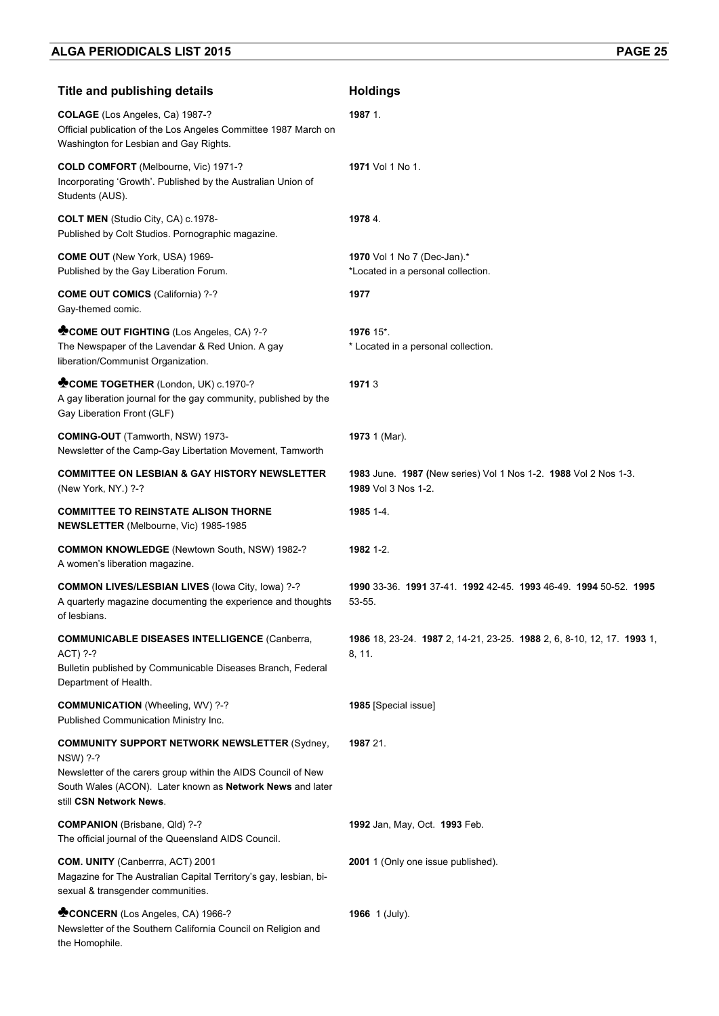| <b>Title and publishing details</b>                                                                                                                                                                                       | <b>Holdings</b>                                                                        |
|---------------------------------------------------------------------------------------------------------------------------------------------------------------------------------------------------------------------------|----------------------------------------------------------------------------------------|
| COLAGE (Los Angeles, Ca) 1987-?<br>Official publication of the Los Angeles Committee 1987 March on<br>Washington for Lesbian and Gay Rights.                                                                              | 1987 1.                                                                                |
| COLD COMFORT (Melbourne, Vic) 1971-?<br>Incorporating 'Growth'. Published by the Australian Union of<br>Students (AUS).                                                                                                   | 1971 Vol 1 No 1.                                                                       |
| <b>COLT MEN</b> (Studio City, CA) c.1978-<br>Published by Colt Studios. Pornographic magazine.                                                                                                                            | 1978 4.                                                                                |
| COME OUT (New York, USA) 1969-<br>Published by the Gay Liberation Forum.                                                                                                                                                  | 1970 Vol 1 No 7 (Dec-Jan).*<br>*Located in a personal collection.                      |
| <b>COME OUT COMICS (California) ?-?</b><br>Gay-themed comic.                                                                                                                                                              | 1977                                                                                   |
| COME OUT FIGHTING (Los Angeles, CA) ?-?<br>The Newspaper of the Lavendar & Red Union. A gay<br>liberation/Communist Organization.                                                                                         | 1976 15*.<br>* Located in a personal collection.                                       |
| COME TOGETHER (London, UK) c.1970-?<br>A gay liberation journal for the gay community, published by the<br>Gay Liberation Front (GLF)                                                                                     | 19713                                                                                  |
| COMING-OUT (Tamworth, NSW) 1973-<br>Newsletter of the Camp-Gay Libertation Movement, Tamworth                                                                                                                             | 1973 1 (Mar).                                                                          |
| <b>COMMITTEE ON LESBIAN &amp; GAY HISTORY NEWSLETTER</b><br>(New York, NY.) ?-?                                                                                                                                           | 1983 June. 1987 (New series) Vol 1 Nos 1-2. 1988 Vol 2 Nos 1-3.<br>1989 Vol 3 Nos 1-2. |
| <b>COMMITTEE TO REINSTATE ALISON THORNE</b><br><b>NEWSLETTER</b> (Melbourne, Vic) 1985-1985                                                                                                                               | 1985 1-4.                                                                              |
| <b>COMMON KNOWLEDGE (Newtown South, NSW) 1982-?</b><br>A women's liberation magazine.                                                                                                                                     | 1982 1-2.                                                                              |
| <b>COMMON LIVES/LESBIAN LIVES (lowa City, lowa) ?-?</b><br>A quarterly magazine documenting the experience and thoughts<br>of lesbians.                                                                                   | 1990 33-36, 1991 37-41, 1992 42-45, 1993 46-49, 1994 50-52, 1995<br>53-55.             |
| <b>COMMUNICABLE DISEASES INTELLIGENCE (Canberra,</b><br>ACT) ?-?<br>Bulletin published by Communicable Diseases Branch, Federal<br>Department of Health.                                                                  | 1986 18, 23-24. 1987 2, 14-21, 23-25. 1988 2, 6, 8-10, 12, 17. 1993 1,<br>8, 11.       |
| <b>COMMUNICATION</b> (Wheeling, WV) ?-?<br>Published Communication Ministry Inc.                                                                                                                                          | 1985 [Special issue]                                                                   |
| <b>COMMUNITY SUPPORT NETWORK NEWSLETTER (Sydney,</b><br>NSW) ?-?<br>Newsletter of the carers group within the AIDS Council of New<br>South Wales (ACON). Later known as Network News and later<br>still CSN Network News. | 1987 21.                                                                               |
| <b>COMPANION</b> (Brisbane, Qld) ?-?<br>The official journal of the Queensland AIDS Council.                                                                                                                              | 1992 Jan, May, Oct. 1993 Feb.                                                          |
| <b>COM. UNITY</b> (Canberrra, ACT) 2001<br>Magazine for The Australian Capital Territory's gay, lesbian, bi-<br>sexual & transgender communities.                                                                         | 2001 1 (Only one issue published).                                                     |
| CONCERN (Los Angeles, CA) 1966-?<br>Newsletter of the Southern California Council on Religion and<br>the Homophile.                                                                                                       | 1966 $1$ (July).                                                                       |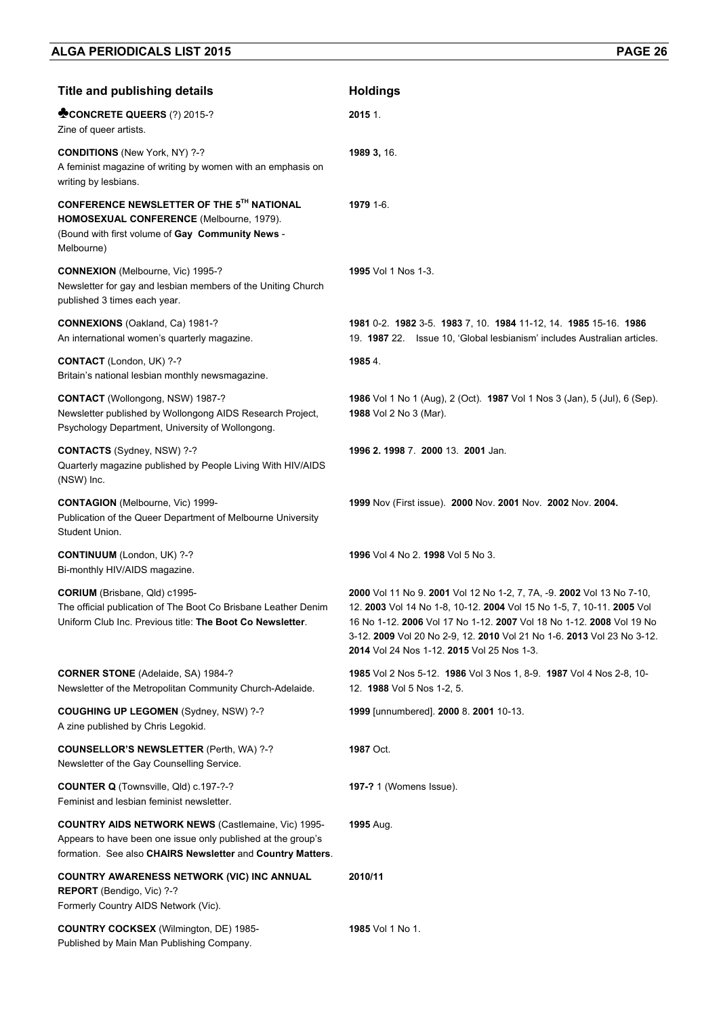| <b>Title and publishing details</b>                                                                                                                                                     | <b>Holdings</b>                                                                                                                                                                                                                                                                                                                                |
|-----------------------------------------------------------------------------------------------------------------------------------------------------------------------------------------|------------------------------------------------------------------------------------------------------------------------------------------------------------------------------------------------------------------------------------------------------------------------------------------------------------------------------------------------|
| CONCRETE QUEERS (?) 2015-?<br>Zine of queer artists.                                                                                                                                    | 2015 1                                                                                                                                                                                                                                                                                                                                         |
| <b>CONDITIONS</b> (New York, NY) ?-?<br>A feminist magazine of writing by women with an emphasis on<br>writing by lesbians.                                                             | 1989 3, 16.                                                                                                                                                                                                                                                                                                                                    |
| CONFERENCE NEWSLETTER OF THE 5TH NATIONAL<br>HOMOSEXUAL CONFERENCE (Melbourne, 1979).<br>(Bound with first volume of Gay Community News -<br>Melbourne)                                 | 1979 1-6.                                                                                                                                                                                                                                                                                                                                      |
| CONNEXION (Melbourne, Vic) 1995-?<br>Newsletter for gay and lesbian members of the Uniting Church<br>published 3 times each year.                                                       | 1995 Vol 1 Nos 1-3.                                                                                                                                                                                                                                                                                                                            |
| CONNEXIONS (Oakland, Ca) 1981-?<br>An international women's quarterly magazine.                                                                                                         | 1981 0-2. 1982 3-5. 1983 7, 10. 1984 11-12, 14. 1985 15-16. 1986<br>19. 1987 22. Issue 10, 'Global lesbianism' includes Australian articles.                                                                                                                                                                                                   |
| CONTACT (London, UK) ?-?<br>Britain's national lesbian monthly newsmagazine.                                                                                                            | 1985 4.                                                                                                                                                                                                                                                                                                                                        |
| CONTACT (Wollongong, NSW) 1987-?<br>Newsletter published by Wollongong AIDS Research Project,<br>Psychology Department, University of Wollongong.                                       | 1986 Vol 1 No 1 (Aug), 2 (Oct). 1987 Vol 1 Nos 3 (Jan), 5 (Jul), 6 (Sep).<br>1988 Vol 2 No 3 (Mar).                                                                                                                                                                                                                                            |
| CONTACTS (Sydney, NSW) ?-?<br>Quarterly magazine published by People Living With HIV/AIDS<br>(NSW) Inc.                                                                                 | 1996 2.1998 7. 2000 13. 2001 Jan.                                                                                                                                                                                                                                                                                                              |
| <b>CONTAGION</b> (Melbourne, Vic) 1999-<br>Publication of the Queer Department of Melbourne University<br>Student Union.                                                                | 1999 Nov (First issue). 2000 Nov. 2001 Nov. 2002 Nov. 2004.                                                                                                                                                                                                                                                                                    |
| CONTINUUM (London, UK) ?-?<br>Bi-monthly HIV/AIDS magazine.                                                                                                                             | 1996 Vol 4 No 2. 1998 Vol 5 No 3.                                                                                                                                                                                                                                                                                                              |
| CORIUM (Brisbane, Qld) c1995-<br>The official publication of The Boot Co Brisbane Leather Denim<br>Uniform Club Inc. Previous title: The Boot Co Newsletter                             | 2000 Vol 11 No 9. 2001 Vol 12 No 1-2, 7, 7A, -9. 2002 Vol 13 No 7-10,<br>12. 2003 Vol 14 No 1-8, 10-12. 2004 Vol 15 No 1-5, 7, 10-11. 2005 Vol<br>16 No 1-12. 2006 Vol 17 No 1-12. 2007 Vol 18 No 1-12. 2008 Vol 19 No<br>3-12. 2009 Vol 20 No 2-9, 12. 2010 Vol 21 No 1-6. 2013 Vol 23 No 3-12.<br>2014 Vol 24 Nos 1-12. 2015 Vol 25 Nos 1-3. |
| <b>CORNER STONE</b> (Adelaide, SA) 1984-?<br>Newsletter of the Metropolitan Community Church-Adelaide.                                                                                  | 1985 Vol 2 Nos 5-12. 1986 Vol 3 Nos 1, 8-9. 1987 Vol 4 Nos 2-8, 10-<br>12. 1988 Vol 5 Nos 1-2, 5.                                                                                                                                                                                                                                              |
| COUGHING UP LEGOMEN (Sydney, NSW) ?-?<br>A zine published by Chris Legokid.                                                                                                             | 1999 [unnumbered]. 2000 8. 2001 10-13.                                                                                                                                                                                                                                                                                                         |
| <b>COUNSELLOR'S NEWSLETTER (Perth, WA) ?-?</b><br>Newsletter of the Gay Counselling Service.                                                                                            | <b>1987 Oct.</b>                                                                                                                                                                                                                                                                                                                               |
| COUNTER Q (Townsville, Qld) c.197-?-?<br>Feminist and lesbian feminist newsletter.                                                                                                      | 197-? 1 (Womens Issue).                                                                                                                                                                                                                                                                                                                        |
| <b>COUNTRY AIDS NETWORK NEWS (Castlemaine, Vic) 1995-</b><br>Appears to have been one issue only published at the group's<br>formation. See also CHAIRS Newsletter and Country Matters. | <b>1995</b> Aug.                                                                                                                                                                                                                                                                                                                               |
| COUNTRY AWARENESS NETWORK (VIC) INC ANNUAL<br>REPORT (Bendigo, Vic) ?-?<br>Formerly Country AIDS Network (Vic).                                                                         | 2010/11                                                                                                                                                                                                                                                                                                                                        |
| <b>COUNTRY COCKSEX (Wilmington, DE) 1985-</b><br>Published by Main Man Publishing Company.                                                                                              | 1985 Vol 1 No 1.                                                                                                                                                                                                                                                                                                                               |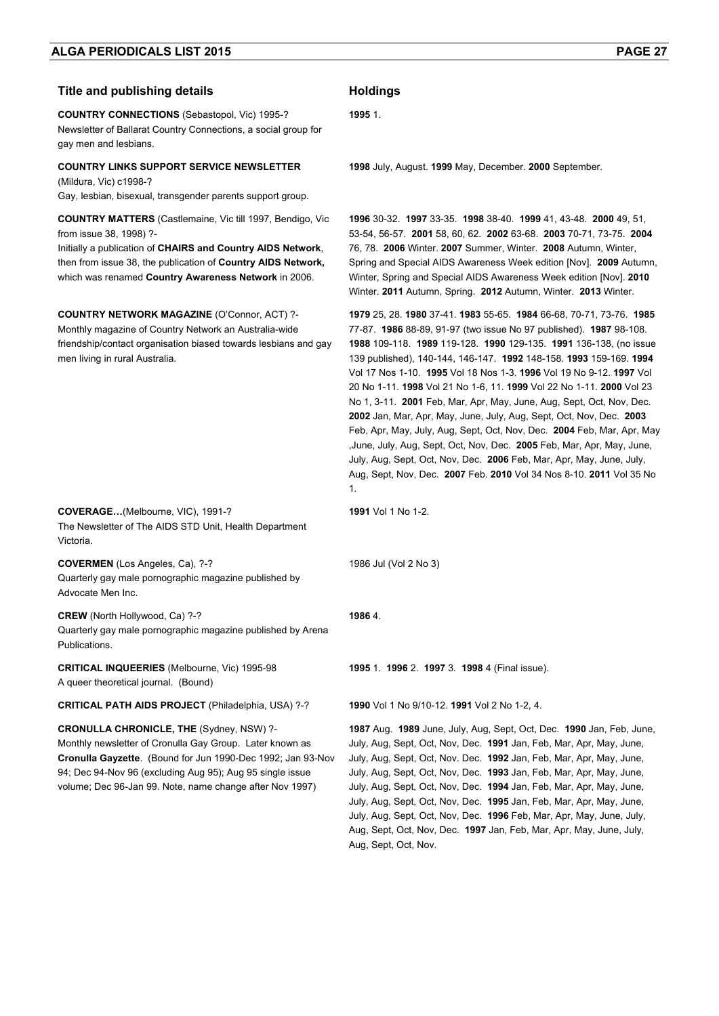#### **Title and publishing details <b>Holdings**

**COUNTRY CONNECTIONS** (Sebastopol, Vic) 1995-? Newsletter of Ballarat Country Connections, a social group for gay men and lesbians.

#### **COUNTRY LINKS SUPPORT SERVICE NEWSLETTER**  (Mildura, Vic) c1998-?

Gay, lesbian, bisexual, transgender parents support group.

**COUNTRY MATTERS** (Castlemaine, Vic till 1997, Bendigo, Vic from issue 38, 1998) ?-

Initially a publication of **CHAIRS and Country AIDS Network**, then from issue 38, the publication of **Country AIDS Network,**  which was renamed **Country Awareness Network** in 2006.

**COUNTRY NETWORK MAGAZINE** (O'Connor, ACT) ?- Monthly magazine of Country Network an Australia-wide friendship/contact organisation biased towards lesbians and gay men living in rural Australia.

**COVERAGE…**(Melbourne, VIC), 1991-? The Newsletter of The AIDS STD Unit, Health Department Victoria.

**COVERMEN** (Los Angeles, Ca), ?-? Quarterly gay male pornographic magazine published by Advocate Men Inc.

**CREW** (North Hollywood, Ca) ?-? Quarterly gay male pornographic magazine published by Arena **Publications** 

**CRITICAL INQUEERIES** (Melbourne, Vic) 1995-98 A queer theoretical journal. (Bound)

**CRITICAL PATH AIDS PROJECT** (Philadelphia, USA) ?-? **1990** Vol 1 No 9/10-12. **1991** Vol 2 No 1-2, 4.

**CRONULLA CHRONICLE, THE** (Sydney, NSW) ?- Monthly newsletter of Cronulla Gay Group. Later known as **Cronulla Gayzette**. (Bound for Jun 1990-Dec 1992; Jan 93-Nov 94; Dec 94-Nov 96 (excluding Aug 95); Aug 95 single issue volume; Dec 96-Jan 99. Note, name change after Nov 1997)

**1995** 1.

**1998** July, August. **1999** May, December. **2000** September.

**1996** 30-32. **1997** 33-35. **1998** 38-40. **1999** 41, 43-48. **2000** 49, 51, 53-54, 56-57. **2001** 58, 60, 62. **2002** 63-68. **2003** 70-71, 73-75. **2004** 76, 78. **2006** Winter. **2007** Summer, Winter. **2008** Autumn, Winter, Spring and Special AIDS Awareness Week edition [Nov]. **2009** Autumn, Winter, Spring and Special AIDS Awareness Week edition [Nov]. **2010**  Winter. **2011** Autumn, Spring. **2012** Autumn, Winter. **2013** Winter.

**1979** 25, 28. **1980** 37-41. **1983** 55-65. **1984** 66-68, 70-71, 73-76. **1985**  77-87. **1986** 88-89, 91-97 (two issue No 97 published). **1987** 98-108. **1988** 109-118. **1989** 119-128. **1990** 129-135. **1991** 136-138, (no issue 139 published), 140-144, 146-147. **1992** 148-158. **1993** 159-169. **1994** Vol 17 Nos 1-10. **1995** Vol 18 Nos 1-3. **1996** Vol 19 No 9-12. **1997** Vol 20 No 1-11. **1998** Vol 21 No 1-6, 11. **1999** Vol 22 No 1-11. **2000** Vol 23 No 1, 3-11. **2001** Feb, Mar, Apr, May, June, Aug, Sept, Oct, Nov, Dec. **2002** Jan, Mar, Apr, May, June, July, Aug, Sept, Oct, Nov, Dec. **2003** Feb, Apr, May, July, Aug, Sept, Oct, Nov, Dec. **2004** Feb, Mar, Apr, May ,June, July, Aug, Sept, Oct, Nov, Dec. **2005** Feb, Mar, Apr, May, June, July, Aug, Sept, Oct, Nov, Dec. **2006** Feb, Mar, Apr, May, June, July, Aug, Sept, Nov, Dec. **2007** Feb. **2010** Vol 34 Nos 8-10. **2011** Vol 35 No 1.

**1991** Vol 1 No 1-2.

1986 Jul (Vol 2 No 3)

#### **1986** 4.

**1995** 1. **1996** 2. **1997** 3. **1998** 4 (Final issue).

**1987** Aug. **1989** June, July, Aug, Sept, Oct, Dec. **1990** Jan, Feb, June, July, Aug, Sept, Oct, Nov, Dec. **1991** Jan, Feb, Mar, Apr, May, June, July, Aug, Sept, Oct, Nov. Dec. **1992** Jan, Feb, Mar, Apr, May, June, July, Aug, Sept, Oct, Nov, Dec. **1993** Jan, Feb, Mar, Apr, May, June, July, Aug, Sept, Oct, Nov, Dec. **1994** Jan, Feb, Mar, Apr, May, June, July, Aug, Sept, Oct, Nov, Dec. **1995** Jan, Feb, Mar, Apr, May, June, July, Aug, Sept, Oct, Nov, Dec. **1996** Feb, Mar, Apr, May, June, July, Aug, Sept, Oct, Nov, Dec. **1997** Jan, Feb, Mar, Apr, May, June, July, Aug, Sept, Oct, Nov.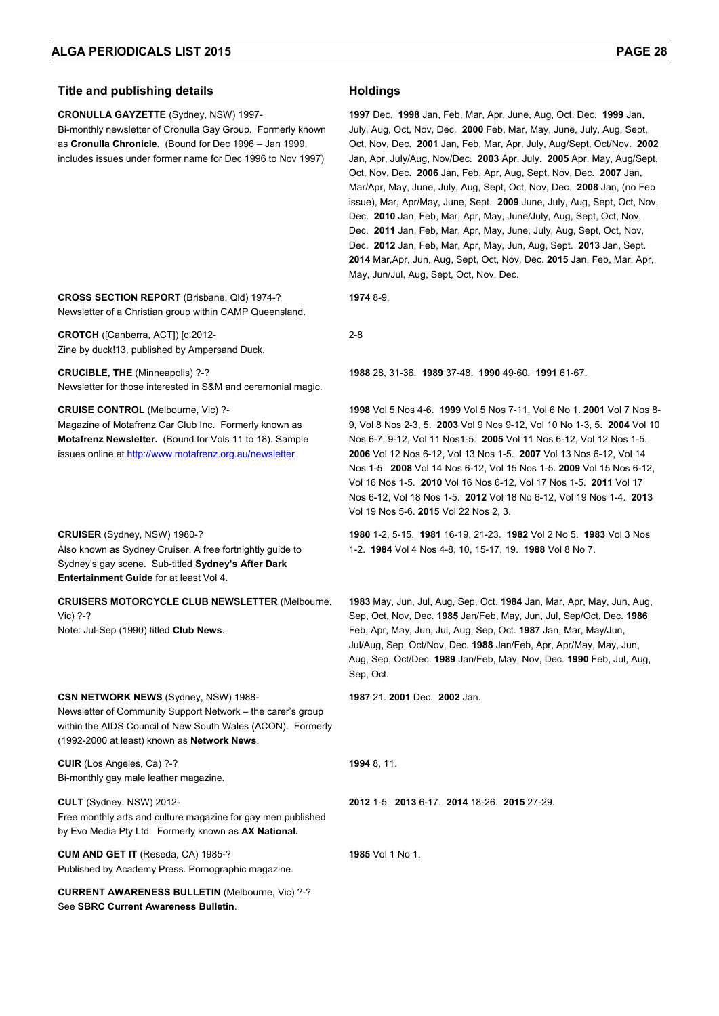#### **Title and publishing details <b>Holdings**

**CRONULLA GAYZETTE** (Sydney, NSW) 1997-

Bi-monthly newsletter of Cronulla Gay Group. Formerly known as **Cronulla Chronicle**. (Bound for Dec 1996 – Jan 1999, includes issues under former name for Dec 1996 to Nov 1997)

**CROSS SECTION REPORT** (Brisbane, Qld) 1974-? Newsletter of a Christian group within CAMP Queensland.

**CROTCH** ([Canberra, ACT]) [c.2012- Zine by duck!13, published by Ampersand Duck.

**CRUCIBLE, THE** (Minneapolis) ?-? Newsletter for those interested in S&M and ceremonial magic.

#### **CRUISE CONTROL** (Melbourne, Vic) ?-

Magazine of Motafrenz Car Club Inc. Formerly known as **Motafrenz Newsletter.** (Bound for Vols 11 to 18). Sample issues online at http://www.motafrenz.org.au/newsletter

**CRUISER** (Sydney, NSW) 1980-? Also known as Sydney Cruiser. A free fortnightly guide to Sydney's gay scene. Sub-titled **Sydney's After Dark Entertainment Guide** for at least Vol 4**.**

**CRUISERS MOTORCYCLE CLUB NEWSLETTER** (Melbourne, Vic) ?-?

Note: Jul-Sep (1990) titled **Club News**.

#### **CSN NETWORK NEWS** (Sydney, NSW) 1988-

Newsletter of Community Support Network – the carer's group within the AIDS Council of New South Wales (ACON). Formerly (1992-2000 at least) known as **Network News**.

**CUIR** (Los Angeles, Ca) ?-? Bi-monthly gay male leather magazine.

**CULT** (Sydney, NSW) 2012- Free monthly arts and culture magazine for gay men published by Evo Media Pty Ltd. Formerly known as **AX National.**

**CUM AND GET IT** (Reseda, CA) 1985-? Published by Academy Press. Pornographic magazine.

**CURRENT AWARENESS BULLETIN** (Melbourne, Vic) ?-? See **SBRC Current Awareness Bulletin**.

**1997** Dec. **1998** Jan, Feb, Mar, Apr, June, Aug, Oct, Dec. **1999** Jan, July, Aug, Oct, Nov, Dec. **2000** Feb, Mar, May, June, July, Aug, Sept, Oct, Nov, Dec. **2001** Jan, Feb, Mar, Apr, July, Aug/Sept, Oct/Nov. **2002** Jan, Apr, July/Aug, Nov/Dec. **2003** Apr, July. **2005** Apr, May, Aug/Sept, Oct, Nov, Dec. **2006** Jan, Feb, Apr, Aug, Sept, Nov, Dec. **2007** Jan, Mar/Apr, May, June, July, Aug, Sept, Oct, Nov, Dec. **2008** Jan, (no Feb issue), Mar, Apr/May, June, Sept. **2009** June, July, Aug, Sept, Oct, Nov, Dec. **2010** Jan, Feb, Mar, Apr, May, June/July, Aug, Sept, Oct, Nov, Dec. **2011** Jan, Feb, Mar, Apr, May, June, July, Aug, Sept, Oct, Nov, Dec. **2012** Jan, Feb, Mar, Apr, May, Jun, Aug, Sept. **2013** Jan, Sept. **2014** Mar,Apr, Jun, Aug, Sept, Oct, Nov, Dec. **2015** Jan, Feb, Mar, Apr, May, Jun/Jul, Aug, Sept, Oct, Nov, Dec.

**1974** 8-9.

2-8

**1988** 28, 31-36. **1989** 37-48. **1990** 49-60. **1991** 61-67.

**1998** Vol 5 Nos 4-6. **1999** Vol 5 Nos 7-11, Vol 6 No 1. **2001** Vol 7 Nos 8- 9, Vol 8 Nos 2-3, 5. **2003** Vol 9 Nos 9-12, Vol 10 No 1-3, 5. **2004** Vol 10 Nos 6-7, 9-12, Vol 11 Nos1-5. **2005** Vol 11 Nos 6-12, Vol 12 Nos 1-5. **2006** Vol 12 Nos 6-12, Vol 13 Nos 1-5. **2007** Vol 13 Nos 6-12, Vol 14 Nos 1-5. **2008** Vol 14 Nos 6-12, Vol 15 Nos 1-5. **2009** Vol 15 Nos 6-12, Vol 16 Nos 1-5. **2010** Vol 16 Nos 6-12, Vol 17 Nos 1-5. **2011** Vol 17 Nos 6-12, Vol 18 Nos 1-5. **2012** Vol 18 No 6-12, Vol 19 Nos 1-4. **2013** Vol 19 Nos 5-6. **2015** Vol 22 Nos 2, 3.

**1980** 1-2, 5-15. **1981** 16-19, 21-23. **1982** Vol 2 No 5. **1983** Vol 3 Nos 1-2. **1984** Vol 4 Nos 4-8, 10, 15-17, 19. **1988** Vol 8 No 7.

**1983** May, Jun, Jul, Aug, Sep, Oct. **1984** Jan, Mar, Apr, May, Jun, Aug, Sep, Oct, Nov, Dec. **1985** Jan/Feb, May, Jun, Jul, Sep/Oct, Dec. **1986**  Feb, Apr, May, Jun, Jul, Aug, Sep, Oct. **1987** Jan, Mar, May/Jun, Jul/Aug, Sep, Oct/Nov, Dec. **1988** Jan/Feb, Apr, Apr/May, May, Jun, Aug, Sep, Oct/Dec. **1989** Jan/Feb, May, Nov, Dec. **1990** Feb, Jul, Aug, Sep, Oct.

**1987** 21. **2001** Dec. **2002** Jan.

**1994** 8, 11.

**2012** 1-5. **2013** 6-17. **2014** 18-26. **2015** 27-29.

**1985** Vol 1 No 1.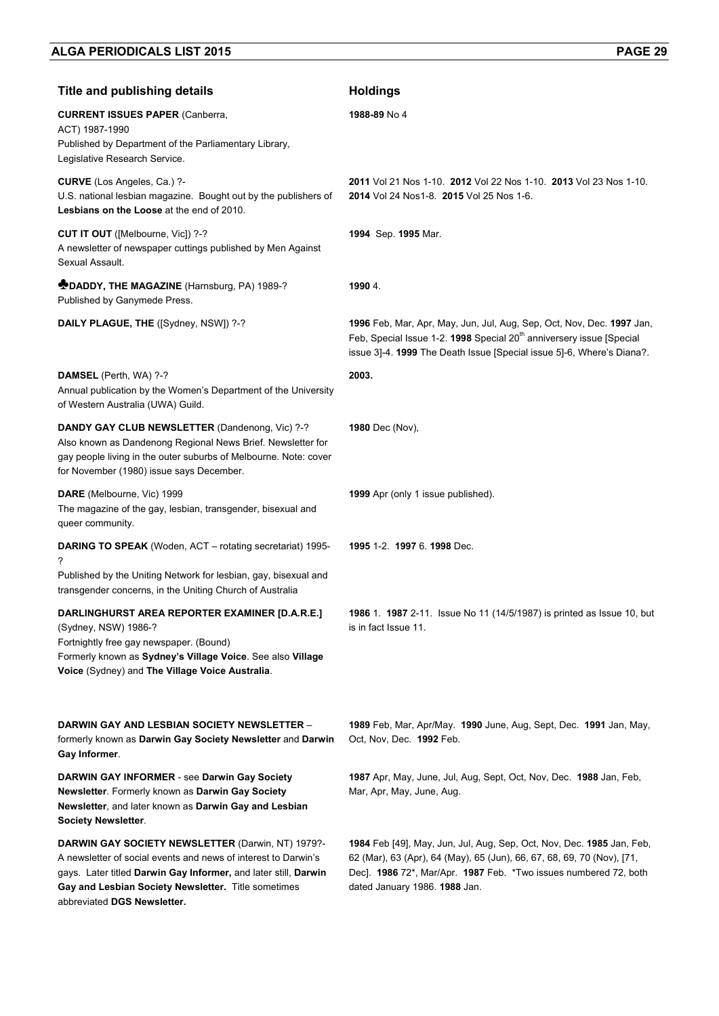| <b>Title and publishing details</b>                                                                                                                                                                                                                                                 | <b>Holdings</b>                                                                                                                                                                                                                                      |
|-------------------------------------------------------------------------------------------------------------------------------------------------------------------------------------------------------------------------------------------------------------------------------------|------------------------------------------------------------------------------------------------------------------------------------------------------------------------------------------------------------------------------------------------------|
| <b>CURRENT ISSUES PAPER (Canberra,</b><br>ACT) 1987-1990<br>Published by Department of the Parliamentary Library,<br>Legislative Research Service.                                                                                                                                  | 1988-89 No 4                                                                                                                                                                                                                                         |
| <b>CURVE</b> (Los Angeles, Ca.) ?-<br>U.S. national lesbian magazine. Bought out by the publishers of<br>Lesbians on the Loose at the end of 2010.                                                                                                                                  | 2011 Vol 21 Nos 1-10. 2012 Vol 22 Nos 1-10. 2013 Vol 23 Nos 1-10.<br>2014 Vol 24 Nos1-8. 2015 Vol 25 Nos 1-6.                                                                                                                                        |
| CUT IT OUT ([Melbourne, Vic]) ?-?<br>A newsletter of newspaper cuttings published by Men Against<br>Sexual Assault.                                                                                                                                                                 | 1994 Sep. 1995 Mar.                                                                                                                                                                                                                                  |
| <b>DADDY, THE MAGAZINE</b> (Harnsburg, PA) 1989-?<br>Published by Ganymede Press.                                                                                                                                                                                                   | 1990 4.                                                                                                                                                                                                                                              |
| DAILY PLAGUE, THE ([Sydney, NSW]) ?-?                                                                                                                                                                                                                                               | 1996 Feb, Mar, Apr, May, Jun, Jul, Aug, Sep, Oct, Nov, Dec. 1997 Jan,<br>Feb, Special Issue 1-2. 1998 Special 20 <sup>th</sup> anniversery issue [Special<br>issue 3]-4. 1999 The Death Issue [Special issue 5]-6, Where's Diana?.                   |
| <b>DAMSEL</b> (Perth, WA) ?-?<br>Annual publication by the Women's Department of the University<br>of Western Australia (UWA) Guild.                                                                                                                                                | 2003.                                                                                                                                                                                                                                                |
| DANDY GAY CLUB NEWSLETTER (Dandenong, Vic) ?-?<br>Also known as Dandenong Regional News Brief. Newsletter for<br>gay people living in the outer suburbs of Melbourne. Note: cover<br>for November (1980) issue says December.                                                       | 1980 Dec (Nov),                                                                                                                                                                                                                                      |
| DARE (Melbourne, Vic) 1999<br>The magazine of the gay, lesbian, transgender, bisexual and<br>queer community.                                                                                                                                                                       | 1999 Apr (only 1 issue published).                                                                                                                                                                                                                   |
| <b>DARING TO SPEAK</b> (Woden, ACT - rotating secretariat) 1995-<br>?<br>Published by the Uniting Network for lesbian, gay, bisexual and<br>transgender concerns, in the Uniting Church of Australia                                                                                | 1995 1-2 1997 6. 1998 Dec.                                                                                                                                                                                                                           |
| DARLINGHURST AREA REPORTER EXAMINER [D.A.R.E.]<br>(Sydney, NSW) 1986-?<br>Fortnightly free gay newspaper. (Bound)<br>Formerly known as Sydney's Village Voice. See also Village<br>Voice (Sydney) and The Village Voice Australia.                                                  | 1986 1. 1987 2-11. Issue No 11 (14/5/1987) is printed as Issue 10, but<br>is in fact Issue 11.                                                                                                                                                       |
| DARWIN GAY AND LESBIAN SOCIETY NEWSLETTER –<br>formerly known as Darwin Gay Society Newsletter and Darwin<br>Gay Informer.                                                                                                                                                          | 1989 Feb, Mar, Apr/May. 1990 June, Aug, Sept, Dec. 1991 Jan, May,<br>Oct. Nov. Dec. 1992 Feb.                                                                                                                                                        |
| <b>DARWIN GAY INFORMER - see Darwin Gay Society</b><br>Newsletter. Formerly known as Darwin Gay Society<br>Newsletter, and later known as Darwin Gay and Lesbian<br><b>Society Newsletter.</b>                                                                                      | 1987 Apr, May, June, Jul, Aug, Sept, Oct, Nov, Dec. 1988 Jan, Feb,<br>Mar, Apr, May, June, Aug.                                                                                                                                                      |
| <b>DARWIN GAY SOCIETY NEWSLETTER (Darwin, NT) 1979?-</b><br>A newsletter of social events and news of interest to Darwin's<br>gays. Later titled Darwin Gay Informer, and later still, Darwin<br>Gay and Lesbian Society Newsletter. Title sometimes<br>abbreviated DGS Newsletter. | 1984 Feb [49], May, Jun, Jul, Aug, Sep, Oct, Nov, Dec. 1985 Jan, Feb,<br>62 (Mar), 63 (Apr), 64 (May), 65 (Jun), 66, 67, 68, 69, 70 (Nov), [71,<br>Dec]. 1986 72*, Mar/Apr. 1987 Feb. *Two issues numbered 72, both<br>dated January 1986. 1988 Jan. |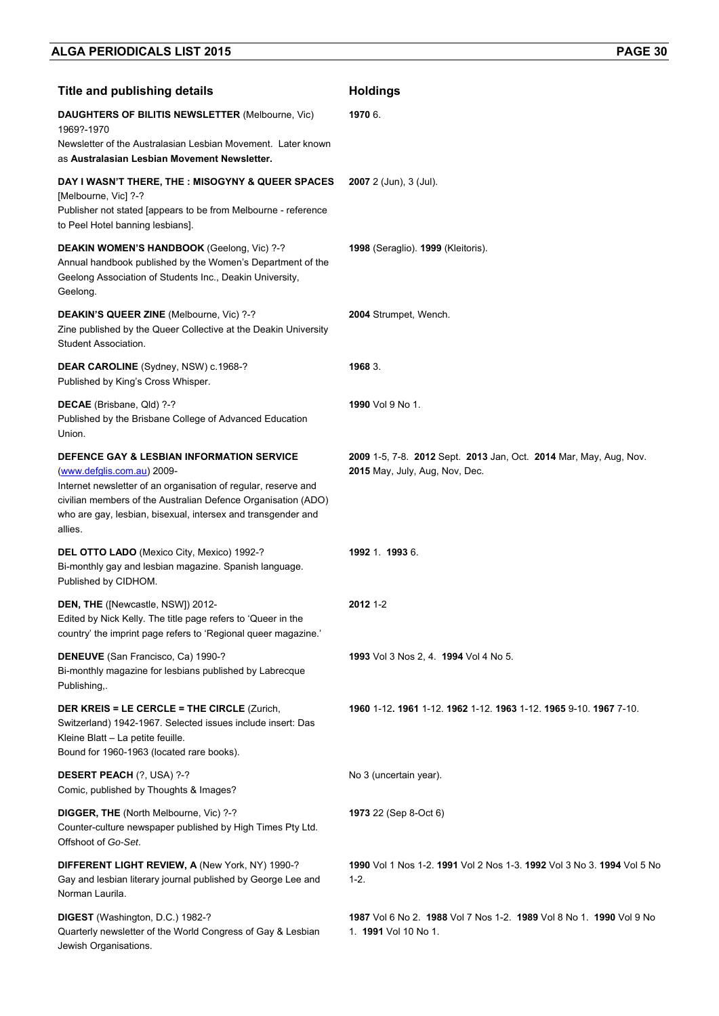| <b>Title and publishing details</b>                                                                                                                                                                                                                                                   | <b>Holdings</b>                                                                                     |
|---------------------------------------------------------------------------------------------------------------------------------------------------------------------------------------------------------------------------------------------------------------------------------------|-----------------------------------------------------------------------------------------------------|
| <b>DAUGHTERS OF BILITIS NEWSLETTER (Melbourne, Vic)</b><br>1969?-1970<br>Newsletter of the Australasian Lesbian Movement. Later known<br>as Australasian Lesbian Movement Newsletter.                                                                                                 | 1970 6.                                                                                             |
| DAY I WASN'T THERE, THE : MISOGYNY & QUEER SPACES<br>[Melbourne, Vic] ?-?<br>Publisher not stated [appears to be from Melbourne - reference<br>to Peel Hotel banning lesbians].                                                                                                       | $2007$ 2 (Jun), 3 (Jul).                                                                            |
| DEAKIN WOMEN'S HANDBOOK (Geelong, Vic) ?-?<br>Annual handbook published by the Women's Department of the<br>Geelong Association of Students Inc., Deakin University,<br>Geelong.                                                                                                      | 1998 (Seraglio). 1999 (Kleitoris).                                                                  |
| <b>DEAKIN'S QUEER ZINE (Melbourne, Vic) ?-?</b><br>Zine published by the Queer Collective at the Deakin University<br>Student Association.                                                                                                                                            | 2004 Strumpet, Wench.                                                                               |
| DEAR CAROLINE (Sydney, NSW) c.1968-?<br>Published by King's Cross Whisper.                                                                                                                                                                                                            | 1968 3.                                                                                             |
| DECAE (Brisbane, Qld) ?-?<br>Published by the Brisbane College of Advanced Education<br>Union.                                                                                                                                                                                        | 1990 Vol 9 No 1.                                                                                    |
| DEFENCE GAY & LESBIAN INFORMATION SERVICE<br>(www.defglis.com.au) 2009-<br>Internet newsletter of an organisation of regular, reserve and<br>civilian members of the Australian Defence Organisation (ADO)<br>who are gay, lesbian, bisexual, intersex and transgender and<br>allies. | 2009 1-5, 7-8. 2012 Sept. 2013 Jan, Oct. 2014 Mar, May, Aug, Nov.<br>2015 May, July, Aug, Nov, Dec. |
| DEL OTTO LADO (Mexico City, Mexico) 1992-?<br>Bi-monthly gay and lesbian magazine. Spanish language.<br>Published by CIDHOM.                                                                                                                                                          | 1992 1 1993 6                                                                                       |
| DEN, THE ([Newcastle, NSW]) 2012-<br>Edited by Nick Kelly. The title page refers to 'Queer in the<br>country' the imprint page refers to 'Regional queer magazine.'                                                                                                                   | 2012 1-2                                                                                            |
| DENEUVE (San Francisco, Ca) 1990-?<br>Bi-monthly magazine for lesbians published by Labrecque<br>Publishing,.                                                                                                                                                                         | 1993 Vol 3 Nos 2, 4. 1994 Vol 4 No 5.                                                               |
| <b>DER KREIS = LE CERCLE = THE CIRCLE (Zurich,</b><br>Switzerland) 1942-1967. Selected issues include insert: Das<br>Kleine Blatt - La petite feuille.<br>Bound for 1960-1963 (located rare books).                                                                                   | 1960 1-12. 1961 1-12. 1962 1-12. 1963 1-12. 1965 9-10. 1967 7-10.                                   |
| <b>DESERT PEACH (?, USA) ?-?</b><br>Comic, published by Thoughts & Images?                                                                                                                                                                                                            | No 3 (uncertain year).                                                                              |
| DIGGER, THE (North Melbourne, Vic) ?-?<br>Counter-culture newspaper published by High Times Pty Ltd.<br>Offshoot of Go-Set.                                                                                                                                                           | <b>1973</b> 22 (Sep 8-Oct 6)                                                                        |
| DIFFERENT LIGHT REVIEW, A (New York, NY) 1990-?<br>Gay and lesbian literary journal published by George Lee and<br>Norman Laurila.                                                                                                                                                    | 1990 Vol 1 Nos 1-2. 1991 Vol 2 Nos 1-3. 1992 Vol 3 No 3. 1994 Vol 5 No<br>$1-2.$                    |
| DIGEST (Washington, D.C.) 1982-?<br>Quarterly newsletter of the World Congress of Gay & Lesbian<br>Jewish Organisations.                                                                                                                                                              | 1987 Vol 6 No 2 1988 Vol 7 Nos 1-2 1989 Vol 8 No 1 1990 Vol 9 No<br>1. <b>1991</b> Vol 10 No 1.     |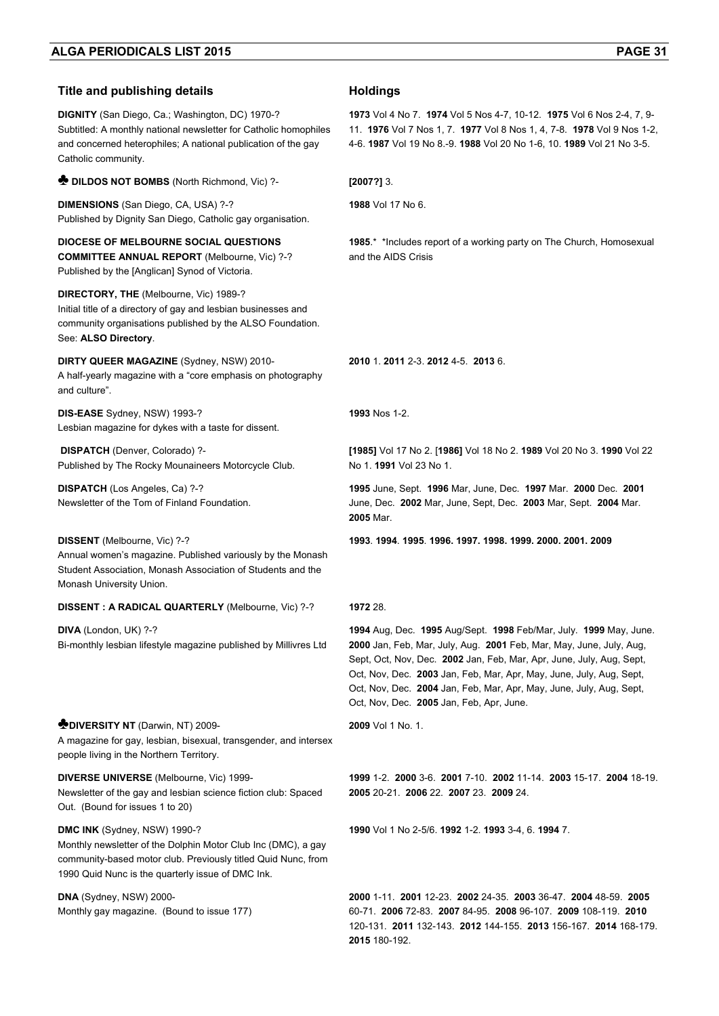#### **Title and publishing details <b>Holdings DIGNITY** (San Diego, Ca.; Washington, DC) 1970-? Subtitled: A monthly national newsletter for Catholic homophiles and concerned heterophiles; A national publication of the gay Catholic community. **1973** Vol 4 No 7. **1974** Vol 5 Nos 4-7, 10-12. **1975** Vol 6 Nos 2-4, 7, 9- 11. **1976** Vol 7 Nos 1, 7. **1977** Vol 8 Nos 1, 4, 7-8. **1978** Vol 9 Nos 1-2, 4-6. **1987** Vol 19 No 8.-9. **1988** Vol 20 No 1-6, 10. **1989** Vol 21 No 3-5. **♣ DILDOS NOT BOMBS** (North Richmond, Vic) ?- **[2007?]** 3. **DIMENSIONS** (San Diego, CA, USA) ?-? Published by Dignity San Diego, Catholic gay organisation. **1988** Vol 17 No 6. **DIOCESE OF MELBOURNE SOCIAL QUESTIONS COMMITTEE ANNUAL REPORT** (Melbourne, Vic) ?-? Published by the [Anglican] Synod of Victoria. **1985**.\* \*Includes report of a working party on The Church, Homosexual and the AIDS Crisis **DIRECTORY, THE** (Melbourne, Vic) 1989-? Initial title of a directory of gay and lesbian businesses and community organisations published by the ALSO Foundation. See: **ALSO Directory**. **DIRTY QUEER MAGAZINE** (Sydney, NSW) 2010- A half-yearly magazine with a "core emphasis on photography and culture". **2010** 1. **2011** 2-3. **2012** 4-5. **2013** 6. **DIS-EASE** Sydney, NSW) 1993-? Lesbian magazine for dykes with a taste for dissent. **1993** Nos 1-2.  **DISPATCH** (Denver, Colorado) ?- Published by The Rocky Mounaineers Motorcycle Club. **[1985]** Vol 17 No 2. [**1986]** Vol 18 No 2. **1989** Vol 20 No 3. **1990** Vol 22 No 1. **1991** Vol 23 No 1. **DISPATCH** (Los Angeles, Ca) ?-? Newsletter of the Tom of Finland Foundation. **1995** June, Sept. **1996** Mar, June, Dec. **1997** Mar. **2000** Dec. **2001** June, Dec. **2002** Mar, June, Sept, Dec. **2003** Mar, Sept. **2004** Mar. **2005** Mar. **DISSENT** (Melbourne, Vic) ?-? Annual women's magazine. Published variously by the Monash Student Association, Monash Association of Students and the Monash University Union. **1993**. **1994**. **1995**. **1996. 1997. 1998. 1999. 2000. 2001. 2009 DISSENT : A RADICAL QUARTERLY** (Melbourne, Vic) ?-? **1972** 28. **DIVA** (London, UK) ?-? Bi-monthly lesbian lifestyle magazine published by Millivres Ltd **1994** Aug, Dec. **1995** Aug/Sept. **1998** Feb/Mar, July. **1999** May, June. **2000** Jan, Feb, Mar, July, Aug. **2001** Feb, Mar, May, June, July, Aug, Sept, Oct, Nov, Dec. **2002** Jan, Feb, Mar, Apr, June, July, Aug, Sept, Oct, Nov, Dec. **2003** Jan, Feb, Mar, Apr, May, June, July, Aug, Sept, Oct, Nov, Dec. **2004** Jan, Feb, Mar, Apr, May, June, July, Aug, Sept, Oct, Nov, Dec. **2005** Jan, Feb, Apr, June. ♣**DIVERSITY NT** (Darwin, NT) 2009- A magazine for gay, lesbian, bisexual, transgender, and intersex people living in the Northern Territory. **2009** Vol 1 No. 1. **DIVERSE UNIVERSE** (Melbourne, Vic) 1999- Newsletter of the gay and lesbian science fiction club: Spaced Out. (Bound for issues 1 to 20) **1999** 1-2. **2000** 3-6. **2001** 7-10. **2002** 11-14. **2003** 15-17. **2004** 18-19. **2005** 20-21. **2006** 22. **2007** 23. **2009** 24. **DMC INK** (Sydney, NSW) 1990-? Monthly newsletter of the Dolphin Motor Club Inc (DMC), a gay community-based motor club. Previously titled Quid Nunc, from 1990 Quid Nunc is the quarterly issue of DMC Ink. **1990** Vol 1 No 2-5/6. **1992** 1-2. **1993** 3-4, 6. **1994** 7. **DNA** (Sydney, NSW) 2000- Monthly gay magazine. (Bound to issue 177) **2000** 1-11. **2001** 12-23. **2002** 24-35. **2003** 36-47. **2004** 48-59. **2005** 60-71. **2006** 72-83. **2007** 84-95. **2008** 96-107. **2009** 108-119. **2010**

120-131. **2011** 132-143. **2012** 144-155. **2013** 156-167. **2014** 168-179.

**2015** 180-192.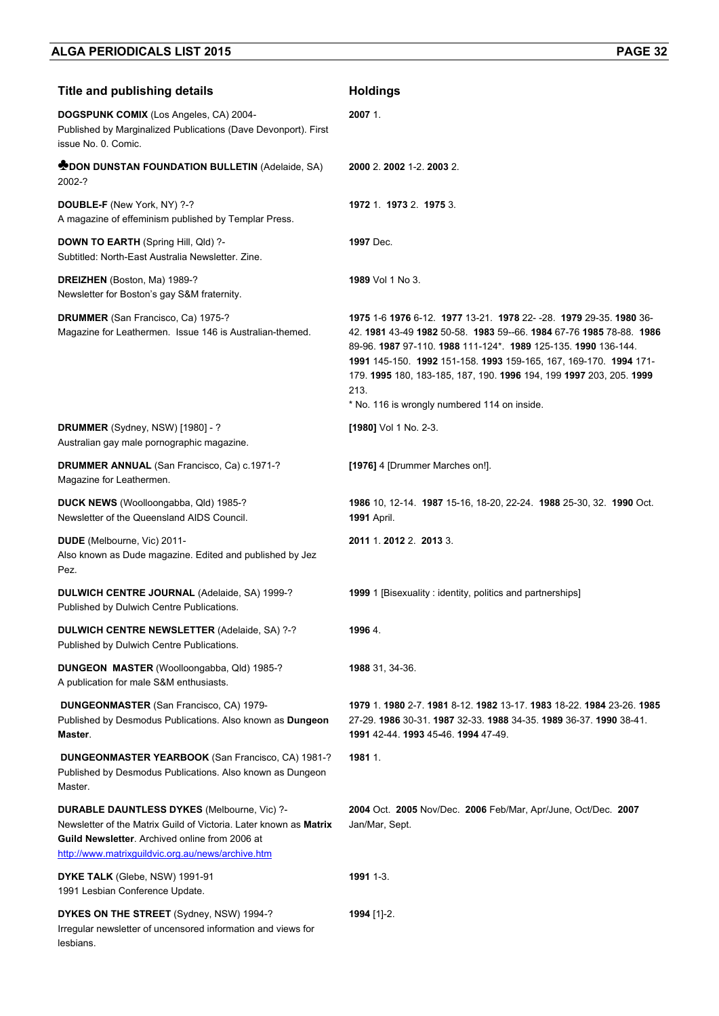| <b>Title and publishing details</b>                                                                                                                                                                                            | <b>Holdings</b>                                                                                                                                                                                                                                                                                                                                                                                            |
|--------------------------------------------------------------------------------------------------------------------------------------------------------------------------------------------------------------------------------|------------------------------------------------------------------------------------------------------------------------------------------------------------------------------------------------------------------------------------------------------------------------------------------------------------------------------------------------------------------------------------------------------------|
| DOGSPUNK COMIX (Los Angeles, CA) 2004-<br>Published by Marginalized Publications (Dave Devonport). First<br>issue No. 0. Comic.                                                                                                | 2007 1.                                                                                                                                                                                                                                                                                                                                                                                                    |
| <b>MOON DUNSTAN FOUNDATION BULLETIN (Adelaide, SA)</b><br>2002-?                                                                                                                                                               | 2000 2.2002 1-2.2003 2.                                                                                                                                                                                                                                                                                                                                                                                    |
| DOUBLE-F (New York, NY) ?-?<br>A magazine of effeminism published by Templar Press.                                                                                                                                            | 1972 1. 1973 2. 1975 3.                                                                                                                                                                                                                                                                                                                                                                                    |
| <b>DOWN TO EARTH (Spring Hill, Qld) ?-</b><br>Subtitled: North-East Australia Newsletter, Zine.                                                                                                                                | 1997 Dec.                                                                                                                                                                                                                                                                                                                                                                                                  |
| <b>DREIZHEN</b> (Boston, Ma) 1989-?<br>Newsletter for Boston's gay S&M fraternity.                                                                                                                                             | <b>1989</b> Vol 1 No 3.                                                                                                                                                                                                                                                                                                                                                                                    |
| DRUMMER (San Francisco, Ca) 1975-?<br>Magazine for Leathermen. Issue 146 is Australian-themed.                                                                                                                                 | 1975 1-6 1976 6-12 1977 13-21 1978 22--28 1979 29-35 1980 36-<br>42, 1981 43-49 1982 50-58, 1983 59--66, 1984 67-76 1985 78-88, 1986<br>89-96. 1987 97-110. 1988 111-124*. 1989 125-135. 1990 136-144.<br>1991 145-150. 1992 151-158. 1993 159-165, 167, 169-170. 1994 171-<br>179. 1995 180, 183-185, 187, 190. 1996 194, 199 1997 203, 205. 1999<br>213.<br>* No. 116 is wrongly numbered 114 on inside. |
| DRUMMER (Sydney, NSW) [1980] - ?<br>Australian gay male pornographic magazine.                                                                                                                                                 | [1980] Vol 1 No. 2-3.                                                                                                                                                                                                                                                                                                                                                                                      |
| <b>DRUMMER ANNUAL (San Francisco, Ca) c.1971-?</b><br>Magazine for Leathermen.                                                                                                                                                 | [1976] 4 [Drummer Marches on!].                                                                                                                                                                                                                                                                                                                                                                            |
| DUCK NEWS (Woolloongabba, Qld) 1985-?<br>Newsletter of the Queensland AIDS Council.                                                                                                                                            | <b>1986</b> 10, 12-14. <b>1987</b> 15-16, 18-20, 22-24. <b>1988</b> 25-30, 32. <b>1990</b> Oct.<br><b>1991 April.</b>                                                                                                                                                                                                                                                                                      |
| DUDE (Melbourne, Vic) 2011-<br>Also known as Dude magazine. Edited and published by Jez<br>Pez.                                                                                                                                | 2011 1.2012 2. 2013 3.                                                                                                                                                                                                                                                                                                                                                                                     |
| DULWICH CENTRE JOURNAL (Adelaide, SA) 1999-?<br>Published by Dulwich Centre Publications.                                                                                                                                      | 1999 1 [Bisexuality : identity, politics and partnerships]                                                                                                                                                                                                                                                                                                                                                 |
| <b>DULWICH CENTRE NEWSLETTER (Adelaide, SA) ?-?</b><br>Published by Dulwich Centre Publications.                                                                                                                               | 1996 4.                                                                                                                                                                                                                                                                                                                                                                                                    |
| DUNGEON MASTER (Woolloongabba, Qld) 1985-?<br>A publication for male S&M enthusiasts.                                                                                                                                          | 1988 31, 34-36.                                                                                                                                                                                                                                                                                                                                                                                            |
| <b>DUNGEONMASTER (San Francisco, CA) 1979-</b><br>Published by Desmodus Publications. Also known as Dungeon<br>Master.                                                                                                         | 1979 1. 1980 2-7. 1981 8-12. 1982 13-17. 1983 18-22. 1984 23-26. 1985<br>27-29. 1986 30-31. 1987 32-33. 1988 34-35. 1989 36-37. 1990 38-41.<br>1991 42-44. 1993 45-46. 1994 47-49.                                                                                                                                                                                                                         |
| <b>DUNGEONMASTER YEARBOOK</b> (San Francisco, CA) 1981-?<br>Published by Desmodus Publications. Also known as Dungeon<br>Master.                                                                                               | 1981 1.                                                                                                                                                                                                                                                                                                                                                                                                    |
| DURABLE DAUNTLESS DYKES (Melbourne, Vic) ?-<br>Newsletter of the Matrix Guild of Victoria. Later known as Matrix<br><b>Guild Newsletter.</b> Archived online from 2006 at<br>http://www.matrixguildvic.org.au/news/archive.htm | 2004 Oct. 2005 Nov/Dec. 2006 Feb/Mar, Apr/June, Oct/Dec. 2007<br>Jan/Mar, Sept.                                                                                                                                                                                                                                                                                                                            |
| DYKE TALK (Glebe, NSW) 1991-91<br>1991 Lesbian Conference Update.                                                                                                                                                              | 1991 1-3.                                                                                                                                                                                                                                                                                                                                                                                                  |
| DYKES ON THE STREET (Sydney, NSW) 1994-?<br>Irregular newsletter of uncensored information and views for<br>lesbians.                                                                                                          | 1994 [1]-2.                                                                                                                                                                                                                                                                                                                                                                                                |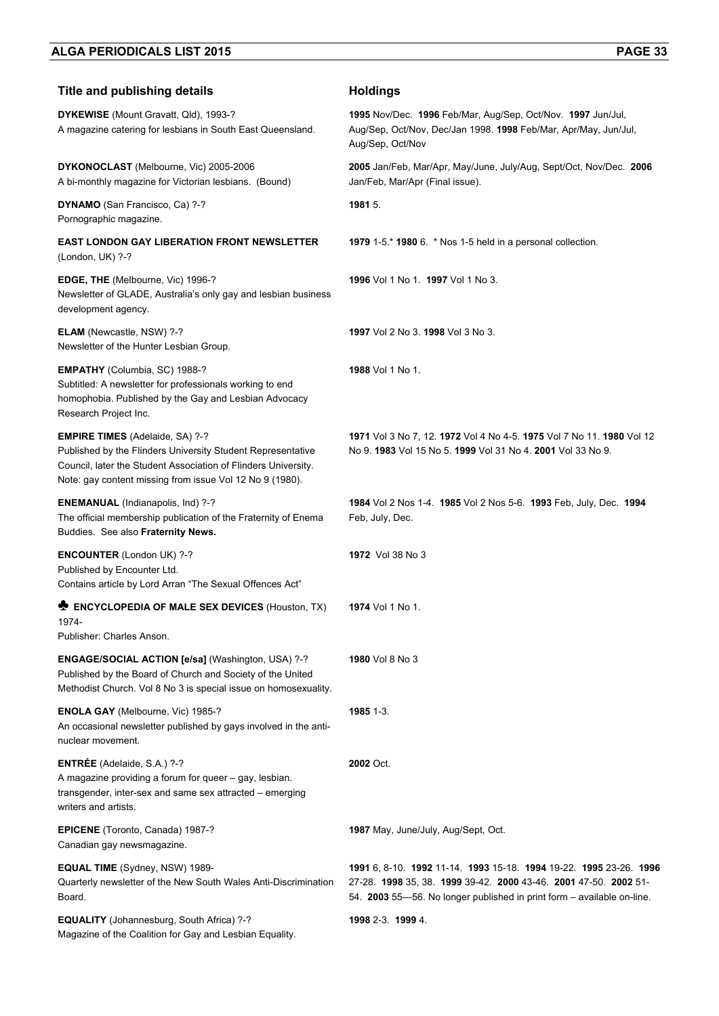| <b>Title and publishing details</b>                                                                                                                                                                                                 | <b>Holdings</b>                                                                                                                                                                                                  |
|-------------------------------------------------------------------------------------------------------------------------------------------------------------------------------------------------------------------------------------|------------------------------------------------------------------------------------------------------------------------------------------------------------------------------------------------------------------|
| DYKEWISE (Mount Gravatt, Qld), 1993-?<br>A magazine catering for lesbians in South East Queensland.                                                                                                                                 | 1995 Nov/Dec. 1996 Feb/Mar, Aug/Sep, Oct/Nov. 1997 Jun/Jul,<br>Aug/Sep, Oct/Nov, Dec/Jan 1998. 1998 Feb/Mar, Apr/May, Jun/Jul,<br>Aug/Sep, Oct/Nov                                                               |
| DYKONOCLAST (Melbourne, Vic) 2005-2006<br>A bi-monthly magazine for Victorian lesbians. (Bound)                                                                                                                                     | 2005 Jan/Feb, Mar/Apr, May/June, July/Aug, Sept/Oct, Nov/Dec. 2006<br>Jan/Feb, Mar/Apr (Final issue).                                                                                                            |
| DYNAMO (San Francisco, Ca) ?-?<br>Pornographic magazine.                                                                                                                                                                            | 1981 5.                                                                                                                                                                                                          |
| <b>EAST LONDON GAY LIBERATION FRONT NEWSLETTER</b><br>(London, UK) ?-?                                                                                                                                                              | 1979 1-5 * 1980 6. * Nos 1-5 held in a personal collection.                                                                                                                                                      |
| EDGE, THE (Melbourne, Vic) 1996-?<br>Newsletter of GLADE, Australia's only gay and lesbian business<br>development agency.                                                                                                          | 1996 Vol 1 No 1. 1997 Vol 1 No 3.                                                                                                                                                                                |
| <b>ELAM</b> (Newcastle, NSW) ?-?<br>Newsletter of the Hunter Lesbian Group.                                                                                                                                                         | 1997 Vol 2 No 3, 1998 Vol 3 No 3.                                                                                                                                                                                |
| <b>EMPATHY</b> (Columbia, SC) 1988-?<br>Subtitled: A newsletter for professionals working to end<br>homophobia. Published by the Gay and Lesbian Advocacy<br>Research Project Inc.                                                  | 1988 Vol 1 No 1.                                                                                                                                                                                                 |
| <b>EMPIRE TIMES</b> (Adelaide, SA) ?-?<br>Published by the Flinders University Student Representative<br>Council, later the Student Association of Flinders University.<br>Note: gay content missing from issue Vol 12 No 9 (1980). | 1971 Vol 3 No 7, 12. 1972 Vol 4 No 4-5. 1975 Vol 7 No 11. 1980 Vol 12<br>No 9. 1983 Vol 15 No 5. 1999 Vol 31 No 4. 2001 Vol 33 No 9.                                                                             |
| <b>ENEMANUAL</b> (Indianapolis, Ind) ?-?<br>The official membership publication of the Fraternity of Enema<br>Buddies. See also Fraternity News.                                                                                    | 1984 Vol 2 Nos 1-4. 1985 Vol 2 Nos 5-6. 1993 Feb, July, Dec. 1994<br>Feb, July, Dec.                                                                                                                             |
| <b>ENCOUNTER</b> (London UK) ?-?<br>Published by Encounter Ltd.<br>Contains article by Lord Arran "The Sexual Offences Act"                                                                                                         | 1972 Vol 38 No 3                                                                                                                                                                                                 |
| <b>ENCYCLOPEDIA OF MALE SEX DEVICES (Houston, TX)</b><br>1974-<br>Publisher: Charles Anson.                                                                                                                                         | <b>1974</b> Vol 1 No 1.                                                                                                                                                                                          |
| <b>ENGAGE/SOCIAL ACTION [e/sa] (Washington, USA) ?-?</b><br>Published by the Board of Church and Society of the United<br>Methodist Church. Vol 8 No 3 is special issue on homosexuality.                                           | <b>1980</b> Vol 8 No 3                                                                                                                                                                                           |
| ENOLA GAY (Melbourne, Vic) 1985-?<br>An occasional newsletter published by gays involved in the anti-<br>nuclear movement.                                                                                                          | 1985 1-3.                                                                                                                                                                                                        |
| ENTRÉE (Adelaide, S.A.) ?-?<br>A magazine providing a forum for queer - gay, lesbian.<br>transgender, inter-sex and same sex attracted – emerging<br>writers and artists.                                                           | 2002 Oct.                                                                                                                                                                                                        |
| <b>EPICENE</b> (Toronto, Canada) 1987-?<br>Canadian gay newsmagazine.                                                                                                                                                               | 1987 May, June/July, Aug/Sept, Oct.                                                                                                                                                                              |
| <b>EQUAL TIME</b> (Sydney, NSW) 1989-<br>Quarterly newsletter of the New South Wales Anti-Discrimination<br>Board.                                                                                                                  | 1991 6, 8-10. 1992 11-14. 1993 15-18. 1994 19-22. 1995 23-26. 1996<br>27-28. 1998 35, 38. 1999 39-42. 2000 43-46. 2001 47-50. 2002 51-<br>54. 2003 55-56. No longer published in print form - available on-line. |
| <b>EQUALITY</b> (Johannesburg, South Africa) ?-?<br>Magazine of the Coalition for Gay and Lesbian Equality.                                                                                                                         | 1998 2-3 1999 4                                                                                                                                                                                                  |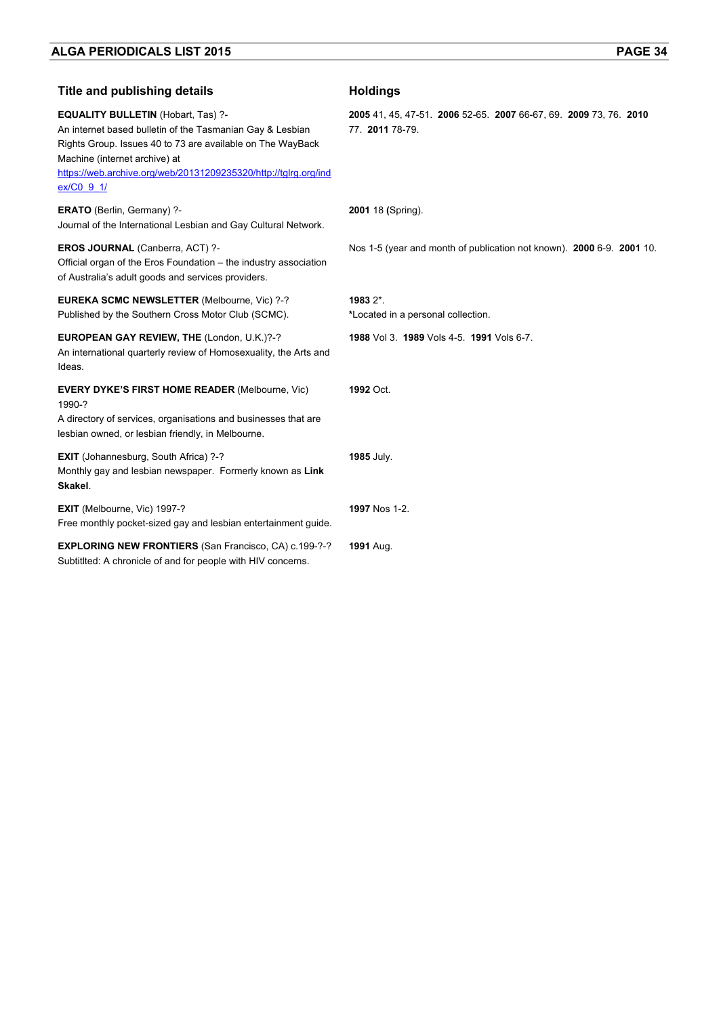| <b>Title and publishing details</b>                                                                                                                                                                                                                                                    | <b>Holdings</b>                                                                      |
|----------------------------------------------------------------------------------------------------------------------------------------------------------------------------------------------------------------------------------------------------------------------------------------|--------------------------------------------------------------------------------------|
| <b>EQUALITY BULLETIN (Hobart, Tas) ?-</b><br>An internet based bulletin of the Tasmanian Gay & Lesbian<br>Rights Group. Issues 40 to 73 are available on The WayBack<br>Machine (internet archive) at<br>https://web.archive.org/web/20131209235320/http://tglrg.org/ind<br>ex/C0 9 1/ | 2005 41, 45, 47-51. 2006 52-65. 2007 66-67, 69. 2009 73, 76. 2010<br>77. 2011 78-79. |
| <b>ERATO</b> (Berlin, Germany) ?-<br>Journal of the International Lesbian and Gay Cultural Network.                                                                                                                                                                                    | 2001 18 (Spring).                                                                    |
| EROS JOURNAL (Canberra, ACT) ?-<br>Official organ of the Eros Foundation - the industry association<br>of Australia's adult goods and services providers.                                                                                                                              | Nos 1-5 (year and month of publication not known). 2000 6-9. 2001 10.                |
| <b>EUREKA SCMC NEWSLETTER (Melbourne, Vic) ?-?</b><br>Published by the Southern Cross Motor Club (SCMC).                                                                                                                                                                               | 1983 2*.<br>*Located in a personal collection.                                       |
| EUROPEAN GAY REVIEW, THE (London, U.K.)?-?<br>An international quarterly review of Homosexuality, the Arts and<br>Ideas.                                                                                                                                                               | 1988 Vol 3. 1989 Vols 4-5. 1991 Vols 6-7.                                            |
| <b>EVERY DYKE'S FIRST HOME READER (Melbourne, Vic)</b><br>1990-?<br>A directory of services, organisations and businesses that are<br>lesbian owned, or lesbian friendly, in Melbourne.                                                                                                | 1992 Oct.                                                                            |
| <b>EXIT</b> (Johannesburg, South Africa) ?-?<br>Monthly gay and lesbian newspaper. Formerly known as Link<br>Skakel.                                                                                                                                                                   | 1985 July.                                                                           |
| EXIT (Melbourne, Vic) 1997-?<br>Free monthly pocket-sized gay and lesbian entertainment guide.                                                                                                                                                                                         | 1997 Nos 1-2.                                                                        |
| <b>EXPLORING NEW FRONTIERS (San Francisco, CA) c.199-?-?</b><br>Subtitlted: A chronicle of and for people with HIV concerns.                                                                                                                                                           | 1991 Aug.                                                                            |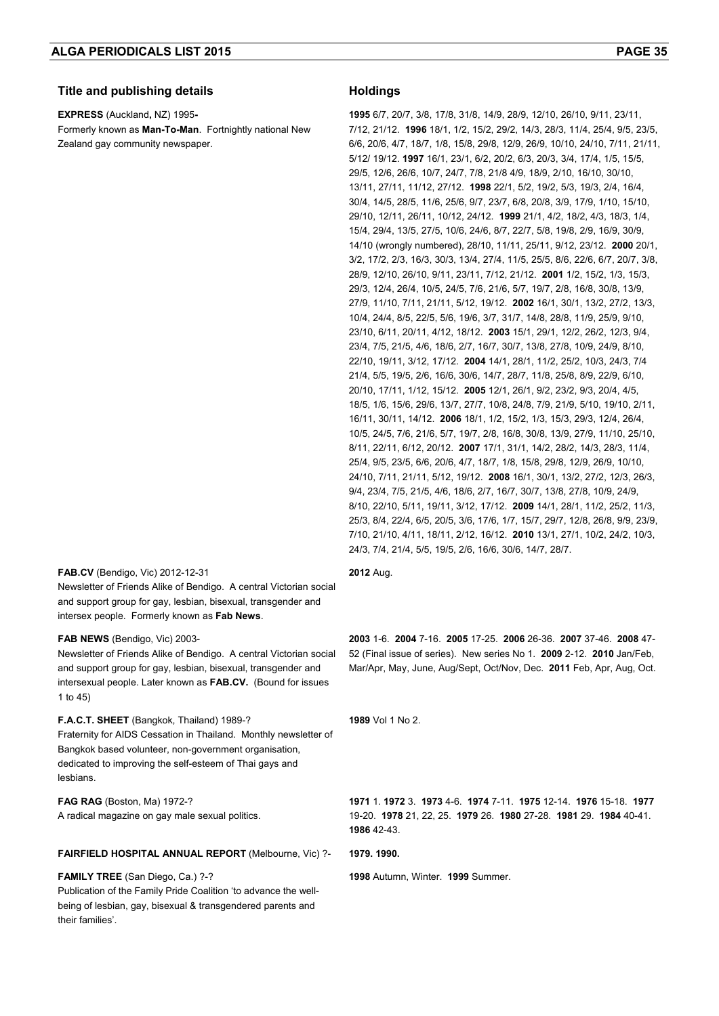### **Title and publishing details Holdings**

**EXPRESS** (Auckland**,** NZ) 1995**-** 

Formerly known as **Man-To-Man**. Fortnightly national New Zealand gay community newspaper.

**1995** 6/7, 20/7, 3/8, 17/8, 31/8, 14/9, 28/9, 12/10, 26/10, 9/11, 23/11, 7/12, 21/12. **1996** 18/1, 1/2, 15/2, 29/2, 14/3, 28/3, 11/4, 25/4, 9/5, 23/5, 6/6, 20/6, 4/7, 18/7, 1/8, 15/8, 29/8, 12/9, 26/9, 10/10, 24/10, 7/11, 21/11, 5/12/ 19/12. **1997** 16/1, 23/1, 6/2, 20/2, 6/3, 20/3, 3/4, 17/4, 1/5, 15/5, 29/5, 12/6, 26/6, 10/7, 24/7, 7/8, 21/8 4/9, 18/9, 2/10, 16/10, 30/10, 13/11, 27/11, 11/12, 27/12. **1998** 22/1, 5/2, 19/2, 5/3, 19/3, 2/4, 16/4, 30/4, 14/5, 28/5, 11/6, 25/6, 9/7, 23/7, 6/8, 20/8, 3/9, 17/9, 1/10, 15/10, 29/10, 12/11, 26/11, 10/12, 24/12. **1999** 21/1, 4/2, 18/2, 4/3, 18/3, 1/4, 15/4, 29/4, 13/5, 27/5, 10/6, 24/6, 8/7, 22/7, 5/8, 19/8, 2/9, 16/9, 30/9, 14/10 (wrongly numbered), 28/10, 11/11, 25/11, 9/12, 23/12. **2000** 20/1, 3/2, 17/2, 2/3, 16/3, 30/3, 13/4, 27/4, 11/5, 25/5, 8/6, 22/6, 6/7, 20/7, 3/8, 28/9, 12/10, 26/10, 9/11, 23/11, 7/12, 21/12. **2001** 1/2, 15/2, 1/3, 15/3, 29/3, 12/4, 26/4, 10/5, 24/5, 7/6, 21/6, 5/7, 19/7, 2/8, 16/8, 30/8, 13/9, 27/9, 11/10, 7/11, 21/11, 5/12, 19/12. **2002** 16/1, 30/1, 13/2, 27/2, 13/3, 10/4, 24/4, 8/5, 22/5, 5/6, 19/6, 3/7, 31/7, 14/8, 28/8, 11/9, 25/9, 9/10, 23/10, 6/11, 20/11, 4/12, 18/12. **2003** 15/1, 29/1, 12/2, 26/2, 12/3, 9/4, 23/4, 7/5, 21/5, 4/6, 18/6, 2/7, 16/7, 30/7, 13/8, 27/8, 10/9, 24/9, 8/10, 22/10, 19/11, 3/12, 17/12. **2004** 14/1, 28/1, 11/2, 25/2, 10/3, 24/3, 7/4 21/4, 5/5, 19/5, 2/6, 16/6, 30/6, 14/7, 28/7, 11/8, 25/8, 8/9, 22/9, 6/10, 20/10, 17/11, 1/12, 15/12. **2005** 12/1, 26/1, 9/2, 23/2, 9/3, 20/4, 4/5, 18/5, 1/6, 15/6, 29/6, 13/7, 27/7, 10/8, 24/8, 7/9, 21/9, 5/10, 19/10, 2/11, 16/11, 30/11, 14/12. **2006** 18/1, 1/2, 15/2, 1/3, 15/3, 29/3, 12/4, 26/4, 10/5, 24/5, 7/6, 21/6, 5/7, 19/7, 2/8, 16/8, 30/8, 13/9, 27/9, 11/10, 25/10, 8/11, 22/11, 6/12, 20/12. **2007** 17/1, 31/1, 14/2, 28/2, 14/3, 28/3, 11/4, 25/4, 9/5, 23/5, 6/6, 20/6, 4/7, 18/7, 1/8, 15/8, 29/8, 12/9, 26/9, 10/10, 24/10, 7/11, 21/11, 5/12, 19/12. **2008** 16/1, 30/1, 13/2, 27/2, 12/3, 26/3, 9/4, 23/4, 7/5, 21/5, 4/6, 18/6, 2/7, 16/7, 30/7, 13/8, 27/8, 10/9, 24/9, 8/10, 22/10, 5/11, 19/11, 3/12, 17/12. **2009** 14/1, 28/1, 11/2, 25/2, 11/3, 25/3, 8/4, 22/4, 6/5, 20/5, 3/6, 17/6, 1/7, 15/7, 29/7, 12/8, 26/8, 9/9, 23/9, 7/10, 21/10, 4/11, 18/11, 2/12, 16/12. **2010** 13/1, 27/1, 10/2, 24/2, 10/3, 24/3, 7/4, 21/4, 5/5, 19/5, 2/6, 16/6, 30/6, 14/7, 28/7.

#### **FAB.CV** (Bendigo, Vic) 2012-12-31

Newsletter of Friends Alike of Bendigo. A central Victorian social and support group for gay, lesbian, bisexual, transgender and intersex people. Formerly known as **Fab News**.

#### **FAB NEWS** (Bendigo, Vic) 2003-

Newsletter of Friends Alike of Bendigo. A central Victorian social and support group for gay, lesbian, bisexual, transgender and intersexual people. Later known as **FAB.CV.** (Bound for issues 1 to 45)

### **F.A.C.T. SHEET** (Bangkok, Thailand) 1989-? Fraternity for AIDS Cessation in Thailand. Monthly newsletter of

Bangkok based volunteer, non-government organisation, dedicated to improving the self-esteem of Thai gays and lesbians.

#### **FAG RAG** (Boston, Ma) 1972-?

A radical magazine on gay male sexual politics.

#### **FAIRFIELD HOSPITAL ANNUAL REPORT** (Melbourne, Vic) ?- **1979. 1990.**

# **FAMILY TREE** (San Diego, Ca.) ?-?

Publication of the Family Pride Coalition 'to advance the wellbeing of lesbian, gay, bisexual & transgendered parents and their families'.

#### **2012** Aug.

**2003** 1-6. **2004** 7-16. **2005** 17-25. **2006** 26-36. **2007** 37-46. **2008** 47- 52 (Final issue of series). New series No 1. **2009** 2-12. **2010** Jan/Feb, Mar/Apr, May, June, Aug/Sept, Oct/Nov, Dec. **2011** Feb, Apr, Aug, Oct.

**1989** Vol 1 No 2.

**1971** 1. **1972** 3. **1973** 4-6. **1974** 7-11. **1975** 12-14. **1976** 15-18. **1977** 19-20. **1978** 21, 22, 25. **1979** 26. **1980** 27-28. **1981** 29. **1984** 40-41. **1986** 42-43.

**1998** Autumn, Winter. **1999** Summer.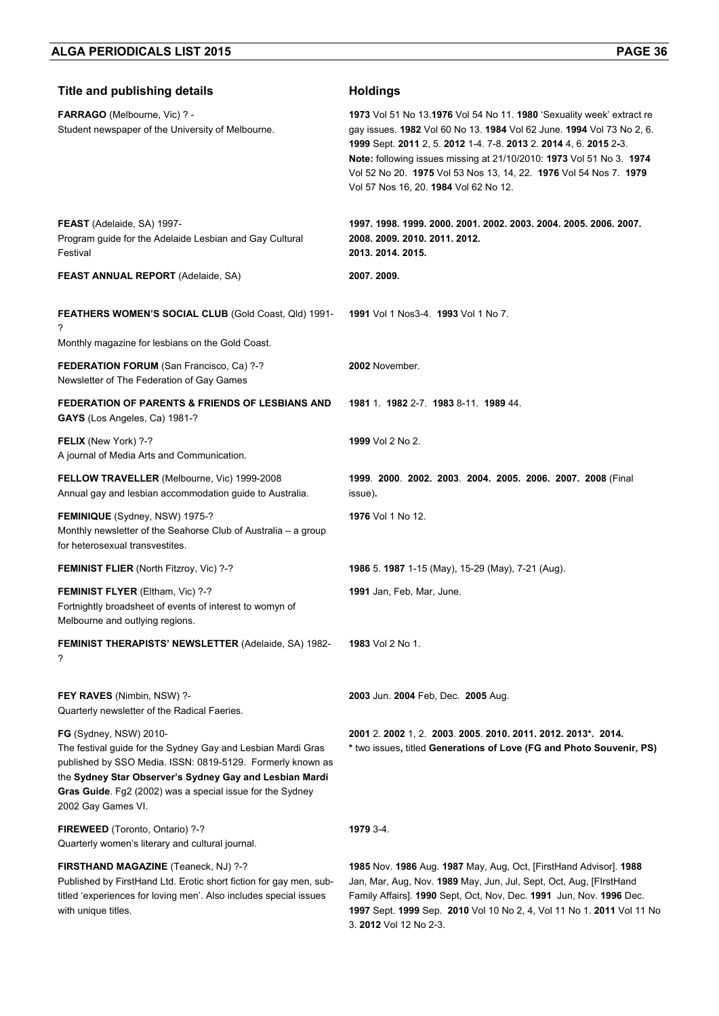| <b>Title and publishing details</b>                                                                                                                                                                                                                                                                       | <b>Holdings</b>                                                                                                                                                                                                                                                                                                                                                                                           |
|-----------------------------------------------------------------------------------------------------------------------------------------------------------------------------------------------------------------------------------------------------------------------------------------------------------|-----------------------------------------------------------------------------------------------------------------------------------------------------------------------------------------------------------------------------------------------------------------------------------------------------------------------------------------------------------------------------------------------------------|
| FARRAGO (Melbourne, Vic) ? -<br>Student newspaper of the University of Melbourne.                                                                                                                                                                                                                         | 1973 Vol 51 No 13.1976 Vol 54 No 11. 1980 'Sexuality week' extract re<br>gay issues. 1982 Vol 60 No 13. 1984 Vol 62 June. 1994 Vol 73 No 2, 6.<br>1999 Sept. 2011 2, 5. 2012 1-4. 7-8. 2013 2. 2014 4, 6. 2015 2-3.<br>Note: following issues missing at 21/10/2010: 1973 Vol 51 No 3. 1974<br>Vol 52 No 20. 1975 Vol 53 Nos 13, 14, 22. 1976 Vol 54 Nos 7. 1979<br>Vol 57 Nos 16, 20. 1984 Vol 62 No 12. |
| FEAST (Adelaide, SA) 1997-<br>Program guide for the Adelaide Lesbian and Gay Cultural<br>Festival                                                                                                                                                                                                         | 1997. 1998. 1999. 2000. 2001. 2002. 2003. 2004. 2005. 2006. 2007.<br>2008. 2009. 2010. 2011. 2012.<br>2013. 2014. 2015.                                                                                                                                                                                                                                                                                   |
| <b>FEAST ANNUAL REPORT (Adelaide, SA)</b>                                                                                                                                                                                                                                                                 | 2007. 2009.                                                                                                                                                                                                                                                                                                                                                                                               |
| FEATHERS WOMEN'S SOCIAL CLUB (Gold Coast, Qld) 1991-<br>?<br>Monthly magazine for lesbians on the Gold Coast.                                                                                                                                                                                             | 1991 Vol 1 Nos3-4. 1993 Vol 1 No 7.                                                                                                                                                                                                                                                                                                                                                                       |
| FEDERATION FORUM (San Francisco, Ca) ?-?<br>Newsletter of The Federation of Gay Games                                                                                                                                                                                                                     | 2002 November.                                                                                                                                                                                                                                                                                                                                                                                            |
| <b>FEDERATION OF PARENTS &amp; FRIENDS OF LESBIANS AND</b><br>GAYS (Los Angeles, Ca) 1981-?                                                                                                                                                                                                               | 1981 1 1982 2-7 1983 8-11 1989 44.                                                                                                                                                                                                                                                                                                                                                                        |
| FELIX (New York) ?-?<br>A journal of Media Arts and Communication.                                                                                                                                                                                                                                        | 1999 Vol 2 No 2.                                                                                                                                                                                                                                                                                                                                                                                          |
| FELLOW TRAVELLER (Melbourne, Vic) 1999-2008<br>Annual gay and lesbian accommodation guide to Australia.                                                                                                                                                                                                   | 1999. 2000. 2002. 2003. 2004. 2005. 2006. 2007. 2008 (Final<br>issue).                                                                                                                                                                                                                                                                                                                                    |
| <b>FEMINIQUE</b> (Sydney, NSW) 1975-?<br>Monthly newsletter of the Seahorse Club of Australia - a group<br>for heterosexual transvestites.                                                                                                                                                                | 1976 Vol 1 No 12.                                                                                                                                                                                                                                                                                                                                                                                         |
| <b>FEMINIST FLIER (North Fitzroy, Vic) ?-?</b>                                                                                                                                                                                                                                                            | 1986 5. 1987 1-15 (May), 15-29 (May), 7-21 (Aug).                                                                                                                                                                                                                                                                                                                                                         |
| <b>FEMINIST FLYER (Eltham, Vic) ?-?</b><br>Fortnightly broadsheet of events of interest to womyn of<br>Melbourne and outlying regions.                                                                                                                                                                    | 1991 Jan, Feb, Mar, June.                                                                                                                                                                                                                                                                                                                                                                                 |
| <b>FEMINIST THERAPISTS' NEWSLETTER (Adelaide, SA) 1982-</b><br>?                                                                                                                                                                                                                                          | 1983 Vol 2 No 1.                                                                                                                                                                                                                                                                                                                                                                                          |
| FEY RAVES (Nimbin, NSW) ?-<br>Quarterly newsletter of the Radical Faeries.                                                                                                                                                                                                                                | 2003 Jun. 2004 Feb, Dec. 2005 Aug.                                                                                                                                                                                                                                                                                                                                                                        |
| <b>FG</b> (Sydney, NSW) 2010-<br>The festival guide for the Sydney Gay and Lesbian Mardi Gras<br>published by SSO Media. ISSN: 0819-5129. Formerly known as<br>the Sydney Star Observer's Sydney Gay and Lesbian Mardi<br>Gras Guide. Fg2 (2002) was a special issue for the Sydney<br>2002 Gay Games VI. | 2001 2. 2002 1, 2. 2003. 2005. 2010. 2011. 2012. 2013*. 2014.<br>* two issues, titled Generations of Love (FG and Photo Souvenir, PS)                                                                                                                                                                                                                                                                     |
| FIREWEED (Toronto, Ontario) ?-?<br>Quarterly women's literary and cultural journal.                                                                                                                                                                                                                       | 1979 3-4.                                                                                                                                                                                                                                                                                                                                                                                                 |
| FIRSTHAND MAGAZINE (Teaneck, NJ) ?-?<br>Published by FirstHand Ltd. Erotic short fiction for gay men, sub-<br>titled 'experiences for loving men'. Also includes special issues<br>with unique titles.                                                                                                    | 1985 Nov. 1986 Aug. 1987 May, Aug, Oct, [FirstHand Advisor]. 1988<br>Jan, Mar, Aug, Nov. 1989 May, Jun, Jul, Sept, Oct, Aug, [FlrstHand<br>Family Affairs]. 1990 Sept, Oct, Nov, Dec. 1991 Jun, Nov. 1996 Dec.<br>1997 Sept. 1999 Sep. 2010 Vol 10 No 2, 4, Vol 11 No 1. 2011 Vol 11 No                                                                                                                   |

3. **2012** Vol 12 No 2-3.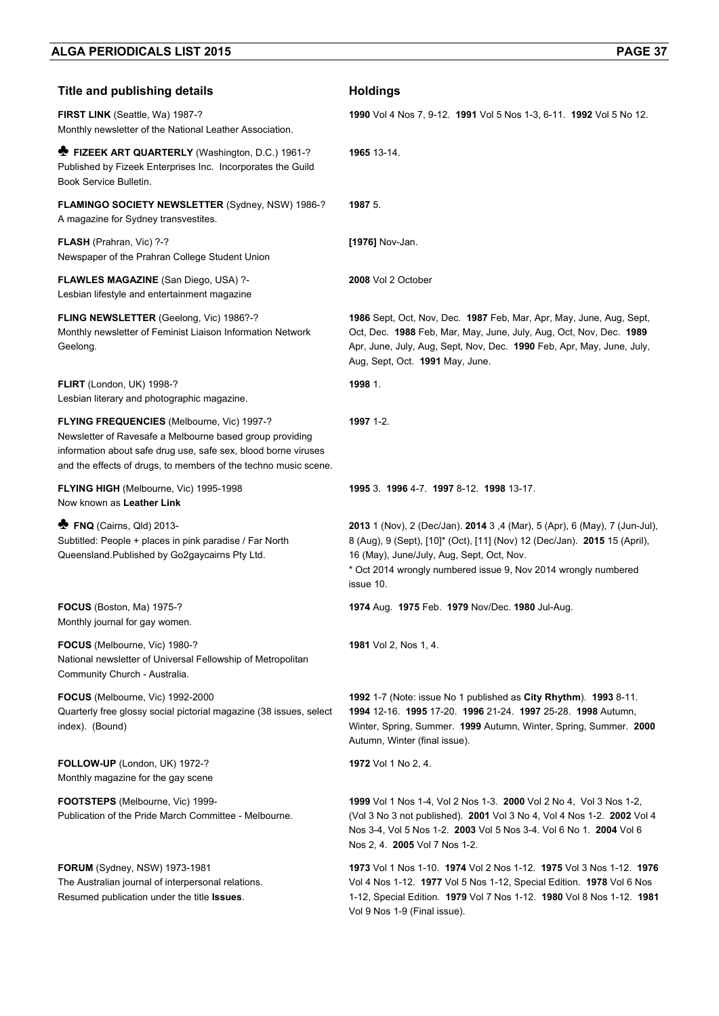| <b>Title and publishing details</b>                                                                                                                                                                                                         | <b>Holdings</b>                                                                                                                                                                                                                                                                     |
|---------------------------------------------------------------------------------------------------------------------------------------------------------------------------------------------------------------------------------------------|-------------------------------------------------------------------------------------------------------------------------------------------------------------------------------------------------------------------------------------------------------------------------------------|
| FIRST LINK (Seattle, Wa) 1987-?<br>Monthly newsletter of the National Leather Association.                                                                                                                                                  | 1990 Vol 4 Nos 7, 9-12. 1991 Vol 5 Nos 1-3, 6-11. 1992 Vol 5 No 12.                                                                                                                                                                                                                 |
| <b>E FIZEEK ART QUARTERLY</b> (Washington, D.C.) 1961-?<br>Published by Fizeek Enterprises Inc. Incorporates the Guild<br>Book Service Bulletin.                                                                                            | 1965 13-14.                                                                                                                                                                                                                                                                         |
| FLAMINGO SOCIETY NEWSLETTER (Sydney, NSW) 1986-?<br>A magazine for Sydney transvestites.                                                                                                                                                    | 1987 5.                                                                                                                                                                                                                                                                             |
| <b>FLASH</b> (Prahran, Vic) ?-?<br>Newspaper of the Prahran College Student Union                                                                                                                                                           | [1976] Nov-Jan.                                                                                                                                                                                                                                                                     |
| FLAWLES MAGAZINE (San Diego, USA) ?-<br>Lesbian lifestyle and entertainment magazine                                                                                                                                                        | 2008 Vol 2 October                                                                                                                                                                                                                                                                  |
| <b>FLING NEWSLETTER (Geelong, Vic) 1986?-?</b><br>Monthly newsletter of Feminist Liaison Information Network<br>Geelong.                                                                                                                    | 1986 Sept. Oct. Nov. Dec. 1987 Feb. Mar. Apr. May. June. Aug. Sept.<br>Oct, Dec. 1988 Feb, Mar, May, June, July, Aug, Oct, Nov, Dec. 1989<br>Apr, June, July, Aug, Sept, Nov, Dec. 1990 Feb, Apr, May, June, July,<br>Aug, Sept, Oct. 1991 May, June.                               |
| FLIRT (London, UK) 1998-?<br>Lesbian literary and photographic magazine.                                                                                                                                                                    | 1998 1.                                                                                                                                                                                                                                                                             |
| FLYING FREQUENCIES (Melbourne, Vic) 1997-?<br>Newsletter of Ravesafe a Melbourne based group providing<br>information about safe drug use, safe sex, blood borne viruses<br>and the effects of drugs, to members of the techno music scene. | 1997 1-2.                                                                                                                                                                                                                                                                           |
| FLYING HIGH (Melbourne, Vic) 1995-1998<br>Now known as Leather Link                                                                                                                                                                         | 1995 3. 1996 4-7. 1997 8-12. 1998 13-17.                                                                                                                                                                                                                                            |
| <b>P</b> FNQ (Cairns, Qld) 2013-<br>Subtitled: People + places in pink paradise / Far North<br>Queensland.Published by Go2gaycairns Pty Ltd.                                                                                                | 2013 1 (Nov), 2 (Dec/Jan). 2014 3, 4 (Mar), 5 (Apr), 6 (May), 7 (Jun-Jul),<br>8 (Aug), 9 (Sept), [10]* (Oct), [11] (Nov) 12 (Dec/Jan). 2015 15 (April),<br>16 (May), June/July, Aug, Sept, Oct, Nov.<br>* Oct 2014 wrongly numbered issue 9, Nov 2014 wrongly numbered<br>issue 10. |
| <b>FOCUS</b> (Boston, Ma) 1975-?<br>Monthly journal for gay women.                                                                                                                                                                          | 1974 Aug. 1975 Feb. 1979 Nov/Dec. 1980 Jul-Aug.                                                                                                                                                                                                                                     |
| FOCUS (Melbourne, Vic) 1980-?<br>National newsletter of Universal Fellowship of Metropolitan<br>Community Church - Australia.                                                                                                               | <b>1981</b> Vol 2, Nos 1, 4.                                                                                                                                                                                                                                                        |
| FOCUS (Melbourne, Vic) 1992-2000<br>Quarterly free glossy social pictorial magazine (38 issues, select<br>index). (Bound)                                                                                                                   | 1992 1-7 (Note: issue No 1 published as City Rhythm). 1993 8-11.<br>1994 12-16. 1995 17-20. 1996 21-24. 1997 25-28. 1998 Autumn,<br>Winter, Spring, Summer. 1999 Autumn, Winter, Spring, Summer. 2000<br>Autumn, Winter (final issue).                                              |
| FOLLOW-UP (London, UK) 1972-?<br>Monthly magazine for the gay scene                                                                                                                                                                         | 1972 Vol 1 No 2, 4.                                                                                                                                                                                                                                                                 |
| <b>FOOTSTEPS</b> (Melbourne, Vic) 1999-<br>Publication of the Pride March Committee - Melbourne.                                                                                                                                            | 1999 Vol 1 Nos 1-4, Vol 2 Nos 1-3. 2000 Vol 2 No 4, Vol 3 Nos 1-2,<br>(Vol 3 No 3 not published). 2001 Vol 3 No 4, Vol 4 Nos 1-2. 2002 Vol 4<br>Nos 3-4, Vol 5 Nos 1-2. 2003 Vol 5 Nos 3-4. Vol 6 No 1. 2004 Vol 6<br>Nos 2, 4. 2005 Vol 7 Nos 1-2.                                 |
| <b>FORUM</b> (Sydney, NSW) 1973-1981<br>The Australian journal of interpersonal relations.<br>Resumed publication under the title Issues.                                                                                                   | 1973 Vol 1 Nos 1-10. 1974 Vol 2 Nos 1-12. 1975 Vol 3 Nos 1-12. 1976<br>Vol 4 Nos 1-12. 1977 Vol 5 Nos 1-12, Special Edition. 1978 Vol 6 Nos<br>1-12, Special Edition. 1979 Vol 7 Nos 1-12. 1980 Vol 8 Nos 1-12. 1981<br>Vol 9 Nos 1-9 (Final issue).                                |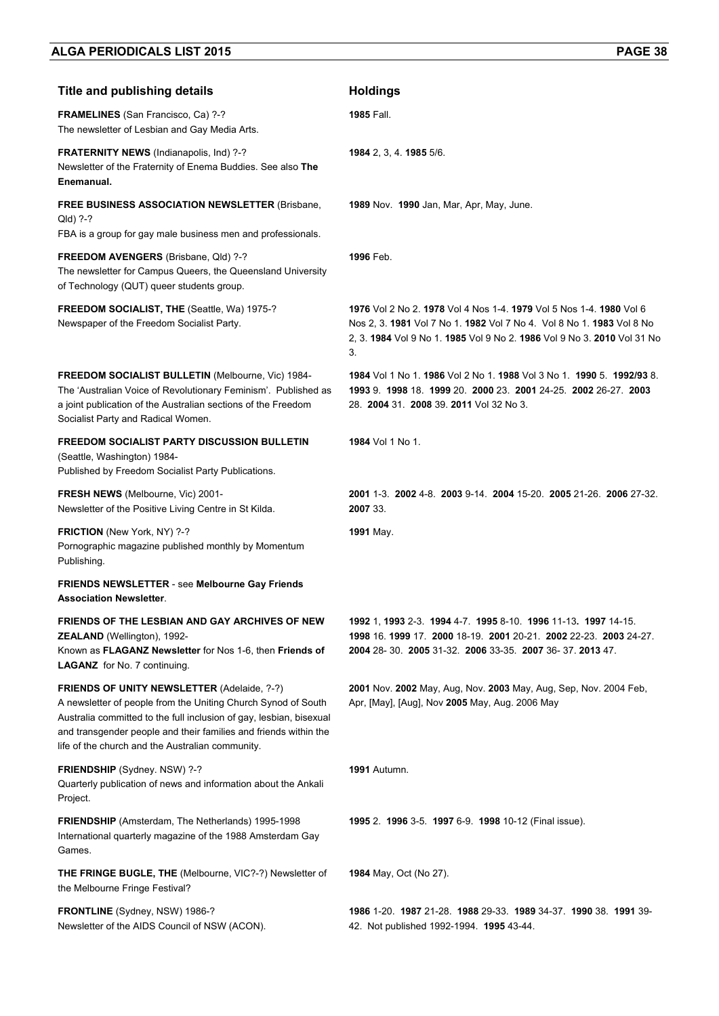| <b>Title and publishing details</b>                                                                                                                                                                                                                                                                                | <b>Holdings</b>                                                                                                                                                                                                               |
|--------------------------------------------------------------------------------------------------------------------------------------------------------------------------------------------------------------------------------------------------------------------------------------------------------------------|-------------------------------------------------------------------------------------------------------------------------------------------------------------------------------------------------------------------------------|
| <b>FRAMELINES</b> (San Francisco, Ca) ?-?<br>The newsletter of Lesbian and Gay Media Arts.                                                                                                                                                                                                                         | <b>1985 Fall.</b>                                                                                                                                                                                                             |
| FRATERNITY NEWS (Indianapolis, Ind) ?-?<br>Newsletter of the Fraternity of Enema Buddies. See also The<br>Enemanual.                                                                                                                                                                                               | 1984 2, 3, 4. 1985 5/6.                                                                                                                                                                                                       |
| <b>FREE BUSINESS ASSOCIATION NEWSLETTER (Brisbane,</b><br>Qld) ?-?<br>FBA is a group for gay male business men and professionals.                                                                                                                                                                                  | 1989 Nov. 1990 Jan, Mar, Apr, May, June.                                                                                                                                                                                      |
| FREEDOM AVENGERS (Brisbane, Qld) ?-?<br>The newsletter for Campus Queers, the Queensland University<br>of Technology (QUT) queer students group.                                                                                                                                                                   | 1996 Feb.                                                                                                                                                                                                                     |
| FREEDOM SOCIALIST, THE (Seattle, Wa) 1975-?<br>Newspaper of the Freedom Socialist Party.                                                                                                                                                                                                                           | 1976 Vol 2 No 2, 1978 Vol 4 Nos 1-4, 1979 Vol 5 Nos 1-4, 1980 Vol 6<br>Nos 2, 3, 1981 Vol 7 No 1, 1982 Vol 7 No 4, Vol 8 No 1, 1983 Vol 8 No<br>2. 3. 1984 Vol 9 No 1. 1985 Vol 9 No 2. 1986 Vol 9 No 3. 2010 Vol 31 No<br>3. |
| <b>FREEDOM SOCIALIST BULLETIN (Melbourne, Vic) 1984-</b><br>The 'Australian Voice of Revolutionary Feminism'. Published as<br>a joint publication of the Australian sections of the Freedom<br>Socialist Party and Radical Women.                                                                                  | 1984 Vol 1 No 1, 1986 Vol 2 No 1, 1988 Vol 3 No 1, 1990 5, 1992/93 8.<br>1993 9. 1998 18. 1999 20. 2000 23. 2001 24-25. 2002 26-27. 2003<br>28. 2004 31. 2008 39. 2011 Vol 32 No 3.                                           |
| <b>FREEDOM SOCIALIST PARTY DISCUSSION BULLETIN</b><br>(Seattle, Washington) 1984-<br>Published by Freedom Socialist Party Publications.                                                                                                                                                                            | <b>1984</b> Vol 1 No 1.                                                                                                                                                                                                       |
| FRESH NEWS (Melbourne, Vic) 2001-<br>Newsletter of the Positive Living Centre in St Kilda.                                                                                                                                                                                                                         | 2001 1-3 2002 4-8 2003 9-14 2004 15-20 2005 21-26 2006 27-32<br>2007 33.                                                                                                                                                      |
| FRICTION (New York, NY) ?-?<br>Pornographic magazine published monthly by Momentum<br>Publishing.                                                                                                                                                                                                                  | 1991 May.                                                                                                                                                                                                                     |
| FRIENDS NEWSLETTER - see Melbourne Gay Friends<br><b>Association Newsletter.</b>                                                                                                                                                                                                                                   |                                                                                                                                                                                                                               |
| FRIENDS OF THE LESBIAN AND GAY ARCHIVES OF NEW<br><b>ZEALAND</b> (Wellington), 1992-<br>Known as FLAGANZ Newsletter for Nos 1-6, then Friends of<br><b>LAGANZ</b> for No. 7 continuing.                                                                                                                            | 1992 1, 1993 2-3. 1994 4-7. 1995 8-10. 1996 11-13. 1997 14-15.<br>1998 16 1999 17 2000 18-19 2001 20-21 2002 22-23 2003 24-27<br>2004 28-30. 2005 31-32. 2006 33-35. 2007 36-37. 2013 47.                                     |
| <b>FRIENDS OF UNITY NEWSLETTER (Adelaide, ?-?)</b><br>A newsletter of people from the Uniting Church Synod of South<br>Australia committed to the full inclusion of gay, lesbian, bisexual<br>and transgender people and their families and friends within the<br>life of the church and the Australian community. | 2001 Nov. 2002 May, Aug, Nov. 2003 May, Aug, Sep, Nov. 2004 Feb,<br>Apr, [May], [Aug], Nov 2005 May, Aug. 2006 May                                                                                                            |
| FRIENDSHIP (Sydney. NSW) ?-?<br>Quarterly publication of news and information about the Ankali<br>Project.                                                                                                                                                                                                         | <b>1991</b> Autumn.                                                                                                                                                                                                           |
| <b>FRIENDSHIP</b> (Amsterdam, The Netherlands) 1995-1998<br>International quarterly magazine of the 1988 Amsterdam Gay<br>Games.                                                                                                                                                                                   | 1995 2. 1996 3-5. 1997 6-9. 1998 10-12 (Final issue).                                                                                                                                                                         |
| THE FRINGE BUGLE, THE (Melbourne, VIC?-?) Newsletter of<br>the Melbourne Fringe Festival?                                                                                                                                                                                                                          | 1984 May, Oct (No 27).                                                                                                                                                                                                        |
| FRONTLINE (Sydney, NSW) 1986-?<br>Newsletter of the AIDS Council of NSW (ACON).                                                                                                                                                                                                                                    | 1986 1-20 1987 21-28 1988 29-33 1989 34-37 1990 38 1991 39-<br>42. Not published 1992-1994. 1995 43-44.                                                                                                                       |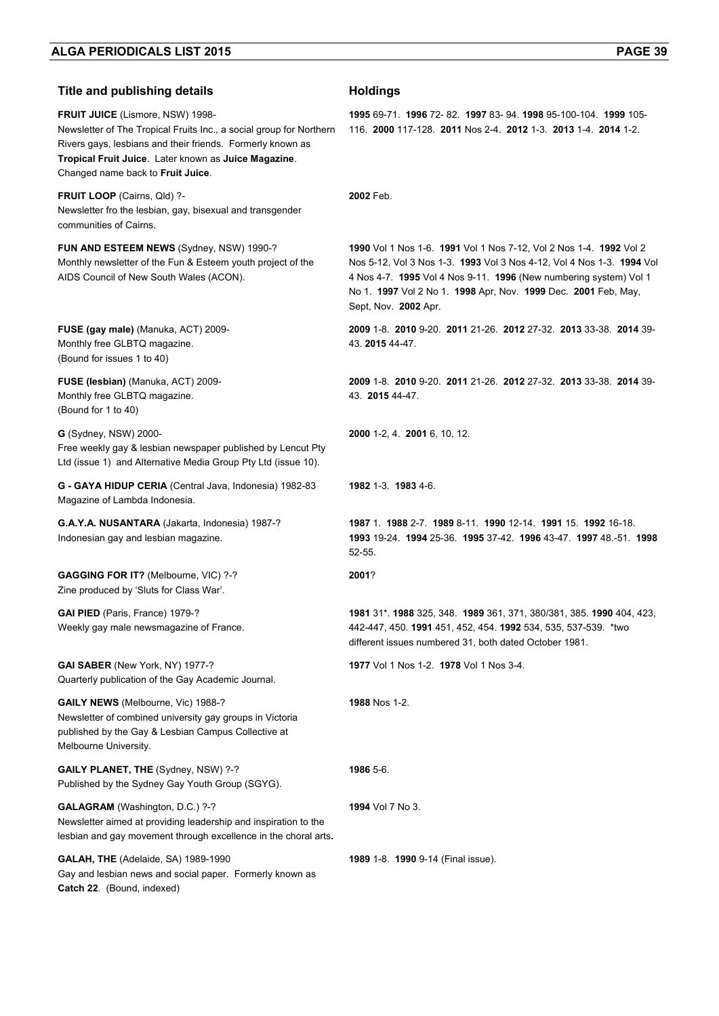| <b>Title and publishing details</b>                                                                                                                                                                                                                                       | <b>Holdings</b>                                                                                                                                                                                                                                                                                            |
|---------------------------------------------------------------------------------------------------------------------------------------------------------------------------------------------------------------------------------------------------------------------------|------------------------------------------------------------------------------------------------------------------------------------------------------------------------------------------------------------------------------------------------------------------------------------------------------------|
| <b>FRUIT JUICE</b> (Lismore, NSW) 1998-<br>Newsletter of The Tropical Fruits Inc., a social group for Northern<br>Rivers gays, lesbians and their friends. Formerly known as<br>Tropical Fruit Juice. Later known as Juice Magazine.<br>Changed name back to Fruit Juice. | 1995 69-71, 1996 72-82, 1997 83-94, 1998 95-100-104, 1999 105-<br>116. 2000 117-128. 2011 Nos 2-4. 2012 1-3. 2013 1-4. 2014 1-2.                                                                                                                                                                           |
| FRUIT LOOP (Cairns, Qld) ?-<br>Newsletter fro the lesbian, gay, bisexual and transgender<br>communities of Cairns.                                                                                                                                                        | 2002 Feb.                                                                                                                                                                                                                                                                                                  |
| FUN AND ESTEEM NEWS (Sydney, NSW) 1990-?<br>Monthly newsletter of the Fun & Esteem youth project of the<br>AIDS Council of New South Wales (ACON).                                                                                                                        | 1990 Vol 1 Nos 1-6. 1991 Vol 1 Nos 7-12, Vol 2 Nos 1-4. 1992 Vol 2<br>Nos 5-12, Vol 3 Nos 1-3. 1993 Vol 3 Nos 4-12, Vol 4 Nos 1-3. 1994 Vol<br>4 Nos 4-7. 1995 Vol 4 Nos 9-11. 1996 (New numbering system) Vol 1<br>No 1. 1997 Vol 2 No 1. 1998 Apr, Nov. 1999 Dec. 2001 Feb, May,<br>Sept, Nov. 2002 Apr. |
| FUSE (gay male) (Manuka, ACT) 2009-<br>Monthly free GLBTQ magazine.<br>(Bound for issues 1 to 40)                                                                                                                                                                         | 2009 1-8 2010 9-20 2011 21-26 2012 27-32 2013 33-38 2014 39-<br>43. 2015 44-47.                                                                                                                                                                                                                            |
| FUSE (lesbian) (Manuka, ACT) 2009-<br>Monthly free GLBTQ magazine.<br>(Bound for 1 to 40)                                                                                                                                                                                 | 2009 1-8 2010 9-20 2011 21-26 2012 27-32 2013 33-38 2014 39-<br>43. 2015 44-47.                                                                                                                                                                                                                            |
| G (Sydney, NSW) 2000-<br>Free weekly gay & lesbian newspaper published by Lencut Pty<br>Ltd (issue 1) and Alternative Media Group Pty Ltd (issue 10).                                                                                                                     | 2000 1-2, 4. 2001 6, 10, 12.                                                                                                                                                                                                                                                                               |
| G - GAYA HIDUP CERIA (Central Java, Indonesia) 1982-83<br>Magazine of Lambda Indonesia.                                                                                                                                                                                   | 1982 1-3 1983 4-6                                                                                                                                                                                                                                                                                          |
| G.A.Y.A. NUSANTARA (Jakarta, Indonesia) 1987-?<br>Indonesian gay and lesbian magazine.                                                                                                                                                                                    | 1987 1 1988 2-7 1989 8-11 1990 12-14 1991 15 1992 16-18<br>1993 19-24 1994 25-36 1995 37-42 1996 43-47 1997 48 -51 1998<br>$52 - 55.$                                                                                                                                                                      |
| <b>GAGGING FOR IT?</b> (Melbourne, VIC) ?-?<br>Zine produced by 'Sluts for Class War'.                                                                                                                                                                                    | 2001?                                                                                                                                                                                                                                                                                                      |
| GAI PIED (Paris, France) 1979-?<br>Weekly gay male newsmagazine of France.                                                                                                                                                                                                | 1981 31*. 1988 325, 348. 1989 361, 371, 380/381, 385. 1990 404, 423,<br>442-447, 450. 1991 451, 452, 454. 1992 534, 535, 537-539. *two<br>different issues numbered 31, both dated October 1981.                                                                                                           |
| GAI SABER (New York, NY) 1977-?<br>Quarterly publication of the Gay Academic Journal.                                                                                                                                                                                     | <b>1977</b> Vol 1 Nos 1-2. <b>1978</b> Vol 1 Nos 3-4.                                                                                                                                                                                                                                                      |
| GAILY NEWS (Melbourne, Vic) 1988-?<br>Newsletter of combined university gay groups in Victoria<br>published by the Gay & Lesbian Campus Collective at<br>Melbourne University.                                                                                            | 1988 Nos 1-2.                                                                                                                                                                                                                                                                                              |
| GAILY PLANET, THE (Sydney, NSW) ?-?<br>Published by the Sydney Gay Youth Group (SGYG).                                                                                                                                                                                    | 1986 5-6.                                                                                                                                                                                                                                                                                                  |
| GALAGRAM (Washington, D.C.) ?-?<br>Newsletter aimed at providing leadership and inspiration to the<br>lesbian and gay movement through excellence in the choral arts.                                                                                                     | <b>1994</b> Vol 7 No 3.                                                                                                                                                                                                                                                                                    |
| GALAH, THE (Adelaide, SA) 1989-1990<br>Gay and lesbian news and social paper. Formerly known as<br>Catch 22. (Bound, indexed)                                                                                                                                             | 1989 1-8. 1990 9-14 (Final issue).                                                                                                                                                                                                                                                                         |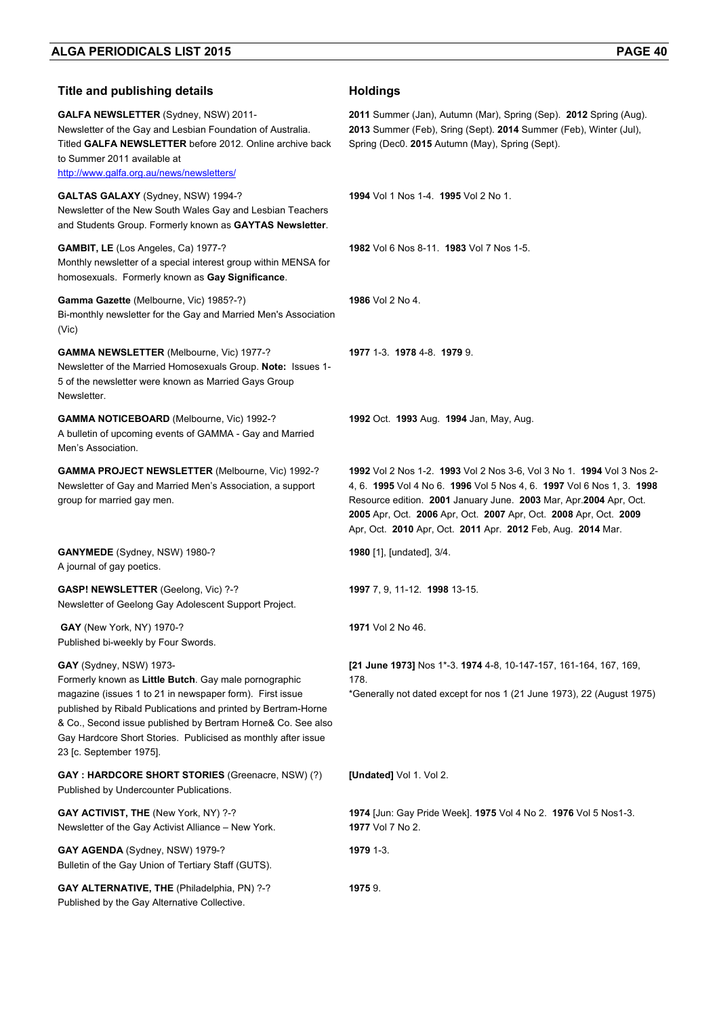| <b>Title and publishing details</b>                                                                                                                                                                                                                                                                                                                                       | <b>Holdings</b>                                                                                                                                                                                                                                                                                                                                        |
|---------------------------------------------------------------------------------------------------------------------------------------------------------------------------------------------------------------------------------------------------------------------------------------------------------------------------------------------------------------------------|--------------------------------------------------------------------------------------------------------------------------------------------------------------------------------------------------------------------------------------------------------------------------------------------------------------------------------------------------------|
| GALFA NEWSLETTER (Sydney, NSW) 2011-<br>Newsletter of the Gay and Lesbian Foundation of Australia.<br>Titled GALFA NEWSLETTER before 2012. Online archive back<br>to Summer 2011 available at<br>http://www.galfa.org.au/news/newsletters/                                                                                                                                | 2011 Summer (Jan), Autumn (Mar), Spring (Sep). 2012 Spring (Aug).<br>2013 Summer (Feb), Sring (Sept). 2014 Summer (Feb), Winter (Jul),<br>Spring (Dec0. 2015 Autumn (May), Spring (Sept).                                                                                                                                                              |
| GALTAS GALAXY (Sydney, NSW) 1994-?<br>Newsletter of the New South Wales Gay and Lesbian Teachers<br>and Students Group. Formerly known as GAYTAS Newsletter.                                                                                                                                                                                                              | 1994 Vol 1 Nos 1-4 1995 Vol 2 No 1.                                                                                                                                                                                                                                                                                                                    |
| GAMBIT, LE (Los Angeles, Ca) 1977-?<br>Monthly newsletter of a special interest group within MENSA for<br>homosexuals. Formerly known as Gay Significance.                                                                                                                                                                                                                | 1982 Vol 6 Nos 8-11. 1983 Vol 7 Nos 1-5.                                                                                                                                                                                                                                                                                                               |
| Gamma Gazette (Melbourne, Vic) 1985?-?)<br>Bi-monthly newsletter for the Gay and Married Men's Association<br>(Vic)                                                                                                                                                                                                                                                       | 1986 Vol 2 No 4.                                                                                                                                                                                                                                                                                                                                       |
| GAMMA NEWSLETTER (Melbourne, Vic) 1977-?<br>Newsletter of the Married Homosexuals Group. Note: Issues 1-<br>5 of the newsletter were known as Married Gays Group<br>Newsletter.                                                                                                                                                                                           | 1977 1-3 1978 4-8 1979 9                                                                                                                                                                                                                                                                                                                               |
| <b>GAMMA NOTICEBOARD</b> (Melbourne, Vic) 1992-?<br>A bulletin of upcoming events of GAMMA - Gay and Married<br>Men's Association.                                                                                                                                                                                                                                        | 1992 Oct. 1993 Aug. 1994 Jan, May, Aug.                                                                                                                                                                                                                                                                                                                |
| GAMMA PROJECT NEWSLETTER (Melbourne, Vic) 1992-?<br>Newsletter of Gay and Married Men's Association, a support<br>group for married gay men.                                                                                                                                                                                                                              | 1992 Vol 2 Nos 1-2. 1993 Vol 2 Nos 3-6, Vol 3 No 1. 1994 Vol 3 Nos 2-<br>4, 6. 1995 Vol 4 No 6. 1996 Vol 5 Nos 4, 6. 1997 Vol 6 Nos 1, 3. 1998<br>Resource edition. 2001 January June. 2003 Mar, Apr.2004 Apr, Oct.<br>2005 Apr, Oct. 2006 Apr, Oct. 2007 Apr, Oct. 2008 Apr, Oct. 2009<br>Apr, Oct. 2010 Apr, Oct. 2011 Apr. 2012 Feb, Aug. 2014 Mar. |
| GANYMEDE (Sydney, NSW) 1980-?<br>A journal of gay poetics.                                                                                                                                                                                                                                                                                                                | 1980 [1], [undated], 3/4.                                                                                                                                                                                                                                                                                                                              |
| GASP! NEWSLETTER (Geelong, Vic) ?-?<br>Newsletter of Geelong Gay Adolescent Support Project.                                                                                                                                                                                                                                                                              | 1997 7, 9, 11-12. 1998 13-15.                                                                                                                                                                                                                                                                                                                          |
| GAY (New York, NY) 1970-?<br>Published bi-weekly by Four Swords.                                                                                                                                                                                                                                                                                                          | 1971 Vol 2 No 46.                                                                                                                                                                                                                                                                                                                                      |
| GAY (Sydney, NSW) 1973-<br>Formerly known as Little Butch. Gay male pornographic<br>magazine (issues 1 to 21 in newspaper form). First issue<br>published by Ribald Publications and printed by Bertram-Horne<br>& Co., Second issue published by Bertram Horne& Co. See also<br>Gay Hardcore Short Stories. Publicised as monthly after issue<br>23 [c. September 1975]. | [21 June 1973] Nos 1*-3. 1974 4-8, 10-147-157, 161-164, 167, 169,<br>178.<br>*Generally not dated except for nos 1 (21 June 1973), 22 (August 1975)                                                                                                                                                                                                    |
| <b>GAY: HARDCORE SHORT STORIES (Greenacre, NSW) (?)</b><br>Published by Undercounter Publications.                                                                                                                                                                                                                                                                        | [Undated] Vol 1. Vol 2.                                                                                                                                                                                                                                                                                                                                |
| GAY ACTIVIST, THE (New York, NY) ?-?<br>Newsletter of the Gay Activist Alliance - New York.                                                                                                                                                                                                                                                                               | 1974 [Jun: Gay Pride Week]. 1975 Vol 4 No 2. 1976 Vol 5 Nos1-3.<br>1977 Vol 7 No 2.                                                                                                                                                                                                                                                                    |
| GAY AGENDA (Sydney, NSW) 1979-?<br>Bulletin of the Gay Union of Tertiary Staff (GUTS).                                                                                                                                                                                                                                                                                    | 1979 1-3.                                                                                                                                                                                                                                                                                                                                              |
| GAY ALTERNATIVE, THE (Philadelphia, PN) ?-?<br>Published by the Gay Alternative Collective.                                                                                                                                                                                                                                                                               | 19759.                                                                                                                                                                                                                                                                                                                                                 |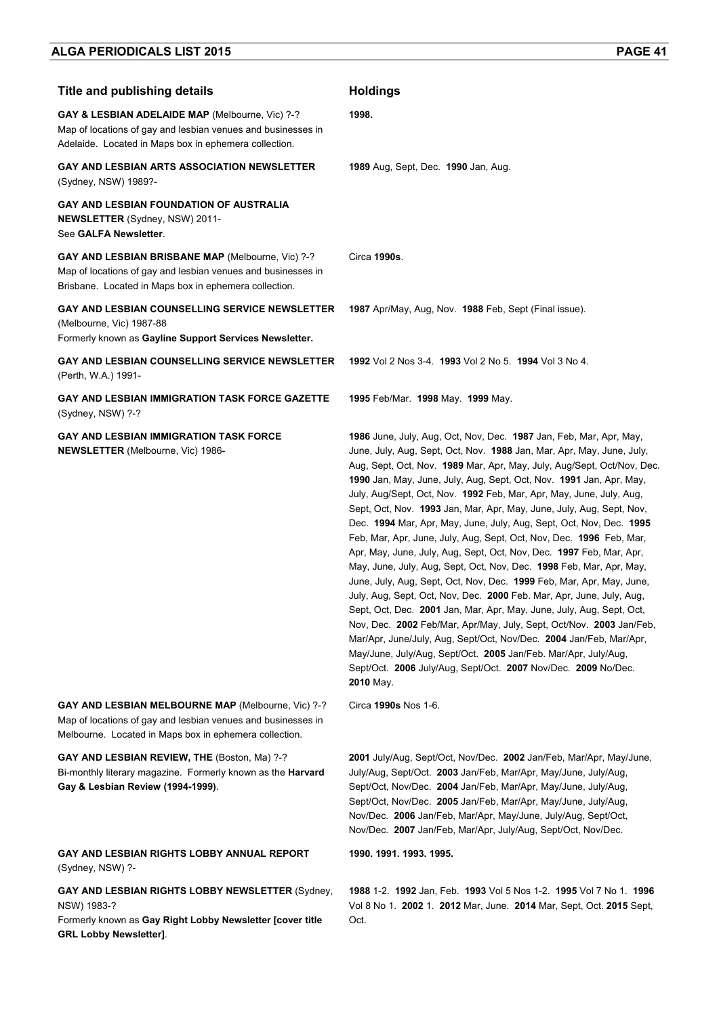| <b>Title and publishing details</b>                                                                                                                                          | <b>Holdings</b>                                                                                                                                                                                                                                                                                                                                                                                                                                                                                                                                                                                                                                                                                                                                                                                                                                                                                                                                                                                                                                                                                                                                                                                                                                              |
|------------------------------------------------------------------------------------------------------------------------------------------------------------------------------|--------------------------------------------------------------------------------------------------------------------------------------------------------------------------------------------------------------------------------------------------------------------------------------------------------------------------------------------------------------------------------------------------------------------------------------------------------------------------------------------------------------------------------------------------------------------------------------------------------------------------------------------------------------------------------------------------------------------------------------------------------------------------------------------------------------------------------------------------------------------------------------------------------------------------------------------------------------------------------------------------------------------------------------------------------------------------------------------------------------------------------------------------------------------------------------------------------------------------------------------------------------|
| GAY & LESBIAN ADELAIDE MAP (Melbourne, Vic) ?-?<br>Map of locations of gay and lesbian venues and businesses in<br>Adelaide. Located in Maps box in ephemera collection.     | 1998.                                                                                                                                                                                                                                                                                                                                                                                                                                                                                                                                                                                                                                                                                                                                                                                                                                                                                                                                                                                                                                                                                                                                                                                                                                                        |
| <b>GAY AND LESBIAN ARTS ASSOCIATION NEWSLETTER</b><br>(Sydney, NSW) 1989?-                                                                                                   | <b>1989</b> Aug, Sept, Dec. <b>1990</b> Jan, Aug.                                                                                                                                                                                                                                                                                                                                                                                                                                                                                                                                                                                                                                                                                                                                                                                                                                                                                                                                                                                                                                                                                                                                                                                                            |
| <b>GAY AND LESBIAN FOUNDATION OF AUSTRALIA</b><br><b>NEWSLETTER</b> (Sydney, NSW) 2011-<br>See GALFA Newsletter.                                                             |                                                                                                                                                                                                                                                                                                                                                                                                                                                                                                                                                                                                                                                                                                                                                                                                                                                                                                                                                                                                                                                                                                                                                                                                                                                              |
| GAY AND LESBIAN BRISBANE MAP (Melbourne, Vic) ?-?<br>Map of locations of gay and lesbian venues and businesses in<br>Brisbane. Located in Maps box in ephemera collection.   | Circa 1990s.                                                                                                                                                                                                                                                                                                                                                                                                                                                                                                                                                                                                                                                                                                                                                                                                                                                                                                                                                                                                                                                                                                                                                                                                                                                 |
| <b>GAY AND LESBIAN COUNSELLING SERVICE NEWSLETTER</b><br>(Melbourne, Vic) 1987-88<br>Formerly known as Gayline Support Services Newsletter.                                  | 1987 Apr/May, Aug, Nov. 1988 Feb, Sept (Final issue).                                                                                                                                                                                                                                                                                                                                                                                                                                                                                                                                                                                                                                                                                                                                                                                                                                                                                                                                                                                                                                                                                                                                                                                                        |
| <b>GAY AND LESBIAN COUNSELLING SERVICE NEWSLETTER</b><br>(Perth, W.A.) 1991-                                                                                                 | 1992 Vol 2 Nos 3-4. 1993 Vol 2 No 5. 1994 Vol 3 No 4.                                                                                                                                                                                                                                                                                                                                                                                                                                                                                                                                                                                                                                                                                                                                                                                                                                                                                                                                                                                                                                                                                                                                                                                                        |
| GAY AND LESBIAN IMMIGRATION TASK FORCE GAZETTE<br>(Sydney, NSW) ?-?                                                                                                          | 1995 Feb/Mar. 1998 May. 1999 May.                                                                                                                                                                                                                                                                                                                                                                                                                                                                                                                                                                                                                                                                                                                                                                                                                                                                                                                                                                                                                                                                                                                                                                                                                            |
| <b>GAY AND LESBIAN IMMIGRATION TASK FORCE</b><br><b>NEWSLETTER</b> (Melbourne, Vic) 1986-                                                                                    | 1986 June, July, Aug, Oct, Nov, Dec. 1987 Jan, Feb, Mar, Apr, May,<br>June, July, Aug, Sept, Oct, Nov. 1988 Jan, Mar, Apr, May, June, July,<br>Aug, Sept, Oct, Nov. 1989 Mar, Apr, May, July, Aug/Sept, Oct/Nov, Dec.<br>1990 Jan, May, June, July, Aug, Sept, Oct, Nov. 1991 Jan, Apr, May,<br>July, Aug/Sept, Oct, Nov. 1992 Feb, Mar, Apr, May, June, July, Aug,<br>Sept, Oct, Nov. 1993 Jan, Mar, Apr, May, June, July, Aug, Sept, Nov,<br>Dec. 1994 Mar, Apr, May, June, July, Aug, Sept, Oct, Nov, Dec. 1995<br>Feb, Mar, Apr, June, July, Aug, Sept, Oct, Nov, Dec. 1996 Feb, Mar,<br>Apr, May, June, July, Aug, Sept, Oct, Nov, Dec. 1997 Feb, Mar, Apr,<br>May, June, July, Aug, Sept, Oct, Nov, Dec. 1998 Feb, Mar, Apr, May,<br>June, July, Aug, Sept, Oct, Nov, Dec. 1999 Feb, Mar, Apr, May, June,<br>July, Aug, Sept, Oct, Nov, Dec. 2000 Feb. Mar, Apr, June, July, Aug,<br>Sept, Oct, Dec. 2001 Jan, Mar, Apr, May, June, July, Aug, Sept, Oct,<br>Nov, Dec. 2002 Feb/Mar, Apr/May, July, Sept, Oct/Nov. 2003 Jan/Feb,<br>Mar/Apr, June/July, Aug, Sept/Oct, Nov/Dec. 2004 Jan/Feb, Mar/Apr,<br>May/June, July/Aug, Sept/Oct. 2005 Jan/Feb. Mar/Apr, July/Aug,<br>Sept/Oct. 2006 July/Aug, Sept/Oct. 2007 Nov/Dec. 2009 No/Dec.<br>2010 May. |
| GAY AND LESBIAN MELBOURNE MAP (Melbourne, Vic) ?-?<br>Map of locations of gay and lesbian venues and businesses in<br>Melbourne. Located in Maps box in ephemera collection. | Circa 1990s Nos 1-6.                                                                                                                                                                                                                                                                                                                                                                                                                                                                                                                                                                                                                                                                                                                                                                                                                                                                                                                                                                                                                                                                                                                                                                                                                                         |
| GAY AND LESBIAN REVIEW, THE (Boston, Ma) ?-?<br>Bi-monthly literary magazine. Formerly known as the Harvard<br>Gay & Lesbian Review (1994-1999).                             | 2001 July/Aug, Sept/Oct, Nov/Dec. 2002 Jan/Feb, Mar/Apr, May/June,<br>July/Aug, Sept/Oct. 2003 Jan/Feb, Mar/Apr, May/June, July/Aug,<br>Sept/Oct, Nov/Dec. 2004 Jan/Feb, Mar/Apr, May/June, July/Aug,<br>Sept/Oct, Nov/Dec. 2005 Jan/Feb, Mar/Apr, May/June, July/Aug,<br>Nov/Dec. 2006 Jan/Feb, Mar/Apr, May/June, July/Aug, Sept/Oct,<br>Nov/Dec. 2007 Jan/Feb, Mar/Apr, July/Aug, Sept/Oct, Nov/Dec.                                                                                                                                                                                                                                                                                                                                                                                                                                                                                                                                                                                                                                                                                                                                                                                                                                                      |
| GAY AND LESBIAN RIGHTS LOBBY ANNUAL REPORT<br>(Sydney, NSW) ?-                                                                                                               | 1990. 1991. 1993. 1995.                                                                                                                                                                                                                                                                                                                                                                                                                                                                                                                                                                                                                                                                                                                                                                                                                                                                                                                                                                                                                                                                                                                                                                                                                                      |
| GAY AND LESBIAN RIGHTS LOBBY NEWSLETTER (Sydney,<br>NSW) 1983-?<br>Formerly known as Gay Right Lobby Newsletter [cover title<br><b>GRL Lobby Newsletter].</b>                | 1988 1-2. 1992 Jan, Feb. 1993 Vol 5 Nos 1-2. 1995 Vol 7 No 1. 1996<br>Vol 8 No 1. 2002 1. 2012 Mar, June. 2014 Mar, Sept, Oct. 2015 Sept,<br>Oct.                                                                                                                                                                                                                                                                                                                                                                                                                                                                                                                                                                                                                                                                                                                                                                                                                                                                                                                                                                                                                                                                                                            |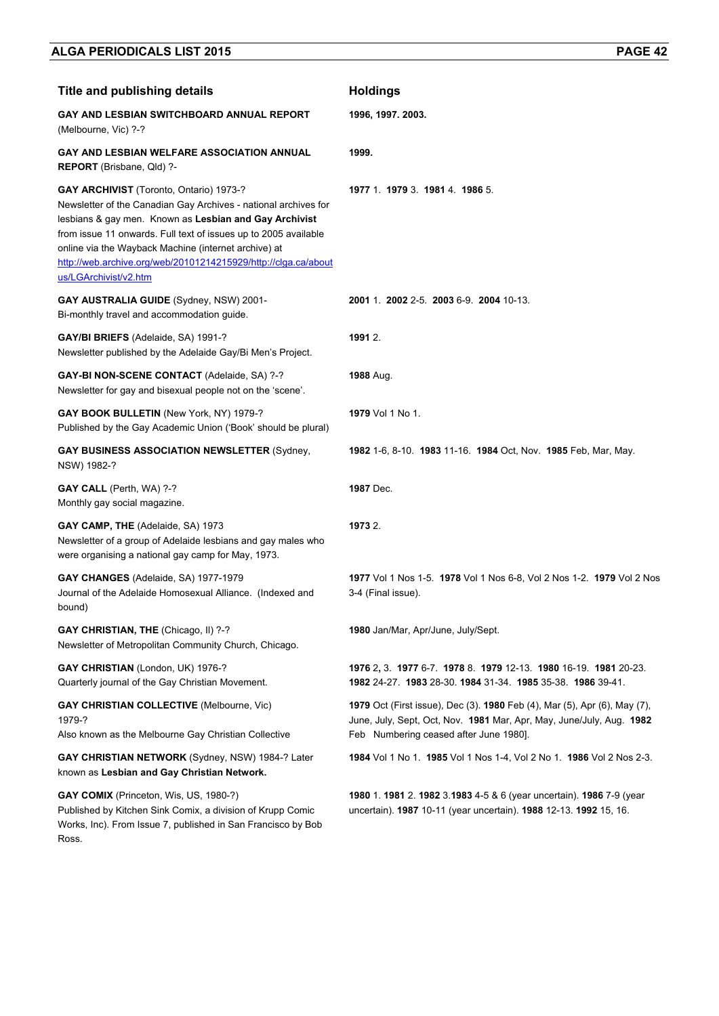| <b>Title and publishing details</b>                                                                                                                                                                                                                                                                                                                                                               | <b>Holdings</b>                                                                                                                                                                                           |
|---------------------------------------------------------------------------------------------------------------------------------------------------------------------------------------------------------------------------------------------------------------------------------------------------------------------------------------------------------------------------------------------------|-----------------------------------------------------------------------------------------------------------------------------------------------------------------------------------------------------------|
| GAY AND LESBIAN SWITCHBOARD ANNUAL REPORT<br>(Melbourne, Vic) ?-?                                                                                                                                                                                                                                                                                                                                 | 1996, 1997. 2003.                                                                                                                                                                                         |
| GAY AND LESBIAN WELFARE ASSOCIATION ANNUAL<br>REPORT (Brisbane, Qld) ?-                                                                                                                                                                                                                                                                                                                           | 1999.                                                                                                                                                                                                     |
| <b>GAY ARCHIVIST</b> (Toronto, Ontario) 1973-?<br>Newsletter of the Canadian Gay Archives - national archives for<br>lesbians & gay men. Known as Lesbian and Gay Archivist<br>from issue 11 onwards. Full text of issues up to 2005 available<br>online via the Wayback Machine (internet archive) at<br>http://web.archive.org/web/20101214215929/http://clga.ca/about<br>us/LGArchivist/v2.htm | 1977 1 1979 3 1981 4 1986 5                                                                                                                                                                               |
| GAY AUSTRALIA GUIDE (Sydney, NSW) 2001-<br>Bi-monthly travel and accommodation quide.                                                                                                                                                                                                                                                                                                             | 2001 1 2002 2-5 2003 6-9 2004 10-13                                                                                                                                                                       |
| <b>GAY/BI BRIEFS (Adelaide, SA) 1991-?</b><br>Newsletter published by the Adelaide Gay/Bi Men's Project.                                                                                                                                                                                                                                                                                          | 1991 2.                                                                                                                                                                                                   |
| GAY-BI NON-SCENE CONTACT (Adelaide, SA) ?-?<br>Newsletter for gay and bisexual people not on the 'scene'.                                                                                                                                                                                                                                                                                         | <b>1988 Aug.</b>                                                                                                                                                                                          |
| GAY BOOK BULLETIN (New York, NY) 1979-?<br>Published by the Gay Academic Union ('Book' should be plural)                                                                                                                                                                                                                                                                                          | 1979 Vol 1 No 1.                                                                                                                                                                                          |
| <b>GAY BUSINESS ASSOCIATION NEWSLETTER (Sydney,</b><br>NSW) 1982-?                                                                                                                                                                                                                                                                                                                                | 1982 1-6, 8-10. 1983 11-16. 1984 Oct, Nov. 1985 Feb, Mar, May.                                                                                                                                            |
| <b>GAY CALL</b> (Perth, WA) ?-?<br>Monthly gay social magazine.                                                                                                                                                                                                                                                                                                                                   | 1987 Dec.                                                                                                                                                                                                 |
| GAY CAMP, THE (Adelaide, SA) 1973<br>Newsletter of a group of Adelaide lesbians and gay males who<br>were organising a national gay camp for May, 1973.                                                                                                                                                                                                                                           | 1973 2.                                                                                                                                                                                                   |
| GAY CHANGES (Adelaide, SA) 1977-1979<br>Journal of the Adelaide Homosexual Alliance. (Indexed and<br>bound)                                                                                                                                                                                                                                                                                       | 1977 Vol 1 Nos 1-5. 1978 Vol 1 Nos 6-8, Vol 2 Nos 1-2. 1979 Vol 2 Nos<br>3-4 (Final issue).                                                                                                               |
| GAY CHRISTIAN, THE (Chicago, II) ?-?<br>Newsletter of Metropolitan Community Church, Chicago.                                                                                                                                                                                                                                                                                                     | 1980 Jan/Mar, Apr/June, July/Sept.                                                                                                                                                                        |
| GAY CHRISTIAN (London, UK) 1976-?<br>Quarterly journal of the Gay Christian Movement.                                                                                                                                                                                                                                                                                                             | 1976 2, 3. 1977 6-7. 1978 8. 1979 12-13. 1980 16-19. 1981 20-23.<br>1982 24-27 1983 28-30 1984 31-34 1985 35-38 1986 39-41                                                                                |
| <b>GAY CHRISTIAN COLLECTIVE (Melbourne, Vic)</b><br>1979-?<br>Also known as the Melbourne Gay Christian Collective                                                                                                                                                                                                                                                                                | <b>1979</b> Oct (First issue), Dec (3). <b>1980</b> Feb (4), Mar (5), Apr (6), May (7),<br>June, July, Sept, Oct, Nov. 1981 Mar, Apr, May, June/July, Aug. 1982<br>Feb Numbering ceased after June 1980]. |
| GAY CHRISTIAN NETWORK (Sydney, NSW) 1984-? Later<br>known as Lesbian and Gay Christian Network.                                                                                                                                                                                                                                                                                                   | 1984 Vol 1 No 1. 1985 Vol 1 Nos 1-4, Vol 2 No 1. 1986 Vol 2 Nos 2-3.                                                                                                                                      |
| GAY COMIX (Princeton, Wis, US, 1980-?)<br>Published by Kitchen Sink Comix, a division of Krupp Comic<br>Works, Inc). From Issue 7, published in San Francisco by Bob<br>Ross.                                                                                                                                                                                                                     | 1980 1. 1981 2. 1982 3.1983 4-5 & 6 (year uncertain). 1986 7-9 (year<br>uncertain). 1987 10-11 (year uncertain). 1988 12-13. 1992 15, 16.                                                                 |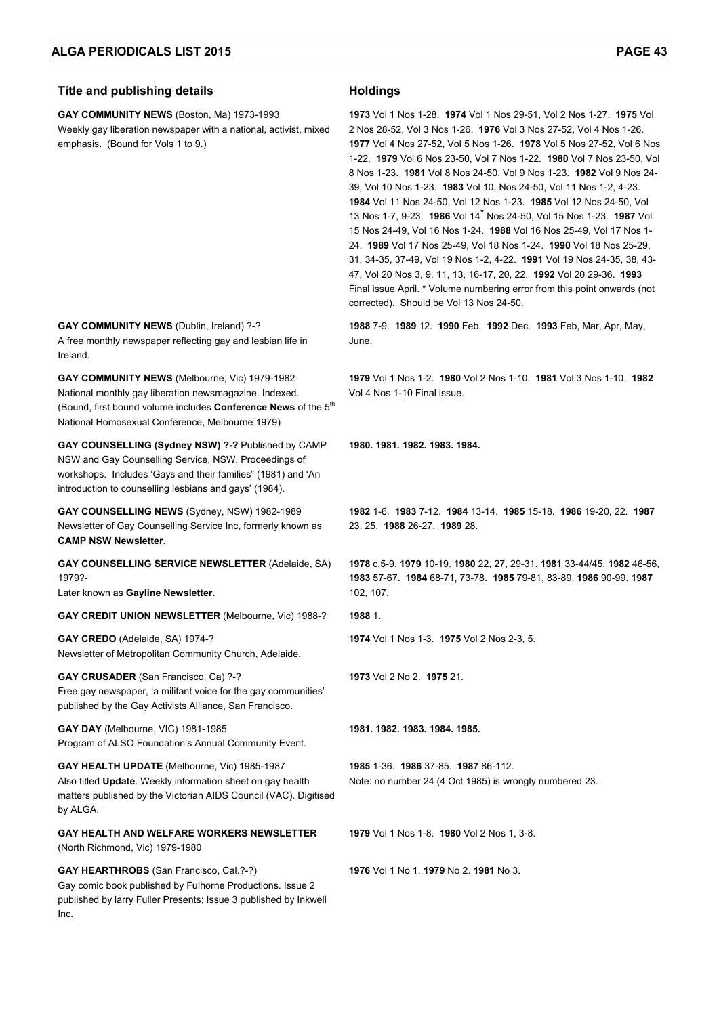#### **Title and publishing details Holdings**

**GAY COMMUNITY NEWS** (Boston, Ma) 1973-1993 Weekly gay liberation newspaper with a national, activist, mixed emphasis. (Bound for Vols 1 to 9.)

**1973** Vol 1 Nos 1-28. **1974** Vol 1 Nos 29-51, Vol 2 Nos 1-27. **1975** Vol 2 Nos 28-52, Vol 3 Nos 1-26. **1976** Vol 3 Nos 27-52, Vol 4 Nos 1-26. **1977** Vol 4 Nos 27-52, Vol 5 Nos 1-26. **1978** Vol 5 Nos 27-52, Vol 6 Nos 1-22. **1979** Vol 6 Nos 23-50, Vol 7 Nos 1-22. **1980** Vol 7 Nos 23-50, Vol 8 Nos 1-23. **1981** Vol 8 Nos 24-50, Vol 9 Nos 1-23. **1982** Vol 9 Nos 24- 39, Vol 10 Nos 1-23. **1983** Vol 10, Nos 24-50, Vol 11 Nos 1-2, 4-23. **1984** Vol 11 Nos 24-50, Vol 12 Nos 1-23. **1985** Vol 12 Nos 24-50, Vol 13 Nos 1-7, 9-23. **1986** Vol 14\* Nos 24-50, Vol 15 Nos 1-23. **1987** Vol 15 Nos 24-49, Vol 16 Nos 1-24. **1988** Vol 16 Nos 25-49, Vol 17 Nos 1- 24. **1989** Vol 17 Nos 25-49, Vol 18 Nos 1-24. **1990** Vol 18 Nos 25-29, 31, 34-35, 37-49, Vol 19 Nos 1-2, 4-22. **1991** Vol 19 Nos 24-35, 38, 43- 47, Vol 20 Nos 3, 9, 11, 13, 16-17, 20, 22. **1992** Vol 20 29-36. **1993** Final issue April. \* Volume numbering error from this point onwards (not corrected). Should be Vol 13 Nos 24-50.

**1988** 7-9. **1989** 12. **1990** Feb. **1992** Dec. **1993** Feb, Mar, Apr, May, June.

**1979** Vol 1 Nos 1-2. **1980** Vol 2 Nos 1-10. **1981** Vol 3 Nos 1-10. **1982** Vol 4 Nos 1-10 Final issue.

**1980. 1981. 1982. 1983. 1984.** 

**1982** 1-6. **1983** 7-12. **1984** 13-14. **1985** 15-18. **1986** 19-20, 22. **1987** 23, 25. **1988** 26-27. **1989** 28.

**1978** c.5-9. **1979** 10-19. **1980** 22, 27, 29-31. **1981** 33-44/45. **1982** 46-56, **1983** 57-67. **1984** 68-71, 73-78. **1985** 79-81, 83-89. **1986** 90-99. **1987**  102, 107.

**1974** Vol 1 Nos 1-3. **1975** Vol 2 Nos 2-3, 5.

**1973** Vol 2 No 2. **1975** 21.

**1981. 1982. 1983. 1984. 1985.**

**1985** 1-36. **1986** 37-85. **1987** 86-112. Note: no number 24 (4 Oct 1985) is wrongly numbered 23.

**1979** Vol 1 Nos 1-8. **1980** Vol 2 Nos 1, 3-8.

**1976** Vol 1 No 1. **1979** No 2. **1981** No 3.

**GAY COMMUNITY NEWS** (Dublin, Ireland) ?-? A free monthly newspaper reflecting gay and lesbian life in Ireland.

**GAY COMMUNITY NEWS** (Melbourne, Vic) 1979-1982 National monthly gay liberation newsmagazine. Indexed. (Bound, first bound volume includes **Conference News** of the 5<sup>th</sup> National Homosexual Conference, Melbourne 1979)

**GAY COUNSELLING (Sydney NSW) ?-?** Published by CAMP NSW and Gay Counselling Service, NSW. Proceedings of workshops. Includes 'Gays and their families" (1981) and 'An introduction to counselling lesbians and gays' (1984).

**GAY COUNSELLING NEWS** (Sydney, NSW) 1982-1989 Newsletter of Gay Counselling Service Inc, formerly known as **CAMP NSW Newsletter**.

**GAY COUNSELLING SERVICE NEWSLETTER** (Adelaide, SA) 1979?-

Later known as **Gayline Newsletter**.

**GAY CREDIT UNION NEWSLETTER** (Melbourne, Vic) 1988-? **1988** 1.

**GAY CREDO** (Adelaide, SA) 1974-? Newsletter of Metropolitan Community Church, Adelaide.

**GAY CRUSADER** (San Francisco, Ca) ?-? Free gay newspaper, 'a militant voice for the gay communities' published by the Gay Activists Alliance, San Francisco.

**GAY DAY** (Melbourne, VIC) 1981-1985 Program of ALSO Foundation's Annual Community Event.

**GAY HEALTH UPDATE** (Melbourne, Vic) 1985-1987 Also titled **Update**. Weekly information sheet on gay health matters published by the Victorian AIDS Council (VAC). Digitised by ALGA.

**GAY HEALTH AND WELFARE WORKERS NEWSLETTER**  (North Richmond, Vic) 1979-1980

**GAY HEARTHROBS** (San Francisco, Cal.?-?) Gay comic book published by Fulhorne Productions. Issue 2 published by larry Fuller Presents; Issue 3 published by Inkwell Inc.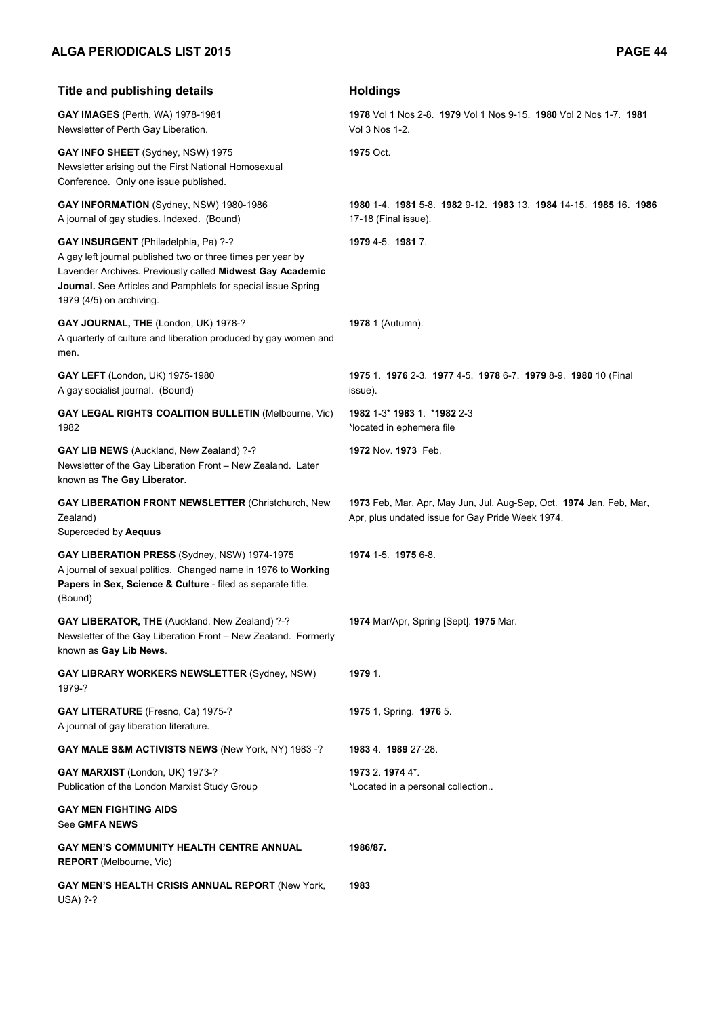| <b>Title and publishing details</b>                                                                                                                                                                                                                                        | <b>Holdings</b>                                                                                                         |
|----------------------------------------------------------------------------------------------------------------------------------------------------------------------------------------------------------------------------------------------------------------------------|-------------------------------------------------------------------------------------------------------------------------|
| GAY IMAGES (Perth, WA) 1978-1981<br>Newsletter of Perth Gay Liberation.                                                                                                                                                                                                    | 1978 Vol 1 Nos 2-8. 1979 Vol 1 Nos 9-15. 1980 Vol 2 Nos 1-7. 1981<br>Vol 3 Nos 1-2.                                     |
| GAY INFO SHEET (Sydney, NSW) 1975<br>Newsletter arising out the First National Homosexual<br>Conference. Only one issue published.                                                                                                                                         | 1975 Oct.                                                                                                               |
| GAY INFORMATION (Sydney, NSW) 1980-1986<br>A journal of gay studies. Indexed. (Bound)                                                                                                                                                                                      | 1980 1-4. 1981 5-8. 1982 9-12. 1983 13. 1984 14-15. 1985 16. 1986<br>17-18 (Final issue).                               |
| <b>GAY INSURGENT</b> (Philadelphia, Pa) ?-?<br>A gay left journal published two or three times per year by<br>Lavender Archives. Previously called Midwest Gay Academic<br><b>Journal.</b> See Articles and Pamphlets for special issue Spring<br>1979 (4/5) on archiving. | 1979 4-5, 1981 7.                                                                                                       |
| GAY JOURNAL, THE (London, UK) 1978-?<br>A quarterly of culture and liberation produced by gay women and<br>men.                                                                                                                                                            | 1978 1 (Autumn).                                                                                                        |
| GAY LEFT (London, UK) 1975-1980<br>A gay socialist journal. (Bound)                                                                                                                                                                                                        | 1975 1. 1976 2-3. 1977 4-5. 1978 6-7. 1979 8-9. 1980 10 (Final<br>issue).                                               |
| <b>GAY LEGAL RIGHTS COALITION BULLETIN (Melbourne, Vic)</b><br>1982                                                                                                                                                                                                        | 1982 1-3* 1983 1 *1982 2-3<br>*located in ephemera file                                                                 |
| GAY LIB NEWS (Auckland, New Zealand) ?-?<br>Newsletter of the Gay Liberation Front - New Zealand. Later<br>known as The Gay Liberator.                                                                                                                                     | 1972 Nov. 1973 Feb.                                                                                                     |
| <b>GAY LIBERATION FRONT NEWSLETTER (Christchurch, New</b><br>Zealand)<br>Superceded by Aequus                                                                                                                                                                              | 1973 Feb, Mar, Apr, May Jun, Jul, Aug-Sep, Oct. 1974 Jan, Feb, Mar,<br>Apr, plus undated issue for Gay Pride Week 1974. |
| GAY LIBERATION PRESS (Sydney, NSW) 1974-1975<br>A journal of sexual politics. Changed name in 1976 to Working<br>Papers in Sex, Science & Culture - filed as separate title.<br>(Bound)                                                                                    | 1974 1-5 1975 6-8                                                                                                       |
| GAY LIBERATOR, THE (Auckland, New Zealand) ?-?<br>Newsletter of the Gay Liberation Front - New Zealand. Formerly<br>known as Gay Lib News.                                                                                                                                 | 1974 Mar/Apr, Spring [Sept]. 1975 Mar.                                                                                  |
| <b>GAY LIBRARY WORKERS NEWSLETTER (Sydney, NSW)</b><br>1979-?                                                                                                                                                                                                              | 1979 1.                                                                                                                 |
| GAY LITERATURE (Fresno, Ca) 1975-?<br>A journal of gay liberation literature.                                                                                                                                                                                              | <b>1975</b> 1, Spring. <b>1976</b> 5.                                                                                   |
| GAY MALE S&M ACTIVISTS NEWS (New York, NY) 1983 -?                                                                                                                                                                                                                         | 1983 4. 1989 27-28.                                                                                                     |
| GAY MARXIST (London, UK) 1973-?<br>Publication of the London Marxist Study Group                                                                                                                                                                                           | 1973 2. 1974 4*.<br>*Located in a personal collection                                                                   |
| <b>GAY MEN FIGHTING AIDS</b><br>See GMFA NEWS                                                                                                                                                                                                                              |                                                                                                                         |
| <b>GAY MEN'S COMMUNITY HEALTH CENTRE ANNUAL</b><br><b>REPORT</b> (Melbourne, Vic)                                                                                                                                                                                          | 1986/87.                                                                                                                |
| GAY MEN'S HEALTH CRISIS ANNUAL REPORT (New York,<br><b>USA) ?-?</b>                                                                                                                                                                                                        | 1983                                                                                                                    |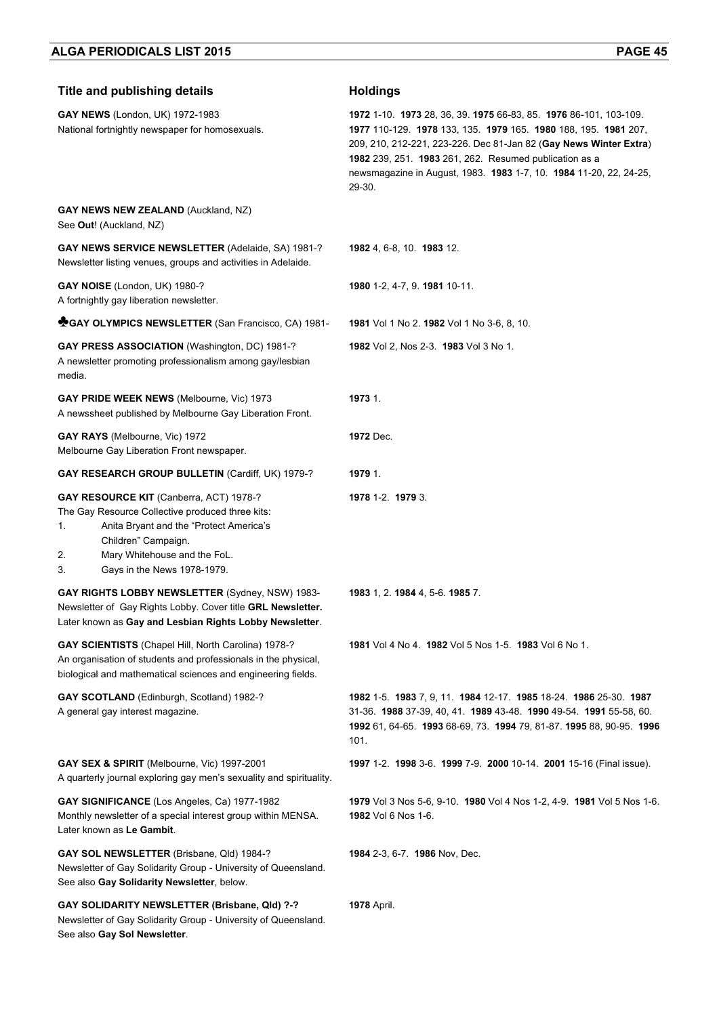| <b>Title and publishing details</b>                                                                                                                                                                                                            | <b>Holdings</b>                                                                                                                                                                                                                                                                                                                                 |
|------------------------------------------------------------------------------------------------------------------------------------------------------------------------------------------------------------------------------------------------|-------------------------------------------------------------------------------------------------------------------------------------------------------------------------------------------------------------------------------------------------------------------------------------------------------------------------------------------------|
| GAY NEWS (London, UK) 1972-1983<br>National fortnightly newspaper for homosexuals.                                                                                                                                                             | 1972 1-10 1973 28, 36, 39 1975 66-83, 85 1976 86-101, 103-109<br>1977 110-129. 1978 133, 135. 1979 165. 1980 188, 195. 1981 207,<br>209, 210, 212-221, 223-226. Dec 81-Jan 82 (Gay News Winter Extra)<br>1982 239, 251. 1983 261, 262. Resumed publication as a<br>newsmagazine in August, 1983. 1983 1-7, 10. 1984 11-20, 22, 24-25,<br>29-30. |
| GAY NEWS NEW ZEALAND (Auckland, NZ)<br>See Out! (Auckland, NZ)                                                                                                                                                                                 |                                                                                                                                                                                                                                                                                                                                                 |
| <b>GAY NEWS SERVICE NEWSLETTER (Adelaide, SA) 1981-?</b><br>Newsletter listing venues, groups and activities in Adelaide.                                                                                                                      | 1982 4, 6-8, 10. 1983 12.                                                                                                                                                                                                                                                                                                                       |
| GAY NOISE (London, UK) 1980-?<br>A fortnightly gay liberation newsletter.                                                                                                                                                                      | 1980 1-2, 4-7, 9. 1981 10-11.                                                                                                                                                                                                                                                                                                                   |
| GAY OLYMPICS NEWSLETTER (San Francisco, CA) 1981-                                                                                                                                                                                              | 1981 Vol 1 No 2, 1982 Vol 1 No 3-6, 8, 10.                                                                                                                                                                                                                                                                                                      |
| <b>GAY PRESS ASSOCIATION (Washington, DC) 1981-?</b><br>A newsletter promoting professionalism among gay/lesbian<br>media.                                                                                                                     | 1982 Vol 2, Nos 2-3. 1983 Vol 3 No 1.                                                                                                                                                                                                                                                                                                           |
| GAY PRIDE WEEK NEWS (Melbourne, Vic) 1973<br>A newssheet published by Melbourne Gay Liberation Front.                                                                                                                                          | 1973 1.                                                                                                                                                                                                                                                                                                                                         |
| GAY RAYS (Melbourne, Vic) 1972<br>Melbourne Gay Liberation Front newspaper.                                                                                                                                                                    | 1972 Dec.                                                                                                                                                                                                                                                                                                                                       |
| GAY RESEARCH GROUP BULLETIN (Cardiff, UK) 1979-?                                                                                                                                                                                               | 1979 1.                                                                                                                                                                                                                                                                                                                                         |
| GAY RESOURCE KIT (Canberra, ACT) 1978-?<br>The Gay Resource Collective produced three kits:<br>Anita Bryant and the "Protect America's<br>1.<br>Children" Campaign.<br>Mary Whitehouse and the FoL.<br>2.<br>Gays in the News 1978-1979.<br>3. | 1978 1-2. 1979 3.                                                                                                                                                                                                                                                                                                                               |
| GAY RIGHTS LOBBY NEWSLETTER (Sydney, NSW) 1983-<br>Newsletter of Gay Rights Lobby. Cover title GRL Newsletter.<br>Later known as Gay and Lesbian Rights Lobby Newsletter.                                                                      | 1983 1, 2. 1984 4, 5-6. 1985 7.                                                                                                                                                                                                                                                                                                                 |
| <b>GAY SCIENTISTS</b> (Chapel Hill, North Carolina) 1978-?<br>An organisation of students and professionals in the physical,<br>biological and mathematical sciences and engineering fields.                                                   | 1981 Vol 4 No 4. 1982 Vol 5 Nos 1-5. 1983 Vol 6 No 1.                                                                                                                                                                                                                                                                                           |
| GAY SCOTLAND (Edinburgh, Scotland) 1982-?<br>A general gay interest magazine.                                                                                                                                                                  | 1982 1-5. 1983 7, 9, 11. 1984 12-17. 1985 18-24. 1986 25-30. 1987<br>31-36. 1988 37-39, 40, 41. 1989 43-48. 1990 49-54. 1991 55-58, 60.<br>1992 61, 64-65. 1993 68-69, 73. 1994 79, 81-87. 1995 88, 90-95. 1996<br>101.                                                                                                                         |
| GAY SEX & SPIRIT (Melbourne, Vic) 1997-2001<br>A quarterly journal exploring gay men's sexuality and spirituality.                                                                                                                             | 1997 1-2. 1998 3-6. 1999 7-9. 2000 10-14. 2001 15-16 (Final issue).                                                                                                                                                                                                                                                                             |
| GAY SIGNIFICANCE (Los Angeles, Ca) 1977-1982<br>Monthly newsletter of a special interest group within MENSA.<br>Later known as Le Gambit.                                                                                                      | 1979 Vol 3 Nos 5-6, 9-10. 1980 Vol 4 Nos 1-2, 4-9. 1981 Vol 5 Nos 1-6.<br>1982 Vol 6 Nos 1-6.                                                                                                                                                                                                                                                   |
| GAY SOL NEWSLETTER (Brisbane, Qld) 1984-?<br>Newsletter of Gay Solidarity Group - University of Queensland.<br>See also Gay Solidarity Newsletter, below.                                                                                      | 1984 2-3, 6-7. 1986 Nov, Dec.                                                                                                                                                                                                                                                                                                                   |
| GAY SOLIDARITY NEWSLETTER (Brisbane, Qld) ?-?<br>Newsletter of Gay Solidarity Group - University of Queensland.<br>See also Gay Sol Newsletter.                                                                                                | <b>1978</b> April.                                                                                                                                                                                                                                                                                                                              |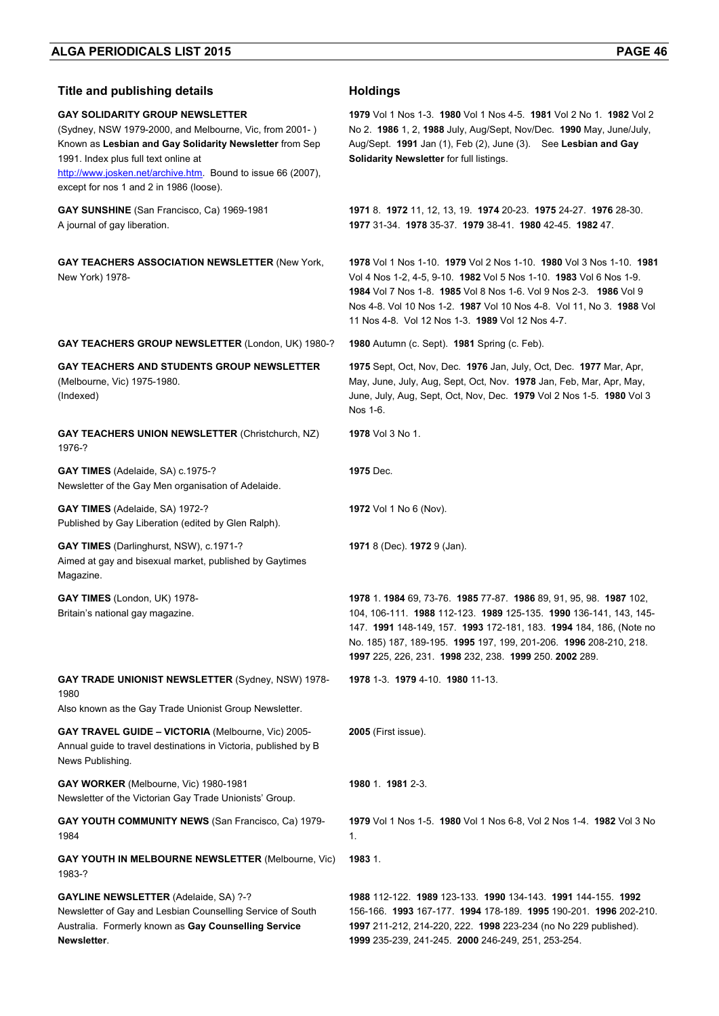| <b>Title and publishing details</b>                                                                                                                                                                                                                                                                             | <b>Holdings</b>                                                                                                                                                                                                                                                                                                                             |
|-----------------------------------------------------------------------------------------------------------------------------------------------------------------------------------------------------------------------------------------------------------------------------------------------------------------|---------------------------------------------------------------------------------------------------------------------------------------------------------------------------------------------------------------------------------------------------------------------------------------------------------------------------------------------|
| <b>GAY SOLIDARITY GROUP NEWSLETTER</b><br>(Sydney, NSW 1979-2000, and Melbourne, Vic, from 2001-)<br>Known as Lesbian and Gay Solidarity Newsletter from Sep<br>1991. Index plus full text online at<br>http://www.josken.net/archive.htm. Bound to issue 66 (2007),<br>except for nos 1 and 2 in 1986 (loose). | 1979 Vol 1 Nos 1-3. 1980 Vol 1 Nos 4-5. 1981 Vol 2 No 1. 1982 Vol 2<br>No 2. 1986 1, 2, 1988 July, Aug/Sept, Nov/Dec. 1990 May, June/July,<br>Aug/Sept. 1991 Jan (1), Feb (2), June (3). See Lesbian and Gay<br>Solidarity Newsletter for full listings.                                                                                    |
| GAY SUNSHINE (San Francisco, Ca) 1969-1981<br>A journal of gay liberation.                                                                                                                                                                                                                                      | 1971 8. 1972 11, 12, 13, 19. 1974 20-23. 1975 24-27. 1976 28-30.<br>1977 31-34, 1978 35-37, 1979 38-41, 1980 42-45, 1982 47,                                                                                                                                                                                                                |
| <b>GAY TEACHERS ASSOCIATION NEWSLETTER (New York,</b><br>New York) 1978-                                                                                                                                                                                                                                        | 1978 Vol 1 Nos 1-10. 1979 Vol 2 Nos 1-10. 1980 Vol 3 Nos 1-10. 1981<br>Vol 4 Nos 1-2, 4-5, 9-10. 1982 Vol 5 Nos 1-10. 1983 Vol 6 Nos 1-9.<br>1984 Vol 7 Nos 1-8. 1985 Vol 8 Nos 1-6. Vol 9 Nos 2-3. 1986 Vol 9<br>Nos 4-8. Vol 10 Nos 1-2. 1987 Vol 10 Nos 4-8. Vol 11, No 3. 1988 Vol<br>11 Nos 4-8. Vol 12 Nos 1-3. 1989 Vol 12 Nos 4-7.  |
| GAY TEACHERS GROUP NEWSLETTER (London, UK) 1980-?                                                                                                                                                                                                                                                               | 1980 Autumn (c. Sept). 1981 Spring (c. Feb).                                                                                                                                                                                                                                                                                                |
| GAY TEACHERS AND STUDENTS GROUP NEWSLETTER<br>(Melbourne, Vic) 1975-1980.<br>(Indexed)                                                                                                                                                                                                                          | 1975 Sept, Oct, Nov, Dec. 1976 Jan, July, Oct, Dec. 1977 Mar, Apr,<br>May, June, July, Aug, Sept, Oct, Nov. 1978 Jan, Feb, Mar, Apr, May,<br>June, July, Aug, Sept, Oct, Nov, Dec. 1979 Vol 2 Nos 1-5. 1980 Vol 3<br>Nos 1-6.                                                                                                               |
| <b>GAY TEACHERS UNION NEWSLETTER (Christchurch, NZ)</b><br>1976-?                                                                                                                                                                                                                                               | <b>1978</b> Vol 3 No 1.                                                                                                                                                                                                                                                                                                                     |
| GAY TIMES (Adelaide, SA) c.1975-?<br>Newsletter of the Gay Men organisation of Adelaide.                                                                                                                                                                                                                        | 1975 Dec.                                                                                                                                                                                                                                                                                                                                   |
| GAY TIMES (Adelaide, SA) 1972-?<br>Published by Gay Liberation (edited by Glen Ralph).                                                                                                                                                                                                                          | 1972 Vol 1 No 6 (Nov).                                                                                                                                                                                                                                                                                                                      |
| <b>GAY TIMES</b> (Darlinghurst, NSW), c.1971-?<br>Aimed at gay and bisexual market, published by Gaytimes<br>Magazine.                                                                                                                                                                                          | 1971 8 (Dec). 1972 9 (Jan).                                                                                                                                                                                                                                                                                                                 |
| GAY TIMES (London, UK) 1978-<br>Britain's national gay magazine.                                                                                                                                                                                                                                                | 1978 1.1984 69, 73-76. 1985 77-87. 1986 89, 91, 95, 98. 1987 102,<br>104, 106-111. 1988 112-123. 1989 125-135. 1990 136-141, 143, 145-<br>147. 1991 148-149, 157. 1993 172-181, 183. 1994 184, 186, (Note no<br>No. 185) 187, 189-195. 1995 197, 199, 201-206. 1996 208-210, 218.<br>1997 225, 226, 231. 1998 232, 238. 1999 250. 2002 289. |
| <b>GAY TRADE UNIONIST NEWSLETTER (Sydney, NSW) 1978-</b><br>1980<br>Also known as the Gay Trade Unionist Group Newsletter.                                                                                                                                                                                      | 1978 1-3 1979 4-10 1980 11-13                                                                                                                                                                                                                                                                                                               |
| GAY TRAVEL GUIDE - VICTORIA (Melbourne, Vic) 2005-<br>Annual guide to travel destinations in Victoria, published by B<br>News Publishing.                                                                                                                                                                       | <b>2005</b> (First issue).                                                                                                                                                                                                                                                                                                                  |
| GAY WORKER (Melbourne, Vic) 1980-1981<br>Newsletter of the Victorian Gay Trade Unionists' Group.                                                                                                                                                                                                                | 1980 1. 1981 2-3.                                                                                                                                                                                                                                                                                                                           |
| <b>GAY YOUTH COMMUNITY NEWS (San Francisco, Ca) 1979-</b><br>1984                                                                                                                                                                                                                                               | 1979 Vol 1 Nos 1-5. 1980 Vol 1 Nos 6-8, Vol 2 Nos 1-4. 1982 Vol 3 No<br>1.                                                                                                                                                                                                                                                                  |
| <b>GAY YOUTH IN MELBOURNE NEWSLETTER (Melbourne, Vic)</b><br>1983-?                                                                                                                                                                                                                                             | 1983 1.                                                                                                                                                                                                                                                                                                                                     |
| <b>GAYLINE NEWSLETTER (Adelaide, SA) ?-?</b><br>Newsletter of Gay and Lesbian Counselling Service of South<br>Australia. Formerly known as Gay Counselling Service<br>Newsletter.                                                                                                                               | 1988 112-122. 1989 123-133. 1990 134-143. 1991 144-155. 1992<br>156-166. 1993 167-177. 1994 178-189. 1995 190-201. 1996 202-210.<br>1997 211-212, 214-220, 222. 1998 223-234 (no No 229 published).<br>1999 235-239, 241-245. 2000 246-249, 251, 253-254.                                                                                   |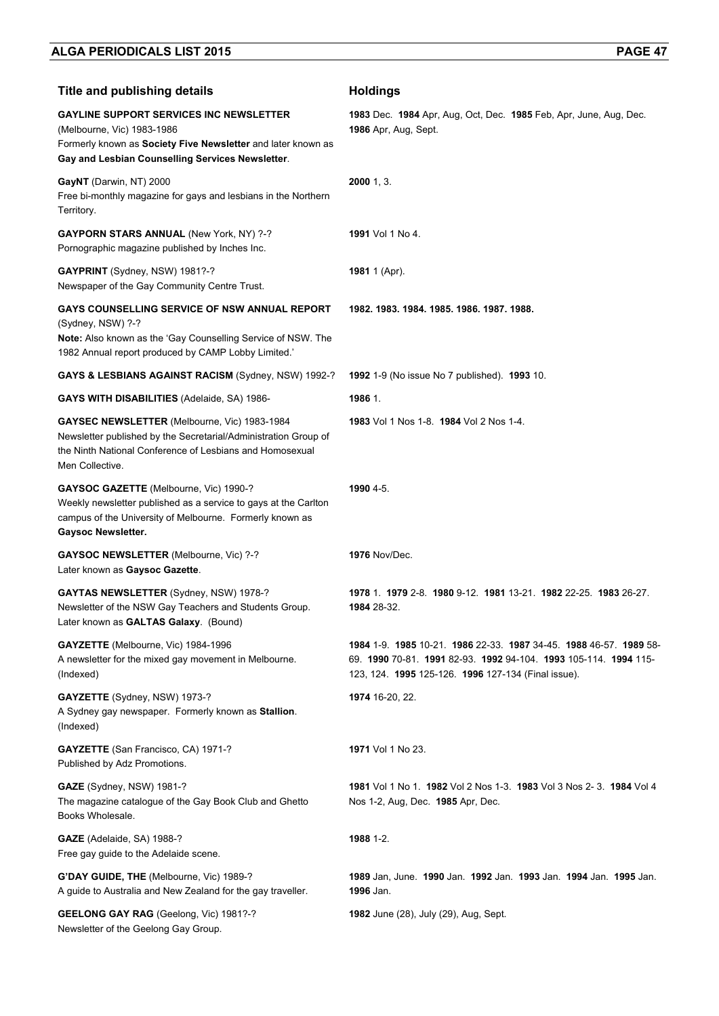| <b>Title and publishing details</b>                                                                                                                                                                | <b>Holdings</b>                                                                                                                                                                          |
|----------------------------------------------------------------------------------------------------------------------------------------------------------------------------------------------------|------------------------------------------------------------------------------------------------------------------------------------------------------------------------------------------|
| <b>GAYLINE SUPPORT SERVICES INC NEWSLETTER</b><br>(Melbourne, Vic) 1983-1986<br>Formerly known as Society Five Newsletter and later known as<br>Gay and Lesbian Counselling Services Newsletter.   | 1983 Dec. 1984 Apr, Aug, Oct, Dec. 1985 Feb, Apr, June, Aug, Dec.<br>1986 Apr, Aug, Sept.                                                                                                |
| GayNT (Darwin, NT) 2000<br>Free bi-monthly magazine for gays and lesbians in the Northern<br>Territory.                                                                                            | $2000$ 1, 3.                                                                                                                                                                             |
| <b>GAYPORN STARS ANNUAL (New York, NY) ?-?</b><br>Pornographic magazine published by Inches Inc.                                                                                                   | 1991 Vol 1 No 4.                                                                                                                                                                         |
| <b>GAYPRINT</b> (Sydney, NSW) 1981?-?<br>Newspaper of the Gay Community Centre Trust.                                                                                                              | 1981 1 (Apr).                                                                                                                                                                            |
| GAYS COUNSELLING SERVICE OF NSW ANNUAL REPORT<br>(Sydney, NSW) ?-?<br>Note: Also known as the 'Gay Counselling Service of NSW. The<br>1982 Annual report produced by CAMP Lobby Limited.'          | 1982. 1983. 1984. 1985. 1986. 1987. 1988.                                                                                                                                                |
| <b>GAYS &amp; LESBIANS AGAINST RACISM (Sydney, NSW) 1992-?</b>                                                                                                                                     | 1992 1-9 (No issue No 7 published). 1993 10.                                                                                                                                             |
| <b>GAYS WITH DISABILITIES (Adelaide, SA) 1986-</b>                                                                                                                                                 | 1986 1.                                                                                                                                                                                  |
| GAYSEC NEWSLETTER (Melbourne, Vic) 1983-1984<br>Newsletter published by the Secretarial/Administration Group of<br>the Ninth National Conference of Lesbians and Homosexual<br>Men Collective.     | 1983 Vol 1 Nos 1-8. 1984 Vol 2 Nos 1-4.                                                                                                                                                  |
| GAYSOC GAZETTE (Melbourne, Vic) 1990-?<br>Weekly newsletter published as a service to gays at the Carlton<br>campus of the University of Melbourne. Formerly known as<br><b>Gaysoc Newsletter.</b> | 1990 4-5.                                                                                                                                                                                |
| <b>GAYSOC NEWSLETTER (Melbourne, Vic) ?-?</b><br>Later known as Gaysoc Gazette.                                                                                                                    | <b>1976 Nov/Dec.</b>                                                                                                                                                                     |
| <b>GAYTAS NEWSLETTER (Sydney, NSW) 1978-?</b><br>Newsletter of the NSW Gay Teachers and Students Group.<br>Later known as GALTAS Galaxy. (Bound)                                                   | 1978 1 1979 2-8 1980 9-12 1981 13-21 1982 22-25 1983 26-27.<br>1984 28-32.                                                                                                               |
| <b>GAYZETTE</b> (Melbourne, Vic) 1984-1996<br>A newsletter for the mixed gay movement in Melbourne.<br>(Indexed)                                                                                   | 1984 1-9 1985 10-21 1986 22-33 1987 34-45 1988 46-57 1989 58-<br>69. 1990 70-81. 1991 82-93. 1992 94-104. 1993 105-114. 1994 115-<br>123, 124. 1995 125-126. 1996 127-134 (Final issue). |
| GAYZETTE (Sydney, NSW) 1973-?<br>A Sydney gay newspaper. Formerly known as Stallion.<br>(Indexed)                                                                                                  | 1974 16-20, 22.                                                                                                                                                                          |
| GAYZETTE (San Francisco, CA) 1971-?<br>Published by Adz Promotions.                                                                                                                                | <b>1971</b> Vol 1 No 23.                                                                                                                                                                 |
| <b>GAZE</b> (Sydney, NSW) 1981-?<br>The magazine catalogue of the Gay Book Club and Ghetto<br>Books Wholesale.                                                                                     | 1981 Vol 1 No 1. 1982 Vol 2 Nos 1-3. 1983 Vol 3 Nos 2-3. 1984 Vol 4<br>Nos 1-2, Aug, Dec. 1985 Apr, Dec.                                                                                 |
| GAZE (Adelaide, SA) 1988-?<br>Free gay guide to the Adelaide scene.                                                                                                                                | 1988 1-2.                                                                                                                                                                                |
| G'DAY GUIDE, THE (Melbourne, Vic) 1989-?<br>A guide to Australia and New Zealand for the gay traveller.                                                                                            | 1989 Jan, June 1990 Jan. 1992 Jan. 1993 Jan. 1994 Jan. 1995 Jan.<br>1996 Jan.                                                                                                            |
| GEELONG GAY RAG (Geelong, Vic) 1981?-?<br>Newsletter of the Geelong Gay Group.                                                                                                                     | 1982 June (28), July (29), Aug, Sept.                                                                                                                                                    |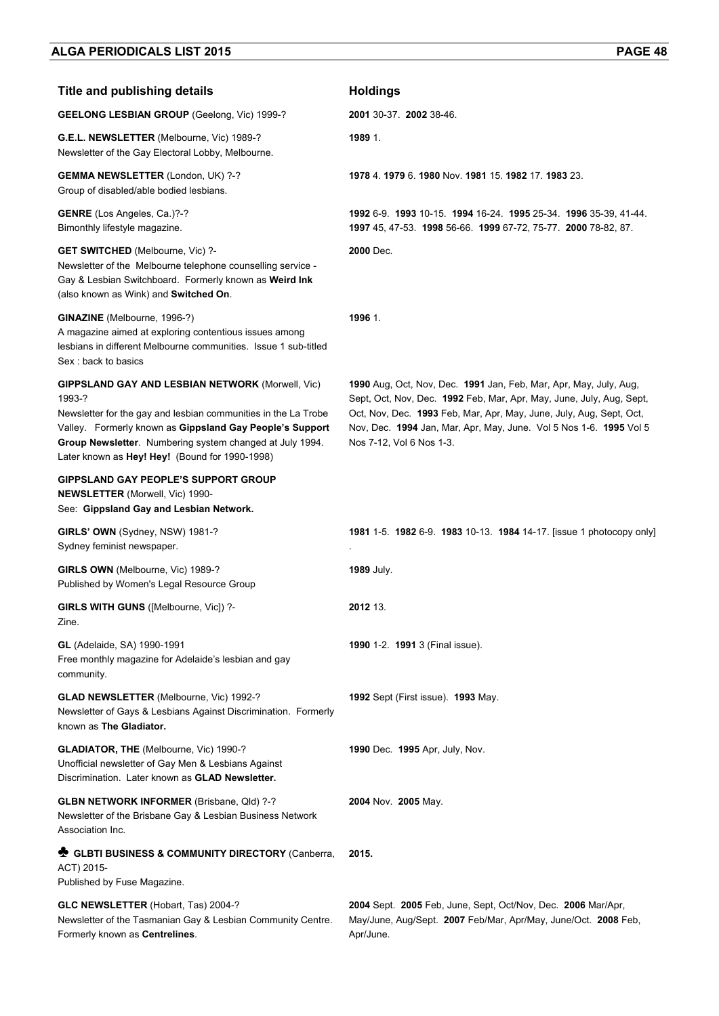| <b>Title and publishing details</b>                                                                                                                                                                                                                                                                           | <b>Holdings</b>                                                                                                                                                                                                                                                                                                    |
|---------------------------------------------------------------------------------------------------------------------------------------------------------------------------------------------------------------------------------------------------------------------------------------------------------------|--------------------------------------------------------------------------------------------------------------------------------------------------------------------------------------------------------------------------------------------------------------------------------------------------------------------|
| <b>GEELONG LESBIAN GROUP</b> (Geelong, Vic) 1999-?                                                                                                                                                                                                                                                            | 2001 30-37 2002 38-46.                                                                                                                                                                                                                                                                                             |
| G.E.L. NEWSLETTER (Melbourne, Vic) 1989-?<br>Newsletter of the Gay Electoral Lobby, Melbourne.                                                                                                                                                                                                                | 1989 1.                                                                                                                                                                                                                                                                                                            |
| <b>GEMMA NEWSLETTER (London, UK) ?-?</b><br>Group of disabled/able bodied lesbians.                                                                                                                                                                                                                           | 1978 4 1979 6 1980 Nov. 1981 15 1982 17 1983 23.                                                                                                                                                                                                                                                                   |
| GENRE (Los Angeles, Ca.)?-?<br>Bimonthly lifestyle magazine.                                                                                                                                                                                                                                                  | 1992 6-9 1993 10-15 1994 16-24 1995 25-34 1996 35-39, 41-44.<br>1997 45, 47-53. 1998 56-66. 1999 67-72, 75-77. 2000 78-82, 87.                                                                                                                                                                                     |
| <b>GET SWITCHED</b> (Melbourne, Vic) ?-<br>Newsletter of the Melbourne telephone counselling service -<br>Gay & Lesbian Switchboard. Formerly known as Weird Ink<br>(also known as Wink) and Switched On.                                                                                                     | 2000 Dec.                                                                                                                                                                                                                                                                                                          |
| GINAZINE (Melbourne, 1996-?)<br>A magazine aimed at exploring contentious issues among<br>lesbians in different Melbourne communities. Issue 1 sub-titled<br>Sex: back to basics                                                                                                                              | 1996 1.                                                                                                                                                                                                                                                                                                            |
| <b>GIPPSLAND GAY AND LESBIAN NETWORK (Morwell, Vic)</b><br>1993-?<br>Newsletter for the gay and lesbian communities in the La Trobe<br>Valley. Formerly known as Gippsland Gay People's Support<br>Group Newsletter. Numbering system changed at July 1994.<br>Later known as Hey! Hey! (Bound for 1990-1998) | 1990 Aug, Oct, Nov, Dec. 1991 Jan, Feb, Mar, Apr, May, July, Aug,<br>Sept, Oct, Nov, Dec. 1992 Feb, Mar, Apr, May, June, July, Aug, Sept,<br>Oct, Nov, Dec. 1993 Feb, Mar, Apr, May, June, July, Aug, Sept, Oct,<br>Nov, Dec. 1994 Jan, Mar, Apr, May, June. Vol 5 Nos 1-6. 1995 Vol 5<br>Nos 7-12, Vol 6 Nos 1-3. |
| <b>GIPPSLAND GAY PEOPLE'S SUPPORT GROUP</b><br><b>NEWSLETTER (Morwell, Vic) 1990-</b><br>See: Gippsland Gay and Lesbian Network.                                                                                                                                                                              |                                                                                                                                                                                                                                                                                                                    |
| GIRLS' OWN (Sydney, NSW) 1981-?<br>Sydney feminist newspaper.                                                                                                                                                                                                                                                 | 1981 1-5. 1982 6-9. 1983 10-13. 1984 14-17. [issue 1 photocopy only]                                                                                                                                                                                                                                               |
| GIRLS OWN (Melbourne, Vic) 1989-?<br>Published by Women's Legal Resource Group                                                                                                                                                                                                                                | <b>1989 July.</b>                                                                                                                                                                                                                                                                                                  |
| GIRLS WITH GUNS ([Melbourne, Vic]) ?-<br>Zine.                                                                                                                                                                                                                                                                | 2012 13.                                                                                                                                                                                                                                                                                                           |
| <b>GL</b> (Adelaide, SA) 1990-1991<br>Free monthly magazine for Adelaide's lesbian and gay<br>community.                                                                                                                                                                                                      | 1990 1-2. 1991 3 (Final issue).                                                                                                                                                                                                                                                                                    |
| <b>GLAD NEWSLETTER (Melbourne, Vic) 1992-?</b><br>Newsletter of Gays & Lesbians Against Discrimination. Formerly<br>known as The Gladiator.                                                                                                                                                                   | 1992 Sept (First issue). 1993 May.                                                                                                                                                                                                                                                                                 |
| GLADIATOR, THE (Melbourne, Vic) 1990-?<br>Unofficial newsletter of Gay Men & Lesbians Against<br>Discrimination. Later known as GLAD Newsletter.                                                                                                                                                              | 1990 Dec. 1995 Apr, July, Nov.                                                                                                                                                                                                                                                                                     |
| <b>GLBN NETWORK INFORMER (Brisbane, Qld) ?-?</b><br>Newsletter of the Brisbane Gay & Lesbian Business Network<br>Association Inc.                                                                                                                                                                             | 2004 Nov. 2005 May.                                                                                                                                                                                                                                                                                                |
| GLBTI BUSINESS & COMMUNITY DIRECTORY (Canberra,<br>ACT) 2015-<br>Published by Fuse Magazine.                                                                                                                                                                                                                  | 2015.                                                                                                                                                                                                                                                                                                              |
| GLC NEWSLETTER (Hobart, Tas) 2004-?<br>Newsletter of the Tasmanian Gay & Lesbian Community Centre.<br>Formerly known as Centrelines.                                                                                                                                                                          | 2004 Sept. 2005 Feb, June, Sept, Oct/Nov, Dec. 2006 Mar/Apr,<br>May/June, Aug/Sept. 2007 Feb/Mar, Apr/May, June/Oct. 2008 Feb,<br>Apr/June.                                                                                                                                                                        |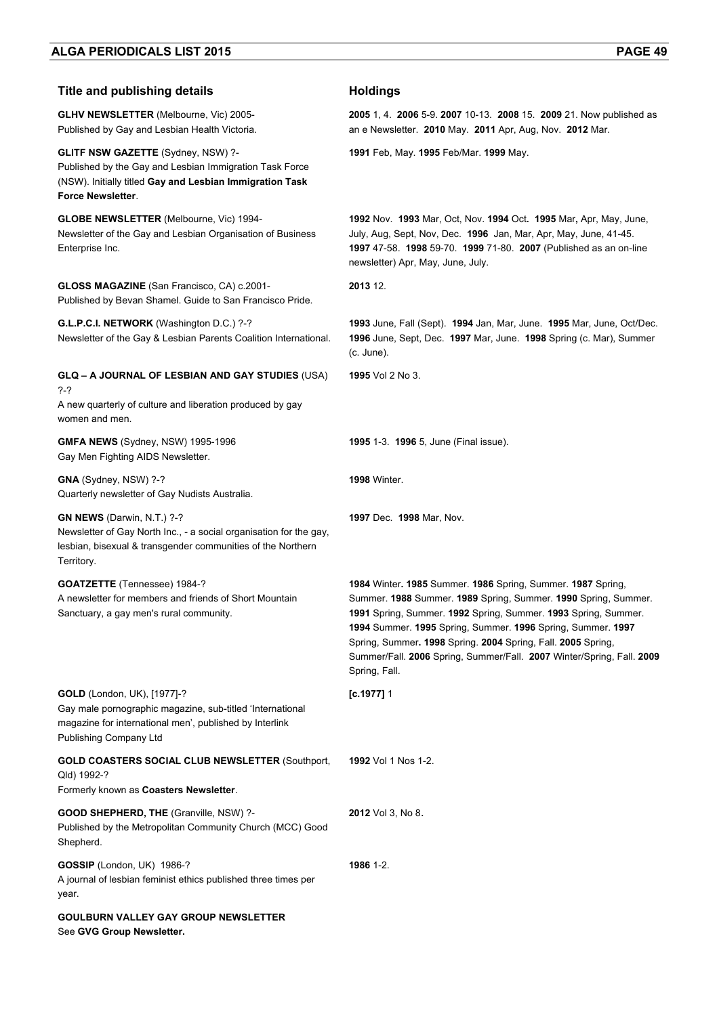| <b>Title and publishing details</b>                                                                                                                                                          | <b>Holdings</b>                                                                                                                                                                                                                                                                                                                                                                                                          |
|----------------------------------------------------------------------------------------------------------------------------------------------------------------------------------------------|--------------------------------------------------------------------------------------------------------------------------------------------------------------------------------------------------------------------------------------------------------------------------------------------------------------------------------------------------------------------------------------------------------------------------|
| <b>GLHV NEWSLETTER (Melbourne, Vic) 2005-</b><br>Published by Gay and Lesbian Health Victoria.                                                                                               | 2005 1, 4. 2006 5-9. 2007 10-13. 2008 15. 2009 21. Now published as<br>an e Newsletter. 2010 May. 2011 Apr, Aug, Nov. 2012 Mar.                                                                                                                                                                                                                                                                                          |
| <b>GLITF NSW GAZETTE (Sydney, NSW) ?-</b><br>Published by the Gay and Lesbian Immigration Task Force<br>(NSW). Initially titled Gay and Lesbian Immigration Task<br><b>Force Newsletter.</b> | 1991 Feb, May. 1995 Feb/Mar. 1999 May.                                                                                                                                                                                                                                                                                                                                                                                   |
| <b>GLOBE NEWSLETTER (Melbourne, Vic) 1994-</b><br>Newsletter of the Gay and Lesbian Organisation of Business<br>Enterprise Inc.                                                              | 1992 Nov. 1993 Mar, Oct, Nov. 1994 Oct. 1995 Mar, Apr, May, June,<br>July, Aug, Sept, Nov, Dec. 1996 Jan, Mar, Apr, May, June, 41-45.<br>1997 47-58. 1998 59-70. 1999 71-80. 2007 (Published as an on-line<br>newsletter) Apr, May, June, July.                                                                                                                                                                          |
| GLOSS MAGAZINE (San Francisco, CA) c.2001-<br>Published by Bevan Shamel. Guide to San Francisco Pride.                                                                                       | 2013 12.                                                                                                                                                                                                                                                                                                                                                                                                                 |
| G.L.P.C.I. NETWORK (Washington D.C.) ?-?<br>Newsletter of the Gay & Lesbian Parents Coalition International.                                                                                 | 1993 June, Fall (Sept). 1994 Jan, Mar, June. 1995 Mar, June, Oct/Dec.<br>1996 June, Sept, Dec. 1997 Mar, June. 1998 Spring (c. Mar), Summer<br>(c. June).                                                                                                                                                                                                                                                                |
| GLQ - A JOURNAL OF LESBIAN AND GAY STUDIES (USA)<br>$2-2$<br>A new quarterly of culture and liberation produced by gay<br>women and men.                                                     | <b>1995</b> Vol 2 No 3.                                                                                                                                                                                                                                                                                                                                                                                                  |
| <b>GMFA NEWS</b> (Sydney, NSW) 1995-1996<br>Gay Men Fighting AIDS Newsletter.                                                                                                                | <b>1995</b> 1-3. <b>1996</b> 5, June (Final issue).                                                                                                                                                                                                                                                                                                                                                                      |
| GNA (Sydney, NSW) ?-?<br>Quarterly newsletter of Gay Nudists Australia.                                                                                                                      | <b>1998</b> Winter.                                                                                                                                                                                                                                                                                                                                                                                                      |
| GN NEWS (Darwin, N.T.) ?-?<br>Newsletter of Gay North Inc., - a social organisation for the gay,<br>lesbian, bisexual & transgender communities of the Northern<br>Territory.                | <b>1997</b> Dec. <b>1998</b> Mar, Nov.                                                                                                                                                                                                                                                                                                                                                                                   |
| <b>GOATZETTE</b> (Tennessee) 1984-?<br>A newsletter for members and friends of Short Mountain<br>Sanctuary, a gay men's rural community.                                                     | 1984 Winter. 1985 Summer. 1986 Spring, Summer. 1987 Spring,<br>Summer. 1988 Summer. 1989 Spring, Summer. 1990 Spring, Summer.<br>1991 Spring, Summer. 1992 Spring, Summer. 1993 Spring, Summer.<br>1994 Summer. 1995 Spring, Summer. 1996 Spring, Summer. 1997<br>Spring, Summer. 1998 Spring. 2004 Spring, Fall. 2005 Spring,<br>Summer/Fall. 2006 Spring, Summer/Fall. 2007 Winter/Spring, Fall. 2009<br>Spring, Fall. |
| GOLD (London, UK), [1977]-?<br>Gay male pornographic magazine, sub-titled 'International<br>magazine for international men', published by Interlink<br>Publishing Company Ltd                | $[c.1977]$ 1                                                                                                                                                                                                                                                                                                                                                                                                             |
| <b>GOLD COASTERS SOCIAL CLUB NEWSLETTER (Southport,</b><br>Qld) 1992-?<br>Formerly known as Coasters Newsletter.                                                                             | <b>1992</b> Vol 1 Nos 1-2.                                                                                                                                                                                                                                                                                                                                                                                               |
| <b>GOOD SHEPHERD, THE (Granville, NSW) ?-</b><br>Published by the Metropolitan Community Church (MCC) Good<br>Shepherd.                                                                      | 2012 Vol 3, No 8.                                                                                                                                                                                                                                                                                                                                                                                                        |
| GOSSIP (London, UK) 1986-?<br>A journal of lesbian feminist ethics published three times per<br>year.                                                                                        | 1986 1-2.                                                                                                                                                                                                                                                                                                                                                                                                                |
| <b>GOULBURN VALLEY GAY GROUP NEWSLETTER</b><br>See GVG Group Newsletter.                                                                                                                     |                                                                                                                                                                                                                                                                                                                                                                                                                          |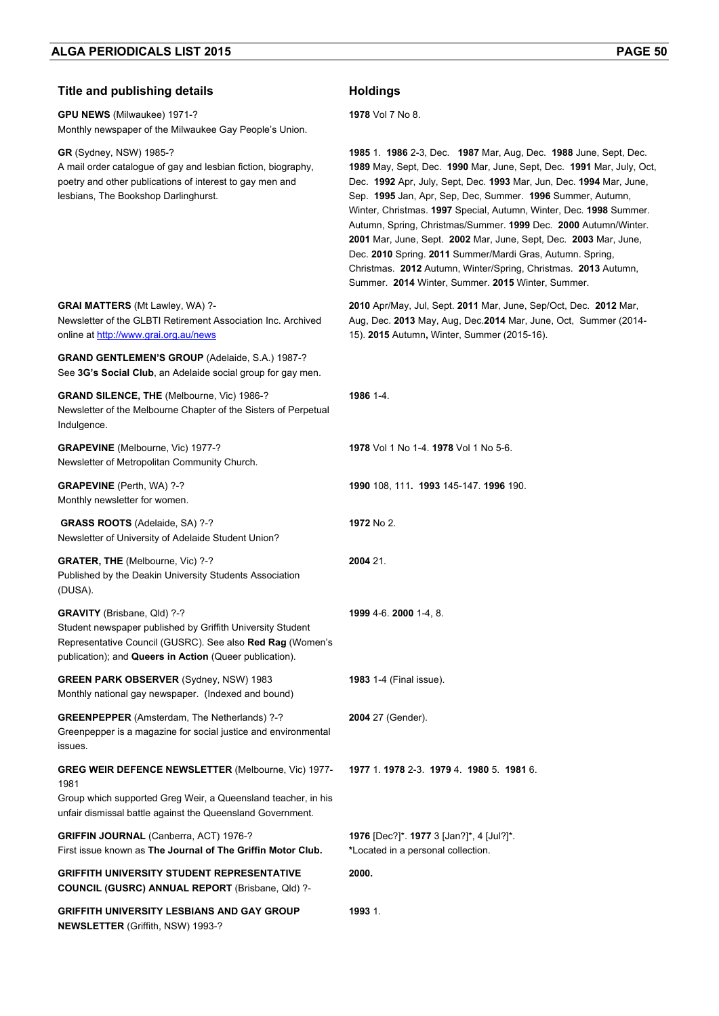#### **Title and publishing details <b>Holdings**

**GPU NEWS** (Milwaukee) 1971-? Monthly newspaper of the Milwaukee Gay People's Union. **1978** Vol 7 No 8. **GR** (Sydney, NSW) 1985-? A mail order catalogue of gay and lesbian fiction, biography, poetry and other publications of interest to gay men and lesbians, The Bookshop Darlinghurst. **1985** 1. **1986** 2-3, Dec. **1987** Mar, Aug, Dec. **1988** June, Sept, Dec. **1989** May, Sept, Dec. **1990** Mar, June, Sept, Dec. **1991** Mar, July, Oct, Dec. **1992** Apr, July, Sept, Dec. **1993** Mar, Jun, Dec. **1994** Mar, June, Sep. **1995** Jan, Apr, Sep, Dec, Summer. **1996** Summer, Autumn, Winter, Christmas. **1997** Special, Autumn, Winter, Dec. **1998** Summer. Autumn, Spring, Christmas/Summer. **1999** Dec. **2000** Autumn/Winter. **2001** Mar, June, Sept. **2002** Mar, June, Sept, Dec. **2003** Mar, June, Dec. **2010** Spring. **2011** Summer/Mardi Gras, Autumn. Spring, Christmas. **2012** Autumn, Winter/Spring, Christmas. **2013** Autumn, Summer. **2014** Winter, Summer. **2015** Winter, Summer. **GRAI MATTERS** (Mt Lawley, WA) ?- Newsletter of the GLBTI Retirement Association Inc. Archived online at http://www.grai.org.au/news **2010** Apr/May, Jul, Sept. **2011** Mar, June, Sep/Oct, Dec. **2012** Mar, Aug, Dec. **2013** May, Aug, Dec.**2014** Mar, June, Oct, Summer (2014- 15). **2015** Autumn**,** Winter, Summer (2015-16). **GRAND GENTLEMEN'S GROUP** (Adelaide, S.A.) 1987-? See **3G's Social Club**, an Adelaide social group for gay men. **GRAND SILENCE, THE** (Melbourne, Vic) 1986-? Newsletter of the Melbourne Chapter of the Sisters of Perpetual Indulgence. **1986** 1-4. **GRAPEVINE** (Melbourne, Vic) 1977-? Newsletter of Metropolitan Community Church. **1978** Vol 1 No 1-4. **1978** Vol 1 No 5-6. **GRAPEVINE** (Perth, WA) ?-? Monthly newsletter for women. **1990** 108, 111**. 1993** 145-147. **1996** 190.  **GRASS ROOTS** (Adelaide, SA) ?-? Newsletter of University of Adelaide Student Union? **1972** No 2. **GRATER, THE** (Melbourne, Vic) ?-? Published by the Deakin University Students Association (DUSA). **2004** 21. **GRAVITY** (Brisbane, Qld) ?-? Student newspaper published by Griffith University Student Representative Council (GUSRC). See also **Red Rag** (Women's publication); and **Queers in Action** (Queer publication). **1999** 4-6. **2000** 1-4, 8. **GREEN PARK OBSERVER** (Sydney, NSW) 1983 Monthly national gay newspaper. (Indexed and bound) **1983** 1-4 (Final issue). **GREENPEPPER** (Amsterdam, The Netherlands) ?-? Greenpepper is a magazine for social justice and environmental issues. **2004** 27 (Gender). **GREG WEIR DEFENCE NEWSLETTER** (Melbourne, Vic) 1977- 1981 Group which supported Greg Weir, a Queensland teacher, in his unfair dismissal battle against the Queensland Government. **1977** 1. **1978** 2-3. **1979** 4. **1980** 5. **1981** 6. **GRIFFIN JOURNAL** (Canberra, ACT) 1976-? First issue known as **The Journal of The Griffin Motor Club. 1976** [Dec?]\*. **1977** 3 [Jan?]\*, 4 [Jul?]\*. **\***Located in a personal collection. **GRIFFITH UNIVERSITY STUDENT REPRESENTATIVE COUNCIL (GUSRC) ANNUAL REPORT** (Brisbane, Qld) ?- **2000. GRIFFITH UNIVERSITY LESBIANS AND GAY GROUP NEWSLETTER** (Griffith, NSW) 1993-? **1993** 1.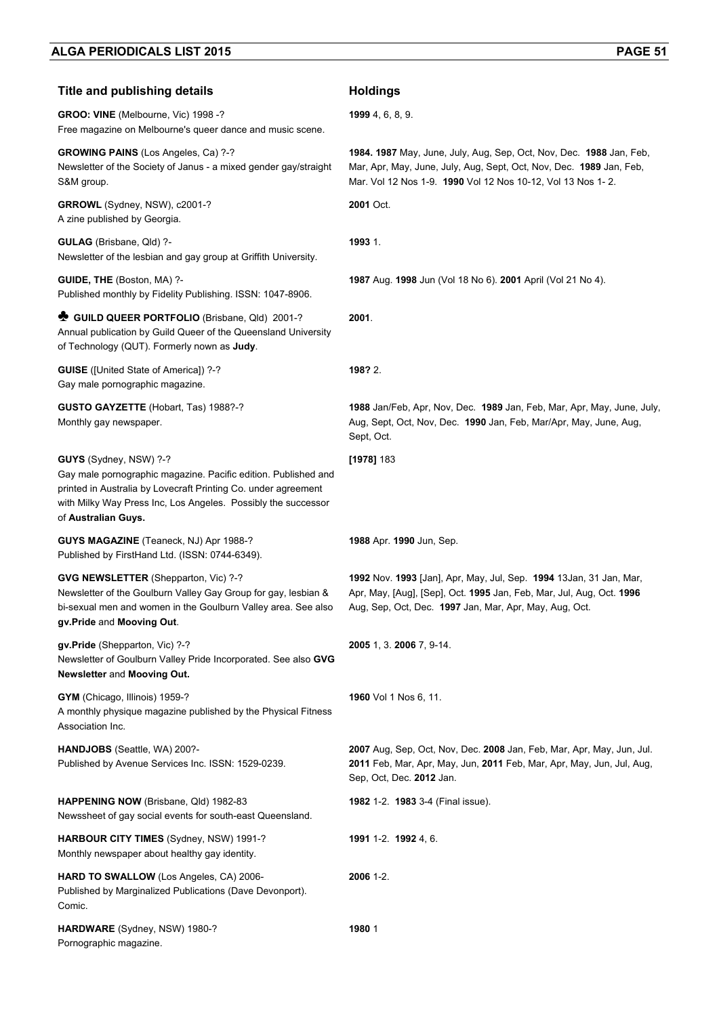#### **Title and publishing details <b>Holdings**

**GROO: VINE** (Melbourne, Vic) 1998 -? Free magazine on Melbourne's queer dance and music scene.

**GROWING PAINS** (Los Angeles, Ca) ?-? Newsletter of the Society of Janus - a mixed gender gay/straight S&M group.

**GRROWL** (Sydney, NSW), c2001-? A zine published by Georgia.

**GULAG** (Brisbane, Qld) ?- Newsletter of the lesbian and gay group at Griffith University.

**GUIDE, THE** (Boston, MA) ?- Published monthly by Fidelity Publishing. ISSN: 1047-8906.

**♣ GUILD QUEER PORTFOLIO** (Brisbane, Qld) 2001-? Annual publication by Guild Queer of the Queensland University of Technology (QUT). Formerly nown as **Judy**.

**GUISE** ([United State of America]) ?-? Gay male pornographic magazine.

**GUSTO GAYZETTE** (Hobart, Tas) 1988?-? Monthly gay newspaper.

**GUYS** (Sydney, NSW) ?-?

Gay male pornographic magazine. Pacific edition. Published and printed in Australia by Lovecraft Printing Co. under agreement with Milky Way Press Inc, Los Angeles. Possibly the successor of **Australian Guys.** 

**GUYS MAGAZINE** (Teaneck, NJ) Apr 1988-? Published by FirstHand Ltd. (ISSN: 0744-6349).

**GVG NEWSLETTER** (Shepparton, Vic) ?-?

Newsletter of the Goulburn Valley Gay Group for gay, lesbian & bi-sexual men and women in the Goulburn Valley area. See also **gv.Pride** and **Mooving Out**.

**gv.Pride** (Shepparton, Vic) ?-? Newsletter of Goulburn Valley Pride Incorporated. See also **GVG Newsletter** and **Mooving Out.**

**GYM** (Chicago, Illinois) 1959-? A monthly physique magazine published by the Physical Fitness Association Inc.

**HANDJOBS** (Seattle, WA) 200?- Published by Avenue Services Inc. ISSN: 1529-0239.

**HAPPENING NOW** (Brisbane, Qld) 1982-83 Newssheet of gay social events for south-east Queensland.

**HARBOUR CITY TIMES** (Sydney, NSW) 1991-? Monthly newspaper about healthy gay identity.

**HARD TO SWALLOW** (Los Angeles, CA) 2006- Published by Marginalized Publications (Dave Devonport). Comic.

**HARDWARE** (Sydney, NSW) 1980-? Pornographic magazine.

**1999** 4, 6, 8, 9.

**1984. 1987** May, June, July, Aug, Sep, Oct, Nov, Dec. **1988** Jan, Feb, Mar, Apr, May, June, July, Aug, Sept, Oct, Nov, Dec. **1989** Jan, Feb, Mar. Vol 12 Nos 1-9. **1990** Vol 12 Nos 10-12, Vol 13 Nos 1- 2.

**2001** Oct.

**1993** 1.

**1987** Aug. **1998** Jun (Vol 18 No 6). **2001** April (Vol 21 No 4).

**2001**.

**198?** 2.

**1988** Jan/Feb, Apr, Nov, Dec. **1989** Jan, Feb, Mar, Apr, May, June, July, Aug, Sept, Oct, Nov, Dec. **1990** Jan, Feb, Mar/Apr, May, June, Aug, Sept, Oct.

#### **[1978]** 183

**1988** Apr. **1990** Jun, Sep.

**1992** Nov. **1993** [Jan], Apr, May, Jul, Sep. **1994** 13Jan, 31 Jan, Mar, Apr, May, [Aug], [Sep], Oct. **1995** Jan, Feb, Mar, Jul, Aug, Oct. **1996**  Aug, Sep, Oct, Dec. **1997** Jan, Mar, Apr, May, Aug, Oct.

**2005** 1, 3. **2006** 7, 9-14.

**1960** Vol 1 Nos 6, 11.

**2007** Aug, Sep, Oct, Nov, Dec. **2008** Jan, Feb, Mar, Apr, May, Jun, Jul. **2011** Feb, Mar, Apr, May, Jun, **2011** Feb, Mar, Apr, May, Jun, Jul, Aug, Sep, Oct, Dec. **2012** Jan.

**1982** 1-2. **1983** 3-4 (Final issue).

**1991** 1-2. **1992** 4, 6.

**2006** 1-2.

**1980** 1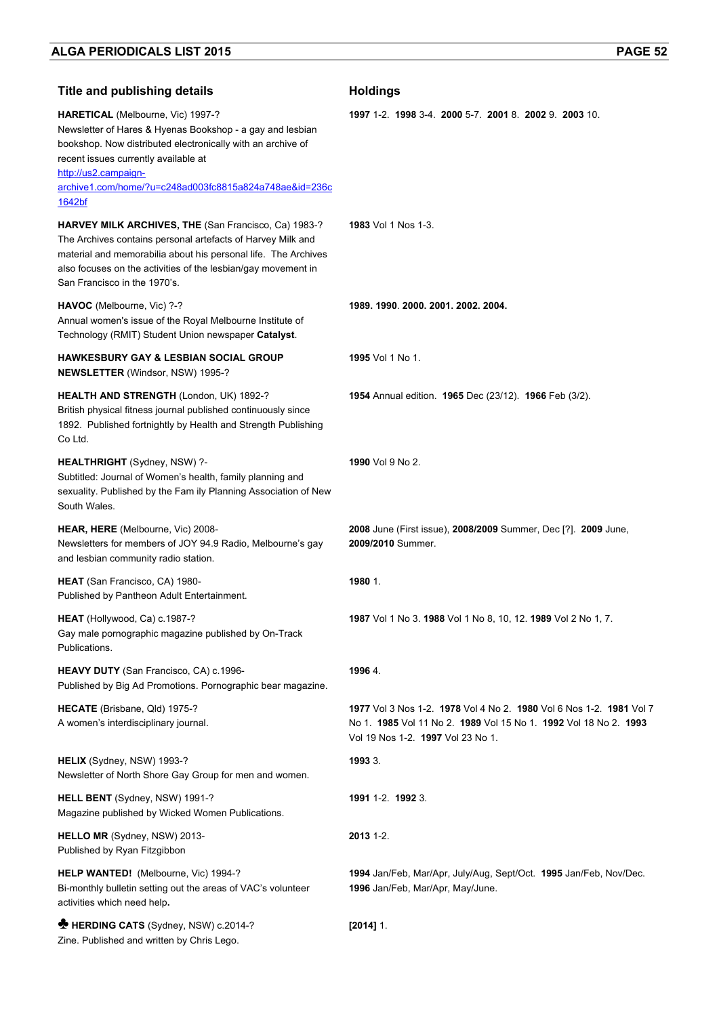| <b>Title and publishing details</b>                                                                                                                                                                                                                                                               | <b>Holdings</b>                                                                                                                                                              |
|---------------------------------------------------------------------------------------------------------------------------------------------------------------------------------------------------------------------------------------------------------------------------------------------------|------------------------------------------------------------------------------------------------------------------------------------------------------------------------------|
| HARETICAL (Melbourne, Vic) 1997-?<br>Newsletter of Hares & Hyenas Bookshop - a gay and lesbian<br>bookshop. Now distributed electronically with an archive of<br>recent issues currently available at<br>http://us2.campaign-<br>archive1.com/home/?u=c248ad003fc8815a824a748ae&id=236c<br>1642bf | 1997 1-2 1998 3-4 2000 5-7 2001 8 2002 9 2003 10                                                                                                                             |
| HARVEY MILK ARCHIVES, THE (San Francisco, Ca) 1983-?<br>The Archives contains personal artefacts of Harvey Milk and<br>material and memorabilia about his personal life. The Archives<br>also focuses on the activities of the lesbian/gay movement in<br>San Francisco in the 1970's.            | <b>1983</b> Vol 1 Nos 1-3.                                                                                                                                                   |
| HAVOC (Melbourne, Vic) ?-?<br>Annual women's issue of the Royal Melbourne Institute of<br>Technology (RMIT) Student Union newspaper Catalyst.                                                                                                                                                     | 1989. 1990. 2000. 2001. 2002. 2004.                                                                                                                                          |
| <b>HAWKESBURY GAY &amp; LESBIAN SOCIAL GROUP</b><br><b>NEWSLETTER (Windsor, NSW) 1995-?</b>                                                                                                                                                                                                       | <b>1995</b> Vol 1 No 1.                                                                                                                                                      |
| HEALTH AND STRENGTH (London, UK) 1892-?<br>British physical fitness journal published continuously since<br>1892. Published fortnightly by Health and Strength Publishing<br>Co Ltd.                                                                                                              | <b>1954</b> Annual edition. <b>1965</b> Dec (23/12). <b>1966</b> Feb (3/2).                                                                                                  |
| <b>HEALTHRIGHT</b> (Sydney, NSW) ?-<br>Subtitled: Journal of Women's health, family planning and<br>sexuality. Published by the Fam ily Planning Association of New<br>South Wales.                                                                                                               | 1990 Vol 9 No 2.                                                                                                                                                             |
| HEAR, HERE (Melbourne, Vic) 2008-<br>Newsletters for members of JOY 94.9 Radio, Melbourne's gay<br>and lesbian community radio station.                                                                                                                                                           | 2008 June (First issue), 2008/2009 Summer, Dec [?]. 2009 June,<br>2009/2010 Summer.                                                                                          |
| HEAT (San Francisco, CA) 1980-<br>Published by Pantheon Adult Entertainment.                                                                                                                                                                                                                      | 1980 1.                                                                                                                                                                      |
| <b>HEAT</b> (Hollywood, Ca) c.1987-?<br>Gay male pornographic magazine published by On-Track<br>Publications.                                                                                                                                                                                     | 1987 Vol 1 No 3. 1988 Vol 1 No 8, 10, 12. 1989 Vol 2 No 1, 7.                                                                                                                |
| HEAVY DUTY (San Francisco, CA) c.1996-<br>Published by Big Ad Promotions. Pornographic bear magazine.                                                                                                                                                                                             | 1996 4.                                                                                                                                                                      |
| HECATE (Brisbane, Qld) 1975-?<br>A women's interdisciplinary journal.                                                                                                                                                                                                                             | 1977 Vol 3 Nos 1-2. 1978 Vol 4 No 2. 1980 Vol 6 Nos 1-2. 1981 Vol 7<br>No 1. 1985 Vol 11 No 2. 1989 Vol 15 No 1. 1992 Vol 18 No 2. 1993<br>Vol 19 Nos 1-2. 1997 Vol 23 No 1. |
| HELIX (Sydney, NSW) 1993-?<br>Newsletter of North Shore Gay Group for men and women.                                                                                                                                                                                                              | 1993 3.                                                                                                                                                                      |
| HELL BENT (Sydney, NSW) 1991-?<br>Magazine published by Wicked Women Publications.                                                                                                                                                                                                                | 1991 1-2. 1992 3.                                                                                                                                                            |
| HELLO MR (Sydney, NSW) 2013-<br>Published by Ryan Fitzgibbon                                                                                                                                                                                                                                      | 2013 1-2.                                                                                                                                                                    |
| HELP WANTED! (Melbourne, Vic) 1994-?<br>Bi-monthly bulletin setting out the areas of VAC's volunteer<br>activities which need help.                                                                                                                                                               | 1994 Jan/Feb, Mar/Apr, July/Aug, Sept/Oct. 1995 Jan/Feb, Nov/Dec.<br>1996 Jan/Feb, Mar/Apr, May/June.                                                                        |
| HERDING CATS (Sydney, NSW) c.2014-?<br>Zine. Published and written by Chris Lego.                                                                                                                                                                                                                 | $[2014]$ 1.                                                                                                                                                                  |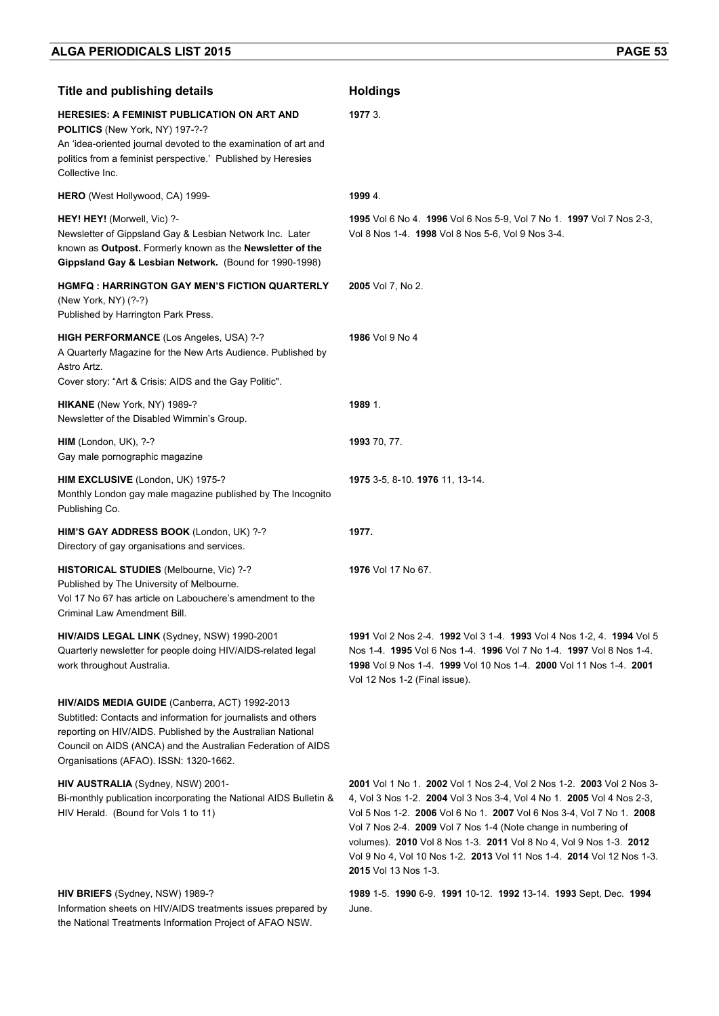| <b>Title and publishing details</b>                                                                                                                                                                                                                                                       | <b>Holdings</b>                                                                                                                                                                                                                                                                                                                                                                                                                                                 |
|-------------------------------------------------------------------------------------------------------------------------------------------------------------------------------------------------------------------------------------------------------------------------------------------|-----------------------------------------------------------------------------------------------------------------------------------------------------------------------------------------------------------------------------------------------------------------------------------------------------------------------------------------------------------------------------------------------------------------------------------------------------------------|
| <b>HERESIES: A FEMINIST PUBLICATION ON ART AND</b><br>POLITICS (New York, NY) 197-?-?<br>An 'idea-oriented journal devoted to the examination of art and<br>politics from a feminist perspective.' Published by Heresies<br>Collective Inc.                                               | 1977 3.                                                                                                                                                                                                                                                                                                                                                                                                                                                         |
| HERO (West Hollywood, CA) 1999-                                                                                                                                                                                                                                                           | 1999 4.                                                                                                                                                                                                                                                                                                                                                                                                                                                         |
| HEY! HEY! (Morwell, Vic) ?-<br>Newsletter of Gippsland Gay & Lesbian Network Inc. Later<br>known as Outpost. Formerly known as the Newsletter of the<br>Gippsland Gay & Lesbian Network. (Bound for 1990-1998)                                                                            | 1995 Vol 6 No 4 1996 Vol 6 Nos 5-9, Vol 7 No 1 1997 Vol 7 Nos 2-3,<br>Vol 8 Nos 1-4 1998 Vol 8 Nos 5-6, Vol 9 Nos 3-4.                                                                                                                                                                                                                                                                                                                                          |
| <b>HGMFQ : HARRINGTON GAY MEN'S FICTION QUARTERLY</b><br>(New York, NY) (?-?)<br>Published by Harrington Park Press.                                                                                                                                                                      | 2005 Vol 7, No 2.                                                                                                                                                                                                                                                                                                                                                                                                                                               |
| HIGH PERFORMANCE (Los Angeles, USA) ?-?<br>A Quarterly Magazine for the New Arts Audience. Published by<br>Astro Artz.                                                                                                                                                                    | 1986 Vol 9 No 4                                                                                                                                                                                                                                                                                                                                                                                                                                                 |
| Cover story: "Art & Crisis: AIDS and the Gay Politic".                                                                                                                                                                                                                                    |                                                                                                                                                                                                                                                                                                                                                                                                                                                                 |
| HIKANE (New York, NY) 1989-?<br>Newsletter of the Disabled Wimmin's Group.                                                                                                                                                                                                                | 1989 1.                                                                                                                                                                                                                                                                                                                                                                                                                                                         |
| HIM (London, UK), ?-?<br>Gay male pornographic magazine                                                                                                                                                                                                                                   | 1993 70, 77.                                                                                                                                                                                                                                                                                                                                                                                                                                                    |
| HIM EXCLUSIVE (London, UK) 1975-?<br>Monthly London gay male magazine published by The Incognito<br>Publishing Co.                                                                                                                                                                        | 1975 3-5, 8-10. 1976 11, 13-14.                                                                                                                                                                                                                                                                                                                                                                                                                                 |
| HIM'S GAY ADDRESS BOOK (London, UK) ?-?<br>Directory of gay organisations and services.                                                                                                                                                                                                   | 1977.                                                                                                                                                                                                                                                                                                                                                                                                                                                           |
| HISTORICAL STUDIES (Melbourne, Vic) ?-?<br>Published by The University of Melbourne.<br>Vol 17 No 67 has article on Labouchere's amendment to the<br>Criminal Law Amendment Bill.                                                                                                         | 1976 Vol 17 No 67.                                                                                                                                                                                                                                                                                                                                                                                                                                              |
| HIV/AIDS LEGAL LINK (Sydney, NSW) 1990-2001<br>Quarterly newsletter for people doing HIV/AIDS-related legal<br>work throughout Australia.                                                                                                                                                 | 1991 Vol 2 Nos 2-4. 1992 Vol 3 1-4. 1993 Vol 4 Nos 1-2, 4. 1994 Vol 5<br>Nos 1-4 1995 Vol 6 Nos 1-4 1996 Vol 7 No 1-4 1997 Vol 8 Nos 1-4 1<br>1998 Vol 9 Nos 1-4. 1999 Vol 10 Nos 1-4. 2000 Vol 11 Nos 1-4. 2001<br>Vol 12 Nos 1-2 (Final issue).                                                                                                                                                                                                               |
| HIV/AIDS MEDIA GUIDE (Canberra, ACT) 1992-2013<br>Subtitled: Contacts and information for journalists and others<br>reporting on HIV/AIDS. Published by the Australian National<br>Council on AIDS (ANCA) and the Australian Federation of AIDS<br>Organisations (AFAO). ISSN: 1320-1662. |                                                                                                                                                                                                                                                                                                                                                                                                                                                                 |
| HIV AUSTRALIA (Sydney, NSW) 2001-<br>Bi-monthly publication incorporating the National AIDS Bulletin &<br>HIV Herald. (Bound for Vols 1 to 11)                                                                                                                                            | 2001 Vol 1 No 1. 2002 Vol 1 Nos 2-4, Vol 2 Nos 1-2. 2003 Vol 2 Nos 3-<br>4, Vol 3 Nos 1-2. 2004 Vol 3 Nos 3-4, Vol 4 No 1. 2005 Vol 4 Nos 2-3,<br>Vol 5 Nos 1-2. 2006 Vol 6 No 1. 2007 Vol 6 Nos 3-4, Vol 7 No 1. 2008<br>Vol 7 Nos 2-4. 2009 Vol 7 Nos 1-4 (Note change in numbering of<br>volumes). 2010 Vol 8 Nos 1-3. 2011 Vol 8 No 4, Vol 9 Nos 1-3. 2012<br>Vol 9 No 4, Vol 10 Nos 1-2. 2013 Vol 11 Nos 1-4. 2014 Vol 12 Nos 1-3.<br>2015 Vol 13 Nos 1-3. |
| HIV BRIEFS (Sydney, NSW) 1989-?<br>Information sheets on HIV/AIDS treatments issues prepared by<br>the National Treatments Information Project of AFAO NSW.                                                                                                                               | 1989 1-5. 1990 6-9. 1991 10-12. 1992 13-14. 1993 Sept, Dec. 1994<br>June.                                                                                                                                                                                                                                                                                                                                                                                       |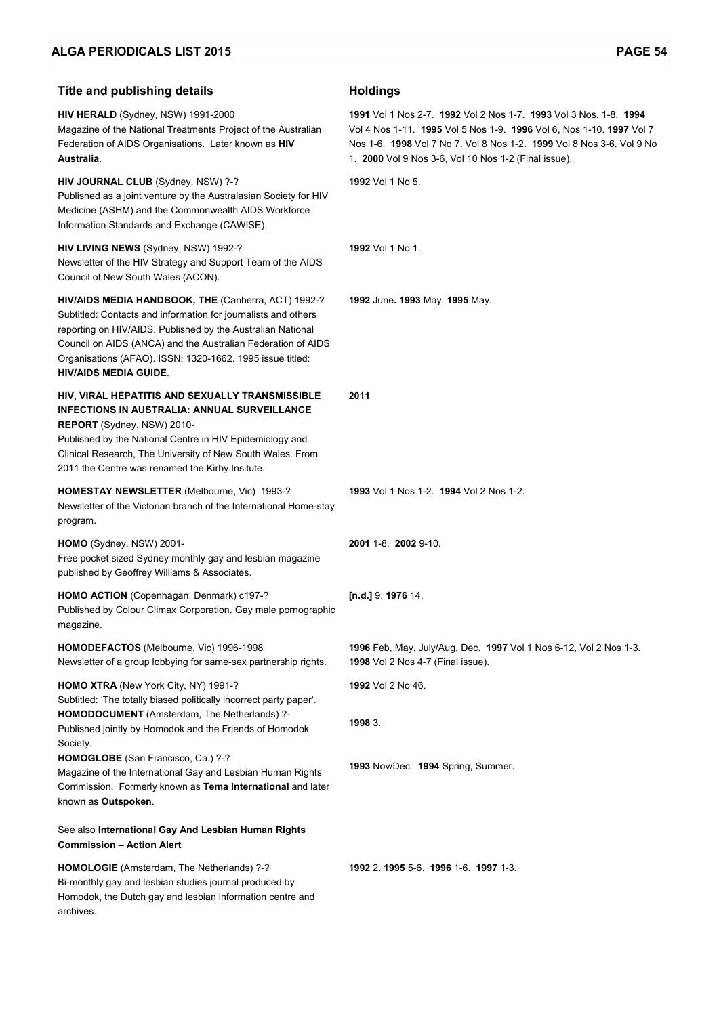| <b>Title and publishing details</b>                                                                                                                                                                                                                                                                                                               | <b>Holdings</b>                                                                                                                                                                                                                                                            |
|---------------------------------------------------------------------------------------------------------------------------------------------------------------------------------------------------------------------------------------------------------------------------------------------------------------------------------------------------|----------------------------------------------------------------------------------------------------------------------------------------------------------------------------------------------------------------------------------------------------------------------------|
| HIV HERALD (Sydney, NSW) 1991-2000<br>Magazine of the National Treatments Project of the Australian<br>Federation of AIDS Organisations. Later known as HIV<br>Australia.                                                                                                                                                                         | 1991 Vol 1 Nos 2-7, 1992 Vol 2 Nos 1-7, 1993 Vol 3 Nos, 1-8, 1994<br>Vol 4 Nos 1-11. 1995 Vol 5 Nos 1-9. 1996 Vol 6, Nos 1-10. 1997 Vol 7<br>Nos 1-6. 1998 Vol 7 No 7. Vol 8 Nos 1-2. 1999 Vol 8 Nos 3-6. Vol 9 No<br>1. 2000 Vol 9 Nos 3-6, Vol 10 Nos 1-2 (Final issue). |
| HIV JOURNAL CLUB (Sydney, NSW) ?-?<br>Published as a joint venture by the Australasian Society for HIV<br>Medicine (ASHM) and the Commonwealth AIDS Workforce<br>Information Standards and Exchange (CAWISE).                                                                                                                                     | <b>1992</b> Vol 1 No 5.                                                                                                                                                                                                                                                    |
| HIV LIVING NEWS (Sydney, NSW) 1992-?<br>Newsletter of the HIV Strategy and Support Team of the AIDS<br>Council of New South Wales (ACON).                                                                                                                                                                                                         | 1992 Vol 1 No 1.                                                                                                                                                                                                                                                           |
| HIV/AIDS MEDIA HANDBOOK, THE (Canberra, ACT) 1992-?<br>Subtitled: Contacts and information for journalists and others<br>reporting on HIV/AIDS. Published by the Australian National<br>Council on AIDS (ANCA) and the Australian Federation of AIDS<br>Organisations (AFAO). ISSN: 1320-1662. 1995 issue titled:<br><b>HIV/AIDS MEDIA GUIDE.</b> | 1992 June. 1993 May. 1995 May.                                                                                                                                                                                                                                             |
| HIV, VIRAL HEPATITIS AND SEXUALLY TRANSMISSIBLE<br><b>INFECTIONS IN AUSTRALIA: ANNUAL SURVEILLANCE</b><br>REPORT (Sydney, NSW) 2010-<br>Published by the National Centre in HIV Epidemiology and<br>Clinical Research, The University of New South Wales. From<br>2011 the Centre was renamed the Kirby Insitute.                                 | 2011                                                                                                                                                                                                                                                                       |
| <b>HOMESTAY NEWSLETTER (Melbourne, Vic) 1993-?</b><br>Newsletter of the Victorian branch of the International Home-stay<br>program.                                                                                                                                                                                                               | 1993 Vol 1 Nos 1-2. 1994 Vol 2 Nos 1-2.                                                                                                                                                                                                                                    |
| HOMO (Sydney, NSW) 2001-<br>Free pocket sized Sydney monthly gay and lesbian magazine<br>published by Geoffrey Williams & Associates.                                                                                                                                                                                                             | 2001 1-8 2002 9-10                                                                                                                                                                                                                                                         |
| HOMO ACTION (Copenhagan, Denmark) c197-?<br>Published by Colour Climax Corporation. Gay male pornographic<br>magazine.                                                                                                                                                                                                                            | [n.d.] $9.197614$ .                                                                                                                                                                                                                                                        |
| HOMODEFACTOS (Melbourne, Vic) 1996-1998<br>Newsletter of a group lobbying for same-sex partnership rights.                                                                                                                                                                                                                                        | 1996 Feb, May, July/Aug, Dec. 1997 Vol 1 Nos 6-12, Vol 2 Nos 1-3.<br>1998 Vol 2 Nos 4-7 (Final issue).                                                                                                                                                                     |
| HOMO XTRA (New York City, NY) 1991-?<br>Subtitled: 'The totally biased politically incorrect party paper'.<br>HOMODOCUMENT (Amsterdam, The Netherlands) ?-                                                                                                                                                                                        | 1992 Vol 2 No 46.<br>1998 3.                                                                                                                                                                                                                                               |
| Published jointly by Homodok and the Friends of Homodok<br>Society.<br>HOMOGLOBE (San Francisco, Ca.) ?-?<br>Magazine of the International Gay and Lesbian Human Rights<br>Commission. Formerly known as Tema International and later<br>known as Outspoken.                                                                                      | 1993 Nov/Dec. 1994 Spring, Summer.                                                                                                                                                                                                                                         |
| See also International Gay And Lesbian Human Rights<br><b>Commission - Action Alert</b>                                                                                                                                                                                                                                                           |                                                                                                                                                                                                                                                                            |
| HOMOLOGIE (Amsterdam, The Netherlands) ?-?<br>Bi-monthly gay and lesbian studies journal produced by<br>Homodok, the Dutch gay and lesbian information centre and<br>archives.                                                                                                                                                                    | 1992 2.1995 5-6.1996 1-6.1997 1-3.                                                                                                                                                                                                                                         |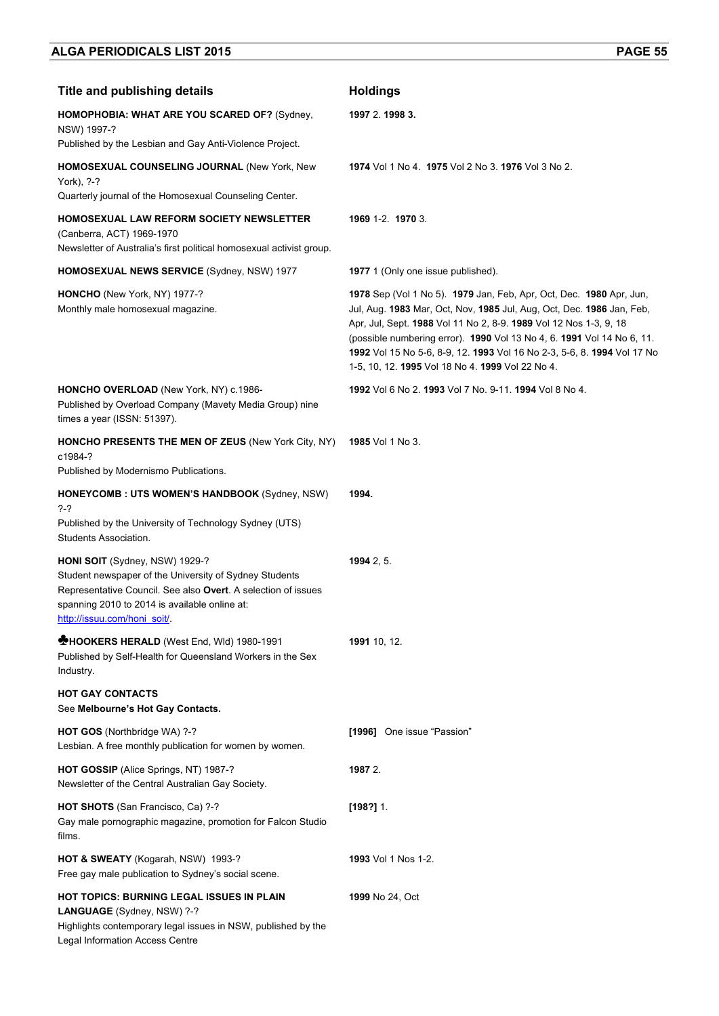| <b>Title and publishing details</b>                                                                                                                                                                                                       | <b>Holdings</b>                                                                                                                                                                                                                                                                                                                                                                                                            |
|-------------------------------------------------------------------------------------------------------------------------------------------------------------------------------------------------------------------------------------------|----------------------------------------------------------------------------------------------------------------------------------------------------------------------------------------------------------------------------------------------------------------------------------------------------------------------------------------------------------------------------------------------------------------------------|
| HOMOPHOBIA: WHAT ARE YOU SCARED OF? (Sydney,<br>NSW) 1997-?                                                                                                                                                                               | 1997 2. 1998 3.                                                                                                                                                                                                                                                                                                                                                                                                            |
| Published by the Lesbian and Gay Anti-Violence Project.                                                                                                                                                                                   |                                                                                                                                                                                                                                                                                                                                                                                                                            |
| HOMOSEXUAL COUNSELING JOURNAL (New York, New<br>York), ?-?<br>Quarterly journal of the Homosexual Counseling Center.                                                                                                                      | 1974 Vol 1 No 4 1975 Vol 2 No 3 1976 Vol 3 No 2.                                                                                                                                                                                                                                                                                                                                                                           |
|                                                                                                                                                                                                                                           |                                                                                                                                                                                                                                                                                                                                                                                                                            |
| HOMOSEXUAL LAW REFORM SOCIETY NEWSLETTER<br>(Canberra, ACT) 1969-1970<br>Newsletter of Australia's first political homosexual activist group.                                                                                             | 1969 1-2. 1970 3.                                                                                                                                                                                                                                                                                                                                                                                                          |
| <b>HOMOSEXUAL NEWS SERVICE (Sydney, NSW) 1977</b>                                                                                                                                                                                         | <b>1977</b> 1 (Only one issue published).                                                                                                                                                                                                                                                                                                                                                                                  |
| HONCHO (New York, NY) 1977-?<br>Monthly male homosexual magazine.                                                                                                                                                                         | 1978 Sep (Vol 1 No 5). 1979 Jan, Feb, Apr, Oct, Dec. 1980 Apr, Jun,<br>Jul, Aug. 1983 Mar, Oct, Nov, 1985 Jul, Aug, Oct, Dec. 1986 Jan, Feb,<br>Apr, Jul, Sept. 1988 Vol 11 No 2, 8-9. 1989 Vol 12 Nos 1-3, 9, 18<br>(possible numbering error). 1990 Vol 13 No 4, 6. 1991 Vol 14 No 6, 11.<br>1992 Vol 15 No 5-6, 8-9, 12. 1993 Vol 16 No 2-3, 5-6, 8. 1994 Vol 17 No<br>1-5, 10, 12. 1995 Vol 18 No 4. 1999 Vol 22 No 4. |
| HONCHO OVERLOAD (New York, NY) c.1986-<br>Published by Overload Company (Mavety Media Group) nine<br>times a year (ISSN: 51397).                                                                                                          | 1992 Vol 6 No 2. 1993 Vol 7 No. 9-11. 1994 Vol 8 No 4.                                                                                                                                                                                                                                                                                                                                                                     |
| <b>HONCHO PRESENTS THE MEN OF ZEUS (New York City, NY)</b><br>c1984-?                                                                                                                                                                     | <b>1985</b> Vol 1 No 3.                                                                                                                                                                                                                                                                                                                                                                                                    |
| Published by Modernismo Publications.                                                                                                                                                                                                     |                                                                                                                                                                                                                                                                                                                                                                                                                            |
| HONEYCOMB: UTS WOMEN'S HANDBOOK (Sydney, NSW)<br>?-?                                                                                                                                                                                      | 1994.                                                                                                                                                                                                                                                                                                                                                                                                                      |
| Published by the University of Technology Sydney (UTS)<br>Students Association.                                                                                                                                                           |                                                                                                                                                                                                                                                                                                                                                                                                                            |
| HONI SOIT (Sydney, NSW) 1929-?<br>Student newspaper of the University of Sydney Students<br>Representative Council. See also Overt. A selection of issues<br>spanning 2010 to 2014 is available online at:<br>http://issuu.com/honi_soit/ | 19942, 5.                                                                                                                                                                                                                                                                                                                                                                                                                  |
| <b>MHOOKERS HERALD</b> (West End, Wid) 1980-1991<br>Published by Self-Health for Queensland Workers in the Sex<br>Industry.                                                                                                               | 1991 10, 12.                                                                                                                                                                                                                                                                                                                                                                                                               |
| <b>HOT GAY CONTACTS</b><br>See Melbourne's Hot Gay Contacts.                                                                                                                                                                              |                                                                                                                                                                                                                                                                                                                                                                                                                            |
| HOT GOS (Northbridge WA) ?-?<br>Lesbian. A free monthly publication for women by women.                                                                                                                                                   | [1996] One issue "Passion"                                                                                                                                                                                                                                                                                                                                                                                                 |
| HOT GOSSIP (Alice Springs, NT) 1987-?<br>Newsletter of the Central Australian Gay Society.                                                                                                                                                | 1987 2.                                                                                                                                                                                                                                                                                                                                                                                                                    |
| HOT SHOTS (San Francisco, Ca) ?-?<br>Gay male pornographic magazine, promotion for Falcon Studio<br>films.                                                                                                                                | $[198?]$ 1.                                                                                                                                                                                                                                                                                                                                                                                                                |
| HOT & SWEATY (Kogarah, NSW) 1993-?<br>Free gay male publication to Sydney's social scene.                                                                                                                                                 | 1993 Vol 1 Nos 1-2.                                                                                                                                                                                                                                                                                                                                                                                                        |
| <b>HOT TOPICS: BURNING LEGAL ISSUES IN PLAIN</b><br>LANGUAGE (Sydney, NSW) ?-?<br>Highlights contemporary legal issues in NSW, published by the<br>Legal Information Access Centre                                                        | <b>1999</b> No 24, Oct                                                                                                                                                                                                                                                                                                                                                                                                     |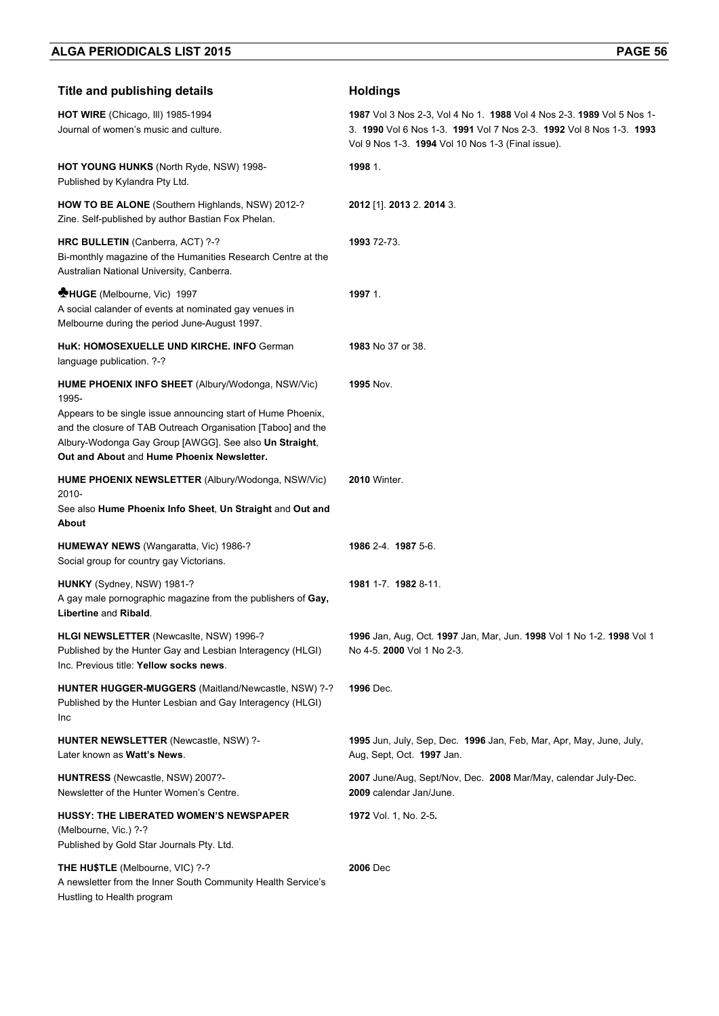| <b>Title and publishing details</b>                                                                                                                                                                                                                                                                | <b>Holdings</b>                                                                                                                                                                                   |
|----------------------------------------------------------------------------------------------------------------------------------------------------------------------------------------------------------------------------------------------------------------------------------------------------|---------------------------------------------------------------------------------------------------------------------------------------------------------------------------------------------------|
| HOT WIRE (Chicago, III) 1985-1994<br>Journal of women's music and culture.                                                                                                                                                                                                                         | 1987 Vol 3 Nos 2-3, Vol 4 No 1. 1988 Vol 4 Nos 2-3. 1989 Vol 5 Nos 1-<br>3. 1990 Vol 6 Nos 1-3. 1991 Vol 7 Nos 2-3. 1992 Vol 8 Nos 1-3. 1993<br>Vol 9 Nos 1-3. 1994 Vol 10 Nos 1-3 (Final issue). |
| <b>HOT YOUNG HUNKS (North Ryde, NSW) 1998-</b><br>Published by Kylandra Pty Ltd.                                                                                                                                                                                                                   | 1998 1.                                                                                                                                                                                           |
| <b>HOW TO BE ALONE</b> (Southern Highlands, NSW) 2012-?<br>Zine. Self-published by author Bastian Fox Phelan.                                                                                                                                                                                      | 2012 [1]. 2013 2. 2014 3.                                                                                                                                                                         |
| HRC BULLETIN (Canberra, ACT) ?-?<br>Bi-monthly magazine of the Humanities Research Centre at the<br>Australian National University, Canberra.                                                                                                                                                      | 1993 72-73.                                                                                                                                                                                       |
| <b>MHUGE</b> (Melbourne, Vic) 1997<br>A social calander of events at nominated gay venues in<br>Melbourne during the period June-August 1997.                                                                                                                                                      | 1997 1.                                                                                                                                                                                           |
| HuK: HOMOSEXUELLE UND KIRCHE. INFO German<br>language publication. ?-?                                                                                                                                                                                                                             | 1983 No 37 or 38.                                                                                                                                                                                 |
| HUME PHOENIX INFO SHEET (Albury/Wodonga, NSW/Vic)<br>1995-<br>Appears to be single issue announcing start of Hume Phoenix,<br>and the closure of TAB Outreach Organisation [Taboo] and the<br>Albury-Wodonga Gay Group [AWGG]. See also Un Straight,<br>Out and About and Hume Phoenix Newsletter. | <b>1995 Nov.</b>                                                                                                                                                                                  |
| <b>HUME PHOENIX NEWSLETTER (Albury/Wodonga, NSW/Vic)</b><br>2010-<br>See also Hume Phoenix Info Sheet, Un Straight and Out and<br>About                                                                                                                                                            | <b>2010</b> Winter.                                                                                                                                                                               |
| <b>HUMEWAY NEWS</b> (Wangaratta, Vic) 1986-?<br>Social group for country gay Victorians.                                                                                                                                                                                                           | 1986 2-4. 1987 5-6.                                                                                                                                                                               |
| HUNKY (Sydney, NSW) 1981-?<br>A gay male pornographic magazine from the publishers of Gay,<br>Libertine and Ribald.                                                                                                                                                                                | 1981 1-7 1982 8-11                                                                                                                                                                                |
| HLGI NEWSLETTER (Newcasite, NSW) 1996-?<br>Published by the Hunter Gay and Lesbian Interagency (HLGI)<br>Inc. Previous title: Yellow socks news.                                                                                                                                                   | 1996 Jan, Aug, Oct. 1997 Jan, Mar, Jun. 1998 Vol 1 No 1-2. 1998 Vol 1<br>No 4-5. 2000 Vol 1 No 2-3.                                                                                               |
| HUNTER HUGGER-MUGGERS (Maitland/Newcastle, NSW) ?-?<br>Published by the Hunter Lesbian and Gay Interagency (HLGI)<br>Inc                                                                                                                                                                           | 1996 Dec.                                                                                                                                                                                         |
| <b>HUNTER NEWSLETTER (Newcastle, NSW) ?-</b><br>Later known as <b>Watt's News</b> .                                                                                                                                                                                                                | 1995 Jun, July, Sep, Dec. 1996 Jan, Feb, Mar, Apr, May, June, July,<br>Aug, Sept, Oct. 1997 Jan.                                                                                                  |
| HUNTRESS (Newcastle, NSW) 2007?-<br>Newsletter of the Hunter Women's Centre.                                                                                                                                                                                                                       | 2007 June/Aug, Sept/Nov, Dec. 2008 Mar/May, calendar July-Dec.<br>2009 calendar Jan/June.                                                                                                         |
| <b>HUSSY: THE LIBERATED WOMEN'S NEWSPAPER</b><br>(Melbourne, Vic.) ?-?<br>Published by Gold Star Journals Pty. Ltd.                                                                                                                                                                                | 1972 Vol. 1, No. 2-5.                                                                                                                                                                             |
| THE HU\$TLE (Melbourne, VIC) ?-?<br>A newsletter from the Inner South Community Health Service's<br>Hustling to Health program                                                                                                                                                                     | 2006 Dec                                                                                                                                                                                          |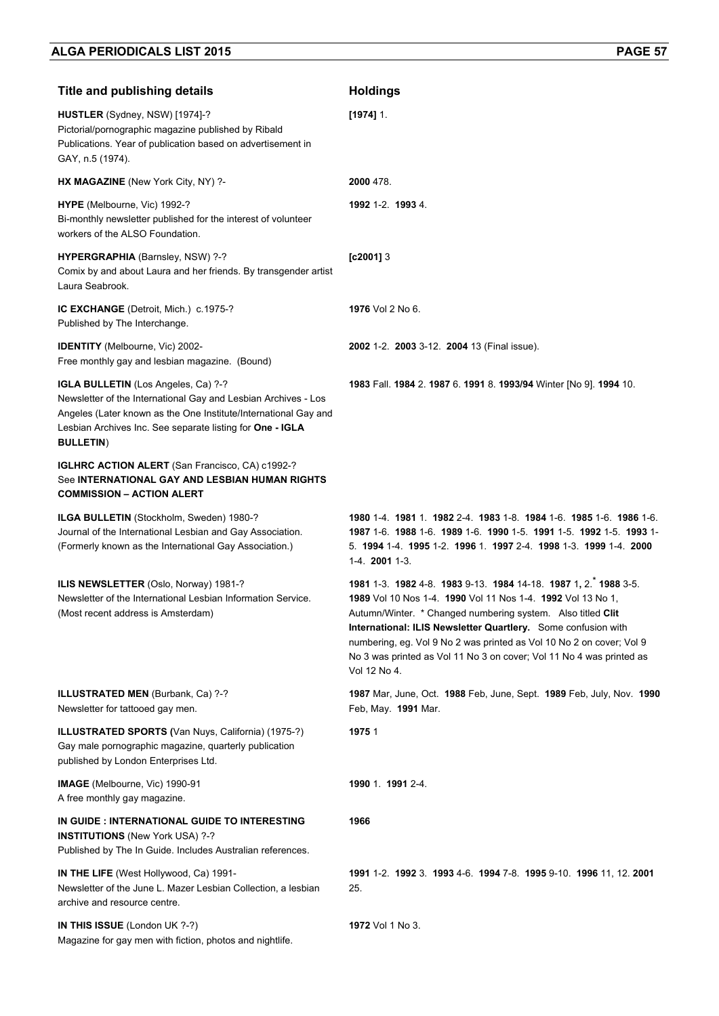| <b>Title and publishing details</b>                                                                                                                                                                                                                       | <b>Holdings</b>                                                                                                                                                                                                                                                                                                                                                                                                                |
|-----------------------------------------------------------------------------------------------------------------------------------------------------------------------------------------------------------------------------------------------------------|--------------------------------------------------------------------------------------------------------------------------------------------------------------------------------------------------------------------------------------------------------------------------------------------------------------------------------------------------------------------------------------------------------------------------------|
| HUSTLER (Sydney, NSW) [1974]-?<br>Pictorial/pornographic magazine published by Ribald<br>Publications. Year of publication based on advertisement in<br>GAY, n.5 (1974).                                                                                  | $[1974]$ 1.                                                                                                                                                                                                                                                                                                                                                                                                                    |
| HX MAGAZINE (New York City, NY) ?-                                                                                                                                                                                                                        | 2000 478.                                                                                                                                                                                                                                                                                                                                                                                                                      |
| HYPE (Melbourne, Vic) 1992-?<br>Bi-monthly newsletter published for the interest of volunteer<br>workers of the ALSO Foundation.                                                                                                                          | 1992 1-2. 1993 4.                                                                                                                                                                                                                                                                                                                                                                                                              |
| HYPERGRAPHIA (Barnsley, NSW) ?-?<br>Comix by and about Laura and her friends. By transgender artist<br>Laura Seabrook.                                                                                                                                    | $[c2001]$ 3                                                                                                                                                                                                                                                                                                                                                                                                                    |
| IC EXCHANGE (Detroit, Mich.) c.1975-?<br>Published by The Interchange.                                                                                                                                                                                    | 1976 Vol 2 No 6.                                                                                                                                                                                                                                                                                                                                                                                                               |
| <b>IDENTITY</b> (Melbourne, Vic) 2002-<br>Free monthly gay and lesbian magazine. (Bound)                                                                                                                                                                  | 2002 1-2. 2003 3-12. 2004 13 (Final issue).                                                                                                                                                                                                                                                                                                                                                                                    |
| IGLA BULLETIN (Los Angeles, Ca) ?-?<br>Newsletter of the International Gay and Lesbian Archives - Los<br>Angeles (Later known as the One Institute/International Gay and<br>Lesbian Archives Inc. See separate listing for One - IGLA<br><b>BULLETIN)</b> | 1983 Fall. 1984 2. 1987 6. 1991 8. 1993/94 Winter [No 9]. 1994 10.                                                                                                                                                                                                                                                                                                                                                             |
| <b>IGLHRC ACTION ALERT</b> (San Francisco, CA) c1992-?<br>See INTERNATIONAL GAY AND LESBIAN HUMAN RIGHTS<br><b>COMMISSION - ACTION ALERT</b>                                                                                                              |                                                                                                                                                                                                                                                                                                                                                                                                                                |
| ILGA BULLETIN (Stockholm, Sweden) 1980-?<br>Journal of the International Lesbian and Gay Association.<br>(Formerly known as the International Gay Association.)                                                                                           | 1980 1-4 1981 1 1982 2-4 1983 1-8 1984 1-6 1985 1-6 1986 1-6<br>1987 1-6 1988 1-6 1989 1-6 1990 1-5 1991 1-5 1992 1-5 1993 1-<br>5. 1994 1-4 1995 1-2 1996 1 1997 2-4 1998 1-3 1999 1-4 2000<br>1-4. 2001 1-3.                                                                                                                                                                                                                 |
| ILIS NEWSLETTER (Oslo, Norway) 1981-?<br>Newsletter of the International Lesbian Information Service.<br>(Most recent address is Amsterdam)                                                                                                               | 1981 1-3. 1982 4-8. 1983 9-13. 1984 14-18. 1987 1, 2. 1988 3-5.<br>1989 Vol 10 Nos 1-4. 1990 Vol 11 Nos 1-4. 1992 Vol 13 No 1,<br>Autumn/Winter. * Changed numbering system. Also titled Clit<br>International: ILIS Newsletter Quartlery. Some confusion with<br>numbering, eg. Vol 9 No 2 was printed as Vol 10 No 2 on cover; Vol 9<br>No 3 was printed as Vol 11 No 3 on cover; Vol 11 No 4 was printed as<br>Vol 12 No 4. |
| <b>ILLUSTRATED MEN (Burbank, Ca) ?-?</b><br>Newsletter for tattooed gay men.                                                                                                                                                                              | 1987 Mar, June, Oct. 1988 Feb, June, Sept. 1989 Feb, July, Nov. 1990<br>Feb, May. 1991 Mar.                                                                                                                                                                                                                                                                                                                                    |
| <b>ILLUSTRATED SPORTS (Van Nuys, California) (1975-?)</b><br>Gay male pornographic magazine, quarterly publication<br>published by London Enterprises Ltd.                                                                                                | 1975 1                                                                                                                                                                                                                                                                                                                                                                                                                         |
| <b>IMAGE</b> (Melbourne, Vic) 1990-91<br>A free monthly gay magazine.                                                                                                                                                                                     | 1990 1. 1991 2-4.                                                                                                                                                                                                                                                                                                                                                                                                              |
| IN GUIDE : INTERNATIONAL GUIDE TO INTERESTING<br><b>INSTITUTIONS</b> (New York USA) ?-?<br>Published by The In Guide. Includes Australian references.                                                                                                     | 1966                                                                                                                                                                                                                                                                                                                                                                                                                           |
| <b>IN THE LIFE</b> (West Hollywood, Ca) 1991-<br>Newsletter of the June L. Mazer Lesbian Collection, a lesbian<br>archive and resource centre.                                                                                                            | 1991 1-2. 1992 3. 1993 4-6. 1994 7-8. 1995 9-10. 1996 11, 12. 2001<br>25.                                                                                                                                                                                                                                                                                                                                                      |
| IN THIS ISSUE (London UK ?-?)<br>Magazine for gay men with fiction, photos and nightlife.                                                                                                                                                                 | <b>1972</b> Vol 1 No 3.                                                                                                                                                                                                                                                                                                                                                                                                        |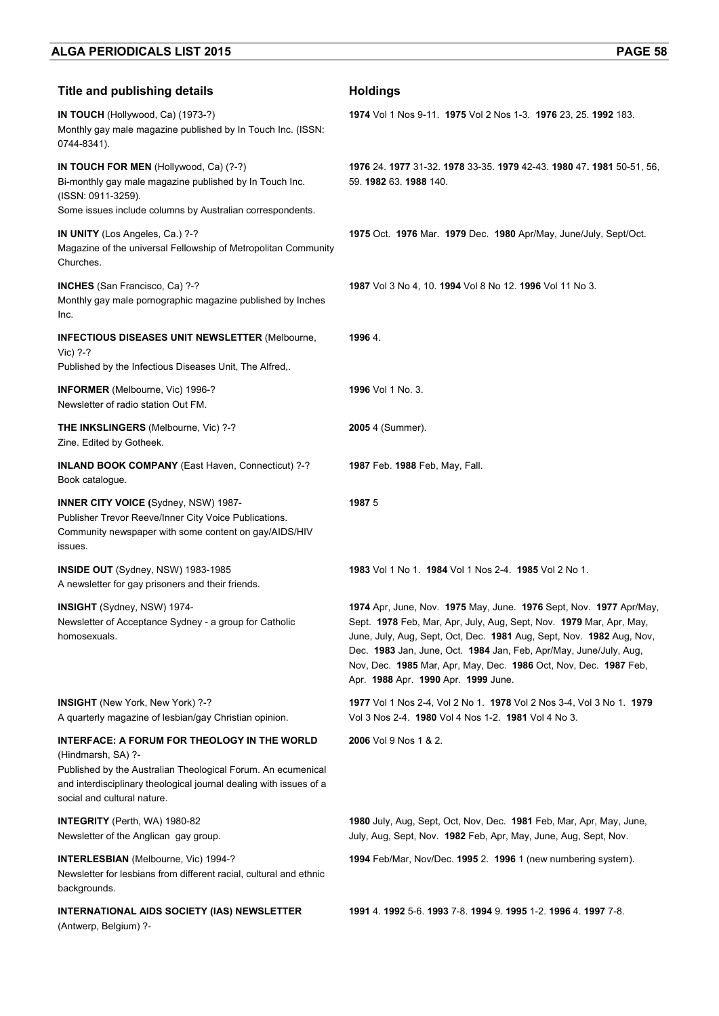| <b>Title and publishing details</b>                                                                                                                                                                                                     | <b>Holdings</b>                                                                                                                                                                                                                                                                                                                                                                                   |
|-----------------------------------------------------------------------------------------------------------------------------------------------------------------------------------------------------------------------------------------|---------------------------------------------------------------------------------------------------------------------------------------------------------------------------------------------------------------------------------------------------------------------------------------------------------------------------------------------------------------------------------------------------|
| IN TOUCH (Hollywood, Ca) (1973-?)<br>Monthly gay male magazine published by In Touch Inc. (ISSN:<br>0744-8341).                                                                                                                         | 1974 Vol 1 Nos 9-11. 1975 Vol 2 Nos 1-3. 1976 23, 25. 1992 183.                                                                                                                                                                                                                                                                                                                                   |
| IN TOUCH FOR MEN (Hollywood, Ca) (?-?)<br>Bi-monthly gay male magazine published by In Touch Inc.<br>(ISSN: 0911-3259).<br>Some issues include columns by Australian correspondents.                                                    | 1976 24 1977 31-32 1978 33-35 1979 42-43 1980 47 1981 50-51, 56,<br>59. 1982 63. 1988 140.                                                                                                                                                                                                                                                                                                        |
| IN UNITY (Los Angeles, Ca.) ?-?<br>Magazine of the universal Fellowship of Metropolitan Community<br>Churches.                                                                                                                          | 1975 Oct. 1976 Mar. 1979 Dec. 1980 Apr/May, June/July, Sept/Oct.                                                                                                                                                                                                                                                                                                                                  |
| <b>INCHES</b> (San Francisco, Ca) ?-?<br>Monthly gay male pornographic magazine published by Inches<br>Inc.                                                                                                                             | 1987 Vol 3 No 4, 10. 1994 Vol 8 No 12. 1996 Vol 11 No 3.                                                                                                                                                                                                                                                                                                                                          |
| <b>INFECTIOUS DISEASES UNIT NEWSLETTER (Melbourne,</b><br>Vic) ?-?<br>Published by the Infectious Diseases Unit, The Alfred,.                                                                                                           | 1996 4.                                                                                                                                                                                                                                                                                                                                                                                           |
| INFORMER (Melbourne, Vic) 1996-?<br>Newsletter of radio station Out FM.                                                                                                                                                                 | 1996 Vol 1 No. 3.                                                                                                                                                                                                                                                                                                                                                                                 |
| THE INKSLINGERS (Melbourne, Vic) ?-?<br>Zine. Edited by Gotheek.                                                                                                                                                                        | 2005 4 (Summer).                                                                                                                                                                                                                                                                                                                                                                                  |
| <b>INLAND BOOK COMPANY</b> (East Haven, Connecticut) ?-?<br>Book catalogue.                                                                                                                                                             | 1987 Feb. 1988 Feb, May, Fall.                                                                                                                                                                                                                                                                                                                                                                    |
| <b>INNER CITY VOICE (Sydney, NSW) 1987-</b><br>Publisher Trevor Reeve/Inner City Voice Publications.<br>Community newspaper with some content on gay/AIDS/HIV<br>issues.                                                                | 19875                                                                                                                                                                                                                                                                                                                                                                                             |
| INSIDE OUT (Sydney, NSW) 1983-1985<br>A newsletter for gay prisoners and their friends.                                                                                                                                                 | 1983 Vol 1 No 1 1984 Vol 1 Nos 2-4 1985 Vol 2 No 1.                                                                                                                                                                                                                                                                                                                                               |
| INSIGHT (Sydney, NSW) 1974-<br>Newsletter of Acceptance Sydney - a group for Catholic<br>homosexuals.                                                                                                                                   | 1974 Apr, June, Nov. 1975 May, June. 1976 Sept, Nov. 1977 Apr/May,<br>Sept. 1978 Feb, Mar, Apr, July, Aug, Sept, Nov. 1979 Mar, Apr, May,<br>June, July, Aug, Sept, Oct, Dec. 1981 Aug, Sept, Nov. 1982 Aug, Nov,<br>Dec. 1983 Jan, June, Oct. 1984 Jan, Feb, Apr/May, June/July, Aug,<br>Nov, Dec. 1985 Mar, Apr, May, Dec. 1986 Oct, Nov, Dec. 1987 Feb,<br>Apr. 1988 Apr. 1990 Apr. 1999 June. |
| <b>INSIGHT</b> (New York, New York) ?-?<br>A quarterly magazine of lesbian/gay Christian opinion.                                                                                                                                       | 1977 Vol 1 Nos 2-4, Vol 2 No 1. 1978 Vol 2 Nos 3-4, Vol 3 No 1. 1979<br>Vol 3 Nos 2-4. 1980 Vol 4 Nos 1-2. 1981 Vol 4 No 3.                                                                                                                                                                                                                                                                       |
| INTERFACE: A FORUM FOR THEOLOGY IN THE WORLD<br>(Hindmarsh, SA) ?-<br>Published by the Australian Theological Forum. An ecumenical<br>and interdisciplinary theological journal dealing with issues of a<br>social and cultural nature. | 2006 Vol 9 Nos 1 & 2.                                                                                                                                                                                                                                                                                                                                                                             |
| <b>INTEGRITY</b> (Perth, WA) 1980-82<br>Newsletter of the Anglican gay group.                                                                                                                                                           | 1980 July, Aug, Sept, Oct, Nov, Dec. 1981 Feb, Mar, Apr, May, June,<br>July, Aug, Sept, Nov. 1982 Feb, Apr, May, June, Aug, Sept, Nov.                                                                                                                                                                                                                                                            |
| <b>INTERLESBIAN</b> (Melbourne, Vic) 1994-?<br>Newsletter for lesbians from different racial, cultural and ethnic<br>backgrounds.                                                                                                       | 1994 Feb/Mar, Nov/Dec. 1995 2. 1996 1 (new numbering system).                                                                                                                                                                                                                                                                                                                                     |
| INTERNATIONAL AIDS SOCIETY (IAS) NEWSLETTER<br>(Antwerp, Belgium) ?-                                                                                                                                                                    | 1991 4. 1992 5-6. 1993 7-8. 1994 9. 1995 1-2. 1996 4. 1997 7-8.                                                                                                                                                                                                                                                                                                                                   |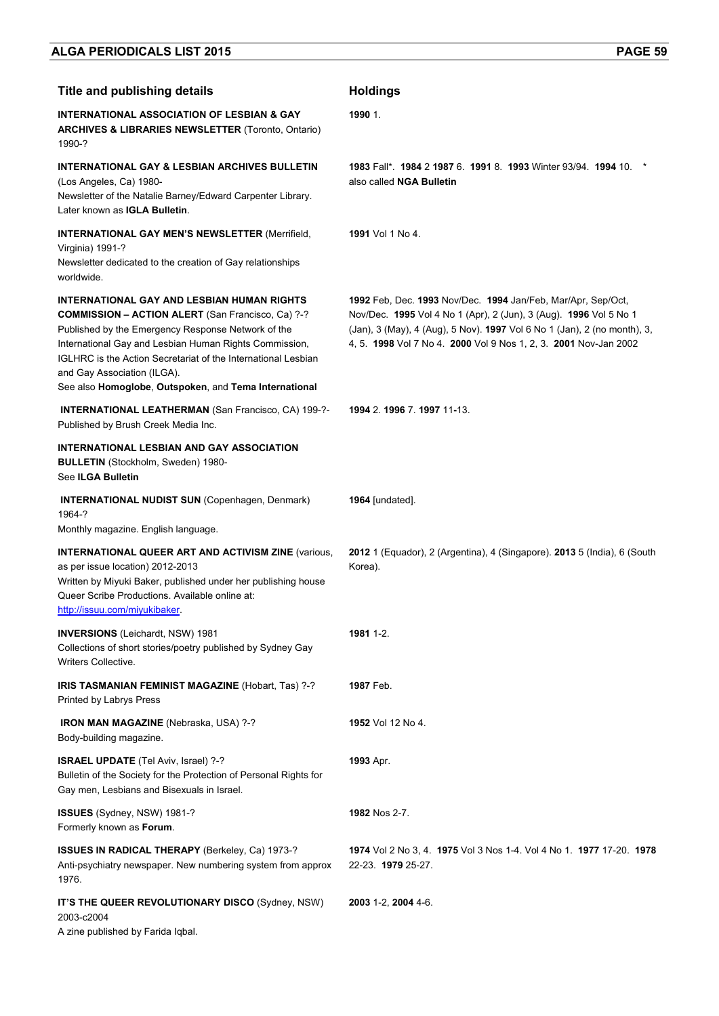| INTERNATIONAL ASSOCIATION OF LESBIAN & GAY<br><b>ARCHIVES &amp; LIBRARIES NEWSLETTER (Toronto, Ontario)</b><br>1990-?                                                                                                                                                                                                                                                           | 1990 1.                                                                                                                                                                                                                                                                           |
|---------------------------------------------------------------------------------------------------------------------------------------------------------------------------------------------------------------------------------------------------------------------------------------------------------------------------------------------------------------------------------|-----------------------------------------------------------------------------------------------------------------------------------------------------------------------------------------------------------------------------------------------------------------------------------|
| <b>INTERNATIONAL GAY &amp; LESBIAN ARCHIVES BULLETIN</b><br>(Los Angeles, Ca) 1980-<br>Newsletter of the Natalie Barney/Edward Carpenter Library.<br>Later known as IGLA Bulletin.                                                                                                                                                                                              | 1983 Fall*. 1984 2 1987 6. 1991 8. 1993 Winter 93/94. 1994 10.<br>also called NGA Bulletin                                                                                                                                                                                        |
| <b>INTERNATIONAL GAY MEN'S NEWSLETTER (Merrifield,</b><br>Virginia) 1991-?<br>Newsletter dedicated to the creation of Gay relationships<br>worldwide.                                                                                                                                                                                                                           | 1991 Vol 1 No 4.                                                                                                                                                                                                                                                                  |
| INTERNATIONAL GAY AND LESBIAN HUMAN RIGHTS<br><b>COMMISSION - ACTION ALERT</b> (San Francisco, Ca) ?-?<br>Published by the Emergency Response Network of the<br>International Gay and Lesbian Human Rights Commission,<br>IGLHRC is the Action Secretariat of the International Lesbian<br>and Gay Association (ILGA).<br>See also Homoglobe, Outspoken, and Tema International | 1992 Feb, Dec. 1993 Nov/Dec. 1994 Jan/Feb, Mar/Apr, Sep/Oct,<br>Nov/Dec. 1995 Vol 4 No 1 (Apr), 2 (Jun), 3 (Aug). 1996 Vol 5 No 1<br>(Jan), 3 (May), 4 (Aug), 5 Nov). 1997 Vol 6 No 1 (Jan), 2 (no month), 3,<br>4, 5. 1998 Vol 7 No 4. 2000 Vol 9 Nos 1, 2, 3. 2001 Nov-Jan 2002 |
| <b>INTERNATIONAL LEATHERMAN (San Francisco, CA) 199-?-</b><br>Published by Brush Creek Media Inc.                                                                                                                                                                                                                                                                               | 1994 2. 1996 7. 1997 11-13.                                                                                                                                                                                                                                                       |
| INTERNATIONAL LESBIAN AND GAY ASSOCIATION<br><b>BULLETIN</b> (Stockholm, Sweden) 1980-<br>See ILGA Bulletin                                                                                                                                                                                                                                                                     |                                                                                                                                                                                                                                                                                   |
| <b>INTERNATIONAL NUDIST SUN (Copenhagen, Denmark)</b><br>1964-?<br>Monthly magazine. English language.                                                                                                                                                                                                                                                                          | 1964 [undated].                                                                                                                                                                                                                                                                   |
| <b>INTERNATIONAL QUEER ART AND ACTIVISM ZINE (various,</b><br>as per issue location) 2012-2013<br>Written by Miyuki Baker, published under her publishing house<br>Queer Scribe Productions. Available online at:<br>http://issuu.com/miyukibaker.                                                                                                                              | 2012 1 (Equador), 2 (Argentina), 4 (Singapore). 2013 5 (India), 6 (South<br>Korea).                                                                                                                                                                                               |
| <b>INVERSIONS</b> (Leichardt, NSW) 1981<br>Collections of short stories/poetry published by Sydney Gay<br>Writers Collective.                                                                                                                                                                                                                                                   | 1981 1-2.                                                                                                                                                                                                                                                                         |
| <b>IRIS TASMANIAN FEMINIST MAGAZINE (Hobart, Tas) ?-?</b><br>Printed by Labrys Press                                                                                                                                                                                                                                                                                            | 1987 Feb.                                                                                                                                                                                                                                                                         |
| <b>IRON MAN MAGAZINE</b> (Nebraska, USA) ?-?<br>Body-building magazine.                                                                                                                                                                                                                                                                                                         | <b>1952</b> Vol 12 No 4.                                                                                                                                                                                                                                                          |
| ISRAEL UPDATE (Tel Aviv, Israel) ?-?<br>Bulletin of the Society for the Protection of Personal Rights for<br>Gay men, Lesbians and Bisexuals in Israel.                                                                                                                                                                                                                         | 1993 Apr.                                                                                                                                                                                                                                                                         |
| ISSUES (Sydney, NSW) 1981-?<br>Formerly known as Forum.                                                                                                                                                                                                                                                                                                                         | 1982 Nos 2-7.                                                                                                                                                                                                                                                                     |
| <b>ISSUES IN RADICAL THERAPY</b> (Berkeley, Ca) 1973-?<br>Anti-psychiatry newspaper. New numbering system from approx<br>1976.                                                                                                                                                                                                                                                  | 1974 Vol 2 No 3, 4. 1975 Vol 3 Nos 1-4. Vol 4 No 1. 1977 17-20. 1978<br>22-23. 1979 25-27.                                                                                                                                                                                        |
| IT'S THE QUEER REVOLUTIONARY DISCO (Sydney, NSW)<br>2003-c2004<br>A zine published by Farida Iqbal.                                                                                                                                                                                                                                                                             | 2003 1-2, 2004 4-6.                                                                                                                                                                                                                                                               |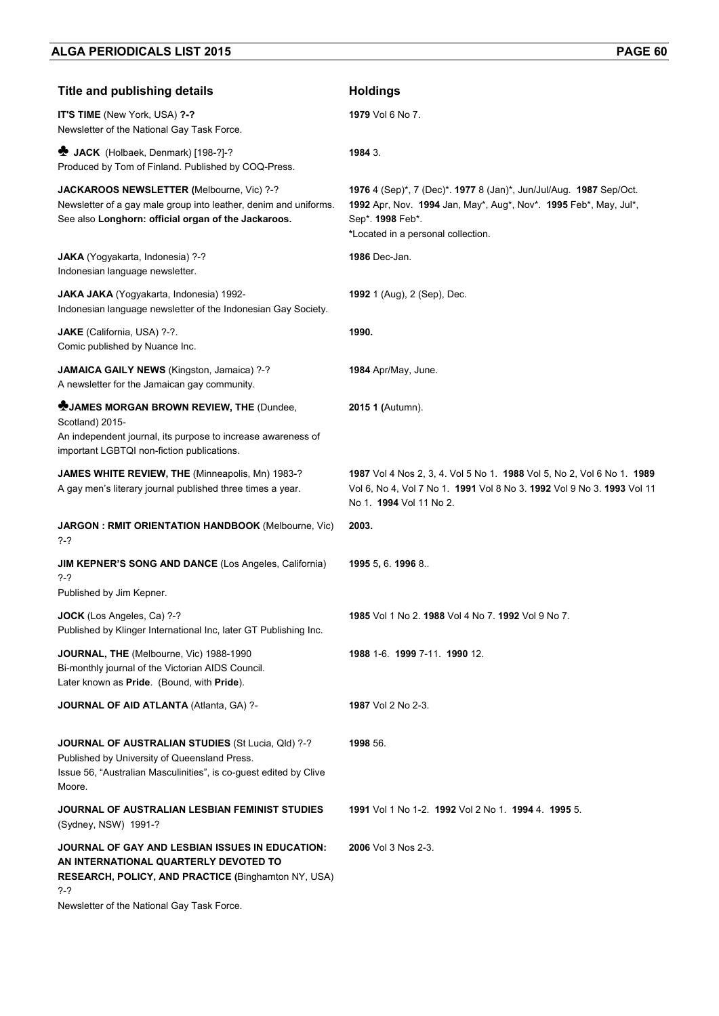| <b>Title and publishing details</b>                                                                                                                                                                  | <b>Holdings</b>                                                                                                                                                                                  |
|------------------------------------------------------------------------------------------------------------------------------------------------------------------------------------------------------|--------------------------------------------------------------------------------------------------------------------------------------------------------------------------------------------------|
| IT'S TIME (New York, USA) ?-?<br>Newsletter of the National Gay Task Force.                                                                                                                          | 1979 Vol 6 No 7.                                                                                                                                                                                 |
| <b>*</b> JACK (Holbaek, Denmark) [198-?]-?<br>Produced by Tom of Finland. Published by COQ-Press.                                                                                                    | 1984 3.                                                                                                                                                                                          |
| JACKAROOS NEWSLETTER (Melbourne, Vic) ?-?<br>Newsletter of a gay male group into leather, denim and uniforms.<br>See also Longhorn: official organ of the Jackaroos.                                 | 1976 4 (Sep)*, 7 (Dec)*. 1977 8 (Jan)*, Jun/Jul/Aug. 1987 Sep/Oct.<br>1992 Apr, Nov. 1994 Jan, May*, Aug*, Nov*. 1995 Feb*, May, Jul*,<br>Sep*. 1998 Feb*.<br>*Located in a personal collection. |
| JAKA (Yogyakarta, Indonesia) ?-?<br>Indonesian language newsletter.                                                                                                                                  | <b>1986</b> Dec-Jan.                                                                                                                                                                             |
| <b>JAKA JAKA</b> (Yogyakarta, Indonesia) 1992-<br>Indonesian language newsletter of the Indonesian Gay Society.                                                                                      | <b>1992</b> 1 (Aug), 2 (Sep), Dec.                                                                                                                                                               |
| JAKE (California, USA) ?-?.<br>Comic published by Nuance Inc.                                                                                                                                        | 1990.                                                                                                                                                                                            |
| JAMAICA GAILY NEWS (Kingston, Jamaica) ?-?<br>A newsletter for the Jamaican gay community.                                                                                                           | <b>1984</b> Apr/May, June.                                                                                                                                                                       |
| <b>WUAMES MORGAN BROWN REVIEW, THE (Dundee,</b><br>Scotland) 2015-<br>An independent journal, its purpose to increase awareness of<br>important LGBTQI non-fiction publications.                     | 2015 1 (Autumn).                                                                                                                                                                                 |
| JAMES WHITE REVIEW, THE (Minneapolis, Mn) 1983-?<br>A gay men's literary journal published three times a year.                                                                                       | 1987 Vol 4 Nos 2, 3, 4. Vol 5 No 1. 1988 Vol 5, No 2, Vol 6 No 1. 1989<br>Vol 6, No 4, Vol 7 No 1. 1991 Vol 8 No 3. 1992 Vol 9 No 3. 1993 Vol 11<br>No 1. 1994 Vol 11 No 2.                      |
| <b>JARGON: RMIT ORIENTATION HANDBOOK (Melbourne, Vic)</b><br>?-?                                                                                                                                     | 2003.                                                                                                                                                                                            |
| <b>JIM KEPNER'S SONG AND DANCE (Los Angeles, California)</b><br>?-?<br>Published by Jim Kepner.                                                                                                      | 1995 5, 6. 1996 8.                                                                                                                                                                               |
| <b>JOCK</b> (Los Angeles, Ca) ?-?<br>Published by Klinger International Inc, later GT Publishing Inc.                                                                                                | 1985 Vol 1 No 2, 1988 Vol 4 No 7, 1992 Vol 9 No 7,                                                                                                                                               |
| JOURNAL, THE (Melbourne, Vic) 1988-1990<br>Bi-monthly journal of the Victorian AIDS Council.<br>Later known as Pride. (Bound, with Pride).                                                           | 1988 1-6 1999 7-11 1990 12                                                                                                                                                                       |
| JOURNAL OF AID ATLANTA (Atlanta, GA) ?-                                                                                                                                                              | 1987 Vol 2 No 2-3.                                                                                                                                                                               |
| <b>JOURNAL OF AUSTRALIAN STUDIES (St Lucia, Qld) ?-?</b><br>Published by University of Queensland Press.<br>Issue 56, "Australian Masculinities", is co-guest edited by Clive<br>Moore.              | 1998 56.                                                                                                                                                                                         |
| JOURNAL OF AUSTRALIAN LESBIAN FEMINIST STUDIES<br>(Sydney, NSW) 1991-?                                                                                                                               | 1991 Vol 1 No 1-2, 1992 Vol 2 No 1, 1994 4, 1995 5.                                                                                                                                              |
| JOURNAL OF GAY AND LESBIAN ISSUES IN EDUCATION:<br>AN INTERNATIONAL QUARTERLY DEVOTED TO<br>RESEARCH, POLICY, AND PRACTICE (Binghamton NY, USA)<br>?-?<br>Newsletter of the National Gay Task Force. | 2006 Vol 3 Nos 2-3.                                                                                                                                                                              |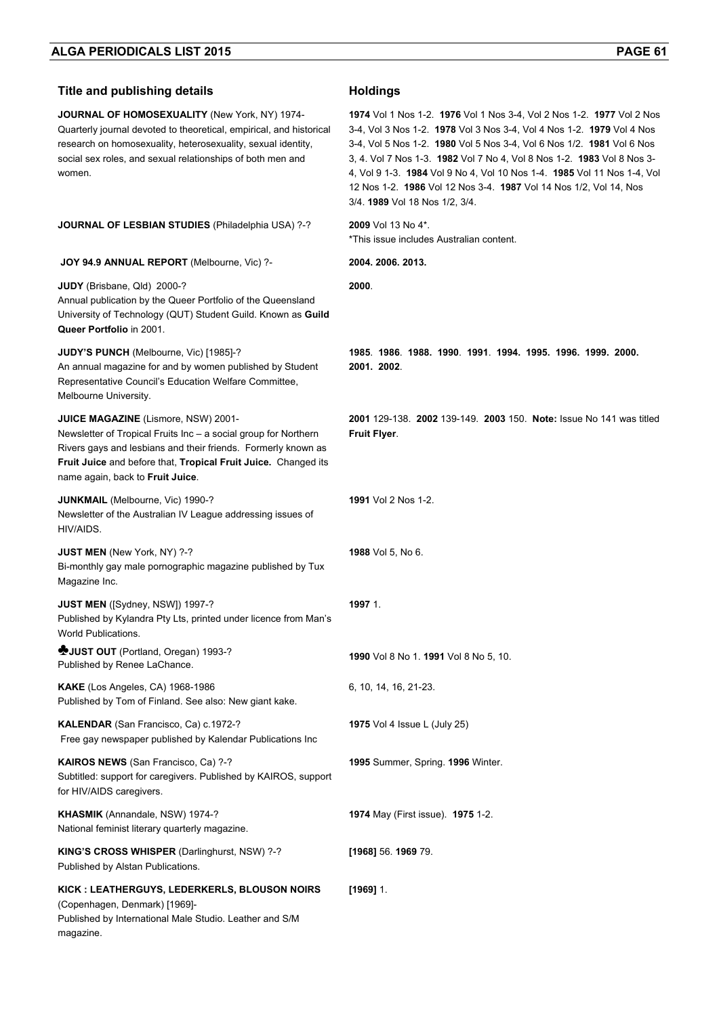| <b>Title and publishing details</b>                                                                                                                                                                                                                                           | <b>Holdings</b>                                                                                                                                                                                                                                                                                                                                                                                                                                                                     |
|-------------------------------------------------------------------------------------------------------------------------------------------------------------------------------------------------------------------------------------------------------------------------------|-------------------------------------------------------------------------------------------------------------------------------------------------------------------------------------------------------------------------------------------------------------------------------------------------------------------------------------------------------------------------------------------------------------------------------------------------------------------------------------|
| JOURNAL OF HOMOSEXUALITY (New York, NY) 1974-<br>Quarterly journal devoted to theoretical, empirical, and historical<br>research on homosexuality, heterosexuality, sexual identity,<br>social sex roles, and sexual relationships of both men and<br>women.                  | 1974 Vol 1 Nos 1-2. 1976 Vol 1 Nos 3-4, Vol 2 Nos 1-2. 1977 Vol 2 Nos<br>3-4, Vol 3 Nos 1-2. 1978 Vol 3 Nos 3-4, Vol 4 Nos 1-2. 1979 Vol 4 Nos<br>3-4, Vol 5 Nos 1-2. 1980 Vol 5 Nos 3-4, Vol 6 Nos 1/2. 1981 Vol 6 Nos<br>3, 4. Vol 7 Nos 1-3. 1982 Vol 7 No 4, Vol 8 Nos 1-2. 1983 Vol 8 Nos 3-<br>4, Vol 9 1-3. 1984 Vol 9 No 4, Vol 10 Nos 1-4. 1985 Vol 11 Nos 1-4, Vol<br>12 Nos 1-2. 1986 Vol 12 Nos 3-4. 1987 Vol 14 Nos 1/2, Vol 14, Nos<br>3/4. 1989 Vol 18 Nos 1/2, 3/4. |
| <b>JOURNAL OF LESBIAN STUDIES (Philadelphia USA) ?-?</b>                                                                                                                                                                                                                      | 2009 Vol 13 No 4*.<br>*This issue includes Australian content.                                                                                                                                                                                                                                                                                                                                                                                                                      |
| JOY 94.9 ANNUAL REPORT (Melbourne, Vic) ?-                                                                                                                                                                                                                                    | 2004. 2006. 2013.                                                                                                                                                                                                                                                                                                                                                                                                                                                                   |
| JUDY (Brisbane, Qld) 2000-?<br>Annual publication by the Queer Portfolio of the Queensland<br>University of Technology (QUT) Student Guild. Known as Guild<br>Queer Portfolio in 2001.                                                                                        | 2000.                                                                                                                                                                                                                                                                                                                                                                                                                                                                               |
| JUDY'S PUNCH (Melbourne, Vic) [1985]-?<br>An annual magazine for and by women published by Student<br>Representative Council's Education Welfare Committee,<br>Melbourne University.                                                                                          | 1985 1986 1988 1990 1991 1994 1995 1996 1999 2000<br>2001. 2002.                                                                                                                                                                                                                                                                                                                                                                                                                    |
| JUICE MAGAZINE (Lismore, NSW) 2001-<br>Newsletter of Tropical Fruits Inc - a social group for Northern<br>Rivers gays and lesbians and their friends. Formerly known as<br>Fruit Juice and before that, Tropical Fruit Juice. Changed its<br>name again, back to Fruit Juice. | <b>2001</b> 129-138. <b>2002</b> 139-149. <b>2003</b> 150. Note: Issue No 141 was titled<br><b>Fruit Flyer.</b>                                                                                                                                                                                                                                                                                                                                                                     |
| JUNKMAIL (Melbourne, Vic) 1990-?<br>Newsletter of the Australian IV League addressing issues of<br>HIV/AIDS.                                                                                                                                                                  | <b>1991</b> Vol 2 Nos 1-2.                                                                                                                                                                                                                                                                                                                                                                                                                                                          |
| <b>JUST MEN</b> (New York, NY) ?-?<br>Bi-monthly gay male pornographic magazine published by Tux<br>Magazine Inc.                                                                                                                                                             | 1988 Vol 5, No 6.                                                                                                                                                                                                                                                                                                                                                                                                                                                                   |
| <b>JUST MEN</b> ([Sydney, NSW]) 1997-?<br>Published by Kylandra Pty Lts, printed under licence from Man's<br>World Publications.                                                                                                                                              | 1997 1.                                                                                                                                                                                                                                                                                                                                                                                                                                                                             |
| SUUST OUT (Portland, Oregan) 1993-?<br>Published by Renee LaChance.                                                                                                                                                                                                           | 1990 Vol 8 No 1. 1991 Vol 8 No 5, 10.                                                                                                                                                                                                                                                                                                                                                                                                                                               |
| KAKE (Los Angeles, CA) 1968-1986<br>Published by Tom of Finland. See also: New giant kake.                                                                                                                                                                                    | 6, 10, 14, 16, 21-23.                                                                                                                                                                                                                                                                                                                                                                                                                                                               |
| KALENDAR (San Francisco, Ca) c.1972-?<br>Free gay newspaper published by Kalendar Publications Inc                                                                                                                                                                            | 1975 Vol 4 Issue L (July 25)                                                                                                                                                                                                                                                                                                                                                                                                                                                        |
| KAIROS NEWS (San Francisco, Ca) ?-?<br>Subtitled: support for caregivers. Published by KAIROS, support<br>for HIV/AIDS caregivers.                                                                                                                                            | 1995 Summer, Spring. 1996 Winter.                                                                                                                                                                                                                                                                                                                                                                                                                                                   |
| KHASMIK (Annandale, NSW) 1974-?<br>National feminist literary quarterly magazine.                                                                                                                                                                                             | <b>1974</b> May (First issue). <b>1975</b> 1-2.                                                                                                                                                                                                                                                                                                                                                                                                                                     |
| KING'S CROSS WHISPER (Darlinghurst, NSW) ?-?<br>Published by Alstan Publications.                                                                                                                                                                                             | [1968] 56. 1969 79.                                                                                                                                                                                                                                                                                                                                                                                                                                                                 |
| KICK: LEATHERGUYS, LEDERKERLS, BLOUSON NOIRS<br>(Copenhagen, Denmark) [1969]-<br>Published by International Male Studio. Leather and S/M<br>magazine.                                                                                                                         | $[1969]$ 1.                                                                                                                                                                                                                                                                                                                                                                                                                                                                         |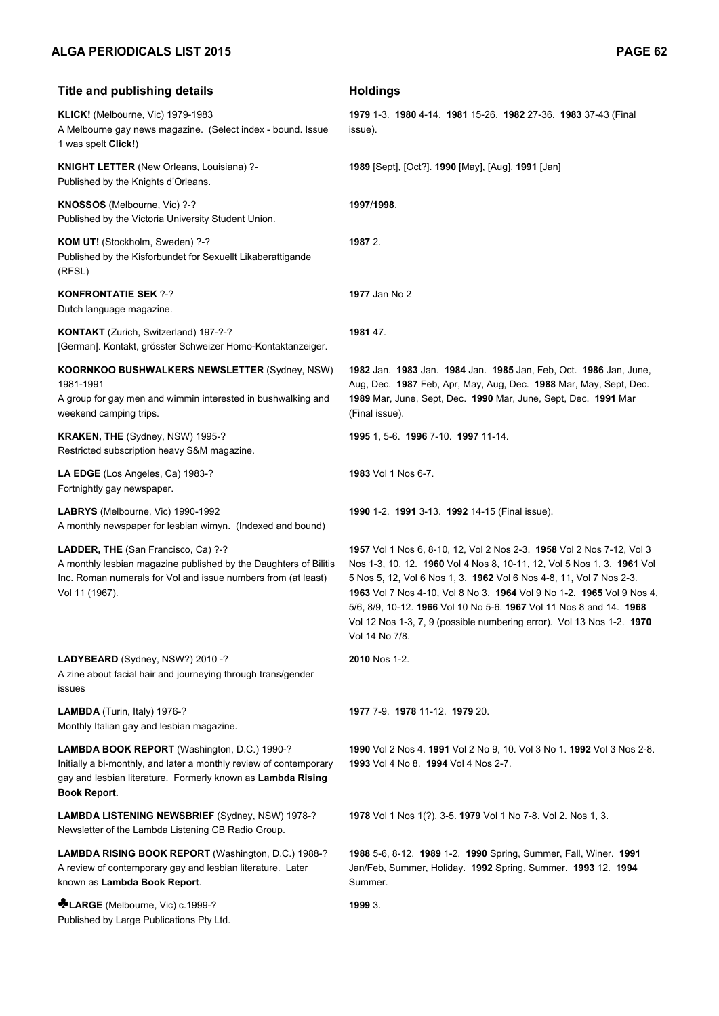| <b>Title and publishing details</b>                                                                                                                                                               | <b>Holdings</b>                                                                                                                                                                                                                                                                                                                                                                                                                                                   |
|---------------------------------------------------------------------------------------------------------------------------------------------------------------------------------------------------|-------------------------------------------------------------------------------------------------------------------------------------------------------------------------------------------------------------------------------------------------------------------------------------------------------------------------------------------------------------------------------------------------------------------------------------------------------------------|
| KLICK! (Melbourne, Vic) 1979-1983<br>A Melbourne gay news magazine. (Select index - bound. Issue<br>1 was spelt Click!)                                                                           | 1979 1-3. 1980 4-14. 1981 15-26. 1982 27-36. 1983 37-43 (Final<br>issue).                                                                                                                                                                                                                                                                                                                                                                                         |
| <b>KNIGHT LETTER</b> (New Orleans, Louisiana) ?-<br>Published by the Knights d'Orleans.                                                                                                           | 1989 [Sept], [Oct?]. 1990 [May], [Aug]. 1991 [Jan]                                                                                                                                                                                                                                                                                                                                                                                                                |
| KNOSSOS (Melbourne, Vic) ?-?<br>Published by the Victoria University Student Union.                                                                                                               | 1997/1998.                                                                                                                                                                                                                                                                                                                                                                                                                                                        |
| KOM UT! (Stockholm, Sweden) ?-?<br>Published by the Kisforbundet for Sexuellt Likaberattigande<br>(RFSL)                                                                                          | 1987 2.                                                                                                                                                                                                                                                                                                                                                                                                                                                           |
| <b>KONFRONTATIE SEK ?-?</b><br>Dutch language magazine.                                                                                                                                           | 1977 Jan No 2                                                                                                                                                                                                                                                                                                                                                                                                                                                     |
| KONTAKT (Zurich, Switzerland) 197-?-?<br>[German]. Kontakt, grösster Schweizer Homo-Kontaktanzeiger.                                                                                              | 1981 47.                                                                                                                                                                                                                                                                                                                                                                                                                                                          |
| <b>KOORNKOO BUSHWALKERS NEWSLETTER (Sydney, NSW)</b><br>1981-1991<br>A group for gay men and wimmin interested in bushwalking and<br>weekend camping trips.                                       | 1982 Jan. 1983 Jan. 1984 Jan. 1985 Jan, Feb, Oct. 1986 Jan, June,<br>Aug, Dec. 1987 Feb, Apr, May, Aug, Dec. 1988 Mar, May, Sept, Dec.<br>1989 Mar, June, Sept, Dec. 1990 Mar, June, Sept, Dec. 1991 Mar<br>(Final issue).                                                                                                                                                                                                                                        |
| <b>KRAKEN, THE (Sydney, NSW) 1995-?</b><br>Restricted subscription heavy S&M magazine.                                                                                                            | 1995 1, 5-6. 1996 7-10. 1997 11-14.                                                                                                                                                                                                                                                                                                                                                                                                                               |
| LA EDGE (Los Angeles, Ca) 1983-?<br>Fortnightly gay newspaper.                                                                                                                                    | 1983 Vol 1 Nos 6-7.                                                                                                                                                                                                                                                                                                                                                                                                                                               |
| LABRYS (Melbourne, Vic) 1990-1992<br>A monthly newspaper for lesbian wimyn. (Indexed and bound)                                                                                                   | 1990 1-2. 1991 3-13. 1992 14-15 (Final issue).                                                                                                                                                                                                                                                                                                                                                                                                                    |
| LADDER, THE (San Francisco, Ca) ?-?<br>A monthly lesbian magazine published by the Daughters of Bilitis<br>Inc. Roman numerals for Vol and issue numbers from (at least)<br>Vol 11 (1967).        | 1957 Vol 1 Nos 6, 8-10, 12, Vol 2 Nos 2-3. 1958 Vol 2 Nos 7-12, Vol 3<br>Nos 1-3, 10, 12. 1960 Vol 4 Nos 8, 10-11, 12, Vol 5 Nos 1, 3. 1961 Vol<br>5 Nos 5, 12, Vol 6 Nos 1, 3. 1962 Vol 6 Nos 4-8, 11, Vol 7 Nos 2-3.<br>1963 Vol 7 Nos 4-10, Vol 8 No 3. 1964 Vol 9 No 1-2. 1965 Vol 9 Nos 4,<br>5/6, 8/9, 10-12. 1966 Vol 10 No 5-6. 1967 Vol 11 Nos 8 and 14. 1968<br>Vol 12 Nos 1-3, 7, 9 (possible numbering error). Vol 13 Nos 1-2. 1970<br>Vol 14 No 7/8. |
| LADYBEARD (Sydney, NSW?) 2010 -?<br>A zine about facial hair and journeying through trans/gender<br>issues                                                                                        | 2010 Nos 1-2.                                                                                                                                                                                                                                                                                                                                                                                                                                                     |
| LAMBDA (Turin, Italy) 1976-?<br>Monthly Italian gay and lesbian magazine.                                                                                                                         | 1977 7-9. 1978 11-12. 1979 20.                                                                                                                                                                                                                                                                                                                                                                                                                                    |
| LAMBDA BOOK REPORT (Washington, D.C.) 1990-?<br>Initially a bi-monthly, and later a monthly review of contemporary<br>gay and lesbian literature. Formerly known as Lambda Rising<br>Book Report. | 1990 Vol 2 Nos 4. 1991 Vol 2 No 9, 10. Vol 3 No 1. 1992 Vol 3 Nos 2-8.<br>1993 Vol 4 No 8. 1994 Vol 4 Nos 2-7.                                                                                                                                                                                                                                                                                                                                                    |
| LAMBDA LISTENING NEWSBRIEF (Sydney, NSW) 1978-?<br>Newsletter of the Lambda Listening CB Radio Group.                                                                                             | 1978 Vol 1 Nos 1(?), 3-5. 1979 Vol 1 No 7-8. Vol 2. Nos 1, 3.                                                                                                                                                                                                                                                                                                                                                                                                     |
| LAMBDA RISING BOOK REPORT (Washington, D.C.) 1988-?<br>A review of contemporary gay and lesbian literature. Later<br>known as Lambda Book Report.                                                 | 1988 5-6, 8-12. 1989 1-2. 1990 Spring, Summer, Fall, Winer. 1991<br>Jan/Feb, Summer, Holiday. 1992 Spring, Summer. 1993 12. 1994<br>Summer.                                                                                                                                                                                                                                                                                                                       |
| <b>NELARGE</b> (Melbourne, Vic) c.1999-?<br>Published by Large Publications Pty Ltd.                                                                                                              | 1999 3.                                                                                                                                                                                                                                                                                                                                                                                                                                                           |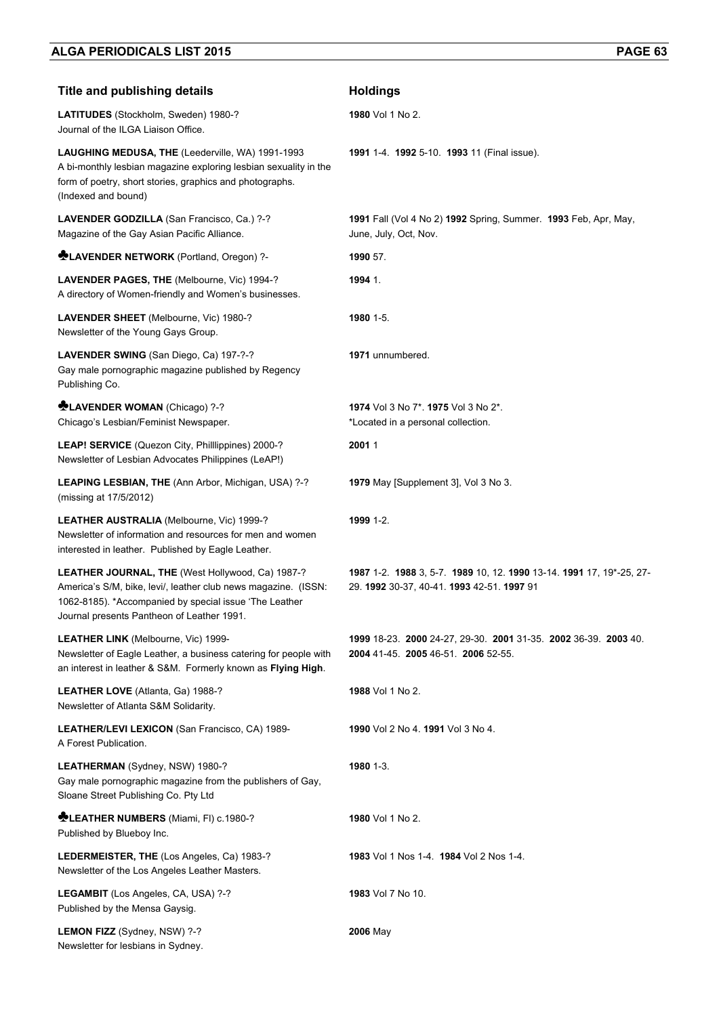| <b>Title and publishing details</b>                                                                                                                                                                                        | <b>Holdings</b>                                                                                                    |
|----------------------------------------------------------------------------------------------------------------------------------------------------------------------------------------------------------------------------|--------------------------------------------------------------------------------------------------------------------|
| LATITUDES (Stockholm, Sweden) 1980-?<br>Journal of the ILGA Liaison Office.                                                                                                                                                | 1980 Vol 1 No 2.                                                                                                   |
| LAUGHING MEDUSA, THE (Leederville, WA) 1991-1993<br>A bi-monthly lesbian magazine exploring lesbian sexuality in the<br>form of poetry, short stories, graphics and photographs.<br>(Indexed and bound)                    | <b>1991</b> 1-4. <b>1992</b> 5-10. <b>1993</b> 11 (Final issue).                                                   |
| LAVENDER GODZILLA (San Francisco, Ca.) ?-?<br>Magazine of the Gay Asian Pacific Alliance.                                                                                                                                  | 1991 Fall (Vol 4 No 2) 1992 Spring, Summer. 1993 Feb, Apr, May,<br>June, July, Oct, Nov.                           |
| <b>ALAVENDER NETWORK</b> (Portland, Oregon) ?-                                                                                                                                                                             | 1990 57.                                                                                                           |
| LAVENDER PAGES, THE (Melbourne, Vic) 1994-?<br>A directory of Women-friendly and Women's businesses.                                                                                                                       | 1994 1.                                                                                                            |
| LAVENDER SHEET (Melbourne, Vic) 1980-?<br>Newsletter of the Young Gays Group.                                                                                                                                              | 1980 1-5.                                                                                                          |
| LAVENDER SWING (San Diego, Ca) 197-?-?<br>Gay male pornographic magazine published by Regency<br>Publishing Co.                                                                                                            | 1971 unnumbered.                                                                                                   |
| <b>CLAVENDER WOMAN (Chicago) ?-?</b><br>Chicago's Lesbian/Feminist Newspaper.                                                                                                                                              | 1974 Vol 3 No 7* 1975 Vol 3 No 2*.<br>*Located in a personal collection.                                           |
| LEAP! SERVICE (Quezon City, Phillippines) 2000-?<br>Newsletter of Lesbian Advocates Philippines (LeAP!)                                                                                                                    | 20011                                                                                                              |
| LEAPING LESBIAN, THE (Ann Arbor, Michigan, USA) ?-?<br>(missing at 17/5/2012)                                                                                                                                              | 1979 May [Supplement 3], Vol 3 No 3.                                                                               |
| LEATHER AUSTRALIA (Melbourne, Vic) 1999-?<br>Newsletter of information and resources for men and women<br>interested in leather. Published by Eagle Leather.                                                               | 1999 1-2.                                                                                                          |
| LEATHER JOURNAL, THE (West Hollywood, Ca) 1987-?<br>America's S/M, bike, levi/, leather club news magazine. (ISSN:<br>1062-8185). *Accompanied by special issue 'The Leather<br>Journal presents Pantheon of Leather 1991. | 1987 1-2. 1988 3, 5-7. 1989 10, 12. 1990 13-14. 1991 17, 19*-25, 27-<br>29. 1992 30-37, 40-41. 1993 42-51. 1997 91 |
| <b>LEATHER LINK (Melbourne, Vic) 1999-</b><br>Newsletter of Eagle Leather, a business catering for people with<br>an interest in leather & S&M. Formerly known as Flying High.                                             | 1999 18-23. 2000 24-27, 29-30. 2001 31-35. 2002 36-39. 2003 40.<br>2004 41-45. 2005 46-51. 2006 52-55.             |
| LEATHER LOVE (Atlanta, Ga) 1988-?<br>Newsletter of Atlanta S&M Solidarity.                                                                                                                                                 | 1988 Vol 1 No 2.                                                                                                   |
| LEATHER/LEVI LEXICON (San Francisco, CA) 1989-<br>A Forest Publication.                                                                                                                                                    | 1990 Vol 2 No 4, 1991 Vol 3 No 4.                                                                                  |
| LEATHERMAN (Sydney, NSW) 1980-?<br>Gay male pornographic magazine from the publishers of Gay,<br>Sloane Street Publishing Co. Pty Ltd                                                                                      | 1980 1-3.                                                                                                          |
| <b>MELEATHER NUMBERS</b> (Miami, FI) c.1980-?<br>Published by Blueboy Inc.                                                                                                                                                 | 1980 Vol 1 No 2.                                                                                                   |
| LEDERMEISTER, THE (Los Angeles, Ca) 1983-?<br>Newsletter of the Los Angeles Leather Masters.                                                                                                                               | 1983 Vol 1 Nos 1-4. 1984 Vol 2 Nos 1-4.                                                                            |
| LEGAMBIT (Los Angeles, CA, USA) ?-?<br>Published by the Mensa Gaysig.                                                                                                                                                      | 1983 Vol 7 No 10.                                                                                                  |
| LEMON FIZZ (Sydney, NSW) ?-?<br>Newsletter for lesbians in Sydney.                                                                                                                                                         | 2006 May                                                                                                           |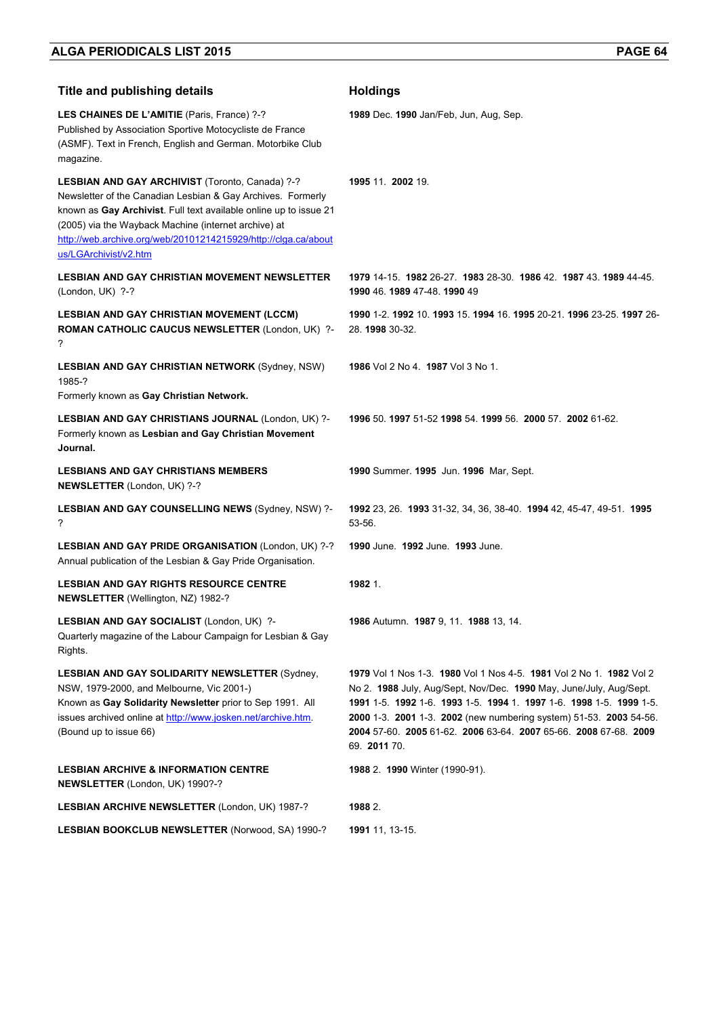| <b>Title and publishing details</b>                                                                                                                                                                                                                                                                                                    | <b>Holdings</b>                                                                                                                                                                                                                                                                                                                                                            |
|----------------------------------------------------------------------------------------------------------------------------------------------------------------------------------------------------------------------------------------------------------------------------------------------------------------------------------------|----------------------------------------------------------------------------------------------------------------------------------------------------------------------------------------------------------------------------------------------------------------------------------------------------------------------------------------------------------------------------|
| LES CHAINES DE L'AMITIE (Paris, France) ?-?<br>Published by Association Sportive Motocycliste de France<br>(ASMF). Text in French, English and German. Motorbike Club<br>magazine.                                                                                                                                                     | <b>1989</b> Dec. <b>1990</b> Jan/Feb, Jun, Aug, Sep.                                                                                                                                                                                                                                                                                                                       |
| LESBIAN AND GAY ARCHIVIST (Toronto, Canada) ?-?<br>Newsletter of the Canadian Lesbian & Gay Archives. Formerly<br>known as Gay Archivist. Full text available online up to issue 21<br>(2005) via the Wayback Machine (internet archive) at<br>http://web.archive.org/web/20101214215929/http://clga.ca/about<br>us/LGArchivist/v2.htm | 1995 11 2002 19                                                                                                                                                                                                                                                                                                                                                            |
| <b>LESBIAN AND GAY CHRISTIAN MOVEMENT NEWSLETTER</b><br>(London, UK) ?-?                                                                                                                                                                                                                                                               | 1979 14-15, 1982 26-27, 1983 28-30, 1986 42, 1987 43, 1989 44-45.<br>1990 46, 1989 47-48, 1990 49                                                                                                                                                                                                                                                                          |
| <b>LESBIAN AND GAY CHRISTIAN MOVEMENT (LCCM)</b><br>ROMAN CATHOLIC CAUCUS NEWSLETTER (London, UK) ?-<br>?                                                                                                                                                                                                                              | 1990 1-2, 1992 10, 1993 15, 1994 16, 1995 20-21, 1996 23-25, 1997 26-<br>28. 1998 30-32.                                                                                                                                                                                                                                                                                   |
| <b>LESBIAN AND GAY CHRISTIAN NETWORK (Sydney, NSW)</b><br>1985-?<br>Formerly known as Gay Christian Network.                                                                                                                                                                                                                           | 1986 Vol 2 No 4. 1987 Vol 3 No 1.                                                                                                                                                                                                                                                                                                                                          |
| LESBIAN AND GAY CHRISTIANS JOURNAL (London, UK) ?-<br>Formerly known as Lesbian and Gay Christian Movement<br>Journal.                                                                                                                                                                                                                 | 1996 50 1997 51-52 1998 54 1999 56 2000 57 2002 61-62.                                                                                                                                                                                                                                                                                                                     |
| <b>LESBIANS AND GAY CHRISTIANS MEMBERS</b><br>NEWSLETTER (London, UK) ?-?                                                                                                                                                                                                                                                              | 1990 Summer. 1995 Jun. 1996 Mar, Sept.                                                                                                                                                                                                                                                                                                                                     |
| LESBIAN AND GAY COUNSELLING NEWS (Sydney, NSW) ?-<br>?                                                                                                                                                                                                                                                                                 | 1992 23, 26. 1993 31-32, 34, 36, 38-40. 1994 42, 45-47, 49-51. 1995<br>53-56.                                                                                                                                                                                                                                                                                              |
| LESBIAN AND GAY PRIDE ORGANISATION (London, UK) ?-?<br>Annual publication of the Lesbian & Gay Pride Organisation.                                                                                                                                                                                                                     | 1990 June. 1992 June. 1993 June.                                                                                                                                                                                                                                                                                                                                           |
| <b>LESBIAN AND GAY RIGHTS RESOURCE CENTRE</b><br><b>NEWSLETTER</b> (Wellington, NZ) 1982-?                                                                                                                                                                                                                                             | 1982 1.                                                                                                                                                                                                                                                                                                                                                                    |
| LESBIAN AND GAY SOCIALIST (London, UK) ?-<br>Quarterly magazine of the Labour Campaign for Lesbian & Gay<br>Rights.                                                                                                                                                                                                                    | 1986 Autumn. 1987 9, 11. 1988 13, 14.                                                                                                                                                                                                                                                                                                                                      |
| <b>LESBIAN AND GAY SOLIDARITY NEWSLETTER (Sydney,</b><br>NSW, 1979-2000, and Melbourne, Vic 2001-)<br>Known as Gay Solidarity Newsletter prior to Sep 1991. All<br>issues archived online at http://www.josken.net/archive.htm.<br>(Bound up to issue 66)                                                                              | 1979 Vol 1 Nos 1-3, 1980 Vol 1 Nos 4-5, 1981 Vol 2 No 1, 1982 Vol 2<br>No 2. 1988 July, Aug/Sept, Nov/Dec. 1990 May, June/July, Aug/Sept.<br>1991 1-5. 1992 1-6. 1993 1-5. 1994 1. 1997 1-6. 1998 1-5. 1999 1-5.<br>2000 1-3. 2001 1-3. 2002 (new numbering system) 51-53. 2003 54-56.<br>2004 57-60. 2005 61-62. 2006 63-64. 2007 65-66. 2008 67-68. 2009<br>69. 2011 70. |
| <b>LESBIAN ARCHIVE &amp; INFORMATION CENTRE</b><br><b>NEWSLETTER (London, UK) 1990?-?</b>                                                                                                                                                                                                                                              | 1988 2. 1990 Winter (1990-91).                                                                                                                                                                                                                                                                                                                                             |
| LESBIAN ARCHIVE NEWSLETTER (London, UK) 1987-?                                                                                                                                                                                                                                                                                         | 1988 2.                                                                                                                                                                                                                                                                                                                                                                    |
| LESBIAN BOOKCLUB NEWSLETTER (Norwood, SA) 1990-?                                                                                                                                                                                                                                                                                       | 1991 11, 13-15.                                                                                                                                                                                                                                                                                                                                                            |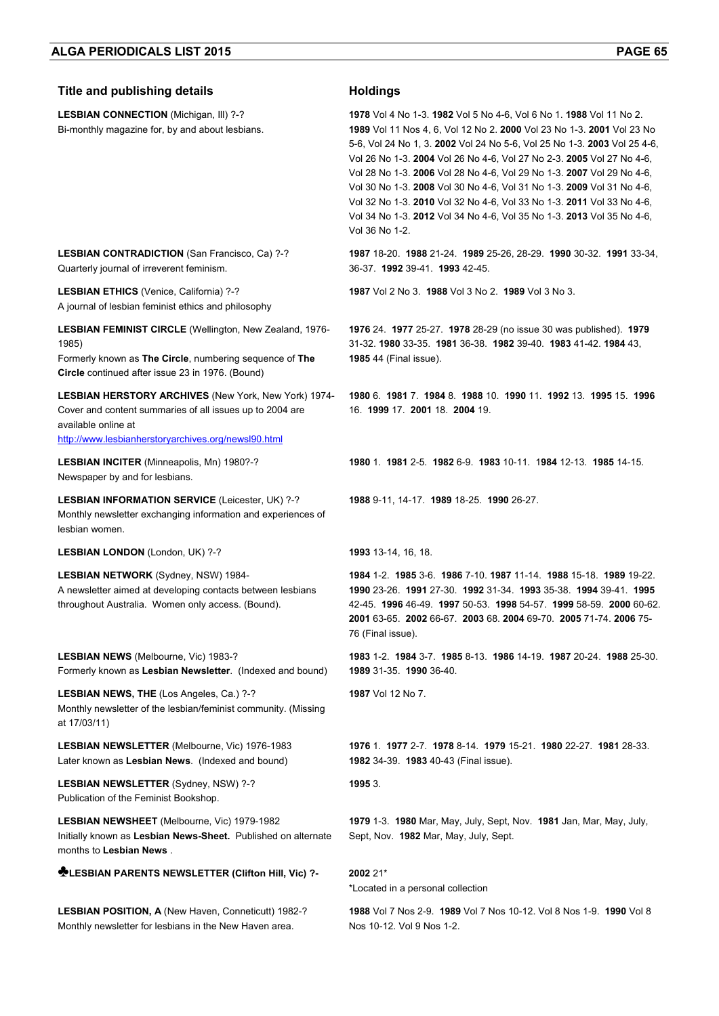Monthly newsletter for lesbians in the New Haven area.

| <b>Title and publishing details</b>                                                                                                                                                                   | <b>Holdings</b>                                                                                                                                                                                                                                                                                                                                                                                                                                                                                                                                                                                                         |
|-------------------------------------------------------------------------------------------------------------------------------------------------------------------------------------------------------|-------------------------------------------------------------------------------------------------------------------------------------------------------------------------------------------------------------------------------------------------------------------------------------------------------------------------------------------------------------------------------------------------------------------------------------------------------------------------------------------------------------------------------------------------------------------------------------------------------------------------|
| LESBIAN CONNECTION (Michigan, III) ?-?<br>Bi-monthly magazine for, by and about lesbians.                                                                                                             | 1978 Vol 4 No 1-3. 1982 Vol 5 No 4-6, Vol 6 No 1. 1988 Vol 11 No 2.<br>1989 Vol 11 Nos 4, 6, Vol 12 No 2. 2000 Vol 23 No 1-3. 2001 Vol 23 No<br>5-6, Vol 24 No 1, 3. 2002 Vol 24 No 5-6, Vol 25 No 1-3. 2003 Vol 25 4-6,<br>Vol 26 No 1-3. 2004 Vol 26 No 4-6, Vol 27 No 2-3. 2005 Vol 27 No 4-6,<br>Vol 28 No 1-3. 2006 Vol 28 No 4-6, Vol 29 No 1-3. 2007 Vol 29 No 4-6,<br>Vol 30 No 1-3. 2008 Vol 30 No 4-6, Vol 31 No 1-3. 2009 Vol 31 No 4-6,<br>Vol 32 No 1-3. 2010 Vol 32 No 4-6, Vol 33 No 1-3. 2011 Vol 33 No 4-6,<br>Vol 34 No 1-3. 2012 Vol 34 No 4-6, Vol 35 No 1-3. 2013 Vol 35 No 4-6,<br>Vol 36 No 1-2. |
| <b>LESBIAN CONTRADICTION</b> (San Francisco, Ca) ?-?<br>Quarterly journal of irreverent feminism.                                                                                                     | 1987 18-20. 1988 21-24. 1989 25-26, 28-29. 1990 30-32. 1991 33-34,<br>36-37 1992 39-41 1993 42-45                                                                                                                                                                                                                                                                                                                                                                                                                                                                                                                       |
| LESBIAN ETHICS (Venice, California) ?-?<br>A journal of lesbian feminist ethics and philosophy                                                                                                        | 1987 Vol 2 No 3. 1988 Vol 3 No 2. 1989 Vol 3 No 3.                                                                                                                                                                                                                                                                                                                                                                                                                                                                                                                                                                      |
| LESBIAN FEMINIST CIRCLE (Wellington, New Zealand, 1976-<br>1985)<br>Formerly known as The Circle, numbering sequence of The<br>Circle continued after issue 23 in 1976. (Bound)                       | 1976 24. 1977 25-27. 1978 28-29 (no issue 30 was published). 1979<br>31-32. 1980 33-35. 1981 36-38. 1982 39-40. 1983 41-42. 1984 43,<br><b>1985</b> 44 (Final issue).                                                                                                                                                                                                                                                                                                                                                                                                                                                   |
| <b>LESBIAN HERSTORY ARCHIVES (New York, New York) 1974-</b><br>Cover and content summaries of all issues up to 2004 are<br>available online at<br>http://www.lesbianherstoryarchives.org/newsl90.html | 1980 6. 1981 7. 1984 8. 1988 10. 1990 11. 1992 13. 1995 15. 1996<br>16. 1999 17. 2001 18. 2004 19.                                                                                                                                                                                                                                                                                                                                                                                                                                                                                                                      |
| <b>LESBIAN INCITER (Minneapolis, Mn) 1980?-?</b><br>Newspaper by and for lesbians.                                                                                                                    | 1980 1 1981 2-5 1982 6-9 1983 10-11 1984 12-13 1985 14-15                                                                                                                                                                                                                                                                                                                                                                                                                                                                                                                                                               |
| LESBIAN INFORMATION SERVICE (Leicester, UK) ?-?<br>Monthly newsletter exchanging information and experiences of<br>lesbian women.                                                                     | 1988 9-11, 14-17. 1989 18-25. 1990 26-27.                                                                                                                                                                                                                                                                                                                                                                                                                                                                                                                                                                               |
| LESBIAN LONDON (London, UK) ?-?                                                                                                                                                                       | 1993 13-14, 16, 18.                                                                                                                                                                                                                                                                                                                                                                                                                                                                                                                                                                                                     |
| LESBIAN NETWORK (Sydney, NSW) 1984-<br>A newsletter aimed at developing contacts between lesbians<br>throughout Australia. Women only access. (Bound).                                                | 1984 1-2. 1985 3-6. 1986 7-10. 1987 11-14. 1988 15-18. 1989 19-22.<br>1990 23-26. 1991 27-30. 1992 31-34. 1993 35-38. 1994 39-41. 1995<br>42-45. 1996 46-49. 1997 50-53. 1998 54-57. 1999 58-59. 2000 60-62.<br>2001 63-65. 2002 66-67. 2003 68. 2004 69-70. 2005 71-74. 2006 75-<br>76 (Final issue).                                                                                                                                                                                                                                                                                                                  |
| <b>LESBIAN NEWS</b> (Melbourne, Vic) 1983-?<br>Formerly known as Lesbian Newsletter. (Indexed and bound)                                                                                              | 1983 1-2 1984 3-7 1985 8-13 1986 14-19 1987 20-24 1988 25-30<br>1989 31-35 1990 36-40.                                                                                                                                                                                                                                                                                                                                                                                                                                                                                                                                  |
| LESBIAN NEWS, THE (Los Angeles, Ca.) ?-?<br>Monthly newsletter of the lesbian/feminist community. (Missing<br>at 17/03/11)                                                                            | 1987 Vol 12 No 7.                                                                                                                                                                                                                                                                                                                                                                                                                                                                                                                                                                                                       |
| LESBIAN NEWSLETTER (Melbourne, Vic) 1976-1983<br>Later known as Lesbian News. (Indexed and bound)                                                                                                     | 1976 1 1977 2-7 1978 8-14 1979 15-21 1980 22-27 1981 28-33<br><b>1982</b> 34-39. <b>1983</b> 40-43 (Final issue).                                                                                                                                                                                                                                                                                                                                                                                                                                                                                                       |
| LESBIAN NEWSLETTER (Sydney, NSW) ?-?<br>Publication of the Feminist Bookshop.                                                                                                                         | 1995 3.                                                                                                                                                                                                                                                                                                                                                                                                                                                                                                                                                                                                                 |
| LESBIAN NEWSHEET (Melbourne, Vic) 1979-1982<br>Initially known as Lesbian News-Sheet. Published on alternate<br>months to Lesbian News.                                                               | 1979 1-3. 1980 Mar, May, July, Sept, Nov. 1981 Jan, Mar, May, July,<br>Sept, Nov. 1982 Mar, May, July, Sept.                                                                                                                                                                                                                                                                                                                                                                                                                                                                                                            |
| LESBIAN PARENTS NEWSLETTER (Clifton Hill, Vic) ?-                                                                                                                                                     | 2002 21*<br>*Located in a personal collection                                                                                                                                                                                                                                                                                                                                                                                                                                                                                                                                                                           |
| LESBIAN POSITION, A (New Haven, Conneticutt) 1982-?                                                                                                                                                   | 1988 Vol 7 Nos 2-9. 1989 Vol 7 Nos 10-12. Vol 8 Nos 1-9. 1990 Vol 8                                                                                                                                                                                                                                                                                                                                                                                                                                                                                                                                                     |

Nos 10-12. Vol 9 Nos 1-2.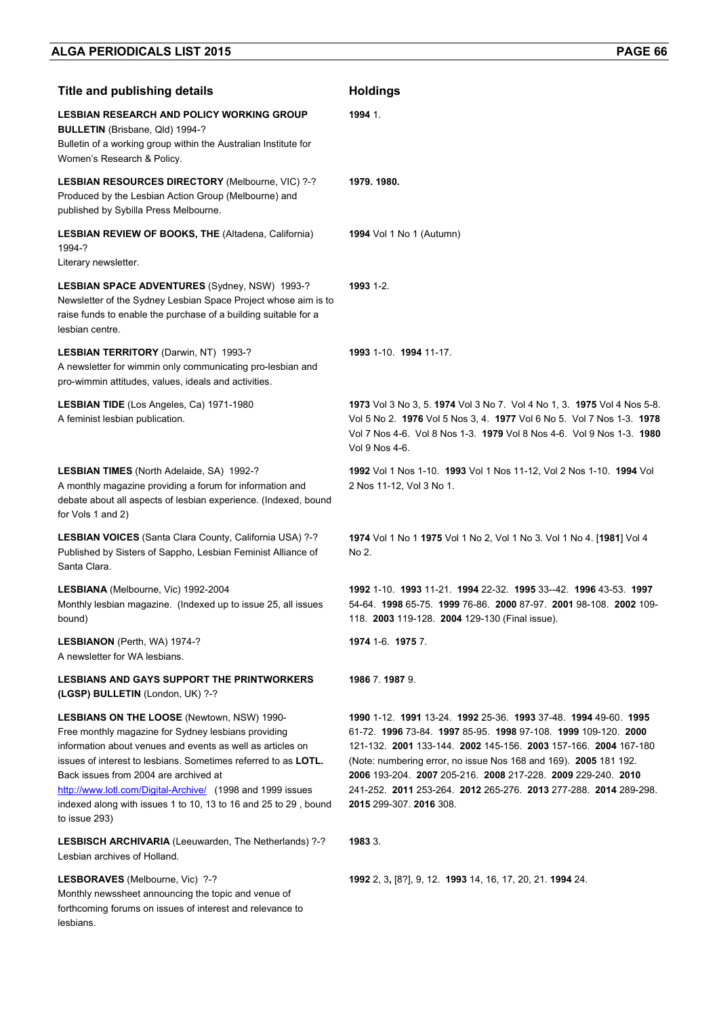| <b>Title and publishing details</b>                                                                                                                                                                                                                                                                                                                                                                                                         | <b>Holdings</b>                                                                                                                                                                                                                                                                                                                                                                                                                         |
|---------------------------------------------------------------------------------------------------------------------------------------------------------------------------------------------------------------------------------------------------------------------------------------------------------------------------------------------------------------------------------------------------------------------------------------------|-----------------------------------------------------------------------------------------------------------------------------------------------------------------------------------------------------------------------------------------------------------------------------------------------------------------------------------------------------------------------------------------------------------------------------------------|
| <b>LESBIAN RESEARCH AND POLICY WORKING GROUP</b><br>BULLETIN (Brisbane, Qld) 1994-?<br>Bulletin of a working group within the Australian Institute for<br>Women's Research & Policy.                                                                                                                                                                                                                                                        | 1994 1.                                                                                                                                                                                                                                                                                                                                                                                                                                 |
| LESBIAN RESOURCES DIRECTORY (Melbourne, VIC) ?-?<br>Produced by the Lesbian Action Group (Melbourne) and<br>published by Sybilla Press Melbourne.                                                                                                                                                                                                                                                                                           | 1979. 1980.                                                                                                                                                                                                                                                                                                                                                                                                                             |
| <b>LESBIAN REVIEW OF BOOKS, THE (Altadena, California)</b><br>1994-?<br>Literary newsletter.                                                                                                                                                                                                                                                                                                                                                | 1994 Vol 1 No 1 (Autumn)                                                                                                                                                                                                                                                                                                                                                                                                                |
| <b>LESBIAN SPACE ADVENTURES (Sydney, NSW) 1993-?</b><br>Newsletter of the Sydney Lesbian Space Project whose aim is to<br>raise funds to enable the purchase of a building suitable for a<br>lesbian centre.                                                                                                                                                                                                                                | 1993 1-2.                                                                                                                                                                                                                                                                                                                                                                                                                               |
| LESBIAN TERRITORY (Darwin, NT) 1993-?<br>A newsletter for wimmin only communicating pro-lesbian and<br>pro-wimmin attitudes, values, ideals and activities.                                                                                                                                                                                                                                                                                 | 1993 1-10 1994 11-17                                                                                                                                                                                                                                                                                                                                                                                                                    |
| <b>LESBIAN TIDE</b> (Los Angeles, Ca) 1971-1980<br>A feminist lesbian publication.                                                                                                                                                                                                                                                                                                                                                          | 1973 Vol 3 No 3, 5, 1974 Vol 3 No 7, Vol 4 No 1, 3, 1975 Vol 4 Nos 5-8.<br>Vol 5 No 2. 1976 Vol 5 Nos 3, 4. 1977 Vol 6 No 5. Vol 7 Nos 1-3. 1978<br>Vol 7 Nos 4-6. Vol 8 Nos 1-3. 1979 Vol 8 Nos 4-6. Vol 9 Nos 1-3. 1980<br>Vol 9 Nos 4-6.                                                                                                                                                                                             |
| LESBIAN TIMES (North Adelaide, SA) 1992-?<br>A monthly magazine providing a forum for information and<br>debate about all aspects of lesbian experience. (Indexed, bound<br>for Vols 1 and 2)                                                                                                                                                                                                                                               | 1992 Vol 1 Nos 1-10. 1993 Vol 1 Nos 11-12, Vol 2 Nos 1-10. 1994 Vol<br>2 Nos 11-12, Vol 3 No 1.                                                                                                                                                                                                                                                                                                                                         |
| LESBIAN VOICES (Santa Clara County, California USA) ?-?<br>Published by Sisters of Sappho, Lesbian Feminist Alliance of<br>Santa Clara.                                                                                                                                                                                                                                                                                                     | 1974 Vol 1 No 1 1975 Vol 1 No 2, Vol 1 No 3. Vol 1 No 4. [1981] Vol 4<br>No 2.                                                                                                                                                                                                                                                                                                                                                          |
| LESBIANA (Melbourne, Vic) 1992-2004<br>Monthly lesbian magazine. (Indexed up to issue 25, all issues<br>bound)                                                                                                                                                                                                                                                                                                                              | 1992 1-10 1993 11-21 1994 22-32 1995 33--42 1996 43-53 1997<br>54-64. 1998 65-75. 1999 76-86. 2000 87-97. 2001 98-108. 2002 109-<br>118. 2003 119-128. 2004 129-130 (Final issue).                                                                                                                                                                                                                                                      |
| LESBIANON (Perth, WA) 1974-?<br>A newsletter for WA lesbians.                                                                                                                                                                                                                                                                                                                                                                               | 1974 1-6 1975 7                                                                                                                                                                                                                                                                                                                                                                                                                         |
| <b>LESBIANS AND GAYS SUPPORT THE PRINTWORKERS</b><br>(LGSP) BULLETIN (London, UK) ?-?                                                                                                                                                                                                                                                                                                                                                       | 1986 7.1987 9.                                                                                                                                                                                                                                                                                                                                                                                                                          |
| <b>LESBIANS ON THE LOOSE (Newtown, NSW) 1990-</b><br>Free monthly magazine for Sydney lesbians providing<br>information about venues and events as well as articles on<br>issues of interest to lesbians. Sometimes referred to as <b>LOTL</b> .<br>Back issues from 2004 are archived at<br>http://www.lotl.com/Digital-Archive/ (1998 and 1999 issues<br>indexed along with issues 1 to 10, 13 to 16 and 25 to 29, bound<br>to issue 293) | 1990 1-12. 1991 13-24. 1992 25-36. 1993 37-48. 1994 49-60. 1995<br>61-72. 1996 73-84. 1997 85-95. 1998 97-108. 1999 109-120. 2000<br>121-132. 2001 133-144. 2002 145-156. 2003 157-166. 2004 167-180<br>(Note: numbering error, no issue Nos 168 and 169). 2005 181 192.<br>2006 193-204. 2007 205-216. 2008 217-228. 2009 229-240. 2010<br>241-252. 2011 253-264. 2012 265-276. 2013 277-288. 2014 289-298.<br>2015 299-307. 2016 308. |
| LESBISCH ARCHIVARIA (Leeuwarden, The Netherlands) ?-?<br>Lesbian archives of Holland.                                                                                                                                                                                                                                                                                                                                                       | 1983 3.                                                                                                                                                                                                                                                                                                                                                                                                                                 |
| LESBORAVES (Melbourne, Vic) ?-?<br>Monthly newssheet announcing the topic and venue of<br>forthcoming forums on issues of interest and relevance to<br>lesbians.                                                                                                                                                                                                                                                                            | 1992 2, 3, [8?], 9, 12. 1993 14, 16, 17, 20, 21. 1994 24.                                                                                                                                                                                                                                                                                                                                                                               |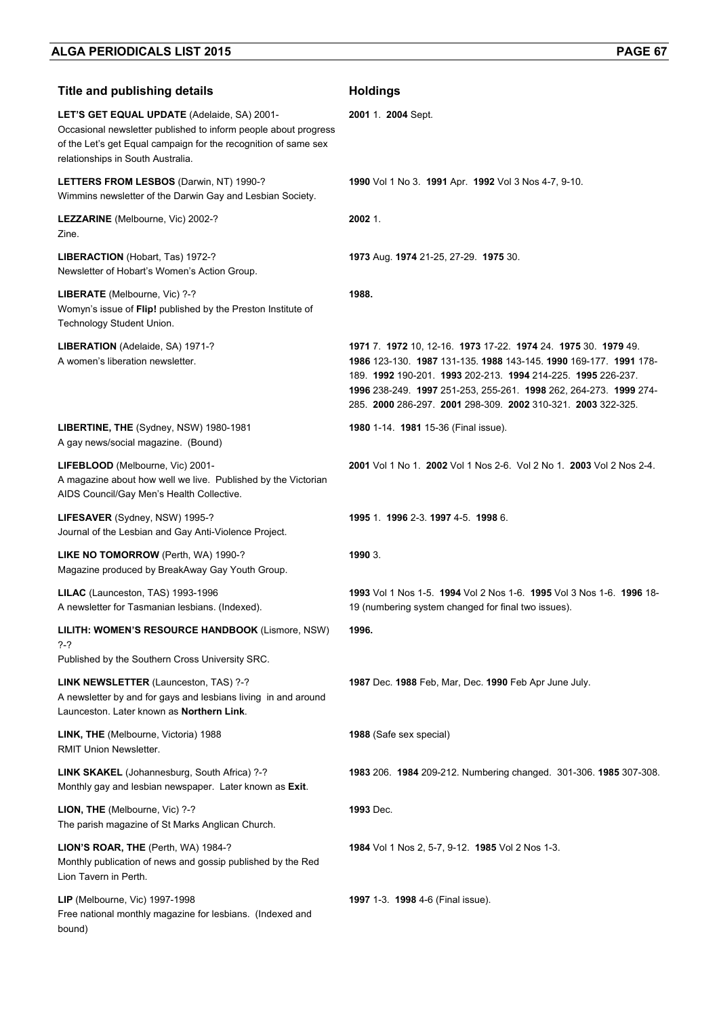| <b>Title and publishing details</b>                                                                                                                                                                                    | <b>Holdings</b>                                                                                                                                                                                                                                                                                                                          |
|------------------------------------------------------------------------------------------------------------------------------------------------------------------------------------------------------------------------|------------------------------------------------------------------------------------------------------------------------------------------------------------------------------------------------------------------------------------------------------------------------------------------------------------------------------------------|
| LET'S GET EQUAL UPDATE (Adelaide, SA) 2001-<br>Occasional newsletter published to inform people about progress<br>of the Let's get Equal campaign for the recognition of same sex<br>relationships in South Australia. | 2001 1. 2004 Sept.                                                                                                                                                                                                                                                                                                                       |
| LETTERS FROM LESBOS (Darwin, NT) 1990-?<br>Wimmins newsletter of the Darwin Gay and Lesbian Society.                                                                                                                   | 1990 Vol 1 No 3. 1991 Apr. 1992 Vol 3 Nos 4-7, 9-10.                                                                                                                                                                                                                                                                                     |
| LEZZARINE (Melbourne, Vic) 2002-?<br>Zine.                                                                                                                                                                             | 2002 1.                                                                                                                                                                                                                                                                                                                                  |
| LIBERACTION (Hobart, Tas) 1972-?<br>Newsletter of Hobart's Women's Action Group.                                                                                                                                       | 1973 Aug. 1974 21-25, 27-29. 1975 30.                                                                                                                                                                                                                                                                                                    |
| LIBERATE (Melbourne, Vic) ?-?<br>Womyn's issue of Flip! published by the Preston Institute of<br>Technology Student Union.                                                                                             | 1988.                                                                                                                                                                                                                                                                                                                                    |
| LIBERATION (Adelaide, SA) 1971-?<br>A women's liberation newsletter.                                                                                                                                                   | 1971 7. 1972 10, 12-16. 1973 17-22. 1974 24. 1975 30. 1979 49.<br>1986 123-130. 1987 131-135. 1988 143-145. 1990 169-177. 1991 178-<br>189. 1992 190-201. 1993 202-213. 1994 214-225. 1995 226-237.<br>1996 238-249. 1997 251-253, 255-261. 1998 262, 264-273. 1999 274-<br>285. 2000 286-297. 2001 298-309. 2002 310-321. 2003 322-325. |
| LIBERTINE, THE (Sydney, NSW) 1980-1981<br>A gay news/social magazine. (Bound)                                                                                                                                          | 1980 1-14. 1981 15-36 (Final issue).                                                                                                                                                                                                                                                                                                     |
| LIFEBLOOD (Melbourne, Vic) 2001-<br>A magazine about how well we live. Published by the Victorian<br>AIDS Council/Gay Men's Health Collective.                                                                         | 2001 Vol 1 No 1. 2002 Vol 1 Nos 2-6. Vol 2 No 1. 2003 Vol 2 Nos 2-4.                                                                                                                                                                                                                                                                     |
| LIFESAVER (Sydney, NSW) 1995-?<br>Journal of the Lesbian and Gay Anti-Violence Project.                                                                                                                                | 1995 1 1996 2-3 1997 4-5 1998 6                                                                                                                                                                                                                                                                                                          |
| LIKE NO TOMORROW (Perth, WA) 1990-?<br>Magazine produced by BreakAway Gay Youth Group.                                                                                                                                 | 1990 3.                                                                                                                                                                                                                                                                                                                                  |
| LILAC (Launceston, TAS) 1993-1996<br>A newsletter for Tasmanian lesbians. (Indexed).                                                                                                                                   | 1993 Vol 1 Nos 1-5. 1994 Vol 2 Nos 1-6. 1995 Vol 3 Nos 1-6. 1996 18-<br>19 (numbering system changed for final two issues).                                                                                                                                                                                                              |
| LILITH: WOMEN'S RESOURCE HANDBOOK (Lismore, NSW)<br>?-?<br>Published by the Southern Cross University SRC.                                                                                                             | 1996.                                                                                                                                                                                                                                                                                                                                    |
| LINK NEWSLETTER (Launceston, TAS) ?-?<br>A newsletter by and for gays and lesbians living in and around<br>Launceston. Later known as Northern Link.                                                                   | 1987 Dec. 1988 Feb, Mar, Dec. 1990 Feb Apr June July.                                                                                                                                                                                                                                                                                    |
| LINK, THE (Melbourne, Victoria) 1988<br>RMIT Union Newsletter.                                                                                                                                                         | 1988 (Safe sex special)                                                                                                                                                                                                                                                                                                                  |
| LINK SKAKEL (Johannesburg, South Africa) ?-?<br>Monthly gay and lesbian newspaper. Later known as Exit.                                                                                                                | 1983 206. 1984 209-212. Numbering changed. 301-306. 1985 307-308.                                                                                                                                                                                                                                                                        |
| LION, THE (Melbourne, Vic) ?-?<br>The parish magazine of St Marks Anglican Church.                                                                                                                                     | 1993 Dec.                                                                                                                                                                                                                                                                                                                                |
| LION'S ROAR, THE (Perth, WA) 1984-?<br>Monthly publication of news and gossip published by the Red<br>Lion Tavern in Perth.                                                                                            | 1984 Vol 1 Nos 2, 5-7, 9-12. 1985 Vol 2 Nos 1-3.                                                                                                                                                                                                                                                                                         |
| <b>LIP</b> (Melbourne, Vic) 1997-1998<br>Free national monthly magazine for lesbians. (Indexed and<br>bound)                                                                                                           | 1997 1-3. 1998 4-6 (Final issue).                                                                                                                                                                                                                                                                                                        |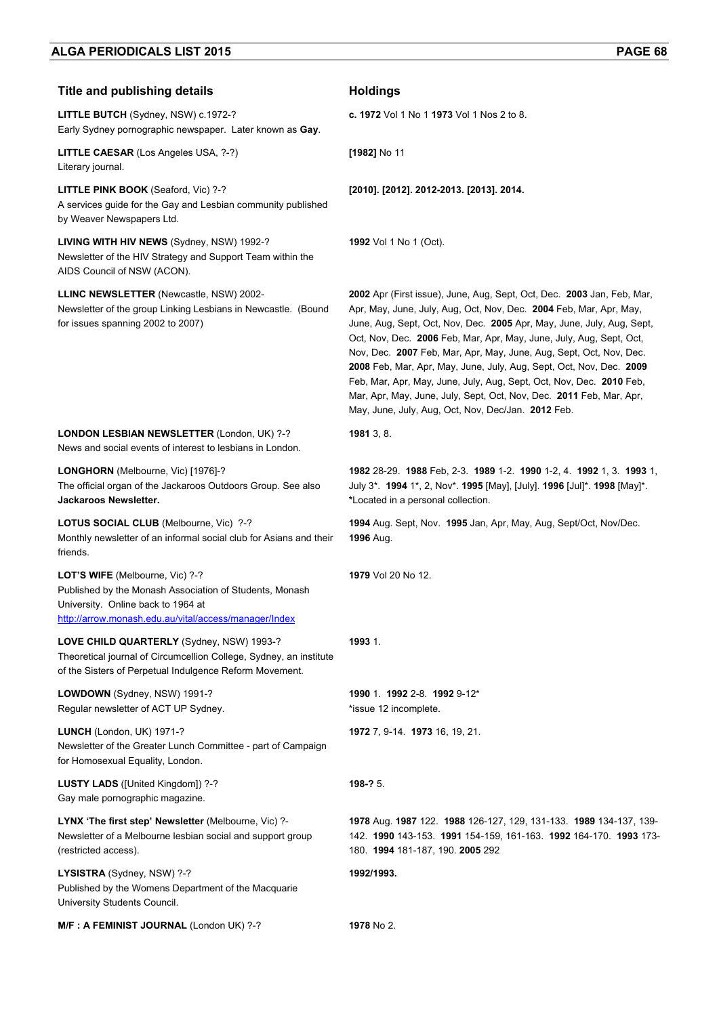**LITTLE BUTCH** (Sydney, NSW) c.1972-? Early Sydney pornographic newspaper. Later known as **Gay**.

**LITTLE CAESAR** (Los Angeles USA, ?-?) Literary journal.

**LITTLE PINK BOOK** (Seaford, Vic) ?-? A services guide for the Gay and Lesbian community published by Weaver Newspapers Ltd.

**LIVING WITH HIV NEWS** (Sydney, NSW) 1992-? Newsletter of the HIV Strategy and Support Team within the AIDS Council of NSW (ACON).

**LLINC NEWSLETTER** (Newcastle, NSW) 2002- Newsletter of the group Linking Lesbians in Newcastle. (Bound for issues spanning 2002 to 2007)

**c. 1972** Vol 1 No 1 **1973** Vol 1 Nos 2 to 8.

**[1982]** No 11

**[2010]. [2012]. 2012-2013. [2013]. 2014.** 

**1992** Vol 1 No 1 (Oct).

**2002** Apr (First issue), June, Aug, Sept, Oct, Dec. **2003** Jan, Feb, Mar, Apr, May, June, July, Aug, Oct, Nov, Dec. **2004** Feb, Mar, Apr, May, June, Aug, Sept, Oct, Nov, Dec. **2005** Apr, May, June, July, Aug, Sept, Oct, Nov, Dec. **2006** Feb, Mar, Apr, May, June, July, Aug, Sept, Oct, Nov, Dec. **2007** Feb, Mar, Apr, May, June, Aug, Sept, Oct, Nov, Dec. **2008** Feb, Mar, Apr, May, June, July, Aug, Sept, Oct, Nov, Dec. **2009** Feb, Mar, Apr, May, June, July, Aug, Sept, Oct, Nov, Dec. **2010** Feb, Mar, Apr, May, June, July, Sept, Oct, Nov, Dec. **2011** Feb, Mar, Apr, May, June, July, Aug, Oct, Nov, Dec/Jan. **2012** Feb.

**LONDON LESBIAN NEWSLETTER** (London, UK) ?-? News and social events of interest to lesbians in London.

**LONGHORN** (Melbourne, Vic) [1976]-? The official organ of the Jackaroos Outdoors Group. See also **Jackaroos Newsletter.** 

**LOTUS SOCIAL CLUB** (Melbourne, Vic) ?-? Monthly newsletter of an informal social club for Asians and their friends.

**LOT'S WIFE** (Melbourne, Vic) ?-? Published by the Monash Association of Students, Monash University. Online back to 1964 at http://arrow.monash.edu.au/vital/access/manager/Index

**LOVE CHILD QUARTERLY** (Sydney, NSW) 1993-? Theoretical journal of Circumcellion College, Sydney, an institute of the Sisters of Perpetual Indulgence Reform Movement.

**LOWDOWN** (Sydney, NSW) 1991-? Regular newsletter of ACT UP Sydney.

**LUNCH** (London, UK) 1971-? Newsletter of the Greater Lunch Committee - part of Campaign for Homosexual Equality, London.

**LUSTY LADS** ([United Kingdom]) ?-? Gay male pornographic magazine.

**LYNX 'The first step' Newsletter** (Melbourne, Vic) ?- Newsletter of a Melbourne lesbian social and support group (restricted access).

**LYSISTRA** (Sydney, NSW) ?-? Published by the Womens Department of the Macquarie University Students Council.

**M/F : A FEMINIST JOURNAL** (London UK) ?-? **1978** No 2.

**\***Located in a personal collection.

**1994** Aug. Sept, Nov. **1995** Jan, Apr, May, Aug, Sept/Oct, Nov/Dec. **1996** Aug.

**1982** 28-29. **1988** Feb, 2-3. **1989** 1-2. **1990** 1-2, 4. **1992** 1, 3. **1993** 1, July 3\*. **1994** 1\*, 2, Nov\*. **1995** [May], [July]. **1996** [Jul]\*. **1998** [May]\*.

**1979** Vol 20 No 12.

#### **1993** 1.

**1981** 3, 8.

**1990** 1. **1992** 2-8. **1992** 9-12\* \*issue 12 incomplete.

**1972** 7, 9-14. **1973** 16, 19, 21.

**198-?** 5.

**1978** Aug. **1987** 122. **1988** 126-127, 129, 131-133. **1989** 134-137, 139- 142. **1990** 143-153. **1991** 154-159, 161-163. **1992** 164-170. **1993** 173- 180. **1994** 181-187, 190. **2005** 292

**1992/1993.**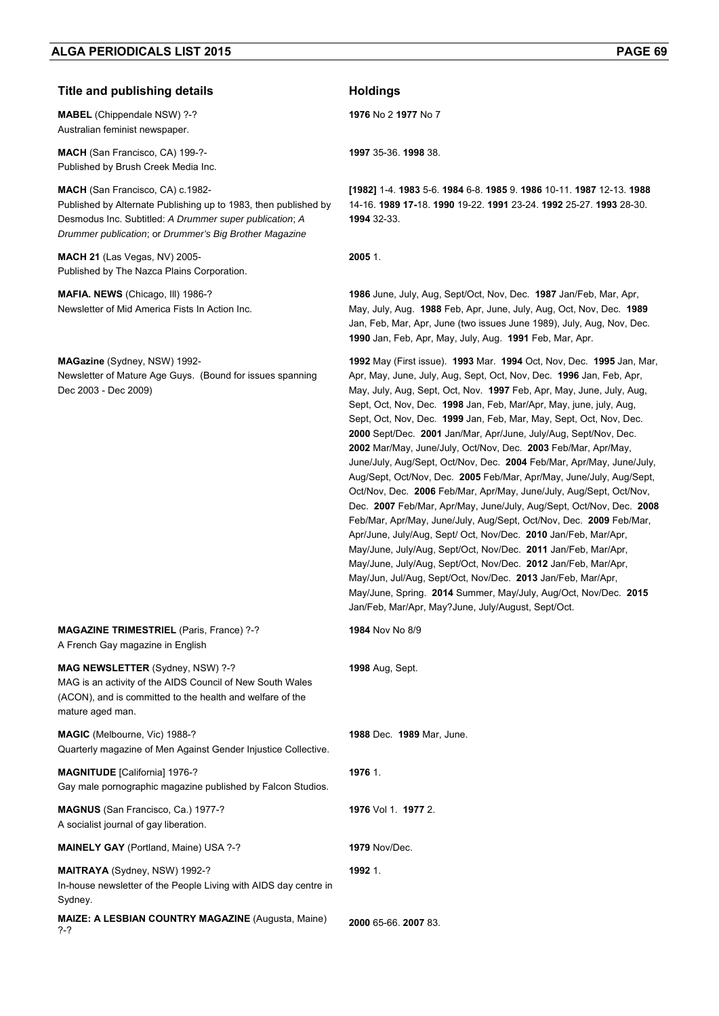#### **Title and publishing details Holdings**

**MABEL** (Chippendale NSW) ?-? Australian feminist newspaper.

**MACH** (San Francisco, CA) 199-?- Published by Brush Creek Media Inc.

**MACH** (San Francisco, CA) c.1982- Published by Alternate Publishing up to 1983, then published by Desmodus Inc. Subtitled: *A Drummer super publication*; *A Drummer publication*; or *Drummer's Big Brother Magazine*

**MACH 21** (Las Vegas, NV) 2005- Published by The Nazca Plains Corporation.

**MAFIA. NEWS** (Chicago, Ill) 1986-? Newsletter of Mid America Fists In Action Inc.

**MAGazine** (Sydney, NSW) 1992- Newsletter of Mature Age Guys. (Bound for issues spanning Dec 2003 - Dec 2009)

**MAGAZINE TRIMESTRIEL** (Paris, France) ?-? A French Gay magazine in English

**MAG NEWSLETTER** (Sydney, NSW) ?-? MAG is an activity of the AIDS Council of New South Wales (ACON), and is committed to the health and welfare of the mature aged man.

**MAGIC** (Melbourne, Vic) 1988-? Quarterly magazine of Men Against Gender Injustice Collective.

**MAGNITUDE** [California] 1976-? Gay male pornographic magazine published by Falcon Studios.

**MAGNUS** (San Francisco, Ca.) 1977-? A socialist journal of gay liberation.

**MAINELY GAY** (Portland, Maine) USA ?-? **1979** Nov/Dec.

**MAITRAYA** (Sydney, NSW) 1992-? In-house newsletter of the People Living with AIDS day centre in Sydney.

**MAIZE: A LESBIAN COUNTRY MAGAZINE** (Augusta, Maine) ?-? **<sup>2000</sup>** 65-66. **2007** 83.

**1976** No 2 **1977** No 7

**1997** 35-36. **1998** 38.

**[1982]** 1-4. **1983** 5-6. **1984** 6-8. **1985** 9. **1986** 10-11. **1987** 12-13. **1988**  14-16. **1989 17-**18. **1990** 19-22. **1991** 23-24. **1992** 25-27. **1993** 28-30. **1994** 32-33.

**2005** 1.

**1986** June, July, Aug, Sept/Oct, Nov, Dec. **1987** Jan/Feb, Mar, Apr, May, July, Aug. **1988** Feb, Apr, June, July, Aug, Oct, Nov, Dec. **1989**  Jan, Feb, Mar, Apr, June (two issues June 1989), July, Aug, Nov, Dec. **1990** Jan, Feb, Apr, May, July, Aug. **1991** Feb, Mar, Apr.

**1992** May (First issue). **1993** Mar. **1994** Oct, Nov, Dec. **1995** Jan, Mar, Apr, May, June, July, Aug, Sept, Oct, Nov, Dec. **1996** Jan, Feb, Apr, May, July, Aug, Sept, Oct, Nov. **1997** Feb, Apr, May, June, July, Aug, Sept, Oct, Nov, Dec. **1998** Jan, Feb, Mar/Apr, May, june, july, Aug, Sept, Oct, Nov, Dec. **1999** Jan, Feb, Mar, May, Sept, Oct, Nov, Dec. **2000** Sept/Dec. **2001** Jan/Mar, Apr/June, July/Aug, Sept/Nov, Dec. **2002** Mar/May, June/July, Oct/Nov, Dec. **2003** Feb/Mar, Apr/May, June/July, Aug/Sept, Oct/Nov, Dec. **2004** Feb/Mar, Apr/May, June/July, Aug/Sept, Oct/Nov, Dec. **2005** Feb/Mar, Apr/May, June/July, Aug/Sept, Oct/Nov, Dec. **2006** Feb/Mar, Apr/May, June/July, Aug/Sept, Oct/Nov, Dec. **2007** Feb/Mar, Apr/May, June/July, Aug/Sept, Oct/Nov, Dec. **2008** Feb/Mar, Apr/May, June/July, Aug/Sept, Oct/Nov, Dec. **2009** Feb/Mar, Apr/June, July/Aug, Sept/ Oct, Nov/Dec. **2010** Jan/Feb, Mar/Apr, May/June, July/Aug, Sept/Oct, Nov/Dec. **2011** Jan/Feb, Mar/Apr, May/June, July/Aug, Sept/Oct, Nov/Dec. **2012** Jan/Feb, Mar/Apr, May/Jun, Jul/Aug, Sept/Oct, Nov/Dec. **2013** Jan/Feb, Mar/Apr, May/June, Spring. **2014** Summer, May/July, Aug/Oct, Nov/Dec. **2015** Jan/Feb, Mar/Apr, May?June, July/August, Sept/Oct.

**1984** Nov No 8/9

**1998** Aug, Sept.

**1988** Dec. **1989** Mar, June. **1976** 1. **1976** Vol 1. **1977** 2.

**1992** 1.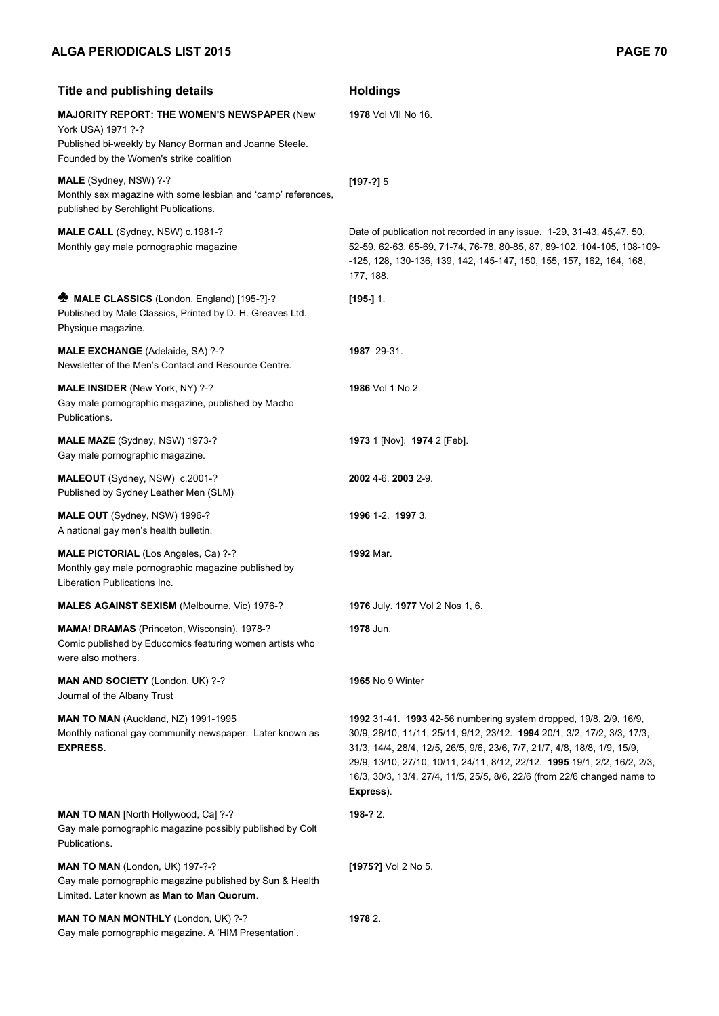| <b>Title and publishing details</b>                                                                                                                                           | <b>Holdings</b>                                                                                                                                                                                                                                                                                                                                                                                  |
|-------------------------------------------------------------------------------------------------------------------------------------------------------------------------------|--------------------------------------------------------------------------------------------------------------------------------------------------------------------------------------------------------------------------------------------------------------------------------------------------------------------------------------------------------------------------------------------------|
| <b>MAJORITY REPORT: THE WOMEN'S NEWSPAPER (New</b><br>York USA) 1971 ?-?<br>Published bi-weekly by Nancy Borman and Joanne Steele.<br>Founded by the Women's strike coalition | <b>1978</b> Vol VII No 16.                                                                                                                                                                                                                                                                                                                                                                       |
| MALE (Sydney, NSW) ?-?<br>Monthly sex magazine with some lesbian and 'camp' references,<br>published by Serchlight Publications.                                              | $[197-?]$ 5                                                                                                                                                                                                                                                                                                                                                                                      |
| MALE CALL (Sydney, NSW) c.1981-?<br>Monthly gay male pornographic magazine                                                                                                    | Date of publication not recorded in any issue. 1-29, 31-43, 45,47, 50,<br>52-59, 62-63, 65-69, 71-74, 76-78, 80-85, 87, 89-102, 104-105, 108-109-<br>-125, 128, 130-136, 139, 142, 145-147, 150, 155, 157, 162, 164, 168,<br>177, 188.                                                                                                                                                           |
| MALE CLASSICS (London, England) [195-?]-?<br>Published by Male Classics, Printed by D. H. Greaves Ltd.<br>Physique magazine.                                                  | $[195-]$ 1.                                                                                                                                                                                                                                                                                                                                                                                      |
| <b>MALE EXCHANGE</b> (Adelaide, SA) ?-?<br>Newsletter of the Men's Contact and Resource Centre.                                                                               | 1987 29-31.                                                                                                                                                                                                                                                                                                                                                                                      |
| MALE INSIDER (New York, NY) ?-?<br>Gay male pornographic magazine, published by Macho<br>Publications.                                                                        | 1986 Vol 1 No 2.                                                                                                                                                                                                                                                                                                                                                                                 |
| MALE MAZE (Sydney, NSW) 1973-?<br>Gay male pornographic magazine.                                                                                                             | 1973 1 [Nov]. 1974 2 [Feb].                                                                                                                                                                                                                                                                                                                                                                      |
| MALEOUT (Sydney, NSW) c.2001-?<br>Published by Sydney Leather Men (SLM)                                                                                                       | 2002 4-6. 2003 2-9.                                                                                                                                                                                                                                                                                                                                                                              |
| <b>MALE OUT</b> (Sydney, NSW) 1996-?<br>A national gay men's health bulletin.                                                                                                 | 1996 1-2. 1997 3.                                                                                                                                                                                                                                                                                                                                                                                |
| MALE PICTORIAL (Los Angeles, Ca) ?-?<br>Monthly gay male pornographic magazine published by<br>Liberation Publications Inc.                                                   | 1992 Mar.                                                                                                                                                                                                                                                                                                                                                                                        |
| MALES AGAINST SEXISM (Melbourne, Vic) 1976-?                                                                                                                                  | 1976 July. 1977 Vol 2 Nos 1, 6.                                                                                                                                                                                                                                                                                                                                                                  |
| MAMA! DRAMAS (Princeton, Wisconsin), 1978-?<br>Comic published by Educomics featuring women artists who<br>were also mothers.                                                 | 1978 Jun.                                                                                                                                                                                                                                                                                                                                                                                        |
| MAN AND SOCIETY (London, UK) ?-?<br>Journal of the Albany Trust                                                                                                               | <b>1965</b> No 9 Winter                                                                                                                                                                                                                                                                                                                                                                          |
| MAN TO MAN (Auckland, NZ) 1991-1995<br>Monthly national gay community newspaper. Later known as<br><b>EXPRESS.</b>                                                            | 1992 31-41. 1993 42-56 numbering system dropped, 19/8, 2/9, 16/9,<br>30/9, 28/10, 11/11, 25/11, 9/12, 23/12. 1994 20/1, 3/2, 17/2, 3/3, 17/3,<br>31/3, 14/4, 28/4, 12/5, 26/5, 9/6, 23/6, 7/7, 21/7, 4/8, 18/8, 1/9, 15/9,<br>29/9, 13/10, 27/10, 10/11, 24/11, 8/12, 22/12. 1995 19/1, 2/2, 16/2, 2/3,<br>16/3, 30/3, 13/4, 27/4, 11/5, 25/5, 8/6, 22/6 (from 22/6 changed name to<br>Express). |
| <b>MAN TO MAN [North Hollywood, Ca] ?-?</b><br>Gay male pornographic magazine possibly published by Colt<br>Publications.                                                     | 198-? 2.                                                                                                                                                                                                                                                                                                                                                                                         |
| MAN TO MAN (London, UK) 197-?-?<br>Gay male pornographic magazine published by Sun & Health<br>Limited. Later known as Man to Man Quorum.                                     | [1975?] Vol 2 No 5.                                                                                                                                                                                                                                                                                                                                                                              |
| MAN TO MAN MONTHLY (London, UK) ?-?<br>Gay male pornographic magazine. A 'HIM Presentation'.                                                                                  | 1978 2.                                                                                                                                                                                                                                                                                                                                                                                          |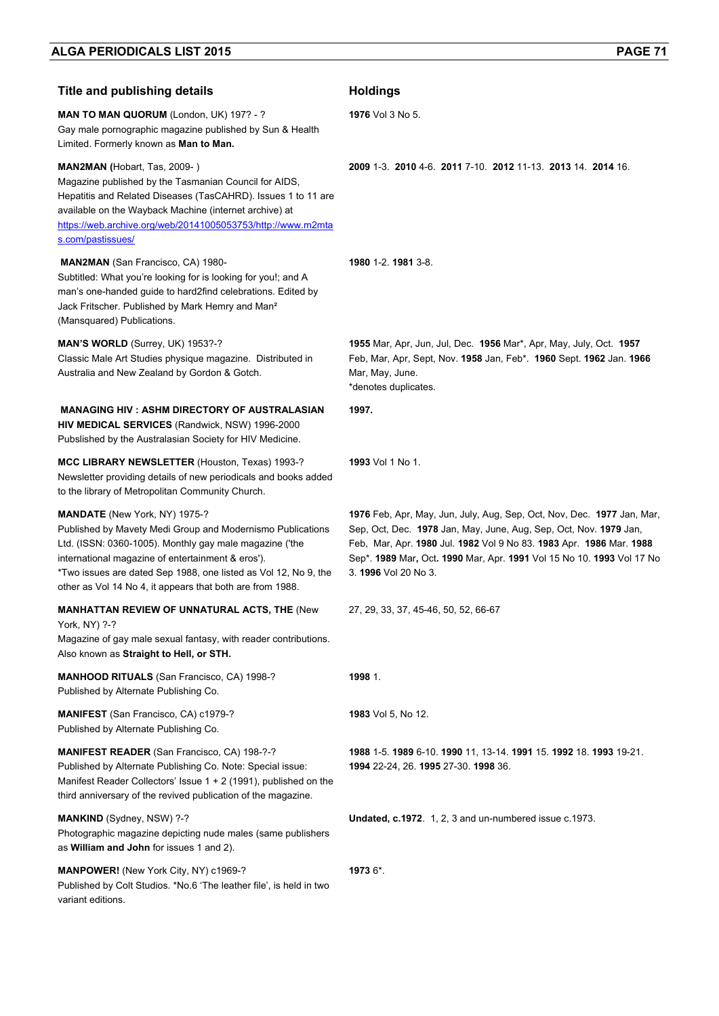| <b>Title and publishing details</b>                                                                                                                                                                                                                                                                                                                | <b>Holdings</b>                                                                                                                                                                                                                                                                                                     |
|----------------------------------------------------------------------------------------------------------------------------------------------------------------------------------------------------------------------------------------------------------------------------------------------------------------------------------------------------|---------------------------------------------------------------------------------------------------------------------------------------------------------------------------------------------------------------------------------------------------------------------------------------------------------------------|
| <b>MAN TO MAN QUORUM (London, UK) 197? - ?</b><br>Gay male pornographic magazine published by Sun & Health<br>Limited. Formerly known as Man to Man.                                                                                                                                                                                               | 1976 Vol 3 No 5.                                                                                                                                                                                                                                                                                                    |
| <b>MAN2MAN</b> (Hobart, Tas, 2009-)<br>Magazine published by the Tasmanian Council for AIDS,<br>Hepatitis and Related Diseases (TasCAHRD). Issues 1 to 11 are<br>available on the Wayback Machine (internet archive) at<br>https://web.archive.org/web/20141005053753/http://www.m2mta<br>s.com/pastissues/                                        | 2009 1-3 2010 4-6 2011 7-10 2012 11-13 2013 14 2014 16                                                                                                                                                                                                                                                              |
| <b>MAN2MAN</b> (San Francisco, CA) 1980-<br>Subtitled: What you're looking for is looking for you!; and A<br>man's one-handed guide to hard2find celebrations. Edited by<br>Jack Fritscher. Published by Mark Hemry and Man <sup>2</sup><br>(Mansquared) Publications.                                                                             | 1980 1-2, 1981 3-8.                                                                                                                                                                                                                                                                                                 |
| MAN'S WORLD (Surrey, UK) 1953?-?<br>Classic Male Art Studies physique magazine. Distributed in<br>Australia and New Zealand by Gordon & Gotch.                                                                                                                                                                                                     | 1955 Mar, Apr, Jun, Jul, Dec. 1956 Mar*, Apr, May, July, Oct. 1957<br>Feb, Mar, Apr, Sept, Nov. 1958 Jan, Feb*. 1960 Sept. 1962 Jan. 1966<br>Mar, May, June.<br>*denotes duplicates.                                                                                                                                |
| <b>MANAGING HIV: ASHM DIRECTORY OF AUSTRALASIAN</b><br>HIV MEDICAL SERVICES (Randwick, NSW) 1996-2000<br>Pubslished by the Australasian Society for HIV Medicine.                                                                                                                                                                                  | 1997.                                                                                                                                                                                                                                                                                                               |
| MCC LIBRARY NEWSLETTER (Houston, Texas) 1993-?<br>Newsletter providing details of new periodicals and books added<br>to the library of Metropolitan Community Church.                                                                                                                                                                              | 1993 Vol 1 No 1.                                                                                                                                                                                                                                                                                                    |
| <b>MANDATE</b> (New York, NY) 1975-?<br>Published by Mavety Medi Group and Modernismo Publications<br>Ltd. (ISSN: 0360-1005). Monthly gay male magazine ('the<br>international magazine of entertainment & eros').<br>*Two issues are dated Sep 1988, one listed as Vol 12, No 9, the<br>other as Vol 14 No 4, it appears that both are from 1988. | 1976 Feb, Apr, May, Jun, July, Aug, Sep, Oct, Nov, Dec. 1977 Jan, Mar,<br>Sep, Oct, Dec. 1978 Jan, May, June, Aug, Sep, Oct, Nov. 1979 Jan,<br>Feb, Mar, Apr. 1980 Jul. 1982 Vol 9 No 83. 1983 Apr. 1986 Mar. 1988<br>Sep*. 1989 Mar, Oct. 1990 Mar, Apr. 1991 Vol 15 No 10. 1993 Vol 17 No<br>3. 1996 Vol 20 No 3. |
| <b>MANHATTAN REVIEW OF UNNATURAL ACTS, THE (New</b><br>York, NY) ?-?<br>Magazine of gay male sexual fantasy, with reader contributions.<br>Also known as Straight to Hell, or STH.                                                                                                                                                                 | 27, 29, 33, 37, 45-46, 50, 52, 66-67                                                                                                                                                                                                                                                                                |
| MANHOOD RITUALS (San Francisco, CA) 1998-?<br>Published by Alternate Publishing Co.                                                                                                                                                                                                                                                                | 1998 1.                                                                                                                                                                                                                                                                                                             |
| MANIFEST (San Francisco, CA) c1979-?<br>Published by Alternate Publishing Co.                                                                                                                                                                                                                                                                      | <b>1983</b> Vol 5, No 12.                                                                                                                                                                                                                                                                                           |
| <b>MANIFEST READER (San Francisco, CA) 198-?-?</b><br>Published by Alternate Publishing Co. Note: Special issue:<br>Manifest Reader Collectors' Issue $1 + 2$ (1991), published on the<br>third anniversary of the revived publication of the magazine.                                                                                            | 1988 1-5. 1989 6-10. 1990 11, 13-14. 1991 15. 1992 18. 1993 19-21.<br>1994 22-24, 26. 1995 27-30. 1998 36.                                                                                                                                                                                                          |
| MANKIND (Sydney, NSW) ?-?<br>Photographic magazine depicting nude males (same publishers<br>as William and John for issues 1 and 2).                                                                                                                                                                                                               | Undated, c.1972. 1, 2, 3 and un-numbered issue c.1973.                                                                                                                                                                                                                                                              |
| <b>MANPOWER!</b> (New York City, NY) c1969-?<br>Published by Colt Studios. *No.6 'The leather file', is held in two<br>variant editions.                                                                                                                                                                                                           | 1973 6*.                                                                                                                                                                                                                                                                                                            |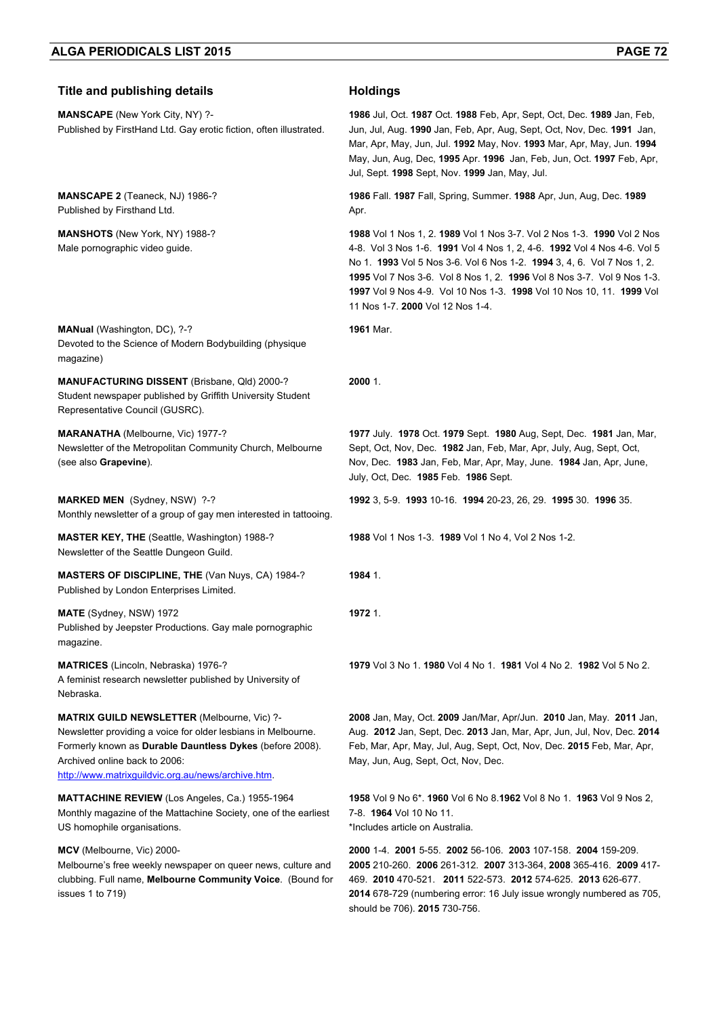| <b>Title and publishing details</b>                                                                                                                                                                                                                             | <b>Holdings</b>                                                                                                                                                                                                                                                                                                                                                                                                          |
|-----------------------------------------------------------------------------------------------------------------------------------------------------------------------------------------------------------------------------------------------------------------|--------------------------------------------------------------------------------------------------------------------------------------------------------------------------------------------------------------------------------------------------------------------------------------------------------------------------------------------------------------------------------------------------------------------------|
| <b>MANSCAPE</b> (New York City, NY) ?-<br>Published by FirstHand Ltd. Gay erotic fiction, often illustrated.                                                                                                                                                    | 1986 Jul, Oct. 1987 Oct. 1988 Feb. Apr. Sept. Oct. Dec. 1989 Jan. Feb.<br>Jun, Jul, Aug. 1990 Jan, Feb, Apr, Aug, Sept, Oct, Nov, Dec. 1991 Jan,<br>Mar, Apr, May, Jun, Jul. 1992 May, Nov. 1993 Mar, Apr, May, Jun. 1994<br>May, Jun, Aug, Dec, 1995 Apr. 1996 Jan, Feb, Jun, Oct. 1997 Feb, Apr,<br>Jul, Sept. 1998 Sept, Nov. 1999 Jan, May, Jul.                                                                     |
| MANSCAPE 2 (Teaneck, NJ) 1986-?<br>Published by Firsthand Ltd.                                                                                                                                                                                                  | 1986 Fall. 1987 Fall, Spring, Summer. 1988 Apr, Jun, Aug, Dec. 1989<br>Apr.                                                                                                                                                                                                                                                                                                                                              |
| <b>MANSHOTS</b> (New York, NY) 1988-?<br>Male pornographic video guide.                                                                                                                                                                                         | 1988 Vol 1 Nos 1, 2. 1989 Vol 1 Nos 3-7. Vol 2 Nos 1-3. 1990 Vol 2 Nos<br>4-8. Vol 3 Nos 1-6. 1991 Vol 4 Nos 1, 2, 4-6. 1992 Vol 4 Nos 4-6. Vol 5<br>No 1. 1993 Vol 5 Nos 3-6. Vol 6 Nos 1-2. 1994 3, 4, 6. Vol 7 Nos 1, 2.<br>1995 Vol 7 Nos 3-6. Vol 8 Nos 1, 2. 1996 Vol 8 Nos 3-7. Vol 9 Nos 1-3.<br>1997 Vol 9 Nos 4-9. Vol 10 Nos 1-3. 1998 Vol 10 Nos 10, 11. 1999 Vol<br>11 Nos 1-7. <b>2000</b> Vol 12 Nos 1-4. |
| <b>MANual</b> (Washington, DC), ?-?<br>Devoted to the Science of Modern Bodybuilding (physique<br>magazine)                                                                                                                                                     | 1961 Mar.                                                                                                                                                                                                                                                                                                                                                                                                                |
| MANUFACTURING DISSENT (Brisbane, Qld) 2000-?<br>Student newspaper published by Griffith University Student<br>Representative Council (GUSRC).                                                                                                                   | 2000 1.                                                                                                                                                                                                                                                                                                                                                                                                                  |
| MARANATHA (Melbourne, Vic) 1977-?<br>Newsletter of the Metropolitan Community Church, Melbourne<br>(see also Grapevine).                                                                                                                                        | 1977 July. 1978 Oct. 1979 Sept. 1980 Aug, Sept, Dec. 1981 Jan, Mar,<br>Sept, Oct, Nov, Dec. 1982 Jan, Feb, Mar, Apr, July, Aug, Sept, Oct,<br>Nov, Dec. 1983 Jan, Feb, Mar, Apr, May, June. 1984 Jan, Apr, June,<br>July, Oct, Dec. 1985 Feb. 1986 Sept.                                                                                                                                                                 |
| MARKED MEN (Sydney, NSW) ?-?<br>Monthly newsletter of a group of gay men interested in tattooing.                                                                                                                                                               | 1992 3, 5-9. 1993 10-16. 1994 20-23, 26, 29. 1995 30. 1996 35.                                                                                                                                                                                                                                                                                                                                                           |
| <b>MASTER KEY, THE (Seattle, Washington) 1988-?</b><br>Newsletter of the Seattle Dungeon Guild.                                                                                                                                                                 | 1988 Vol 1 Nos 1-3. 1989 Vol 1 No 4, Vol 2 Nos 1-2.                                                                                                                                                                                                                                                                                                                                                                      |
| <b>MASTERS OF DISCIPLINE, THE (Van Nuys, CA) 1984-?</b><br>Published by London Enterprises Limited.                                                                                                                                                             | 1984 1.                                                                                                                                                                                                                                                                                                                                                                                                                  |
| MATE (Sydney, NSW) 1972<br>Published by Jeepster Productions. Gay male pornographic<br>magazine.                                                                                                                                                                | 1972 1.                                                                                                                                                                                                                                                                                                                                                                                                                  |
| <b>MATRICES</b> (Lincoln, Nebraska) 1976-?<br>A feminist research newsletter published by University of<br>Nebraska.                                                                                                                                            | 1979 Vol 3 No 1, 1980 Vol 4 No 1, 1981 Vol 4 No 2, 1982 Vol 5 No 2.                                                                                                                                                                                                                                                                                                                                                      |
| MATRIX GUILD NEWSLETTER (Melbourne, Vic) ?-<br>Newsletter providing a voice for older lesbians in Melbourne.<br>Formerly known as Durable Dauntless Dykes (before 2008).<br>Archived online back to 2006:<br>http://www.matrixguildvic.org.au/news/archive.htm. | 2008 Jan, May, Oct. 2009 Jan/Mar, Apr/Jun. 2010 Jan, May. 2011 Jan,<br>Aug. 2012 Jan, Sept, Dec. 2013 Jan, Mar, Apr, Jun, Jul, Nov, Dec. 2014<br>Feb, Mar, Apr, May, Jul, Aug, Sept, Oct, Nov, Dec. 2015 Feb, Mar, Apr,<br>May, Jun, Aug, Sept, Oct, Nov, Dec.                                                                                                                                                           |
| <b>MATTACHINE REVIEW</b> (Los Angeles, Ca.) 1955-1964<br>Monthly magazine of the Mattachine Society, one of the earliest<br>US homophile organisations.                                                                                                         | 1958 Vol 9 No 6*. 1960 Vol 6 No 8.1962 Vol 8 No 1. 1963 Vol 9 Nos 2,<br>7-8. 1964 Vol 10 No 11.<br>*Includes article on Australia.                                                                                                                                                                                                                                                                                       |
| MCV (Melbourne, Vic) 2000-<br>Melbourne's free weekly newspaper on queer news, culture and<br>clubbing. Full name, Melbourne Community Voice. (Bound for<br>issues 1 to 719)                                                                                    | 2000 1-4 2001 5-55 2002 56-106 2003 107-158 2004 159-209.<br>2005 210-260. 2006 261-312. 2007 313-364, 2008 365-416. 2009 417-<br>469. 2010 470-521. 2011 522-573. 2012 574-625. 2013 626-677.<br>2014 678-729 (numbering error: 16 July issue wrongly numbered as 705,                                                                                                                                                  |

**2014** 678-729 (numbering error: 16 July issue wrongly numbered as 705, should be 706). **2015** 730-756.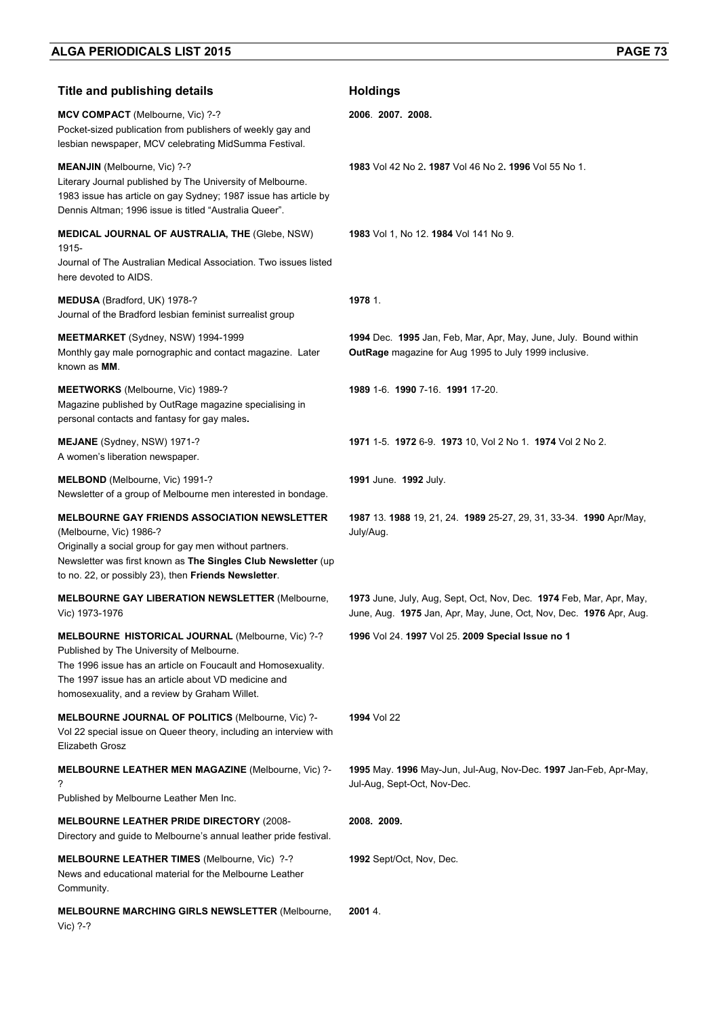| <b>Title and publishing details</b>                                                                                                                                                                                                                                    | <b>Holdings</b>                                                                                                                           |
|------------------------------------------------------------------------------------------------------------------------------------------------------------------------------------------------------------------------------------------------------------------------|-------------------------------------------------------------------------------------------------------------------------------------------|
| MCV COMPACT (Melbourne, Vic) ?-?<br>Pocket-sized publication from publishers of weekly gay and<br>lesbian newspaper, MCV celebrating MidSumma Festival.                                                                                                                | 2006. 2007. 2008.                                                                                                                         |
| <b>MEANJIN</b> (Melbourne, Vic) ?-?<br>Literary Journal published by The University of Melbourne.<br>1983 issue has article on gay Sydney; 1987 issue has article by<br>Dennis Altman; 1996 issue is titled "Australia Queer".                                         | 1983 Vol 42 No 2, 1987 Vol 46 No 2, 1996 Vol 55 No 1.                                                                                     |
| <b>MEDICAL JOURNAL OF AUSTRALIA, THE (Glebe, NSW)</b><br>1915-<br>Journal of The Australian Medical Association. Two issues listed<br>here devoted to AIDS.                                                                                                            | 1983 Vol 1, No 12, 1984 Vol 141 No 9.                                                                                                     |
| MEDUSA (Bradford, UK) 1978-?<br>Journal of the Bradford lesbian feminist surrealist group                                                                                                                                                                              | 1978 1.                                                                                                                                   |
| MEETMARKET (Sydney, NSW) 1994-1999<br>Monthly gay male pornographic and contact magazine. Later<br>known as MM.                                                                                                                                                        | 1994 Dec. 1995 Jan, Feb, Mar, Apr, May, June, July. Bound within<br>OutRage magazine for Aug 1995 to July 1999 inclusive.                 |
| <b>MEETWORKS</b> (Melbourne, Vic) 1989-?<br>Magazine published by OutRage magazine specialising in<br>personal contacts and fantasy for gay males.                                                                                                                     | 1989 1-6. 1990 7-16. 1991 17-20.                                                                                                          |
| <b>MEJANE</b> (Sydney, NSW) 1971-?<br>A women's liberation newspaper.                                                                                                                                                                                                  | 1971 1-5. 1972 6-9. 1973 10, Vol 2 No 1. 1974 Vol 2 No 2.                                                                                 |
| <b>MELBOND</b> (Melbourne, Vic) 1991-?<br>Newsletter of a group of Melbourne men interested in bondage.                                                                                                                                                                | 1991 June. 1992 July.                                                                                                                     |
| <b>MELBOURNE GAY FRIENDS ASSOCIATION NEWSLETTER</b><br>(Melbourne, Vic) 1986-?<br>Originally a social group for gay men without partners.<br>Newsletter was first known as The Singles Club Newsletter (up<br>to no. 22, or possibly 23), then Friends Newsletter.     | 1987 13. 1988 19, 21, 24. 1989 25-27, 29, 31, 33-34. 1990 Apr/May,<br>July/Aug.                                                           |
| <b>MELBOURNE GAY LIBERATION NEWSLETTER (Melbourne,</b><br>Vic) 1973-1976                                                                                                                                                                                               | 1973 June, July, Aug, Sept, Oct, Nov, Dec. 1974 Feb, Mar, Apr, May,<br>June, Aug. 1975 Jan, Apr, May, June, Oct, Nov, Dec. 1976 Apr, Aug. |
| MELBOURNE HISTORICAL JOURNAL (Melbourne, Vic) ?-?<br>Published by The University of Melbourne.<br>The 1996 issue has an article on Foucault and Homosexuality.<br>The 1997 issue has an article about VD medicine and<br>homosexuality, and a review by Graham Willet. | 1996 Vol 24. 1997 Vol 25. 2009 Special Issue no 1                                                                                         |
| MELBOURNE JOURNAL OF POLITICS (Melbourne, Vic) ?-<br>Vol 22 special issue on Queer theory, including an interview with<br>Elizabeth Grosz                                                                                                                              | 1994 Vol 22                                                                                                                               |
| <b>MELBOURNE LEATHER MEN MAGAZINE (Melbourne, Vic) ?-</b><br>?<br>Published by Melbourne Leather Men Inc.                                                                                                                                                              | 1995 May. 1996 May-Jun, Jul-Aug, Nov-Dec. 1997 Jan-Feb, Apr-May,<br>Jul-Aug, Sept-Oct, Nov-Dec.                                           |
| <b>MELBOURNE LEATHER PRIDE DIRECTORY (2008-</b><br>Directory and guide to Melbourne's annual leather pride festival.                                                                                                                                                   | 2008. 2009.                                                                                                                               |
| MELBOURNE LEATHER TIMES (Melbourne, Vic) ?-?<br>News and educational material for the Melbourne Leather<br>Community.                                                                                                                                                  | 1992 Sept/Oct, Nov, Dec.                                                                                                                  |
| <b>MELBOURNE MARCHING GIRLS NEWSLETTER (Melbourne,</b><br>Vic) ?-?                                                                                                                                                                                                     | 2001 4.                                                                                                                                   |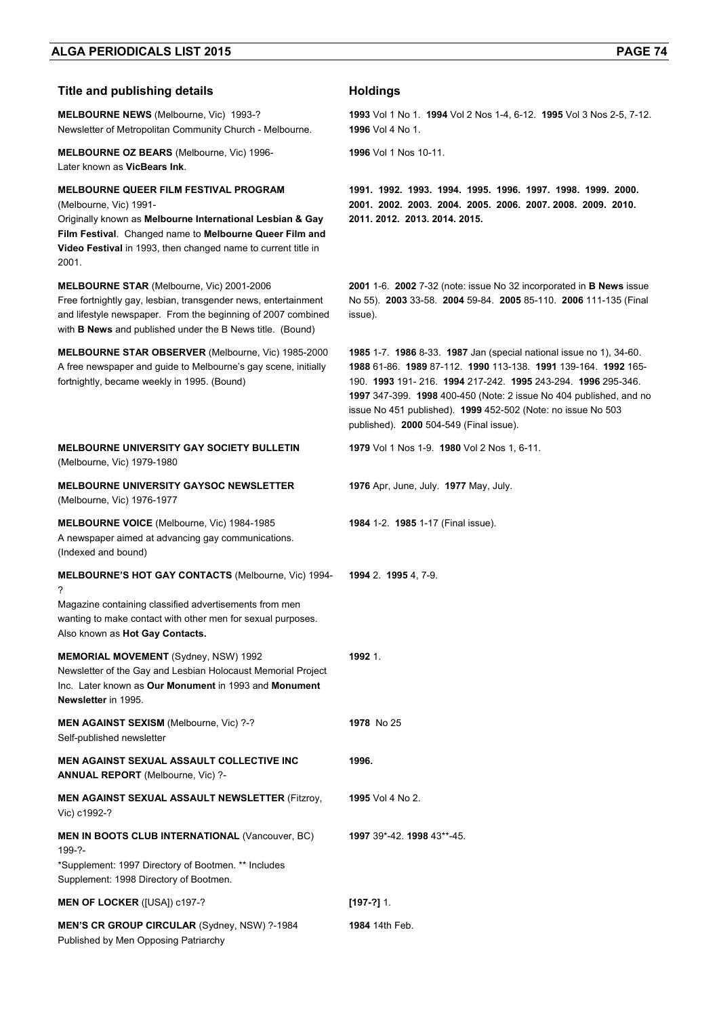| <b>Title and publishing details</b>                                                                                                                                                                                                                                      | <b>Holdings</b>                                                                                                                                                                                                                                                                                                                                                                                |
|--------------------------------------------------------------------------------------------------------------------------------------------------------------------------------------------------------------------------------------------------------------------------|------------------------------------------------------------------------------------------------------------------------------------------------------------------------------------------------------------------------------------------------------------------------------------------------------------------------------------------------------------------------------------------------|
| <b>MELBOURNE NEWS</b> (Melbourne, Vic) 1993-?<br>Newsletter of Metropolitan Community Church - Melbourne.                                                                                                                                                                | 1993 Vol 1 No 1. 1994 Vol 2 Nos 1-4, 6-12. 1995 Vol 3 Nos 2-5, 7-12.<br><b>1996</b> Vol 4 No 1.                                                                                                                                                                                                                                                                                                |
| <b>MELBOURNE OZ BEARS (Melbourne, Vic) 1996-</b><br>Later known as VicBears Ink.                                                                                                                                                                                         | 1996 Vol 1 Nos 10-11.                                                                                                                                                                                                                                                                                                                                                                          |
| <b>MELBOURNE QUEER FILM FESTIVAL PROGRAM</b><br>(Melbourne, Vic) 1991-<br>Originally known as Melbourne International Lesbian & Gay<br>Film Festival. Changed name to Melbourne Queer Film and<br>Video Festival in 1993, then changed name to current title in<br>2001. | 1991. 1992. 1993. 1994. 1995. 1996. 1997. 1998. 1999. 2000.<br>2001. 2002. 2003. 2004. 2005. 2006. 2007. 2008. 2009. 2010.<br>2011. 2012. 2013. 2014. 2015.                                                                                                                                                                                                                                    |
| <b>MELBOURNE STAR (Melbourne, Vic) 2001-2006</b><br>Free fortnightly gay, lesbian, transgender news, entertainment<br>and lifestyle newspaper. From the beginning of 2007 combined<br>with <b>B News</b> and published under the B News title. (Bound)                   | 2001 1-6. 2002 7-32 (note: issue No 32 incorporated in B News issue<br>No 55). 2003 33-58. 2004 59-84. 2005 85-110. 2006 111-135 (Final<br>issue).                                                                                                                                                                                                                                             |
| <b>MELBOURNE STAR OBSERVER (Melbourne, Vic) 1985-2000</b><br>A free newspaper and guide to Melbourne's gay scene, initially<br>fortnightly, became weekly in 1995. (Bound)                                                                                               | 1985 1-7. 1986 8-33. 1987 Jan (special national issue no 1), 34-60.<br><b>1988 61-86. 1989 87-112. 1990 113-138. 1991 139-164. 1992 165-</b><br>190. 1993 191- 216. 1994 217-242. 1995 243-294. 1996 295-346.<br>1997 347-399. 1998 400-450 (Note: 2 issue No 404 published, and no<br>issue No 451 published). 1999 452-502 (Note: no issue No 503<br>published). 2000 504-549 (Final issue). |
| <b>MELBOURNE UNIVERSITY GAY SOCIETY BULLETIN</b><br>(Melbourne, Vic) 1979-1980                                                                                                                                                                                           | <b>1979</b> Vol 1 Nos 1-9. <b>1980</b> Vol 2 Nos 1, 6-11.                                                                                                                                                                                                                                                                                                                                      |
| <b>MELBOURNE UNIVERSITY GAYSOC NEWSLETTER</b><br>(Melbourne, Vic) 1976-1977                                                                                                                                                                                              | 1976 Apr, June, July. 1977 May, July.                                                                                                                                                                                                                                                                                                                                                          |
| <b>MELBOURNE VOICE</b> (Melbourne, Vic) 1984-1985<br>A newspaper aimed at advancing gay communications.<br>(Indexed and bound)                                                                                                                                           | 1984 1-2. 1985 1-17 (Final issue).                                                                                                                                                                                                                                                                                                                                                             |
| <b>MELBOURNE'S HOT GAY CONTACTS (Melbourne, Vic) 1994-</b><br>?<br>Magazine containing classified advertisements from men<br>wanting to make contact with other men for sexual purposes.<br>Also known as Hot Gay Contacts.                                              | 1994 2. 1995 4, 7-9.                                                                                                                                                                                                                                                                                                                                                                           |
| <b>MEMORIAL MOVEMENT</b> (Sydney, NSW) 1992<br>Newsletter of the Gay and Lesbian Holocaust Memorial Project<br>Inc. Later known as Our Monument in 1993 and Monument<br>Newsletter in 1995.                                                                              | 1992 1.                                                                                                                                                                                                                                                                                                                                                                                        |
| MEN AGAINST SEXISM (Melbourne, Vic) ?-?<br>Self-published newsletter                                                                                                                                                                                                     | 1978 No 25                                                                                                                                                                                                                                                                                                                                                                                     |
| <b>MEN AGAINST SEXUAL ASSAULT COLLECTIVE INC.</b><br><b>ANNUAL REPORT</b> (Melbourne, Vic) ?-                                                                                                                                                                            | 1996.                                                                                                                                                                                                                                                                                                                                                                                          |
| <b>MEN AGAINST SEXUAL ASSAULT NEWSLETTER (Fitzroy,</b><br>Vic) c1992-?                                                                                                                                                                                                   | <b>1995</b> Vol 4 No 2.                                                                                                                                                                                                                                                                                                                                                                        |
| <b>MEN IN BOOTS CLUB INTERNATIONAL (Vancouver, BC)</b><br>199-?-<br>*Supplement: 1997 Directory of Bootmen. ** Includes<br>Supplement: 1998 Directory of Bootmen.                                                                                                        | 1997 39*-42. 1998 43**-45.                                                                                                                                                                                                                                                                                                                                                                     |
| <b>MEN OF LOCKER ([USA]) c197-?</b>                                                                                                                                                                                                                                      | $[197-?]$ 1.                                                                                                                                                                                                                                                                                                                                                                                   |
| <b>MEN'S CR GROUP CIRCULAR (Sydney, NSW) ?-1984</b><br>Published by Men Opposing Patriarchy                                                                                                                                                                              | 1984 14th Feb.                                                                                                                                                                                                                                                                                                                                                                                 |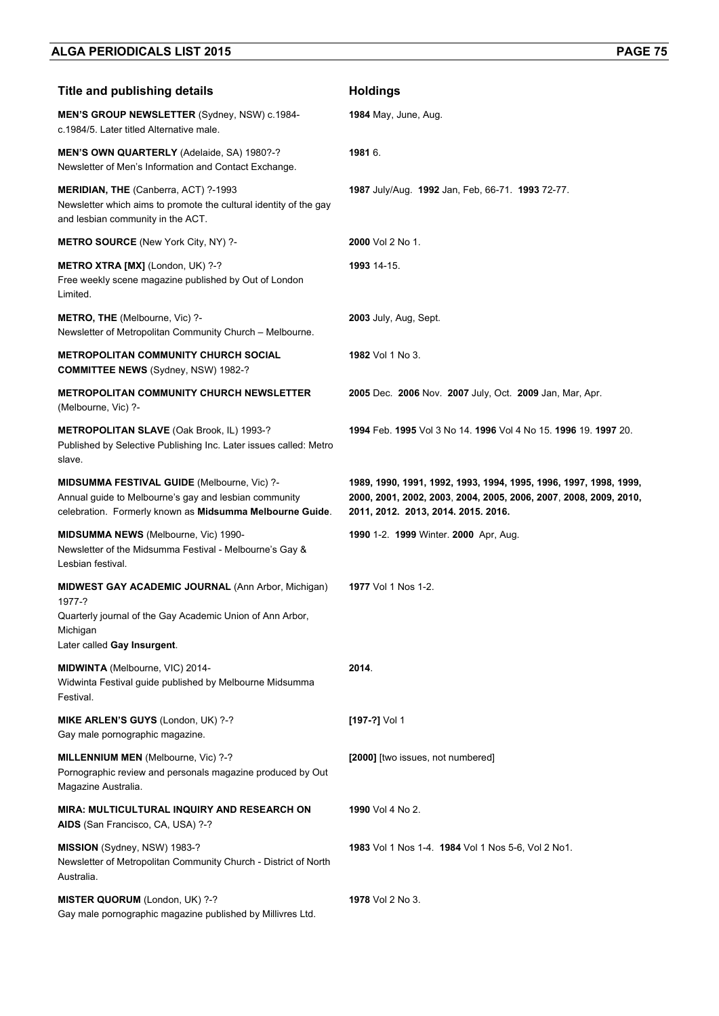| <b>Title and publishing details</b>                                                                                                                                         | <b>Holdings</b>                                                                                                                                                               |
|-----------------------------------------------------------------------------------------------------------------------------------------------------------------------------|-------------------------------------------------------------------------------------------------------------------------------------------------------------------------------|
| <b>MEN'S GROUP NEWSLETTER (Sydney, NSW) c.1984-</b><br>c.1984/5. Later titled Alternative male.                                                                             | <b>1984</b> May, June, Aug.                                                                                                                                                   |
| MEN'S OWN QUARTERLY (Adelaide, SA) 1980?-?<br>Newsletter of Men's Information and Contact Exchange.                                                                         | 1981 6.                                                                                                                                                                       |
| <b>MERIDIAN, THE (Canberra, ACT) ?-1993</b><br>Newsletter which aims to promote the cultural identity of the gay<br>and lesbian community in the ACT.                       | 1987 July/Aug. 1992 Jan, Feb, 66-71. 1993 72-77.                                                                                                                              |
| <b>METRO SOURCE</b> (New York City, NY) ?-                                                                                                                                  | 2000 Vol 2 No 1.                                                                                                                                                              |
| METRO XTRA [MX] (London, UK) ?-?<br>Free weekly scene magazine published by Out of London<br>Limited.                                                                       | 1993 14-15.                                                                                                                                                                   |
| <b>METRO, THE (Melbourne, Vic) ?-</b><br>Newsletter of Metropolitan Community Church - Melbourne.                                                                           | 2003 July, Aug, Sept.                                                                                                                                                         |
| <b>METROPOLITAN COMMUNITY CHURCH SOCIAL</b><br><b>COMMITTEE NEWS (Sydney, NSW) 1982-?</b>                                                                                   | <b>1982</b> Vol 1 No 3.                                                                                                                                                       |
| <b>METROPOLITAN COMMUNITY CHURCH NEWSLETTER</b><br>(Melbourne, Vic) ?-                                                                                                      | 2005 Dec. 2006 Nov. 2007 July, Oct. 2009 Jan, Mar, Apr.                                                                                                                       |
| METROPOLITAN SLAVE (Oak Brook, IL) 1993-?<br>Published by Selective Publishing Inc. Later issues called: Metro<br>slave.                                                    | 1994 Feb. 1995 Vol 3 No 14, 1996 Vol 4 No 15, 1996 19, 1997 20.                                                                                                               |
| MIDSUMMA FESTIVAL GUIDE (Melbourne, Vic) ?-<br>Annual guide to Melbourne's gay and lesbian community<br>celebration. Formerly known as Midsumma Melbourne Guide.            | 1989, 1990, 1991, 1992, 1993, 1994, 1995, 1996, 1997, 1998, 1999,<br>2000, 2001, 2002, 2003, 2004, 2005, 2006, 2007, 2008, 2009, 2010,<br>2011, 2012. 2013, 2014. 2015. 2016. |
| <b>MIDSUMMA NEWS</b> (Melbourne, Vic) 1990-<br>Newsletter of the Midsumma Festival - Melbourne's Gay &<br>Lesbian festival.                                                 | 1990 1-2. 1999 Winter. 2000 Apr, Aug.                                                                                                                                         |
| <b>MIDWEST GAY ACADEMIC JOURNAL (Ann Arbor, Michigan)</b><br>1977-?<br>Quarterly journal of the Gay Academic Union of Ann Arbor,<br>Michigan<br>Later called Gay Insurgent. | <b>1977</b> Vol 1 Nos 1-2.                                                                                                                                                    |
| MIDWINTA (Melbourne, VIC) 2014-<br>Widwinta Festival guide published by Melbourne Midsumma<br>Festival.                                                                     | 2014.                                                                                                                                                                         |
| MIKE ARLEN'S GUYS (London, UK) ?-?<br>Gay male pornographic magazine.                                                                                                       | [197-?] Vol 1                                                                                                                                                                 |
| MILLENNIUM MEN (Melbourne, Vic) ?-?<br>Pornographic review and personals magazine produced by Out<br>Magazine Australia.                                                    | [2000] [two issues, not numbered]                                                                                                                                             |
| <b>MIRA: MULTICULTURAL INQUIRY AND RESEARCH ON</b><br>AIDS (San Francisco, CA, USA) ?-?                                                                                     | 1990 Vol 4 No 2.                                                                                                                                                              |
| MISSION (Sydney, NSW) 1983-?<br>Newsletter of Metropolitan Community Church - District of North<br>Australia.                                                               | 1983 Vol 1 Nos 1-4. 1984 Vol 1 Nos 5-6, Vol 2 No1.                                                                                                                            |
| MISTER QUORUM (London, UK) ?-?<br>Gay male pornographic magazine published by Millivres Ltd.                                                                                | 1978 Vol 2 No 3.                                                                                                                                                              |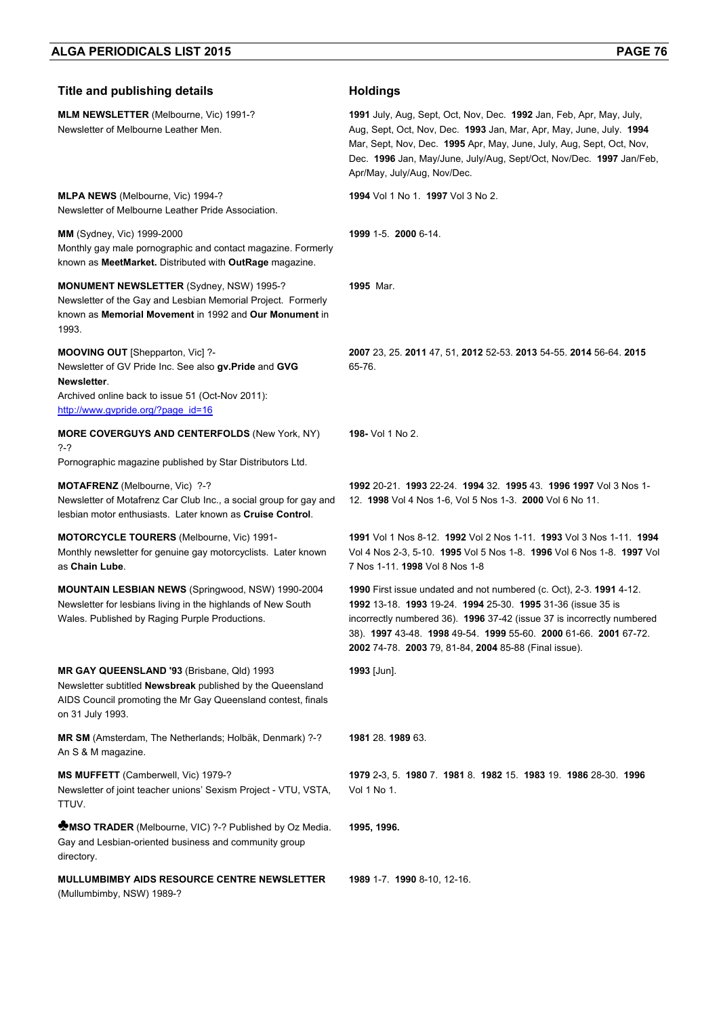| <b>Title and publishing details</b>                                                                                                                                                                 | <b>Holdings</b>                                                                                                                                                                                                                                                                                                                           |
|-----------------------------------------------------------------------------------------------------------------------------------------------------------------------------------------------------|-------------------------------------------------------------------------------------------------------------------------------------------------------------------------------------------------------------------------------------------------------------------------------------------------------------------------------------------|
| <b>MLM NEWSLETTER (Melbourne, Vic) 1991-?</b><br>Newsletter of Melbourne Leather Men.                                                                                                               | 1991 July, Aug, Sept, Oct, Nov, Dec. 1992 Jan, Feb, Apr, May, July,<br>Aug, Sept, Oct, Nov, Dec. 1993 Jan, Mar, Apr, May, June, July. 1994<br>Mar, Sept, Nov, Dec. 1995 Apr, May, June, July, Aug, Sept, Oct, Nov,<br>Dec. 1996 Jan, May/June, July/Aug, Sept/Oct, Nov/Dec. 1997 Jan/Feb,<br>Apr/May, July/Aug, Nov/Dec.                  |
| MLPA NEWS (Melbourne, Vic) 1994-?<br>Newsletter of Melbourne Leather Pride Association.                                                                                                             | 1994 Vol 1 No 1 1997 Vol 3 No 2.                                                                                                                                                                                                                                                                                                          |
| <b>MM</b> (Sydney, Vic) 1999-2000<br>Monthly gay male pornographic and contact magazine. Formerly<br>known as MeetMarket. Distributed with OutRage magazine.                                        | 1999 1-5. 2000 6-14.                                                                                                                                                                                                                                                                                                                      |
| <b>MONUMENT NEWSLETTER (Sydney, NSW) 1995-?</b><br>Newsletter of the Gay and Lesbian Memorial Project. Formerly<br>known as Memorial Movement in 1992 and Our Monument in<br>1993.                  | 1995 Mar.                                                                                                                                                                                                                                                                                                                                 |
| MOOVING OUT [Shepparton, Vic] ?-<br>Newsletter of GV Pride Inc. See also gv. Pride and GVG<br>Newsletter.<br>Archived online back to issue 51 (Oct-Nov 2011):<br>http://www.gvpride.org/?page_id=16 | 2007 23, 25. 2011 47, 51, 2012 52-53. 2013 54-55. 2014 56-64. 2015<br>65-76.                                                                                                                                                                                                                                                              |
| <b>MORE COVERGUYS AND CENTERFOLDS (New York, NY)</b><br>?-?<br>Pornographic magazine published by Star Distributors Ltd.                                                                            | <b>198-</b> Vol 1 No 2.                                                                                                                                                                                                                                                                                                                   |
| MOTAFRENZ (Melbourne, Vic) ?-?<br>Newsletter of Motafrenz Car Club Inc., a social group for gay and<br>lesbian motor enthusiasts. Later known as Cruise Control.                                    | 1992 20-21. 1993 22-24. 1994 32. 1995 43. 1996 1997 Vol 3 Nos 1-<br>12. 1998 Vol 4 Nos 1-6, Vol 5 Nos 1-3. 2000 Vol 6 No 11.                                                                                                                                                                                                              |
| MOTORCYCLE TOURERS (Melbourne, Vic) 1991-<br>Monthly newsletter for genuine gay motorcyclists. Later known<br>as Chain Lube.                                                                        | 1991 Vol 1 Nos 8-12. 1992 Vol 2 Nos 1-11. 1993 Vol 3 Nos 1-11. 1994<br>Vol 4 Nos 2-3, 5-10. 1995 Vol 5 Nos 1-8. 1996 Vol 6 Nos 1-8. 1997 Vol<br>7 Nos 1-11. 1998 Vol 8 Nos 1-8                                                                                                                                                            |
| MOUNTAIN LESBIAN NEWS (Springwood, NSW) 1990-2004<br>Newsletter for lesbians living in the highlands of New South<br>Wales. Published by Raging Purple Productions.                                 | 1990 First issue undated and not numbered (c. Oct), 2-3. 1991 4-12.<br>1992 13-18. 1993 19-24. 1994 25-30. 1995 31-36 (issue 35 is<br>incorrectly numbered 36). 1996 37-42 (issue 37 is incorrectly numbered<br>38). 1997 43-48. 1998 49-54. 1999 55-60. 2000 61-66. 2001 67-72.<br>2002 74-78. 2003 79, 81-84, 2004 85-88 (Final issue). |
| MR GAY QUEENSLAND '93 (Brisbane, Qld) 1993<br>Newsletter subtitled Newsbreak published by the Queensland<br>AIDS Council promoting the Mr Gay Queensland contest, finals<br>on 31 July 1993.        | 1993 [Jun].                                                                                                                                                                                                                                                                                                                               |
| MR SM (Amsterdam, The Netherlands; Holbäk, Denmark) ?-?<br>An S & M magazine.                                                                                                                       | 1981 28. 1989 63.                                                                                                                                                                                                                                                                                                                         |
| MS MUFFETT (Camberwell, Vic) 1979-?<br>Newsletter of joint teacher unions' Sexism Project - VTU, VSTA,<br>TTUV.                                                                                     | 1979 2-3, 5. 1980 7. 1981 8. 1982 15. 1983 19. 1986 28-30. 1996<br>Vol 1 No 1.                                                                                                                                                                                                                                                            |
| <b>MSO TRADER</b> (Melbourne, VIC) ?-? Published by Oz Media.<br>Gay and Lesbian-oriented business and community group<br>directory.                                                                | 1995, 1996.                                                                                                                                                                                                                                                                                                                               |
| <b>MULLUMBIMBY AIDS RESOURCE CENTRE NEWSLETTER</b><br>(Mullumbimby, NSW) 1989-?                                                                                                                     | 1989 1-7. 1990 8-10, 12-16.                                                                                                                                                                                                                                                                                                               |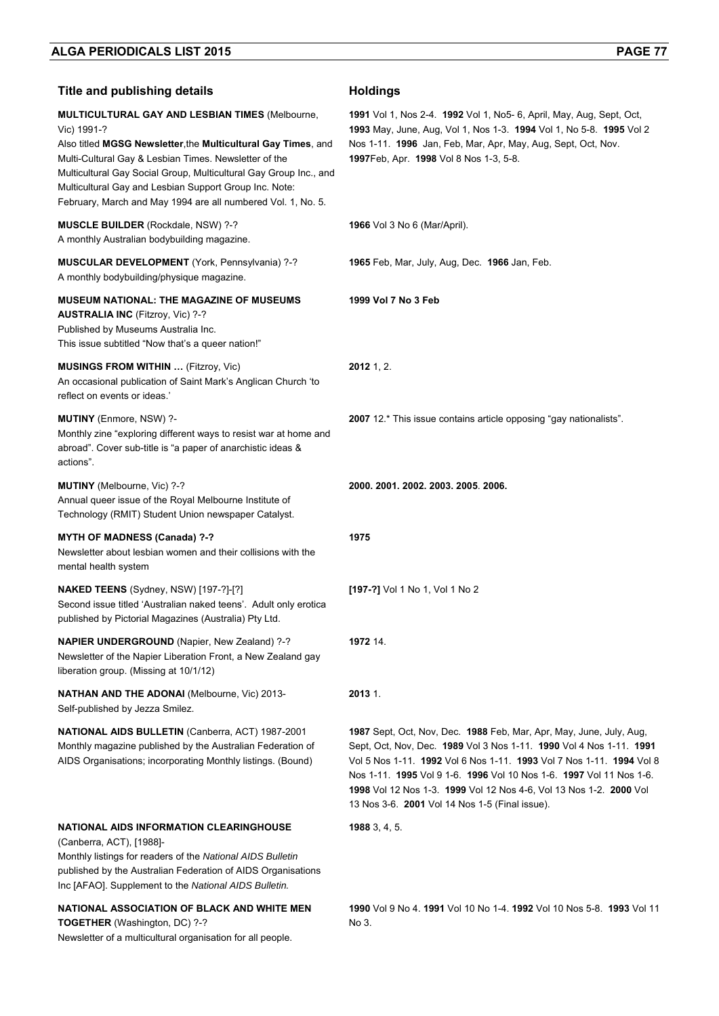Newsletter of a multicultural organisation for all people.

| <b>Title and publishing details</b>                                                                                                                                                                                                                                                                                                                                                            | <b>Holdings</b>                                                                                                                                                                                                                                                                                                                                                                                                   |
|------------------------------------------------------------------------------------------------------------------------------------------------------------------------------------------------------------------------------------------------------------------------------------------------------------------------------------------------------------------------------------------------|-------------------------------------------------------------------------------------------------------------------------------------------------------------------------------------------------------------------------------------------------------------------------------------------------------------------------------------------------------------------------------------------------------------------|
| <b>MULTICULTURAL GAY AND LESBIAN TIMES (Melbourne,</b><br>Vic) 1991-?<br>Also titled MGSG Newsletter, the Multicultural Gay Times, and<br>Multi-Cultural Gay & Lesbian Times. Newsletter of the<br>Multicultural Gay Social Group, Multicultural Gay Group Inc., and<br>Multicultural Gay and Lesbian Support Group Inc. Note:<br>February, March and May 1994 are all numbered Vol. 1, No. 5. | <b>1991</b> Vol 1, Nos 2-4. <b>1992</b> Vol 1, No5- 6, April, May, Aug, Sept, Oct,<br>1993 May, June, Aug, Vol 1, Nos 1-3. 1994 Vol 1, No 5-8. 1995 Vol 2<br>Nos 1-11. 1996 Jan, Feb, Mar, Apr, May, Aug, Sept, Oct, Nov.<br>1997Feb, Apr. 1998 Vol 8 Nos 1-3, 5-8.                                                                                                                                               |
| <b>MUSCLE BUILDER (Rockdale, NSW) ?-?</b><br>A monthly Australian bodybuilding magazine.                                                                                                                                                                                                                                                                                                       | <b>1966</b> Vol 3 No 6 (Mar/April).                                                                                                                                                                                                                                                                                                                                                                               |
| MUSCULAR DEVELOPMENT (York, Pennsylvania) ?-?<br>A monthly bodybuilding/physique magazine.                                                                                                                                                                                                                                                                                                     | 1965 Feb, Mar, July, Aug, Dec. 1966 Jan, Feb.                                                                                                                                                                                                                                                                                                                                                                     |
| <b>MUSEUM NATIONAL: THE MAGAZINE OF MUSEUMS</b><br><b>AUSTRALIA INC (Fitzroy, Vic) ?-?</b><br>Published by Museums Australia Inc.<br>This issue subtitled "Now that's a queer nation!"                                                                                                                                                                                                         | 1999 Vol 7 No 3 Feb                                                                                                                                                                                                                                                                                                                                                                                               |
| <b>MUSINGS FROM WITHIN  (Fitzroy, Vic)</b><br>An occasional publication of Saint Mark's Anglican Church 'to<br>reflect on events or ideas.'                                                                                                                                                                                                                                                    | $2012$ 1, 2.                                                                                                                                                                                                                                                                                                                                                                                                      |
| MUTINY (Enmore, NSW) ?-<br>Monthly zine "exploring different ways to resist war at home and<br>abroad". Cover sub-title is "a paper of anarchistic ideas &<br>actions".                                                                                                                                                                                                                        | 2007 12.* This issue contains article opposing "gay nationalists".                                                                                                                                                                                                                                                                                                                                                |
| MUTINY (Melbourne, Vic) ?-?<br>Annual queer issue of the Royal Melbourne Institute of<br>Technology (RMIT) Student Union newspaper Catalyst.                                                                                                                                                                                                                                                   | 2000. 2001. 2002. 2003. 2005. 2006.                                                                                                                                                                                                                                                                                                                                                                               |
| <b>MYTH OF MADNESS (Canada) ?-?</b><br>Newsletter about lesbian women and their collisions with the<br>mental health system                                                                                                                                                                                                                                                                    | 1975                                                                                                                                                                                                                                                                                                                                                                                                              |
| <b>NAKED TEENS</b> (Sydney, NSW) [197-?]-[?]<br>Second issue titled 'Australian naked teens'. Adult only erotica<br>published by Pictorial Magazines (Australia) Pty Ltd.                                                                                                                                                                                                                      | [197-?] Vol 1 No 1, Vol 1 No 2                                                                                                                                                                                                                                                                                                                                                                                    |
| <b>NAPIER UNDERGROUND</b> (Napier, New Zealand) ?-?<br>Newsletter of the Napier Liberation Front, a New Zealand gay<br>liberation group. (Missing at 10/1/12)                                                                                                                                                                                                                                  | 1972 14.                                                                                                                                                                                                                                                                                                                                                                                                          |
| <b>NATHAN AND THE ADONAI</b> (Melbourne, Vic) 2013-<br>Self-published by Jezza Smilez.                                                                                                                                                                                                                                                                                                         | 2013 1.                                                                                                                                                                                                                                                                                                                                                                                                           |
| NATIONAL AIDS BULLETIN (Canberra, ACT) 1987-2001<br>Monthly magazine published by the Australian Federation of<br>AIDS Organisations; incorporating Monthly listings. (Bound)                                                                                                                                                                                                                  | 1987 Sept, Oct, Nov, Dec. 1988 Feb, Mar, Apr, May, June, July, Aug,<br>Sept, Oct, Nov, Dec. 1989 Vol 3 Nos 1-11. 1990 Vol 4 Nos 1-11. 1991<br>Vol 5 Nos 1-11. 1992 Vol 6 Nos 1-11. 1993 Vol 7 Nos 1-11. 1994 Vol 8<br>Nos 1-11. 1995 Vol 9 1-6. 1996 Vol 10 Nos 1-6. 1997 Vol 11 Nos 1-6.<br>1998 Vol 12 Nos 1-3. 1999 Vol 12 Nos 4-6, Vol 13 Nos 1-2. 2000 Vol<br>13 Nos 3-6. 2001 Vol 14 Nos 1-5 (Final issue). |
| NATIONAL AIDS INFORMATION CLEARINGHOUSE<br>(Canberra, ACT), [1988]-<br>Monthly listings for readers of the National AIDS Bulletin<br>published by the Australian Federation of AIDS Organisations<br>Inc [AFAO]. Supplement to the National AIDS Bulletin.                                                                                                                                     | 19883, 4, 5.                                                                                                                                                                                                                                                                                                                                                                                                      |
| NATIONAL ASSOCIATION OF BLACK AND WHITE MEN<br>TOGETHER (Washington, DC) ?-?                                                                                                                                                                                                                                                                                                                   | 1990 Vol 9 No 4, 1991 Vol 10 No 1-4, 1992 Vol 10 Nos 5-8, 1993 Vol 11<br>No 3.                                                                                                                                                                                                                                                                                                                                    |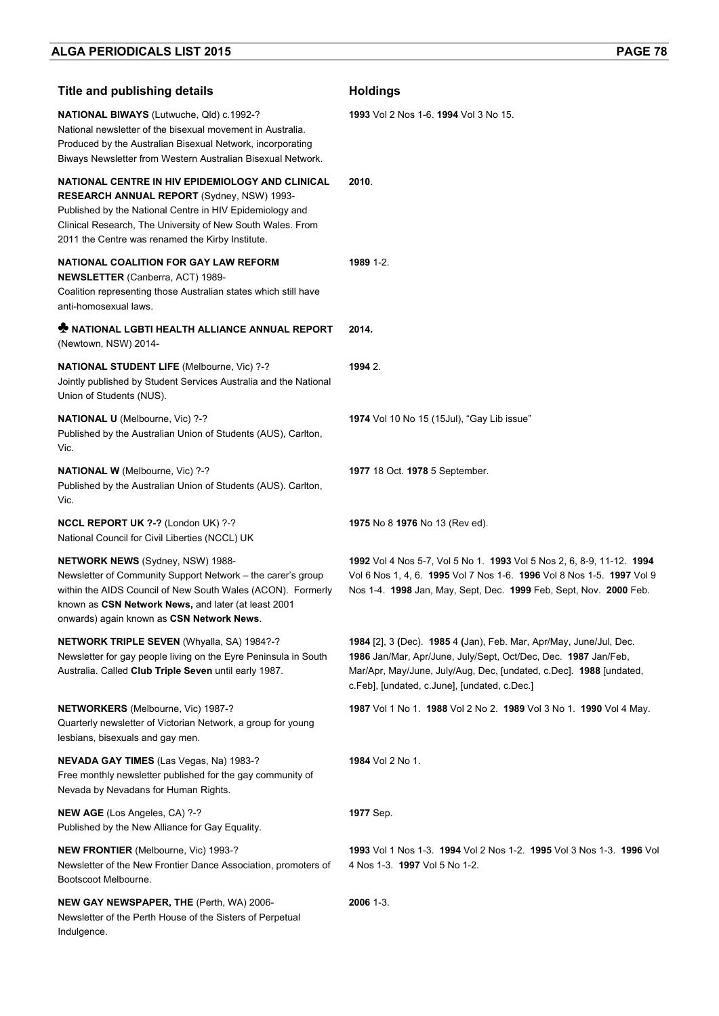| <b>Title and publishing details</b>                                                                                                                                                                                                                                          | <b>Holdings</b>                                                                                                                                                                                                                                            |
|------------------------------------------------------------------------------------------------------------------------------------------------------------------------------------------------------------------------------------------------------------------------------|------------------------------------------------------------------------------------------------------------------------------------------------------------------------------------------------------------------------------------------------------------|
| NATIONAL BIWAYS (Lutwuche, Qld) c.1992-?<br>National newsletter of the bisexual movement in Australia.<br>Produced by the Australian Bisexual Network, incorporating<br>Biways Newsletter from Western Australian Bisexual Network.                                          | 1993 Vol 2 Nos 1-6, 1994 Vol 3 No 15.                                                                                                                                                                                                                      |
| NATIONAL CENTRE IN HIV EPIDEMIOLOGY AND CLINICAL<br>RESEARCH ANNUAL REPORT (Sydney, NSW) 1993-<br>Published by the National Centre in HIV Epidemiology and<br>Clinical Research, The University of New South Wales. From<br>2011 the Centre was renamed the Kirby Institute. | 2010.                                                                                                                                                                                                                                                      |
| NATIONAL COALITION FOR GAY LAW REFORM<br><b>NEWSLETTER</b> (Canberra, ACT) 1989-<br>Coalition representing those Australian states which still have<br>anti-homosexual laws.                                                                                                 | 1989 1-2.                                                                                                                                                                                                                                                  |
| <b>* NATIONAL LGBTI HEALTH ALLIANCE ANNUAL REPORT</b><br>(Newtown, NSW) 2014-                                                                                                                                                                                                | 2014.                                                                                                                                                                                                                                                      |
| <b>NATIONAL STUDENT LIFE (Melbourne, Vic) ?-?</b><br>Jointly published by Student Services Australia and the National<br>Union of Students (NUS).                                                                                                                            | 1994 2.                                                                                                                                                                                                                                                    |
| NATIONAL U (Melbourne, Vic) ?-?<br>Published by the Australian Union of Students (AUS), Carlton,<br>Vic.                                                                                                                                                                     | 1974 Vol 10 No 15 (15Jul), "Gay Lib issue"                                                                                                                                                                                                                 |
| NATIONAL W (Melbourne, Vic) ?-?<br>Published by the Australian Union of Students (AUS). Carlton,<br>Vic.                                                                                                                                                                     | 1977 18 Oct. 1978 5 September.                                                                                                                                                                                                                             |
| NCCL REPORT UK ?-? (London UK) ?-?<br>National Council for Civil Liberties (NCCL) UK                                                                                                                                                                                         | 1975 No 8 1976 No 13 (Rev ed).                                                                                                                                                                                                                             |
| <b>NETWORK NEWS</b> (Sydney, NSW) 1988-<br>Newsletter of Community Support Network - the carer's group<br>within the AIDS Council of New South Wales (ACON). Formerly<br>known as CSN Network News, and later (at least 2001<br>onwards) again known as CSN Network News.    | 1992 Vol 4 Nos 5-7, Vol 5 No 1. 1993 Vol 5 Nos 2, 6, 8-9, 11-12. 1994<br>Vol 6 Nos 1, 4, 6. 1995 Vol 7 Nos 1-6. 1996 Vol 8 Nos 1-5. 1997 Vol 9<br>Nos 1-4. 1998 Jan, May, Sept, Dec. 1999 Feb, Sept, Nov. 2000 Feb.                                        |
| <b>NETWORK TRIPLE SEVEN (Whyalla, SA) 1984?-?</b><br>Newsletter for gay people living on the Eyre Peninsula in South<br>Australia. Called Club Triple Seven until early 1987.                                                                                                | 1984 [2], 3 (Dec). 1985 4 (Jan), Feb. Mar, Apr/May, June/Jul, Dec.<br>1986 Jan/Mar, Apr/June, July/Sept, Oct/Dec, Dec. 1987 Jan/Feb,<br>Mar/Apr, May/June, July/Aug, Dec, [undated, c.Dec]. 1988 [undated,<br>c.Feb], [undated, c.June], [undated, c.Dec.] |
| NETWORKERS (Melbourne, Vic) 1987-?<br>Quarterly newsletter of Victorian Network, a group for young<br>lesbians, bisexuals and gay men.                                                                                                                                       | 1987 Vol 1 No 1. 1988 Vol 2 No 2. 1989 Vol 3 No 1. 1990 Vol 4 May.                                                                                                                                                                                         |
| <b>NEVADA GAY TIMES</b> (Las Vegas, Na) 1983-?<br>Free monthly newsletter published for the gay community of<br>Nevada by Nevadans for Human Rights.                                                                                                                         | 1984 Vol 2 No 1.                                                                                                                                                                                                                                           |
| NEW AGE (Los Angeles, CA) ?-?<br>Published by the New Alliance for Gay Equality.                                                                                                                                                                                             | <b>1977</b> Sep.                                                                                                                                                                                                                                           |
| <b>NEW FRONTIER</b> (Melbourne, Vic) 1993-?<br>Newsletter of the New Frontier Dance Association, promoters of<br>Bootscoot Melbourne.                                                                                                                                        | 1993 Vol 1 Nos 1-3. 1994 Vol 2 Nos 1-2. 1995 Vol 3 Nos 1-3. 1996 Vol<br>4 Nos 1-3. 1997 Vol 5 No 1-2.                                                                                                                                                      |
| NEW GAY NEWSPAPER, THE (Perth, WA) 2006-<br>Newsletter of the Perth House of the Sisters of Perpetual<br>Indulgence.                                                                                                                                                         | 2006 1-3.                                                                                                                                                                                                                                                  |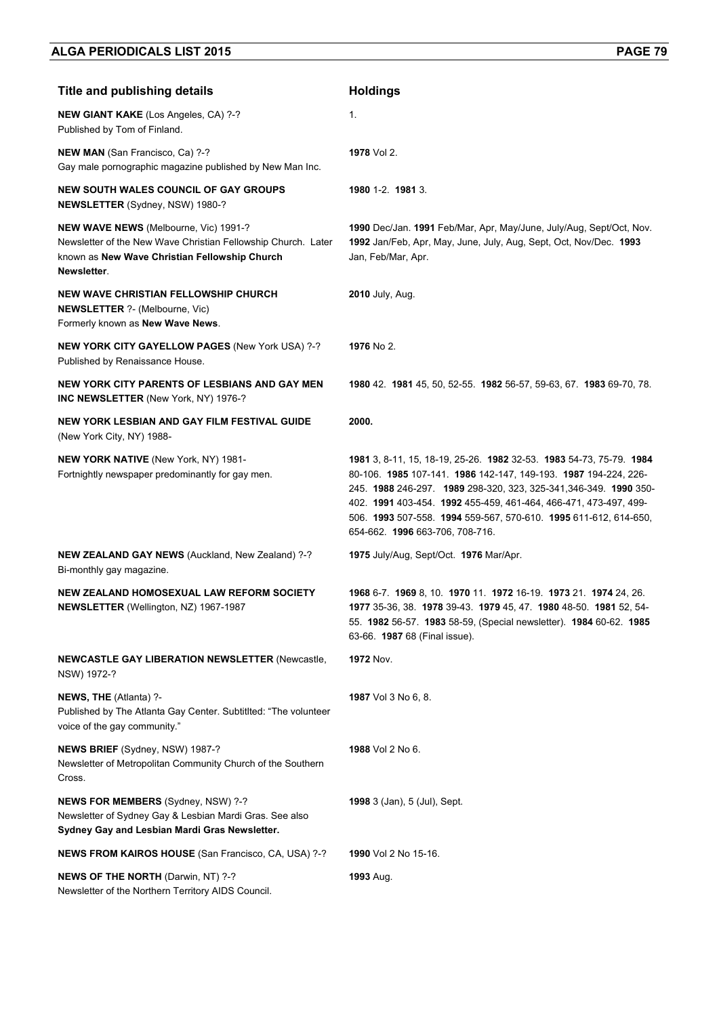| <b>Title and publishing details</b>                                                                                                                                    | <b>Holdings</b>                                                                                                                                                                                                                                                                                                                                                                        |
|------------------------------------------------------------------------------------------------------------------------------------------------------------------------|----------------------------------------------------------------------------------------------------------------------------------------------------------------------------------------------------------------------------------------------------------------------------------------------------------------------------------------------------------------------------------------|
| <b>NEW GIANT KAKE</b> (Los Angeles, CA) ?-?<br>Published by Tom of Finland.                                                                                            | 1.                                                                                                                                                                                                                                                                                                                                                                                     |
| NEW MAN (San Francisco, Ca) ?-?<br>Gay male pornographic magazine published by New Man Inc.                                                                            | 1978 Vol 2.                                                                                                                                                                                                                                                                                                                                                                            |
| <b>NEW SOUTH WALES COUNCIL OF GAY GROUPS</b><br>NEWSLETTER (Sydney, NSW) 1980-?                                                                                        | 1980 1-2. 1981 3.                                                                                                                                                                                                                                                                                                                                                                      |
| NEW WAVE NEWS (Melbourne, Vic) 1991-?<br>Newsletter of the New Wave Christian Fellowship Church. Later<br>known as New Wave Christian Fellowship Church<br>Newsletter. | 1990 Dec/Jan. 1991 Feb/Mar, Apr, May/June, July/Aug, Sept/Oct, Nov.<br>1992 Jan/Feb, Apr, May, June, July, Aug, Sept, Oct, Nov/Dec. 1993<br>Jan, Feb/Mar, Apr.                                                                                                                                                                                                                         |
| <b>NEW WAVE CHRISTIAN FELLOWSHIP CHURCH</b><br><b>NEWSLETTER ?- (Melbourne, Vic)</b><br>Formerly known as New Wave News.                                               | <b>2010</b> July, Aug.                                                                                                                                                                                                                                                                                                                                                                 |
| <b>NEW YORK CITY GAYELLOW PAGES (New York USA) ?-?</b><br>Published by Renaissance House.                                                                              | 1976 No 2.                                                                                                                                                                                                                                                                                                                                                                             |
| NEW YORK CITY PARENTS OF LESBIANS AND GAY MEN<br><b>INC NEWSLETTER (New York, NY) 1976-?</b>                                                                           | 1980 42 1981 45, 50, 52-55 1982 56-57, 59-63, 67 1983 69-70, 78                                                                                                                                                                                                                                                                                                                        |
| NEW YORK LESBIAN AND GAY FILM FESTIVAL GUIDE<br>(New York City, NY) 1988-                                                                                              | 2000.                                                                                                                                                                                                                                                                                                                                                                                  |
| <b>NEW YORK NATIVE (New York, NY) 1981-</b><br>Fortnightly newspaper predominantly for gay men.                                                                        | 1981 3, 8-11, 15, 18-19, 25-26. 1982 32-53. 1983 54-73, 75-79. 1984<br>80-106. 1985 107-141. 1986 142-147, 149-193. 1987 194-224, 226-<br>245. 1988 246-297. 1989 298-320, 323, 325-341, 346-349. 1990 350-<br>402. 1991 403-454. 1992 455-459, 461-464, 466-471, 473-497, 499-<br>506. 1993 507-558. 1994 559-567, 570-610. 1995 611-612, 614-650,<br>654-662. 1996 663-706, 708-716. |
| NEW ZEALAND GAY NEWS (Auckland, New Zealand) ?-?<br>Bi-monthly gay magazine.                                                                                           | 1975 July/Aug, Sept/Oct. 1976 Mar/Apr.                                                                                                                                                                                                                                                                                                                                                 |
| NEW ZEALAND HOMOSEXUAL LAW REFORM SOCIETY<br>NEWSLETTER (Wellington, NZ) 1967-1987                                                                                     | 1968 6-7. 1969 8, 10. 1970 11. 1972 16-19. 1973 21. 1974 24, 26.<br>1977 35-36, 38. 1978 39-43. 1979 45, 47. 1980 48-50. 1981 52, 54-<br>55. 1982 56-57. 1983 58-59, (Special newsletter). 1984 60-62. 1985<br>63-66. <b>1987</b> 68 (Final issue).                                                                                                                                    |
| <b>NEWCASTLE GAY LIBERATION NEWSLETTER (Newcastle,</b><br>NSW) 1972-?                                                                                                  | <b>1972 Nov.</b>                                                                                                                                                                                                                                                                                                                                                                       |
| NEWS, THE (Atlanta) ?-<br>Published by The Atlanta Gay Center. Subtitlted: "The volunteer<br>voice of the gay community."                                              | 1987 Vol 3 No 6, 8.                                                                                                                                                                                                                                                                                                                                                                    |
| NEWS BRIEF (Sydney, NSW) 1987-?<br>Newsletter of Metropolitan Community Church of the Southern<br>Cross.                                                               | 1988 Vol 2 No 6.                                                                                                                                                                                                                                                                                                                                                                       |
| NEWS FOR MEMBERS (Sydney, NSW) ?-?<br>Newsletter of Sydney Gay & Lesbian Mardi Gras. See also<br>Sydney Gay and Lesbian Mardi Gras Newsletter.                         | 1998 3 (Jan), 5 (Jul), Sept.                                                                                                                                                                                                                                                                                                                                                           |
| NEWS FROM KAIROS HOUSE (San Francisco, CA, USA) ?-?                                                                                                                    | 1990 Vol 2 No 15-16.                                                                                                                                                                                                                                                                                                                                                                   |
| <b>NEWS OF THE NORTH (Darwin, NT) ?-?</b><br>Newsletter of the Northern Territory AIDS Council.                                                                        | <b>1993</b> Aug.                                                                                                                                                                                                                                                                                                                                                                       |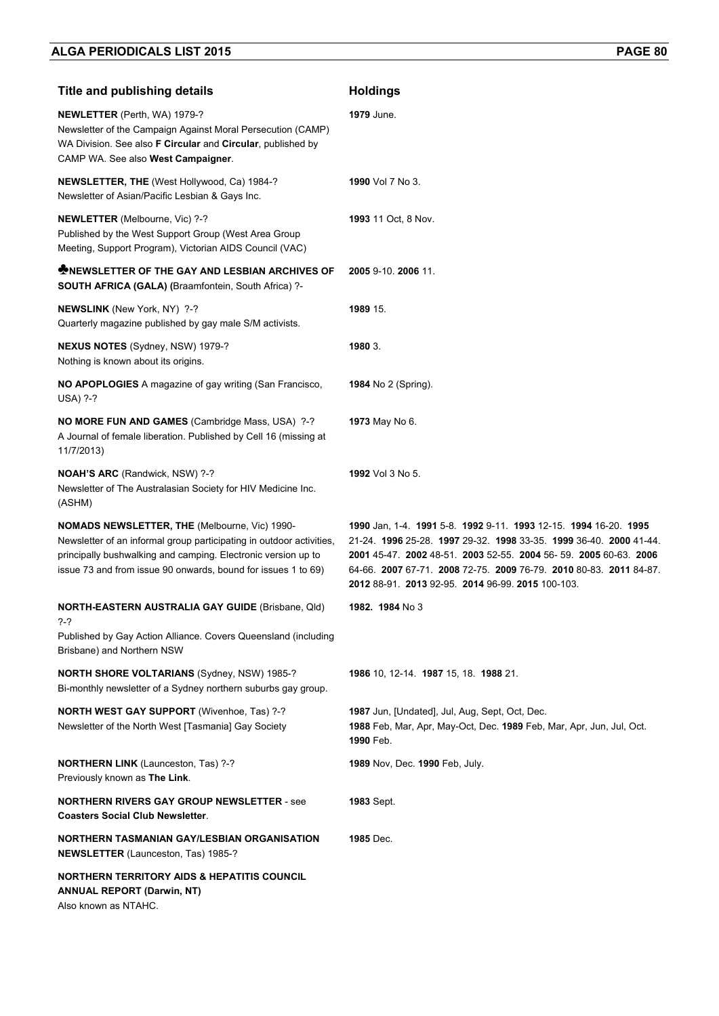| Title and publishing details                                                                                                                                                                                                                            | <b>Holdings</b>                                                                                                                                                                                                                                                                                                                       |
|---------------------------------------------------------------------------------------------------------------------------------------------------------------------------------------------------------------------------------------------------------|---------------------------------------------------------------------------------------------------------------------------------------------------------------------------------------------------------------------------------------------------------------------------------------------------------------------------------------|
| <b>NEWLETTER</b> (Perth, WA) 1979-?<br>Newsletter of the Campaign Against Moral Persecution (CAMP)<br>WA Division. See also F Circular and Circular, published by<br>CAMP WA. See also West Campaigner.                                                 | 1979 June.                                                                                                                                                                                                                                                                                                                            |
| NEWSLETTER, THE (West Hollywood, Ca) 1984-?<br>Newsletter of Asian/Pacific Lesbian & Gays Inc.                                                                                                                                                          | <b>1990</b> Vol 7 No 3.                                                                                                                                                                                                                                                                                                               |
| NEWLETTER (Melbourne, Vic) ?-?<br>Published by the West Support Group (West Area Group<br>Meeting, Support Program), Victorian AIDS Council (VAC)                                                                                                       | 1993 11 Oct. 8 Nov.                                                                                                                                                                                                                                                                                                                   |
| <b>WINEWSLETTER OF THE GAY AND LESBIAN ARCHIVES OF</b><br><b>SOUTH AFRICA (GALA) (Braamfontein, South Africa) ?-</b>                                                                                                                                    | 2005 9-10. 2006 11.                                                                                                                                                                                                                                                                                                                   |
| NEWSLINK (New York, NY) ?-?<br>Quarterly magazine published by gay male S/M activists.                                                                                                                                                                  | 1989 15.                                                                                                                                                                                                                                                                                                                              |
| NEXUS NOTES (Sydney, NSW) 1979-?<br>Nothing is known about its origins.                                                                                                                                                                                 | 1980 3.                                                                                                                                                                                                                                                                                                                               |
| NO APOPLOGIES A magazine of gay writing (San Francisco,<br><b>USA) ?-?</b>                                                                                                                                                                              | <b>1984</b> No 2 (Spring).                                                                                                                                                                                                                                                                                                            |
| NO MORE FUN AND GAMES (Cambridge Mass, USA) ?-?<br>A Journal of female liberation. Published by Cell 16 (missing at<br>11/7/2013)                                                                                                                       | 1973 May No 6.                                                                                                                                                                                                                                                                                                                        |
| <b>NOAH'S ARC (Randwick, NSW) ?-?</b><br>Newsletter of The Australasian Society for HIV Medicine Inc.<br>(ASHM)                                                                                                                                         | <b>1992</b> Vol 3 No 5.                                                                                                                                                                                                                                                                                                               |
| NOMADS NEWSLETTER, THE (Melbourne, Vic) 1990-<br>Newsletter of an informal group participating in outdoor activities,<br>principally bushwalking and camping. Electronic version up to<br>issue 73 and from issue 90 onwards, bound for issues 1 to 69) | 1990 Jan, 1-4. 1991 5-8. 1992 9-11. 1993 12-15. 1994 16-20. 1995<br>21-24. 1996 25-28. 1997 29-32. 1998 33-35. 1999 36-40. 2000 41-44.<br>2001 45-47. 2002 48-51. 2003 52-55. 2004 56-59. 2005 60-63. 2006<br>64-66. 2007 67-71. 2008 72-75. 2009 76-79. 2010 80-83. 2011 84-87.<br>2012 88-91. 2013 92-95. 2014 96-99. 2015 100-103. |
| <b>NORTH-EASTERN AUSTRALIA GAY GUIDE (Brisbane, Qld)</b><br>?-?                                                                                                                                                                                         | 1982. 1984 No 3                                                                                                                                                                                                                                                                                                                       |
| Published by Gay Action Alliance. Covers Queensland (including<br>Brisbane) and Northern NSW                                                                                                                                                            |                                                                                                                                                                                                                                                                                                                                       |
| <b>NORTH SHORE VOLTARIANS (Sydney, NSW) 1985-?</b><br>Bi-monthly newsletter of a Sydney northern suburbs gay group.                                                                                                                                     | 1986 10, 12-14. 1987 15, 18. 1988 21.                                                                                                                                                                                                                                                                                                 |
| <b>NORTH WEST GAY SUPPORT</b> (Wivenhoe, Tas) ?-?<br>Newsletter of the North West [Tasmania] Gay Society                                                                                                                                                | 1987 Jun, [Undated], Jul, Aug, Sept, Oct, Dec.<br>1988 Feb, Mar, Apr, May-Oct, Dec. 1989 Feb, Mar, Apr, Jun, Jul, Oct.<br>1990 Feb.                                                                                                                                                                                                   |
| NORTHERN LINK (Launceston, Tas) ?-?<br>Previously known as The Link.                                                                                                                                                                                    | 1989 Nov, Dec. 1990 Feb, July.                                                                                                                                                                                                                                                                                                        |
| <b>NORTHERN RIVERS GAY GROUP NEWSLETTER - see</b><br><b>Coasters Social Club Newsletter.</b>                                                                                                                                                            | <b>1983 Sept.</b>                                                                                                                                                                                                                                                                                                                     |
| NORTHERN TASMANIAN GAY/LESBIAN ORGANISATION<br><b>NEWSLETTER</b> (Launceston, Tas) 1985-?                                                                                                                                                               | 1985 Dec.                                                                                                                                                                                                                                                                                                                             |
| <b>NORTHERN TERRITORY AIDS &amp; HEPATITIS COUNCIL</b><br><b>ANNUAL REPORT (Darwin, NT)</b><br>Also known as NTAHC.                                                                                                                                     |                                                                                                                                                                                                                                                                                                                                       |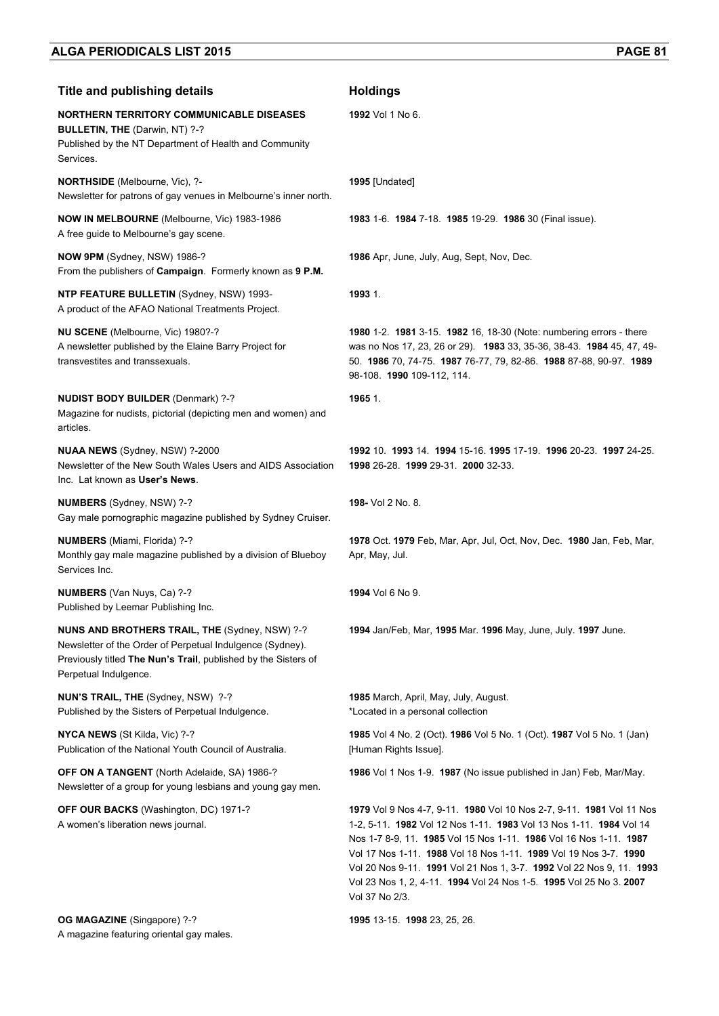| <b>Title and publishing details</b>                                                                                                                                                                           | <b>Holdings</b>                                                                                                                                                                                                                                                                                                                                                                                                                                     |
|---------------------------------------------------------------------------------------------------------------------------------------------------------------------------------------------------------------|-----------------------------------------------------------------------------------------------------------------------------------------------------------------------------------------------------------------------------------------------------------------------------------------------------------------------------------------------------------------------------------------------------------------------------------------------------|
| <b>NORTHERN TERRITORY COMMUNICABLE DISEASES</b><br>BULLETIN, THE (Darwin, NT) ?-?<br>Published by the NT Department of Health and Community<br>Services.                                                      | 1992 Vol 1 No 6.                                                                                                                                                                                                                                                                                                                                                                                                                                    |
| <b>NORTHSIDE</b> (Melbourne, Vic), ?-<br>Newsletter for patrons of gay venues in Melbourne's inner north.                                                                                                     | 1995 [Undated]                                                                                                                                                                                                                                                                                                                                                                                                                                      |
| <b>NOW IN MELBOURNE</b> (Melbourne, Vic) 1983-1986<br>A free guide to Melbourne's gay scene.                                                                                                                  | 1983 1-6. 1984 7-18. 1985 19-29. 1986 30 (Final issue).                                                                                                                                                                                                                                                                                                                                                                                             |
| NOW 9PM (Sydney, NSW) 1986-?<br>From the publishers of Campaign. Formerly known as 9 P.M.                                                                                                                     | <b>1986</b> Apr, June, July, Aug, Sept, Nov, Dec.                                                                                                                                                                                                                                                                                                                                                                                                   |
| <b>NTP FEATURE BULLETIN (Sydney, NSW) 1993-</b><br>A product of the AFAO National Treatments Project.                                                                                                         | 1993 1.                                                                                                                                                                                                                                                                                                                                                                                                                                             |
| NU SCENE (Melbourne, Vic) 1980?-?<br>A newsletter published by the Elaine Barry Project for<br>transvestites and transsexuals.                                                                                | 1980 1-2. 1981 3-15. 1982 16, 18-30 (Note: numbering errors - there<br>was no Nos 17, 23, 26 or 29). 1983 33, 35-36, 38-43. 1984 45, 47, 49-<br>50. 1986 70, 74-75. 1987 76-77, 79, 82-86. 1988 87-88, 90-97. 1989<br>98-108. 1990 109-112, 114.                                                                                                                                                                                                    |
| <b>NUDIST BODY BUILDER (Denmark) ?-?</b><br>Magazine for nudists, pictorial (depicting men and women) and<br>articles.                                                                                        | 1965 1.                                                                                                                                                                                                                                                                                                                                                                                                                                             |
| NUAA NEWS (Sydney, NSW) ?-2000<br>Newsletter of the New South Wales Users and AIDS Association<br>Inc. Lat known as User's News.                                                                              | 1992 10 1993 14 1994 15-16 1995 17-19 1996 20-23 1997 24-25<br>1998 26-28 1999 29-31 2000 32-33                                                                                                                                                                                                                                                                                                                                                     |
| NUMBERS (Sydney, NSW) ?-?<br>Gay male pornographic magazine published by Sydney Cruiser.                                                                                                                      | 198- Vol 2 No. 8.                                                                                                                                                                                                                                                                                                                                                                                                                                   |
| NUMBERS (Miami, Florida) ?-?<br>Monthly gay male magazine published by a division of Blueboy<br>Services Inc.                                                                                                 | 1978 Oct. 1979 Feb, Mar, Apr, Jul, Oct, Nov, Dec. 1980 Jan, Feb, Mar,<br>Apr, May, Jul.                                                                                                                                                                                                                                                                                                                                                             |
| <b>NUMBERS</b> (Van Nuys, Ca) ?-?<br>Published by Leemar Publishing Inc.                                                                                                                                      | 1994 Vol 6 No 9.                                                                                                                                                                                                                                                                                                                                                                                                                                    |
| <b>NUNS AND BROTHERS TRAIL, THE (Sydney, NSW) ?-?</b><br>Newsletter of the Order of Perpetual Indulgence (Sydney).<br>Previously titled The Nun's Trail, published by the Sisters of<br>Perpetual Indulgence. | 1994 Jan/Feb, Mar, 1995 Mar. 1996 May, June, July. 1997 June.                                                                                                                                                                                                                                                                                                                                                                                       |
| <b>NUN'S TRAIL, THE (Sydney, NSW) ?-?</b><br>Published by the Sisters of Perpetual Indulgence.                                                                                                                | 1985 March, April, May, July, August.<br>*Located in a personal collection                                                                                                                                                                                                                                                                                                                                                                          |
| NYCA NEWS (St Kilda, Vic) ?-?<br>Publication of the National Youth Council of Australia.                                                                                                                      | 1985 Vol 4 No. 2 (Oct). 1986 Vol 5 No. 1 (Oct). 1987 Vol 5 No. 1 (Jan)<br>[Human Rights Issue].                                                                                                                                                                                                                                                                                                                                                     |
| OFF ON A TANGENT (North Adelaide, SA) 1986-?<br>Newsletter of a group for young lesbians and young gay men.                                                                                                   | 1986 Vol 1 Nos 1-9. 1987 (No issue published in Jan) Feb, Mar/May.                                                                                                                                                                                                                                                                                                                                                                                  |
| OFF OUR BACKS (Washington, DC) 1971-?<br>A women's liberation news journal.                                                                                                                                   | 1979 Vol 9 Nos 4-7, 9-11. 1980 Vol 10 Nos 2-7, 9-11. 1981 Vol 11 Nos<br>1-2, 5-11. 1982 Vol 12 Nos 1-11. 1983 Vol 13 Nos 1-11. 1984 Vol 14<br>Nos 1-7 8-9, 11. 1985 Vol 15 Nos 1-11. 1986 Vol 16 Nos 1-11. 1987<br>Vol 17 Nos 1-11. 1988 Vol 18 Nos 1-11. 1989 Vol 19 Nos 3-7. 1990<br>Vol 20 Nos 9-11. 1991 Vol 21 Nos 1, 3-7. 1992 Vol 22 Nos 9, 11. 1993<br>Vol 23 Nos 1, 2, 4-11. 1994 Vol 24 Nos 1-5. 1995 Vol 25 No 3. 2007<br>Vol 37 No 2/3. |
| OG MAGAZINE (Singapore) ?-?                                                                                                                                                                                   | 1995 13-15. 1998 23, 25, 26.                                                                                                                                                                                                                                                                                                                                                                                                                        |

A magazine featuring oriental gay males.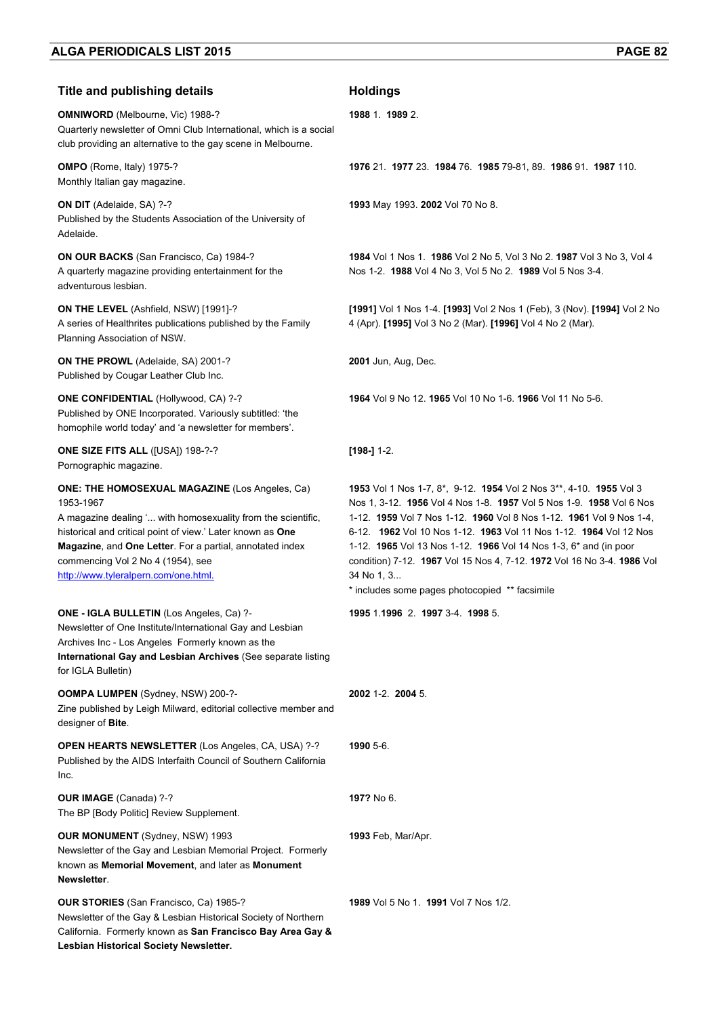## **Title and publishing details <b>Acceleration Holdings**

**OMNIWORD** (Melbourne, Vic) 1988-? Quarterly newsletter of Omni Club International, which is a social club providing an alternative to the gay scene in Melbourne.

**OMPO** (Rome, Italy) 1975-? Monthly Italian gay magazine.

**ON DIT** (Adelaide, SA) ?-? Published by the Students Association of the University of Adelaide.

**ON OUR BACKS** (San Francisco, Ca) 1984-? A quarterly magazine providing entertainment for the adventurous lesbian.

**ON THE LEVEL** (Ashfield, NSW) [1991]-? A series of Healthrites publications published by the Family Planning Association of NSW.

**ON THE PROWL** (Adelaide, SA) 2001-? Published by Cougar Leather Club Inc.

**ONE CONFIDENTIAL** (Hollywood, CA) ?-? Published by ONE Incorporated. Variously subtitled: 'the homophile world today' and 'a newsletter for members'.

**ONE SIZE FITS ALL** ([USA]) 198-?-? Pornographic magazine.

**ONE: THE HOMOSEXUAL MAGAZINE** (Los Angeles, Ca) 1953-1967 A magazine dealing '... with homosexuality from the scientific,

historical and critical point of view.' Later known as **One Magazine**, and **One Letter**. For a partial, annotated index commencing Vol 2 No 4 (1954), see http://www.tyleralpern.com/one.html.

#### **ONE - IGLA BULLETIN** (Los Angeles, Ca) ?-

Newsletter of One Institute/International Gay and Lesbian Archives Inc - Los Angeles Formerly known as the **International Gay and Lesbian Archives** (See separate listing for IGLA Bulletin)

**OOMPA LUMPEN** (Sydney, NSW) 200-?- Zine published by Leigh Milward, editorial collective member and designer of **Bite**.

**OPEN HEARTS NEWSLETTER** (Los Angeles, CA, USA) ?-? Published by the AIDS Interfaith Council of Southern California Inc.

**OUR IMAGE** (Canada) ?-? The BP [Body Politic] Review Supplement.

**OUR MONUMENT** (Sydney, NSW) 1993 Newsletter of the Gay and Lesbian Memorial Project. Formerly known as **Memorial Movement**, and later as **Monument Newsletter**.

**OUR STORIES** (San Francisco, Ca) 1985-? Newsletter of the Gay & Lesbian Historical Society of Northern California. Formerly known as **San Francisco Bay Area Gay & Lesbian Historical Society Newsletter.** 

**1988** 1. **1989** 2.

**1976** 21. **1977** 23. **1984** 76. **1985** 79-81, 89. **1986** 91. **1987** 110.

**1993** May 1993. **2002** Vol 70 No 8.

**1984** Vol 1 Nos 1. **1986** Vol 2 No 5, Vol 3 No 2. **1987** Vol 3 No 3, Vol 4 Nos 1-2. **1988** Vol 4 No 3, Vol 5 No 2. **1989** Vol 5 Nos 3-4.

**[1991]** Vol 1 Nos 1-4. **[1993]** Vol 2 Nos 1 (Feb), 3 (Nov). **[1994]** Vol 2 No 4 (Apr). **[1995]** Vol 3 No 2 (Mar). **[1996]** Vol 4 No 2 (Mar).

**2001** Jun, Aug, Dec.

**1964** Vol 9 No 12. **1965** Vol 10 No 1-6. **1966** Vol 11 No 5-6.

**[198-]** 1-2.

**1953** Vol 1 Nos 1-7, 8\*, 9-12. **1954** Vol 2 Nos 3\*\*, 4-10. **1955** Vol 3 Nos 1, 3-12. **1956** Vol 4 Nos 1-8. **1957** Vol 5 Nos 1-9. **1958** Vol 6 Nos 1-12. **1959** Vol 7 Nos 1-12. **1960** Vol 8 Nos 1-12. **1961** Vol 9 Nos 1-4, 6-12. **1962** Vol 10 Nos 1-12. **1963** Vol 11 Nos 1-12. **1964** Vol 12 Nos 1-12. **1965** Vol 13 Nos 1-12. **1966** Vol 14 Nos 1-3, 6\* and (in poor condition) 7-12. **1967** Vol 15 Nos 4, 7-12. **1972** Vol 16 No 3-4. **1986** Vol 34 No 1, 3...

\* includes some pages photocopied \*\* facsimile

**1995** 1.**1996** 2. **1997** 3-4. **1998** 5.

**2002** 1-2. **2004** 5.

**1990** 5-6.

**197?** No 6.

**1993** Feb, Mar/Apr.

**1989** Vol 5 No 1. **1991** Vol 7 Nos 1/2.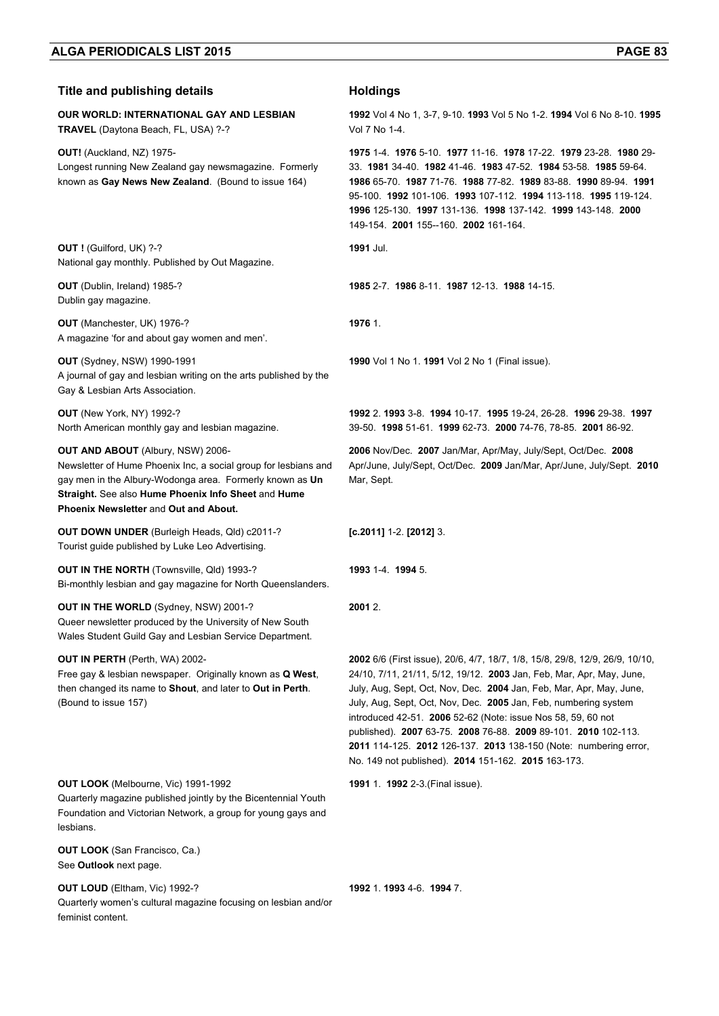## **Title and publishing details Holdings**

**OUR WORLD: INTERNATIONAL GAY AND LESBIAN TRAVEL** (Daytona Beach, FL, USA) ?-?

**OUT!** (Auckland, NZ) 1975- Longest running New Zealand gay newsmagazine. Formerly known as **Gay News New Zealand**. (Bound to issue 164)

**OUT !** (Guilford, UK) ?-? National gay monthly. Published by Out Magazine.

**OUT** (Dublin, Ireland) 1985-? Dublin gay magazine.

**OUT** (Manchester, UK) 1976-? A magazine 'for and about gay women and men'.

**OUT** (Sydney, NSW) 1990-1991 A journal of gay and lesbian writing on the arts published by the Gay & Lesbian Arts Association.

**OUT** (New York, NY) 1992-? North American monthly gay and lesbian magazine.

#### **OUT AND ABOUT** (Albury, NSW) 2006-

Newsletter of Hume Phoenix Inc, a social group for lesbians and gay men in the Albury-Wodonga area. Formerly known as **Un Straight.** See also **Hume Phoenix Info Sheet** and **Hume Phoenix Newsletter** and **Out and About.** 

**OUT DOWN UNDER** (Burleigh Heads, Qld) c2011-? Tourist guide published by Luke Leo Advertising.

**OUT IN THE NORTH (Townsville, Qld) 1993-?** Bi-monthly lesbian and gay magazine for North Queenslanders.

**OUT IN THE WORLD** (Sydney, NSW) 2001-? Queer newsletter produced by the University of New South Wales Student Guild Gay and Lesbian Service Department.

**OUT IN PERTH** (Perth, WA) 2002-

Free gay & lesbian newspaper. Originally known as **Q West**, then changed its name to **Shout**, and later to **Out in Perth**. (Bound to issue 157)

### **OUT LOOK** (Melbourne, Vic) 1991-1992

Quarterly magazine published jointly by the Bicentennial Youth Foundation and Victorian Network, a group for young gays and lesbians.

**OUT LOOK** (San Francisco, Ca.) See **Outlook** next page.

**OUT LOUD** (Eltham, Vic) 1992-?

Quarterly women's cultural magazine focusing on lesbian and/or feminist content.

**1992** Vol 4 No 1, 3-7, 9-10. **1993** Vol 5 No 1-2. **1994** Vol 6 No 8-10. **1995**  Vol 7 No 1-4.

**1975** 1-4. **1976** 5-10. **1977** 11-16. **1978** 17-22. **1979** 23-28. **1980** 29- 33. **1981** 34-40. **1982** 41-46. **1983** 47-52. **1984** 53-58. **1985** 59-64. **1986** 65-70. **1987** 71-76. **1988** 77-82. **1989** 83-88. **1990** 89-94. **1991** 95-100. **1992** 101-106. **1993** 107-112. **1994** 113-118. **1995** 119-124. **1996** 125-130. **1997** 131-136. **1998** 137-142. **1999** 143-148. **2000** 149-154. **2001** 155--160. **2002** 161-164.

**1991** Jul.

**1985** 2-7. **1986** 8-11. **1987** 12-13. **1988** 14-15.

**1976** 1.

**1990** Vol 1 No 1. **1991** Vol 2 No 1 (Final issue).

**1992** 2. **1993** 3-8. **1994** 10-17. **1995** 19-24, 26-28. **1996** 29-38. **1997** 39-50. **1998** 51-61. **1999** 62-73. **2000** 74-76, 78-85. **2001** 86-92.

**2006** Nov/Dec. **2007** Jan/Mar, Apr/May, July/Sept, Oct/Dec. **2008** Apr/June, July/Sept, Oct/Dec. **2009** Jan/Mar, Apr/June, July/Sept. **2010** Mar, Sept.

**[c.2011]** 1-2. **[2012]** 3.

**1993** 1-4. **1994** 5.

**2001** 2.

**2002** 6/6 (First issue), 20/6, 4/7, 18/7, 1/8, 15/8, 29/8, 12/9, 26/9, 10/10, 24/10, 7/11, 21/11, 5/12, 19/12. **2003** Jan, Feb, Mar, Apr, May, June, July, Aug, Sept, Oct, Nov, Dec. **2004** Jan, Feb, Mar, Apr, May, June, July, Aug, Sept, Oct, Nov, Dec. **2005** Jan, Feb, numbering system introduced 42-51. **2006** 52-62 (Note: issue Nos 58, 59, 60 not published). **2007** 63-75. **2008** 76-88. **2009** 89-101. **2010** 102-113. **2011** 114-125. **2012** 126-137. **2013** 138-150 (Note: numbering error, No. 149 not published). **2014** 151-162. **2015** 163-173.

**1991** 1. **1992** 2-3.(Final issue).

**1992** 1. **1993** 4-6. **1994** 7.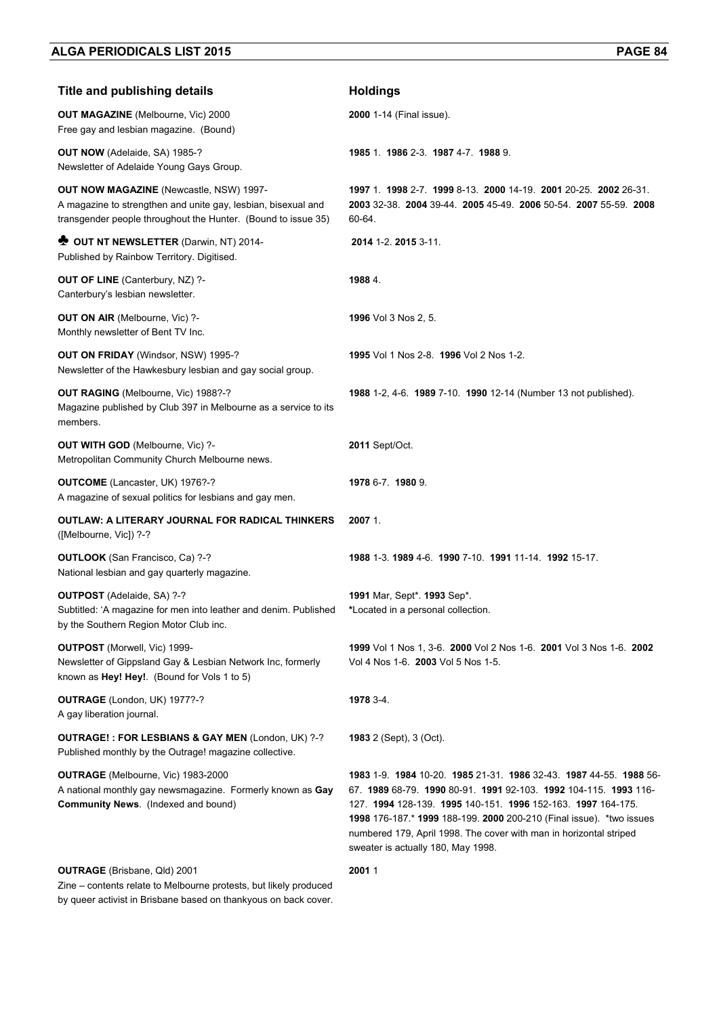| <b>Title and publishing details</b>                                                                                                                                       | <b>Holdings</b>                                                                                                                                                                                                                                                                                                                                                                       |
|---------------------------------------------------------------------------------------------------------------------------------------------------------------------------|---------------------------------------------------------------------------------------------------------------------------------------------------------------------------------------------------------------------------------------------------------------------------------------------------------------------------------------------------------------------------------------|
| <b>OUT MAGAZINE</b> (Melbourne, Vic) 2000<br>Free gay and lesbian magazine. (Bound)                                                                                       | 2000 1-14 (Final issue).                                                                                                                                                                                                                                                                                                                                                              |
| <b>OUT NOW</b> (Adelaide, SA) 1985-?<br>Newsletter of Adelaide Young Gays Group.                                                                                          | 1985 1 1986 2-3 1987 4-7 1988 9.                                                                                                                                                                                                                                                                                                                                                      |
| OUT NOW MAGAZINE (Newcastle, NSW) 1997-<br>A magazine to strengthen and unite gay, lesbian, bisexual and<br>transgender people throughout the Hunter. (Bound to issue 35) | 1997 1. 1998 2-7. 1999 8-13. 2000 14-19. 2001 20-25. 2002 26-31.<br>2003 32-38. 2004 39-44. 2005 45-49. 2006 50-54. 2007 55-59. 2008<br>60-64.                                                                                                                                                                                                                                        |
| <b>OUT NT NEWSLETTER (Darwin, NT) 2014-</b><br>Published by Rainbow Territory. Digitised.                                                                                 | 2014 1-2, 2015 3-11.                                                                                                                                                                                                                                                                                                                                                                  |
| <b>OUT OF LINE</b> (Canterbury, NZ) ?-<br>Canterbury's lesbian newsletter.                                                                                                | 1988 4.                                                                                                                                                                                                                                                                                                                                                                               |
| OUT ON AIR (Melbourne, Vic) ?-<br>Monthly newsletter of Bent TV Inc.                                                                                                      | 1996 Vol 3 Nos 2, 5.                                                                                                                                                                                                                                                                                                                                                                  |
| OUT ON FRIDAY (Windsor, NSW) 1995-?<br>Newsletter of the Hawkesbury lesbian and gay social group.                                                                         | 1995 Vol 1 Nos 2-8. 1996 Vol 2 Nos 1-2.                                                                                                                                                                                                                                                                                                                                               |
| OUT RAGING (Melbourne, Vic) 1988?-?<br>Magazine published by Club 397 in Melbourne as a service to its<br>members.                                                        | 1988 1-2, 4-6. 1989 7-10. 1990 12-14 (Number 13 not published).                                                                                                                                                                                                                                                                                                                       |
| OUT WITH GOD (Melbourne, Vic) ?-<br>Metropolitan Community Church Melbourne news.                                                                                         | <b>2011 Sept/Oct.</b>                                                                                                                                                                                                                                                                                                                                                                 |
| OUTCOME (Lancaster, UK) 1976?-?<br>A magazine of sexual politics for lesbians and gay men.                                                                                | 1978 6-7 1980 9.                                                                                                                                                                                                                                                                                                                                                                      |
| OUTLAW: A LITERARY JOURNAL FOR RADICAL THINKERS<br>([Melbourne, Vic]) ?-?                                                                                                 | 2007 1.                                                                                                                                                                                                                                                                                                                                                                               |
| OUTLOOK (San Francisco, Ca) ?-?<br>National lesbian and gay quarterly magazine.                                                                                           | 1988 1-3, 1989 4-6, 1990 7-10, 1991 11-14, 1992 15-17,                                                                                                                                                                                                                                                                                                                                |
| <b>OUTPOST</b> (Adelaide, SA) ?-?<br>Subtitled: 'A magazine for men into leather and denim. Published<br>by the Southern Region Motor Club inc.                           | 1991 Mar, Sept*. 1993 Sep*.<br>*Located in a personal collection.                                                                                                                                                                                                                                                                                                                     |
| <b>OUTPOST</b> (Morwell, Vic) 1999-<br>Newsletter of Gippsland Gay & Lesbian Network Inc, formerly<br>known as Hey! Hey!. (Bound for Vols 1 to 5)                         | 1999 Vol 1 Nos 1, 3-6. 2000 Vol 2 Nos 1-6. 2001 Vol 3 Nos 1-6. 2002<br>Vol 4 Nos 1-6. 2003 Vol 5 Nos 1-5.                                                                                                                                                                                                                                                                             |
| OUTRAGE (London, UK) 1977?-?<br>A gay liberation journal.                                                                                                                 | 1978 3-4.                                                                                                                                                                                                                                                                                                                                                                             |
| <b>OUTRAGE!: FOR LESBIANS &amp; GAY MEN (London, UK) ?-?</b><br>Published monthly by the Outrage! magazine collective.                                                    | <b>1983</b> 2 (Sept), 3 (Oct).                                                                                                                                                                                                                                                                                                                                                        |
| <b>OUTRAGE</b> (Melbourne, Vic) 1983-2000<br>A national monthly gay newsmagazine. Formerly known as Gay<br><b>Community News.</b> (Indexed and bound)                     | 1983 1-9 1984 10-20 1985 21-31 1986 32-43 1987 44-55 1988 56<br>67. 1989 68-79. 1990 80-91. 1991 92-103. 1992 104-115. 1993 116-<br>127. 1994 128-139. 1995 140-151. 1996 152-163. 1997 164-175.<br>1998 176-187.* 1999 188-199. 2000 200-210 (Final issue). * two issues<br>numbered 179, April 1998. The cover with man in horizontal striped<br>sweater is actually 180, May 1998. |
| <b>OUTRAGE</b> (Brisbane, Qld) 2001                                                                                                                                       | 20011                                                                                                                                                                                                                                                                                                                                                                                 |

Zine – contents relate to Melbourne protests, but likely produced by queer activist in Brisbane based on thankyous on back cover.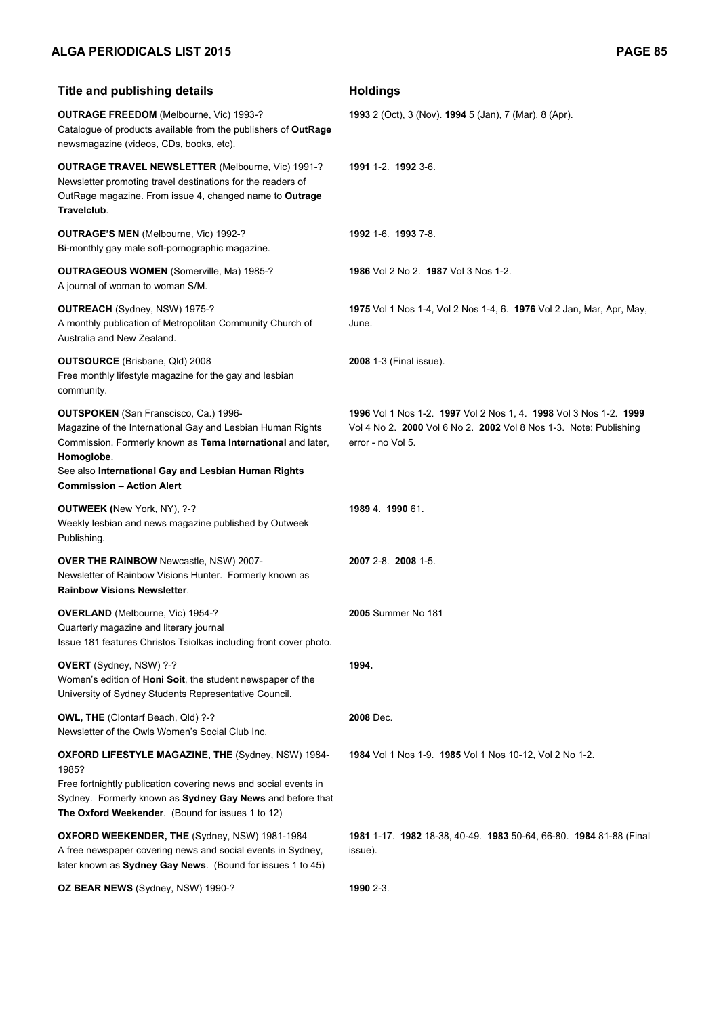| <b>Title and publishing details</b>                                                                                                                                                                                                                                                | <b>Holdings</b>                                                                                                                                             |
|------------------------------------------------------------------------------------------------------------------------------------------------------------------------------------------------------------------------------------------------------------------------------------|-------------------------------------------------------------------------------------------------------------------------------------------------------------|
| <b>OUTRAGE FREEDOM</b> (Melbourne, Vic) 1993-?<br>Catalogue of products available from the publishers of OutRage<br>newsmagazine (videos, CDs, books, etc).                                                                                                                        | 1993 2 (Oct), 3 (Nov). 1994 5 (Jan), 7 (Mar), 8 (Apr).                                                                                                      |
| <b>OUTRAGE TRAVEL NEWSLETTER (Melbourne, Vic) 1991-?</b><br>Newsletter promoting travel destinations for the readers of<br>OutRage magazine. From issue 4, changed name to Outrage<br>Travelclub.                                                                                  | 1991 1-2. 1992 3-6.                                                                                                                                         |
| <b>OUTRAGE'S MEN (Melbourne, Vic) 1992-?</b><br>Bi-monthly gay male soft-pornographic magazine.                                                                                                                                                                                    | 1992 1-6 1993 7-8                                                                                                                                           |
| <b>OUTRAGEOUS WOMEN (Somerville, Ma) 1985-?</b><br>A journal of woman to woman S/M.                                                                                                                                                                                                | 1986 Vol 2 No 2. 1987 Vol 3 Nos 1-2.                                                                                                                        |
| OUTREACH (Sydney, NSW) 1975-?<br>A monthly publication of Metropolitan Community Church of<br>Australia and New Zealand.                                                                                                                                                           | 1975 Vol 1 Nos 1-4, Vol 2 Nos 1-4, 6. 1976 Vol 2 Jan, Mar, Apr, May,<br>June.                                                                               |
| <b>OUTSOURCE</b> (Brisbane, Qld) 2008<br>Free monthly lifestyle magazine for the gay and lesbian<br>community.                                                                                                                                                                     | 2008 1-3 (Final issue).                                                                                                                                     |
| <b>OUTSPOKEN</b> (San Franscisco, Ca.) 1996-<br>Magazine of the International Gay and Lesbian Human Rights<br>Commission. Formerly known as Tema International and later,<br>Homoglobe.<br>See also International Gay and Lesbian Human Rights<br><b>Commission - Action Alert</b> | 1996 Vol 1 Nos 1-2. 1997 Vol 2 Nos 1, 4. 1998 Vol 3 Nos 1-2. 1999<br>Vol 4 No 2. 2000 Vol 6 No 2. 2002 Vol 8 Nos 1-3. Note: Publishing<br>error - no Vol 5. |
| <b>OUTWEEK</b> (New York, NY), ?-?<br>Weekly lesbian and news magazine published by Outweek<br>Publishing.                                                                                                                                                                         | 1989 4 1990 61                                                                                                                                              |
| <b>OVER THE RAINBOW</b> Newcastle, NSW) 2007-<br>Newsletter of Rainbow Visions Hunter. Formerly known as<br><b>Rainbow Visions Newsletter.</b>                                                                                                                                     | 2007 2-8. 2008 1-5.                                                                                                                                         |
| <b>OVERLAND</b> (Melbourne, Vic) 1954-?<br>Quarterly magazine and literary journal<br>Issue 181 features Christos Tsiolkas including front cover photo.                                                                                                                            | <b>2005</b> Summer No 181                                                                                                                                   |
| OVERT (Sydney, NSW) ?-?<br>Women's edition of Honi Soit, the student newspaper of the<br>University of Sydney Students Representative Council.                                                                                                                                     | 1994.                                                                                                                                                       |
| <b>OWL, THE (Clontarf Beach, Qld) ?-?</b><br>Newsletter of the Owls Women's Social Club Inc.                                                                                                                                                                                       | 2008 Dec.                                                                                                                                                   |
| <b>OXFORD LIFESTYLE MAGAZINE, THE (Sydney, NSW) 1984-</b><br>1985?<br>Free fortnightly publication covering news and social events in<br>Sydney. Formerly known as Sydney Gay News and before that<br>The Oxford Weekender. (Bound for issues 1 to 12)                             | 1984 Vol 1 Nos 1-9. 1985 Vol 1 Nos 10-12, Vol 2 No 1-2.                                                                                                     |
| OXFORD WEEKENDER, THE (Sydney, NSW) 1981-1984<br>A free newspaper covering news and social events in Sydney,<br>later known as Sydney Gay News. (Bound for issues 1 to 45)                                                                                                         | <b>1981</b> 1-17. <b>1982</b> 18-38, 40-49. <b>1983</b> 50-64, 66-80. <b>1984</b> 81-88 (Final<br>issue).                                                   |
| OZ BEAR NEWS (Sydney, NSW) 1990-?                                                                                                                                                                                                                                                  | 1990 2-3.                                                                                                                                                   |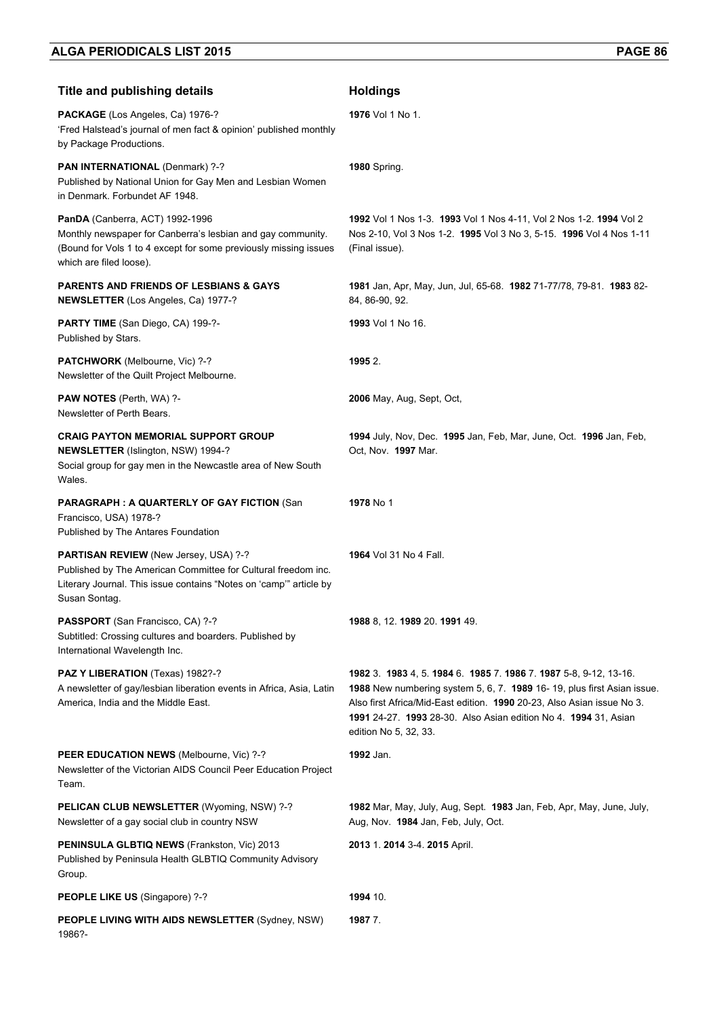| <b>Title and publishing details</b>                                                                                                                                                           | <b>Holdings</b>                                                                                                                                                                                                                                                                                                   |
|-----------------------------------------------------------------------------------------------------------------------------------------------------------------------------------------------|-------------------------------------------------------------------------------------------------------------------------------------------------------------------------------------------------------------------------------------------------------------------------------------------------------------------|
| PACKAGE (Los Angeles, Ca) 1976-?<br>'Fred Halstead's journal of men fact & opinion' published monthly<br>by Package Productions.                                                              | 1976 Vol 1 No 1.                                                                                                                                                                                                                                                                                                  |
| PAN INTERNATIONAL (Denmark) ?-?<br>Published by National Union for Gay Men and Lesbian Women<br>in Denmark. Forbundet AF 1948.                                                                | <b>1980</b> Spring.                                                                                                                                                                                                                                                                                               |
| PanDA (Canberra, ACT) 1992-1996<br>Monthly newspaper for Canberra's lesbian and gay community.<br>(Bound for Vols 1 to 4 except for some previously missing issues<br>which are filed loose). | 1992 Vol 1 Nos 1-3. 1993 Vol 1 Nos 4-11, Vol 2 Nos 1-2. 1994 Vol 2<br>Nos 2-10, Vol 3 Nos 1-2. 1995 Vol 3 No 3, 5-15. 1996 Vol 4 Nos 1-11<br>(Final issue).                                                                                                                                                       |
| <b>PARENTS AND FRIENDS OF LESBIANS &amp; GAYS</b><br><b>NEWSLETTER</b> (Los Angeles, Ca) 1977-?                                                                                               | 1981 Jan, Apr, May, Jun, Jul, 65-68. 1982 71-77/78, 79-81. 1983 82-<br>84, 86-90, 92.                                                                                                                                                                                                                             |
| PARTY TIME (San Diego, CA) 199-?-<br>Published by Stars.                                                                                                                                      | 1993 Vol 1 No 16.                                                                                                                                                                                                                                                                                                 |
| PATCHWORK (Melbourne, Vic) ?-?<br>Newsletter of the Quilt Project Melbourne.                                                                                                                  | 1995 2.                                                                                                                                                                                                                                                                                                           |
| <b>PAW NOTES</b> (Perth, WA) ?-<br>Newsletter of Perth Bears.                                                                                                                                 | 2006 May, Aug, Sept, Oct,                                                                                                                                                                                                                                                                                         |
| <b>CRAIG PAYTON MEMORIAL SUPPORT GROUP</b><br>NEWSLETTER (Islington, NSW) 1994-?<br>Social group for gay men in the Newcastle area of New South<br>Wales.                                     | 1994 July, Nov, Dec. 1995 Jan, Feb, Mar, June, Oct. 1996 Jan, Feb,<br>Oct, Nov. 1997 Mar.                                                                                                                                                                                                                         |
| <b>PARAGRAPH: A QUARTERLY OF GAY FICTION (San</b><br>Francisco, USA) 1978-?<br>Published by The Antares Foundation                                                                            | <b>1978</b> No 1                                                                                                                                                                                                                                                                                                  |
| PARTISAN REVIEW (New Jersey, USA) ?-?<br>Published by The American Committee for Cultural freedom inc.<br>Literary Journal. This issue contains "Notes on 'camp'" article by<br>Susan Sontag. | <b>1964</b> Vol 31 No 4 Fall.                                                                                                                                                                                                                                                                                     |
| PASSPORT (San Francisco, CA) ?-?<br>Subtitled: Crossing cultures and boarders. Published by<br>International Wavelength Inc.                                                                  | 1988 8, 12. 1989 20. 1991 49.                                                                                                                                                                                                                                                                                     |
| PAZ Y LIBERATION (Texas) 1982?-?<br>A newsletter of gay/lesbian liberation events in Africa, Asia, Latin<br>America, India and the Middle East.                                               | 1982 3. 1983 4, 5. 1984 6. 1985 7. 1986 7. 1987 5-8, 9-12, 13-16.<br>1988 New numbering system 5, 6, 7. 1989 16-19, plus first Asian issue.<br>Also first Africa/Mid-East edition. 1990 20-23, Also Asian issue No 3.<br>1991 24-27. 1993 28-30. Also Asian edition No 4. 1994 31, Asian<br>edition No 5, 32, 33. |
| PEER EDUCATION NEWS (Melbourne, Vic) ?-?<br>Newsletter of the Victorian AIDS Council Peer Education Project<br>Team.                                                                          | 1992 Jan.                                                                                                                                                                                                                                                                                                         |
| PELICAN CLUB NEWSLETTER (Wyoming, NSW) ?-?<br>Newsletter of a gay social club in country NSW                                                                                                  | 1982 Mar, May, July, Aug, Sept. 1983 Jan, Feb, Apr, May, June, July,<br>Aug, Nov. 1984 Jan, Feb, July, Oct.                                                                                                                                                                                                       |
| PENINSULA GLBTIQ NEWS (Frankston, Vic) 2013<br>Published by Peninsula Health GLBTIQ Community Advisory<br>Group.                                                                              | 2013 1. 2014 3-4. 2015 April.                                                                                                                                                                                                                                                                                     |
| PEOPLE LIKE US (Singapore) ?-?                                                                                                                                                                | 1994 10.                                                                                                                                                                                                                                                                                                          |
| <b>PEOPLE LIVING WITH AIDS NEWSLETTER (Sydney, NSW)</b><br>1986?-                                                                                                                             | 1987 7.                                                                                                                                                                                                                                                                                                           |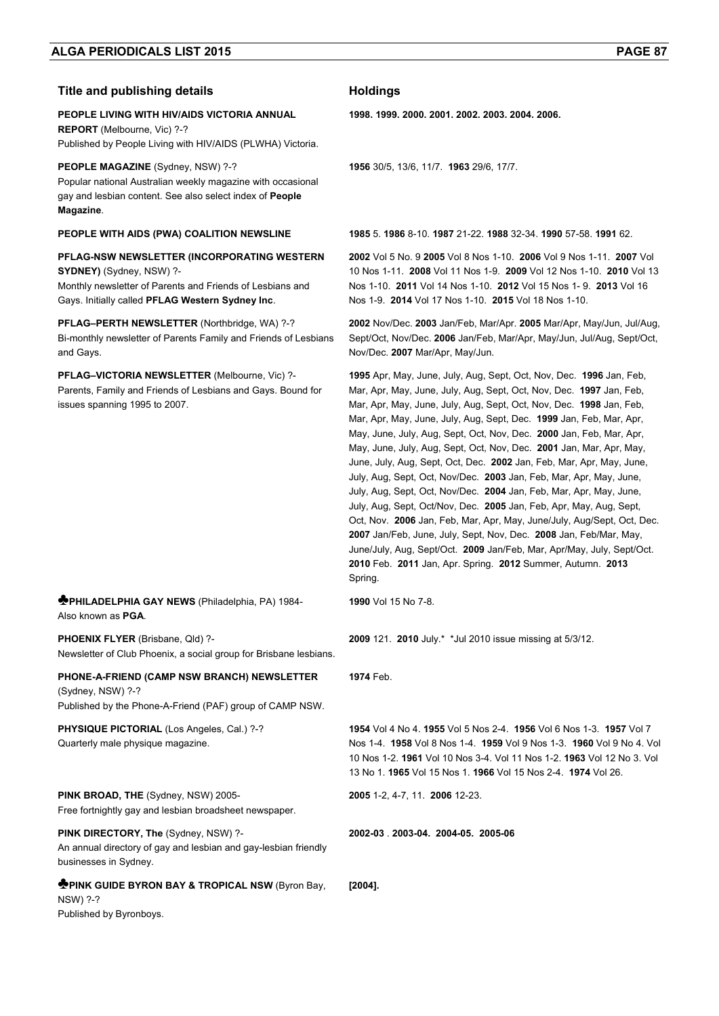## **Title and publishing details <b>Acceleration Holdings**

#### **PEOPLE LIVING WITH HIV/AIDS VICTORIA ANNUAL REPORT** (Melbourne, Vic) ?-?

Published by People Living with HIV/AIDS (PLWHA) Victoria.

## **PEOPLE MAGAZINE** (Sydney, NSW) ?-?

Popular national Australian weekly magazine with occasional gay and lesbian content. See also select index of **People Magazine**.

## **PFLAG-NSW NEWSLETTER (INCORPORATING WESTERN SYDNEY)** (Sydney, NSW) ?-

Monthly newsletter of Parents and Friends of Lesbians and Gays. Initially called **PFLAG Western Sydney Inc**.

**PFLAG–PERTH NEWSLETTER** (Northbridge, WA) ?-? Bi-monthly newsletter of Parents Family and Friends of Lesbians and Gays.

**PFLAG–VICTORIA NEWSLETTER** (Melbourne, Vic) ?- Parents, Family and Friends of Lesbians and Gays. Bound for issues spanning 1995 to 2007.

### **♣PHILADELPHIA GAY NEWS** (Philadelphia, PA) 1984- Also known as **PGA**.

**PHOENIX FLYER** (Brisbane, Qld) ?- Newsletter of Club Phoenix, a social group for Brisbane lesbians.

### **PHONE-A-FRIEND (CAMP NSW BRANCH) NEWSLETTER**  (Sydney, NSW) ?-?

Published by the Phone-A-Friend (PAF) group of CAMP NSW.

**PHYSIQUE PICTORIAL (Los Angeles, Cal.) ?-?** Quarterly male physique magazine.

**PINK BROAD, THE** (Sydney, NSW) 2005-

Free fortnightly gay and lesbian broadsheet newspaper.

### **PINK DIRECTORY, The** (Sydney, NSW) ?-

An annual directory of gay and lesbian and gay-lesbian friendly businesses in Sydney.

#### **♣PINK GUIDE BYRON BAY & TROPICAL NSW** (Byron Bay, NSW) ?-? **[2004].**

Published by Byronboys.

**1998. 1999. 2000. 2001. 2002. 2003. 2004. 2006.** 

**1956** 30/5, 13/6, 11/7. **1963** 29/6, 17/7.

**PEOPLE WITH AIDS (PWA) COALITION NEWSLINE 1985** 5. **1986** 8-10. **1987** 21-22. **1988** 32-34. **1990** 57-58. **1991** 62.

**2002** Vol 5 No. 9 **2005** Vol 8 Nos 1-10. **2006** Vol 9 Nos 1-11. **2007** Vol 10 Nos 1-11. **2008** Vol 11 Nos 1-9. **2009** Vol 12 Nos 1-10. **2010** Vol 13 Nos 1-10. **2011** Vol 14 Nos 1-10. **2012** Vol 15 Nos 1- 9. **2013** Vol 16 Nos 1-9. **2014** Vol 17 Nos 1-10. **2015** Vol 18 Nos 1-10.

**2002** Nov/Dec. **2003** Jan/Feb, Mar/Apr. **2005** Mar/Apr, May/Jun, Jul/Aug, Sept/Oct, Nov/Dec. **2006** Jan/Feb, Mar/Apr, May/Jun, Jul/Aug, Sept/Oct, Nov/Dec. **2007** Mar/Apr, May/Jun.

**1995** Apr, May, June, July, Aug, Sept, Oct, Nov, Dec. **1996** Jan, Feb, Mar, Apr, May, June, July, Aug, Sept, Oct, Nov, Dec. **1997** Jan, Feb, Mar, Apr, May, June, July, Aug, Sept, Oct, Nov, Dec. **1998** Jan, Feb, Mar, Apr, May, June, July, Aug, Sept, Dec. **1999** Jan, Feb, Mar, Apr, May, June, July, Aug, Sept, Oct, Nov, Dec. **2000** Jan, Feb, Mar, Apr, May, June, July, Aug, Sept, Oct, Nov, Dec. **2001** Jan, Mar, Apr, May, June, July, Aug, Sept, Oct, Dec. **2002** Jan, Feb, Mar, Apr, May, June, July, Aug, Sept, Oct, Nov/Dec. **2003** Jan, Feb, Mar, Apr, May, June, July, Aug, Sept, Oct, Nov/Dec. **2004** Jan, Feb, Mar, Apr, May, June, July, Aug, Sept, Oct/Nov, Dec. **2005** Jan, Feb, Apr, May, Aug, Sept, Oct, Nov. **2006** Jan, Feb, Mar, Apr, May, June/July, Aug/Sept, Oct, Dec. **2007** Jan/Feb, June, July, Sept, Nov, Dec. **2008** Jan, Feb/Mar, May, June/July, Aug, Sept/Oct. **2009** Jan/Feb, Mar, Apr/May, July, Sept/Oct. **2010** Feb. **2011** Jan, Apr. Spring. **2012** Summer, Autumn. **2013** Spring.

**1990** Vol 15 No 7-8.

**2009** 121. **2010** July.\* \*Jul 2010 issue missing at 5/3/12.

**1974** Feb.

**1954** Vol 4 No 4. **1955** Vol 5 Nos 2-4. **1956** Vol 6 Nos 1-3. **1957** Vol 7 Nos 1-4. **1958** Vol 8 Nos 1-4. **1959** Vol 9 Nos 1-3. **1960** Vol 9 No 4. Vol 10 Nos 1-2. **1961** Vol 10 Nos 3-4. Vol 11 Nos 1-2. **1963** Vol 12 No 3. Vol 13 No 1. **1965** Vol 15 Nos 1. **1966** Vol 15 Nos 2-4. **1974** Vol 26.

**2005** 1-2, 4-7, 11. **2006** 12-23.

**2002-03** . **2003-04. 2004-05. 2005-06**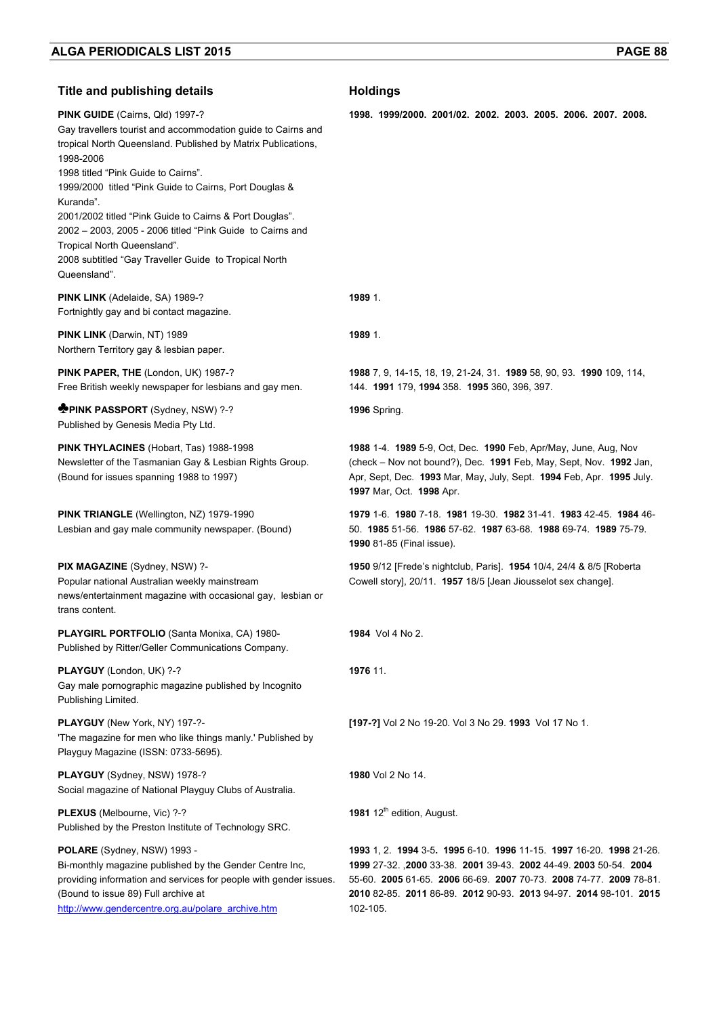| <b>Title and publishing details</b>                                                                                                                                                                                                                                                                                                                                                                                                                                                                                        | <b>Holdings</b>                                                                                                                                                                                                                                                                                |
|----------------------------------------------------------------------------------------------------------------------------------------------------------------------------------------------------------------------------------------------------------------------------------------------------------------------------------------------------------------------------------------------------------------------------------------------------------------------------------------------------------------------------|------------------------------------------------------------------------------------------------------------------------------------------------------------------------------------------------------------------------------------------------------------------------------------------------|
| PINK GUIDE (Cairns, Qld) 1997-?<br>Gay travellers tourist and accommodation guide to Cairns and<br>tropical North Queensland. Published by Matrix Publications,<br>1998-2006<br>1998 titled "Pink Guide to Cairns".<br>1999/2000 titled "Pink Guide to Cairns, Port Douglas &<br>Kuranda".<br>2001/2002 titled "Pink Guide to Cairns & Port Douglas".<br>2002 - 2003, 2005 - 2006 titled "Pink Guide to Cairns and<br>Tropical North Queensland".<br>2008 subtitled "Gay Traveller Guide to Tropical North<br>Queensland". | 1998. 1999/2000. 2001/02. 2002. 2003. 2005. 2006. 2007. 2008.                                                                                                                                                                                                                                  |
| PINK LINK (Adelaide, SA) 1989-?<br>Fortnightly gay and bi contact magazine.                                                                                                                                                                                                                                                                                                                                                                                                                                                | 1989 1.                                                                                                                                                                                                                                                                                        |
| <b>PINK LINK</b> (Darwin, NT) 1989<br>Northern Territory gay & lesbian paper.                                                                                                                                                                                                                                                                                                                                                                                                                                              | 1989 1.                                                                                                                                                                                                                                                                                        |
| PINK PAPER, THE (London, UK) 1987-?<br>Free British weekly newspaper for lesbians and gay men.                                                                                                                                                                                                                                                                                                                                                                                                                             | 1988 7, 9, 14-15, 18, 19, 21-24, 31. 1989 58, 90, 93. 1990 109, 114,<br>144. 1991 179, 1994 358. 1995 360, 396, 397.                                                                                                                                                                           |
| <b>PPINK PASSPORT</b> (Sydney, NSW) ?-?<br>Published by Genesis Media Pty Ltd.                                                                                                                                                                                                                                                                                                                                                                                                                                             | <b>1996</b> Spring.                                                                                                                                                                                                                                                                            |
| PINK THYLACINES (Hobart, Tas) 1988-1998<br>Newsletter of the Tasmanian Gay & Lesbian Rights Group.<br>(Bound for issues spanning 1988 to 1997)                                                                                                                                                                                                                                                                                                                                                                             | 1988 1-4. 1989 5-9, Oct, Dec. 1990 Feb, Apr/May, June, Aug, Nov<br>(check - Nov not bound?), Dec. 1991 Feb, May, Sept, Nov. 1992 Jan,<br>Apr, Sept, Dec. 1993 Mar, May, July, Sept. 1994 Feb, Apr. 1995 July.<br>1997 Mar, Oct. 1998 Apr.                                                      |
| PINK TRIANGLE (Wellington, NZ) 1979-1990<br>Lesbian and gay male community newspaper. (Bound)                                                                                                                                                                                                                                                                                                                                                                                                                              | 1979 1-6 1980 7-18 1981 19-30 1982 31-41 1983 42-45 1984 46-<br>50. 1985 51-56. 1986 57-62. 1987 63-68. 1988 69-74. 1989 75-79.<br>1990 81-85 (Final issue).                                                                                                                                   |
| <b>PIX MAGAZINE</b> (Sydney, NSW) ?-<br>Popular national Australian weekly mainstream<br>news/entertainment magazine with occasional gay, lesbian or<br>trans content.                                                                                                                                                                                                                                                                                                                                                     | 1950 9/12 [Frede's nightclub, Paris]. 1954 10/4, 24/4 & 8/5 [Roberta<br>Cowell story], 20/11. 1957 18/5 [Jean Jiousselot sex change].                                                                                                                                                          |
| PLAYGIRL PORTFOLIO (Santa Monixa, CA) 1980-<br>Published by Ritter/Geller Communications Company.                                                                                                                                                                                                                                                                                                                                                                                                                          | <b>1984</b> Vol 4 No 2.                                                                                                                                                                                                                                                                        |
| PLAYGUY (London, UK) ?-?<br>Gay male pornographic magazine published by Incognito<br>Publishing Limited.                                                                                                                                                                                                                                                                                                                                                                                                                   | 1976 11.                                                                                                                                                                                                                                                                                       |
| PLAYGUY (New York, NY) 197-?-<br>'The magazine for men who like things manly.' Published by<br>Playguy Magazine (ISSN: 0733-5695).                                                                                                                                                                                                                                                                                                                                                                                         | [197-?] Vol 2 No 19-20. Vol 3 No 29. 1993 Vol 17 No 1.                                                                                                                                                                                                                                         |
| PLAYGUY (Sydney, NSW) 1978-?<br>Social magazine of National Playguy Clubs of Australia.                                                                                                                                                                                                                                                                                                                                                                                                                                    | 1980 Vol 2 No 14.                                                                                                                                                                                                                                                                              |
| PLEXUS (Melbourne, Vic) ?-?<br>Published by the Preston Institute of Technology SRC.                                                                                                                                                                                                                                                                                                                                                                                                                                       | 1981 12 <sup>th</sup> edition, August.                                                                                                                                                                                                                                                         |
| POLARE (Sydney, NSW) 1993 -<br>Bi-monthly magazine published by the Gender Centre Inc,<br>providing information and services for people with gender issues.<br>(Bound to issue 89) Full archive at<br>http://www.gendercentre.org.au/polare_archive.htm                                                                                                                                                                                                                                                                    | 1993 1, 2. 1994 3-5. 1995 6-10. 1996 11-15. 1997 16-20. 1998 21-26.<br>1999 27-32. 2000 33-38. 2001 39-43. 2002 44-49. 2003 50-54. 2004<br>55-60. 2005 61-65. 2006 66-69. 2007 70-73. 2008 74-77. 2009 78-81.<br>2010 82-85. 2011 86-89. 2012 90-93. 2013 94-97. 2014 98-101. 2015<br>102-105. |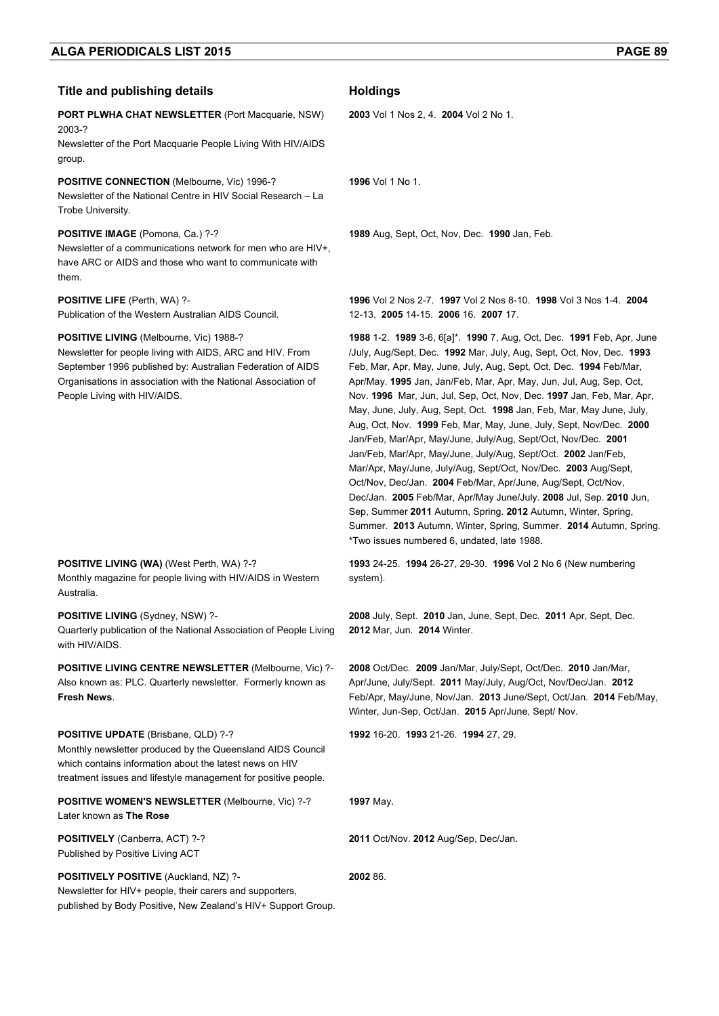## **Title and publishing details Holdings**

### **PORT PLWHA CHAT NEWSLETTER** (Port Macquarie, NSW) 2003-?

Newsletter of the Port Macquarie People Living With HIV/AIDS group.

### **POSITIVE CONNECTION** (Melbourne, Vic) 1996-?

Newsletter of the National Centre in HIV Social Research – La Trobe University.

#### **POSITIVE IMAGE** (Pomona, Ca.) ?-?

Newsletter of a communications network for men who are HIV+, have ARC or AIDS and those who want to communicate with them.

#### **POSITIVE LIFE** (Perth, WA) ?-

Publication of the Western Australian AIDS Council.

#### **POSITIVE LIVING** (Melbourne, Vic) 1988-?

Newsletter for people living with AIDS, ARC and HIV. From September 1996 published by: Australian Federation of AIDS Organisations in association with the National Association of People Living with HIV/AIDS.

#### **POSITIVE LIVING (WA)** (West Perth, WA) ?-?

Monthly magazine for people living with HIV/AIDS in Western Australia.

### **POSITIVE LIVING** (Sydney, NSW) ?-

Quarterly publication of the National Association of People Living with HIV/AIDS.

**POSITIVE LIVING CENTRE NEWSLETTER** (Melbourne, Vic) ?- Also known as: PLC. Quarterly newsletter. Formerly known as **Fresh News**.

#### **POSITIVE UPDATE** (Brisbane, QLD) ?-?

Monthly newsletter produced by the Queensland AIDS Council which contains information about the latest news on HIV treatment issues and lifestyle management for positive people.

**POSITIVE WOMEN'S NEWSLETTER** (Melbourne, Vic) ?-? Later known as **The Rose** 

**POSITIVELY** (Canberra, ACT) ?-? Published by Positive Living ACT

### **POSITIVELY POSITIVE** (Auckland, NZ) ?-

**2002** 86.

**2003** Vol 1 Nos 2, 4. **2004** Vol 2 No 1.

**1996** Vol 1 No 1.

**1989** Aug, Sept, Oct, Nov, Dec. **1990** Jan, Feb.

**1996** Vol 2 Nos 2-7. **1997** Vol 2 Nos 8-10. **1998** Vol 3 Nos 1-4. **2004** 12-13. **2005** 14-15. **2006** 16. **2007** 17.

**1988** 1-2. **1989** 3-6, 6[a]\*. **1990** 7, Aug, Oct, Dec. **1991** Feb, Apr, June /July, Aug/Sept, Dec. **1992** Mar, July, Aug, Sept, Oct, Nov, Dec. **1993** Feb, Mar, Apr, May, June, July, Aug, Sept, Oct, Dec. **1994** Feb/Mar, Apr/May. **1995** Jan, Jan/Feb, Mar, Apr, May, Jun, Jul, Aug, Sep, Oct, Nov. **1996** Mar, Jun, Jul, Sep, Oct, Nov, Dec. **1997** Jan, Feb, Mar, Apr, May, June, July, Aug, Sept, Oct. **1998** Jan, Feb, Mar, May June, July, Aug, Oct, Nov. **1999** Feb, Mar, May, June, July, Sept, Nov/Dec. **2000** Jan/Feb, Mar/Apr, May/June, July/Aug, Sept/Oct, Nov/Dec. **2001** Jan/Feb, Mar/Apr, May/June, July/Aug, Sept/Oct. **2002** Jan/Feb, Mar/Apr, May/June, July/Aug, Sept/Oct, Nov/Dec. **2003** Aug/Sept, Oct/Nov, Dec/Jan. **2004** Feb/Mar, Apr/June, Aug/Sept, Oct/Nov, Dec/Jan. **2005** Feb/Mar, Apr/May June/July. **2008** Jul, Sep. **2010** Jun, Sep, Summer **2011** Autumn, Spring. **2012** Autumn, Winter, Spring, Summer. **2013** Autumn, Winter, Spring, Summer. **2014** Autumn, Spring. \*Two issues numbered 6, undated, late 1988.

**1993** 24-25. **1994** 26-27, 29-30. **1996** Vol 2 No 6 (New numbering system).

**2008** July, Sept. **2010** Jan, June, Sept, Dec. **2011** Apr, Sept, Dec. **2012** Mar, Jun. **2014** Winter.

**2008** Oct/Dec. **2009** Jan/Mar, July/Sept, Oct/Dec. **2010** Jan/Mar, Apr/June, July/Sept. **2011** May/July, Aug/Oct, Nov/Dec/Jan. **2012** Feb/Apr, May/June, Nov/Jan. **2013** June/Sept, Oct/Jan. **2014** Feb/May, Winter, Jun-Sep, Oct/Jan. **2015** Apr/June, Sept/ Nov.

**1992** 16-20. **1993** 21-26. **1994** 27, 29.

**1997** May.

**2011** Oct/Nov. **2012** Aug/Sep, Dec/Jan.

Newsletter for HIV+ people, their carers and supporters,

published by Body Positive, New Zealand's HIV+ Support Group.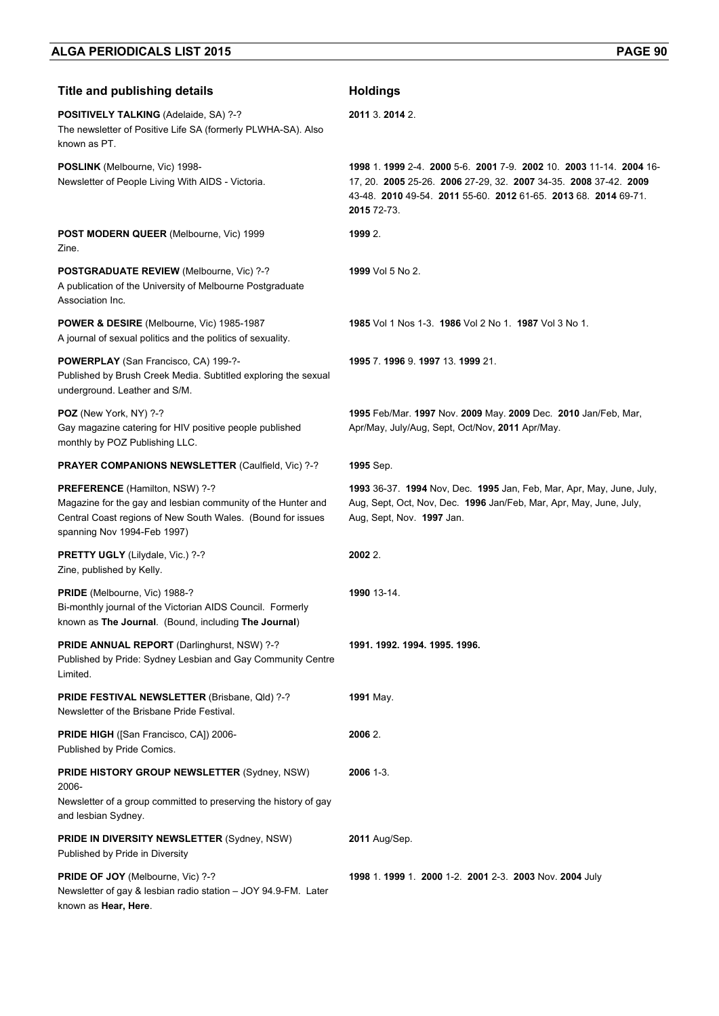**Title and publishing details <b>Acceleration Holdings** 

**POSITIVELY TALKING** (Adelaide, SA) ?-? The newsletter of Positive Life SA (formerly PLWHA-SA). Also known as PT. **2011** 3. **2014** 2. **POSLINK** (Melbourne, Vic) 1998- Newsletter of People Living With AIDS - Victoria. **1998** 1. **1999** 2-4. **2000** 5-6. **2001** 7-9. **2002** 10. **2003** 11-14. **2004** 16- 17, 20. **2005** 25-26. **2006** 27-29, 32. **2007** 34-35. **2008** 37-42. **2009** 43-48. **2010** 49-54. **2011** 55-60. **2012** 61-65. **2013** 68. **2014** 69-71. **2015** 72-73. **POST MODERN QUEER** (Melbourne, Vic) 1999 Zine. **1999** 2. **POSTGRADUATE REVIEW** (Melbourne, Vic) ?-? A publication of the University of Melbourne Postgraduate Association Inc. **1999** Vol 5 No 2. **POWER & DESIRE** (Melbourne, Vic) 1985-1987 A journal of sexual politics and the politics of sexuality. **1985** Vol 1 Nos 1-3. **1986** Vol 2 No 1. **1987** Vol 3 No 1. **POWERPLAY** (San Francisco, CA) 199-?- Published by Brush Creek Media. Subtitled exploring the sexual underground. Leather and S/M. **1995** 7. **1996** 9. **1997** 13. **1999** 21. **POZ** (New York, NY) ?-? Gay magazine catering for HIV positive people published monthly by POZ Publishing LLC. **1995** Feb/Mar. **1997** Nov. **2009** May. **2009** Dec. **2010** Jan/Feb, Mar, Apr/May, July/Aug, Sept, Oct/Nov, **2011** Apr/May. **PRAYER COMPANIONS NEWSLETTER** (Caulfield, Vic) ?-? **1995** Sep. **PREFERENCE** (Hamilton, NSW) ?-? Magazine for the gay and lesbian community of the Hunter and Central Coast regions of New South Wales. (Bound for issues spanning Nov 1994-Feb 1997) **1993** 36-37. **1994** Nov, Dec. **1995** Jan, Feb, Mar, Apr, May, June, July, Aug, Sept, Oct, Nov, Dec. **1996** Jan/Feb, Mar, Apr, May, June, July, Aug, Sept, Nov. **1997** Jan. **PRETTY UGLY** (Lilydale, Vic.) ?-? Zine, published by Kelly. **2002** 2. **PRIDE** (Melbourne, Vic) 1988-? Bi-monthly journal of the Victorian AIDS Council. Formerly known as **The Journal**. (Bound, including **The Journal**) **1990** 13-14. **PRIDE ANNUAL REPORT** (Darlinghurst, NSW) ?-? Published by Pride: Sydney Lesbian and Gay Community Centre Limited. **1991. 1992. 1994. 1995. 1996. PRIDE FESTIVAL NEWSLETTER** (Brisbane, Qld) ?-? Newsletter of the Brisbane Pride Festival. **1991** May. **PRIDE HIGH** ([San Francisco, CA]) 2006- Published by Pride Comics. **2006** 2. **PRIDE HISTORY GROUP NEWSLETTER** (Sydney, NSW) 2006- Newsletter of a group committed to preserving the history of gay **2006** 1-3.

**2011** Aug/Sep.

**PRIDE IN DIVERSITY NEWSLETTER** (Sydney, NSW) Published by Pride in Diversity

and lesbian Sydney.

PRIDE OF JOY (Melbourne, Vic) ?-? Newsletter of gay & lesbian radio station – JOY 94.9-FM. Later known as **Hear, Here**. **1998** 1. **1999** 1. **2000** 1-2. **2001** 2-3. **2003** Nov. **2004** July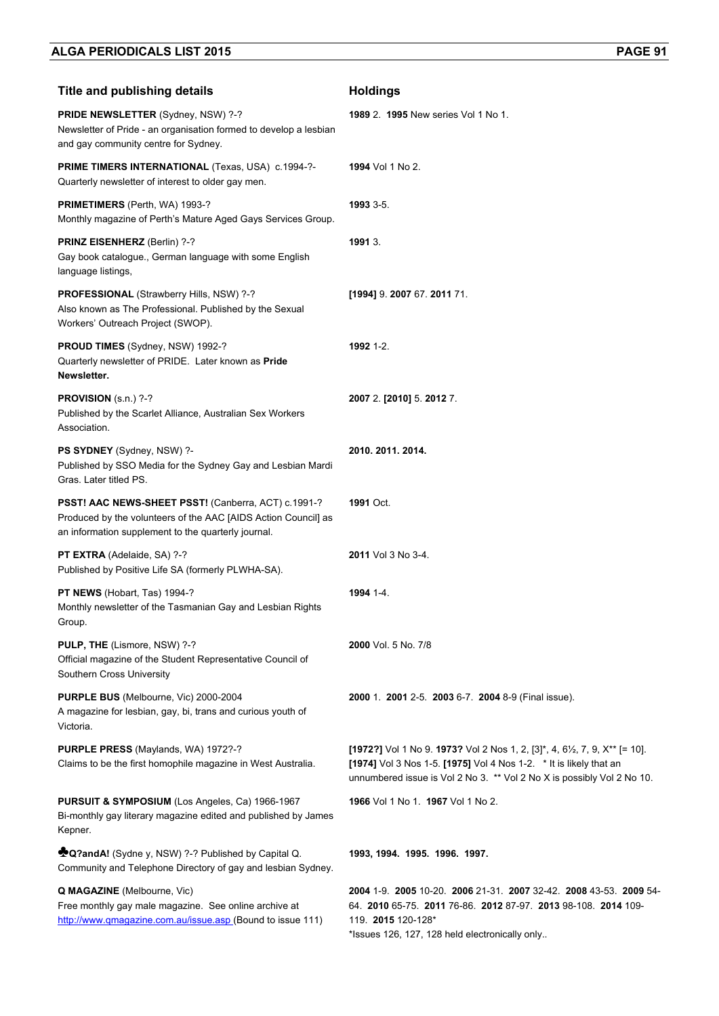| <b>Title and publishing details</b>                                                                                                                                          | <b>Holdings</b>                                                                                                                                                                                                          |
|------------------------------------------------------------------------------------------------------------------------------------------------------------------------------|--------------------------------------------------------------------------------------------------------------------------------------------------------------------------------------------------------------------------|
| PRIDE NEWSLETTER (Sydney, NSW) ?-?<br>Newsletter of Pride - an organisation formed to develop a lesbian<br>and gay community centre for Sydney.                              | <b>1989 2. 1995 New series Vol 1 No 1.</b>                                                                                                                                                                               |
| <b>PRIME TIMERS INTERNATIONAL (Texas, USA) c.1994-?-</b><br>Quarterly newsletter of interest to older gay men.                                                               | 1994 Vol 1 No 2.                                                                                                                                                                                                         |
| PRIMETIMERS (Perth, WA) 1993-?<br>Monthly magazine of Perth's Mature Aged Gays Services Group.                                                                               | 1993 3-5.                                                                                                                                                                                                                |
| PRINZ EISENHERZ (Berlin) ?-?<br>Gay book catalogue., German language with some English<br>language listings,                                                                 | 1991 3.                                                                                                                                                                                                                  |
| PROFESSIONAL (Strawberry Hills, NSW) ?-?<br>Also known as The Professional. Published by the Sexual<br>Workers' Outreach Project (SWOP).                                     | [1994] 9. 2007 67. 2011 71.                                                                                                                                                                                              |
| <b>PROUD TIMES</b> (Sydney, NSW) 1992-?<br>Quarterly newsletter of PRIDE. Later known as Pride<br>Newsletter.                                                                | 1992 1-2.                                                                                                                                                                                                                |
| PROVISION (s.n.) ?-?<br>Published by the Scarlet Alliance, Australian Sex Workers<br>Association.                                                                            | 2007 2. [2010] 5. 2012 7.                                                                                                                                                                                                |
| PS SYDNEY (Sydney, NSW) ?-<br>Published by SSO Media for the Sydney Gay and Lesbian Mardi<br>Gras. Later titled PS.                                                          | 2010. 2011. 2014.                                                                                                                                                                                                        |
| PSST! AAC NEWS-SHEET PSST! (Canberra, ACT) c.1991-?<br>Produced by the volunteers of the AAC [AIDS Action Council] as<br>an information supplement to the quarterly journal. | 1991 Oct.                                                                                                                                                                                                                |
| PT EXTRA (Adelaide, SA) ?-?<br>Published by Positive Life SA (formerly PLWHA-SA).                                                                                            | 2011 Vol 3 No 3-4.                                                                                                                                                                                                       |
| PT NEWS (Hobart, Tas) 1994-?<br>Monthly newsletter of the Tasmanian Gay and Lesbian Rights<br>Group.                                                                         | 1994 1-4.                                                                                                                                                                                                                |
| PULP, THE (Lismore, NSW) ?-?<br>Official magazine of the Student Representative Council of<br>Southern Cross University                                                      | 2000 Vol. 5 No. 7/8                                                                                                                                                                                                      |
| PURPLE BUS (Melbourne, Vic) 2000-2004<br>A magazine for lesbian, gay, bi, trans and curious youth of<br>Victoria.                                                            | 2000 1. 2001 2-5. 2003 6-7. 2004 8-9 (Final issue).                                                                                                                                                                      |
| PURPLE PRESS (Maylands, WA) 1972?-?<br>Claims to be the first homophile magazine in West Australia.                                                                          | [1972?] Vol 1 No 9. 1973? Vol 2 Nos 1, 2, [3]*, 4, 6½, 7, 9, X** [= 10].<br>[1974] Vol 3 Nos 1-5. [1975] Vol 4 Nos 1-2. * It is likely that an<br>unnumbered issue is Vol 2 No 3. ** Vol 2 No X is possibly Vol 2 No 10. |
| PURSUIT & SYMPOSIUM (Los Angeles, Ca) 1966-1967<br>Bi-monthly gay literary magazine edited and published by James<br>Kepner.                                                 | 1966 Vol 1 No 1. 1967 Vol 1 No 2.                                                                                                                                                                                        |
| <b>Momental</b> (Sydne y, NSW) ?-? Published by Capital Q.<br>Community and Telephone Directory of gay and lesbian Sydney.                                                   | 1993, 1994. 1995. 1996. 1997.                                                                                                                                                                                            |
| <b>Q MAGAZINE</b> (Melbourne, Vic)<br>Free monthly gay male magazine. See online archive at<br>http://www.qmagazine.com.au/issue.asp (Bound to issue 111)                    | 2004 1-9. 2005 10-20. 2006 21-31. 2007 32-42. 2008 43-53. 2009 54-<br>64. 2010 65-75. 2011 76-86. 2012 87-97. 2013 98-108. 2014 109-<br>119. 2015 120-128*<br>*Issues 126, 127, 128 held electronically only             |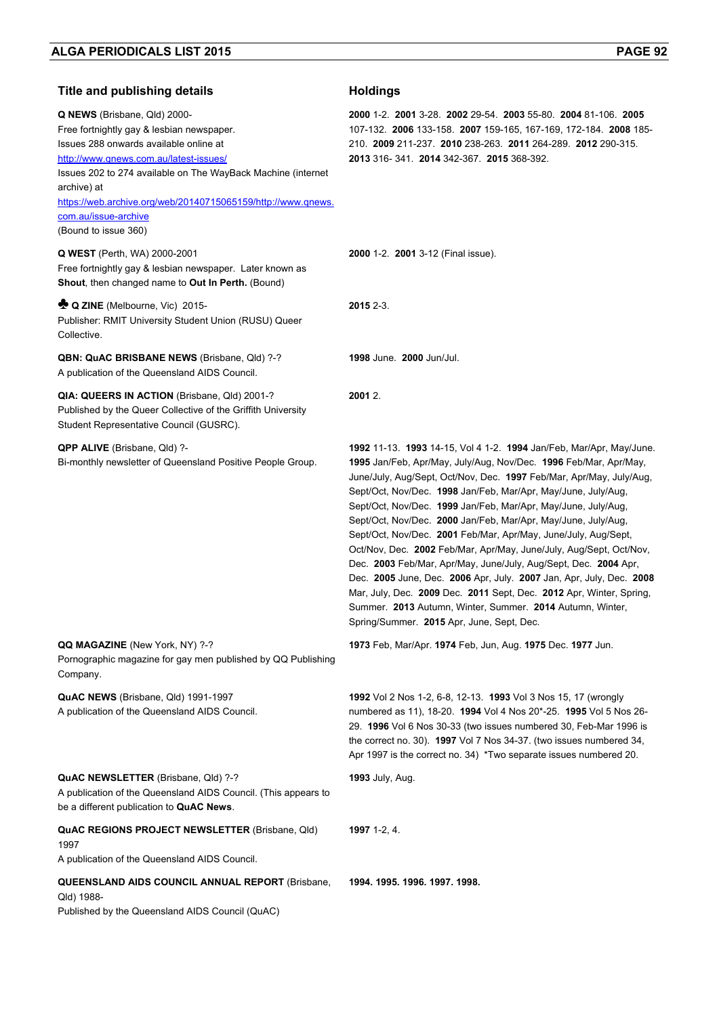| <b>Title and publishing details</b>                                                                                                                                                                                                                                                                                                                          | <b>Holdings</b>                                                                                                                                                                                                                                                                                                                                                                                                                                                                                                                                                                                                                                                                                                                                                                                                                                                                                           |
|--------------------------------------------------------------------------------------------------------------------------------------------------------------------------------------------------------------------------------------------------------------------------------------------------------------------------------------------------------------|-----------------------------------------------------------------------------------------------------------------------------------------------------------------------------------------------------------------------------------------------------------------------------------------------------------------------------------------------------------------------------------------------------------------------------------------------------------------------------------------------------------------------------------------------------------------------------------------------------------------------------------------------------------------------------------------------------------------------------------------------------------------------------------------------------------------------------------------------------------------------------------------------------------|
| Q NEWS (Brisbane, Qld) 2000-<br>Free fortnightly gay & lesbian newspaper.<br>Issues 288 onwards available online at<br>http://www.qnews.com.au/latest-issues/<br>Issues 202 to 274 available on The WayBack Machine (internet<br>archive) at<br>https://web.archive.org/web/20140715065159/http://www.gnews.<br>com.au/issue-archive<br>(Bound to issue 360) | 2000 1-2 2001 3-28 2002 29-54 2003 55-80 2004 81-106 2005<br>107-132. 2006 133-158. 2007 159-165, 167-169, 172-184. 2008 185-<br>210. 2009 211-237. 2010 238-263. 2011 264-289. 2012 290-315.<br>2013 316-341. 2014 342-367. 2015 368-392.                                                                                                                                                                                                                                                                                                                                                                                                                                                                                                                                                                                                                                                                |
| <b>Q WEST</b> (Perth, WA) 2000-2001<br>Free fortnightly gay & lesbian newspaper. Later known as<br>Shout, then changed name to Out In Perth. (Bound)                                                                                                                                                                                                         | 2000 1-2. 2001 3-12 (Final issue).                                                                                                                                                                                                                                                                                                                                                                                                                                                                                                                                                                                                                                                                                                                                                                                                                                                                        |
| <b>C</b> Q ZINE (Melbourne, Vic) 2015-<br>Publisher: RMIT University Student Union (RUSU) Queer<br>Collective.                                                                                                                                                                                                                                               | 2015 2-3.                                                                                                                                                                                                                                                                                                                                                                                                                                                                                                                                                                                                                                                                                                                                                                                                                                                                                                 |
| QBN: QuAC BRISBANE NEWS (Brisbane, Qld) ?-?<br>A publication of the Queensland AIDS Council.                                                                                                                                                                                                                                                                 | <b>1998 June. 2000 Jun/Jul.</b>                                                                                                                                                                                                                                                                                                                                                                                                                                                                                                                                                                                                                                                                                                                                                                                                                                                                           |
| QIA: QUEERS IN ACTION (Brisbane, Qld) 2001-?<br>Published by the Queer Collective of the Griffith University<br>Student Representative Council (GUSRC).                                                                                                                                                                                                      | 2001 2.                                                                                                                                                                                                                                                                                                                                                                                                                                                                                                                                                                                                                                                                                                                                                                                                                                                                                                   |
| <b>QPP ALIVE</b> (Brisbane, Qld) ?-<br>Bi-monthly newsletter of Queensland Positive People Group.                                                                                                                                                                                                                                                            | <b>1992</b> 11-13. <b>1993</b> 14-15, Vol 4 1-2. <b>1994</b> Jan/Feb, Mar/Apr, May/June.<br>1995 Jan/Feb, Apr/May, July/Aug, Nov/Dec. 1996 Feb/Mar, Apr/May,<br>June/July, Aug/Sept, Oct/Nov, Dec. 1997 Feb/Mar, Apr/May, July/Aug,<br>Sept/Oct, Nov/Dec. 1998 Jan/Feb, Mar/Apr, May/June, July/Aug,<br>Sept/Oct, Nov/Dec. 1999 Jan/Feb, Mar/Apr, May/June, July/Aug,<br>Sept/Oct, Nov/Dec. 2000 Jan/Feb, Mar/Apr, May/June, July/Aug,<br>Sept/Oct, Nov/Dec. 2001 Feb/Mar, Apr/May, June/July, Aug/Sept,<br>Oct/Nov, Dec. 2002 Feb/Mar, Apr/May, June/July, Aug/Sept, Oct/Nov,<br>Dec. 2003 Feb/Mar, Apr/May, June/July, Aug/Sept, Dec. 2004 Apr,<br>Dec. 2005 June, Dec. 2006 Apr, July. 2007 Jan, Apr, July, Dec. 2008<br>Mar, July, Dec. 2009 Dec. 2011 Sept, Dec. 2012 Apr, Winter, Spring,<br>Summer. 2013 Autumn, Winter, Summer. 2014 Autumn, Winter,<br>Spring/Summer. 2015 Apr, June, Sept, Dec. |
| QQ MAGAZINE (New York, NY) ?-?<br>Pornographic magazine for gay men published by QQ Publishing<br>Company.                                                                                                                                                                                                                                                   | 1973 Feb, Mar/Apr. 1974 Feb, Jun, Aug. 1975 Dec. 1977 Jun.                                                                                                                                                                                                                                                                                                                                                                                                                                                                                                                                                                                                                                                                                                                                                                                                                                                |
| QuAC NEWS (Brisbane, Qld) 1991-1997<br>A publication of the Queensland AIDS Council.                                                                                                                                                                                                                                                                         | 1992 Vol 2 Nos 1-2, 6-8, 12-13. 1993 Vol 3 Nos 15, 17 (wrongly<br>numbered as 11), 18-20. 1994 Vol 4 Nos 20*-25. 1995 Vol 5 Nos 26-<br>29. 1996 Vol 6 Nos 30-33 (two issues numbered 30, Feb-Mar 1996 is<br>the correct no. 30). 1997 Vol 7 Nos 34-37. (two issues numbered 34,<br>Apr 1997 is the correct no. 34) *Two separate issues numbered 20.                                                                                                                                                                                                                                                                                                                                                                                                                                                                                                                                                      |
| QuAC NEWSLETTER (Brisbane, Qld) ?-?<br>A publication of the Queensland AIDS Council. (This appears to<br>be a different publication to QuAC News.                                                                                                                                                                                                            | <b>1993</b> July, Aug.                                                                                                                                                                                                                                                                                                                                                                                                                                                                                                                                                                                                                                                                                                                                                                                                                                                                                    |
| <b>QuAC REGIONS PROJECT NEWSLETTER (Brisbane, Qld)</b><br>1997<br>A publication of the Queensland AIDS Council.                                                                                                                                                                                                                                              | <b>1997</b> 1-2, 4.                                                                                                                                                                                                                                                                                                                                                                                                                                                                                                                                                                                                                                                                                                                                                                                                                                                                                       |
| <b>QUEENSLAND AIDS COUNCIL ANNUAL REPORT (Brisbane,</b><br>Qld) 1988-<br>Published by the Queensland AIDS Council (QuAC)                                                                                                                                                                                                                                     | 1994. 1995. 1996. 1997. 1998.                                                                                                                                                                                                                                                                                                                                                                                                                                                                                                                                                                                                                                                                                                                                                                                                                                                                             |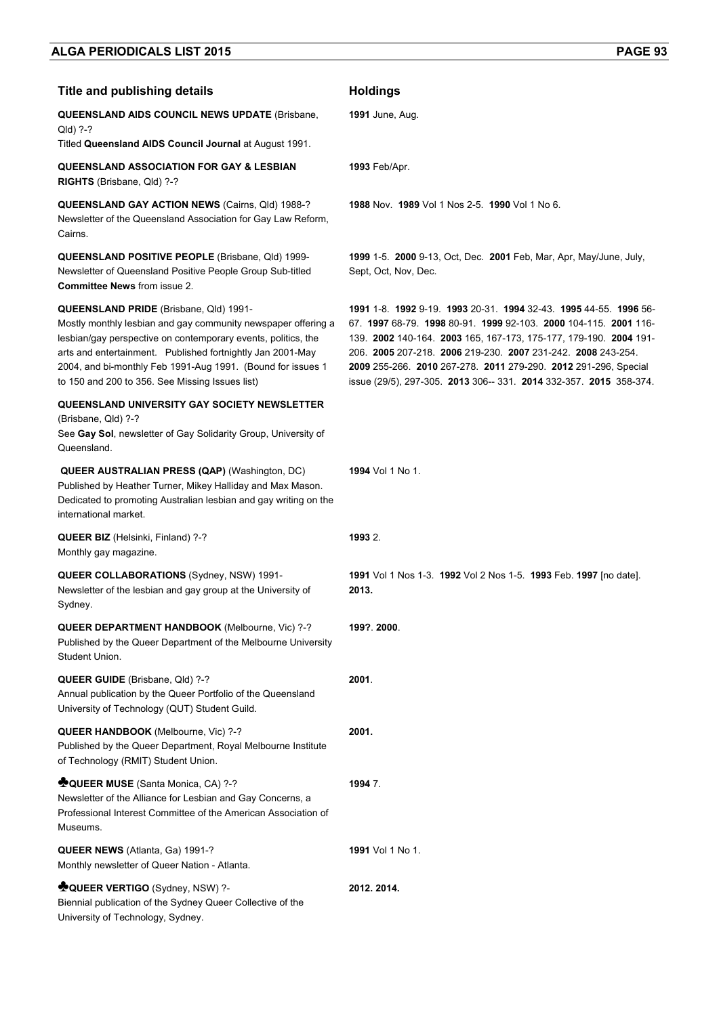| <b>Title and publishing details</b>                                                                                                                                                                                                                                                                                                                      | <b>Holdings</b>                                                                                                                                                                                                                                                                                                                                                                                                |
|----------------------------------------------------------------------------------------------------------------------------------------------------------------------------------------------------------------------------------------------------------------------------------------------------------------------------------------------------------|----------------------------------------------------------------------------------------------------------------------------------------------------------------------------------------------------------------------------------------------------------------------------------------------------------------------------------------------------------------------------------------------------------------|
| <b>QUEENSLAND AIDS COUNCIL NEWS UPDATE (Brisbane,</b><br>Qld) ?-?                                                                                                                                                                                                                                                                                        | <b>1991</b> June, Aug.                                                                                                                                                                                                                                                                                                                                                                                         |
| Titled Queensland AIDS Council Journal at August 1991.                                                                                                                                                                                                                                                                                                   |                                                                                                                                                                                                                                                                                                                                                                                                                |
| <b>QUEENSLAND ASSOCIATION FOR GAY &amp; LESBIAN</b><br>RIGHTS (Brisbane, Qld) ?-?                                                                                                                                                                                                                                                                        | <b>1993 Feb/Apr.</b>                                                                                                                                                                                                                                                                                                                                                                                           |
| QUEENSLAND GAY ACTION NEWS (Cairns, Qld) 1988-?<br>Newsletter of the Queensland Association for Gay Law Reform,<br>Cairns.                                                                                                                                                                                                                               | 1988 Nov. 1989 Vol 1 Nos 2-5. 1990 Vol 1 No 6.                                                                                                                                                                                                                                                                                                                                                                 |
| <b>QUEENSLAND POSITIVE PEOPLE (Brisbane, Qld) 1999-</b><br>Newsletter of Queensland Positive People Group Sub-titled<br><b>Committee News from issue 2.</b>                                                                                                                                                                                              | 1999 1-5. 2000 9-13, Oct, Dec. 2001 Feb, Mar, Apr, May/June, July,<br>Sept, Oct, Nov, Dec.                                                                                                                                                                                                                                                                                                                     |
| QUEENSLAND PRIDE (Brisbane, Qld) 1991-<br>Mostly monthly lesbian and gay community newspaper offering a<br>lesbian/gay perspective on contemporary events, politics, the<br>arts and entertainment. Published fortnightly Jan 2001-May<br>2004, and bi-monthly Feb 1991-Aug 1991. (Bound for issues 1<br>to 150 and 200 to 356. See Missing Issues list) | 1991 1-8 1992 9-19 1993 20-31 1994 32-43 1995 44-55 1996 56-<br>67. 1997 68-79. 1998 80-91. 1999 92-103. 2000 104-115. 2001 116-<br>139. 2002 140-164. 2003 165, 167-173, 175-177, 179-190. 2004 191-<br>206. 2005 207-218. 2006 219-230. 2007 231-242. 2008 243-254.<br>2009 255-266. 2010 267-278. 2011 279-290. 2012 291-296, Special<br>issue (29/5), 297-305. 2013 306-- 331. 2014 332-357. 2015 358-374. |
| QUEENSLAND UNIVERSITY GAY SOCIETY NEWSLETTER<br>(Brisbane, Qld) ?-?<br>See Gay Sol, newsletter of Gay Solidarity Group, University of<br>Queensland.                                                                                                                                                                                                     |                                                                                                                                                                                                                                                                                                                                                                                                                |
| QUEER AUSTRALIAN PRESS (QAP) (Washington, DC)<br>Published by Heather Turner, Mikey Halliday and Max Mason.<br>Dedicated to promoting Australian lesbian and gay writing on the<br>international market.                                                                                                                                                 | <b>1994</b> Vol 1 No 1.                                                                                                                                                                                                                                                                                                                                                                                        |
| <b>QUEER BIZ</b> (Helsinki, Finland) ?-?<br>Monthly gay magazine.                                                                                                                                                                                                                                                                                        | 1993 2.                                                                                                                                                                                                                                                                                                                                                                                                        |
| <b>QUEER COLLABORATIONS (Sydney, NSW) 1991-</b><br>Newsletter of the lesbian and gay group at the University of<br>Sydney.                                                                                                                                                                                                                               | 1991 Vol 1 Nos 1-3. 1992 Vol 2 Nos 1-5. 1993 Feb. 1997 [no date].<br>2013.                                                                                                                                                                                                                                                                                                                                     |
| QUEER DEPARTMENT HANDBOOK (Melbourne, Vic) ?-?<br>Published by the Queer Department of the Melbourne University<br>Student Union.                                                                                                                                                                                                                        | 199? 2000                                                                                                                                                                                                                                                                                                                                                                                                      |
| QUEER GUIDE (Brisbane, Qld) ?-?<br>Annual publication by the Queer Portfolio of the Queensland<br>University of Technology (QUT) Student Guild.                                                                                                                                                                                                          | 2001.                                                                                                                                                                                                                                                                                                                                                                                                          |
| QUEER HANDBOOK (Melbourne, Vic) ?-?<br>Published by the Queer Department, Royal Melbourne Institute<br>of Technology (RMIT) Student Union.                                                                                                                                                                                                               | 2001.                                                                                                                                                                                                                                                                                                                                                                                                          |
| <b>COUEER MUSE</b> (Santa Monica, CA) ?-?<br>Newsletter of the Alliance for Lesbian and Gay Concerns, a<br>Professional Interest Committee of the American Association of<br>Museums.                                                                                                                                                                    | 1994 7.                                                                                                                                                                                                                                                                                                                                                                                                        |
| QUEER NEWS (Atlanta, Ga) 1991-?<br>Monthly newsletter of Queer Nation - Atlanta.                                                                                                                                                                                                                                                                         | <b>1991</b> Vol 1 No 1.                                                                                                                                                                                                                                                                                                                                                                                        |
| <b>NOUEER VERTIGO</b> (Sydney, NSW) ?-<br>Biennial publication of the Sydney Queer Collective of the<br>University of Technology, Sydney.                                                                                                                                                                                                                | 2012. 2014.                                                                                                                                                                                                                                                                                                                                                                                                    |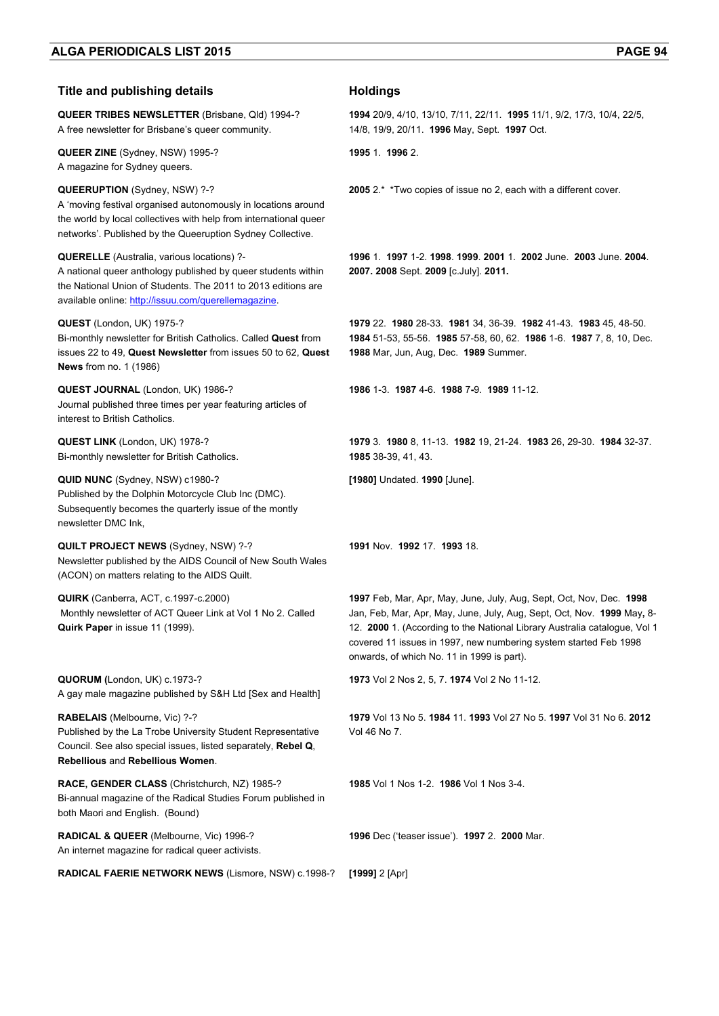## **Title and publishing details <b>Holdings**

**QUEER TRIBES NEWSLETTER** (Brisbane, Qld) 1994-? A free newsletter for Brisbane's queer community.

**QUEER ZINE** (Sydney, NSW) 1995-? A magazine for Sydney queers.

#### **QUEERUPTION** (Sydney, NSW) ?-?

A 'moving festival organised autonomously in locations around the world by local collectives with help from international queer networks'. Published by the Queeruption Sydney Collective.

### **QUERELLE** (Australia, various locations) ?-

A national queer anthology published by queer students within the National Union of Students. The 2011 to 2013 editions are available online: http://issuu.com/querellemagazine.

### **QUEST** (London, UK) 1975-?

Bi-monthly newsletter for British Catholics. Called **Quest** from issues 22 to 49, **Quest Newsletter** from issues 50 to 62, **Quest News** from no. 1 (1986)

**QUEST JOURNAL** (London, UK) 1986-? Journal published three times per year featuring articles of interest to British Catholics.

**QUEST LINK** (London, UK) 1978-? Bi-monthly newsletter for British Catholics.

**QUID NUNC** (Sydney, NSW) c1980-? Published by the Dolphin Motorcycle Club Inc (DMC). Subsequently becomes the quarterly issue of the montly newsletter DMC Ink,

**QUILT PROJECT NEWS** (Sydney, NSW) ?-? Newsletter published by the AIDS Council of New South Wales (ACON) on matters relating to the AIDS Quilt.

**QUIRK** (Canberra, ACT, c.1997-c.2000) Monthly newsletter of ACT Queer Link at Vol 1 No 2. Called **Quirk Paper** in issue 11 (1999).

**QUORUM (**London, UK) c.1973-? A gay male magazine published by S&H Ltd [Sex and Health]

**RABELAIS** (Melbourne, Vic) ?-? Published by the La Trobe University Student Representative Council. See also special issues, listed separately, **Rebel Q**, **Rebellious** and **Rebellious Women**.

**RACE, GENDER CLASS** (Christchurch, NZ) 1985-? Bi-annual magazine of the Radical Studies Forum published in both Maori and English. (Bound)

**RADICAL & QUEER** (Melbourne, Vic) 1996-? An internet magazine for radical queer activists.

**1994** 20/9, 4/10, 13/10, 7/11, 22/11. **1995** 11/1, 9/2, 17/3, 10/4, 22/5, 14/8, 19/9, 20/11. **1996** May, Sept. **1997** Oct.

**1995** 1. **1996** 2.

**2005** 2.\* \*Two copies of issue no 2, each with a different cover.

**1996** 1. **1997** 1-2. **1998**. **1999**. **2001** 1. **2002** June. **2003** June. **2004**. **2007. 2008** Sept. **2009** [c.July]. **2011.**

**1979** 22. **1980** 28-33. **1981** 34, 36-39. **1982** 41-43. **1983** 45, 48-50. **1984** 51-53, 55-56. **1985** 57-58, 60, 62. **1986** 1-6. **1987** 7, 8, 10, Dec. **1988** Mar, Jun, Aug, Dec. **1989** Summer.

**1986** 1-3. **1987** 4-6. **1988** 7**-**9. **1989** 11-12.

**1979** 3. **1980** 8, 11-13. **1982** 19, 21-24. **1983** 26, 29-30. **1984** 32-37. **1985** 38-39, 41, 43.

**[1980]** Undated. **1990** [June].

**1991** Nov. **1992** 17. **1993** 18.

**1997** Feb, Mar, Apr, May, June, July, Aug, Sept, Oct, Nov, Dec. **1998** Jan, Feb, Mar, Apr, May, June, July, Aug, Sept, Oct, Nov. **1999** May**,** 8- 12. **2000** 1. (According to the National Library Australia catalogue, Vol 1 covered 11 issues in 1997, new numbering system started Feb 1998 onwards, of which No. 11 in 1999 is part).

**1973** Vol 2 Nos 2, 5, 7. **1974** Vol 2 No 11-12.

**1979** Vol 13 No 5. **1984** 11. **1993** Vol 27 No 5. **1997** Vol 31 No 6. **2012**  Vol 46 No 7.

**1985** Vol 1 Nos 1-2. **1986** Vol 1 Nos 3-4.

**1996** Dec ('teaser issue'). **1997** 2. **2000** Mar.

**RADICAL FAERIE NETWORK NEWS** (Lismore, NSW) c.1998-? **[1999]** 2 [Apr]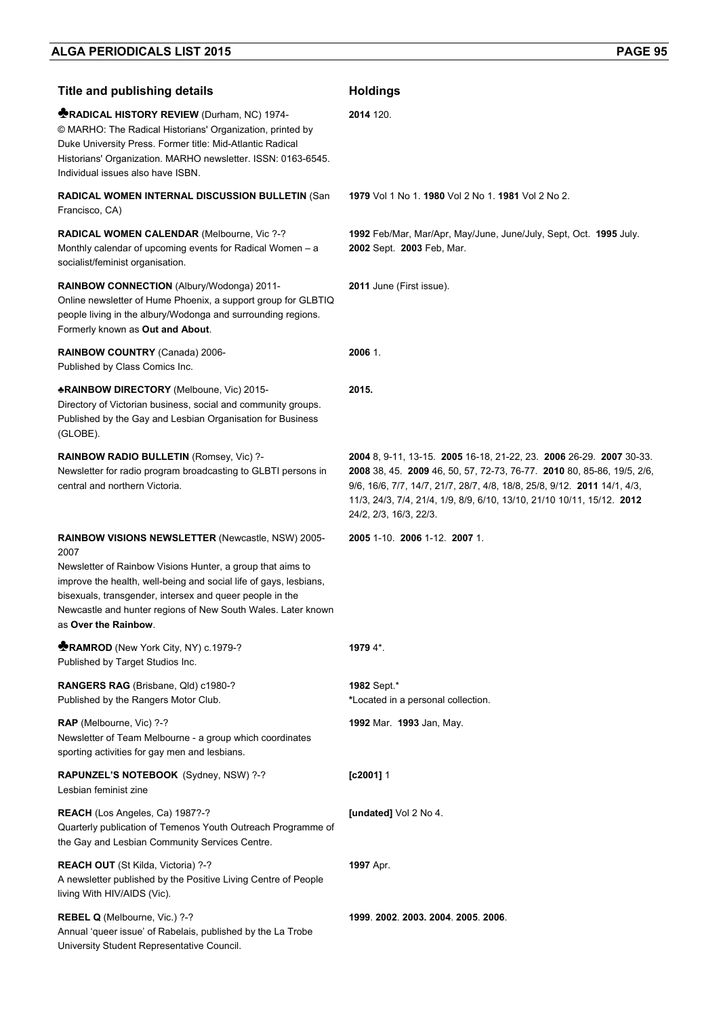| <b>Title and publishing details</b>                                                                                                                                                                                                                                                         | <b>Holdings</b>                                                                                                                                                                                                                                                                                                               |
|---------------------------------------------------------------------------------------------------------------------------------------------------------------------------------------------------------------------------------------------------------------------------------------------|-------------------------------------------------------------------------------------------------------------------------------------------------------------------------------------------------------------------------------------------------------------------------------------------------------------------------------|
| <b>MRADICAL HISTORY REVIEW (Durham, NC) 1974-</b><br>© MARHO: The Radical Historians' Organization, printed by<br>Duke University Press. Former title: Mid-Atlantic Radical<br>Historians' Organization. MARHO newsletter. ISSN: 0163-6545.<br>Individual issues also have ISBN.            | 2014 120.                                                                                                                                                                                                                                                                                                                     |
| <b>RADICAL WOMEN INTERNAL DISCUSSION BULLETIN (San</b><br>Francisco, CA)                                                                                                                                                                                                                    | 1979 Vol 1 No 1, 1980 Vol 2 No 1, 1981 Vol 2 No 2.                                                                                                                                                                                                                                                                            |
| RADICAL WOMEN CALENDAR (Melbourne, Vic ?-?<br>Monthly calendar of upcoming events for Radical Women - a<br>socialist/feminist organisation.                                                                                                                                                 | 1992 Feb/Mar, Mar/Apr, May/June, June/July, Sept, Oct. 1995 July.<br>2002 Sept. 2003 Feb, Mar.                                                                                                                                                                                                                                |
| RAINBOW CONNECTION (Albury/Wodonga) 2011-<br>Online newsletter of Hume Phoenix, a support group for GLBTIQ<br>people living in the albury/Wodonga and surrounding regions.<br>Formerly known as Out and About.                                                                              | <b>2011</b> June (First issue).                                                                                                                                                                                                                                                                                               |
| RAINBOW COUNTRY (Canada) 2006-<br>Published by Class Comics Inc.                                                                                                                                                                                                                            | 2006 1.                                                                                                                                                                                                                                                                                                                       |
| <b>*RAINBOW DIRECTORY</b> (Melboune, Vic) 2015-<br>Directory of Victorian business, social and community groups.<br>Published by the Gay and Lesbian Organisation for Business<br>(GLOBE).                                                                                                  | 2015.                                                                                                                                                                                                                                                                                                                         |
| RAINBOW RADIO BULLETIN (Romsey, Vic) ?-<br>Newsletter for radio program broadcasting to GLBTI persons in<br>central and northern Victoria.                                                                                                                                                  | 2004 8, 9-11, 13-15. 2005 16-18, 21-22, 23. 2006 26-29. 2007 30-33.<br>2008 38, 45. 2009 46, 50, 57, 72-73, 76-77. 2010 80, 85-86, 19/5, 2/6,<br>9/6, 16/6, 7/7, 14/7, 21/7, 28/7, 4/8, 18/8, 25/8, 9/12. 2011 14/1, 4/3,<br>11/3, 24/3, 7/4, 21/4, 1/9, 8/9, 6/10, 13/10, 21/10 10/11, 15/12. 2012<br>24/2, 2/3, 16/3, 22/3. |
| RAINBOW VISIONS NEWSLETTER (Newcastle, NSW) 2005-                                                                                                                                                                                                                                           | 2005 1-10. 2006 1-12. 2007 1.                                                                                                                                                                                                                                                                                                 |
| 2007<br>Newsletter of Rainbow Visions Hunter, a group that aims to<br>improve the health, well-being and social life of gays, lesbians,<br>bisexuals, transgender, intersex and queer people in the<br>Newcastle and hunter regions of New South Wales. Later known<br>as Over the Rainbow. |                                                                                                                                                                                                                                                                                                                               |
| <b>RAMROD</b> (New York City, NY) c.1979-?<br>Published by Target Studios Inc.                                                                                                                                                                                                              | 1979 4*.                                                                                                                                                                                                                                                                                                                      |
| RANGERS RAG (Brisbane, Qld) c1980-?<br>Published by the Rangers Motor Club.                                                                                                                                                                                                                 | 1982 Sept.*<br>*Located in a personal collection.                                                                                                                                                                                                                                                                             |
| RAP (Melbourne, Vic) ?-?<br>Newsletter of Team Melbourne - a group which coordinates<br>sporting activities for gay men and lesbians.                                                                                                                                                       | 1992 Mar. 1993 Jan, May.                                                                                                                                                                                                                                                                                                      |
| RAPUNZEL'S NOTEBOOK (Sydney, NSW) ?-?<br>Lesbian feminist zine                                                                                                                                                                                                                              | $[c2001]$ 1                                                                                                                                                                                                                                                                                                                   |
| REACH (Los Angeles, Ca) 1987?-?<br>Quarterly publication of Temenos Youth Outreach Programme of<br>the Gay and Lesbian Community Services Centre.                                                                                                                                           | [undated] Vol 2 No 4.                                                                                                                                                                                                                                                                                                         |
| <b>REACH OUT</b> (St Kilda, Victoria) ?-?<br>A newsletter published by the Positive Living Centre of People<br>living With HIV/AIDS (Vic).                                                                                                                                                  | <b>1997</b> Apr.                                                                                                                                                                                                                                                                                                              |
| REBEL Q (Melbourne, Vic.) ?-?<br>Annual 'queer issue' of Rabelais, published by the La Trobe<br>University Student Representative Council.                                                                                                                                                  | 1999. 2002. 2003. 2004. 2005. 2006.                                                                                                                                                                                                                                                                                           |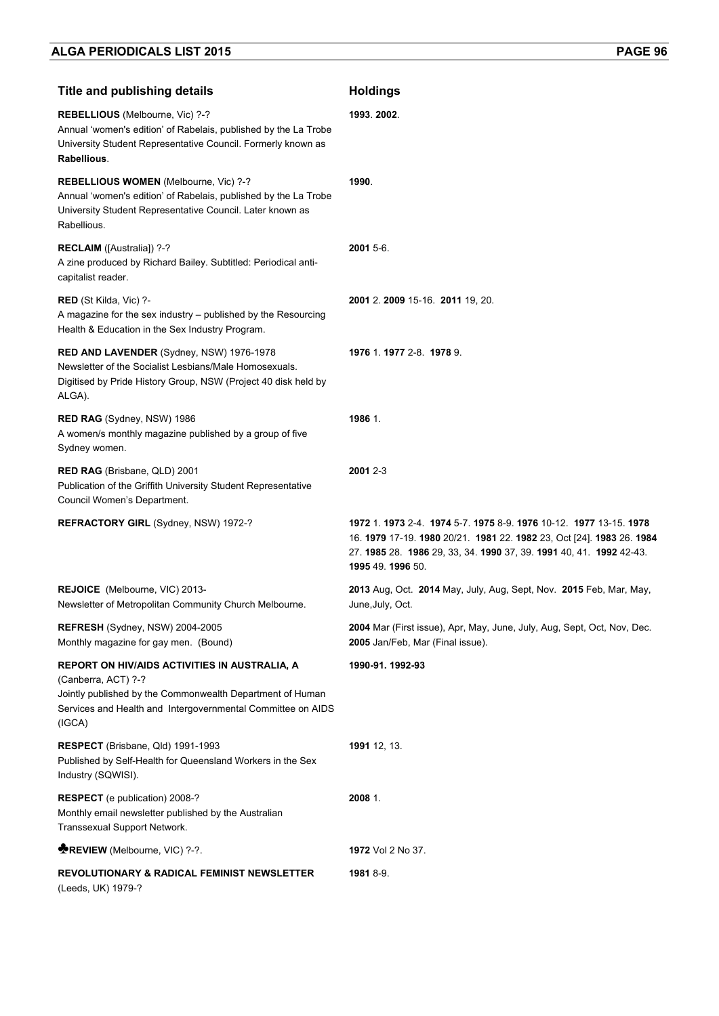| <b>Title and publishing details</b>                                                                                                                                                                               | <b>Holdings</b>                                                                                                                                                                                                                    |
|-------------------------------------------------------------------------------------------------------------------------------------------------------------------------------------------------------------------|------------------------------------------------------------------------------------------------------------------------------------------------------------------------------------------------------------------------------------|
| REBELLIOUS (Melbourne, Vic) ?-?<br>Annual 'women's edition' of Rabelais, published by the La Trobe<br>University Student Representative Council. Formerly known as<br>Rabellious.                                 | 1993.2002.                                                                                                                                                                                                                         |
| REBELLIOUS WOMEN (Melbourne, Vic) ?-?<br>Annual 'women's edition' of Rabelais, published by the La Trobe<br>University Student Representative Council. Later known as<br>Rabellious.                              | 1990.                                                                                                                                                                                                                              |
| RECLAIM ([Australia]) ?-?<br>A zine produced by Richard Bailey. Subtitled: Periodical anti-<br>capitalist reader.                                                                                                 | 2001 5-6.                                                                                                                                                                                                                          |
| RED (St Kilda, Vic) ?-<br>A magazine for the sex industry – published by the Resourcing<br>Health & Education in the Sex Industry Program.                                                                        | 2001 2. 2009 15-16. 2011 19, 20.                                                                                                                                                                                                   |
| RED AND LAVENDER (Sydney, NSW) 1976-1978<br>Newsletter of the Socialist Lesbians/Male Homosexuals.<br>Digitised by Pride History Group, NSW (Project 40 disk held by<br>ALGA).                                    | 1976 1.1977 2-8.1978 9.                                                                                                                                                                                                            |
| RED RAG (Sydney, NSW) 1986<br>A women/s monthly magazine published by a group of five<br>Sydney women.                                                                                                            | 1986 1.                                                                                                                                                                                                                            |
| <b>RED RAG</b> (Brisbane, QLD) 2001<br>Publication of the Griffith University Student Representative<br>Council Women's Department.                                                                               | 2001 2-3                                                                                                                                                                                                                           |
| <b>REFRACTORY GIRL (Sydney, NSW) 1972-?</b>                                                                                                                                                                       | 1972 1. 1973 2-4 1974 5-7 1975 8-9 1976 10-12 1977 13-15 1978<br>16. 1979 17-19. 1980 20/21. 1981 22. 1982 23, Oct [24]. 1983 26. 1984<br>27. 1985 28. 1986 29, 33, 34. 1990 37, 39. 1991 40, 41. 1992 42-43.<br>1995 49. 1996 50. |
| REJOICE (Melbourne, VIC) 2013-<br>Newsletter of Metropolitan Community Church Melbourne.                                                                                                                          | 2013 Aug, Oct. 2014 May, July, Aug, Sept, Nov. 2015 Feb, Mar, May,<br>June, July, Oct.                                                                                                                                             |
| REFRESH (Sydney, NSW) 2004-2005<br>Monthly magazine for gay men. (Bound)                                                                                                                                          | 2004 Mar (First issue), Apr, May, June, July, Aug, Sept, Oct, Nov, Dec.<br>2005 Jan/Feb, Mar (Final issue).                                                                                                                        |
| <b>REPORT ON HIV/AIDS ACTIVITIES IN AUSTRALIA, A</b><br>(Canberra, ACT) ?-?<br>Jointly published by the Commonwealth Department of Human<br>Services and Health and Intergovernmental Committee on AIDS<br>(IGCA) | 1990-91. 1992-93                                                                                                                                                                                                                   |
| RESPECT (Brisbane, Qld) 1991-1993<br>Published by Self-Health for Queensland Workers in the Sex<br>Industry (SQWISI).                                                                                             | 1991 12, 13.                                                                                                                                                                                                                       |
| RESPECT (e publication) 2008-?<br>Monthly email newsletter published by the Australian<br>Transsexual Support Network.                                                                                            | 2008 1.                                                                                                                                                                                                                            |
| REVIEW (Melbourne, VIC) ?-?.                                                                                                                                                                                      | 1972 Vol 2 No 37.                                                                                                                                                                                                                  |
| <b>REVOLUTIONARY &amp; RADICAL FEMINIST NEWSLETTER</b><br>(Leeds, UK) 1979-?                                                                                                                                      | 1981 8-9.                                                                                                                                                                                                                          |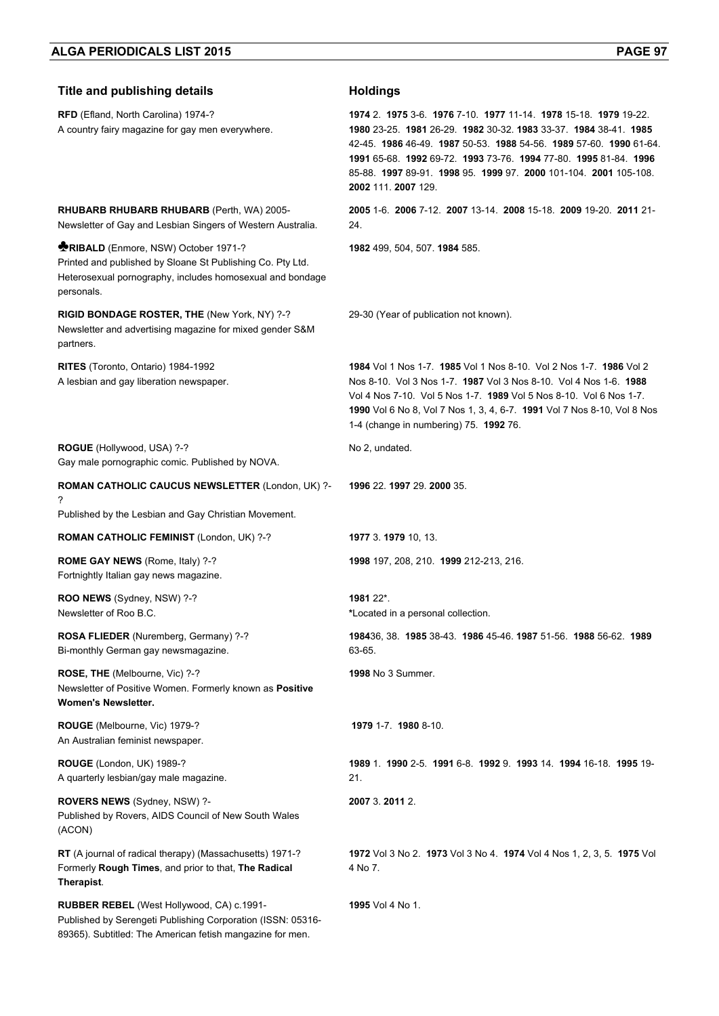| <b>Title and publishing details</b>                                                                                                                                                 | <b>Holdings</b>                                                                                                                                                                                                                                                                                                                                                |
|-------------------------------------------------------------------------------------------------------------------------------------------------------------------------------------|----------------------------------------------------------------------------------------------------------------------------------------------------------------------------------------------------------------------------------------------------------------------------------------------------------------------------------------------------------------|
| RFD (Efland, North Carolina) 1974-?<br>A country fairy magazine for gay men everywhere.                                                                                             | 1974 2. 1975 3-6. 1976 7-10. 1977 11-14. 1978 15-18. 1979 19-22.<br>1980 23-25. 1981 26-29. 1982 30-32. 1983 33-37. 1984 38-41. 1985<br>42-45 1986 46-49 1987 50-53 1988 54-56 1989 57-60 1990 61-64<br>1991 65-68 1992 69-72 1993 73-76 1994 77-80 1995 81-84 1996<br>85-88. 1997 89-91. 1998 95. 1999 97. 2000 101-104. 2001 105-108.<br>2002 111. 2007 129. |
| <b>RHUBARB RHUBARB RHUBARB (Perth, WA) 2005-</b><br>Newsletter of Gay and Lesbian Singers of Western Australia.                                                                     | 2005 1-6. 2006 7-12. 2007 13-14. 2008 15-18. 2009 19-20. 2011 21-<br>24.                                                                                                                                                                                                                                                                                       |
| <b>RIBALD</b> (Enmore, NSW) October 1971-?<br>Printed and published by Sloane St Publishing Co. Pty Ltd.<br>Heterosexual pornography, includes homosexual and bondage<br>personals. | 1982 499, 504, 507. 1984 585.                                                                                                                                                                                                                                                                                                                                  |
| RIGID BONDAGE ROSTER, THE (New York, NY) ?-?<br>Newsletter and advertising magazine for mixed gender S&M<br>partners.                                                               | 29-30 (Year of publication not known).                                                                                                                                                                                                                                                                                                                         |
| RITES (Toronto, Ontario) 1984-1992<br>A lesbian and gay liberation newspaper.                                                                                                       | 1984 Vol 1 Nos 1-7. 1985 Vol 1 Nos 8-10. Vol 2 Nos 1-7. 1986 Vol 2<br>Nos 8-10. Vol 3 Nos 1-7. 1987 Vol 3 Nos 8-10. Vol 4 Nos 1-6. 1988<br>Vol 4 Nos 7-10, Vol 5 Nos 1-7, 1989 Vol 5 Nos 8-10, Vol 6 Nos 1-7.<br>1990 Vol 6 No 8, Vol 7 Nos 1, 3, 4, 6-7. 1991 Vol 7 Nos 8-10, Vol 8 Nos<br>1-4 (change in numbering) 75. 1992 76.                             |
| ROGUE (Hollywood, USA) ?-?<br>Gay male pornographic comic. Published by NOVA.                                                                                                       | No 2, undated.                                                                                                                                                                                                                                                                                                                                                 |
| ROMAN CATHOLIC CAUCUS NEWSLETTER (London, UK) ?-<br>?<br>Published by the Lesbian and Gay Christian Movement.                                                                       | 1996 22. 1997 29. 2000 35.                                                                                                                                                                                                                                                                                                                                     |
| <b>ROMAN CATHOLIC FEMINIST (London, UK) ?-?</b>                                                                                                                                     | 1977 3. 1979 10, 13.                                                                                                                                                                                                                                                                                                                                           |
| ROME GAY NEWS (Rome, Italy) ?-?<br>Fortnightly Italian gay news magazine.                                                                                                           | 1998 197, 208, 210. 1999 212-213, 216.                                                                                                                                                                                                                                                                                                                         |
| ROO NEWS (Sydney, NSW) ?-?<br>Newsletter of Roo B.C.                                                                                                                                | 1981 22*.<br>*Located in a personal collection.                                                                                                                                                                                                                                                                                                                |
| ROSA FLIEDER (Nuremberg, Germany) ?-?<br>Bi-monthly German gay newsmagazine.                                                                                                        | 198436, 38. 1985 38-43. 1986 45-46. 1987 51-56. 1988 56-62. 1989<br>63-65.                                                                                                                                                                                                                                                                                     |
| ROSE, THE (Melbourne, Vic) ?-?<br>Newsletter of Positive Women. Formerly known as Positive<br>Women's Newsletter.                                                                   | 1998 No 3 Summer.                                                                                                                                                                                                                                                                                                                                              |
| ROUGE (Melbourne, Vic) 1979-?<br>An Australian feminist newspaper.                                                                                                                  | 1979 1-7 1980 8-10                                                                                                                                                                                                                                                                                                                                             |
| ROUGE (London, UK) 1989-?<br>A quarterly lesbian/gay male magazine.                                                                                                                 | 1989 1 1990 2-5 1991 6-8 1992 9 1993 14 1994 16-18 1995 19-<br>21.                                                                                                                                                                                                                                                                                             |
| ROVERS NEWS (Sydney, NSW) ?-<br>Published by Rovers, AIDS Council of New South Wales<br>(ACON)                                                                                      | 2007 3.2011 2.                                                                                                                                                                                                                                                                                                                                                 |
| RT (A journal of radical therapy) (Massachusetts) 1971-?<br>Formerly Rough Times, and prior to that, The Radical<br>Therapist.                                                      | 1972 Vol 3 No 2. 1973 Vol 3 No 4. 1974 Vol 4 Nos 1, 2, 3, 5. 1975 Vol<br>4 No 7.                                                                                                                                                                                                                                                                               |
| RUBBER REBEL (West Hollywood, CA) c.1991-<br>Published by Serengeti Publishing Corporation (ISSN: 05316-<br>89365). Subtitled: The American fetish mangazine for men.               | 1995 Vol 4 No 1.                                                                                                                                                                                                                                                                                                                                               |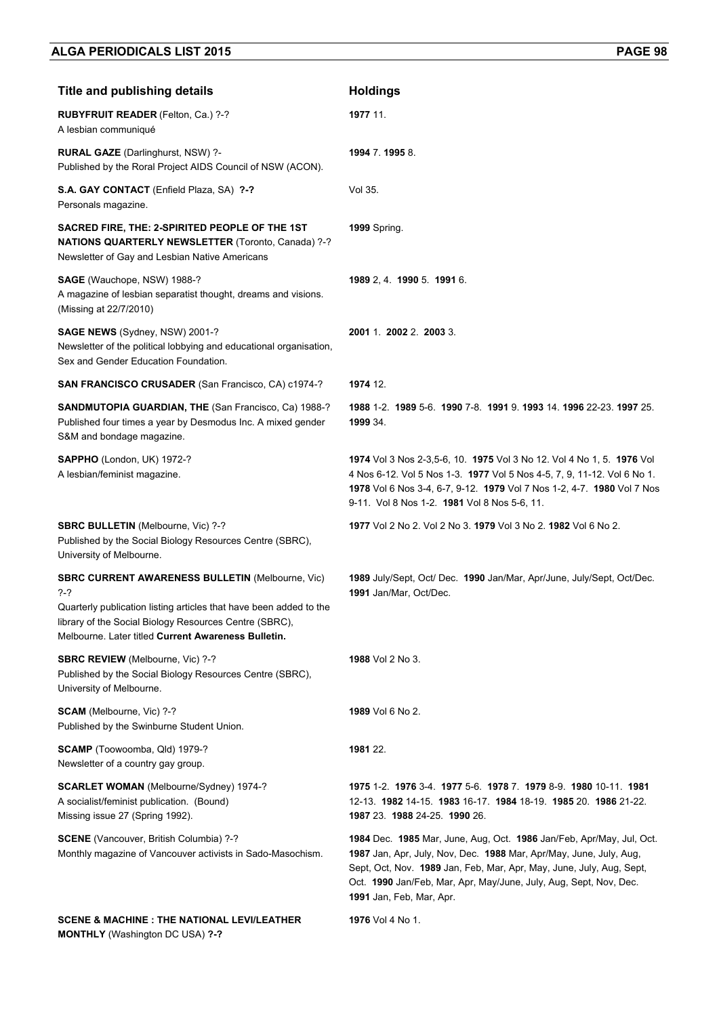| <b>Title and publishing details</b>                                                                                                                                                                                                                   | <b>Holdings</b>                                                                                                                                                                                                                                                                                                     |
|-------------------------------------------------------------------------------------------------------------------------------------------------------------------------------------------------------------------------------------------------------|---------------------------------------------------------------------------------------------------------------------------------------------------------------------------------------------------------------------------------------------------------------------------------------------------------------------|
| <b>RUBYFRUIT READER (Felton, Ca.) ?-?</b><br>A lesbian communiqué                                                                                                                                                                                     | 1977 11.                                                                                                                                                                                                                                                                                                            |
| RURAL GAZE (Darlinghurst, NSW) ?-<br>Published by the Roral Project AIDS Council of NSW (ACON).                                                                                                                                                       | 1994 7.1995 8.                                                                                                                                                                                                                                                                                                      |
| S.A. GAY CONTACT (Enfield Plaza, SA) ?-?<br>Personals magazine.                                                                                                                                                                                       | Vol 35.                                                                                                                                                                                                                                                                                                             |
| SACRED FIRE, THE: 2-SPIRITED PEOPLE OF THE 1ST<br><b>NATIONS QUARTERLY NEWSLETTER (Toronto, Canada) ?-?</b><br>Newsletter of Gay and Lesbian Native Americans                                                                                         | <b>1999</b> Spring.                                                                                                                                                                                                                                                                                                 |
| SAGE (Wauchope, NSW) 1988-?<br>A magazine of lesbian separatist thought, dreams and visions.<br>(Missing at 22/7/2010)                                                                                                                                | 1989 2, 4. 1990 5. 1991 6.                                                                                                                                                                                                                                                                                          |
| SAGE NEWS (Sydney, NSW) 2001-?<br>Newsletter of the political lobbying and educational organisation,<br>Sex and Gender Education Foundation.                                                                                                          | 2001 1. 2002 2. 2003 3.                                                                                                                                                                                                                                                                                             |
| SAN FRANCISCO CRUSADER (San Francisco, CA) c1974-?                                                                                                                                                                                                    | 1974 12.                                                                                                                                                                                                                                                                                                            |
| SANDMUTOPIA GUARDIAN, THE (San Francisco, Ca) 1988-?<br>Published four times a year by Desmodus Inc. A mixed gender<br>S&M and bondage magazine.                                                                                                      | 1988 1-2, 1989 5-6, 1990 7-8, 1991 9, 1993 14, 1996 22-23, 1997 25,<br>1999 34.                                                                                                                                                                                                                                     |
| SAPPHO (London, UK) 1972-?<br>A lesbian/feminist magazine.                                                                                                                                                                                            | 1974 Vol 3 Nos 2-3,5-6, 10. 1975 Vol 3 No 12. Vol 4 No 1, 5. 1976 Vol<br>4 Nos 6-12. Vol 5 Nos 1-3. 1977 Vol 5 Nos 4-5, 7, 9, 11-12. Vol 6 No 1.<br>1978 Vol 6 Nos 3-4, 6-7, 9-12. 1979 Vol 7 Nos 1-2, 4-7. 1980 Vol 7 Nos<br>9-11. Vol 8 Nos 1-2. 1981 Vol 8 Nos 5-6, 11.                                          |
| SBRC BULLETIN (Melbourne, Vic) ?-?<br>Published by the Social Biology Resources Centre (SBRC),<br>University of Melbourne.                                                                                                                            | 1977 Vol 2 No 2. Vol 2 No 3. 1979 Vol 3 No 2. 1982 Vol 6 No 2.                                                                                                                                                                                                                                                      |
| <b>SBRC CURRENT AWARENESS BULLETIN (Melbourne, Vic)</b><br>?-?<br>Quarterly publication listing articles that have been added to the<br>library of the Social Biology Resources Centre (SBRC),<br>Melbourne. Later titled Current Awareness Bulletin. | 1989 July/Sept, Oct/ Dec. 1990 Jan/Mar, Apr/June, July/Sept, Oct/Dec.<br>1991 Jan/Mar, Oct/Dec.                                                                                                                                                                                                                     |
| <b>SBRC REVIEW</b> (Melbourne, Vic) ?-?<br>Published by the Social Biology Resources Centre (SBRC),<br>University of Melbourne.                                                                                                                       | 1988 Vol 2 No 3.                                                                                                                                                                                                                                                                                                    |
| <b>SCAM</b> (Melbourne, Vic) ?-?<br>Published by the Swinburne Student Union.                                                                                                                                                                         | 1989 Vol 6 No 2.                                                                                                                                                                                                                                                                                                    |
| SCAMP (Toowoomba, Qld) 1979-?<br>Newsletter of a country gay group.                                                                                                                                                                                   | 1981 22.                                                                                                                                                                                                                                                                                                            |
| <b>SCARLET WOMAN (Melbourne/Sydney) 1974-?</b><br>A socialist/feminist publication. (Bound)<br>Missing issue 27 (Spring 1992).                                                                                                                        | 1975 1-2, 1976 3-4, 1977 5-6, 1978 7, 1979 8-9, 1980 10-11, 1981<br>12-13. 1982 14-15. 1983 16-17. 1984 18-19. 1985 20. 1986 21-22.<br>1987 23 1988 24-25 1990 26                                                                                                                                                   |
| SCENE (Vancouver, British Columbia) ?-?<br>Monthly magazine of Vancouver activists in Sado-Masochism.                                                                                                                                                 | 1984 Dec. 1985 Mar, June, Aug, Oct. 1986 Jan/Feb, Apr/May, Jul, Oct.<br>1987 Jan, Apr, July, Nov, Dec. 1988 Mar, Apr/May, June, July, Aug,<br>Sept, Oct, Nov. 1989 Jan, Feb, Mar, Apr, May, June, July, Aug, Sept,<br>Oct. 1990 Jan/Feb, Mar, Apr, May/June, July, Aug, Sept, Nov, Dec.<br>1991 Jan, Feb, Mar, Apr. |
| <b>SCENE &amp; MACHINE : THE NATIONAL LEVI/LEATHER</b><br><b>MONTHLY</b> (Washington DC USA) ?-?                                                                                                                                                      | 1976 Vol 4 No 1.                                                                                                                                                                                                                                                                                                    |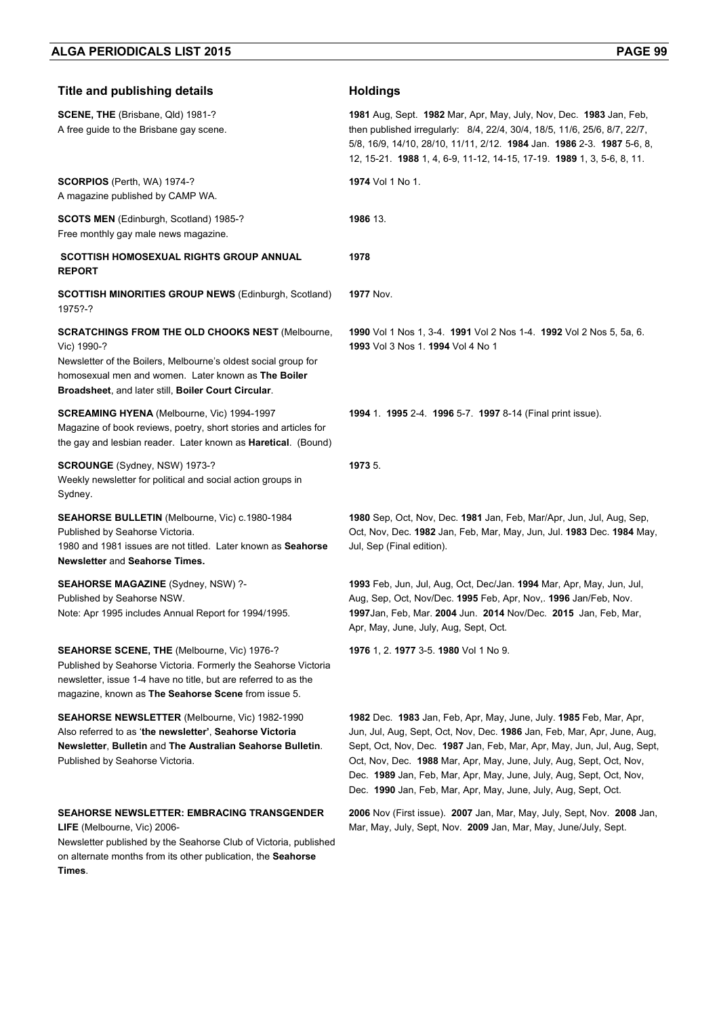| <b>Title and publishing details</b>                                                                                                                                                                                                                    | <b>Holdings</b>                                                                                                                                                                                                                                                                                                                                                                                                                          |
|--------------------------------------------------------------------------------------------------------------------------------------------------------------------------------------------------------------------------------------------------------|------------------------------------------------------------------------------------------------------------------------------------------------------------------------------------------------------------------------------------------------------------------------------------------------------------------------------------------------------------------------------------------------------------------------------------------|
| SCENE, THE (Brisbane, Qld) 1981-?<br>A free guide to the Brisbane gay scene.                                                                                                                                                                           | 1981 Aug, Sept. 1982 Mar, Apr, May, July, Nov, Dec. 1983 Jan, Feb,<br>then published irregularly: 8/4, 22/4, 30/4, 18/5, 11/6, 25/6, 8/7, 22/7,<br>5/8, 16/9, 14/10, 28/10, 11/11, 2/12. 1984 Jan. 1986 2-3. 1987 5-6, 8,<br>12, 15-21. 1988 1, 4, 6-9, 11-12, 14-15, 17-19. 1989 1, 3, 5-6, 8, 11.                                                                                                                                      |
| <b>SCORPIOS</b> (Perth, WA) 1974-?<br>A magazine published by CAMP WA.                                                                                                                                                                                 | 1974 Vol 1 No 1.                                                                                                                                                                                                                                                                                                                                                                                                                         |
| SCOTS MEN (Edinburgh, Scotland) 1985-?<br>Free monthly gay male news magazine.                                                                                                                                                                         | 1986 13.                                                                                                                                                                                                                                                                                                                                                                                                                                 |
| <b>SCOTTISH HOMOSEXUAL RIGHTS GROUP ANNUAL</b><br><b>REPORT</b>                                                                                                                                                                                        | 1978                                                                                                                                                                                                                                                                                                                                                                                                                                     |
| <b>SCOTTISH MINORITIES GROUP NEWS (Edinburgh, Scotland)</b><br>1975?-?                                                                                                                                                                                 | <b>1977 Nov.</b>                                                                                                                                                                                                                                                                                                                                                                                                                         |
| <b>SCRATCHINGS FROM THE OLD CHOOKS NEST (Melbourne,</b><br>Vic) 1990-?<br>Newsletter of the Boilers, Melbourne's oldest social group for<br>homosexual men and women. Later known as The Boiler<br>Broadsheet, and later still, Boiler Court Circular. | 1990 Vol 1 Nos 1, 3-4, 1991 Vol 2 Nos 1-4, 1992 Vol 2 Nos 5, 5a, 6.<br>1993 Vol 3 Nos 1. 1994 Vol 4 No 1                                                                                                                                                                                                                                                                                                                                 |
| <b>SCREAMING HYENA (Melbourne, Vic) 1994-1997</b><br>Magazine of book reviews, poetry, short stories and articles for<br>the gay and lesbian reader. Later known as <b>Haretical</b> . (Bound)                                                         | 1994 1. 1995 2-4. 1996 5-7. 1997 8-14 (Final print issue).                                                                                                                                                                                                                                                                                                                                                                               |
| SCROUNGE (Sydney, NSW) 1973-?<br>Weekly newsletter for political and social action groups in<br>Sydney.                                                                                                                                                | 1973 5.                                                                                                                                                                                                                                                                                                                                                                                                                                  |
| SEAHORSE BULLETIN (Melbourne, Vic) c.1980-1984<br>Published by Seahorse Victoria.<br>1980 and 1981 issues are not titled. Later known as Seahorse<br>Newsletter and Seahorse Times.                                                                    | 1980 Sep, Oct, Nov, Dec. 1981 Jan, Feb, Mar/Apr, Jun, Jul, Aug, Sep,<br>Oct, Nov, Dec. 1982 Jan, Feb, Mar, May, Jun, Jul. 1983 Dec. 1984 May,<br>Jul, Sep (Final edition).                                                                                                                                                                                                                                                               |
| <b>SEAHORSE MAGAZINE (Sydney, NSW) ?-</b><br>Published by Seahorse NSW.<br>Note: Apr 1995 includes Annual Report for 1994/1995.                                                                                                                        | 1993 Feb, Jun, Jul, Aug, Oct, Dec/Jan. 1994 Mar, Apr, May, Jun, Jul,<br>Aug, Sep, Oct, Nov/Dec. 1995 Feb, Apr, Nov,. 1996 Jan/Feb, Nov.<br>1997Jan, Feb, Mar. 2004 Jun. 2014 Nov/Dec. 2015 Jan, Feb, Mar,<br>Apr, May, June, July, Aug, Sept, Oct.                                                                                                                                                                                       |
| <b>SEAHORSE SCENE, THE (Melbourne, Vic) 1976-?</b><br>Published by Seahorse Victoria. Formerly the Seahorse Victoria<br>newsletter, issue 1-4 have no title, but are referred to as the<br>magazine, known as The Seahorse Scene from issue 5.         | 1976 1, 2. 1977 3-5. 1980 Vol 1 No 9.                                                                                                                                                                                                                                                                                                                                                                                                    |
| <b>SEAHORSE NEWSLETTER (Melbourne, Vic) 1982-1990</b><br>Also referred to as 'the newsletter', Seahorse Victoria<br>Newsletter, Bulletin and The Australian Seahorse Bulletin.<br>Published by Seahorse Victoria.                                      | 1982 Dec. 1983 Jan, Feb, Apr, May, June, July. 1985 Feb, Mar, Apr,<br>Jun, Jul, Aug, Sept, Oct, Nov, Dec. 1986 Jan, Feb, Mar, Apr, June, Aug,<br>Sept, Oct, Nov, Dec. 1987 Jan, Feb, Mar, Apr, May, Jun, Jul, Aug, Sept,<br>Oct, Nov, Dec. 1988 Mar, Apr, May, June, July, Aug, Sept, Oct, Nov,<br>Dec. 1989 Jan, Feb, Mar, Apr, May, June, July, Aug, Sept, Oct, Nov,<br>Dec. 1990 Jan, Feb, Mar, Apr, May, June, July, Aug, Sept, Oct. |
| <b>SEAHORSE NEWSLETTER: EMBRACING TRANSGENDER</b><br>LIFE (Melbourne, Vic) 2006-<br>Newsletter published by the Seahorse Club of Victoria, published<br>on alternate months from its other publication, the Seahorse<br>Times.                         | 2006 Nov (First issue). 2007 Jan, Mar, May, July, Sept, Nov. 2008 Jan,<br>Mar, May, July, Sept, Nov. 2009 Jan, Mar, May, June/July, Sept.                                                                                                                                                                                                                                                                                                |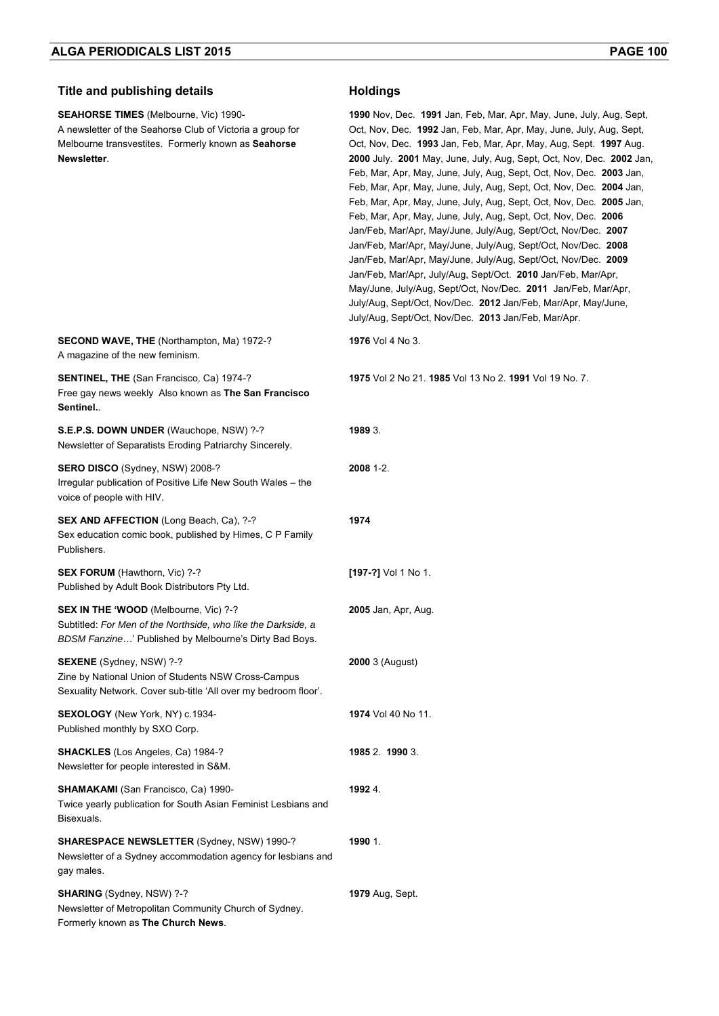## **Title and publishing details <b>Holdings**

**SEAHORSE TIMES** (Melbourne, Vic) 1990- A newsletter of the Seahorse Club of Victoria a group for Melbourne transvestites. Formerly known as **Seahorse Newsletter**.

**SECOND WAVE, THE** (Northampton, Ma) 1972-?

Free gay news weekly Also known as **The San Francisco** 

**SENTINEL, THE** (San Francisco, Ca) 1974-?

A magazine of the new feminism.

**Sentinel.**.

**1990** Nov, Dec. **1991** Jan, Feb, Mar, Apr, May, June, July, Aug, Sept, Oct, Nov, Dec. **1992** Jan, Feb, Mar, Apr, May, June, July, Aug, Sept, Oct, Nov, Dec. **1993** Jan, Feb, Mar, Apr, May, Aug, Sept. **1997** Aug. **2000** July. **2001** May, June, July, Aug, Sept, Oct, Nov, Dec. **2002** Jan, Feb, Mar, Apr, May, June, July, Aug, Sept, Oct, Nov, Dec. **2003** Jan, Feb, Mar, Apr, May, June, July, Aug, Sept, Oct, Nov, Dec. **2004** Jan, Feb, Mar, Apr, May, June, July, Aug, Sept, Oct, Nov, Dec. **2005** Jan, Feb, Mar, Apr, May, June, July, Aug, Sept, Oct, Nov, Dec. **2006** Jan/Feb, Mar/Apr, May/June, July/Aug, Sept/Oct, Nov/Dec. **2007** Jan/Feb, Mar/Apr, May/June, July/Aug, Sept/Oct, Nov/Dec. **2008** Jan/Feb, Mar/Apr, May/June, July/Aug, Sept/Oct, Nov/Dec. **2009** Jan/Feb, Mar/Apr, July/Aug, Sept/Oct. **2010** Jan/Feb, Mar/Apr, May/June, July/Aug, Sept/Oct, Nov/Dec. **2011** Jan/Feb, Mar/Apr, July/Aug, Sept/Oct, Nov/Dec. **2012** Jan/Feb, Mar/Apr, May/June, July/Aug, Sept/Oct, Nov/Dec. **2013** Jan/Feb, Mar/Apr.

**1976** Vol 4 No 3.

**1975** Vol 2 No 21. **1985** Vol 13 No 2. **1991** Vol 19 No. 7.

**S.E.P.S. DOWN UNDER** (Wauchope, NSW) ?-? Newsletter of Separatists Eroding Patriarchy Sincerely. **1989** 3. **SERO DISCO** (Sydney, NSW) 2008-? Irregular publication of Positive Life New South Wales – the voice of people with HIV. **2008** 1-2. **SEX AND AFFECTION** (Long Beach, Ca), ?-? Sex education comic book, published by Himes, C P Family Publishers. **1974 SEX FORUM** (Hawthorn, Vic) ?-? Published by Adult Book Distributors Pty Ltd. **[197-?]** Vol 1 No 1. **SEX IN THE 'WOOD** (Melbourne, Vic) ?-? Subtitled: *For Men of the Northside, who like the Darkside, a BDSM Fanzine*…' Published by Melbourne's Dirty Bad Boys. **2005** Jan, Apr, Aug. **SEXENE** (Sydney, NSW) ?-? Zine by National Union of Students NSW Cross-Campus Sexuality Network. Cover sub-title 'All over my bedroom floor'. **2000** 3 (August) **SEXOLOGY** (New York, NY) c.1934- Published monthly by SXO Corp. **1974** Vol 40 No 11. **SHACKLES** (Los Angeles, Ca) 1984-? Newsletter for people interested in S&M. **1985** 2. **1990** 3. **SHAMAKAMI** (San Francisco, Ca) 1990- Twice yearly publication for South Asian Feminist Lesbians and Bisexuals. **1992** 4. **SHARESPACE NEWSLETTER** (Sydney, NSW) 1990-? Newsletter of a Sydney accommodation agency for lesbians and gay males. **1990** 1.

**SHARING** (Sydney, NSW) ?-? Newsletter of Metropolitan Community Church of Sydney. Formerly known as **The Church News**. **1979** Aug, Sept.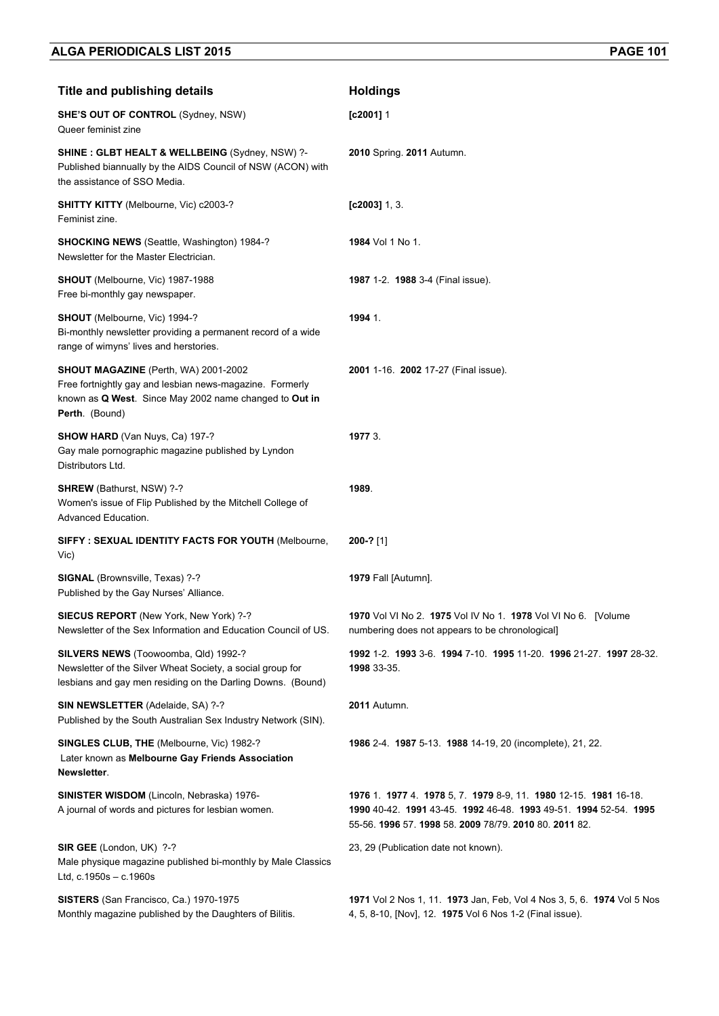| <b>Title and publishing details</b>                                                                                                                                          | <b>Holdings</b>                                                                                                                                                                           |
|------------------------------------------------------------------------------------------------------------------------------------------------------------------------------|-------------------------------------------------------------------------------------------------------------------------------------------------------------------------------------------|
| <b>SHE'S OUT OF CONTROL (Sydney, NSW)</b><br>Queer feminist zine                                                                                                             | $[$ c2001] 1                                                                                                                                                                              |
| <b>SHINE: GLBT HEALT &amp; WELLBEING (Sydney, NSW) ?-</b><br>Published biannually by the AIDS Council of NSW (ACON) with<br>the assistance of SSO Media.                     | 2010 Spring. 2011 Autumn.                                                                                                                                                                 |
| <b>SHITTY KITTY</b> (Melbourne, Vic) c2003-?<br>Feminist zine.                                                                                                               | $[c2003]$ 1, 3.                                                                                                                                                                           |
| <b>SHOCKING NEWS (Seattle, Washington) 1984-?</b><br>Newsletter for the Master Electrician.                                                                                  | 1984 Vol 1 No 1.                                                                                                                                                                          |
| SHOUT (Melbourne, Vic) 1987-1988<br>Free bi-monthly gay newspaper.                                                                                                           | 1987 1-2. 1988 3-4 (Final issue).                                                                                                                                                         |
| SHOUT (Melbourne, Vic) 1994-?<br>Bi-monthly newsletter providing a permanent record of a wide<br>range of wimyns' lives and herstories.                                      | 1994 1.                                                                                                                                                                                   |
| SHOUT MAGAZINE (Perth, WA) 2001-2002<br>Free fortnightly gay and lesbian news-magazine. Formerly<br>known as Q West. Since May 2002 name changed to Out in<br>Perth. (Bound) | 2001 1-16. 2002 17-27 (Final issue).                                                                                                                                                      |
| SHOW HARD (Van Nuys, Ca) 197-?<br>Gay male pornographic magazine published by Lyndon<br>Distributors Ltd.                                                                    | 1977 3.                                                                                                                                                                                   |
| <b>SHREW</b> (Bathurst, NSW) ?-?<br>Women's issue of Flip Published by the Mitchell College of<br>Advanced Education.                                                        | 1989.                                                                                                                                                                                     |
| SIFFY: SEXUAL IDENTITY FACTS FOR YOUTH (Melbourne,<br>Vic)                                                                                                                   | $200-?$ [1]                                                                                                                                                                               |
| SIGNAL (Brownsville, Texas) ?-?<br>Published by the Gay Nurses' Alliance.                                                                                                    | 1979 Fall [Autumn].                                                                                                                                                                       |
| <b>SIECUS REPORT</b> (New York, New York) ?-?<br>Newsletter of the Sex Information and Education Council of US.                                                              | 1970 Vol VI No 2. 1975 Vol IV No 1. 1978 Vol VI No 6. [Volume<br>numbering does not appears to be chronological]                                                                          |
| SILVERS NEWS (Toowoomba, Qld) 1992-?<br>Newsletter of the Silver Wheat Society, a social group for<br>lesbians and gay men residing on the Darling Downs. (Bound)            | 1992 1-2 1993 3-6 1994 7-10 1995 11-20 1996 21-27 1997 28-32<br>1998 33-35.                                                                                                               |
| SIN NEWSLETTER (Adelaide, SA) ?-?<br>Published by the South Australian Sex Industry Network (SIN).                                                                           | 2011 Autumn.                                                                                                                                                                              |
| SINGLES CLUB, THE (Melbourne, Vic) 1982-?<br>Later known as Melbourne Gay Friends Association<br>Newsletter.                                                                 | 1986 2-4. 1987 5-13. 1988 14-19, 20 (incomplete), 21, 22.                                                                                                                                 |
| SINISTER WISDOM (Lincoln, Nebraska) 1976-<br>A journal of words and pictures for lesbian women.                                                                              | 1976 1 1977 4 1978 5, 7 1979 8-9, 11 1980 12-15 1981 16-18.<br>1990 40-42. 1991 43-45. 1992 46-48. 1993 49-51. 1994 52-54. 1995<br>55-56. 1996 57. 1998 58. 2009 78/79. 2010 80. 2011 82. |
| SIR GEE (London, UK) ?-?<br>Male physique magazine published bi-monthly by Male Classics<br>Ltd, c.1950s - c.1960s                                                           | 23, 29 (Publication date not known).                                                                                                                                                      |
| SISTERS (San Francisco, Ca.) 1970-1975<br>Monthly magazine published by the Daughters of Bilitis.                                                                            | 1971 Vol 2 Nos 1, 11. 1973 Jan, Feb, Vol 4 Nos 3, 5, 6. 1974 Vol 5 Nos<br>4, 5, 8-10, [Nov], 12. 1975 Vol 6 Nos 1-2 (Final issue).                                                        |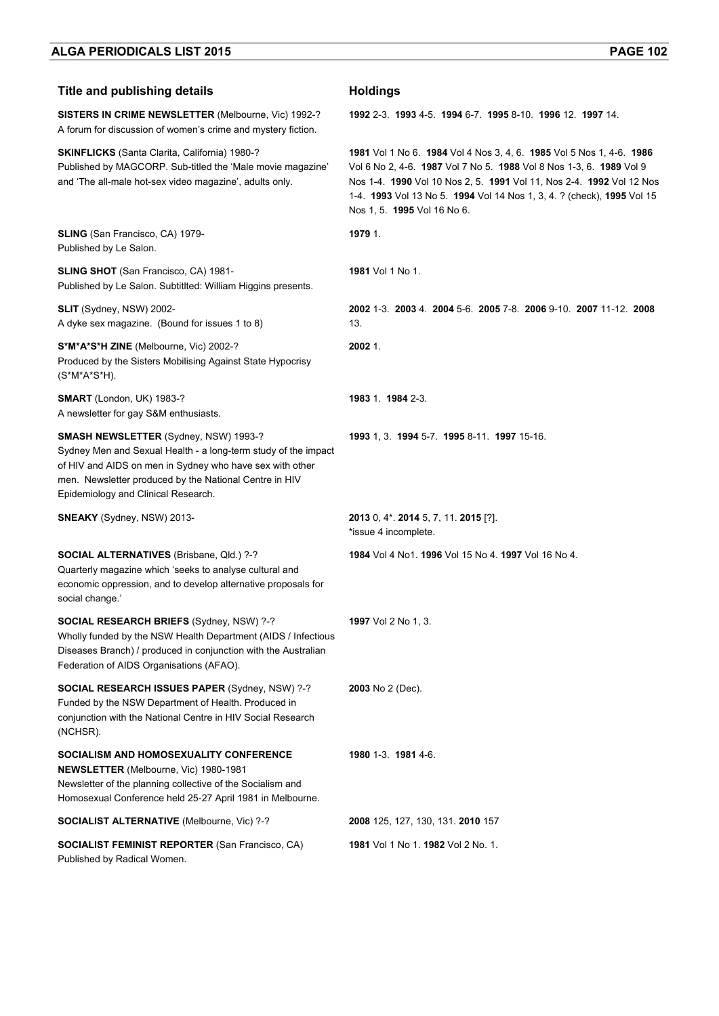| <b>Title and publishing details</b>                                                                                                                                                                                                                                         | <b>Holdings</b>                                                                                                                                                                                                                                                                                                              |
|-----------------------------------------------------------------------------------------------------------------------------------------------------------------------------------------------------------------------------------------------------------------------------|------------------------------------------------------------------------------------------------------------------------------------------------------------------------------------------------------------------------------------------------------------------------------------------------------------------------------|
| SISTERS IN CRIME NEWSLETTER (Melbourne, Vic) 1992-?<br>A forum for discussion of women's crime and mystery fiction.                                                                                                                                                         | 1992 2-3 1993 4-5 1994 6-7 1995 8-10 1996 12 1997 14                                                                                                                                                                                                                                                                         |
| <b>SKINFLICKS</b> (Santa Clarita, California) 1980-?<br>Published by MAGCORP. Sub-titled the 'Male movie magazine'<br>and 'The all-male hot-sex video magazine', adults only.                                                                                               | 1981 Vol 1 No 6. 1984 Vol 4 Nos 3, 4, 6. 1985 Vol 5 Nos 1, 4-6. 1986<br>Vol 6 No 2, 4-6. 1987 Vol 7 No 5. 1988 Vol 8 Nos 1-3, 6. 1989 Vol 9<br>Nos 1-4. 1990 Vol 10 Nos 2, 5. 1991 Vol 11, Nos 2-4. 1992 Vol 12 Nos<br>1-4. 1993 Vol 13 No 5. 1994 Vol 14 Nos 1, 3, 4. ? (check), 1995 Vol 15<br>Nos 1, 5. 1995 Vol 16 No 6. |
| <b>SLING</b> (San Francisco, CA) 1979-<br>Published by Le Salon.                                                                                                                                                                                                            | 1979 1.                                                                                                                                                                                                                                                                                                                      |
| <b>SLING SHOT</b> (San Francisco, CA) 1981-<br>Published by Le Salon. Subtitited: William Higgins presents.                                                                                                                                                                 | <b>1981</b> Vol 1 No 1.                                                                                                                                                                                                                                                                                                      |
| SLIT (Sydney, NSW) 2002-<br>A dyke sex magazine. (Bound for issues 1 to 8)                                                                                                                                                                                                  | 2002 1-3 2003 4 2004 5-6 2005 7-8 2006 9-10 2007 11-12 2008<br>13.                                                                                                                                                                                                                                                           |
| S*M*A*S*H ZINE (Melbourne, Vic) 2002-?<br>Produced by the Sisters Mobilising Against State Hypocrisy<br>(S*M*A*S*H).                                                                                                                                                        | 2002 1.                                                                                                                                                                                                                                                                                                                      |
| <b>SMART</b> (London, UK) 1983-?<br>A newsletter for gay S&M enthusiasts.                                                                                                                                                                                                   | 1983 1 1984 2-3.                                                                                                                                                                                                                                                                                                             |
| <b>SMASH NEWSLETTER (Sydney, NSW) 1993-?</b><br>Sydney Men and Sexual Health - a long-term study of the impact<br>of HIV and AIDS on men in Sydney who have sex with other<br>men. Newsletter produced by the National Centre in HIV<br>Epidemiology and Clinical Research. | 1993 1, 3. 1994 5-7. 1995 8-11. 1997 15-16.                                                                                                                                                                                                                                                                                  |
| <b>SNEAKY</b> (Sydney, NSW) 2013-                                                                                                                                                                                                                                           | 2013 0, 4* 2014 5, 7, 11. 2015 [?].<br>*issue 4 incomplete.                                                                                                                                                                                                                                                                  |
| <b>SOCIAL ALTERNATIVES</b> (Brisbane, Qld.) ?-?<br>Quarterly magazine which 'seeks to analyse cultural and<br>economic oppression, and to develop alternative proposals for<br>social change.'                                                                              | 1984 Vol 4 No1, 1996 Vol 15 No 4, 1997 Vol 16 No 4,                                                                                                                                                                                                                                                                          |
| SOCIAL RESEARCH BRIEFS (Sydney, NSW) ?-?<br>Wholly funded by the NSW Health Department (AIDS / Infectious<br>Diseases Branch) / produced in conjunction with the Australian<br>Federation of AIDS Organisations (AFAO).                                                     | 1997 Vol 2 No 1, 3.                                                                                                                                                                                                                                                                                                          |
| <b>SOCIAL RESEARCH ISSUES PAPER (Sydney, NSW) ?-?</b><br>Funded by the NSW Department of Health. Produced in<br>conjunction with the National Centre in HIV Social Research<br>(NCHSR).                                                                                     | 2003 No 2 (Dec).                                                                                                                                                                                                                                                                                                             |
| <b>SOCIALISM AND HOMOSEXUALITY CONFERENCE</b><br>NEWSLETTER (Melbourne, Vic) 1980-1981<br>Newsletter of the planning collective of the Socialism and<br>Homosexual Conference held 25-27 April 1981 in Melbourne.                                                           | 1980 1-3 1981 4-6                                                                                                                                                                                                                                                                                                            |
| <b>SOCIALIST ALTERNATIVE (Melbourne, Vic) ?-?</b>                                                                                                                                                                                                                           | 2008 125, 127, 130, 131. 2010 157                                                                                                                                                                                                                                                                                            |
| <b>SOCIALIST FEMINIST REPORTER (San Francisco, CA)</b>                                                                                                                                                                                                                      | 1981 Vol 1 No 1. 1982 Vol 2 No. 1.                                                                                                                                                                                                                                                                                           |

Published by Radical Women.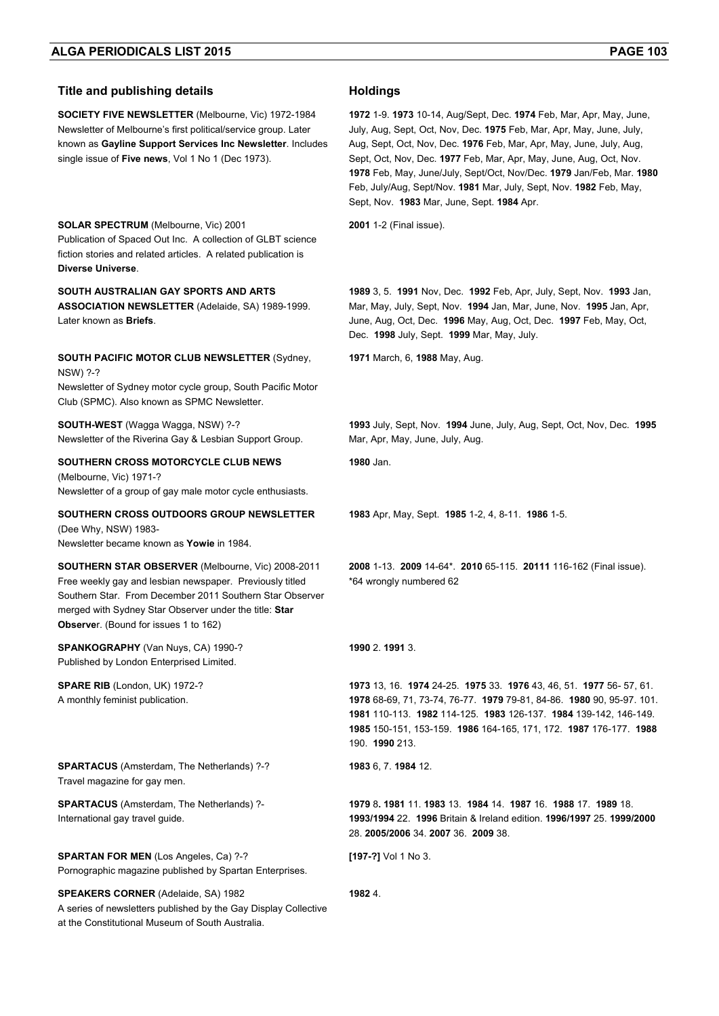**SOCIETY FIVE NEWSLETTER** (Melbourne, Vic) 1972-1984 Newsletter of Melbourne's first political/service group. Later known as **Gayline Support Services Inc Newsletter**. Includes single issue of **Five news**, Vol 1 No 1 (Dec 1973).

**SOLAR SPECTRUM** (Melbourne, Vic) 2001 Publication of Spaced Out Inc. A collection of GLBT science fiction stories and related articles. A related publication is **Diverse Universe**.

**SOUTH AUSTRALIAN GAY SPORTS AND ARTS ASSOCIATION NEWSLETTER** (Adelaide, SA) 1989-1999. Later known as **Briefs**.

**SOUTH PACIFIC MOTOR CLUB NEWSLETTER** (Sydney, NSW) ?-?

Newsletter of Sydney motor cycle group, South Pacific Motor Club (SPMC). Also known as SPMC Newsletter.

**SOUTH-WEST** (Wagga Wagga, NSW) ?-? Newsletter of the Riverina Gay & Lesbian Support Group.

**SOUTHERN CROSS MOTORCYCLE CLUB NEWS** (Melbourne, Vic) 1971-? Newsletter of a group of gay male motor cycle enthusiasts.

**SOUTHERN CROSS OUTDOORS GROUP NEWSLETTER** (Dee Why, NSW) 1983-

Newsletter became known as **Yowie** in 1984.

**SOUTHERN STAR OBSERVER** (Melbourne, Vic) 2008-2011 Free weekly gay and lesbian newspaper. Previously titled Southern Star. From December 2011 Southern Star Observer merged with Sydney Star Observer under the title: **Star Observe**r. (Bound for issues 1 to 162)

**SPANKOGRAPHY** (Van Nuys, CA) 1990-? Published by London Enterprised Limited.

**SPARE RIB** (London, UK) 1972-? A monthly feminist publication.

**SPARTACUS** (Amsterdam, The Netherlands) ?-? Travel magazine for gay men.

**SPARTACUS** (Amsterdam, The Netherlands) ?- International gay travel guide.

**SPARTAN FOR MEN** (Los Angeles, Ca) ?-? Pornographic magazine published by Spartan Enterprises.

**SPEAKERS CORNER** (Adelaide, SA) 1982 A series of newsletters published by the Gay Display Collective at the Constitutional Museum of South Australia.

**1972** 1-9. **1973** 10-14, Aug/Sept, Dec. **1974** Feb, Mar, Apr, May, June, July, Aug, Sept, Oct, Nov, Dec. **1975** Feb, Mar, Apr, May, June, July, Aug, Sept, Oct, Nov, Dec. **1976** Feb, Mar, Apr, May, June, July, Aug, Sept, Oct, Nov, Dec. **1977** Feb, Mar, Apr, May, June, Aug, Oct, Nov. **1978** Feb, May, June/July, Sept/Oct, Nov/Dec. **1979** Jan/Feb, Mar. **1980** Feb, July/Aug, Sept/Nov. **1981** Mar, July, Sept, Nov. **1982** Feb, May, Sept, Nov. **1983** Mar, June, Sept. **1984** Apr.

**2001** 1-2 (Final issue).

**1989** 3, 5. **1991** Nov, Dec. **1992** Feb, Apr, July, Sept, Nov. **1993** Jan, Mar, May, July, Sept, Nov. **1994** Jan, Mar, June, Nov. **1995** Jan, Apr, June, Aug, Oct, Dec. **1996** May, Aug, Oct, Dec. **1997** Feb, May, Oct, Dec. **1998** July, Sept. **1999** Mar, May, July.

**1971** March, 6, **1988** May, Aug.

**1993** July, Sept, Nov. **1994** June, July, Aug, Sept, Oct, Nov, Dec. **1995** Mar, Apr, May, June, July, Aug.

**1980** Jan.

**1983** Apr, May, Sept. **1985** 1-2, 4, 8-11. **1986** 1-5.

**2008** 1-13. **2009** 14-64\*. **2010** 65-115. **20111** 116-162 (Final issue). \*64 wrongly numbered 62

### **1990** 2. **1991** 3.

 13, 16. **1974** 24-25. **1975** 33. **1976** 43, 46, 51. **1977** 56- 57, 61. 68-69, 71, 73-74, 76-77. **1979** 79-81, 84-86. **1980** 90, 95-97. 101. 110-113. **1982** 114-125. **1983** 126-137. **1984** 139-142, 146-149. 150-151, 153-159. **1986** 164-165, 171, 172. **1987** 176-177. **1988**  190. **1990** 213.

**1983** 6, 7. **1984** 12.

**1979** 8**. 1981** 11. **1983** 13. **1984** 14. **1987** 16. **1988** 17. **1989** 18. **1993/1994** 22. **1996** Britain & Ireland edition. **1996/1997** 25. **1999/2000** 28. **2005/2006** 34. **2007** 36. **2009** 38.

**[197-?]** Vol 1 No 3.

**1982** 4.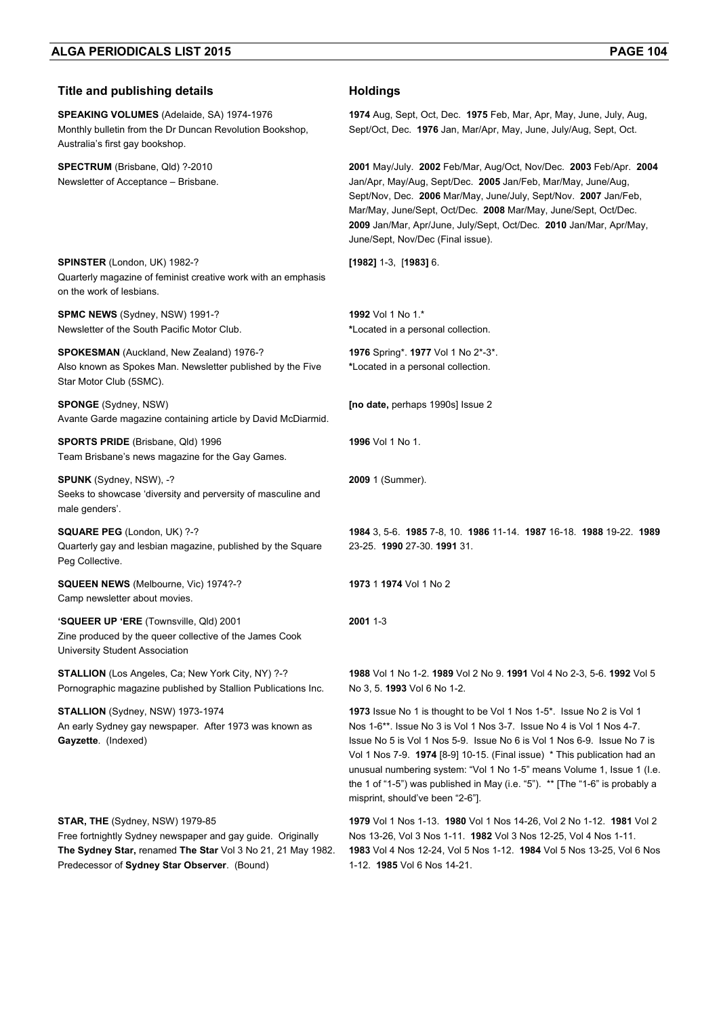| <b>Title and publishing details</b>                                                                                                                           | <b>Holdings</b>                                                                                                                                                                                                                                                                                                                                                                                                                                                                                                |
|---------------------------------------------------------------------------------------------------------------------------------------------------------------|----------------------------------------------------------------------------------------------------------------------------------------------------------------------------------------------------------------------------------------------------------------------------------------------------------------------------------------------------------------------------------------------------------------------------------------------------------------------------------------------------------------|
| <b>SPEAKING VOLUMES</b> (Adelaide, SA) 1974-1976<br>Monthly bulletin from the Dr Duncan Revolution Bookshop,<br>Australia's first gay bookshop.               | 1974 Aug, Sept, Oct, Dec. 1975 Feb, Mar, Apr, May, June, July, Aug,<br>Sept/Oct, Dec. 1976 Jan, Mar/Apr, May, June, July/Aug, Sept, Oct.                                                                                                                                                                                                                                                                                                                                                                       |
| SPECTRUM (Brisbane, Qld) ?-2010<br>Newsletter of Acceptance - Brisbane.                                                                                       | 2001 May/July. 2002 Feb/Mar, Aug/Oct, Nov/Dec. 2003 Feb/Apr. 2004<br>Jan/Apr, May/Aug, Sept/Dec. 2005 Jan/Feb, Mar/May, June/Aug,<br>Sept/Nov, Dec. 2006 Mar/May, June/July, Sept/Nov. 2007 Jan/Feb,<br>Mar/May, June/Sept, Oct/Dec. 2008 Mar/May, June/Sept, Oct/Dec.<br>2009 Jan/Mar, Apr/June, July/Sept, Oct/Dec. 2010 Jan/Mar, Apr/May,<br>June/Sept, Nov/Dec (Final issue).                                                                                                                              |
| SPINSTER (London, UK) 1982-?<br>Quarterly magazine of feminist creative work with an emphasis<br>on the work of lesbians.                                     | $[1982]$ 1-3, $[1983]$ 6.                                                                                                                                                                                                                                                                                                                                                                                                                                                                                      |
| SPMC NEWS (Sydney, NSW) 1991-?<br>Newsletter of the South Pacific Motor Club.                                                                                 | 1992 Vol 1 No 1.*<br>*Located in a personal collection.                                                                                                                                                                                                                                                                                                                                                                                                                                                        |
| <b>SPOKESMAN</b> (Auckland, New Zealand) 1976-?<br>Also known as Spokes Man. Newsletter published by the Five<br>Star Motor Club (5SMC).                      | 1976 Spring*. 1977 Vol 1 No 2*-3*.<br>*Located in a personal collection.                                                                                                                                                                                                                                                                                                                                                                                                                                       |
| <b>SPONGE</b> (Sydney, NSW)<br>Avante Garde magazine containing article by David McDiarmid.                                                                   | [no date, perhaps 1990s] Issue 2                                                                                                                                                                                                                                                                                                                                                                                                                                                                               |
| <b>SPORTS PRIDE</b> (Brisbane, Qld) 1996<br>Team Brisbane's news magazine for the Gay Games.                                                                  | <b>1996</b> Vol 1 No 1.                                                                                                                                                                                                                                                                                                                                                                                                                                                                                        |
| <b>SPUNK</b> (Sydney, NSW), -?<br>Seeks to showcase 'diversity and perversity of masculine and<br>male genders'.                                              | 2009 1 (Summer).                                                                                                                                                                                                                                                                                                                                                                                                                                                                                               |
| <b>SQUARE PEG (London, UK) ?-?</b><br>Quarterly gay and lesbian magazine, published by the Square<br>Peg Collective.                                          | 1984 3, 5-6. 1985 7-8, 10. 1986 11-14. 1987 16-18. 1988 19-22. 1989<br>23-25. 1990 27-30. 1991 31.                                                                                                                                                                                                                                                                                                                                                                                                             |
| SQUEEN NEWS (Melbourne, Vic) 1974?-?<br>Camp newsletter about movies.                                                                                         | 1973 1 1974 Vol 1 No 2                                                                                                                                                                                                                                                                                                                                                                                                                                                                                         |
| 'SQUEER UP 'ERE (Townsville, Qld) 2001<br>Zine produced by the queer collective of the James Cook<br>University Student Association                           | 2001 1-3                                                                                                                                                                                                                                                                                                                                                                                                                                                                                                       |
| STALLION (Los Angeles, Ca; New York City, NY) ?-?<br>Pornographic magazine published by Stallion Publications Inc.                                            | 1988 Vol 1 No 1-2. 1989 Vol 2 No 9. 1991 Vol 4 No 2-3, 5-6. 1992 Vol 5<br>No 3, 5. 1993 Vol 6 No 1-2.                                                                                                                                                                                                                                                                                                                                                                                                          |
| <b>STALLION</b> (Sydney, NSW) 1973-1974<br>An early Sydney gay newspaper. After 1973 was known as<br>Gayzette. (Indexed)                                      | 1973 Issue No 1 is thought to be Vol 1 Nos 1-5*. Issue No 2 is Vol 1<br>Nos 1-6 <sup>**</sup> . Issue No 3 is Vol 1 Nos 3-7. Issue No 4 is Vol 1 Nos 4-7.<br>Issue No 5 is Vol 1 Nos 5-9. Issue No 6 is Vol 1 Nos 6-9. Issue No 7 is<br>Vol 1 Nos 7-9. 1974 [8-9] 10-15. (Final issue) * This publication had an<br>unusual numbering system: "Vol 1 No 1-5" means Volume 1, Issue 1 (I.e.<br>the 1 of "1-5") was published in May (i.e. "5"). ** [The "1-6" is probably a<br>misprint, should've been "2-6"]. |
| STAR, THE (Sydney, NSW) 1979-85<br>Free fortnightly Sydney newspaper and gay guide. Originally<br>The Sydney Star, renamed The Star Vol 3 No 21, 21 May 1982. | 1979 Vol 1 Nos 1-13. 1980 Vol 1 Nos 14-26, Vol 2 No 1-12. 1981 Vol 2<br>Nos 13-26, Vol 3 Nos 1-11. 1982 Vol 3 Nos 12-25, Vol 4 Nos 1-11.<br>1983 Vol 4 Nos 12-24, Vol 5 Nos 1-12. 1984 Vol 5 Nos 13-25, Vol 6 Nos                                                                                                                                                                                                                                                                                              |

1-12. **1985** Vol 6 Nos 14-21.

Predecessor of **Sydney Star Observer**. (Bound)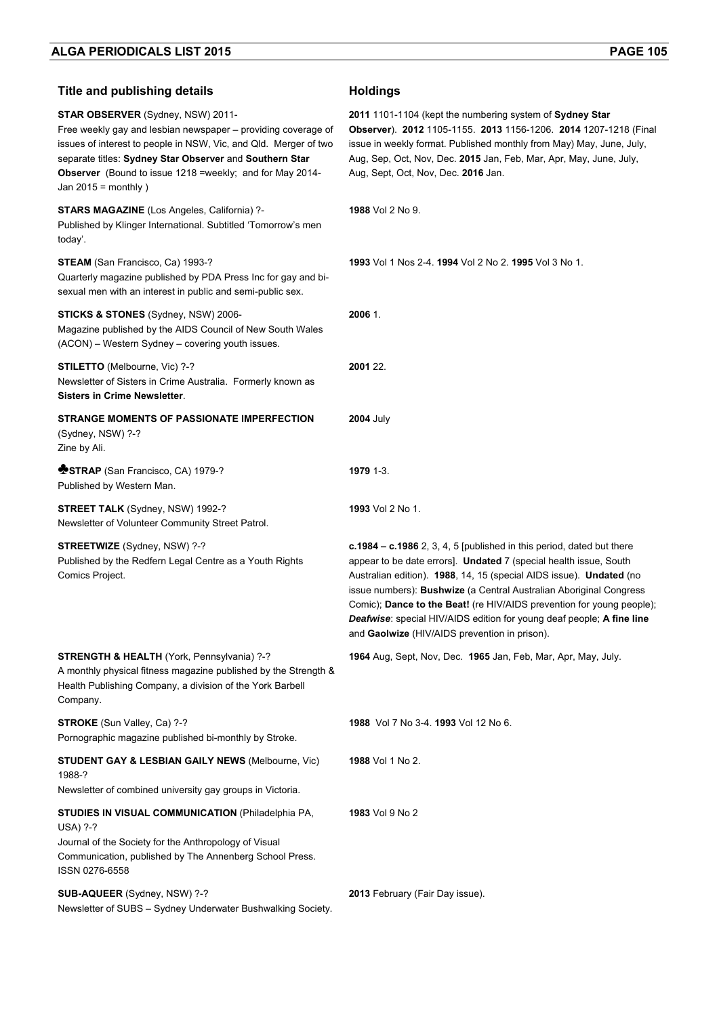| <b>Title and publishing details</b>                                                                                                                                                                                                                                                                                     | <b>Holdings</b>                                                                                                                                                                                                                                                                                                                                                                                                                                                                                     |
|-------------------------------------------------------------------------------------------------------------------------------------------------------------------------------------------------------------------------------------------------------------------------------------------------------------------------|-----------------------------------------------------------------------------------------------------------------------------------------------------------------------------------------------------------------------------------------------------------------------------------------------------------------------------------------------------------------------------------------------------------------------------------------------------------------------------------------------------|
| STAR OBSERVER (Sydney, NSW) 2011-<br>Free weekly gay and lesbian newspaper – providing coverage of<br>issues of interest to people in NSW, Vic, and Qld. Merger of two<br>separate titles: Sydney Star Observer and Southern Star<br>Observer (Bound to issue 1218 =weekly; and for May 2014-<br>Jan $2015$ = monthly ) | 2011 1101-1104 (kept the numbering system of Sydney Star<br>Observer). 2012 1105-1155. 2013 1156-1206. 2014 1207-1218 (Final<br>issue in weekly format. Published monthly from May) May, June, July,<br>Aug, Sep, Oct, Nov, Dec. 2015 Jan, Feb, Mar, Apr, May, June, July,<br>Aug, Sept, Oct, Nov, Dec. 2016 Jan.                                                                                                                                                                                   |
| STARS MAGAZINE (Los Angeles, California) ?-<br>Published by Klinger International. Subtitled 'Tomorrow's men<br>today'.                                                                                                                                                                                                 | 1988 Vol 2 No 9.                                                                                                                                                                                                                                                                                                                                                                                                                                                                                    |
| STEAM (San Francisco, Ca) 1993-?<br>Quarterly magazine published by PDA Press Inc for gay and bi-<br>sexual men with an interest in public and semi-public sex.                                                                                                                                                         | 1993 Vol 1 Nos 2-4. 1994 Vol 2 No 2. 1995 Vol 3 No 1.                                                                                                                                                                                                                                                                                                                                                                                                                                               |
| STICKS & STONES (Sydney, NSW) 2006-<br>Magazine published by the AIDS Council of New South Wales<br>(ACON) - Western Sydney - covering youth issues.                                                                                                                                                                    | 2006 1.                                                                                                                                                                                                                                                                                                                                                                                                                                                                                             |
| STILETTO (Melbourne, Vic) ?-?<br>Newsletter of Sisters in Crime Australia. Formerly known as<br><b>Sisters in Crime Newsletter.</b>                                                                                                                                                                                     | 2001 22.                                                                                                                                                                                                                                                                                                                                                                                                                                                                                            |
| STRANGE MOMENTS OF PASSIONATE IMPERFECTION<br>(Sydney, NSW) ?-?<br>Zine by Ali.                                                                                                                                                                                                                                         | <b>2004 July</b>                                                                                                                                                                                                                                                                                                                                                                                                                                                                                    |
| STRAP (San Francisco, CA) 1979-?<br>Published by Western Man.                                                                                                                                                                                                                                                           | 1979 1-3.                                                                                                                                                                                                                                                                                                                                                                                                                                                                                           |
| <b>STREET TALK</b> (Sydney, NSW) 1992-?<br>Newsletter of Volunteer Community Street Patrol.                                                                                                                                                                                                                             | 1993 Vol 2 No 1.                                                                                                                                                                                                                                                                                                                                                                                                                                                                                    |
| <b>STREETWIZE</b> (Sydney, NSW) ?-?<br>Published by the Redfern Legal Centre as a Youth Rights<br>Comics Project.                                                                                                                                                                                                       | $c.1984 - c.1986$ 2, 3, 4, 5 [published in this period, dated but there<br>appear to be date errors]. Undated 7 (special health issue, South<br>Australian edition). 1988, 14, 15 (special AIDS issue). Undated (no<br>issue numbers): Bushwize (a Central Australian Aboriginal Congress<br>Comic); Dance to the Beat! (re HIV/AIDS prevention for young people);<br><b>Deafwise:</b> special HIV/AIDS edition for young deaf people; A fine line<br>and Gaolwize (HIV/AIDS prevention in prison). |
| STRENGTH & HEALTH (York, Pennsylvania) ?-?<br>A monthly physical fitness magazine published by the Strength &<br>Health Publishing Company, a division of the York Barbell<br>Company.                                                                                                                                  | 1964 Aug, Sept, Nov, Dec. 1965 Jan, Feb, Mar, Apr, May, July.                                                                                                                                                                                                                                                                                                                                                                                                                                       |
| STROKE (Sun Valley, Ca) ?-?<br>Pornographic magazine published bi-monthly by Stroke.                                                                                                                                                                                                                                    | 1988 Vol 7 No 3-4, 1993 Vol 12 No 6.                                                                                                                                                                                                                                                                                                                                                                                                                                                                |
| <b>STUDENT GAY &amp; LESBIAN GAILY NEWS (Melbourne, Vic)</b><br>1988-?                                                                                                                                                                                                                                                  | 1988 Vol 1 No 2.                                                                                                                                                                                                                                                                                                                                                                                                                                                                                    |
| Newsletter of combined university gay groups in Victoria.                                                                                                                                                                                                                                                               |                                                                                                                                                                                                                                                                                                                                                                                                                                                                                                     |
| <b>STUDIES IN VISUAL COMMUNICATION (Philadelphia PA,</b><br><b>USA) ?-?</b><br>Journal of the Society for the Anthropology of Visual<br>Communication, published by The Annenberg School Press.                                                                                                                         | 1983 Vol 9 No 2                                                                                                                                                                                                                                                                                                                                                                                                                                                                                     |
| ISSN 0276-6558                                                                                                                                                                                                                                                                                                          |                                                                                                                                                                                                                                                                                                                                                                                                                                                                                                     |
| SUB-AQUEER (Sydney, NSW) ?-?<br>Newsletter of SUBS - Sydney Underwater Bushwalking Society.                                                                                                                                                                                                                             | 2013 February (Fair Day issue).                                                                                                                                                                                                                                                                                                                                                                                                                                                                     |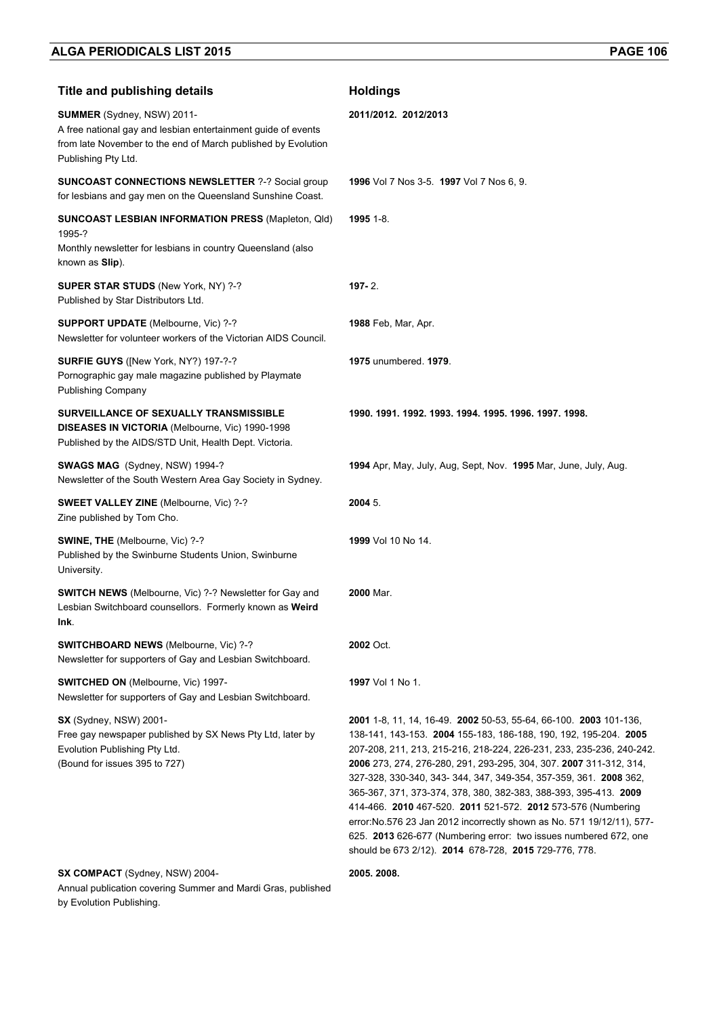| <b>Title and publishing details</b>                                                                                                                                                 | <b>Holdings</b>                                                                                                                                                                                                                                                                                                                                                                                                                                                                                                                                                                                                                                                                                      |
|-------------------------------------------------------------------------------------------------------------------------------------------------------------------------------------|------------------------------------------------------------------------------------------------------------------------------------------------------------------------------------------------------------------------------------------------------------------------------------------------------------------------------------------------------------------------------------------------------------------------------------------------------------------------------------------------------------------------------------------------------------------------------------------------------------------------------------------------------------------------------------------------------|
| SUMMER (Sydney, NSW) 2011-<br>A free national gay and lesbian entertainment guide of events<br>from late November to the end of March published by Evolution<br>Publishing Pty Ltd. | 2011/2012. 2012/2013                                                                                                                                                                                                                                                                                                                                                                                                                                                                                                                                                                                                                                                                                 |
| <b>SUNCOAST CONNECTIONS NEWSLETTER ?-? Social group</b><br>for lesbians and gay men on the Queensland Sunshine Coast.                                                               | 1996 Vol 7 Nos 3-5. 1997 Vol 7 Nos 6, 9.                                                                                                                                                                                                                                                                                                                                                                                                                                                                                                                                                                                                                                                             |
| <b>SUNCOAST LESBIAN INFORMATION PRESS (Mapleton, Qld)</b><br>1995-?<br>Monthly newsletter for lesbians in country Queensland (also<br>known as Slip).                               | 1995 1-8.                                                                                                                                                                                                                                                                                                                                                                                                                                                                                                                                                                                                                                                                                            |
| SUPER STAR STUDS (New York, NY) ?-?<br>Published by Star Distributors Ltd.                                                                                                          | $197 - 2$ .                                                                                                                                                                                                                                                                                                                                                                                                                                                                                                                                                                                                                                                                                          |
| <b>SUPPORT UPDATE</b> (Melbourne, Vic) ?-?<br>Newsletter for volunteer workers of the Victorian AIDS Council.                                                                       | <b>1988</b> Feb, Mar, Apr.                                                                                                                                                                                                                                                                                                                                                                                                                                                                                                                                                                                                                                                                           |
| SURFIE GUYS ([New York, NY?) 197-?-?<br>Pornographic gay male magazine published by Playmate<br><b>Publishing Company</b>                                                           | 1975 unumbered, 1979.                                                                                                                                                                                                                                                                                                                                                                                                                                                                                                                                                                                                                                                                                |
| SURVEILLANCE OF SEXUALLY TRANSMISSIBLE<br>DISEASES IN VICTORIA (Melbourne, Vic) 1990-1998<br>Published by the AIDS/STD Unit, Health Dept. Victoria.                                 | 1990. 1991. 1992. 1993. 1994. 1995. 1996. 1997. 1998.                                                                                                                                                                                                                                                                                                                                                                                                                                                                                                                                                                                                                                                |
| SWAGS MAG (Sydney, NSW) 1994-?<br>Newsletter of the South Western Area Gay Society in Sydney.                                                                                       | 1994 Apr, May, July, Aug, Sept, Nov. 1995 Mar, June, July, Aug.                                                                                                                                                                                                                                                                                                                                                                                                                                                                                                                                                                                                                                      |
| SWEET VALLEY ZINE (Melbourne, Vic) ?-?<br>Zine published by Tom Cho.                                                                                                                | 2004 5.                                                                                                                                                                                                                                                                                                                                                                                                                                                                                                                                                                                                                                                                                              |
| SWINE, THE (Melbourne, Vic) ?-?<br>Published by the Swinburne Students Union, Swinburne<br>University.                                                                              | 1999 Vol 10 No 14.                                                                                                                                                                                                                                                                                                                                                                                                                                                                                                                                                                                                                                                                                   |
| <b>SWITCH NEWS</b> (Melbourne, Vic) ?-? Newsletter for Gay and<br>Lesbian Switchboard counsellors. Formerly known as Weird<br>Ink.                                                  | <b>2000 Mar.</b>                                                                                                                                                                                                                                                                                                                                                                                                                                                                                                                                                                                                                                                                                     |
| <b>SWITCHBOARD NEWS (Melbourne, Vic) ?-?</b><br>Newsletter for supporters of Gay and Lesbian Switchboard.                                                                           | 2002 Oct.                                                                                                                                                                                                                                                                                                                                                                                                                                                                                                                                                                                                                                                                                            |
| <b>SWITCHED ON (Melbourne, Vic) 1997-</b><br>Newsletter for supporters of Gay and Lesbian Switchboard.                                                                              | <b>1997</b> Vol 1 No 1.                                                                                                                                                                                                                                                                                                                                                                                                                                                                                                                                                                                                                                                                              |
| <b>SX</b> (Sydney, NSW) 2001-<br>Free gay newspaper published by SX News Pty Ltd, later by<br>Evolution Publishing Pty Ltd.<br>(Bound for issues 395 to 727)                        | 2001 1-8, 11, 14, 16-49. 2002 50-53, 55-64, 66-100. 2003 101-136,<br>138-141, 143-153. 2004 155-183, 186-188, 190, 192, 195-204. 2005<br>207-208, 211, 213, 215-216, 218-224, 226-231, 233, 235-236, 240-242.<br>2006 273, 274, 276-280, 291, 293-295, 304, 307. 2007 311-312, 314,<br>327-328, 330-340, 343- 344, 347, 349-354, 357-359, 361. 2008 362,<br>365-367, 371, 373-374, 378, 380, 382-383, 388-393, 395-413. 2009<br>414-466. 2010 467-520. 2011 521-572. 2012 573-576 (Numbering<br>error: No. 576 23 Jan 2012 incorrectly shown as No. 571 19/12/11), 577-<br>625. 2013 626-677 (Numbering error: two issues numbered 672, one<br>should be 673 2/12). 2014 678-728, 2015 729-776, 778. |

**SX COMPACT** (Sydney, NSW) 2004-

**2005. 2008.** 

Annual publication covering Summer and Mardi Gras, published by Evolution Publishing.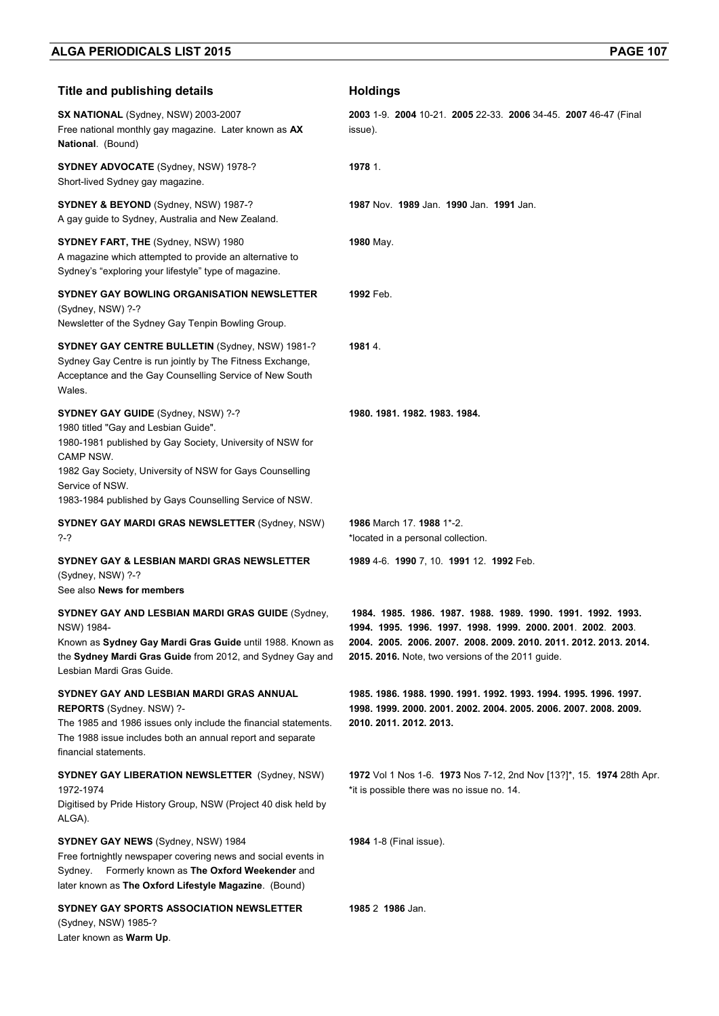| <b>Title and publishing details</b>                                                                                                                                                                                                                                                            | <b>Holdings</b>                                                                                                                                                                                                                                      |
|------------------------------------------------------------------------------------------------------------------------------------------------------------------------------------------------------------------------------------------------------------------------------------------------|------------------------------------------------------------------------------------------------------------------------------------------------------------------------------------------------------------------------------------------------------|
| SX NATIONAL (Sydney, NSW) 2003-2007<br>Free national monthly gay magazine. Later known as AX<br>National. (Bound)                                                                                                                                                                              | 2003 1-9 2004 10-21 2005 22-33 2006 34-45 2007 46-47 (Final<br>issue).                                                                                                                                                                               |
| <b>SYDNEY ADVOCATE</b> (Sydney, NSW) 1978-?<br>Short-lived Sydney gay magazine.                                                                                                                                                                                                                | 1978 1.                                                                                                                                                                                                                                              |
| <b>SYDNEY &amp; BEYOND</b> (Sydney, NSW) 1987-?<br>A gay guide to Sydney, Australia and New Zealand.                                                                                                                                                                                           | 1987 Nov. 1989 Jan. 1990 Jan. 1991 Jan.                                                                                                                                                                                                              |
| SYDNEY FART, THE (Sydney, NSW) 1980<br>A magazine which attempted to provide an alternative to<br>Sydney's "exploring your lifestyle" type of magazine.                                                                                                                                        | 1980 May.                                                                                                                                                                                                                                            |
| <b>SYDNEY GAY BOWLING ORGANISATION NEWSLETTER</b><br>(Sydney, NSW) ?-?<br>Newsletter of the Sydney Gay Tenpin Bowling Group.                                                                                                                                                                   | 1992 Feb.                                                                                                                                                                                                                                            |
| <b>SYDNEY GAY CENTRE BULLETIN (Sydney, NSW) 1981-?</b><br>Sydney Gay Centre is run jointly by The Fitness Exchange,<br>Acceptance and the Gay Counselling Service of New South<br>Wales.                                                                                                       | 1981 4.                                                                                                                                                                                                                                              |
| SYDNEY GAY GUIDE (Sydney, NSW) ?-?<br>1980 titled "Gay and Lesbian Guide".<br>1980-1981 published by Gay Society, University of NSW for<br>CAMP NSW.<br>1982 Gay Society, University of NSW for Gays Counselling<br>Service of NSW.<br>1983-1984 published by Gays Counselling Service of NSW. | 1980. 1981. 1982. 1983. 1984.                                                                                                                                                                                                                        |
| <b>SYDNEY GAY MARDI GRAS NEWSLETTER (Sydney, NSW)</b><br>?-?                                                                                                                                                                                                                                   | 1986 March 17, 1988 1*-2.<br>*located in a personal collection.                                                                                                                                                                                      |
| SYDNEY GAY & LESBIAN MARDI GRAS NEWSLETTER<br>(Sydney, NSW) ?-?<br>See also News for members                                                                                                                                                                                                   | 1989 4-6. 1990 7, 10. 1991 12. 1992 Feb.                                                                                                                                                                                                             |
| <b>SYDNEY GAY AND LESBIAN MARDI GRAS GUIDE (Sydney,</b><br>NSW) 1984-<br>Known as Sydney Gay Mardi Gras Guide until 1988. Known as<br>the Sydney Mardi Gras Guide from 2012, and Sydney Gay and<br>Lesbian Mardi Gras Guide.                                                                   | 1984. 1985. 1986. 1987. 1988. 1989. 1990. 1991. 1992. 1993.<br>1994. 1995. 1996. 1997. 1998. 1999. 2000. 2001. 2002. 2003.<br>2004. 2005. 2006. 2007. 2008. 2009. 2010. 2011. 2012. 2013. 2014.<br>2015. 2016. Note, two versions of the 2011 guide. |
| SYDNEY GAY AND LESBIAN MARDI GRAS ANNUAL<br>REPORTS (Sydney, NSW) ?-<br>The 1985 and 1986 issues only include the financial statements.<br>The 1988 issue includes both an annual report and separate<br>financial statements.                                                                 | 1985. 1986. 1988. 1990. 1991. 1992. 1993. 1994. 1995. 1996. 1997.<br>1998. 1999. 2000. 2001. 2002. 2004. 2005. 2006. 2007. 2008. 2009.<br>2010. 2011. 2012. 2013.                                                                                    |
| <b>SYDNEY GAY LIBERATION NEWSLETTER (Sydney, NSW)</b><br>1972-1974<br>Digitised by Pride History Group, NSW (Project 40 disk held by<br>ALGA).                                                                                                                                                 | 1972 Vol 1 Nos 1-6. 1973 Nos 7-12, 2nd Nov [13?]*, 15. 1974 28th Apr.<br>*it is possible there was no issue no. 14.                                                                                                                                  |
| <b>SYDNEY GAY NEWS</b> (Sydney, NSW) 1984<br>Free fortnightly newspaper covering news and social events in<br>Formerly known as The Oxford Weekender and<br>Sydney.<br>later known as The Oxford Lifestyle Magazine. (Bound)                                                                   | <b>1984</b> 1-8 (Final issue).                                                                                                                                                                                                                       |
| SYDNEY GAY SPORTS ASSOCIATION NEWSLETTER<br>(Sydney, NSW) 1985-?<br>Later known as Warm Up.                                                                                                                                                                                                    | 1985 2 1986 Jan.                                                                                                                                                                                                                                     |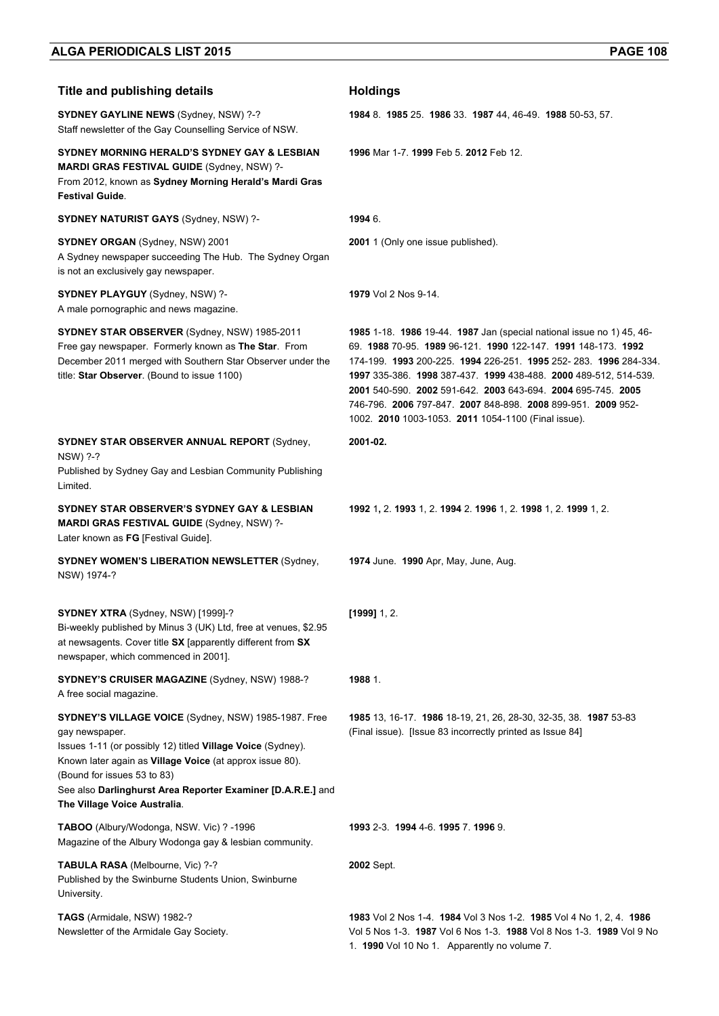| <b>Title and publishing details</b>                                                                                                                                                                                                                                                                                             | <b>Holdings</b>                                                                                                                                                                                                                                                                                                                                                                                                                                              |
|---------------------------------------------------------------------------------------------------------------------------------------------------------------------------------------------------------------------------------------------------------------------------------------------------------------------------------|--------------------------------------------------------------------------------------------------------------------------------------------------------------------------------------------------------------------------------------------------------------------------------------------------------------------------------------------------------------------------------------------------------------------------------------------------------------|
| <b>SYDNEY GAYLINE NEWS (Sydney, NSW) ?-?</b><br>Staff newsletter of the Gay Counselling Service of NSW.                                                                                                                                                                                                                         | 1984 8. 1985 25. 1986 33. 1987 44, 46-49. 1988 50-53, 57.                                                                                                                                                                                                                                                                                                                                                                                                    |
| SYDNEY MORNING HERALD'S SYDNEY GAY & LESBIAN<br><b>MARDI GRAS FESTIVAL GUIDE (Sydney, NSW) ?-</b><br>From 2012, known as Sydney Morning Herald's Mardi Gras<br><b>Festival Guide.</b>                                                                                                                                           | 1996 Mar 1-7, 1999 Feb 5, 2012 Feb 12.                                                                                                                                                                                                                                                                                                                                                                                                                       |
| <b>SYDNEY NATURIST GAYS (Sydney, NSW) ?-</b>                                                                                                                                                                                                                                                                                    | 1994 6.                                                                                                                                                                                                                                                                                                                                                                                                                                                      |
| <b>SYDNEY ORGAN (Sydney, NSW) 2001</b><br>A Sydney newspaper succeeding The Hub. The Sydney Organ<br>is not an exclusively gay newspaper.                                                                                                                                                                                       | 2001 1 (Only one issue published).                                                                                                                                                                                                                                                                                                                                                                                                                           |
| SYDNEY PLAYGUY (Sydney, NSW) ?-<br>A male pornographic and news magazine.                                                                                                                                                                                                                                                       | 1979 Vol 2 Nos 9-14.                                                                                                                                                                                                                                                                                                                                                                                                                                         |
| SYDNEY STAR OBSERVER (Sydney, NSW) 1985-2011<br>Free gay newspaper. Formerly known as The Star. From<br>December 2011 merged with Southern Star Observer under the<br>title: Star Observer. (Bound to issue 1100)                                                                                                               | 1985 1-18. 1986 19-44. 1987 Jan (special national issue no 1) 45, 46-<br>69. 1988 70-95. 1989 96-121. 1990 122-147. 1991 148-173. 1992<br>174-199 1993 200-225 1994 226-251 1995 252-283 1996 284-334<br>1997 335-386. 1998 387-437. 1999 438-488. 2000 489-512, 514-539.<br>2001 540-590. 2002 591-642. 2003 643-694. 2004 695-745. 2005<br>746-796 2006 797-847 2007 848-898 2008 899-951 2009 952-<br>1002. 2010 1003-1053. 2011 1054-1100 (Final issue). |
| <b>SYDNEY STAR OBSERVER ANNUAL REPORT (Sydney,</b><br>NSW) ?-?<br>Published by Sydney Gay and Lesbian Community Publishing<br>Limited.                                                                                                                                                                                          | 2001-02.                                                                                                                                                                                                                                                                                                                                                                                                                                                     |
| SYDNEY STAR OBSERVER'S SYDNEY GAY & LESBIAN<br><b>MARDI GRAS FESTIVAL GUIDE (Sydney, NSW) ?-</b><br>Later known as FG [Festival Guide].                                                                                                                                                                                         | 1992 1, 2. 1993 1, 2. 1994 2. 1996 1, 2. 1998 1, 2. 1999 1, 2.                                                                                                                                                                                                                                                                                                                                                                                               |
| <b>SYDNEY WOMEN'S LIBERATION NEWSLETTER (Sydney,</b><br>NSW) 1974-?                                                                                                                                                                                                                                                             | 1974 June. 1990 Apr, May, June, Aug.                                                                                                                                                                                                                                                                                                                                                                                                                         |
| SYDNEY XTRA (Sydney, NSW) [1999]-?<br>Bi-weekly published by Minus 3 (UK) Ltd, free at venues, \$2.95<br>at newsagents. Cover title SX [apparently different from SX<br>newspaper, which commenced in 2001].                                                                                                                    | $[1999]$ 1, 2.                                                                                                                                                                                                                                                                                                                                                                                                                                               |
| <b>SYDNEY'S CRUISER MAGAZINE (Sydney, NSW) 1988-?</b><br>A free social magazine.                                                                                                                                                                                                                                                | 1988 1.                                                                                                                                                                                                                                                                                                                                                                                                                                                      |
| SYDNEY'S VILLAGE VOICE (Sydney, NSW) 1985-1987. Free<br>gay newspaper.<br>Issues 1-11 (or possibly 12) titled Village Voice (Sydney).<br>Known later again as Village Voice (at approx issue 80).<br>(Bound for issues 53 to 83)<br>See also Darlinghurst Area Reporter Examiner [D.A.R.E.] and<br>The Village Voice Australia. | 1985 13, 16-17. 1986 18-19, 21, 26, 28-30, 32-35, 38. 1987 53-83<br>(Final issue). [Issue 83 incorrectly printed as Issue 84]                                                                                                                                                                                                                                                                                                                                |
| TABOO (Albury/Wodonga, NSW. Vic) ? - 1996<br>Magazine of the Albury Wodonga gay & lesbian community.                                                                                                                                                                                                                            | 1993 2-3 1994 4-6 1995 7 1996 9                                                                                                                                                                                                                                                                                                                                                                                                                              |
| TABULA RASA (Melbourne, Vic) ?-?<br>Published by the Swinburne Students Union, Swinburne<br>University.                                                                                                                                                                                                                         | 2002 Sept.                                                                                                                                                                                                                                                                                                                                                                                                                                                   |
| TAGS (Armidale, NSW) 1982-?<br>Newsletter of the Armidale Gay Society.                                                                                                                                                                                                                                                          | 1983 Vol 2 Nos 1-4. 1984 Vol 3 Nos 1-2. 1985 Vol 4 No 1, 2, 4. 1986<br>Vol 5 Nos 1-3. 1987 Vol 6 Nos 1-3. 1988 Vol 8 Nos 1-3. 1989 Vol 9 No<br>1. 1990 Vol 10 No 1. Apparently no volume 7.                                                                                                                                                                                                                                                                  |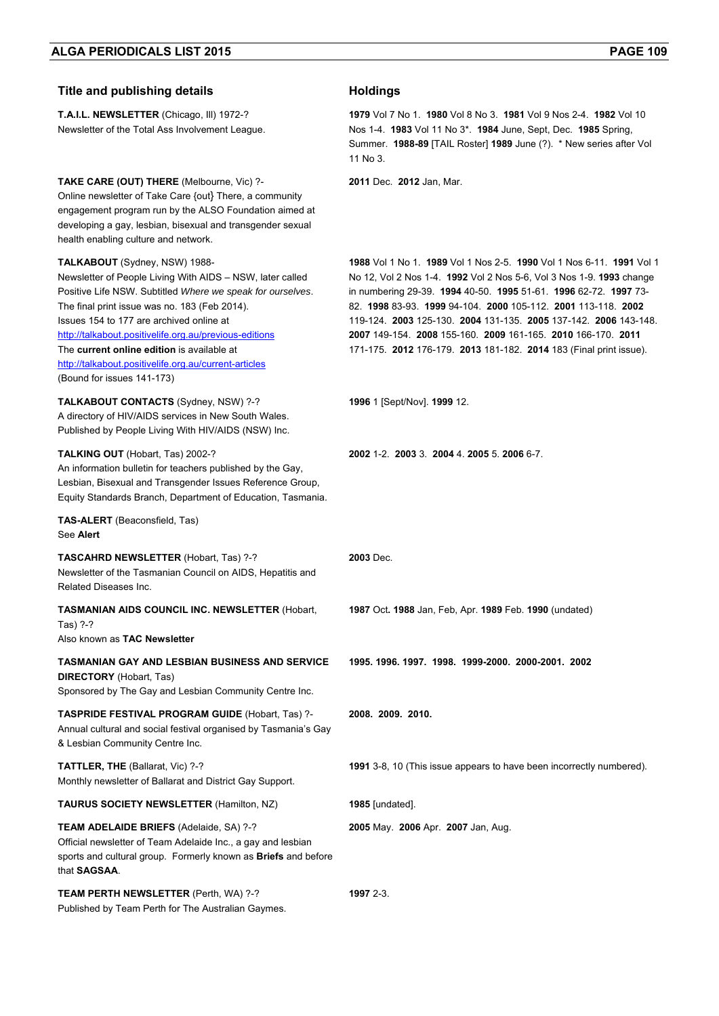| <b>Title and publishing details</b>                                                                                                                                                                                                                                                                                                                                                                                                                  | <b>Holdings</b>                                                                                                                                                                                                                                                                                                                                                                                                                                                                             |
|------------------------------------------------------------------------------------------------------------------------------------------------------------------------------------------------------------------------------------------------------------------------------------------------------------------------------------------------------------------------------------------------------------------------------------------------------|---------------------------------------------------------------------------------------------------------------------------------------------------------------------------------------------------------------------------------------------------------------------------------------------------------------------------------------------------------------------------------------------------------------------------------------------------------------------------------------------|
| T.A.I.L. NEWSLETTER (Chicago, III) 1972-?<br>Newsletter of the Total Ass Involvement League.                                                                                                                                                                                                                                                                                                                                                         | 1979 Vol 7 No 1 1980 Vol 8 No 3 1981 Vol 9 Nos 2-4 1982 Vol 10<br>Nos 1-4. 1983 Vol 11 No 3 <sup>*</sup> . 1984 June, Sept, Dec. 1985 Spring,<br>Summer. 1988-89 [TAIL Roster] 1989 June (?). * New series after Vol<br>11 No 3.                                                                                                                                                                                                                                                            |
| <b>TAKE CARE (OUT) THERE (Melbourne, Vic) ?-</b><br>Online newsletter of Take Care {out} There, a community<br>engagement program run by the ALSO Foundation aimed at<br>developing a gay, lesbian, bisexual and transgender sexual<br>health enabling culture and network.                                                                                                                                                                          | 2011 Dec. 2012 Jan, Mar.                                                                                                                                                                                                                                                                                                                                                                                                                                                                    |
| TALKABOUT (Sydney, NSW) 1988-<br>Newsletter of People Living With AIDS – NSW, later called<br>Positive Life NSW. Subtitled Where we speak for ourselves.<br>The final print issue was no. 183 (Feb 2014).<br>Issues 154 to 177 are archived online at<br>http://talkabout.positivelife.org.au/previous-editions<br>The current online edition is available at<br>http://talkabout.positivelife.org.au/current-articles<br>(Bound for issues 141-173) | 1988 Vol 1 No 1. 1989 Vol 1 Nos 2-5. 1990 Vol 1 Nos 6-11. 1991 Vol 1<br>No 12, Vol 2 Nos 1-4. 1992 Vol 2 Nos 5-6, Vol 3 Nos 1-9. 1993 change<br>in numbering 29-39. 1994 40-50. 1995 51-61. 1996 62-72. 1997 73-<br>82. 1998 83-93. 1999 94-104. 2000 105-112. 2001 113-118. 2002<br>119-124. 2003 125-130. 2004 131-135. 2005 137-142. 2006 143-148.<br>2007 149-154. 2008 155-160. 2009 161-165. 2010 166-170. 2011<br>171-175. 2012 176-179. 2013 181-182. 2014 183 (Final print issue). |
| TALKABOUT CONTACTS (Sydney, NSW) ?-?<br>A directory of HIV/AIDS services in New South Wales.<br>Published by People Living With HIV/AIDS (NSW) Inc.                                                                                                                                                                                                                                                                                                  | 1996 1 [Sept/Nov] 1999 12.                                                                                                                                                                                                                                                                                                                                                                                                                                                                  |
| TALKING OUT (Hobart, Tas) 2002-?<br>An information bulletin for teachers published by the Gay,<br>Lesbian, Bisexual and Transgender Issues Reference Group,<br>Equity Standards Branch, Department of Education, Tasmania.                                                                                                                                                                                                                           | 2002 1-2. 2003 3. 2004 4. 2005 5. 2006 6-7.                                                                                                                                                                                                                                                                                                                                                                                                                                                 |
| <b>TAS-ALERT</b> (Beaconsfield, Tas)<br>See Alert                                                                                                                                                                                                                                                                                                                                                                                                    |                                                                                                                                                                                                                                                                                                                                                                                                                                                                                             |
| TASCAHRD NEWSLETTER (Hobart, Tas) ?-?<br>Newsletter of the Tasmanian Council on AIDS, Hepatitis and<br>Related Diseases Inc.                                                                                                                                                                                                                                                                                                                         | 2003 Dec.                                                                                                                                                                                                                                                                                                                                                                                                                                                                                   |
| <b>TASMANIAN AIDS COUNCIL INC. NEWSLETTER (Hobart,</b><br>Tas) ?-?<br>Also known as <b>TAC Newsletter</b>                                                                                                                                                                                                                                                                                                                                            | 1987 Oct. 1988 Jan, Feb, Apr. 1989 Feb. 1990 (undated)                                                                                                                                                                                                                                                                                                                                                                                                                                      |
| TASMANIAN GAY AND LESBIAN BUSINESS AND SERVICE<br><b>DIRECTORY</b> (Hobart, Tas)<br>Sponsored by The Gay and Lesbian Community Centre Inc.                                                                                                                                                                                                                                                                                                           | 1995. 1996. 1997. 1998. 1999-2000. 2000-2001. 2002                                                                                                                                                                                                                                                                                                                                                                                                                                          |
| TASPRIDE FESTIVAL PROGRAM GUIDE (Hobart, Tas) ?-<br>Annual cultural and social festival organised by Tasmania's Gay<br>& Lesbian Community Centre Inc.                                                                                                                                                                                                                                                                                               | 2008. 2009. 2010.                                                                                                                                                                                                                                                                                                                                                                                                                                                                           |
| <b>TATTLER, THE (Ballarat, Vic) ?-?</b><br>Monthly newsletter of Ballarat and District Gay Support.                                                                                                                                                                                                                                                                                                                                                  | 1991 3-8, 10 (This issue appears to have been incorrectly numbered).                                                                                                                                                                                                                                                                                                                                                                                                                        |
| <b>TAURUS SOCIETY NEWSLETTER (Hamilton, NZ)</b>                                                                                                                                                                                                                                                                                                                                                                                                      | <b>1985</b> [undated].                                                                                                                                                                                                                                                                                                                                                                                                                                                                      |
| TEAM ADELAIDE BRIEFS (Adelaide, SA) ?-?<br>Official newsletter of Team Adelaide Inc., a gay and lesbian<br>sports and cultural group. Formerly known as <b>Briefs</b> and before<br>that SAGSAA.                                                                                                                                                                                                                                                     | 2005 May. 2006 Apr. 2007 Jan, Aug.                                                                                                                                                                                                                                                                                                                                                                                                                                                          |
| TEAM PERTH NEWSLETTER (Perth, WA) ?-?<br>Published by Team Perth for The Australian Gaymes.                                                                                                                                                                                                                                                                                                                                                          | 1997 2-3.                                                                                                                                                                                                                                                                                                                                                                                                                                                                                   |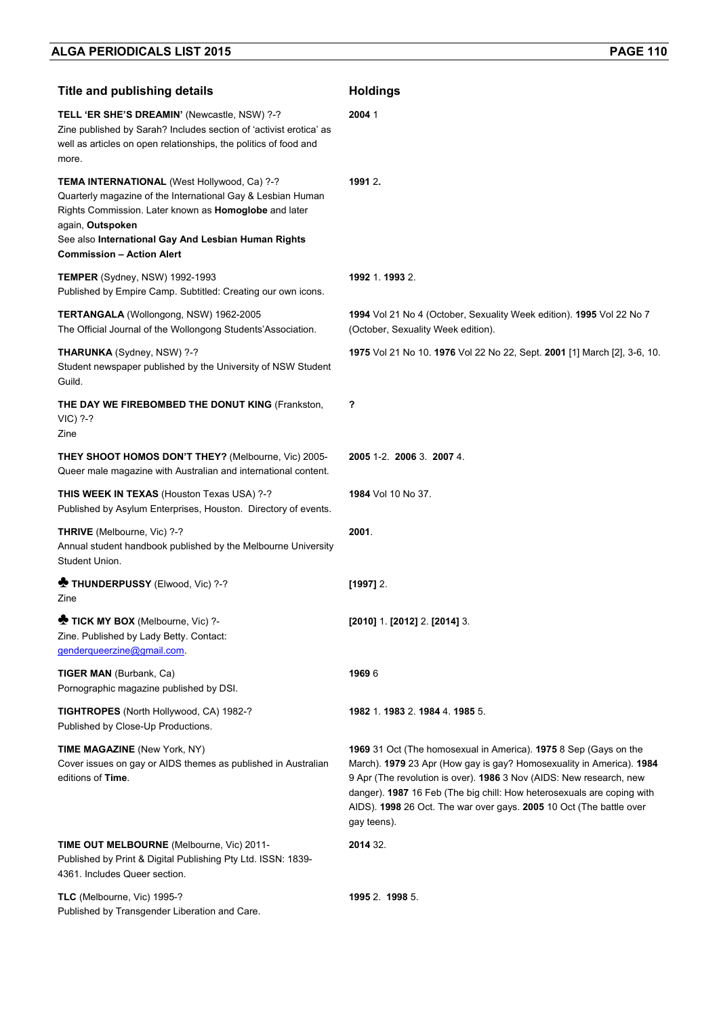| <b>Title and publishing details</b>                                                                                                                                                                                                                                                | <b>Holdings</b>                                                                                                                                                                                                                                                                                                                                                                 |
|------------------------------------------------------------------------------------------------------------------------------------------------------------------------------------------------------------------------------------------------------------------------------------|---------------------------------------------------------------------------------------------------------------------------------------------------------------------------------------------------------------------------------------------------------------------------------------------------------------------------------------------------------------------------------|
| TELL 'ER SHE'S DREAMIN' (Newcastle, NSW) ?-?<br>Zine published by Sarah? Includes section of 'activist erotica' as<br>well as articles on open relationships, the politics of food and<br>more.                                                                                    | 20041                                                                                                                                                                                                                                                                                                                                                                           |
| TEMA INTERNATIONAL (West Hollywood, Ca) ?-?<br>Quarterly magazine of the International Gay & Lesbian Human<br>Rights Commission. Later known as Homoglobe and later<br>again, Outspoken<br>See also International Gay And Lesbian Human Rights<br><b>Commission - Action Alert</b> | 1991 2.                                                                                                                                                                                                                                                                                                                                                                         |
| <b>TEMPER</b> (Sydney, NSW) 1992-1993<br>Published by Empire Camp. Subtitled: Creating our own icons.                                                                                                                                                                              | 1992 1. 1993 2.                                                                                                                                                                                                                                                                                                                                                                 |
| TERTANGALA (Wollongong, NSW) 1962-2005<br>The Official Journal of the Wollongong Students'Association.                                                                                                                                                                             | 1994 Vol 21 No 4 (October, Sexuality Week edition). 1995 Vol 22 No 7<br>(October, Sexuality Week edition).                                                                                                                                                                                                                                                                      |
| <b>THARUNKA</b> (Sydney, NSW) ?-?<br>Student newspaper published by the University of NSW Student<br>Guild.                                                                                                                                                                        | 1975 Vol 21 No 10. 1976 Vol 22 No 22, Sept. 2001 [1] March [2], 3-6, 10.                                                                                                                                                                                                                                                                                                        |
| THE DAY WE FIREBOMBED THE DONUT KING (Frankston,<br>VIC) ?-?<br>Zine                                                                                                                                                                                                               | ?                                                                                                                                                                                                                                                                                                                                                                               |
| <b>THEY SHOOT HOMOS DON'T THEY?</b> (Melbourne, Vic) 2005-<br>Queer male magazine with Australian and international content.                                                                                                                                                       | 2005 1-2. 2006 3. 2007 4.                                                                                                                                                                                                                                                                                                                                                       |
| THIS WEEK IN TEXAS (Houston Texas USA) ?-?<br>Published by Asylum Enterprises, Houston. Directory of events.                                                                                                                                                                       | 1984 Vol 10 No 37.                                                                                                                                                                                                                                                                                                                                                              |
| THRIVE (Melbourne, Vic) ?-?<br>Annual student handbook published by the Melbourne University<br>Student Union.                                                                                                                                                                     | 2001.                                                                                                                                                                                                                                                                                                                                                                           |
| <b>*</b> THUNDERPUSSY (Elwood, Vic) ?-?<br>Zine                                                                                                                                                                                                                                    | [1997] 2.                                                                                                                                                                                                                                                                                                                                                                       |
| TICK MY BOX (Melbourne, Vic) ?-<br>Zine. Published by Lady Betty. Contact:<br>genderqueerzine@gmail.com                                                                                                                                                                            | $[2010]$ 1 $[2012]$ 2 $[2014]$ 3                                                                                                                                                                                                                                                                                                                                                |
| <b>TIGER MAN (Burbank, Ca)</b><br>Pornographic magazine published by DSI.                                                                                                                                                                                                          | 19696                                                                                                                                                                                                                                                                                                                                                                           |
| <b>TIGHTROPES</b> (North Hollywood, CA) 1982-?<br>Published by Close-Up Productions.                                                                                                                                                                                               | 1982 1. 1983 2. 1984 4. 1985 5.                                                                                                                                                                                                                                                                                                                                                 |
| <b>TIME MAGAZINE</b> (New York, NY)<br>Cover issues on gay or AIDS themes as published in Australian<br>editions of Time.                                                                                                                                                          | 1969 31 Oct (The homosexual in America). 1975 8 Sep (Gays on the<br>March). 1979 23 Apr (How gay is gay? Homosexuality in America). 1984<br>9 Apr (The revolution is over). 1986 3 Nov (AIDS: New research, new<br>danger). 1987 16 Feb (The big chill: How heterosexuals are coping with<br>AIDS). 1998 26 Oct. The war over gays. 2005 10 Oct (The battle over<br>gay teens). |
| <b>TIME OUT MELBOURNE</b> (Melbourne, Vic) 2011-<br>Published by Print & Digital Publishing Pty Ltd. ISSN: 1839-<br>4361. Includes Queer section.                                                                                                                                  | 2014 32.                                                                                                                                                                                                                                                                                                                                                                        |
| TLC (Melbourne, Vic) 1995-?<br>Published by Transgender Liberation and Care.                                                                                                                                                                                                       | 1995 2 1998 5.                                                                                                                                                                                                                                                                                                                                                                  |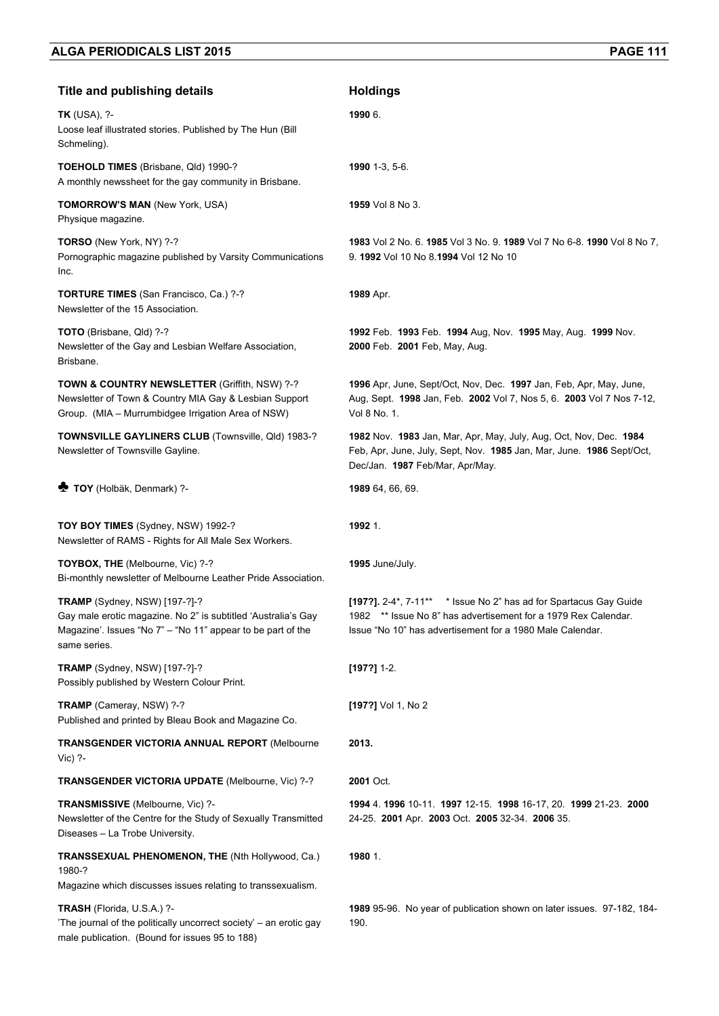| <b>Title and publishing details</b>                                                                                                                                           | <b>Holdings</b>                                                                                                                                                                                  |
|-------------------------------------------------------------------------------------------------------------------------------------------------------------------------------|--------------------------------------------------------------------------------------------------------------------------------------------------------------------------------------------------|
| <b>TK</b> (USA), ?-<br>Loose leaf illustrated stories. Published by The Hun (Bill<br>Schmeling).                                                                              | 1990 6.                                                                                                                                                                                          |
| TOEHOLD TIMES (Brisbane, Qld) 1990-?<br>A monthly newssheet for the gay community in Brisbane.                                                                                | 1990 1-3, 5-6.                                                                                                                                                                                   |
| <b>TOMORROW'S MAN (New York, USA)</b><br>Physique magazine.                                                                                                                   | 1959 Vol 8 No 3.                                                                                                                                                                                 |
| TORSO (New York, NY) ?-?<br>Pornographic magazine published by Varsity Communications<br>Inc.                                                                                 | 1983 Vol 2 No. 6. 1985 Vol 3 No. 9. 1989 Vol 7 No 6-8. 1990 Vol 8 No 7,<br>9. 1992 Vol 10 No 8.1994 Vol 12 No 10                                                                                 |
| TORTURE TIMES (San Francisco, Ca.) ?-?<br>Newsletter of the 15 Association.                                                                                                   | 1989 Apr.                                                                                                                                                                                        |
| TOTO (Brisbane, Qld) ?-?<br>Newsletter of the Gay and Lesbian Welfare Association,<br>Brisbane.                                                                               | 1992 Feb. 1993 Feb. 1994 Aug, Nov. 1995 May, Aug. 1999 Nov.<br>2000 Feb. 2001 Feb, May, Aug.                                                                                                     |
| <b>TOWN &amp; COUNTRY NEWSLETTER (Griffith, NSW) ?-?</b><br>Newsletter of Town & Country MIA Gay & Lesbian Support<br>Group. (MIA - Murrumbidgee Irrigation Area of NSW)      | 1996 Apr, June, Sept/Oct, Nov, Dec. 1997 Jan, Feb, Apr, May, June,<br>Aug, Sept. 1998 Jan, Feb. 2002 Vol 7, Nos 5, 6. 2003 Vol 7 Nos 7-12,<br>Vol 8 No. 1.                                       |
| TOWNSVILLE GAYLINERS CLUB (Townsville, Qld) 1983-?<br>Newsletter of Townsville Gayline.                                                                                       | 1982 Nov. 1983 Jan, Mar, Apr, May, July, Aug, Oct, Nov, Dec. 1984<br>Feb, Apr, June, July, Sept, Nov. 1985 Jan, Mar, June. 1986 Sept/Oct,<br>Dec/Jan. 1987 Feb/Mar, Apr/May.                     |
| TOY (Holbäk, Denmark) ?-                                                                                                                                                      | 1989 64, 66, 69.                                                                                                                                                                                 |
| TOY BOY TIMES (Sydney, NSW) 1992-?<br>Newsletter of RAMS - Rights for All Male Sex Workers.                                                                                   | 1992 1.                                                                                                                                                                                          |
| TOYBOX, THE (Melbourne, Vic) ?-?<br>Bi-monthly newsletter of Melbourne Leather Pride Association.                                                                             | 1995 June/July.                                                                                                                                                                                  |
| TRAMP (Sydney, NSW) [197-?]-?<br>Gay male erotic magazine. No 2" is subtitled 'Australia's Gay<br>Magazine'. Issues "No 7" - "No 11" appear to be part of the<br>same series. | [197?]. 2-4*, 7-11** * Issue No 2" has ad for Spartacus Gay Guide<br>1982 ** Issue No 8" has advertisement for a 1979 Rex Calendar.<br>Issue "No 10" has advertisement for a 1980 Male Calendar. |
| TRAMP (Sydney, NSW) [197-?]-?<br>Possibly published by Western Colour Print.                                                                                                  | $[197?]$ 1-2.                                                                                                                                                                                    |
| TRAMP (Cameray, NSW) ?-?<br>Published and printed by Bleau Book and Magazine Co.                                                                                              | [197?] Vol 1, No 2                                                                                                                                                                               |
| <b>TRANSGENDER VICTORIA ANNUAL REPORT (Melbourne</b><br>Vic) ?-                                                                                                               | 2013.                                                                                                                                                                                            |
| <b>TRANSGENDER VICTORIA UPDATE (Melbourne, Vic) ?-?</b>                                                                                                                       | 2001 Oct.                                                                                                                                                                                        |
| TRANSMISSIVE (Melbourne, Vic) ?-<br>Newsletter of the Centre for the Study of Sexually Transmitted<br>Diseases - La Trobe University.                                         | 1994 4. 1996 10-11. 1997 12-15. 1998 16-17, 20. 1999 21-23. 2000<br>24-25. 2001 Apr. 2003 Oct. 2005 32-34. 2006 35.                                                                              |
| TRANSSEXUAL PHENOMENON, THE (Nth Hollywood, Ca.)<br>1980-?                                                                                                                    | 1980 1.                                                                                                                                                                                          |
| Magazine which discusses issues relating to transsexualism.                                                                                                                   |                                                                                                                                                                                                  |
| TRASH (Florida, U.S.A.) ?-<br>'The journal of the politically uncorrect society' - an erotic gay<br>male publication. (Bound for issues 95 to 188)                            | 1989 95-96. No year of publication shown on later issues. 97-182, 184-<br>190.                                                                                                                   |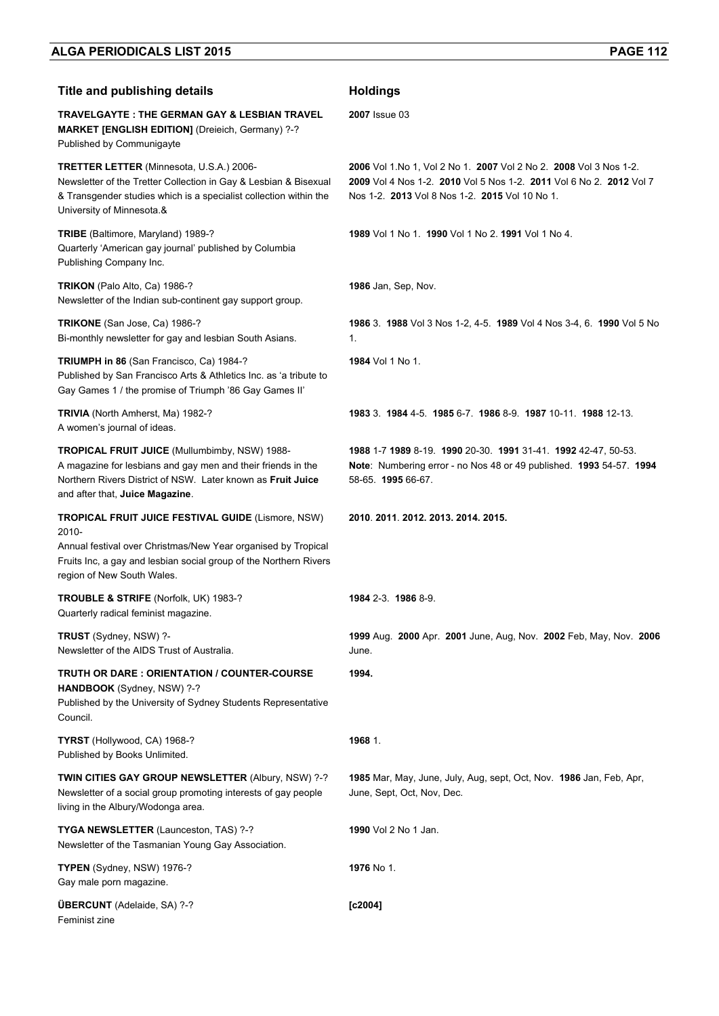## **Title and publishing details <b>Acceleration Holdings**

**TRAVELGAYTE : THE GERMAN GAY & LESBIAN TRAVEL MARKET [ENGLISH EDITION]** (Dreieich, Germany) ?-?

Published by Communigayte **TRETTER LETTER** (Minnesota, U.S.A.) 2006-

Newsletter of the Tretter Collection in Gay & Lesbian & Bisexual & Transgender studies which is a specialist collection within the University of Minnesota.&

**TRIBE** (Baltimore, Maryland) 1989-? Quarterly 'American gay journal' published by Columbia Publishing Company Inc.

**TRIKON** (Palo Alto, Ca) 1986-? Newsletter of the Indian sub-continent gay support group.

**TRIKONE** (San Jose, Ca) 1986-? Bi-monthly newsletter for gay and lesbian South Asians.

**TRIUMPH in 86** (San Francisco, Ca) 1984-? Published by San Francisco Arts & Athletics Inc. as 'a tribute to Gay Games 1 / the promise of Triumph '86 Gay Games II'

**TRIVIA** (North Amherst, Ma) 1982-? A women's journal of ideas.

**TROPICAL FRUIT JUICE** (Mullumbimby, NSW) 1988- A magazine for lesbians and gay men and their friends in the Northern Rivers District of NSW. Later known as **Fruit Juice**  and after that, **Juice Magazine**.

**TROPICAL FRUIT JUICE FESTIVAL GUIDE** (Lismore, NSW) 2010-

Annual festival over Christmas/New Year organised by Tropical Fruits Inc, a gay and lesbian social group of the Northern Rivers region of New South Wales.

**TROUBLE & STRIFE** (Norfolk, UK) 1983-? Quarterly radical feminist magazine.

**TRUST** (Sydney, NSW) ?- Newsletter of the AIDS Trust of Australia.

**TRUTH OR DARE : ORIENTATION / COUNTER-COURSE HANDBOOK** (Sydney, NSW) ?-? Published by the University of Sydney Students Representative Council.

**TYRST** (Hollywood, CA) 1968-? Published by Books Unlimited.

**TWIN CITIES GAY GROUP NEWSLETTER** (Albury, NSW) ?-? Newsletter of a social group promoting interests of gay people living in the Albury/Wodonga area.

**TYGA NEWSLETTER** (Launceston, TAS) ?-? Newsletter of the Tasmanian Young Gay Association.

**TYPEN** (Sydney, NSW) 1976-? Gay male porn magazine.

**ÜBERCUNT** (Adelaide, SA) ?-? Feminist zine

**2007** Issue 03

**2006** Vol 1.No 1, Vol 2 No 1. **2007** Vol 2 No 2. **2008** Vol 3 Nos 1-2. **2009** Vol 4 Nos 1-2. **2010** Vol 5 Nos 1-2. **2011** Vol 6 No 2. **2012** Vol 7 Nos 1-2. **2013** Vol 8 Nos 1-2. **2015** Vol 10 No 1.

**1989** Vol 1 No 1. **1990** Vol 1 No 2. **1991** Vol 1 No 4.

**1986** Jan, Sep, Nov.

**1986** 3. **1988** Vol 3 Nos 1-2, 4-5. **1989** Vol 4 Nos 3-4, 6. **1990** Vol 5 No 1.

**1984** Vol 1 No 1.

**1983** 3. **1984** 4-5. **1985** 6-7. **1986** 8-9. **1987** 10-11. **1988** 12-13.

**1988** 1-7 **1989** 8-19. **1990** 20-30. **1991** 31-41. **1992** 42-47, 50-53. **Note**: Numbering error - no Nos 48 or 49 published. **1993** 54-57. **1994**  58-65. **1995** 66-67.

**2010**. **2011**. **2012. 2013. 2014. 2015.**

**1984** 2-3. **1986** 8-9.

**1999** Aug. **2000** Apr. **2001** June, Aug, Nov. **2002** Feb, May, Nov. **2006** June.

**1994.** 

**1968** 1.

**1985** Mar, May, June, July, Aug, sept, Oct, Nov. **1986** Jan, Feb, Apr, June, Sept, Oct, Nov, Dec.

**1990** Vol 2 No 1 Jan.

**1976** No 1.

**[c2004]**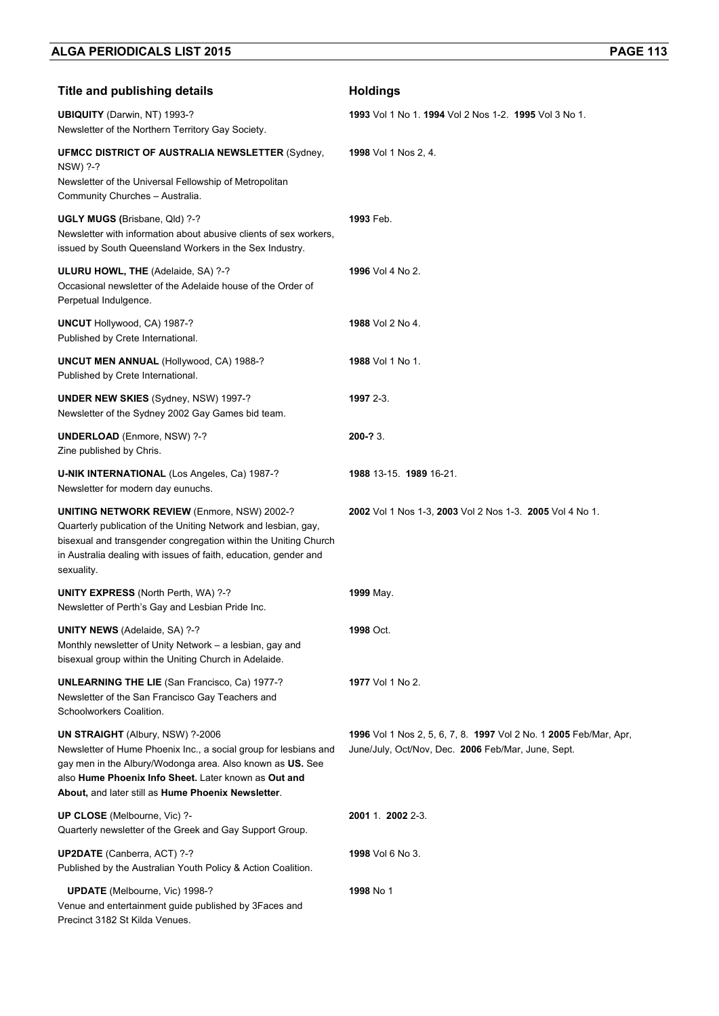| <b>Title and publishing details</b>                                                                                                                                                                                                                                                    | <b>Holdings</b>                                                                                                         |
|----------------------------------------------------------------------------------------------------------------------------------------------------------------------------------------------------------------------------------------------------------------------------------------|-------------------------------------------------------------------------------------------------------------------------|
| <b>UBIQUITY</b> (Darwin, NT) 1993-?<br>Newsletter of the Northern Territory Gay Society.                                                                                                                                                                                               | 1993 Vol 1 No 1, 1994 Vol 2 Nos 1-2, 1995 Vol 3 No 1,                                                                   |
| <b>UFMCC DISTRICT OF AUSTRALIA NEWSLETTER (Sydney,</b><br>NSW) ?-?<br>Newsletter of the Universal Fellowship of Metropolitan                                                                                                                                                           | 1998 Vol 1 Nos 2, 4.                                                                                                    |
| Community Churches - Australia.<br>UGLY MUGS (Brisbane, Qld) ?-?<br>Newsletter with information about abusive clients of sex workers,<br>issued by South Queensland Workers in the Sex Industry.                                                                                       | 1993 Feb.                                                                                                               |
| ULURU HOWL, THE (Adelaide, SA) ?-?<br>Occasional newsletter of the Adelaide house of the Order of<br>Perpetual Indulgence.                                                                                                                                                             | 1996 Vol 4 No 2.                                                                                                        |
| UNCUT Hollywood, CA) 1987-?<br>Published by Crete International.                                                                                                                                                                                                                       | 1988 Vol 2 No 4.                                                                                                        |
| <b>UNCUT MEN ANNUAL (Hollywood, CA) 1988-?</b><br>Published by Crete International.                                                                                                                                                                                                    | 1988 Vol 1 No 1.                                                                                                        |
| <b>UNDER NEW SKIES (Sydney, NSW) 1997-?</b><br>Newsletter of the Sydney 2002 Gay Games bid team.                                                                                                                                                                                       | 1997 2-3.                                                                                                               |
| <b>UNDERLOAD</b> (Enmore, NSW) ?-?<br>Zine published by Chris.                                                                                                                                                                                                                         | 200-? 3.                                                                                                                |
| U-NIK INTERNATIONAL (Los Angeles, Ca) 1987-?<br>Newsletter for modern day eunuchs.                                                                                                                                                                                                     | 1988 13-15 1989 16-21.                                                                                                  |
| <b>UNITING NETWORK REVIEW (Enmore, NSW) 2002-?</b><br>Quarterly publication of the Uniting Network and lesbian, gay,<br>bisexual and transgender congregation within the Uniting Church<br>in Australia dealing with issues of faith, education, gender and<br>sexuality.              | 2002 Vol 1 Nos 1-3, 2003 Vol 2 Nos 1-3. 2005 Vol 4 No 1.                                                                |
| <b>UNITY EXPRESS (North Perth, WA) ?-?</b><br>Newsletter of Perth's Gay and Lesbian Pride Inc.                                                                                                                                                                                         | 1999 May.                                                                                                               |
| <b>UNITY NEWS (Adelaide, SA) ?-?</b><br>Monthly newsletter of Unity Network - a lesbian, gay and<br>bisexual group within the Uniting Church in Adelaide.                                                                                                                              | 1998 Oct.                                                                                                               |
| <b>UNLEARNING THE LIE</b> (San Francisco, Ca) 1977-?<br>Newsletter of the San Francisco Gay Teachers and<br>Schoolworkers Coalition.                                                                                                                                                   | 1977 Vol 1 No 2.                                                                                                        |
| <b>UN STRAIGHT</b> (Albury, NSW) ?-2006<br>Newsletter of Hume Phoenix Inc., a social group for lesbians and<br>gay men in the Albury/Wodonga area. Also known as US. See<br>also Hume Phoenix Info Sheet. Later known as Out and<br>About, and later still as Hume Phoenix Newsletter. | 1996 Vol 1 Nos 2, 5, 6, 7, 8. 1997 Vol 2 No. 1 2005 Feb/Mar, Apr,<br>June/July, Oct/Nov, Dec. 2006 Feb/Mar, June, Sept. |
| UP CLOSE (Melbourne, Vic) ?-<br>Quarterly newsletter of the Greek and Gay Support Group.                                                                                                                                                                                               | 2001 1. 2002 2-3.                                                                                                       |
| UP2DATE (Canberra, ACT) ?-?<br>Published by the Australian Youth Policy & Action Coalition.                                                                                                                                                                                            | <b>1998</b> Vol 6 No 3.                                                                                                 |
| <b>UPDATE</b> (Melbourne, Vic) 1998-?<br>Venue and entertainment guide published by 3Faces and<br>Precinct 3182 St Kilda Venues.                                                                                                                                                       | 1998 No 1                                                                                                               |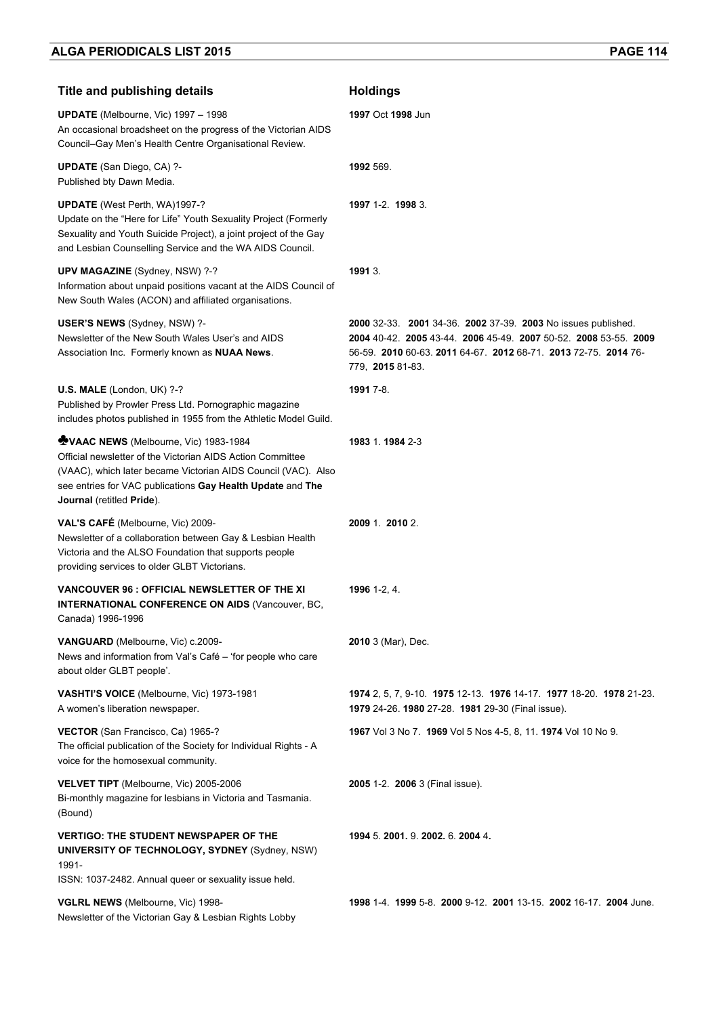| <b>Title and publishing details</b>                                                                                                                                                                                                                                    | <b>Holdings</b>                                                                                                                                                                                                          |
|------------------------------------------------------------------------------------------------------------------------------------------------------------------------------------------------------------------------------------------------------------------------|--------------------------------------------------------------------------------------------------------------------------------------------------------------------------------------------------------------------------|
| <b>UPDATE</b> (Melbourne, Vic) 1997 - 1998<br>An occasional broadsheet on the progress of the Victorian AIDS<br>Council-Gay Men's Health Centre Organisational Review.                                                                                                 | 1997 Oct 1998 Jun                                                                                                                                                                                                        |
| <b>UPDATE</b> (San Diego, CA) ?-<br>Published bty Dawn Media.                                                                                                                                                                                                          | 1992 569.                                                                                                                                                                                                                |
| <b>UPDATE</b> (West Perth, WA)1997-?<br>Update on the "Here for Life" Youth Sexuality Project (Formerly<br>Sexuality and Youth Suicide Project), a joint project of the Gay<br>and Lesbian Counselling Service and the WA AIDS Council.                                | 1997 1-2. 1998 3.                                                                                                                                                                                                        |
| UPV MAGAZINE (Sydney, NSW) ?-?<br>Information about unpaid positions vacant at the AIDS Council of<br>New South Wales (ACON) and affiliated organisations.                                                                                                             | 1991 3.                                                                                                                                                                                                                  |
| USER'S NEWS (Sydney, NSW) ?-<br>Newsletter of the New South Wales User's and AIDS<br>Association Inc. Formerly known as NUAA News.                                                                                                                                     | 2000 32-33. 2001 34-36. 2002 37-39. 2003 No issues published.<br>2004 40-42. 2005 43-44. 2006 45-49. 2007 50-52. 2008 53-55. 2009<br>56-59. 2010 60-63. 2011 64-67. 2012 68-71. 2013 72-75. 2014 76-<br>779, 2015 81-83. |
| U.S. MALE (London, UK) ?-?<br>Published by Prowler Press Ltd. Pornographic magazine<br>includes photos published in 1955 from the Athletic Model Guild.                                                                                                                | 1991 7-8.                                                                                                                                                                                                                |
| <b>WVAAC NEWS</b> (Melbourne, Vic) 1983-1984<br>Official newsletter of the Victorian AIDS Action Committee<br>(VAAC), which later became Victorian AIDS Council (VAC). Also<br>see entries for VAC publications Gay Health Update and The<br>Journal (retitled Pride). | 1983 1.1984 2-3                                                                                                                                                                                                          |
| VAL'S CAFÉ (Melbourne, Vic) 2009-<br>Newsletter of a collaboration between Gay & Lesbian Health<br>Victoria and the ALSO Foundation that supports people<br>providing services to older GLBT Victorians.                                                               | 2009 1. 2010 2.                                                                                                                                                                                                          |
| VANCOUVER 96 : OFFICIAL NEWSLETTER OF THE XI<br><b>INTERNATIONAL CONFERENCE ON AIDS (Vancouver, BC,</b><br>Canada) 1996-1996                                                                                                                                           | 1996 1-2, 4.                                                                                                                                                                                                             |
| VANGUARD (Melbourne, Vic) c.2009-<br>News and information from Val's Café - 'for people who care<br>about older GLBT people'.                                                                                                                                          | <b>2010</b> 3 (Mar), Dec.                                                                                                                                                                                                |
| VASHTI'S VOICE (Melbourne, Vic) 1973-1981<br>A women's liberation newspaper.                                                                                                                                                                                           | 1974 2, 5, 7, 9-10. 1975 12-13. 1976 14-17. 1977 18-20. 1978 21-23.<br>1979 24-26. 1980 27-28. 1981 29-30 (Final issue).                                                                                                 |
| VECTOR (San Francisco, Ca) 1965-?<br>The official publication of the Society for Individual Rights - A<br>voice for the homosexual community.                                                                                                                          | 1967 Vol 3 No 7. 1969 Vol 5 Nos 4-5, 8, 11. 1974 Vol 10 No 9.                                                                                                                                                            |
| VELVET TIPT (Melbourne, Vic) 2005-2006<br>Bi-monthly magazine for lesbians in Victoria and Tasmania.<br>(Bound)                                                                                                                                                        | 2005 1-2. 2006 3 (Final issue).                                                                                                                                                                                          |
| <b>VERTIGO: THE STUDENT NEWSPAPER OF THE</b><br><b>UNIVERSITY OF TECHNOLOGY, SYDNEY (Sydney, NSW)</b><br>1991-<br>ISSN: 1037-2482. Annual queer or sexuality issue held.                                                                                               | 1994 5. 2001. 9. 2002. 6. 2004 4.                                                                                                                                                                                        |
| VGLRL NEWS (Melbourne, Vic) 1998-<br>Newsletter of the Victorian Gay & Lesbian Rights Lobby                                                                                                                                                                            | 1998 1-4, 1999 5-8, 2000 9-12, 2001 13-15, 2002 16-17, 2004 June.                                                                                                                                                        |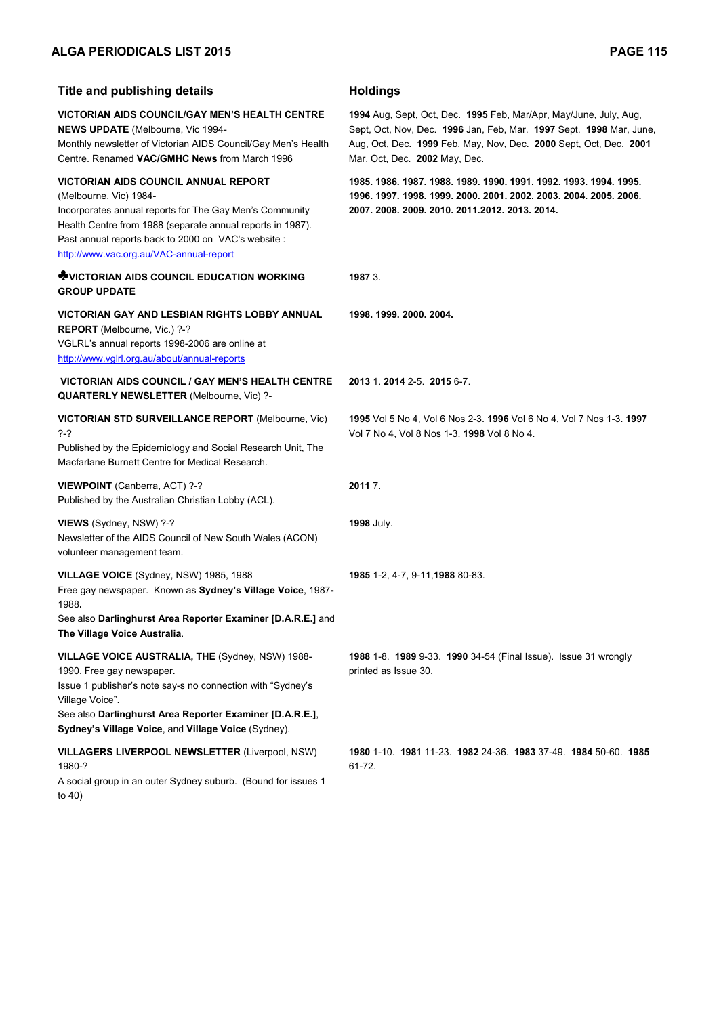### **Title and publishing details Holdings**

**VICTORIAN AIDS COUNCIL/GAY MEN'S HEALTH CENTRE NEWS UPDATE** (Melbourne, Vic 1994- Monthly newsletter of Victorian AIDS Council/Gay Men's Health Centre. Renamed **VAC/GMHC News** from March 1996 **1994** Aug, Sept, Oct, Dec. **1995** Feb, Mar/Apr, May/June, July, Aug, Sept, Oct, Nov, Dec. **1996** Jan, Feb, Mar. **1997** Sept. **1998** Mar, June, Aug, Oct, Dec. **1999** Feb, May, Nov, Dec. **2000** Sept, Oct, Dec. **2001**  Mar, Oct, Dec. **2002** May, Dec. **VICTORIAN AIDS COUNCIL ANNUAL REPORT**  (Melbourne, Vic) 1984- Incorporates annual reports for The Gay Men's Community Health Centre from 1988 (separate annual reports in 1987). Past annual reports back to 2000 on VAC's website : http://www.vac.org.au/VAC-annual-report **1985. 1986. 1987. 1988. 1989. 1990. 1991. 1992. 1993. 1994. 1995. 1996. 1997. 1998. 1999. 2000. 2001. 2002. 2003. 2004. 2005. 2006. 2007. 2008. 2009. 2010. 2011.2012. 2013. 2014. ♣VICTORIAN AIDS COUNCIL EDUCATION WORKING GROUP UPDATE 1987** 3. **VICTORIAN GAY AND LESBIAN RIGHTS LOBBY ANNUAL REPORT** (Melbourne, Vic.) ?-? VGLRL's annual reports 1998-2006 are online at http://www.vglrl.org.au/about/annual-reports **1998. 1999. 2000. 2004. VICTORIAN AIDS COUNCIL / GAY MEN'S HEALTH CENTRE QUARTERLY NEWSLETTER** (Melbourne, Vic) ?- **2013** 1. **2014** 2-5. **2015** 6-7. **VICTORIAN STD SURVEILLANCE REPORT** (Melbourne, Vic) ?-? Published by the Epidemiology and Social Research Unit, The Macfarlane Burnett Centre for Medical Research. **1995** Vol 5 No 4, Vol 6 Nos 2-3. **1996** Vol 6 No 4, Vol 7 Nos 1-3. **1997**  Vol 7 No 4, Vol 8 Nos 1-3. **1998** Vol 8 No 4. **VIEWPOINT** (Canberra, ACT) ?-? Published by the Australian Christian Lobby (ACL). **2011** 7. **VIEWS** (Sydney, NSW) ?-? Newsletter of the AIDS Council of New South Wales (ACON) volunteer management team. **1998** July. **VILLAGE VOICE** (Sydney, NSW) 1985, 1988 Free gay newspaper. Known as **Sydney's Village Voice**, 1987**-** 1988**.**  See also **Darlinghurst Area Reporter Examiner [D.A.R.E.]** and **The Village Voice Australia**. **1985** 1-2, 4-7, 9-11,**1988** 80-83. **VILLAGE VOICE AUSTRALIA, THE** (Sydney, NSW) 1988- 1990. Free gay newspaper. Issue 1 publisher's note say-s no connection with "Sydney's Village Voice". See also **Darlinghurst Area Reporter Examiner [D.A.R.E.]**, **Sydney's Village Voice**, and **Village Voice** (Sydney). **1988** 1-8. **1989** 9-33. **1990** 34-54 (Final Issue). Issue 31 wrongly printed as Issue 30. **VILLAGERS LIVERPOOL NEWSLETTER** (Liverpool, NSW) 1980-? A social group in an outer Sydney suburb. (Bound for issues 1 to 40) **1980** 1-10. **1981** 11-23. **1982** 24-36. **1983** 37-49. **1984** 50-60. **1985** 61-72.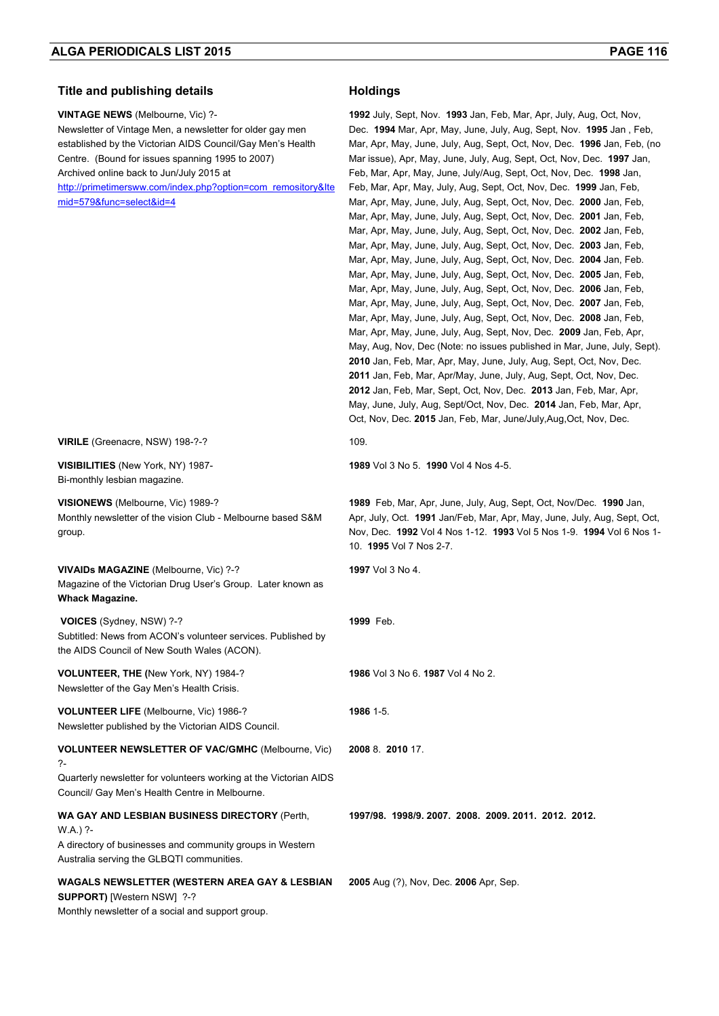### **Title and publishing details Holdings**

**VINTAGE NEWS** (Melbourne, Vic) ?- Newsletter of Vintage Men, a newsletter for older gay men established by the Victorian AIDS Council/Gay Men's Health Centre. (Bound for issues spanning 1995 to 2007) Archived online back to Jun/July 2015 at http://primetimersww.com/index.php?option=com\_remository&Ite mid=579&func=select&id=4

**1992** July, Sept, Nov. **1993** Jan, Feb, Mar, Apr, July, Aug, Oct, Nov, Dec. **1994** Mar, Apr, May, June, July, Aug, Sept, Nov. **1995** Jan , Feb, Mar, Apr, May, June, July, Aug, Sept, Oct, Nov, Dec. **1996** Jan, Feb, (no Mar issue), Apr, May, June, July, Aug, Sept, Oct, Nov, Dec. **1997** Jan, Feb, Mar, Apr, May, June, July/Aug, Sept, Oct, Nov, Dec. **1998** Jan, Feb, Mar, Apr, May, July, Aug, Sept, Oct, Nov, Dec. **1999** Jan, Feb, Mar, Apr, May, June, July, Aug, Sept, Oct, Nov, Dec. **2000** Jan, Feb, Mar, Apr, May, June, July, Aug, Sept, Oct, Nov, Dec. **2001** Jan, Feb, Mar, Apr, May, June, July, Aug, Sept, Oct, Nov, Dec. **2002** Jan, Feb, Mar, Apr, May, June, July, Aug, Sept, Oct, Nov, Dec. **2003** Jan, Feb, Mar, Apr, May, June, July, Aug, Sept, Oct, Nov, Dec. **2004** Jan, Feb. Mar, Apr, May, June, July, Aug, Sept, Oct, Nov, Dec. **2005** Jan, Feb, Mar, Apr, May, June, July, Aug, Sept, Oct, Nov, Dec. **2006** Jan, Feb, Mar, Apr, May, June, July, Aug, Sept, Oct, Nov, Dec. **2007** Jan, Feb, Mar, Apr, May, June, July, Aug, Sept, Oct, Nov, Dec. **2008** Jan, Feb, Mar, Apr, May, June, July, Aug, Sept, Nov, Dec. **2009** Jan, Feb, Apr, May, Aug, Nov, Dec (Note: no issues published in Mar, June, July, Sept). **2010** Jan, Feb, Mar, Apr, May, June, July, Aug, Sept, Oct, Nov, Dec. **2011** Jan, Feb, Mar, Apr/May, June, July, Aug, Sept, Oct, Nov, Dec. **2012** Jan, Feb, Mar, Sept, Oct, Nov, Dec. **2013** Jan, Feb, Mar, Apr, May, June, July, Aug, Sept/Oct, Nov, Dec. **2014** Jan, Feb, Mar, Apr, Oct, Nov, Dec. **2015** Jan, Feb, Mar, June/July,Aug,Oct, Nov, Dec.

**1989** Feb, Mar, Apr, June, July, Aug, Sept, Oct, Nov/Dec. **1990** Jan, Apr, July, Oct. **1991** Jan/Feb, Mar, Apr, May, June, July, Aug, Sept, Oct, Nov, Dec. **1992** Vol 4 Nos 1-12. **1993** Vol 5 Nos 1-9. **1994** Vol 6 Nos 1-

**1989** Vol 3 No 5. **1990** Vol 4 Nos 4-5.

10. **1995** Vol 7 Nos 2-7.

**1986** Vol 3 No 6. **1987** Vol 4 No 2.

**1997/98. 1998/9. 2007. 2008. 2009. 2011. 2012. 2012.** 

**2005** Aug (?), Nov, Dec. **2006** Apr, Sep.

**1997** Vol 3 No 4.

**1999** Feb.

**1986** 1-5.

**2008** 8. **2010** 17.

**VIRILE** (Greenacre, NSW) 198-?-? 109.

**VISIBILITIES** (New York, NY) 1987- Bi-monthly lesbian magazine.

**VISIONEWS** (Melbourne, Vic) 1989-? Monthly newsletter of the vision Club - Melbourne based S&M group.

**VIVAIDs MAGAZINE** (Melbourne, Vic) ?-? Magazine of the Victorian Drug User's Group. Later known as **Whack Magazine.** 

 **VOICES** (Sydney, NSW) ?-? Subtitled: News from ACON's volunteer services. Published by the AIDS Council of New South Wales (ACON).

**VOLUNTEER, THE (**New York, NY) 1984-? Newsletter of the Gay Men's Health Crisis.

**VOLUNTEER LIFE** (Melbourne, Vic) 1986-? Newsletter published by the Victorian AIDS Council. **VOLUNTEER NEWSLETTER OF VAC/GMHC** (Melbourne, Vic) ?-

Quarterly newsletter for volunteers working at the Victorian AIDS Council/ Gay Men's Health Centre in Melbourne.

### **WA GAY AND LESBIAN BUSINESS DIRECTORY** (Perth,

 $W A$ ) ?-A directory of businesses and community groups in Western Australia serving the GLBQTI communities.

# **WAGALS NEWSLETTER (WESTERN AREA GAY & LESBIAN**

**SUPPORT)** [Western NSW] ?-?

Monthly newsletter of a social and support group.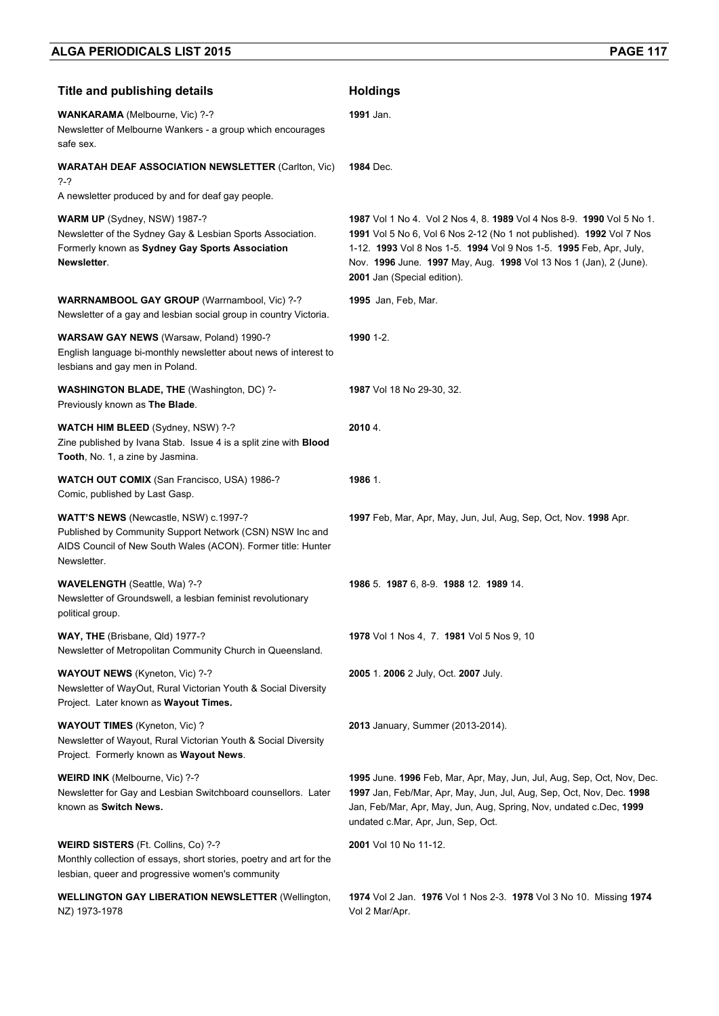| <b>Title and publishing details</b>                                                                                                                                              | <b>Holdings</b>                                                                                                                                                                                                                                                                                                         |
|----------------------------------------------------------------------------------------------------------------------------------------------------------------------------------|-------------------------------------------------------------------------------------------------------------------------------------------------------------------------------------------------------------------------------------------------------------------------------------------------------------------------|
| WANKARAMA (Melbourne, Vic) ?-?<br>Newsletter of Melbourne Wankers - a group which encourages<br>safe sex.                                                                        | 1991 Jan.                                                                                                                                                                                                                                                                                                               |
| <b>WARATAH DEAF ASSOCIATION NEWSLETTER (Carlton, Vic)</b><br>?-?                                                                                                                 | <b>1984</b> Dec.                                                                                                                                                                                                                                                                                                        |
| A newsletter produced by and for deaf gay people.                                                                                                                                |                                                                                                                                                                                                                                                                                                                         |
| WARM UP (Sydney, NSW) 1987-?<br>Newsletter of the Sydney Gay & Lesbian Sports Association.<br>Formerly known as Sydney Gay Sports Association<br>Newsletter.                     | 1987 Vol 1 No 4. Vol 2 Nos 4, 8. 1989 Vol 4 Nos 8-9. 1990 Vol 5 No 1.<br>1991 Vol 5 No 6, Vol 6 Nos 2-12 (No 1 not published). 1992 Vol 7 Nos<br>1-12. 1993 Vol 8 Nos 1-5. 1994 Vol 9 Nos 1-5. 1995 Feb, Apr, July,<br>Nov. 1996 June. 1997 May, Aug. 1998 Vol 13 Nos 1 (Jan), 2 (June).<br>2001 Jan (Special edition). |
| <b>WARRNAMBOOL GAY GROUP</b> (Warrnambool, Vic) ?-?<br>Newsletter of a gay and lesbian social group in country Victoria.                                                         | <b>1995</b> Jan, Feb, Mar.                                                                                                                                                                                                                                                                                              |
| <b>WARSAW GAY NEWS</b> (Warsaw, Poland) 1990-?<br>English language bi-monthly newsletter about news of interest to<br>lesbians and gay men in Poland.                            | 1990 1-2.                                                                                                                                                                                                                                                                                                               |
| WASHINGTON BLADE, THE (Washington, DC) ?-<br>Previously known as The Blade.                                                                                                      | 1987 Vol 18 No 29-30, 32.                                                                                                                                                                                                                                                                                               |
| <b>WATCH HIM BLEED (Sydney, NSW) ?-?</b><br>Zine published by Ivana Stab. Issue 4 is a split zine with <b>Blood</b><br>Tooth, No. 1, a zine by Jasmina.                          | 2010 4.                                                                                                                                                                                                                                                                                                                 |
| <b>WATCH OUT COMIX (San Francisco, USA) 1986-?</b><br>Comic, published by Last Gasp.                                                                                             | 1986 1.                                                                                                                                                                                                                                                                                                                 |
| WATT'S NEWS (Newcastle, NSW) c.1997-?<br>Published by Community Support Network (CSN) NSW Inc and<br>AIDS Council of New South Wales (ACON). Former title: Hunter<br>Newsletter. | 1997 Feb, Mar, Apr, May, Jun, Jul, Aug, Sep, Oct, Nov. 1998 Apr.                                                                                                                                                                                                                                                        |
| WAVELENGTH (Seattle, Wa) ?-?<br>Newsletter of Groundswell, a lesbian feminist revolutionary<br>political group.                                                                  | 1986 5. 1987 6, 8-9. 1988 12. 1989 14.                                                                                                                                                                                                                                                                                  |
| WAY, THE (Brisbane, Qld) 1977-?<br>Newsletter of Metropolitan Community Church in Queensland.                                                                                    | 1978 Vol 1 Nos 4, 7. 1981 Vol 5 Nos 9, 10                                                                                                                                                                                                                                                                               |
| WAYOUT NEWS (Kyneton, Vic) ?-?<br>Newsletter of WayOut, Rural Victorian Youth & Social Diversity<br>Project. Later known as Wayout Times.                                        | 2005 1. 2006 2 July, Oct. 2007 July.                                                                                                                                                                                                                                                                                    |
| <b>WAYOUT TIMES</b> (Kyneton, Vic) ?<br>Newsletter of Wayout, Rural Victorian Youth & Social Diversity<br>Project. Formerly known as Wayout News.                                | 2013 January, Summer (2013-2014).                                                                                                                                                                                                                                                                                       |
| <b>WEIRD INK</b> (Melbourne, Vic) ?-?<br>Newsletter for Gay and Lesbian Switchboard counsellors. Later<br>known as Switch News.                                                  | 1995 June. 1996 Feb, Mar, Apr, May, Jun, Jul, Aug, Sep, Oct, Nov, Dec.<br>1997 Jan, Feb/Mar, Apr, May, Jun, Jul, Aug, Sep, Oct, Nov, Dec. 1998<br>Jan, Feb/Mar, Apr, May, Jun, Aug, Spring, Nov, undated c.Dec, 1999<br>undated c.Mar, Apr, Jun, Sep, Oct.                                                              |
| WEIRD SISTERS (Ft. Collins, Co) ?-?<br>Monthly collection of essays, short stories, poetry and art for the<br>lesbian, queer and progressive women's community                   | 2001 Vol 10 No 11-12.                                                                                                                                                                                                                                                                                                   |
| <b>WELLINGTON GAY LIBERATION NEWSLETTER (Wellington,</b><br>NZ) 1973-1978                                                                                                        | 1974 Vol 2 Jan. 1976 Vol 1 Nos 2-3. 1978 Vol 3 No 10. Missing 1974<br>Vol 2 Mar/Apr.                                                                                                                                                                                                                                    |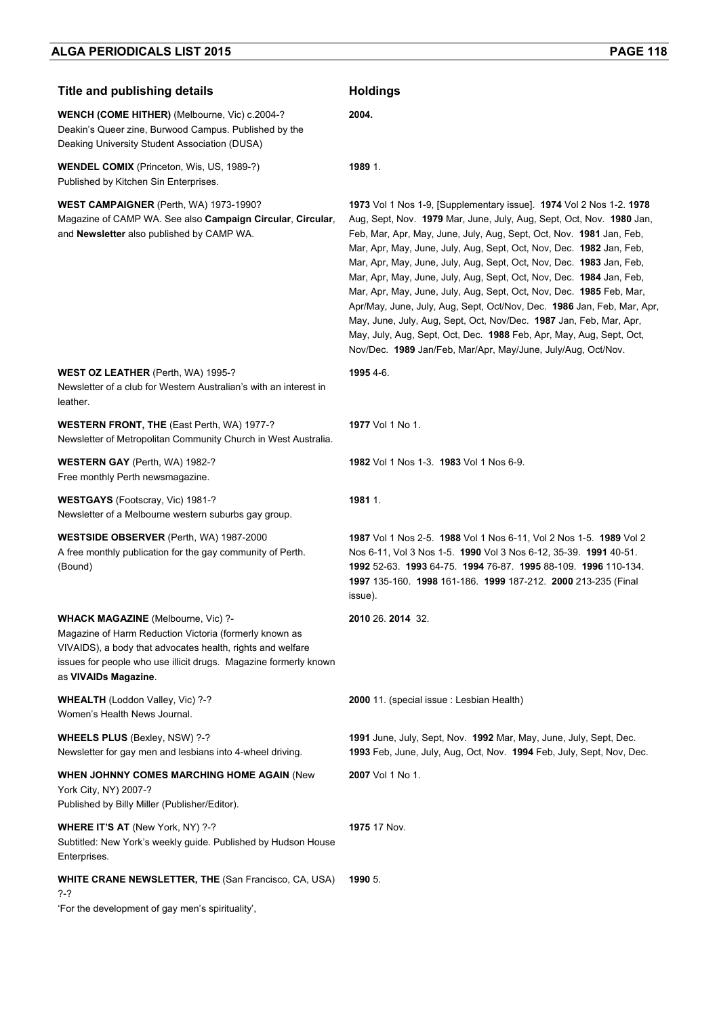| <b>Title and publishing details</b>                                                                                                                                                                                                                           | <b>Holdings</b>                                                                                                                                                                                                                                                                                                                                                                                                                                                                                                                                                                                                                                                                                                                                                                                       |
|---------------------------------------------------------------------------------------------------------------------------------------------------------------------------------------------------------------------------------------------------------------|-------------------------------------------------------------------------------------------------------------------------------------------------------------------------------------------------------------------------------------------------------------------------------------------------------------------------------------------------------------------------------------------------------------------------------------------------------------------------------------------------------------------------------------------------------------------------------------------------------------------------------------------------------------------------------------------------------------------------------------------------------------------------------------------------------|
| WENCH (COME HITHER) (Melbourne, Vic) c.2004-?<br>Deakin's Queer zine, Burwood Campus. Published by the<br>Deaking University Student Association (DUSA)                                                                                                       | 2004.                                                                                                                                                                                                                                                                                                                                                                                                                                                                                                                                                                                                                                                                                                                                                                                                 |
| <b>WENDEL COMIX</b> (Princeton, Wis, US, 1989-?)<br>Published by Kitchen Sin Enterprises.                                                                                                                                                                     | 1989 1.                                                                                                                                                                                                                                                                                                                                                                                                                                                                                                                                                                                                                                                                                                                                                                                               |
| <b>WEST CAMPAIGNER</b> (Perth, WA) 1973-1990?<br>Magazine of CAMP WA. See also Campaign Circular, Circular,<br>and Newsletter also published by CAMP WA.                                                                                                      | 1973 Vol 1 Nos 1-9, [Supplementary issue]. 1974 Vol 2 Nos 1-2. 1978<br>Aug, Sept, Nov. 1979 Mar, June, July, Aug, Sept, Oct, Nov. 1980 Jan,<br>Feb, Mar, Apr, May, June, July, Aug, Sept, Oct, Nov. 1981 Jan, Feb,<br>Mar, Apr, May, June, July, Aug, Sept, Oct, Nov, Dec. 1982 Jan, Feb,<br>Mar, Apr, May, June, July, Aug, Sept, Oct, Nov, Dec. 1983 Jan, Feb,<br>Mar, Apr, May, June, July, Aug, Sept, Oct, Nov, Dec. 1984 Jan, Feb,<br>Mar, Apr, May, June, July, Aug, Sept, Oct, Nov, Dec. 1985 Feb, Mar,<br>Apr/May, June, July, Aug, Sept, Oct/Nov, Dec. 1986 Jan, Feb, Mar, Apr,<br>May, June, July, Aug, Sept, Oct, Nov/Dec. 1987 Jan, Feb, Mar, Apr,<br>May, July, Aug, Sept, Oct, Dec. 1988 Feb, Apr, May, Aug, Sept, Oct,<br>Nov/Dec. 1989 Jan/Feb, Mar/Apr, May/June, July/Aug, Oct/Nov. |
| <b>WEST OZ LEATHER</b> (Perth, WA) 1995-?<br>Newsletter of a club for Western Australian's with an interest in<br>leather.                                                                                                                                    | 1995 4-6.                                                                                                                                                                                                                                                                                                                                                                                                                                                                                                                                                                                                                                                                                                                                                                                             |
| WESTERN FRONT, THE (East Perth, WA) 1977-?<br>Newsletter of Metropolitan Community Church in West Australia.                                                                                                                                                  | <b>1977</b> Vol 1 No 1.                                                                                                                                                                                                                                                                                                                                                                                                                                                                                                                                                                                                                                                                                                                                                                               |
| <b>WESTERN GAY</b> (Perth, WA) 1982-?<br>Free monthly Perth newsmagazine.                                                                                                                                                                                     | 1982 Vol 1 Nos 1-3. 1983 Vol 1 Nos 6-9.                                                                                                                                                                                                                                                                                                                                                                                                                                                                                                                                                                                                                                                                                                                                                               |
| <b>WESTGAYS</b> (Footscray, Vic) 1981-?<br>Newsletter of a Melbourne western suburbs gay group.                                                                                                                                                               | 1981 1.                                                                                                                                                                                                                                                                                                                                                                                                                                                                                                                                                                                                                                                                                                                                                                                               |
| <b>WESTSIDE OBSERVER</b> (Perth, WA) 1987-2000<br>A free monthly publication for the gay community of Perth.<br>(Bound)                                                                                                                                       | 1987 Vol 1 Nos 2-5. 1988 Vol 1 Nos 6-11, Vol 2 Nos 1-5. 1989 Vol 2<br>Nos 6-11, Vol 3 Nos 1-5. 1990 Vol 3 Nos 6-12, 35-39. 1991 40-51.<br>1992 52-63. 1993 64-75. 1994 76-87. 1995 88-109. 1996 110-134.<br>1997 135-160. 1998 161-186. 1999 187-212. 2000 213-235 (Final<br>issue).                                                                                                                                                                                                                                                                                                                                                                                                                                                                                                                  |
| <b>WHACK MAGAZINE</b> (Melbourne, Vic) ?-<br>Magazine of Harm Reduction Victoria (formerly known as<br>VIVAIDS), a body that advocates health, rights and welfare<br>issues for people who use illicit drugs. Magazine formerly known<br>as VIVAIDs Magazine. | 2010 26, 2014 32.                                                                                                                                                                                                                                                                                                                                                                                                                                                                                                                                                                                                                                                                                                                                                                                     |
| WHEALTH (Loddon Valley, Vic) ?-?<br>Women's Health News Journal.                                                                                                                                                                                              | 2000 11. (special issue: Lesbian Health)                                                                                                                                                                                                                                                                                                                                                                                                                                                                                                                                                                                                                                                                                                                                                              |
| <b>WHEELS PLUS (Bexley, NSW) ?-?</b><br>Newsletter for gay men and lesbians into 4-wheel driving.                                                                                                                                                             | 1991 June, July, Sept, Nov. 1992 Mar, May, June, July, Sept, Dec.<br>1993 Feb, June, July, Aug, Oct, Nov. 1994 Feb, July, Sept, Nov, Dec.                                                                                                                                                                                                                                                                                                                                                                                                                                                                                                                                                                                                                                                             |
| WHEN JOHNNY COMES MARCHING HOME AGAIN (New<br>York City, NY) 2007-?<br>Published by Billy Miller (Publisher/Editor).                                                                                                                                          | 2007 Vol 1 No 1.                                                                                                                                                                                                                                                                                                                                                                                                                                                                                                                                                                                                                                                                                                                                                                                      |
| WHERE IT'S AT (New York, NY) ?-?<br>Subtitled: New York's weekly guide. Published by Hudson House<br>Enterprises.                                                                                                                                             | 1975 17 Nov.                                                                                                                                                                                                                                                                                                                                                                                                                                                                                                                                                                                                                                                                                                                                                                                          |
| <b>WHITE CRANE NEWSLETTER, THE (San Francisco, CA, USA)</b><br>?-?<br>'For the development of gay men's spirituality',                                                                                                                                        | 1990 5.                                                                                                                                                                                                                                                                                                                                                                                                                                                                                                                                                                                                                                                                                                                                                                                               |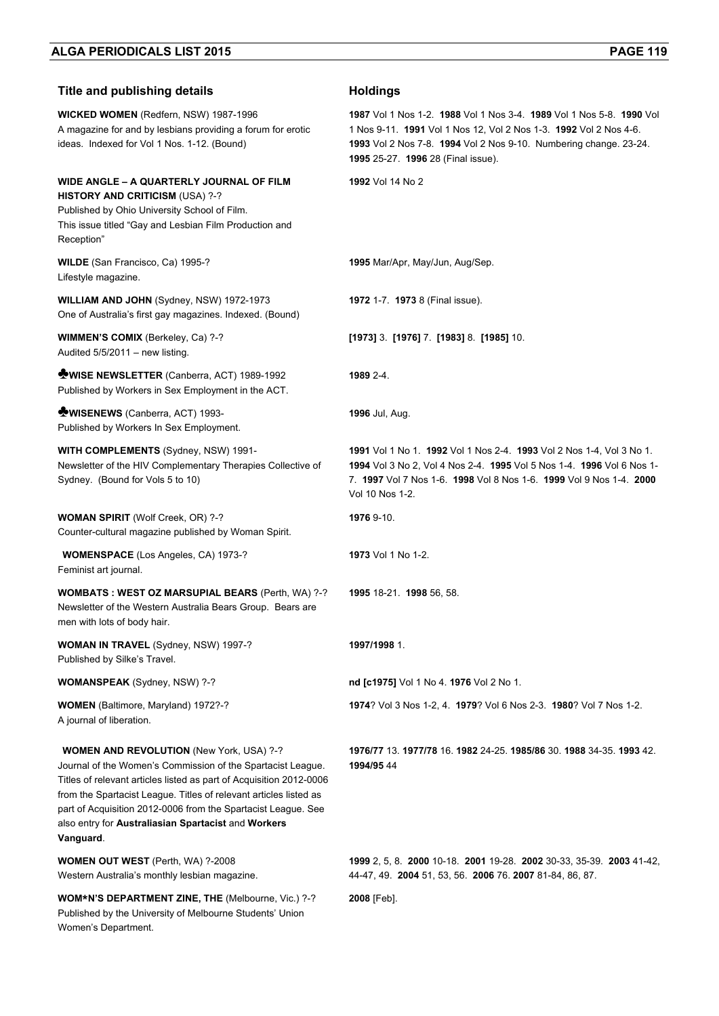| <b>Title and publishing details</b>                                                                                                                                                                                                                                                                                                                                                             | <b>Holdings</b>                                                                                                                                                                                                                                      |
|-------------------------------------------------------------------------------------------------------------------------------------------------------------------------------------------------------------------------------------------------------------------------------------------------------------------------------------------------------------------------------------------------|------------------------------------------------------------------------------------------------------------------------------------------------------------------------------------------------------------------------------------------------------|
| WICKED WOMEN (Redfern, NSW) 1987-1996<br>A magazine for and by lesbians providing a forum for erotic<br>ideas. Indexed for Vol 1 Nos. 1-12. (Bound)                                                                                                                                                                                                                                             | 1987 Vol 1 Nos 1-2, 1988 Vol 1 Nos 3-4, 1989 Vol 1 Nos 5-8, 1990 Vol<br>1 Nos 9-11. 1991 Vol 1 Nos 12, Vol 2 Nos 1-3. 1992 Vol 2 Nos 4-6.<br>1993 Vol 2 Nos 7-8. 1994 Vol 2 Nos 9-10. Numbering change. 23-24.<br>1995 25-27. 1996 28 (Final issue). |
| WIDE ANGLE - A QUARTERLY JOURNAL OF FILM<br><b>HISTORY AND CRITICISM (USA) ?-?</b><br>Published by Ohio University School of Film.<br>This issue titled "Gay and Lesbian Film Production and<br>Reception"                                                                                                                                                                                      | 1992 Vol 14 No 2                                                                                                                                                                                                                                     |
| WILDE (San Francisco, Ca) 1995-?<br>Lifestyle magazine.                                                                                                                                                                                                                                                                                                                                         | 1995 Mar/Apr, May/Jun, Aug/Sep.                                                                                                                                                                                                                      |
| WILLIAM AND JOHN (Sydney, NSW) 1972-1973<br>One of Australia's first gay magazines. Indexed. (Bound)                                                                                                                                                                                                                                                                                            | 1972 1-7. 1973 8 (Final issue).                                                                                                                                                                                                                      |
| WIMMEN'S COMIX (Berkeley, Ca) ?-?<br>Audited 5/5/2011 - new listing.                                                                                                                                                                                                                                                                                                                            | $[1973]$ 3 $[1976]$ 7 $[1983]$ 8 $[1985]$ 10.                                                                                                                                                                                                        |
| <b>WISE NEWSLETTER</b> (Canberra, ACT) 1989-1992<br>Published by Workers in Sex Employment in the ACT.                                                                                                                                                                                                                                                                                          | 1989 2-4.                                                                                                                                                                                                                                            |
| <b>WISENEWS</b> (Canberra, ACT) 1993-<br>Published by Workers In Sex Employment.                                                                                                                                                                                                                                                                                                                | 1996 Jul, Aug.                                                                                                                                                                                                                                       |
| <b>WITH COMPLEMENTS (Sydney, NSW) 1991-</b><br>Newsletter of the HIV Complementary Therapies Collective of<br>Sydney. (Bound for Vols 5 to 10)                                                                                                                                                                                                                                                  | 1991 Vol 1 No 1. 1992 Vol 1 Nos 2-4. 1993 Vol 2 Nos 1-4, Vol 3 No 1.<br>1994 Vol 3 No 2, Vol 4 Nos 2-4. 1995 Vol 5 Nos 1-4. 1996 Vol 6 Nos 1-<br>7. 1997 Vol 7 Nos 1-6. 1998 Vol 8 Nos 1-6. 1999 Vol 9 Nos 1-4. 2000<br>Vol 10 Nos 1-2.              |
| <b>WOMAN SPIRIT</b> (Wolf Creek, OR) ?-?<br>Counter-cultural magazine published by Woman Spirit.                                                                                                                                                                                                                                                                                                | 1976 9-10.                                                                                                                                                                                                                                           |
| <b>WOMENSPACE</b> (Los Angeles, CA) 1973-?<br>Feminist art journal.                                                                                                                                                                                                                                                                                                                             | 1973 Vol 1 No 1-2.                                                                                                                                                                                                                                   |
| <b>WOMBATS: WEST OZ MARSUPIAL BEARS (Perth, WA) ?-?</b><br>Newsletter of the Western Australia Bears Group. Bears are<br>men with lots of body hair.                                                                                                                                                                                                                                            | 1995 18-21. 1998 56, 58.                                                                                                                                                                                                                             |
| <b>WOMAN IN TRAVEL</b> (Sydney, NSW) 1997-?<br>Published by Silke's Travel.                                                                                                                                                                                                                                                                                                                     | 1997/1998 1.                                                                                                                                                                                                                                         |
| <b>WOMANSPEAK</b> (Sydney, NSW) ?-?                                                                                                                                                                                                                                                                                                                                                             | nd [c1975] Vol 1 No 4. 1976 Vol 2 No 1.                                                                                                                                                                                                              |
| <b>WOMEN</b> (Baltimore, Maryland) 1972?-?<br>A journal of liberation.                                                                                                                                                                                                                                                                                                                          | 1974? Vol 3 Nos 1-2, 4, 1979? Vol 6 Nos 2-3, 1980? Vol 7 Nos 1-2.                                                                                                                                                                                    |
| <b>WOMEN AND REVOLUTION (New York, USA) ?-?</b><br>Journal of the Women's Commission of the Spartacist League.<br>Titles of relevant articles listed as part of Acquisition 2012-0006<br>from the Spartacist League. Titles of relevant articles listed as<br>part of Acquisition 2012-0006 from the Spartacist League. See<br>also entry for Australiasian Spartacist and Workers<br>Vanguard. | 1976/77 13 1977/78 16 1982 24-25 1985/86 30 1988 34-35 1993 42<br>1994/95 44                                                                                                                                                                         |
| <b>WOMEN OUT WEST</b> (Perth, WA) ?-2008<br>Western Australia's monthly lesbian magazine.                                                                                                                                                                                                                                                                                                       | 1999 2, 5, 8. 2000 10-18. 2001 19-28. 2002 30-33, 35-39. 2003 41-42,<br>44-47, 49. 2004 51, 53, 56. 2006 76. 2007 81-84, 86, 87.                                                                                                                     |
| WOM*N'S DEPARTMENT ZINE, THE (Melbourne, Vic.) ?-?<br>Published by the University of Melbourne Students' Union<br>Women's Department.                                                                                                                                                                                                                                                           | 2008 [Feb].                                                                                                                                                                                                                                          |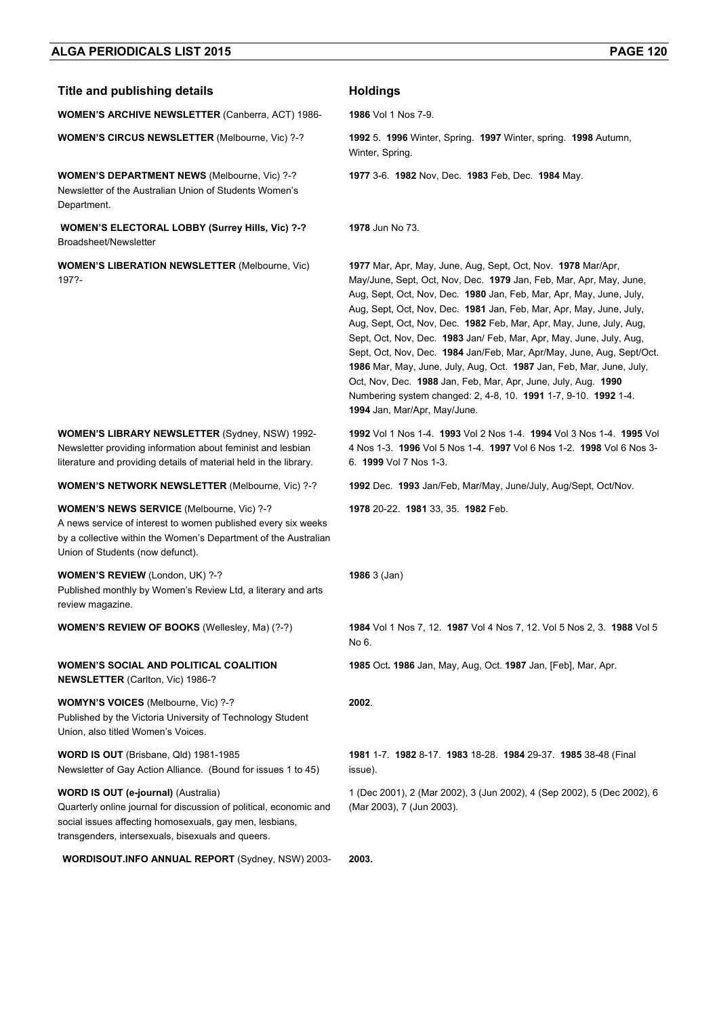### **Title and publishing details <b>Acceleration Holdings**

**WOMEN'S ARCHIVE NEWSLETTER** (Canberra, ACT) 1986- **1986** Vol 1 Nos 7-9.

**WOMEN'S CIRCUS NEWSLETTER** (Melbourne, Vic) ?-? **1992** 5. **1996** Winter, Spring. **1997** Winter, spring. **1998** Autumn,

**WOMEN'S DEPARTMENT NEWS** (Melbourne, Vic) ?-? Newsletter of the Australian Union of Students Women's Department.

 **WOMEN'S ELECTORAL LOBBY (Surrey Hills, Vic) ?-?**  Broadsheet/Newsletter

**WOMEN'S LIBERATION NEWSLETTER** (Melbourne, Vic) 197?-

**WOMEN'S LIBRARY NEWSLETTER** (Sydney, NSW) 1992- Newsletter providing information about feminist and lesbian literature and providing details of material held in the library.

A news service of interest to women published every six weeks by a collective within the Women's Department of the Australian

Published monthly by Women's Review Ltd, a literary and arts

**WOMEN'S NEWS SERVICE** (Melbourne, Vic) ?-?

**WOMEN'S SOCIAL AND POLITICAL COALITION** 

Published by the Victoria University of Technology Student

Newsletter of Gay Action Alliance. (Bound for issues 1 to 45)

Quarterly online journal for discussion of political, economic and social issues affecting homosexuals, gay men, lesbians, transgenders, intersexuals, bisexuals and queers.

Union of Students (now defunct).

review magazine.

**WOMEN'S REVIEW** (London, UK) ?-?

**NEWSLETTER** (Carlton, Vic) 1986-?

Union, also titled Women's Voices.

**WOMYN'S VOICES** (Melbourne, Vic) ?-?

**WORD IS OUT** (Brisbane, Qld) 1981-1985

**WORD IS OUT (e-journal)** (Australia)

**1992** Vol 1 Nos 1-4. **1993** Vol 2 Nos 1-4. **1994** Vol 3 Nos 1-4. **1995** Vol 4 Nos 1-3. **1996** Vol 5 Nos 1-4. **1997** Vol 6 Nos 1-2. **1998** Vol 6 Nos 3- 6. **1999** Vol 7 Nos 1-3.

**1977** 3-6. **1982** Nov, Dec. **1983** Feb, Dec. **1984** May.

**1977** Mar, Apr, May, June, Aug, Sept, Oct, Nov. **1978** Mar/Apr, May/June, Sept, Oct, Nov, Dec. **1979** Jan, Feb, Mar, Apr, May, June, Aug, Sept, Oct, Nov, Dec. **1980** Jan, Feb, Mar, Apr, May, June, July, Aug, Sept, Oct, Nov, Dec. **1981** Jan, Feb, Mar, Apr, May, June, July, Aug, Sept, Oct, Nov, Dec. **1982** Feb, Mar, Apr, May, June, July, Aug, Sept, Oct, Nov, Dec. **1983** Jan/ Feb, Mar, Apr, May, June, July, Aug, Sept, Oct, Nov, Dec. **1984** Jan/Feb, Mar, Apr/May, June, Aug, Sept/Oct. **1986** Mar, May, June, July, Aug, Oct. **1987** Jan, Feb, Mar, June, July, Oct, Nov, Dec. **1988** Jan, Feb, Mar, Apr, June, July, Aug. **1990** Numbering system changed: 2, 4-8, 10. **1991** 1-7, 9-10. **1992** 1-4.

**WOMEN'S NETWORK NEWSLETTER** (Melbourne, Vic) ?-? **1992** Dec. **1993** Jan/Feb, Mar/May, June/July, Aug/Sept, Oct/Nov.

**1978** 20-22. **1981** 33, 35. **1982** Feb.

**1994** Jan, Mar/Apr, May/June.

**1986** 3 (Jan)

Winter, Spring.

**1978** Jun No 73.

**WOMEN'S REVIEW OF BOOKS** (Wellesley, Ma) (?-?) **1984** Vol 1 Nos 7, 12. **1987** Vol 4 Nos 7, 12. Vol 5 Nos 2, 3. **1988** Vol 5 No 6.

**1985** Oct**. 1986** Jan, May, Aug, Oct. **1987** Jan, [Feb], Mar, Apr.

**2002**.

**1981** 1-7. **1982** 8-17. **1983** 18-28. **1984** 29-37. **1985** 38-48 (Final issue).

1 (Dec 2001), 2 (Mar 2002), 3 (Jun 2002), 4 (Sep 2002), 5 (Dec 2002), 6 (Mar 2003), 7 (Jun 2003).

**WORDISOUT.INFO ANNUAL REPORT** (Sydney, NSW) 2003- **2003.**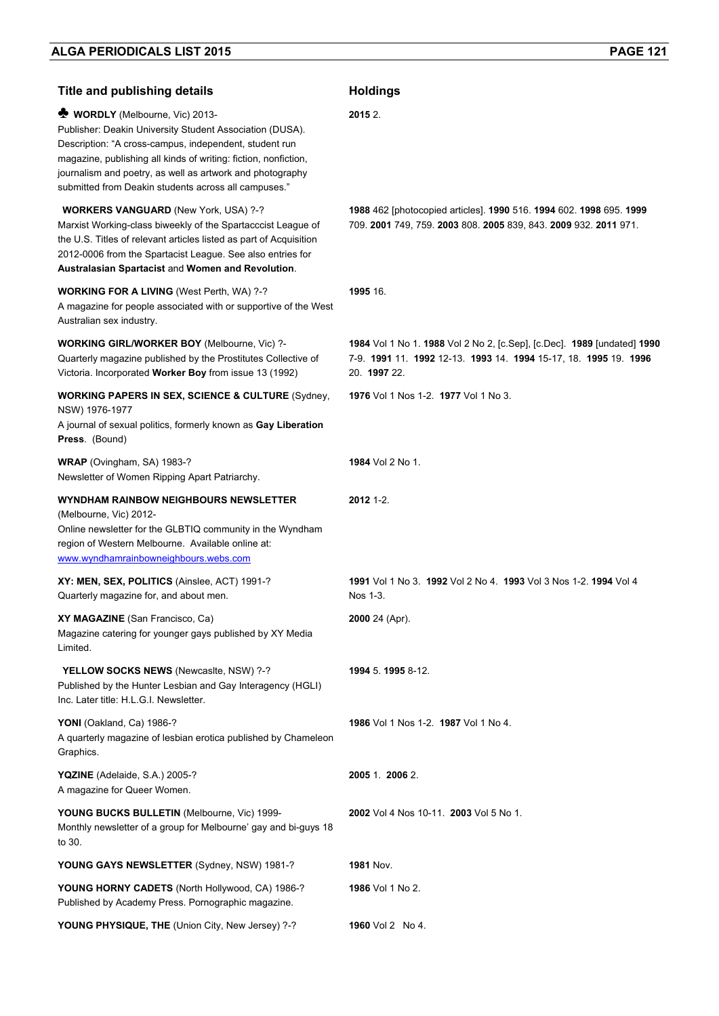| <b>Title and publishing details</b>                                                                                                                                                                                                                                                                                                         | <b>Holdings</b>                                                                                                                                             |
|---------------------------------------------------------------------------------------------------------------------------------------------------------------------------------------------------------------------------------------------------------------------------------------------------------------------------------------------|-------------------------------------------------------------------------------------------------------------------------------------------------------------|
| WORDLY (Melbourne, Vic) 2013-<br>Publisher: Deakin University Student Association (DUSA).<br>Description: "A cross-campus, independent, student run<br>magazine, publishing all kinds of writing: fiction, nonfiction,<br>journalism and poetry, as well as artwork and photography<br>submitted from Deakin students across all campuses." | 2015 2.                                                                                                                                                     |
| <b>WORKERS VANGUARD (New York, USA) ?-?</b><br>Marxist Working-class biweekly of the Spartacccist League of<br>the U.S. Titles of relevant articles listed as part of Acquisition<br>2012-0006 from the Spartacist League. See also entries for<br>Australasian Spartacist and Women and Revolution.                                        | 1988 462 [photocopied articles]. 1990 516. 1994 602. 1998 695. 1999<br>709. 2001 749, 759. 2003 808. 2005 839, 843. 2009 932. 2011 971.                     |
| <b>WORKING FOR A LIVING (West Perth, WA) ?-?</b><br>A magazine for people associated with or supportive of the West<br>Australian sex industry.                                                                                                                                                                                             | 1995 16.                                                                                                                                                    |
| <b>WORKING GIRL/WORKER BOY (Melbourne, Vic) ?-</b><br>Quarterly magazine published by the Prostitutes Collective of<br>Victoria. Incorporated Worker Boy from issue 13 (1992)                                                                                                                                                               | 1984 Vol 1 No 1. 1988 Vol 2 No 2, [c.Sep], [c.Dec]. 1989 [undated] 1990<br>7-9. 1991 11. 1992 12-13. 1993 14. 1994 15-17, 18. 1995 19. 1996<br>20. 1997 22. |
| <b>WORKING PAPERS IN SEX, SCIENCE &amp; CULTURE (Sydney,</b><br>NSW) 1976-1977<br>A journal of sexual politics, formerly known as Gay Liberation<br>Press. (Bound)                                                                                                                                                                          | 1976 Vol 1 Nos 1-2. 1977 Vol 1 No 3.                                                                                                                        |
| WRAP (Ovingham, SA) 1983-?<br>Newsletter of Women Ripping Apart Patriarchy.                                                                                                                                                                                                                                                                 | <b>1984</b> Vol 2 No 1.                                                                                                                                     |
| WYNDHAM RAINBOW NEIGHBOURS NEWSLETTER<br>(Melbourne, Vic) 2012-<br>Online newsletter for the GLBTIQ community in the Wyndham<br>region of Western Melbourne. Available online at:<br>www.wyndhamrainbowneighbours.webs.com                                                                                                                  | $2012$ 1-2.                                                                                                                                                 |
| XY: MEN, SEX, POLITICS (Ainslee, ACT) 1991-?<br>Quarterly magazine for, and about men.                                                                                                                                                                                                                                                      | 1991 Vol 1 No 3. 1992 Vol 2 No 4. 1993 Vol 3 Nos 1-2. 1994 Vol 4<br>Nos 1-3.                                                                                |
| XY MAGAZINE (San Francisco, Ca)<br>Magazine catering for younger gays published by XY Media<br>Limited.                                                                                                                                                                                                                                     | 2000 24 (Apr).                                                                                                                                              |
| YELLOW SOCKS NEWS (Newcasite, NSW) ?-?<br>Published by the Hunter Lesbian and Gay Interagency (HGLI)<br>Inc. Later title: H.L.G.I. Newsletter.                                                                                                                                                                                              | 1994 5.1995 8-12.                                                                                                                                           |
| YONI (Oakland, Ca) 1986-?<br>A quarterly magazine of lesbian erotica published by Chameleon<br>Graphics.                                                                                                                                                                                                                                    | 1986 Vol 1 Nos 1-2. 1987 Vol 1 No 4.                                                                                                                        |
| YQZINE (Adelaide, S.A.) 2005-?<br>A magazine for Queer Women.                                                                                                                                                                                                                                                                               | 2005 1. 2006 2.                                                                                                                                             |
| YOUNG BUCKS BULLETIN (Melbourne, Vic) 1999-<br>Monthly newsletter of a group for Melbourne' gay and bi-guys 18<br>to 30.                                                                                                                                                                                                                    | 2002 Vol 4 Nos 10-11. 2003 Vol 5 No 1.                                                                                                                      |
| YOUNG GAYS NEWSLETTER (Sydney, NSW) 1981-?                                                                                                                                                                                                                                                                                                  | <b>1981 Nov.</b>                                                                                                                                            |
| YOUNG HORNY CADETS (North Hollywood, CA) 1986-?<br>Published by Academy Press. Pornographic magazine.                                                                                                                                                                                                                                       | <b>1986</b> Vol 1 No 2.                                                                                                                                     |
| YOUNG PHYSIQUE, THE (Union City, New Jersey) ?-?                                                                                                                                                                                                                                                                                            | <b>1960</b> Vol 2 No 4.                                                                                                                                     |